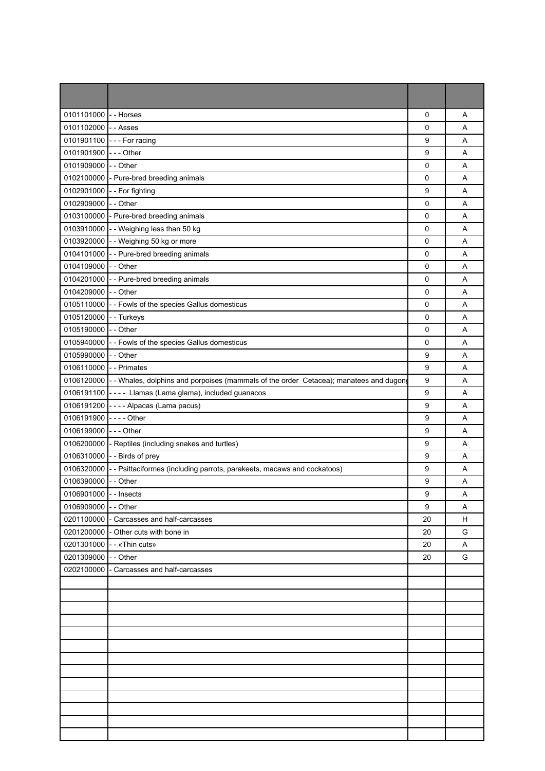| 0101101000             | -- Horses                                                                              | 0                | A  |
|------------------------|----------------------------------------------------------------------------------------|------------------|----|
| 0101102000             | - - Asses                                                                              | 0                | Α  |
| 0101901100             | --- For racing                                                                         | 9                | A  |
| 0101901900             | $--$ Other                                                                             | 9                | A  |
| 0101909000             | - - Other                                                                              | 0                | Α  |
| 0102100000             | - Pure-bred breeding animals                                                           | 0                | Α  |
| 0102901000             | -- For fighting                                                                        | 9                | A  |
| 0102909000             | - - Other                                                                              | 0                | A  |
| 0103100000             | - Pure-bred breeding animals                                                           | 0                | Α  |
|                        | 0103910000 - - Weighing less than 50 kg                                                | 0                | A  |
| 0103920000             | - - Weighing 50 kg or more                                                             | $\mathbf 0$      | A  |
| 0104101000             | - - Pure-bred breeding animals                                                         | 0                | Α  |
| 0104109000             | - - Other                                                                              | 0                | A  |
| 0104201000             | - - Pure-bred breeding animals                                                         | 0                | A  |
| 0104209000             | - - Other                                                                              | 0                | Α  |
| 0105110000             | - - Fowls of the species Gallus domesticus                                             | $\mathsf 0$      | A  |
| 0105120000             | - - Turkeys                                                                            | 0                | Α  |
| 0105190000             | - - Other                                                                              | 0                | A  |
| 0105940000             | - - Fowls of the species Gallus domesticus                                             | 0                | Α  |
| 0105990000             | - - Other                                                                              | 9                | Α  |
| 0106110000             | - - Primates                                                                           | 9                | A  |
| 0106120000             | - - Whales, dolphins and porpoises (mammals of the order Cetacea); manatees and dugong | 9                | Α  |
| 0106191100             | ---- Llamas (Lama glama), included guanacos                                            | $\boldsymbol{9}$ | A  |
| 0106191200             | ---- Alpacas (Lama pacus)                                                              | 9                | A  |
| 0106191900             | $--$ Other                                                                             | 9                | Α  |
| 0106199000             | $--$ Other                                                                             | 9                | Α  |
| 0106200000             | - Reptiles (including snakes and turtles)                                              | 9                | A  |
| 0106310000             | - - Birds of prey                                                                      | $\boldsymbol{9}$ | A  |
| 0106320000             | - - Psittaciformes (including parrots, parakeets, macaws and cockatoos)                | 9                | Α  |
| 0106390000 -- Other    |                                                                                        | 9                | Α  |
| 0106901000 - - Insects |                                                                                        | 9                | A  |
| 0106909000 - - Other   |                                                                                        | 9                | Α  |
|                        | 0201100000 - Carcasses and half-carcasses                                              | 20               | H. |
|                        | 0201200000 - Other cuts with bone in                                                   | 20               | G  |
|                        | 0201301000 - - «Thin cuts»                                                             | 20               | A  |
| 0201309000 - - Other   |                                                                                        | 20               | G  |
| 0202100000             | - Carcasses and half-carcasses                                                         |                  |    |
|                        |                                                                                        |                  |    |
|                        |                                                                                        |                  |    |
|                        |                                                                                        |                  |    |
|                        |                                                                                        |                  |    |
|                        |                                                                                        |                  |    |
|                        |                                                                                        |                  |    |
|                        |                                                                                        |                  |    |
|                        |                                                                                        |                  |    |
|                        |                                                                                        |                  |    |
|                        |                                                                                        |                  |    |
|                        |                                                                                        |                  |    |
|                        |                                                                                        |                  |    |
|                        |                                                                                        |                  |    |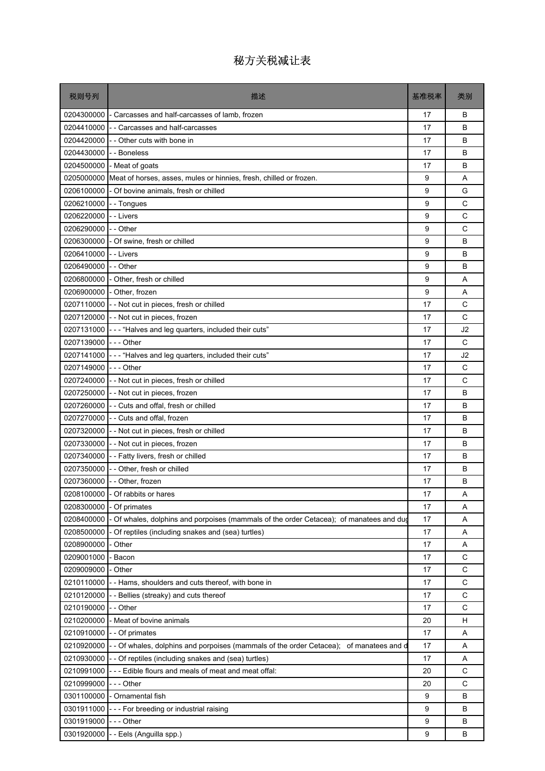| 税则号列       | 描述                                                                                    | 基准税率 | 类别          |
|------------|---------------------------------------------------------------------------------------|------|-------------|
| 0204300000 | - Carcasses and half-carcasses of lamb, frozen                                        | 17   | B           |
| 0204410000 | - - Carcasses and half-carcasses                                                      | 17   | B           |
| 0204420000 | - - Other cuts with bone in                                                           | 17   | B           |
| 0204430000 | - - Boneless                                                                          | 17   | B           |
|            | 0204500000 - Meat of goats                                                            | 17   | B           |
|            | 0205000000 Meat of horses, asses, mules or hinnies, fresh, chilled or frozen.         | 9    | A           |
| 0206100000 | - Of bovine animals, fresh or chilled                                                 | 9    | G           |
| 0206210000 | - - Tongues                                                                           | 9    | C           |
| 0206220000 | - - Livers                                                                            | 9    | C           |
| 0206290000 | -- Other                                                                              | 9    | C           |
| 0206300000 | - Of swine, fresh or chilled                                                          | 9    | B           |
| 0206410000 | - - Livers                                                                            | 9    | B           |
| 0206490000 | - - Other                                                                             | 9    | B           |
| 0206800000 | - Other, fresh or chilled                                                             | 9    | Α           |
|            | 0206900000 - Other, frozen                                                            | 9    | A           |
| 0207110000 | - - Not cut in pieces, fresh or chilled                                               | 17   | C           |
|            | 0207120000 - - Not cut in pieces, frozen                                              | 17   | C           |
|            | 0207131000 - - - "Halves and leg quarters, included their cuts"                       | 17   | J2          |
| 0207139000 | $--$ Other                                                                            | 17   | C           |
| 0207141000 | --- "Halves and leg quarters, included their cuts"                                    | 17   | J2          |
| 0207149000 | - - - Other                                                                           | 17   | C           |
| 0207240000 | - - Not cut in pieces, fresh or chilled                                               | 17   | C           |
| 0207250000 | - - Not cut in pieces, frozen                                                         | 17   | B           |
| 0207260000 | - - Cuts and offal, fresh or chilled                                                  | 17   | B           |
|            | 0207270000 - - Cuts and offal, frozen                                                 | 17   | B           |
| 0207320000 | - - Not cut in pieces, fresh or chilled                                               | 17   | B           |
| 0207330000 | -- Not cut in pieces, frozen                                                          | 17   | B           |
|            | 0207340000 - - Fatty livers, fresh or chilled                                         | 17   | B           |
| 0207350000 | - - Other, fresh or chilled                                                           | 17   | B           |
|            | 0207360000 - - Other, frozen                                                          | 17   | в           |
|            | 0208100000 - Of rabbits or hares                                                      | 17   | Α           |
| 0208300000 | - Of primates                                                                         | 17   | Α           |
| 0208400000 | Of whales, dolphins and porpoises (mammals of the order Cetacea); of manatees and dug | 17   | Α           |
| 0208500000 | - Of reptiles (including snakes and (sea) turtles)                                    | 17   | Α           |
| 0208900000 | Other                                                                                 | 17   | Α           |
| 0209001000 | - Bacon                                                                               | 17   | C           |
| 0209009000 | Other                                                                                 | 17   | C           |
| 0210110000 | - Hams, shoulders and cuts thereof, with bone in                                      | 17   | C           |
| 0210120000 | - Bellies (streaky) and cuts thereof                                                  | 17   | $\mathsf C$ |
| 0210190000 | - Other                                                                               | 17   | C           |
| 0210200000 | - Meat of bovine animals                                                              | 20   | н           |
|            | 0210910000 - - Of primates                                                            | 17   | Α           |
| 0210920000 | - Of whales, dolphins and porpoises (mammals of the order Cetacea); of manatees and d | 17   | Α           |
| 0210930000 | - - Of reptiles (including snakes and (sea) turtles)                                  | 17   | Α           |
| 0210991000 | --- Edible flours and meals of meat and meat offal:                                   | 20   | C           |
| 0210999000 | - - - Other                                                                           | 20   | C           |
| 0301100000 | - Ornamental fish                                                                     | 9    | B           |
| 0301911000 | - - For breeding or industrial raising                                                | 9    | B           |
| 0301919000 | --- Other                                                                             | 9    | B           |
| 0301920000 | - - Eels (Anguilla spp.)                                                              | 9    | В           |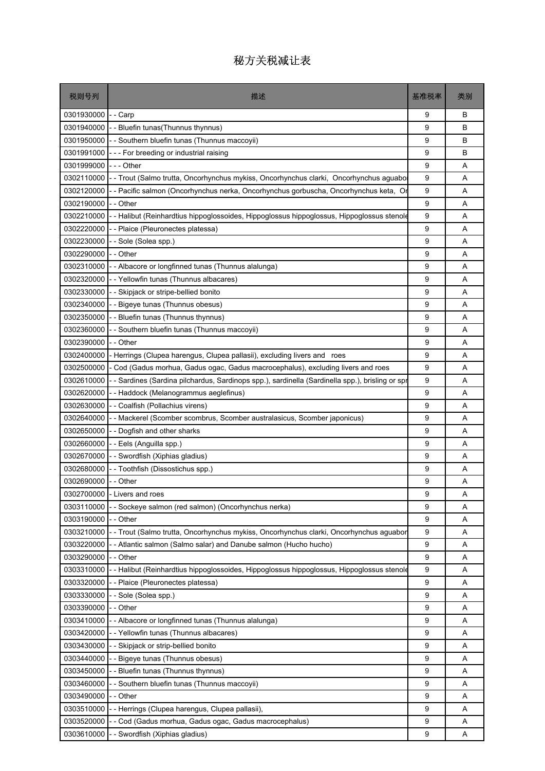| 税则号列       | 描述                                                                                             | 基准税率 | 类别 |
|------------|------------------------------------------------------------------------------------------------|------|----|
| 0301930000 | - - Carp                                                                                       | 9    | В  |
| 0301940000 | - Bluefin tunas (Thunnus thynnus)                                                              | 9    | В  |
| 0301950000 | - Southern bluefin tunas (Thunnus maccoyii)                                                    | 9    | B  |
| 0301991000 | --- For breeding or industrial raising                                                         | 9    | В  |
| 0301999000 | - - - Other                                                                                    | 9    | A  |
| 0302110000 | -- Trout (Salmo trutta, Oncorhynchus mykiss, Oncorhynchus clarki, Oncorhynchus aguabo          | 9    | Α  |
| 0302120000 | - - Pacific salmon (Oncorhynchus nerka, Oncorhynchus gorbuscha, Oncorhynchus keta, Or          | 9    | Α  |
| 0302190000 | -- Other                                                                                       | 9    | A  |
| 0302210000 | - Halibut (Reinhardtius hippoglossoides, Hippoglossus hippoglossus, Hippoglossus stenole       | 9    | A  |
| 0302220000 | - - Plaice (Pleuronectes platessa)                                                             | 9    | Α  |
| 0302230000 | --Sole (Solea spp.)                                                                            | 9    | Α  |
| 0302290000 | - Other                                                                                        | 9    | A  |
| 0302310000 | - Albacore or longfinned tunas (Thunnus alalunga)                                              | 9    | A  |
| 0302320000 | - - Yellowfin tunas (Thunnus albacares)                                                        | 9    | A  |
| 0302330000 | - Skipjack or stripe-bellied bonito                                                            | 9    | Α  |
| 0302340000 | - Bigeye tunas (Thunnus obesus)                                                                | 9    | A  |
| 0302350000 | - - Bluefin tunas (Thunnus thynnus)                                                            | 9    | Α  |
| 0302360000 | - Southern bluefin tunas (Thunnus maccoyii)                                                    | 9    | Α  |
| 0302390000 | - - Other                                                                                      | 9    | A  |
| 0302400000 | Herrings (Clupea harengus, Clupea pallasii), excluding livers and roes                         | 9    | Α  |
| 0302500000 | - Cod (Gadus morhua, Gadus ogac, Gadus macrocephalus), excluding livers and roes               | 9    | Α  |
| 0302610000 | - Sardines (Sardina pilchardus, Sardinops spp.), sardinella (Sardinella spp.), brisling or spr | 9    | A  |
| 0302620000 | - Haddock (Melanogrammus aeglefinus)                                                           | 9    | A  |
| 0302630000 | - - Coalfish (Pollachius virens)                                                               | 9    | Α  |
| 0302640000 | - Mackerel (Scomber scombrus, Scomber australasicus, Scomber japonicus)                        | 9    | A  |
| 0302650000 | - - Dogfish and other sharks                                                                   | 9    | A  |
| 0302660000 | - - Eels (Anguilla spp.)                                                                       | 9    | Α  |
| 0302670000 | - Swordfish (Xiphias gladius)                                                                  | 9    | A  |
| 0302680000 | - Toothfish (Dissostichus spp.)                                                                | 9    | A  |
| 0302690000 | - Other                                                                                        | 9    | Α  |
|            | 0302700000 - Livers and roes                                                                   | 9    | Α  |
| 0303110000 | - Sockeye salmon (red salmon) (Oncorhynchus nerka)                                             | 9    | Α  |
| 0303190000 | Other                                                                                          | 9    | Α  |
| 0303210000 | -- Trout (Salmo trutta, Oncorhynchus mykiss, Oncorhynchus clarki, Oncorhynchus aguabor         | 9    | Α  |
| 0303220000 | - Atlantic salmon (Salmo salar) and Danube salmon (Hucho hucho)                                | 9    | Α  |
| 0303290000 | - - Other                                                                                      | 9    | Α  |
| 0303310000 | - Halibut (Reinhardtius hippoglossoides, Hippoglossus hippoglossus, Hippoglossus stenole       | 9    | Α  |
| 0303320000 | - Plaice (Pleuronectes platessa)                                                               | 9    | Α  |
| 0303330000 | - Sole (Solea spp.)                                                                            | 9    | Α  |
| 0303390000 | - Other                                                                                        | 9    | Α  |
| 0303410000 | - Albacore or longfinned tunas (Thunnus alalunga)                                              | 9    | Α  |
| 0303420000 | - Yellowfin tunas (Thunnus albacares)                                                          | 9    | A  |
| 0303430000 | - Skipjack or strip-bellied bonito                                                             | 9    | Α  |
| 0303440000 | - Bigeye tunas (Thunnus obesus)                                                                | 9    | Α  |
| 0303450000 | - Bluefin tunas (Thunnus thynnus)                                                              | 9    | Α  |
| 0303460000 | - Southern bluefin tunas (Thunnus maccoyii)                                                    | 9    | Α  |
| 0303490000 | - Other                                                                                        | 9    | Α  |
| 0303510000 | - Herrings (Clupea harengus, Clupea pallasii),                                                 | 9    | Α  |
| 0303520000 | - Cod (Gadus morhua, Gadus ogac, Gadus macrocephalus)                                          | 9    | Α  |
| 0303610000 | - Swordfish (Xiphias gladius)                                                                  | 9    | A  |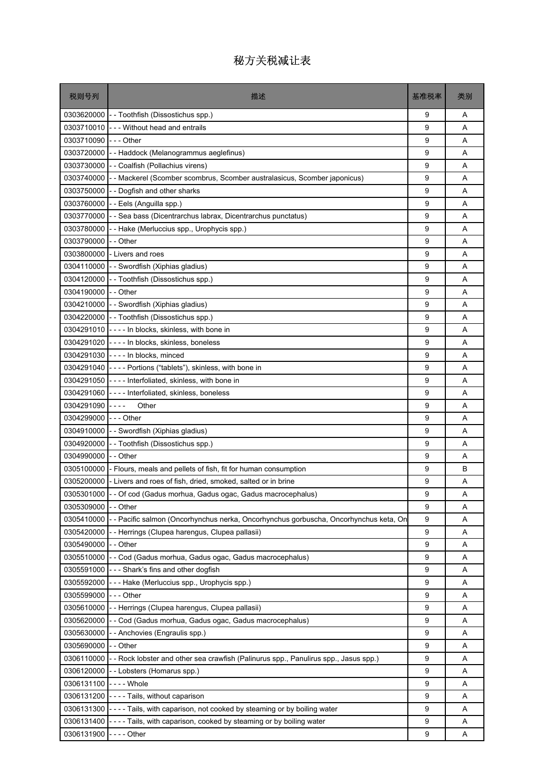| 税则号列                  | 描述                                                                                  | 基准税率 | 类别 |
|-----------------------|-------------------------------------------------------------------------------------|------|----|
|                       | 0303620000 - Toothfish (Dissostichus spp.)                                          | 9    | Α  |
| 0303710010            | I--- Without head and entrails                                                      | 9    | A  |
| 0303710090            | -  - - Other                                                                        | 9    | A  |
| 0303720000            | -- Haddock (Melanogrammus aeglefinus)                                               | 9    | Α  |
|                       | 0303730000 - - Coalfish (Pollachius virens)                                         | 9    | A  |
| 0303740000            | - - Mackerel (Scomber scombrus, Scomber australasicus, Scomber japonicus)           | 9    | Α  |
| 0303750000            | - - Dogfish and other sharks                                                        | 9    | Α  |
| 0303760000            | -- Eels (Anguilla spp.)                                                             | 9    | A  |
| 0303770000            | - - Sea bass (Dicentrarchus labrax, Dicentrarchus punctatus)                        | 9    | A  |
| 0303780000            | -- Hake (Merluccius spp., Urophycis spp.)                                           | 9    | Α  |
| 0303790000            | - - Other                                                                           | 9    | Α  |
| 0303800000            | - Livers and roes                                                                   | 9    | A  |
|                       | 0304110000 - Swordfish (Xiphias gladius)                                            | 9    | A  |
| 0304120000            | - - Toothfish (Dissostichus spp.)                                                   | 9    | Α  |
| 0304190000 -- Other   |                                                                                     | 9    | A  |
|                       | 0304210000 - - Swordfish (Xiphias gladius)                                          | 9    | A  |
|                       | 0304220000 - Toothfish (Dissostichus spp.)                                          | 9    | Α  |
|                       | 0304291010 - - - - In blocks, skinless, with bone in                                | 9    | A  |
|                       | 0304291020 - - - - In blocks, skinless, boneless                                    | 9    | A  |
|                       | 0304291030 ---- In blocks, minced                                                   | 9    | Α  |
| 0304291040            | ---- Portions ("tablets"), skinless, with bone in                                   | 9    | Α  |
|                       | 0304291050 - - - - Interfoliated, skinless, with bone in                            | 9    | A  |
| 0304291060            | ---- Interfoliated, skinless, boneless                                              | 9    | A  |
| 0304291090            | Other<br>$- - - -$                                                                  | 9    | Α  |
| 0304299000 --- Other  |                                                                                     | 9    | A  |
|                       | 0304910000 - Swordfish (Xiphias gladius)                                            | 9    | A  |
| 0304920000            | -- Toothfish (Dissostichus spp.)                                                    | 9    | Α  |
| 0304990000 -- Other   |                                                                                     | 9    | A  |
| 0305100000            | - Flours, meals and pellets of fish, fit for human consumption                      | 9    | B  |
| 0305200000            | - Livers and roes of fish, dried, smoked, salted or in brine                        | 9    | Α  |
|                       | 0305301000 - - Of cod (Gadus morhua, Gadus ogac, Gadus macrocephalus)               | 9    | Α  |
| 0305309000            | -- Other                                                                            | 9    | Α  |
| 0305410000            | - Pacific salmon (Oncorhynchus nerka, Oncorhynchus gorbuscha, Oncorhynchus keta, On | 9    | Α  |
| 0305420000            | - - Herrings (Clupea harengus, Clupea pallasii)                                     | 9    | A  |
| 0305490000 - - Other  |                                                                                     | 9    | Α  |
|                       | 0305510000 - - Cod (Gadus morhua, Gadus ogac, Gadus macrocephalus)                  | 9    | Α  |
| 0305591000            | - - - Shark's fins and other dogfish                                                | 9    | Α  |
| 0305592000            | - - - Hake (Merluccius spp., Urophycis spp.)                                        | 9    | Α  |
| 0305599000            | --- Other                                                                           | 9    | Α  |
| 0305610000            | - - Herrings (Clupea harengus, Clupea pallasii)                                     | 9    | Α  |
| 0305620000            | -- Cod (Gadus morhua, Gadus ogac, Gadus macrocephalus)                              | 9    | Α  |
| 0305630000            | - - Anchovies (Engraulis spp.)                                                      | 9    | Α  |
| 0305690000            | - Other                                                                             | 9    | Α  |
| 0306110000            | -- Rock lobster and other sea crawfish (Palinurus spp., Panulirus spp., Jasus spp.) | 9    | Α  |
|                       | 0306120000 - - Lobsters (Homarus spp.)                                              | 9    | Α  |
| 0306131100 ---- Whole |                                                                                     | 9    | Α  |
| 0306131200            | ---- Tails, without caparison                                                       | 9    | Α  |
| 0306131300            | ---- Tails, with caparison, not cooked by steaming or by boiling water              | 9    | Α  |
| 0306131400            | ---- Tails, with caparison, cooked by steaming or by boiling water                  | 9    | Α  |
| 0306131900 ---- Other |                                                                                     | 9    | Α  |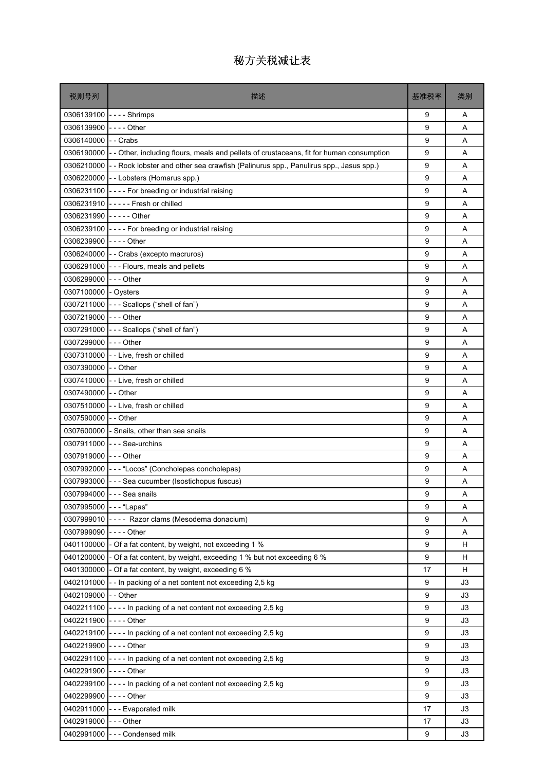| 税则号列                   | 描述                                                                                              | 基准税率 | 类别 |
|------------------------|-------------------------------------------------------------------------------------------------|------|----|
|                        | 0306139100 ---- Shrimps                                                                         | 9    | Α  |
| 0306139900             |                                                                                                 | 9    | A  |
| 0306140000             | - - Crabs                                                                                       | 9    | A  |
| 0306190000             | - - Other, including flours, meals and pellets of crustaceans, fit for human consumption        | 9    | Α  |
|                        | 0306210000 - - Rock lobster and other sea crawfish (Palinurus spp., Panulirus spp., Jasus spp.) | 9    | A  |
| 0306220000             | - - Lobsters (Homarus spp.)                                                                     | 9    | A  |
|                        | 0306231100 - - - - For breeding or industrial raising                                           | 9    | Α  |
|                        | 0306231910 ----- Fresh or chilled                                                               | 9    | A  |
| 0306231990 ----- Other |                                                                                                 | 9    | A  |
|                        | 0306239100 ---- For breeding or industrial raising                                              | 9    | Α  |
| 0306239900             | -  -  -  -  Other                                                                               | 9    | A  |
|                        | 0306240000 - - Crabs (excepto macruros)                                                         | 9    | A  |
|                        | 0306291000 - - - Flours, meals and pellets                                                      | 9    | A  |
| 0306299000             | - - - Other                                                                                     | 9    | A  |
| 0307100000 - Oysters   |                                                                                                 | 9    | A  |
| 0307211000             | --- Scallops ("shell of fan")                                                                   | 9    | A  |
| 0307219000             | - - - Other                                                                                     | 9    | Α  |
| 0307291000             | --- Scallops ("shell of fan")                                                                   | 9    | A  |
| 0307299000             | --- Other                                                                                       | 9    | A  |
|                        | 0307310000 - - Live, fresh or chilled                                                           | 9    | Α  |
| 0307390000             | - - Other                                                                                       | 9    | A  |
| 0307410000             | - - Live, fresh or chilled                                                                      | 9    | A  |
| 0307490000             | - - Other                                                                                       | 9    | A  |
| 0307510000             | - - Live, fresh or chilled                                                                      | 9    | Α  |
| 0307590000 - - Other   |                                                                                                 | 9    | A  |
| 0307600000             | - Snails, other than sea snails                                                                 | 9    | A  |
| 0307911000             | --- Sea-urchins                                                                                 | 9    | Α  |
| 0307919000 - - - Other |                                                                                                 | 9    | A  |
|                        | 0307992000 --- "Locos" (Concholepas concholepas)                                                | 9    | A  |
|                        | 0307993000 - - - Sea cucumber (Isostichopus fuscus)                                             | 9    | Α  |
|                        | 0307994000 - - - Sea snails                                                                     | 9    | Α  |
| 0307995000 --- "Lapas" |                                                                                                 | 9    | Α  |
|                        | 0307999010 ---- Razor clams (Mesodema donacium)                                                 | 9    | Α  |
| 0307999090             | - - - - Other                                                                                   | 9    | Α  |
|                        | 0401100000 - Of a fat content, by weight, not exceeding 1 %                                     | 9    | н  |
| 0401200000             | - Of a fat content, by weight, exceeding 1 % but not exceeding 6 %                              | 9    | н  |
|                        | 0401300000 - Of a fat content, by weight, exceeding 6 %                                         | 17   | H  |
| 0402101000             | -- In packing of a net content not exceeding 2,5 kg                                             | 9    | J3 |
| 0402109000             | - - Other                                                                                       | 9    | J3 |
|                        | 0402211100 - - - - In packing of a net content not exceeding 2,5 kg                             | 9    | J3 |
| 0402211900             | - - - - Other                                                                                   | 9    | J3 |
|                        | 0402219100 - - - - In packing of a net content not exceeding 2,5 kg                             | 9    | JЗ |
| 0402219900 ---- Other  |                                                                                                 | 9    | J3 |
|                        | 0402291100 ---- In packing of a net content not exceeding 2,5 kg                                | 9    | J3 |
| 0402291900 ---- Other  |                                                                                                 | 9    | J3 |
|                        | 0402299100 - - - - In packing of a net content not exceeding 2,5 kg                             | 9    | J3 |
| 0402299900 ---- Other  |                                                                                                 | 9    | J3 |
| 0402911000             | --- Evaporated milk                                                                             | 17   | JЗ |
| 0402919000             | --- Other                                                                                       | 17   | J3 |
|                        | 0402991000 - - - Condensed milk                                                                 | 9    | J3 |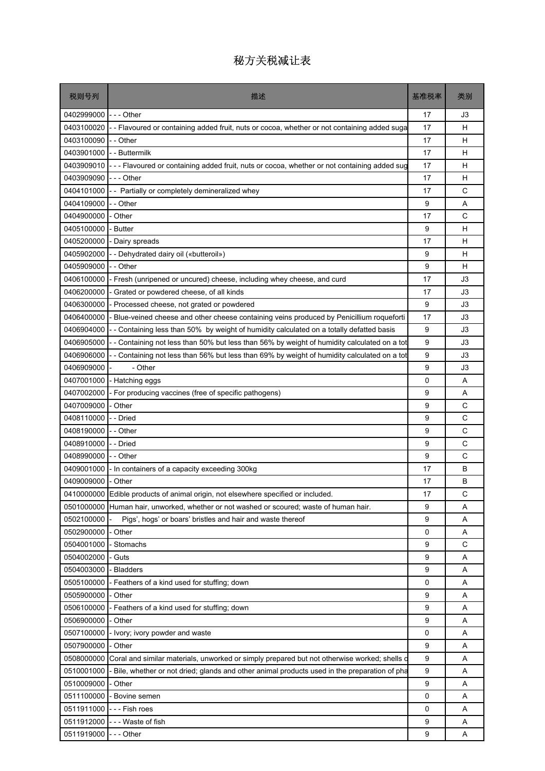| 税则号列                 | 描述                                                                                          | 基准税率 | 类别 |
|----------------------|---------------------------------------------------------------------------------------------|------|----|
| 0402999000           | $- -$ Other                                                                                 | 17   | JЗ |
| 0403100020           | -- Flavoured or containing added fruit, nuts or cocoa, whether or not containing added suga | 17   | н  |
| 0403100090           | - - Other                                                                                   | 17   | н  |
| 0403901000           | - - Buttermilk                                                                              | 17   | н  |
| 0403909010           | -- Flavoured or containing added fruit, nuts or cocoa, whether or not containing added sug  | 17   | н  |
| 0403909090           | $--$ Other                                                                                  | 17   | н  |
| 0404101000           | - - Partially or completely demineralized whey                                              | 17   | С  |
| 0404109000           | - - Other                                                                                   | 9    | A  |
| 0404900000           | - Other                                                                                     | 17   | C  |
| 0405100000           | <b>Butter</b>                                                                               | 9    | н  |
| 0405200000           | - Dairy spreads                                                                             | 17   | н  |
| 0405902000           | - - Dehydrated dairy oil («butteroil»)                                                      | 9    | н  |
| 0405909000           | - - Other                                                                                   | 9    | н  |
| 0406100000           | - Fresh (unripened or uncured) cheese, including whey cheese, and curd                      | 17   | JЗ |
| 0406200000           | Grated or powdered cheese, of all kinds                                                     | 17   | J3 |
| 0406300000           | Processed cheese, not grated or powdered                                                    | 9    | J3 |
| 0406400000           | Blue-veined cheese and other cheese containing veins produced by Penicillium roqueforti     | 17   | JЗ |
| 0406904000           | - Containing less than 50% by weight of humidity calculated on a totally defatted basis     | 9    | JЗ |
| 0406905000           | - Containing not less than 50% but less than 56% by weight of humidity calculated on a tot  | 9    | JЗ |
| 0406906000           | - Containing not less than 56% but less than 69% by weight of humidity calculated on a tot  | 9    | J3 |
| 0406909000           | - Other                                                                                     | 9    | JЗ |
| 0407001000           | Hatching eggs                                                                               | 0    | Α  |
| 0407002000           | For producing vaccines (free of specific pathogens)                                         | 9    | A  |
| 0407009000           | - Other                                                                                     | 9    | C  |
| 0408110000           | - - Dried                                                                                   | 9    | C  |
| 0408190000           | - - Other                                                                                   | 9    | C  |
| 0408910000           | - - Dried                                                                                   | 9    | С  |
| 0408990000           | -- Other                                                                                    | 9    | C  |
| 0409001000           | In containers of a capacity exceeding 300kg                                                 | 17   | B  |
| 0409009000           | - Other                                                                                     | 17   | B  |
|                      | 0410000000 Edible products of animal origin, not elsewhere specified or included.           | 17   | C  |
|                      | 0501000000 Human hair, unworked, whether or not washed or scoured; waste of human hair.     | 9    | Α  |
| 0502100000           | Pigs', hogs' or boars' bristles and hair and waste thereof                                  | 9    | A  |
| 0502900000           | - Other                                                                                     | 0    | Α  |
| 0504001000           | Stomachs                                                                                    | 9    | C  |
| 0504002000           | - Guts                                                                                      | 9    | A  |
| 0504003000           | <b>Bladders</b>                                                                             | 9    | Α  |
| 0505100000           | - Feathers of a kind used for stuffing; down                                                | 0    | A  |
| 0505900000           | Other                                                                                       | 9    | A  |
| 0506100000           | Feathers of a kind used for stuffing; down                                                  | 9    | A  |
| 0506900000           | - Other                                                                                     | 9    | Α  |
| 0507100000           | - Ivory; ivory powder and waste                                                             | 0    | Α  |
| 0507900000           | - Other                                                                                     | 9    | A  |
| 0508000000           | Coral and similar materials, unworked or simply prepared but not otherwise worked; shells o | 9    | Α  |
| 0510001000           | Bile, whether or not dried; glands and other animal products used in the preparation of pha | 9    | A  |
| 0510009000           | Other                                                                                       | 9    | A  |
| 0511100000           | Bovine semen                                                                                | 0    | Α  |
| 0511911000           | - - - Fish roes                                                                             | 0    | A  |
| 0511912000           | --- Waste of fish                                                                           | 9    | Α  |
| 0511919000 --- Other |                                                                                             | 9    | Α  |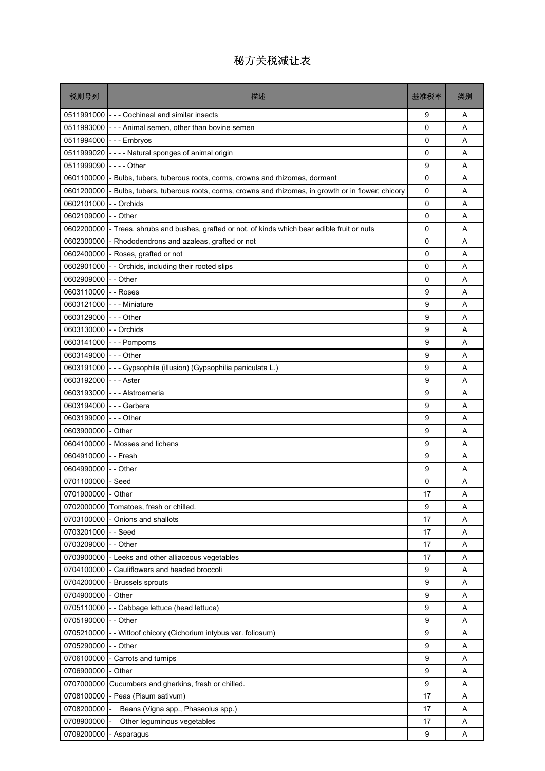| 税则号列                   | 描述                                                                                         | 基准税率 | 类别 |
|------------------------|--------------------------------------------------------------------------------------------|------|----|
|                        | 0511991000 - - - Cochineal and similar insects                                             | 9    | Α  |
| 0511993000             | --- Animal semen, other than bovine semen                                                  | 0    | A  |
|                        | 0511994000 --- Embryos                                                                     | 0    | A  |
| 0511999020             | ---- Natural sponges of animal origin                                                      | 0    | Α  |
| 0511999090             | - - - - Other                                                                              | 9    | A  |
| 0601100000             | - Bulbs, tubers, tuberous roots, corms, crowns and rhizomes, dormant                       | 0    | A  |
| 0601200000             | Bulbs, tubers, tuberous roots, corms, crowns and rhizomes, in growth or in flower; chicory | 0    | Α  |
| 0602101000             | - - Orchids                                                                                | 0    | A  |
| 0602109000             | - - Other                                                                                  | 0    | A  |
| 0602200000             | - Trees, shrubs and bushes, grafted or not, of kinds which bear edible fruit or nuts       | 0    | Α  |
| 0602300000             | - Rhododendrons and azaleas, grafted or not                                                | 0    | Α  |
| 0602400000             | - Roses, grafted or not                                                                    | 0    | A  |
| 0602901000             | - Orchids, including their rooted slips                                                    | 0    | A  |
| 0602909000             | - - Other                                                                                  | 0    | Α  |
| 0603110000             | --Roses                                                                                    | 9    | A  |
| 0603121000             | --- Miniature                                                                              | 9    | A  |
| 0603129000             | $- -$ Other                                                                                | 9    | Α  |
| 0603130000 - - Orchids |                                                                                            | 9    | A  |
|                        | 0603141000 --- Pompoms                                                                     | 9    | A  |
| 0603149000 --- Other   |                                                                                            | 9    | Α  |
| 0603191000             | - - - Gypsophila (illusion) (Gypsophilia paniculata L.)                                    | 9    | A  |
| 0603192000 --- Aster   |                                                                                            | 9    | A  |
| 0603193000             | - - - Alstroemeria                                                                         | 9    | A  |
| 0603194000             | --- Gerbera                                                                                | 9    | A  |
| 0603199000 --- Other   |                                                                                            | 9    | A  |
| 0603900000             | - Other                                                                                    | 9    | A  |
| 0604100000             | - Mosses and lichens                                                                       | 9    | Α  |
| 0604910000             | --Fresh                                                                                    | 9    | A  |
| 0604990000             | - - Other                                                                                  | 9    | A  |
| 0701100000 - Seed      |                                                                                            | 0    | Α  |
| 0701900000 - Other     |                                                                                            | 17   | Α  |
|                        | 0702000000 Tomatoes, fresh or chilled.                                                     | 9    | Α  |
| 0703100000             | - Onions and shallots                                                                      | 17   | Α  |
| 0703201000             | -- Seed                                                                                    | 17   | Α  |
| 0703209000             | - - Other                                                                                  | 17   | Α  |
| 0703900000             | - Leeks and other alliaceous vegetables                                                    | 17   | Α  |
| 0704100000             | - Cauliflowers and headed broccoli                                                         | 9    | Α  |
| 0704200000             | <b>Brussels sprouts</b>                                                                    | 9    | Α  |
| 0704900000             | - Other                                                                                    | 9    | Α  |
| 0705110000             | - Cabbage lettuce (head lettuce)                                                           | 9    | Α  |
| 0705190000             | - - Other                                                                                  | 9    | Α  |
| 0705210000             | - - Witloof chicory (Cichorium intybus var. foliosum)                                      | 9    | Α  |
| 0705290000             | - - Other                                                                                  | 9    | Α  |
| 0706100000             | - Carrots and turnips                                                                      | 9    | Α  |
| 0706900000             | - Other                                                                                    | 9    | Α  |
| 0707000000             | Cucumbers and gherkins, fresh or chilled.                                                  | 9    | Α  |
| 0708100000             | - Peas (Pisum sativum)                                                                     | 17   | Α  |
| 0708200000             | Beans (Vigna spp., Phaseolus spp.)                                                         | 17   | Α  |
| 0708900000             | Other leguminous vegetables                                                                | 17   | Α  |
| 0709200000             | - Asparagus                                                                                | 9    | Α  |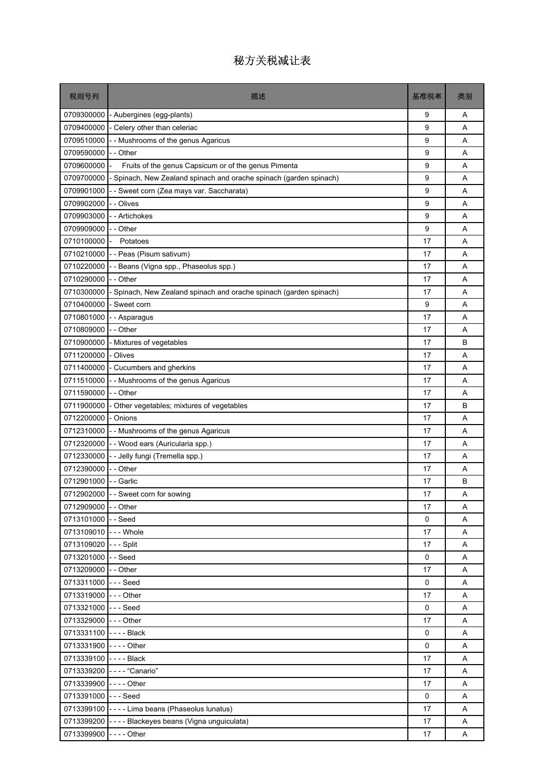| 税则号列                  | 描述                                                               | 基准税率 | 类别 |
|-----------------------|------------------------------------------------------------------|------|----|
| 0709300000            | - Aubergines (egg-plants)                                        | 9    | Α  |
| 0709400000            | - Celery other than celeriac                                     | 9    | A  |
| 0709510000            | - Mushrooms of the genus Agaricus                                | 9    | Α  |
| 0709590000            | - - Other                                                        | 9    | Α  |
| 0709600000            | Fruits of the genus Capsicum or of the genus Pimenta             | 9    | A  |
| 0709700000            | Spinach, New Zealand spinach and orache spinach (garden spinach) | 9    | A  |
| 0709901000            | - Sweet corn (Zea mays var. Saccharata)                          | 9    | Α  |
| 0709902000            | - Olives                                                         | 9    | A  |
| 0709903000            | - Artichokes                                                     | 9    | A  |
| 0709909000            | - - Other                                                        | 9    | Α  |
| 0710100000            | Potatoes                                                         | 17   | A  |
| 0710210000            | - - Peas (Pisum sativum)                                         | 17   | A  |
| 0710220000            | - Beans (Vigna spp., Phaseolus spp.)                             | 17   | Α  |
| 0710290000            | - - Other                                                        | 17   | A  |
| 0710300000            | Spinach, New Zealand spinach and orache spinach (garden spinach) | 17   | A  |
| 0710400000            | - Sweet corn                                                     | 9    | A  |
| 0710801000            | - Asparagus                                                      | 17   | Α  |
| 0710809000            | - - Other                                                        | 17   | Α  |
| 0710900000            | - Mixtures of vegetables                                         | 17   | B  |
| 0711200000            | - Olives                                                         | 17   | Α  |
| 0711400000            | - Cucumbers and gherkins                                         | 17   | A  |
| 0711510000            | - Mushrooms of the genus Agaricus                                | 17   | A  |
| 0711590000            | - - Other                                                        | 17   | Α  |
| 0711900000            | - Other vegetables; mixtures of vegetables                       | 17   | B  |
| 0712200000            | - Onions                                                         | 17   | A  |
| 0712310000            | - Mushrooms of the genus Agaricus                                | 17   | A  |
| 0712320000            | - - Wood ears (Auricularia spp.)                                 | 17   | Α  |
| 0712330000            | - Jelly fungi (Tremella spp.)                                    | 17   | Α  |
| 0712390000            | - Other                                                          | 17   | A  |
| 0712901000            | - - Garlic                                                       | 17   | В  |
|                       | 0712902000 - - Sweet corn for sowing                             | $17$ | A  |
| 0712909000 - - Other  |                                                                  | 17   | Α  |
| 0713101000 - - Seed   |                                                                  | 0    | A  |
| 0713109010 --- Whole  |                                                                  | 17   | Α  |
| 0713109020 --- Split  |                                                                  | 17   | Α  |
| 0713201000 - - Seed   |                                                                  | 0    | Α  |
| 0713209000 - - Other  |                                                                  | 17   | Α  |
| 0713311000 --- Seed   |                                                                  | 0    | A  |
| 0713319000 --- Other  |                                                                  | 17   | Α  |
| 0713321000 --- Seed   |                                                                  | 0    | A  |
| 0713329000 --- Other  |                                                                  | 17   | A  |
| 0713331100 ---- Black |                                                                  | 0    | Α  |
| 0713331900 ---- Other |                                                                  | 0    | A  |
| 0713339100 ---- Black |                                                                  | 17   | Α  |
|                       | 0713339200 ---- "Canario"                                        | 17   | A  |
| 0713339900 ---- Other |                                                                  | 17   | A  |
| 0713391000 --- Seed   |                                                                  | 0    | Α  |
|                       | 0713399100 ---- Lima beans (Phaseolus lunatus)                   | 17   | Α  |
|                       | 0713399200 - - - - Blackeyes beans (Vigna unguiculata)           | 17   | Α  |
| 0713399900 ---- Other |                                                                  | 17   | A  |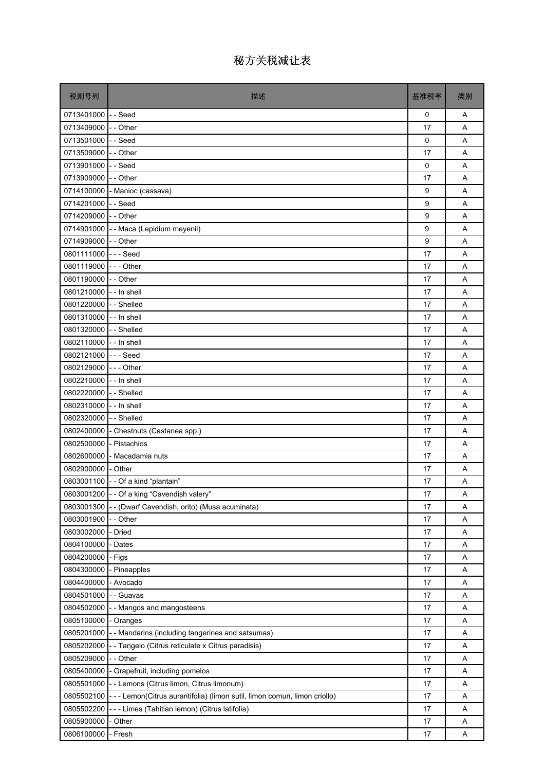| 税则号列                    | 描述                                                                         | 基准税率 | 类别 |
|-------------------------|----------------------------------------------------------------------------|------|----|
| 0713401000 -- Seed      |                                                                            | 0    | Α  |
| 0713409000 - - Other    |                                                                            | 17   | A  |
| 0713501000 - - Seed     |                                                                            | 0    | A  |
| 0713509000 - - Other    |                                                                            | 17   | Α  |
| 0713901000 - - Seed     |                                                                            | 0    | Α  |
| 0713909000 - - Other    |                                                                            | 17   | A  |
|                         | 0714100000 - Manioc (cassava)                                              | 9    | Α  |
| 0714201000 - - Seed     |                                                                            | 9    | A  |
| 0714209000 - - Other    |                                                                            | 9    | A  |
|                         | 0714901000 - Maca (Lepidium meyenii)                                       | 9    | Α  |
| 0714909000 - - Other    |                                                                            | 9    | A  |
| 0801111000 --- Seed     |                                                                            | 17   | A  |
| 0801119000 --- Other    |                                                                            | 17   | Α  |
| 0801190000 - - Other    |                                                                            | 17   | A  |
| 0801210000 - - In shell |                                                                            | 17   | Α  |
| 0801220000 - - Shelled  |                                                                            | 17   | A  |
| 0801310000 - - In shell |                                                                            | 17   | Α  |
| 0801320000 - - Shelled  |                                                                            | 17   | A  |
| 0802110000 - - In shell |                                                                            | 17   | A  |
| 0802121000 --- Seed     |                                                                            | 17   | Α  |
| 0802129000 --- Other    |                                                                            | 17   | A  |
| 0802210000 - - In shell |                                                                            | 17   | A  |
| 0802220000 - - Shelled  |                                                                            | 17   | Α  |
| 0802310000 - - In shell |                                                                            | 17   | Α  |
| 0802320000 - - Shelled  |                                                                            | 17   | A  |
|                         | 0802400000 - Chestnuts (Castanea spp.)                                     | 17   | A  |
| 0802500000 - Pistachios |                                                                            | 17   | Α  |
|                         | 0802600000 - Macadamia nuts                                                | 17   | A  |
| 0802900000 - Other      |                                                                            | 17   | Α  |
|                         | 0803001100 - - Of a kind "plantain"                                        | 17   | Α  |
|                         | 0803001200 - - Of a king "Cavendish valery"                                | 17   | Α  |
| 0803001300              | -- (Dwarf Cavendish, orito) (Musa acuminata)                               | 17   | Α  |
| 0803001900              | - Other                                                                    | 17   | Α  |
| 0803002000              | - Dried                                                                    | 17   | Α  |
| 0804100000              | - Dates                                                                    | 17   | Α  |
| 0804200000 - Figs       |                                                                            | 17   | Α  |
| 0804300000              | - Pineapples                                                               | 17   | Α  |
| 0804400000 - Avocado    |                                                                            | 17   | Α  |
| 0804501000              | - - Guavas                                                                 | 17   | Α  |
| 0804502000              | - - Mangos and mangosteens                                                 | 17   | Α  |
| 0805100000              | - Oranges                                                                  | 17   | Α  |
| 0805201000              | - - Mandarins (including tangerines and satsumas)                          | 17   | Α  |
| 0805202000              | - Tangelo (Citrus reticulate x Citrus paradisis)                           | 17   | Α  |
| 0805209000              | - - Other                                                                  | 17   | Α  |
|                         | 0805400000 - Grapefruit, including pomelos                                 | 17   | Α  |
| 0805501000              | - - Lemons (Citrus limon, Citrus limonum)                                  | 17   | Α  |
| 0805502100              | - - - Lemon(Citrus aurantifolia) (limon sutil, limon comun, limon criollo) | 17   | Α  |
| 0805502200              | - - - Limes (Tahitian lemon) (Citrus latifolia)                            | 17   | Α  |
| 0805900000              | - Other                                                                    | 17   | Α  |
| 0806100000              | - Fresh                                                                    | 17   | A  |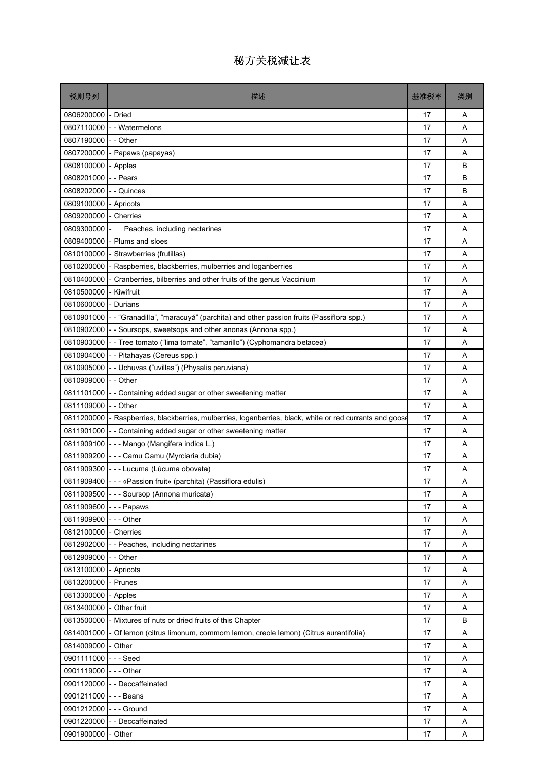| 税则号列                  | 描述                                                                                                       | 基准税率 | 类别 |
|-----------------------|----------------------------------------------------------------------------------------------------------|------|----|
| 0806200000            | - Dried                                                                                                  | 17   | Α  |
| 0807110000            | - - Watermelons                                                                                          | 17   | A  |
| 0807190000            | - - Other                                                                                                | 17   | A  |
| 0807200000            | - Papaws (papayas)                                                                                       | 17   | A  |
| 0808100000            | - Apples                                                                                                 | 17   | B  |
| 0808201000            | - - Pears                                                                                                | 17   | B  |
| 0808202000            | - - Quinces                                                                                              | 17   | В  |
| 0809100000            | - Apricots                                                                                               | 17   | A  |
| 0809200000            | - Cherries                                                                                               | 17   | A  |
| 0809300000            | Peaches, including nectarines                                                                            | 17   | A  |
| 0809400000            | - Plums and sloes                                                                                        | 17   | Α  |
| 0810100000            | - Strawberries (frutillas)                                                                               | 17   | A  |
| 0810200000            | - Raspberries, blackberries, mulberries and loganberries                                                 | 17   | A  |
| 0810400000            | - Cranberries, bilberries and other fruits of the genus Vaccinium                                        | 17   | A  |
| 0810500000            | - Kiwifruit                                                                                              | 17   | A  |
| 0810600000            | - Durians                                                                                                | 17   | A  |
| 0810901000            | -- "Granadilla", "maracuyá" (parchita) and other passion fruits (Passiflora spp.)                        | 17   | A  |
| 0810902000            | - Soursops, sweetsops and other anonas (Annona spp.)                                                     | 17   | A  |
| 0810903000            | - - Tree tomato ("lima tomate", "tamarillo") (Cyphomandra betacea)                                       | 17   | A  |
| 0810904000            | - - Pitahayas (Cereus spp.)                                                                              | 17   | A  |
| 0810905000            | - - Uchuvas ("uvillas") (Physalis peruviana)                                                             | 17   | A  |
| 0810909000            | - - Other                                                                                                | 17   | A  |
| 0811101000            | - Containing added sugar or other sweetening matter                                                      | 17   | A  |
| 0811109000            | - - Other                                                                                                | 17   | A  |
|                       | 0811200000 - Raspberries, blackberries, mulberries, loganberries, black, white or red currants and goose | 17   | A  |
| 0811901000            | -- Containing added sugar or other sweetening matter                                                     | 17   | A  |
| 0811909100            | --- Mango (Mangifera indica L.)                                                                          | 17   | A  |
| 0811909200            | - - - Camu Camu (Myrciaria dubia)                                                                        | 17   | A  |
| 0811909300            | - - - Lucuma (Lúcuma obovata)                                                                            | 17   | A  |
|                       | 0811909400 - - - «Passion fruit» (parchita) (Passiflora edulis)                                          | 17   | Α  |
|                       | 0811909500 - - - Soursop (Annona muricata)                                                               | 17   | Α  |
| 0811909600 --- Papaws |                                                                                                          | 17   | A  |
| 0811909900            | - - - Other                                                                                              | 17   | Α  |
| 0812100000            | - Cherries                                                                                               | 17   | Α  |
| 0812902000            | -- Peaches, including nectarines                                                                         | 17   | A  |
| 0812909000            | -- Other                                                                                                 | 17   | Α  |
| 0813100000            | - Apricots                                                                                               | 17   | Α  |
| 0813200000            | - Prunes                                                                                                 | 17   | A  |
| 0813300000            | - Apples                                                                                                 | 17   | Α  |
| 0813400000            | - Other fruit                                                                                            | 17   | Α  |
| 0813500000            | - Mixtures of nuts or dried fruits of this Chapter                                                       | 17   | B  |
|                       | 0814001000 - Of lemon (citrus limonum, commom lemon, creole lemon) (Citrus aurantifolia)                 | 17   | Α  |
| 0814009000            | - Other                                                                                                  | 17   | Α  |
| 0901111000            | --- Seed                                                                                                 | 17   | Α  |
| 0901119000            | --- Other                                                                                                | 17   | A  |
| 0901120000            | -- Deccaffeinated                                                                                        | 17   | Α  |
| 0901211000            | - - - Beans                                                                                              | 17   | Α  |
| 0901212000            | --- Ground                                                                                               | 17   | A  |
| 0901220000            | - - Deccaffeinated                                                                                       | 17   | Α  |
| 0901900000            | - Other                                                                                                  | 17   | Α  |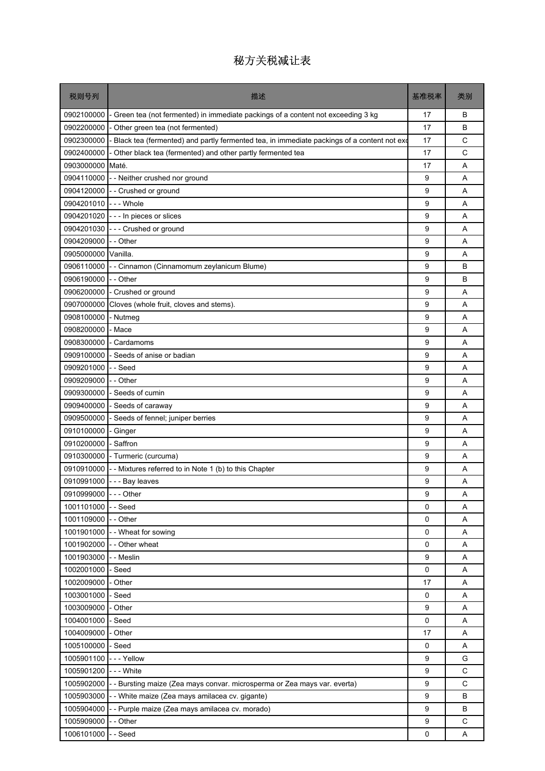| 税则号列                   | 描述                                                                                         | 基准税率        | 类别           |
|------------------------|--------------------------------------------------------------------------------------------|-------------|--------------|
| 0902100000             | - Green tea (not fermented) in immediate packings of a content not exceeding 3 kg          | 17          | B            |
| 0902200000             | - Other green tea (not fermented)                                                          | 17          | B            |
| 0902300000             | Black tea (fermented) and partly fermented tea, in immediate packings of a content not exc | 17          | C            |
| 0902400000             | - Other black tea (fermented) and other partly fermented tea                               | 17          | C            |
| 0903000000             | Maté.                                                                                      | 17          | A            |
| 0904110000             | - Neither crushed nor ground                                                               | 9           | A            |
| 0904120000             | - - Crushed or ground                                                                      | 9           | A            |
| 0904201010 --- Whole   |                                                                                            | 9           | A            |
| 0904201020             | --- In pieces or slices                                                                    | 9           | A            |
| 0904201030             | --- Crushed or ground                                                                      | 9           | A            |
| 0904209000             | - - Other                                                                                  | 9           | A            |
| 0905000000             | Vanilla.                                                                                   | 9           | A            |
| 0906110000             | - - Cinnamon (Cinnamomum zeylanicum Blume)                                                 | 9           | В            |
| 0906190000             | - - Other                                                                                  | 9           | В            |
| 0906200000             | - Crushed or ground                                                                        | 9           | A            |
| 0907000000             | Cloves (whole fruit, cloves and stems).                                                    | 9           | A            |
| 0908100000             | - Nutmeg                                                                                   | 9           | Α            |
| 0908200000             | - Mace                                                                                     | 9           | A            |
| 0908300000             | - Cardamoms                                                                                | 9           | A            |
| 0909100000             | Seeds of anise or badian                                                                   | 9           | A            |
| 0909201000             | - Seed                                                                                     | 9           | A            |
| 0909209000             | -- Other                                                                                   | 9           | A            |
| 0909300000             | - Seeds of cumin                                                                           | 9           | Α            |
| 0909400000             | - Seeds of caraway                                                                         | 9           | A            |
| 0909500000             | Seeds of fennel; juniper berries                                                           | 9           | A            |
| 0910100000             | - Ginger                                                                                   | 9           | A            |
| 0910200000             | - Saffron                                                                                  | 9           | Α            |
| 0910300000             | - Turmeric (curcuma)                                                                       | 9           | A            |
| 0910910000             | - Mixtures referred to in Note 1 (b) to this Chapter                                       | 9           | A            |
| 0910991000             | - - - Bay leaves                                                                           | 9           | Α            |
| 0910999000 - - - Other |                                                                                            | 9           | Α            |
| 1001101000             | - - Seed                                                                                   | $\Omega$    | Α            |
| 1001109000             | - Other                                                                                    | 0           | Α            |
| 1001901000             | - - Wheat for sowing                                                                       | 0           | Α            |
|                        | 1001902000 - - Other wheat                                                                 | 0           | Α            |
| 1001903000             | - Meslin                                                                                   | 9           | A            |
| 1002001000             | - Seed                                                                                     | 0           | Α            |
| 1002009000             | - Other                                                                                    | 17          | Α            |
| 1003001000             | - Seed                                                                                     | 0           | A            |
| 1003009000             | - Other                                                                                    | 9           | A            |
| 1004001000             | - Seed                                                                                     | 0           | A            |
| 1004009000             | - Other                                                                                    | 17          | Α            |
| 1005100000             | - Seed                                                                                     | 0           | Α            |
| 1005901100             | --- Yellow                                                                                 | 9           | G            |
| 1005901200 --- White   |                                                                                            | 9           | C            |
| 1005902000             | - Bursting maize (Zea mays convar. microsperma or Zea mays var. everta)                    | 9           | $\mathsf{C}$ |
| 1005903000             | - - White maize (Zea mays amilacea cv. gigante)                                            | 9           | B            |
| 1005904000             | - - Purple maize (Zea mays amilacea cv. morado)                                            | 9           | B            |
| 1005909000             | - Other                                                                                    | 9           | C            |
| 1006101000             | - Seed                                                                                     | $\mathbf 0$ | A            |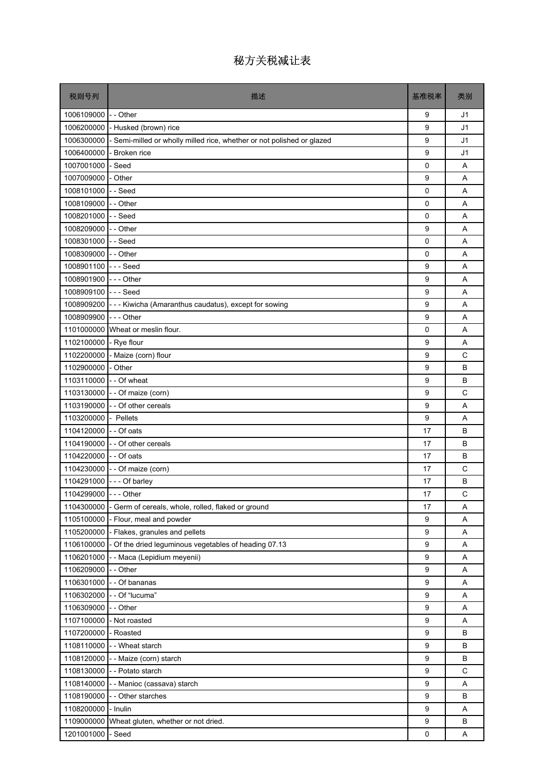| 税则号列                   | 描述                                                                     | 基准税率             | 类别             |
|------------------------|------------------------------------------------------------------------|------------------|----------------|
| 1006109000             | - - Other                                                              | 9                | J1             |
| 1006200000             | - Husked (brown) rice                                                  | 9                | J1             |
| 1006300000             | - Semi-milled or wholly milled rice, whether or not polished or glazed | 9                | J1             |
| 1006400000             | Broken rice                                                            | 9                | J <sub>1</sub> |
| 1007001000             | - Seed                                                                 | $\mathbf 0$      | A              |
| 1007009000             | - Other                                                                | 9                | A              |
| 1008101000             | --Seed                                                                 | 0                | Α              |
| 1008109000             | - - Other                                                              | 0                | A              |
| 1008201000             | --Seed                                                                 | $\Omega$         | A              |
| 1008209000             | - - Other                                                              | 9                | Α              |
| 1008301000             | --Seed                                                                 | 0                | Α              |
| 1008309000 - - Other   |                                                                        | $\Omega$         | A              |
| 1008901100 --- Seed    |                                                                        | 9                | A              |
| 1008901900             | $- -$ Other                                                            | 9                | Α              |
| 1008909100 --- Seed    |                                                                        | 9                | A              |
| 1008909200             | --- Kiwicha (Amaranthus caudatus), except for sowing                   | 9                | A              |
| 1008909900             | $- -$ Other                                                            | 9                | Α              |
| 1101000000             | Wheat or meslin flour.                                                 | 0                | A              |
| 1102100000             | - Rye flour                                                            | 9                | A              |
| 1102200000             | - Maize (corn) flour                                                   | 9                | C              |
| 1102900000             | - Other                                                                | 9                | B              |
| 1103110000             | - - Of wheat                                                           | 9                | B              |
| 1103130000             | - - Of maize (corn)                                                    | 9                | C              |
| 1103190000             | - - Of other cereals                                                   | 9                | Α              |
| 1103200000 - Pellets   |                                                                        | 9                | A              |
| 1104120000             | - - Of oats                                                            | 17               | B              |
|                        | 1104190000 - - Of other cereals                                        | 17               | B              |
| 1104220000 - - Of oats |                                                                        | 17               | B              |
| 1104230000             | - - Of maize (corn)                                                    | 17               | C              |
|                        | 1104291000 --- Of barley                                               | 17               | B              |
| 1104299000 - - - Other |                                                                        | 17               | C              |
| 1104300000             | - Germ of cereals, whole, rolled, flaked or ground                     | 17               | Α              |
| 1105100000             | - Flour, meal and powder                                               | 9                | Α              |
| 1105200000             | - Flakes, granules and pellets                                         | 9                | Α              |
|                        | 1106100000 - Of the dried leguminous vegetables of heading 07.13       | 9                | Α              |
| 1106201000             | - - Maca (Lepidium meyenii)                                            | 9                | Α              |
| 1106209000             | - - Other                                                              | 9                | Α              |
| 1106301000             | - - Of bananas                                                         | 9                | Α              |
| 1106302000             | - - Of "lucuma"                                                        | 9                | Α              |
| 1106309000             | - - Other                                                              | 9                | Α              |
| 1107100000             | - Not roasted                                                          | 9                | Α              |
| 1107200000             | - Roasted                                                              | 9                | B              |
| 1108110000             | - Wheat starch                                                         | 9                | B              |
| 1108120000             | - - Maize (corn) starch                                                | 9                | B              |
| 1108130000             | - - Potato starch                                                      | 9                | C              |
| 1108140000             | - - Manioc (cassava) starch                                            | 9                | Α              |
| 1108190000             | - - Other starches                                                     | 9                | B              |
| 1108200000             | - Inulin                                                               | $\boldsymbol{9}$ | Α              |
| 1109000000             | Wheat gluten, whether or not dried.                                    | 9                | B              |
| 1201001000             | - Seed                                                                 | 0                | Α              |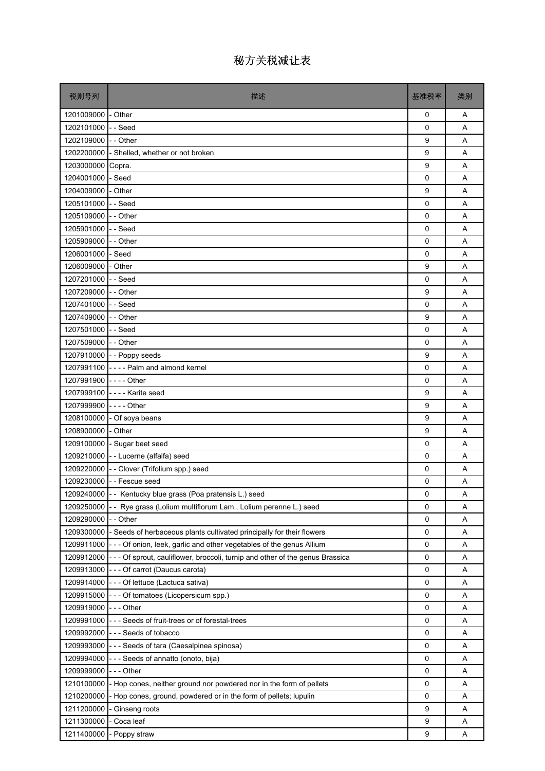| 税则号列                  | 描述                                                                                         | 基准税率         | 类别 |
|-----------------------|--------------------------------------------------------------------------------------------|--------------|----|
| 1201009000 - Other    |                                                                                            | 0            | A  |
| 1202101000            | -- Seed                                                                                    | $\mathbf{0}$ | A  |
| 1202109000 - - Other  |                                                                                            | 9            | A  |
| 1202200000            | - Shelled, whether or not broken                                                           | 9            | A  |
| 1203000000            | Copra.                                                                                     | 9            | A  |
| 1204001000            | - Seed                                                                                     | 0            | A  |
| 1204009000 - Other    |                                                                                            | 9            | A  |
| 1205101000 - - Seed   |                                                                                            | 0            | A  |
| 1205109000 - - Other  |                                                                                            | 0            | A  |
| 1205901000 -- Seed    |                                                                                            | 0            | Α  |
| 1205909000 - - Other  |                                                                                            | 0            | A  |
| 1206001000 - Seed     |                                                                                            | $\mathbf{0}$ | A  |
| 1206009000 - Other    |                                                                                            | 9            | A  |
| 1207201000 - Seed     |                                                                                            | 0            | A  |
| 1207209000 -- Other   |                                                                                            | 9            | A  |
| 1207401000 -- Seed    |                                                                                            | 0            | A  |
| 1207409000 - - Other  |                                                                                            | 9            | Α  |
| 1207501000 - - Seed   |                                                                                            | 0            | A  |
| 1207509000 - - Other  |                                                                                            | 0            | A  |
|                       | 1207910000 - - Poppy seeds                                                                 | 9            | Α  |
|                       | 1207991100 ---- Palm and almond kernel                                                     | 0            | A  |
| 1207991900 ---- Other |                                                                                            | 0            | A  |
|                       | 1207999100 ---- Karite seed                                                                | 9            | A  |
| 1207999900            | $--$ Other                                                                                 | 9            | Α  |
|                       | 1208100000 - Of soya beans                                                                 | 9            | A  |
| 1208900000 - Other    |                                                                                            | 9            | A  |
|                       | 1209100000 - Sugar beet seed                                                               | 0            | Α  |
|                       | 1209210000 - - Lucerne (alfalfa) seed                                                      | 0            | A  |
|                       | 1209220000 - - Clover (Trifolium spp.) seed                                                | 0            | A  |
|                       | 1209230000 - Fescue seed                                                                   | 0            | Α  |
|                       | 1209240000 - Kentucky blue grass (Poa pratensis L.) seed                                   | 0            | Α  |
| 1209250000            | Rye grass (Lolium multiflorum Lam., Lolium perenne L.) seed                                | 0            | Α  |
| 1209290000            | - Other                                                                                    | 0            | A  |
| 1209300000            | - Seeds of herbaceous plants cultivated principally for their flowers                      | 0            | A  |
|                       | 1209911000 - - - Of onion, leek, garlic and other vegetables of the genus Allium           | 0            | Α  |
|                       | 1209912000  - - - Of sprout, cauliflower, broccoli, turnip and other of the genus Brassica | 0            | Α  |
| 1209913000            | --- Of carrot (Daucus carota)                                                              | 0            | Α  |
| 1209914000            | --- Of lettuce (Lactuca sativa)                                                            | 0            | Α  |
| 1209915000            | --- Of tomatoes (Licopersicum spp.)                                                        | 0            | Α  |
| 1209919000            | $\mathsf{I}$ - - Other                                                                     | 0            | Α  |
| 1209991000            | - - - Seeds of fruit-trees or of forestal-trees                                            | 0            | Α  |
|                       | 1209992000 --- Seeds of tobacco                                                            | 0            | Α  |
| 1209993000            | - - - Seeds of tara (Caesalpinea spinosa)                                                  | 0            | Α  |
| 1209994000            | --- Seeds of annatto (onoto, bija)                                                         | 0            | Α  |
| 1209999000            | $- -$ Other                                                                                | 0            | Α  |
| 1210100000            | - Hop cones, neither ground nor powdered nor in the form of pellets                        | 0            | Α  |
| 1210200000            | - Hop cones, ground, powdered or in the form of pellets; lupulin                           | 0            | A  |
| 1211200000            | Ginseng roots                                                                              | 9            | Α  |
| 1211300000            | - Coca leaf                                                                                | 9            | Α  |
| 1211400000            | Poppy straw                                                                                | 9            | Α  |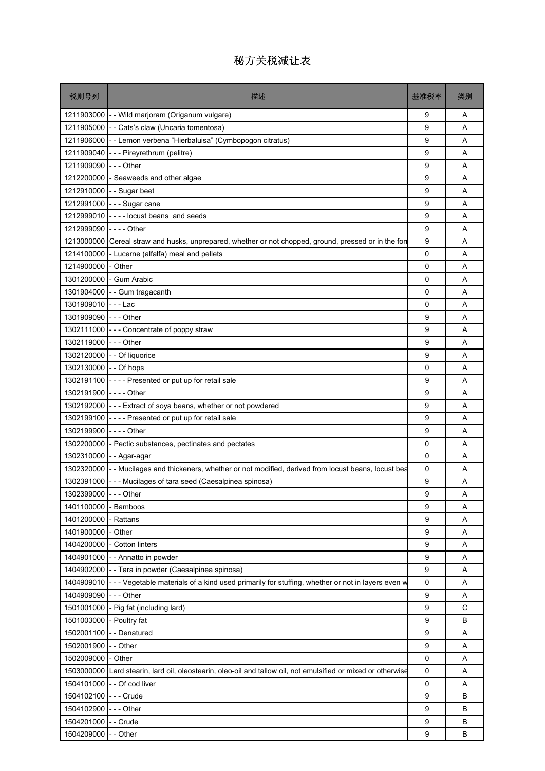| 税则号列                     | 描述                                                                                                 | 基准税率        | 类别     |
|--------------------------|----------------------------------------------------------------------------------------------------|-------------|--------|
|                          | 1211903000 - - Wild marjoram (Origanum vulgare)                                                    | 9           | A      |
| 1211905000               | - - Cats's claw (Uncaria tomentosa)                                                                | 9           | A      |
| 1211906000               | - - Lemon verbena "Hierbaluisa" (Cymbopogon citratus)                                              | 9           | A      |
| 1211909040               | --- Pireyrethrum (pelitre)                                                                         | 9           | Α      |
| 1211909090 --- Other     |                                                                                                    | 9           | A      |
| 1212200000               | - Seaweeds and other algae                                                                         | 9           | A      |
| 1212910000               | - - Sugar beet                                                                                     | 9           | Α      |
|                          | 1212991000 --- Sugar cane                                                                          | 9           | A      |
| 1212999010               | ---- locust beans and seeds                                                                        | 9           | A      |
| 1212999090               | $--$ - Other                                                                                       | 9           | Α      |
| 1213000000               | Cereal straw and husks, unprepared, whether or not chopped, ground, pressed or in the form         | 9           | A      |
| 1214100000               | - Lucerne (alfalfa) meal and pellets                                                               | 0           | A      |
| 1214900000               | - Other                                                                                            | $\mathbf 0$ | Α      |
| 1301200000               | - Gum Arabic                                                                                       | 0           | A      |
| 1301904000               | - - Gum tragacanth                                                                                 | 0           | A      |
| 1301909010               | - - - Lac                                                                                          | 0           | A      |
| 1301909090               | - - - Other                                                                                        | 9           | Α      |
| 1302111000               | --- Concentrate of poppy straw                                                                     | 9           | A      |
| 1302119000               | $--$ Other                                                                                         | 9           | A      |
|                          | 1302120000 - - Of liquorice                                                                        | 9           | Α      |
| 1302130000 - - Of hops   |                                                                                                    | 0           | A      |
| 1302191100               | ---- Presented or put up for retail sale                                                           | 9           | A      |
| 1302191900 ---- Other    |                                                                                                    | 9           | Α      |
| 1302192000               | --- Extract of soya beans, whether or not powdered                                                 | 9           | A      |
| 1302199100               | ---- Presented or put up for retail sale                                                           | 9           | A      |
| 1302199900               | $--$ Other                                                                                         | 9           | A      |
| 1302200000               | - Pectic substances, pectinates and pectates                                                       | 0           | Α      |
|                          | 1302310000 - - Agar-agar                                                                           | $\mathbf 0$ | A      |
| 1302320000               | - - Mucilages and thickeners, whether or not modified, derived from locust beans, locust bea       | 0           | Α      |
|                          | 1302391000 - - - Mucilages of tara seed (Caesalpinea spinosa)                                      | 9           | Α      |
| 1302399000 --- Other     |                                                                                                    | g           | Α      |
| 1401100000               | - Bamboos                                                                                          | 9           | Α      |
| 1401200000               | Rattans                                                                                            | 9           | Α      |
| 1401900000               | - Other                                                                                            | 9           | Α      |
|                          | 1404200000 - Cotton linters                                                                        | 9           | Α      |
|                          | 1404901000 - - Annatto in powder                                                                   | 9           | Α      |
| 1404902000               | - - Tara in powder (Caesalpinea spinosa)                                                           | 9           | Α      |
| 1404909010               | - - - Vegetable materials of a kind used primarily for stuffing, whether or not in layers even w   | $\mathsf 0$ | Α      |
| 1404909090               | --- Other                                                                                          | 9           | Α      |
| 1501001000               | - Pig fat (including lard)                                                                         | 9<br>9      | С<br>B |
| 1501003000<br>1502001100 | - Poultry fat                                                                                      | 9           |        |
| 1502001900               | - - Denatured<br>- - Other                                                                         | 9           | Α<br>Α |
| 1502009000               | - Other                                                                                            | 0           | Α      |
| 1503000000               | Lard stearin, lard oil, oleostearin, oleo-oil and tallow oil, not emulsified or mixed or otherwise | 0           |        |
| 1504101000               | - - Of cod liver                                                                                   | 0           | Α<br>Α |
| 1504102100               | --- Crude                                                                                          | 9           | В      |
| 1504102900               | $--$ Other                                                                                         | 9           | B      |
| 1504201000               | - - Crude                                                                                          | 9           | В      |
| 1504209000               | - - Other                                                                                          | 9           | В      |
|                          |                                                                                                    |             |        |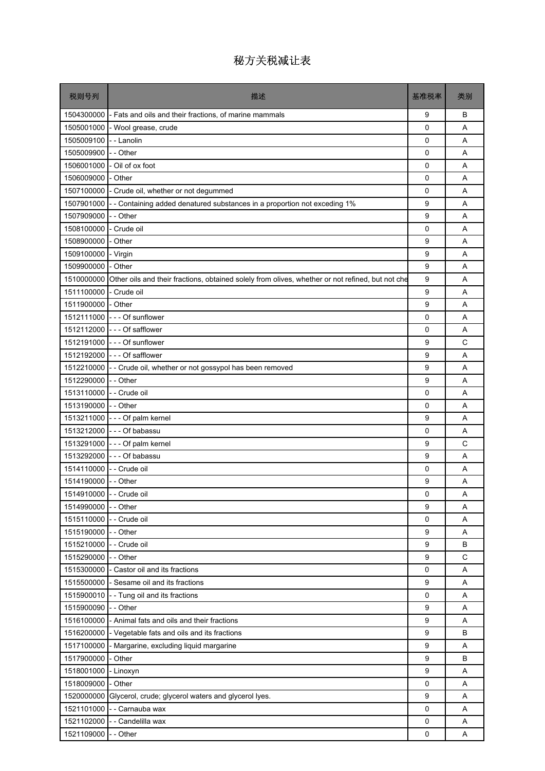| 税则号列                     | 描述                                                                                               | 基准税率 | 类别 |
|--------------------------|--------------------------------------------------------------------------------------------------|------|----|
| 1504300000               | - Fats and oils and their fractions, of marine mammals                                           | 9    | В  |
| 1505001000               | - Wool grease, crude                                                                             | 0    | A  |
| 1505009100               | - - Lanolin                                                                                      | 0    | A  |
| 1505009900               | - - Other                                                                                        | 0    | A  |
| 1506001000               | Oil of ox foot                                                                                   | 0    | A  |
| 1506009000               | - Other                                                                                          | 0    | A  |
| 1507100000               | - Crude oil, whether or not degummed                                                             | 0    | Α  |
| 1507901000               | - Containing added denatured substances in a proportion not exceding 1%                          | 9    | A  |
| 1507909000               | -- Other                                                                                         | 9    | A  |
| 1508100000               | Crude oil                                                                                        | 0    | Α  |
| 1508900000               | - Other                                                                                          | 9    | A  |
| 1509100000               | - Virgin                                                                                         | 9    | A  |
| 1509900000               | - Other                                                                                          | 9    | A  |
| 1510000000               | Other oils and their fractions, obtained solely from olives, whether or not refined, but not che | 9    | A  |
| 1511100000               | - Crude oil                                                                                      | 9    | Α  |
| 1511900000               | - Other                                                                                          | 9    | A  |
|                          | 1512111000 --- Of sunflower                                                                      | 0    | Α  |
|                          | 1512112000 - - - Of safflower                                                                    | 0    | Α  |
|                          | 1512191000 --- Of sunflower                                                                      | 9    | C  |
|                          | 1512192000 - - - Of safflower                                                                    | 9    | Α  |
| 1512210000               | - - Crude oil, whether or not gossypol has been removed                                          | 9    | A  |
| 1512290000               | -- Other                                                                                         | 9    | A  |
| 1513110000               | - Crude oil                                                                                      | 0    | A  |
| 1513190000               | - - Other                                                                                        | 0    | Α  |
|                          | 1513211000 --- Of palm kernel                                                                    | 9    | A  |
| 1513212000               | --- Of babassu                                                                                   | 0    | A  |
| 1513291000               | $- -$ Of palm kernel                                                                             | 9    | C  |
|                          | 1513292000 --- Of babassu                                                                        | 9    | A  |
| 1514110000               | - - Crude oil                                                                                    | 0    | A  |
| 1514190000 - - Other     |                                                                                                  | 9    | Α  |
| 1514910000 - - Crude oil |                                                                                                  | 0    | Α  |
| 1514990000               | - - Other                                                                                        | 9    | Α  |
| 1515110000               | - Crude oil                                                                                      | 0    | Α  |
| 1515190000               | - - Other                                                                                        | 9    | Α  |
| 1515210000 - - Crude oil |                                                                                                  | 9    | B  |
| 1515290000               | - - Other                                                                                        | 9    | C  |
| 1515300000               | - Castor oil and its fractions                                                                   | 0    | Α  |
| 1515500000               | - Sesame oil and its fractions                                                                   | 9    | Α  |
| 1515900010               | - - Tung oil and its fractions                                                                   | 0    | Α  |
| 1515900090               | - - Other                                                                                        | 9    | Α  |
| 1516100000               | - Animal fats and oils and their fractions                                                       | 9    | Α  |
| 1516200000               | - Vegetable fats and oils and its fractions                                                      | 9    | B  |
| 1517100000               | - Margarine, excluding liquid margarine                                                          | 9    | Α  |
| 1517900000               | - Other                                                                                          | 9    | B  |
| 1518001000               | - Linoxyn                                                                                        | 9    | Α  |
| 1518009000               | - Other                                                                                          | 0    | A  |
| 1520000000               | Glycerol, crude; glycerol waters and glycerol lyes.                                              | 9    | A  |
| 1521101000               | - - Carnauba wax                                                                                 | 0    | A  |
| 1521102000               | - - Candelilla wax                                                                               | 0    | A  |
| 1521109000               | -- Other                                                                                         | 0    | A  |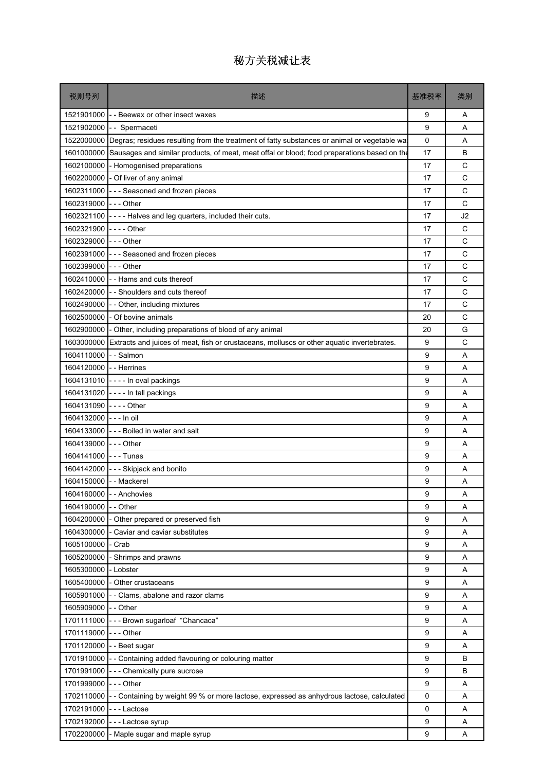| 税则号列                    | 描述                                                                                                      | 基准税率        | 类别 |
|-------------------------|---------------------------------------------------------------------------------------------------------|-------------|----|
|                         | 1521901000 - Beewax or other insect waxes                                                               | 9           | A  |
| 1521902000              | -- Spermaceti                                                                                           | 9           | A  |
|                         | 1522000000 Degras; residues resulting from the treatment of fatty substances or animal or vegetable wat | $\mathbf 0$ | A  |
| 1601000000              | Sausages and similar products, of meat, meat offal or blood; food preparations based on the             | 17          | B  |
|                         | 1602100000 - Homogenised preparations                                                                   | 17          | C  |
|                         | 1602200000 - Of liver of any animal                                                                     | 17          | C  |
| 1602311000              | - - - Seasoned and frozen pieces                                                                        | 17          | C  |
| 1602319000 --- Other    |                                                                                                         | 17          | C  |
| 1602321100              | ---- Halves and leg quarters, included their cuts.                                                      | 17          | J2 |
| 1602321900 ---- Other   |                                                                                                         | 17          | C  |
| 1602329000 --- Other    |                                                                                                         | 17          | C  |
|                         | 1602391000 - - - Seasoned and frozen pieces                                                             | 17          | C  |
| 1602399000 --- Other    |                                                                                                         | 17          | C  |
|                         | 1602410000 - - Hams and cuts thereof                                                                    | 17          | C  |
|                         | 1602420000 - Shoulders and cuts thereof                                                                 | 17          | C  |
| 1602490000              | - - Other, including mixtures                                                                           | 17          | C  |
| 1602500000              | - Of bovine animals                                                                                     | 20          | C  |
|                         | 1602900000 - Other, including preparations of blood of any animal                                       | 20          | G  |
| 1603000000              | Extracts and juices of meat, fish or crustaceans, molluscs or other aquatic invertebrates.              | 9           | C  |
| 1604110000 - - Salmon   |                                                                                                         | 9           | Α  |
| 1604120000 - Herrines   |                                                                                                         | 9           | A  |
|                         | 1604131010 ---- In oval packings                                                                        | 9           | A  |
|                         | 1604131020 ---- In tall packings                                                                        | 9           | Α  |
| 1604131090 ---- Other   |                                                                                                         | 9           | A  |
| 1604132000 --- In oil   |                                                                                                         | 9           | A  |
|                         | 1604133000 - - - Boiled in water and salt                                                               | 9           | A  |
| 1604139000              | $- -$ - Other                                                                                           | 9           | Α  |
| 1604141000 --- Tunas    |                                                                                                         | 9           | A  |
| 1604142000              | --- Skipjack and bonito                                                                                 | 9           | A  |
| 1604150000 - - Mackerel |                                                                                                         | 9           | Α  |
|                         | 1604160000 - - Anchovies                                                                                | g           | Α  |
| 1604190000              | - - Other                                                                                               | 9           | Α  |
| 1604200000              | Other prepared or preserved fish                                                                        | 9           | Α  |
| 1604300000              | - Caviar and caviar substitutes                                                                         | 9           | Α  |
| 1605100000              | - Crab                                                                                                  | 9           | Α  |
| 1605200000              | Shrimps and prawns                                                                                      | 9           | Α  |
| 1605300000              | - Lobster                                                                                               | 9           | Α  |
| 1605400000              | - Other crustaceans                                                                                     | 9           | Α  |
| 1605901000              | - Clams, abalone and razor clams                                                                        | 9           | Α  |
| 1605909000              | - - Other                                                                                               | 9           | Α  |
| 1701111000              | --- Brown sugarloaf "Chancaca"                                                                          | 9           | Α  |
| 1701119000              | $--$ Other                                                                                              | 9           | Α  |
| 1701120000              | - - Beet sugar                                                                                          | 9           | Α  |
| 1701910000              | -- Containing added flavouring or colouring matter                                                      | 9           | В  |
| 1701991000              | - - - Chemically pure sucrose                                                                           | 9           | B  |
| 1701999000              | --- Other                                                                                               | 9           | Α  |
| 1702110000              | - - Containing by weight 99 % or more lactose, expressed as anhydrous lactose, calculated               | 0           | Α  |
| 1702191000              | ---Lactose                                                                                              | $\mathsf 0$ | Α  |
| 1702192000              | --- Lactose syrup                                                                                       | 9           | Α  |
| 1702200000              | Maple sugar and maple syrup                                                                             | 9           | A  |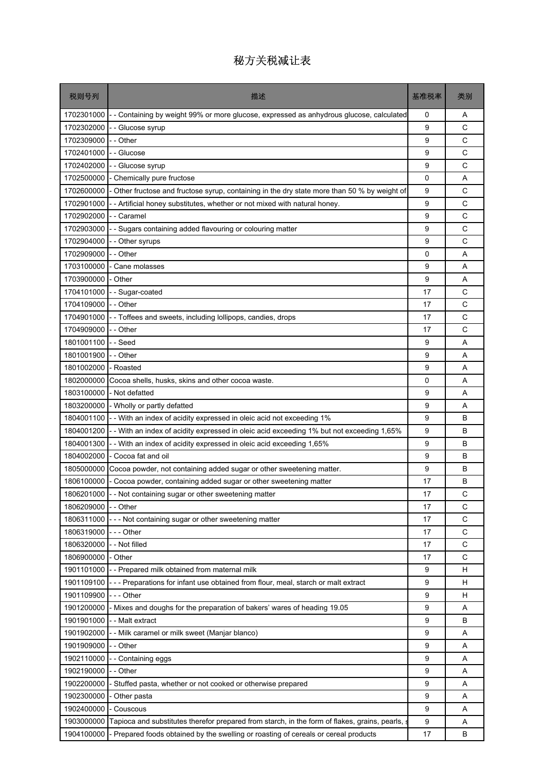| 税则号列       | 描述                                                                                              | 基准税率 | 类别          |
|------------|-------------------------------------------------------------------------------------------------|------|-------------|
| 1702301000 | Containing by weight 99% or more glucose, expressed as anhydrous glucose, calculated            | 0    | Α           |
| 1702302000 | - Glucose syrup                                                                                 | 9    | C           |
| 1702309000 | - - Other                                                                                       | 9    | C           |
| 1702401000 | - Glucose                                                                                       | 9    | C           |
| 1702402000 | - Glucose syrup                                                                                 | 9    | C           |
| 1702500000 | Chemically pure fructose                                                                        | 0    | Α           |
| 1702600000 | - Other fructose and fructose syrup, containing in the dry state more than 50 % by weight of    | 9    | C           |
| 1702901000 | - Artificial honey substitutes, whether or not mixed with natural honey.                        | 9    | C           |
| 1702902000 | - Caramel                                                                                       | 9    | C           |
| 1702903000 | - Sugars containing added flavouring or colouring matter                                        | 9    | C           |
| 1702904000 | Other syrups                                                                                    | 9    | C           |
| 1702909000 | - - Other                                                                                       | 0    | A           |
| 1703100000 | - Cane molasses                                                                                 | 9    | Α           |
| 1703900000 | - Other                                                                                         | 9    | A           |
| 1704101000 | - Sugar-coated                                                                                  | 17   | C           |
| 1704109000 | - - Other                                                                                       | 17   | C           |
| 1704901000 | - - Toffees and sweets, including lollipops, candies, drops                                     | 17   | C           |
| 1704909000 | - - Other                                                                                       | 17   | C           |
| 1801001100 | - Seed                                                                                          | 9    | A           |
| 1801001900 | - - Other                                                                                       | 9    | Α           |
| 1801002000 | - Roasted                                                                                       | 9    | A           |
| 1802000000 | Cocoa shells, husks, skins and other cocoa waste.                                               | 0    | Α           |
| 1803100000 | - Not defatted                                                                                  | 9    | Α           |
| 1803200000 | - Wholly or partly defatted                                                                     | 9    | A           |
| 1804001100 | - With an index of acidity expressed in oleic acid not exceeding 1%                             | 9    | B           |
| 1804001200 | - With an index of acidity expressed in oleic acid exceeding 1% but not exceeding 1,65%         | 9    | B           |
| 1804001300 | -- With an index of acidity expressed in oleic acid exceeding 1,65%                             | 9    | B           |
| 1804002000 | - Cocoa fat and oil                                                                             | 9    | B           |
| 1805000000 | Cocoa powder, not containing added sugar or other sweetening matter.                            | 9    | B           |
| 1806100000 | - Cocoa powder, containing added sugar or other sweetening matter                               | 17   | B           |
| 1806201000 | - Not containing sugar or other sweetening matter                                               | 17   | C           |
| 1806209000 | - - Other                                                                                       | 17   | C           |
| 1806311000 | --- Not containing sugar or other sweetening matter                                             | 17   | С           |
| 1806319000 | - - - Other                                                                                     | 17   | $\mathsf C$ |
| 1806320000 | - Not filled                                                                                    | 17   | C           |
| 1806900000 | Other                                                                                           | 17   | C           |
| 1901101000 | -- Prepared milk obtained from maternal milk                                                    | 9    | н           |
| 1901109100 | --- Preparations for infant use obtained from flour, meal, starch or malt extract               | 9    | н           |
| 1901109900 | - - Other                                                                                       | 9    | н           |
| 1901200000 | - Mixes and doughs for the preparation of bakers' wares of heading 19.05                        | 9    | Α           |
| 1901901000 | - - Malt extract                                                                                | 9    | B           |
| 1901902000 | - Milk caramel or milk sweet (Manjar blanco)                                                    | 9    | Α           |
| 1901909000 | - - Other                                                                                       | 9    | Α           |
| 1902110000 | - Containing eggs                                                                               | 9    | Α           |
| 1902190000 | - Other                                                                                         | 9    | Α           |
| 1902200000 | Stuffed pasta, whether or not cooked or otherwise prepared                                      | 9    | Α           |
| 1902300000 | - Other pasta                                                                                   | 9    | Α           |
| 1902400000 | - Couscous                                                                                      | 9    | A           |
| 1903000000 | Tapioca and substitutes therefor prepared from starch, in the form of flakes, grains, pearls, a | 9    | Α           |
| 1904100000 | - Prepared foods obtained by the swelling or roasting of cereals or cereal products             | 17   | В           |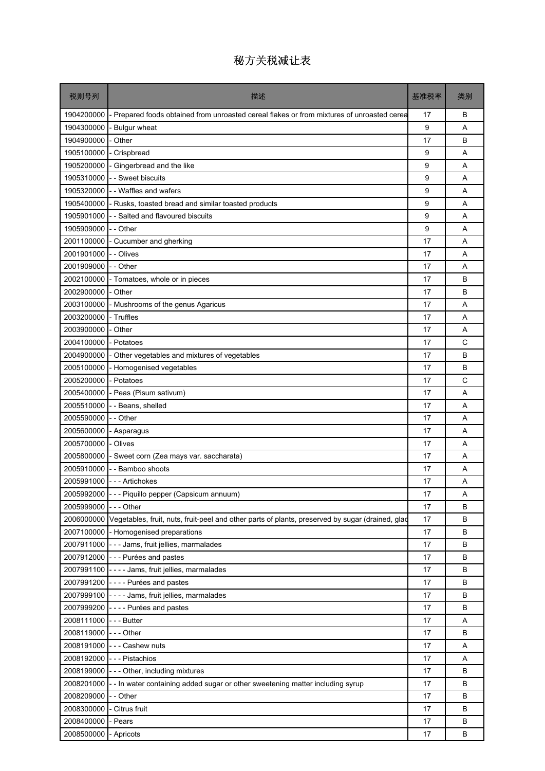| 税则号列                 | 描述                                                                                                          | 基准税率 | 类别 |
|----------------------|-------------------------------------------------------------------------------------------------------------|------|----|
| 1904200000           | - Prepared foods obtained from unroasted cereal flakes or from mixtures of unroasted cerea                  | 17   | B  |
| 1904300000           | - Bulgur wheat                                                                                              | 9    | A  |
| 1904900000           | - Other                                                                                                     | 17   | B  |
| 1905100000           | - Crispbread                                                                                                | 9    | A  |
| 1905200000           | - Gingerbread and the like                                                                                  | 9    | A  |
| 1905310000           | - - Sweet biscuits                                                                                          | 9    | A  |
| 1905320000           | - - Waffles and wafers                                                                                      | 9    | A  |
| 1905400000           | - Rusks, toasted bread and similar toasted products                                                         | 9    | A  |
| 1905901000           | - - Salted and flavoured biscuits                                                                           | 9    | A  |
| 1905909000           | - - Other                                                                                                   | 9    | A  |
| 2001100000           | - Cucumber and gherking                                                                                     | 17   | A  |
| 2001901000           | - - Olives                                                                                                  | 17   | A  |
| 2001909000           | - - Other                                                                                                   | 17   | A  |
| 2002100000           | - Tomatoes, whole or in pieces                                                                              | 17   | B  |
| 2002900000           | - Other                                                                                                     | 17   | B  |
| 2003100000           | - Mushrooms of the genus Agaricus                                                                           | 17   | A  |
| 2003200000           | - Truffles                                                                                                  | 17   | A  |
| 2003900000           | - Other                                                                                                     | 17   | A  |
| 2004100000           | - Potatoes                                                                                                  | 17   | C  |
| 2004900000           | - Other vegetables and mixtures of vegetables                                                               | 17   | B  |
| 2005100000           | - Homogenised vegetables                                                                                    | 17   | B  |
| 2005200000           | - Potatoes                                                                                                  | 17   | C  |
| 2005400000           | - Peas (Pisum sativum)                                                                                      | 17   | A  |
| 2005510000           | --Beans, shelled                                                                                            | 17   | A  |
| 2005590000           | - - Other                                                                                                   | 17   | A  |
| 2005600000           | - Asparagus                                                                                                 | 17   | A  |
| 2005700000           | - Olives                                                                                                    | 17   | A  |
| 2005800000           | - Sweet corn (Zea mays var. saccharata)                                                                     | 17   | A  |
| 2005910000           | - - Bamboo shoots                                                                                           | 17   | A  |
|                      | 2005991000 --- Artichokes                                                                                   | 17   | Α  |
|                      | 2005992000 - - - Piquillo pepper (Capsicum annuum)                                                          | 17   | Α  |
| 2005999000 --- Other |                                                                                                             | 17   | B  |
|                      | 2006000000 Vegetables, fruit, nuts, fruit-peel and other parts of plants, preserved by sugar (drained, glad | 17   | B  |
|                      | 2007100000 - Homogenised preparations                                                                       | 17   | В  |
|                      | 2007911000 - - - Jams, fruit jellies, marmalades                                                            | 17   | B  |
|                      | 2007912000 - - - Purées and pastes                                                                          | 17   | В  |
|                      | 2007991100 ---- Jams, fruit jellies, marmalades                                                             | 17   | В  |
|                      | 2007991200 - - - - Purées and pastes                                                                        | 17   | B  |
| 2007999100           | ---- Jams, fruit jellies, marmalades                                                                        | 17   | В  |
|                      | 2007999200 ---- Purées and pastes                                                                           | 17   | В  |
| 2008111000           | - - - Butter                                                                                                | 17   | Α  |
| 2008119000 --- Other |                                                                                                             | 17   | B  |
|                      | 2008191000 --- Cashew nuts                                                                                  | 17   | Α  |
| 2008192000           | - - - Pistachios                                                                                            | 17   | Α  |
| 2008199000           | --- Other, including mixtures                                                                               | 17   | B  |
| 2008201000           | - - In water containing added sugar or other sweetening matter including syrup                              | 17   | В  |
| 2008209000           | - - Other                                                                                                   | 17   | В  |
| 2008300000           | - Citrus fruit                                                                                              | 17   | B  |
| 2008400000           | - Pears                                                                                                     | 17   | В  |
| 2008500000           | - Apricots                                                                                                  | 17   | В  |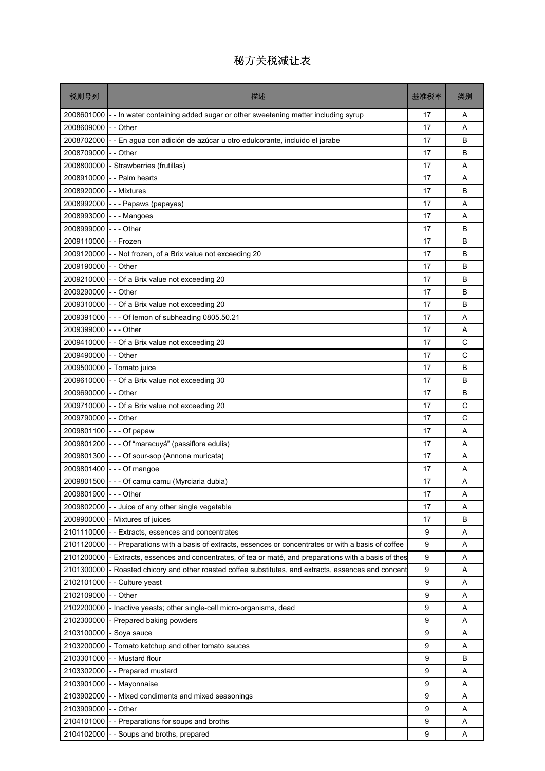| 税则号列                   | 描述                                                                                           | 基准税率 | 类别 |
|------------------------|----------------------------------------------------------------------------------------------|------|----|
| 2008601000             | - - In water containing added sugar or other sweetening matter including syrup               | 17   | A  |
| 2008609000             | - - Other                                                                                    | 17   | A  |
| 2008702000             | -- En agua con adición de azúcar u otro edulcorante, incluido el jarabe                      | 17   | B  |
| 2008709000             | - - Other                                                                                    | 17   | B  |
| 2008800000             | - Strawberries (frutillas)                                                                   | 17   | A  |
| 2008910000             | - - Palm hearts                                                                              | 17   | A  |
| 2008920000             | - - Mixtures                                                                                 | 17   | B  |
| 2008992000             | --- Papaws (papayas)                                                                         | 17   | A  |
| 2008993000             | --- Mangoes                                                                                  | 17   | A  |
| 2008999000             | -  - - Other                                                                                 | 17   | B  |
| 2009110000             | - - Frozen                                                                                   | 17   | B  |
|                        | 2009120000 - - Not frozen, of a Brix value not exceeding 20                                  | 17   | B  |
| 2009190000 - - Other   |                                                                                              | 17   | B  |
|                        | 2009210000 - - Of a Brix value not exceeding 20                                              | 17   | B  |
| 2009290000 - - Other   |                                                                                              | 17   | B  |
|                        | $2009310000$ - - Of a Brix value not exceeding 20                                            | 17   | B  |
|                        | 2009391000 - - - Of lemon of subheading 0805.50.21                                           | 17   | A  |
| 2009399000 --- Other   |                                                                                              | 17   | A  |
|                        | 2009410000 - - Of a Brix value not exceeding 20                                              | 17   | C  |
| 2009490000 - - Other   |                                                                                              | 17   | С  |
|                        | 2009500000 - Tomato juice                                                                    | 17   | B  |
|                        | $2009610000$ - - Of a Brix value not exceeding 30                                            | 17   | B  |
| 2009690000 - - Other   |                                                                                              | 17   | B  |
|                        | 2009710000 - - Of a Brix value not exceeding 20                                              | 17   | C  |
| 2009790000 - - Other   |                                                                                              | 17   | C  |
|                        | 2009801100 --- Of papaw                                                                      | 17   | A  |
|                        | 2009801200 - - - Of "maracuyá" (passiflora edulis)                                           | 17   | A  |
|                        | 2009801300 - - - Of sour-sop (Annona muricata)                                               | 17   | A  |
| 2009801400             | $- -$ - Of mangoe                                                                            | 17   | A  |
|                        | 2009801500 - - - Of camu camu (Myrciaria dubia)                                              | 17   | Α  |
| 2009801900 - - - Other |                                                                                              | 17   | Α  |
| 2009802000             | -- Juice of any other single vegetable                                                       | 17   | Α  |
| 2009900000             | - Mixtures of juices                                                                         | 17   | в  |
| 2101110000             | -- Extracts, essences and concentrates                                                       | 9    | Α  |
| 2101120000             | -- Preparations with a basis of extracts, essences or concentrates or with a basis of coffee | 9    | Α  |
| 2101200000             | - Extracts, essences and concentrates, of tea or maté, and preparations with a basis of thes | 9    | Α  |
| 2101300000             | - Roasted chicory and other roasted coffee substitutes, and extracts, essences and concent   | 9    | Α  |
| 2102101000             | - - Culture yeast                                                                            | 9    | Α  |
| 2102109000             | - - Other                                                                                    | 9    | Α  |
| 2102200000             | - Inactive yeasts; other single-cell micro-organisms, dead                                   | 9    | Α  |
| 2102300000             | - Prepared baking powders                                                                    | 9    | Α  |
| 2103100000             | - Soya sauce                                                                                 | 9    | Α  |
| 2103200000             | - Tomato ketchup and other tomato sauces                                                     | 9    | Α  |
| 2103301000             | - - Mustard flour                                                                            | 9    | в  |
| 2103302000             | -- Prepared mustard                                                                          | 9    | Α  |
| 2103901000             | - - Mayonnaise                                                                               | 9    | Α  |
| 2103902000             | - - Mixed condiments and mixed seasonings                                                    | 9    | Α  |
| 2103909000             | - - Other                                                                                    | 9    | Α  |
| 2104101000             | -- Preparations for soups and broths                                                         | 9    | Α  |
| 2104102000             | - - Soups and broths, prepared                                                               | 9    | Α  |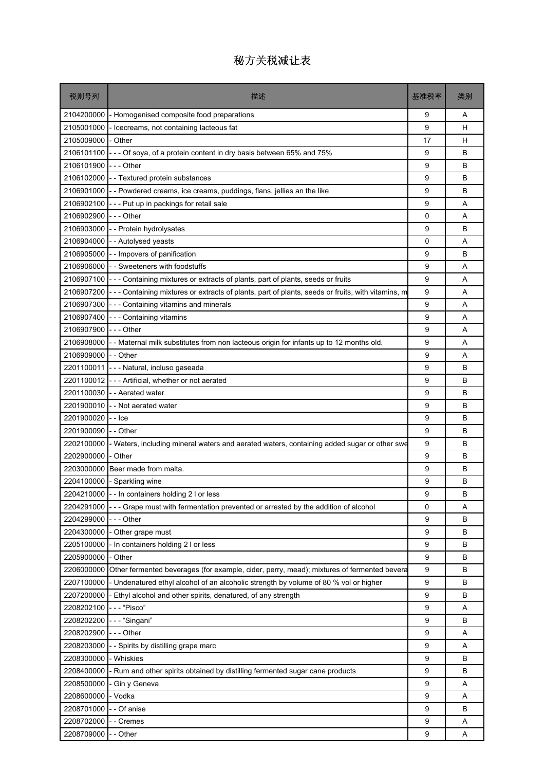| 税则号列                 | 描述                                                                                                 | 基准税率 | 类别 |
|----------------------|----------------------------------------------------------------------------------------------------|------|----|
| 2104200000           | - Homogenised composite food preparations                                                          | 9    | A  |
| 2105001000           | Icecreams, not containing lacteous fat                                                             | 9    | н  |
| 2105009000           | - Other                                                                                            | 17   | н  |
| 2106101100           | --- Of soya, of a protein content in dry basis between 65% and 75%                                 | 9    | B  |
| 2106101900           | $- -$ Other                                                                                        | 9    | B  |
| 2106102000           | - - Textured protein substances                                                                    | 9    | B  |
|                      | 2106901000 - Powdered creams, ice creams, puddings, flans, jellies an the like                     | 9    | B  |
| 2106902100           | --- Put up in packings for retail sale                                                             | 9    | Α  |
| 2106902900           | - - - Other                                                                                        | 0    | A  |
| 2106903000           | - - Protein hydrolysates                                                                           | 9    | B  |
| 2106904000           | - - Autolysed yeasts                                                                               | 0    | Α  |
|                      | 2106905000 - - Impovers of panification                                                            | 9    | B  |
| 2106906000           | - - Sweeteners with foodstuffs                                                                     | 9    | A  |
| 2106907100           | --- Containing mixtures or extracts of plants, part of plants, seeds or fruits                     | 9    | Α  |
| 2106907200           | - - - Containing mixtures or extracts of plants, part of plants, seeds or fruits, with vitamins, m | 9    | A  |
| 2106907300           | --- Containing vitamins and minerals                                                               | 9    | A  |
| 2106907400           | --- Containing vitamins                                                                            | 9    | Α  |
| 2106907900 --- Other |                                                                                                    | 9    | A  |
|                      | 2106908000 - - Maternal milk substitutes from non lacteous origin for infants up to 12 months old. | 9    | A  |
| 2106909000 - - Other |                                                                                                    | 9    | A  |
| 2201100011           | - - - Natural, incluso gaseada                                                                     | 9    | B  |
| 2201100012           | --- Artificial, whether or not aerated                                                             | 9    | B  |
| 2201100030           | -- Aerated water                                                                                   | 9    | B  |
| 2201900010           | -- Not aerated water                                                                               | 9    | B  |
| 2201900020           | - - Ice                                                                                            | 9    | B  |
| 2201900090           | - - Other                                                                                          | 9    | B  |
| 2202100000           | - Waters, including mineral waters and aerated waters, containing added sugar or other swe         | 9    | B  |
| 2202900000           | - Other                                                                                            | 9    | B  |
|                      | 2203000000 Beer made from malta.                                                                   | 9    | B  |
|                      | 2204100000 - Sparkling wine                                                                        | 9    | B  |
|                      | 2204210000 - - In containers holding 2 I or less                                                   | 9    | B  |
| 2204291000           | --- Grape must with fermentation prevented or arrested by the addition of alcohol                  | 0    | Α  |
| 2204299000           | - - - Other                                                                                        | 9    | B  |
| 2204300000           | - Other grape must                                                                                 | 9    | в  |
| 2205100000           | In containers holding 2 I or less                                                                  | 9    | B  |
| 2205900000           | - Other                                                                                            | 9    | B  |
| 2206000000           | Other fermented beverages (for example, cider, perry, mead); mixtures of fermented bevera          | 9    | в  |
| 2207100000           | - Undenatured ethyl alcohol of an alcoholic strength by volume of 80 % vol or higher               | 9    | B  |
| 2207200000           | Ethyl alcohol and other spirits, denatured, of any strength                                        | 9    | B  |
| 2208202100           | - - - "Pisco"                                                                                      | 9    | Α  |
| 2208202200           | --- "Singani"                                                                                      | 9    | B  |
| 2208202900           | - - - Other                                                                                        | 9    | Α  |
| 2208203000           | - Spirits by distilling grape marc                                                                 | 9    | Α  |
| 2208300000           | - Whiskies                                                                                         | 9    | В  |
| 2208400000           | - Rum and other spirits obtained by distilling fermented sugar cane products                       | 9    | B  |
| 2208500000           | - Gin y Geneva                                                                                     | 9    | Α  |
| 2208600000           | - Vodka                                                                                            | 9    | Α  |
| 2208701000           | - Of anise                                                                                         | 9    | B  |
| 2208702000           | - Cremes                                                                                           | 9    | Α  |
| 2208709000           | - Other                                                                                            | 9    | Α  |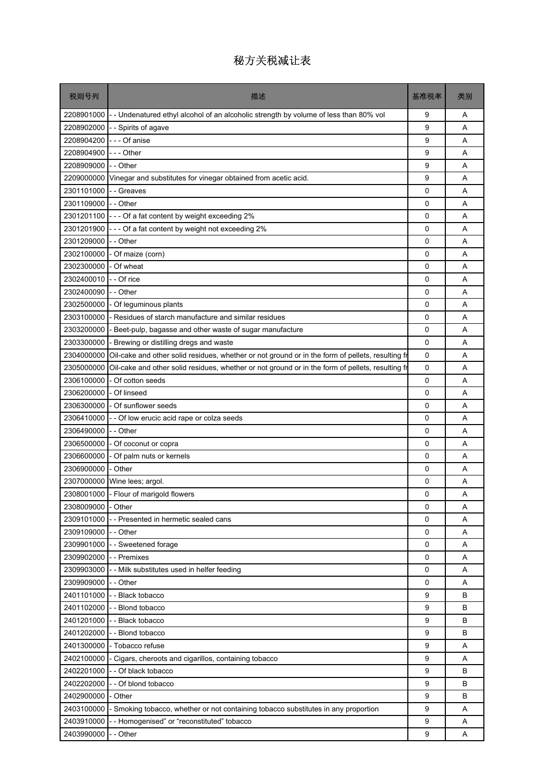| 税则号列                 | 描述                                                                                               | 基准税率        | 类别 |
|----------------------|--------------------------------------------------------------------------------------------------|-------------|----|
|                      | 2208901000 - Undenatured ethyl alcohol of an alcoholic strength by volume of less than 80% vol   | 9           | Α  |
| 2208902000           | - Spirits of agave                                                                               | 9           | A  |
| 2208904200           | --- Of anise                                                                                     | 9           | Α  |
| 2208904900           | $--$ Other                                                                                       | 9           | A  |
| 2208909000           | - - Other                                                                                        | 9           | A  |
| 2209000000           | Vinegar and substitutes for vinegar obtained from acetic acid.                                   | 9           | Α  |
| 2301101000           | - - Greaves                                                                                      | 0           | A  |
| 2301109000           | -- Other                                                                                         | 0           | A  |
| 2301201100           | --- Of a fat content by weight exceeding 2%                                                      | $\mathbf 0$ | A  |
| 2301201900           | --- Of a fat content by weight not exceeding 2%                                                  | 0           | Α  |
| 2301209000           | -- Other                                                                                         | 0           | A  |
| 2302100000           | - Of maize (corn)                                                                                | 0           | A  |
| 2302300000           | - Of wheat                                                                                       | 0           | Α  |
| 2302400010           | - - Of rice                                                                                      | $\mathbf 0$ | A  |
| 2302400090           | - - Other                                                                                        | 0           | A  |
| 2302500000           | - Of leguminous plants                                                                           | 0           | Α  |
| 2303100000           | - Residues of starch manufacture and similar residues                                            | 0           | A  |
| 2303200000           | Beet-pulp, bagasse and other waste of sugar manufacture                                          | 0           | A  |
| 2303300000           | Brewing or distilling dregs and waste                                                            | $\mathbf 0$ | A  |
| 2304000000           | Oil-cake and other solid residues, whether or not ground or in the form of pellets, resulting fr | 0           | A  |
| 2305000000           | Oil-cake and other solid residues, whether or not ground or in the form of pellets, resulting fr | 0           | A  |
| 2306100000           | - Of cotton seeds                                                                                | $\mathbf 0$ | A  |
| 2306200000           | - Of linseed                                                                                     | 0           | Α  |
|                      | 2306300000 - Of sunflower seeds                                                                  | $\mathbf 0$ | A  |
| 2306410000           | - - Of low erucic acid rape or colza seeds                                                       | 0           | A  |
| 2306490000           | -- Other                                                                                         | 0           | Α  |
| 2306500000           | - Of coconut or copra                                                                            | 0           | A  |
| 2306600000           | - Of palm nuts or kernels                                                                        | 0           | A  |
| 2306900000           | - Other                                                                                          | 0           | Α  |
|                      | 2307000000 Wine lees; argol.                                                                     | 0           | A  |
|                      | 2308001000 - Flour of marigold flowers                                                           | 0           | Α  |
| 2308009000           | - Other                                                                                          | 0           | A  |
| 2309101000           | -- Presented in hermetic sealed cans                                                             | 0           | Α  |
| 2309109000 - - Other |                                                                                                  | 0           | Α  |
| 2309901000           | - - Sweetened forage                                                                             | $\mathbf 0$ | Α  |
| 2309902000           | - - Premixes                                                                                     | 0           | Α  |
| 2309903000           | -- Milk substitutes used in helfer feeding                                                       | 0           | A  |
| 2309909000           | - - Other                                                                                        | 0           | Α  |
| 2401101000           | - Black tobacco                                                                                  | 9           | B  |
| 2401102000           | - - Blond tobacco                                                                                | 9           | B  |
|                      | 2401201000 - - Black tobacco                                                                     | 9           | B  |
| 2401202000           | -- Blond tobacco                                                                                 | 9           | B  |
| 2401300000           | - Tobacco refuse                                                                                 | 9           | Α  |
| 2402100000           | - Cigars, cheroots and cigarillos, containing tobacco                                            | 9           | A  |
| 2402201000           | - - Of black tobacco                                                                             | 9           | B  |
| 2402202000           | - - Of blond tobacco                                                                             | 9           | В  |
| 2402900000           | - Other                                                                                          | 9           | B  |
| 2403100000           |                                                                                                  | 9           |    |
|                      | Smoking tobacco, whether or not containing tobacco substitutes in any proportion                 | 9           | Α  |
| 2403910000           | - Homogenised" or "reconstituted" tobacco                                                        |             | Α  |
| 2403990000           | - Other                                                                                          | 9           | Α  |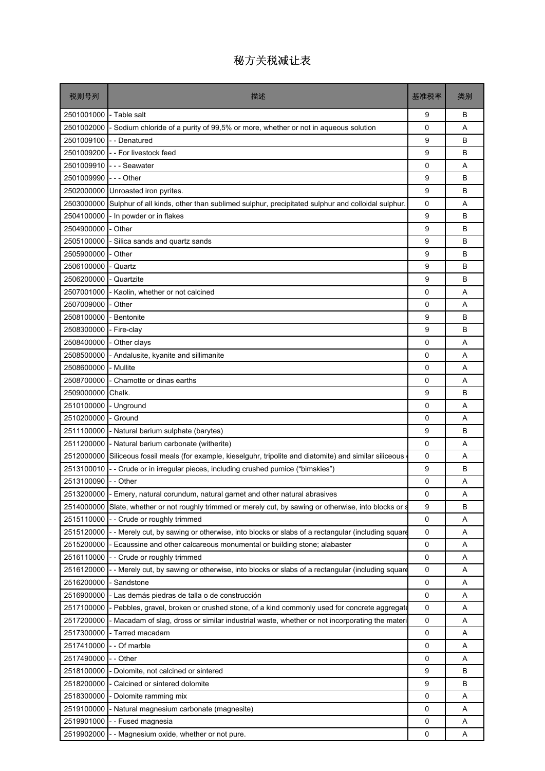| 税则号列                | 描述                                                                                                         | 基准税率        | 类别 |
|---------------------|------------------------------------------------------------------------------------------------------------|-------------|----|
| 2501001000          | - Table salt                                                                                               | 9           | B  |
| 2501002000          | - Sodium chloride of a purity of 99,5% or more, whether or not in aqueous solution                         | $\Omega$    | A  |
| 2501009100          | - - Denatured                                                                                              | 9           | B  |
| 2501009200          | - - For livestock feed                                                                                     | 9           | B  |
| 2501009910          | --- Seawater                                                                                               | 0           | A  |
| 2501009990          | -  -  - Other                                                                                              | 9           | B  |
|                     | 2502000000 Unroasted iron pyrites.                                                                         | 9           | B  |
| 2503000000          | Sulphur of all kinds, other than sublimed sulphur, precipitated sulphur and colloidal sulphur.             | 0           | A  |
| 2504100000          | - In powder or in flakes                                                                                   | 9           | B  |
| 2504900000          | - Other                                                                                                    | 9           | B  |
| 2505100000          | Silica sands and quartz sands                                                                              | 9           | В  |
| 2505900000          | - Other                                                                                                    | 9           | B  |
| 2506100000          | - Quartz                                                                                                   | 9           | B  |
| 2506200000          | - Quartzite                                                                                                | 9           | B  |
| 2507001000          | - Kaolin, whether or not calcined                                                                          | 0           | A  |
| 2507009000          | - Other                                                                                                    | 0           | A  |
| 2508100000          | - Bentonite                                                                                                | 9           | B  |
| 2508300000          | - Fire-clay                                                                                                | 9           | B  |
| 2508400000          | - Other clays                                                                                              | 0           | A  |
| 2508500000          | - Andalusite, kyanite and sillimanite                                                                      | 0           | A  |
| 2508600000          | - Mullite                                                                                                  | 0           | A  |
| 2508700000          | - Chamotte or dinas earths                                                                                 | $\Omega$    | A  |
| 2509000000          | Chalk.                                                                                                     | 9           | B  |
| 2510100000          | - Unground                                                                                                 | 0           | A  |
| 2510200000          | - Ground                                                                                                   | 0           | A  |
| 2511100000          | - Natural barium sulphate (barytes)                                                                        | 9           | B  |
| 2511200000          | - Natural barium carbonate (witherite)                                                                     | 0           | A  |
|                     | 2512000000 Siliceous fossil meals (for example, kieselguhr, tripolite and diatomite) and similar siliceous | $\mathbf 0$ | A  |
| 2513100010          | - - Crude or in irregular pieces, including crushed pumice ("bimskies")                                    | 9           | B  |
| 2513100090 -- Other |                                                                                                            | 0           | Α  |
|                     | 2513200000 - Emery, natural corundum, natural garnet and other natural abrasives                           | 0           | Α  |
|                     | 2514000000 Slate, whether or not roughly trimmed or merely cut, by sawing or otherwise, into blocks or s   | 9           | В  |
| 2515110000          | -- Crude or roughly trimmed                                                                                | 0           | Α  |
| 2515120000          | - - Merely cut, by sawing or otherwise, into blocks or slabs of a rectangular (including square            | 0           | Α  |
| 2515200000          | - Ecaussine and other calcareous monumental or building stone; alabaster                                   | 0           | Α  |
| 2516110000          | -- Crude or roughly trimmed                                                                                | 0           | Α  |
| 2516120000          | - - Merely cut, by sawing or otherwise, into blocks or slabs of a rectangular (including square            | 0           | Α  |
| 2516200000          | - Sandstone                                                                                                | 0           | Α  |
| 2516900000          | - Las demás piedras de talla o de construcción                                                             | 0           | Α  |
| 2517100000          | - Pebbles, gravel, broken or crushed stone, of a kind commonly used for concrete aggregate                 | 0           | Α  |
| 2517200000          | - Macadam of slag, dross or similar industrial waste, whether or not incorporating the materi              | 0           | Α  |
| 2517300000          | - Tarred macadam                                                                                           | 0           | Α  |
| 2517410000          | - - Of marble                                                                                              | 0           | Α  |
| 2517490000          | - - Other                                                                                                  | 0           | Α  |
| 2518100000          | - Dolomite, not calcined or sintered                                                                       | 9           | В  |
| 2518200000          | Calcined or sintered dolomite                                                                              | 9           | В  |
| 2518300000          | - Dolomite ramming mix                                                                                     | 0           | Α  |
| 2519100000          | - Natural magnesium carbonate (magnesite)                                                                  | 0           | A  |
| 2519901000          | - Fused magnesia                                                                                           | 0           | Α  |
| 2519902000          | -- Magnesium oxide, whether or not pure.                                                                   | 0           | Α  |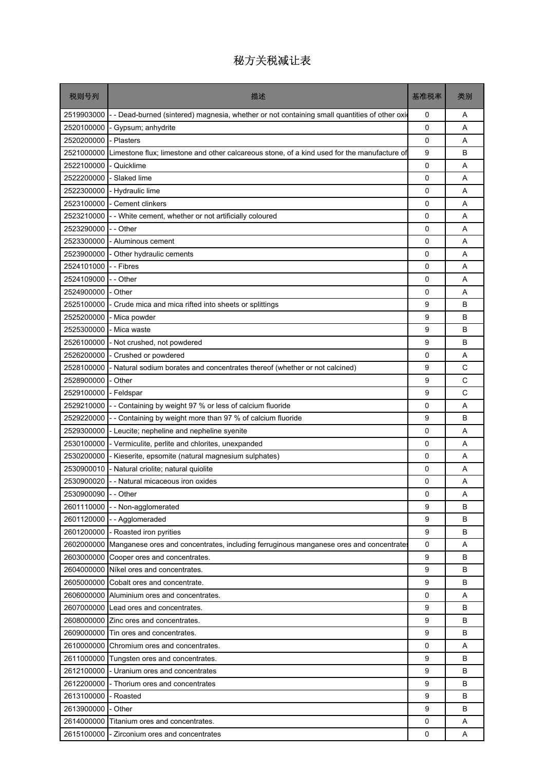| 税则号列                 | 描述                                                                                                | 基准税率        | 类别 |
|----------------------|---------------------------------------------------------------------------------------------------|-------------|----|
| 2519903000           | -- Dead-burned (sintered) magnesia, whether or not containing small quantities of other oxid-     | 0           | Α  |
| 2520100000           | - Gypsum; anhydrite                                                                               | 0           | A  |
| 2520200000           | - Plasters                                                                                        | 0           | A  |
| 2521000000           | Limestone flux; limestone and other calcareous stone, of a kind used for the manufacture of       | 9           | B  |
| 2522100000           | - Quicklime                                                                                       | 0           | A  |
| 2522200000           | - Slaked lime                                                                                     | 0           | A  |
| 2522300000           | - Hydraulic lime                                                                                  | 0           | A  |
| 2523100000           | - Cement clinkers                                                                                 | 0           | A  |
| 2523210000           | - - White cement, whether or not artificially coloured                                            | 0           | A  |
| 2523290000           | - - Other                                                                                         | 0           | A  |
| 2523300000           | - Aluminous cement                                                                                | $\mathbf 0$ | A  |
| 2523900000           | - Other hydraulic cements                                                                         | 0           | A  |
| 2524101000           | - - Fibres                                                                                        | 0           | A  |
| 2524109000           | -- Other                                                                                          | 0           | A  |
| 2524900000           | - Other                                                                                           | 0           | A  |
| 2525100000           | - Crude mica and mica rifted into sheets or splittings                                            | 9           | B  |
| 2525200000           | - Mica powder                                                                                     | 9           | B  |
| 2525300000           | - Mica waste                                                                                      | 9           | B  |
| 2526100000           | - Not crushed, not powdered                                                                       | 9           | B  |
| 2526200000           | - Crushed or powdered                                                                             | 0           | A  |
| 2528100000           | - Natural sodium borates and concentrates thereof (whether or not calcined)                       | 9           | C  |
| 2528900000           | - Other                                                                                           | 9           | C  |
| 2529100000           | - Feldspar                                                                                        | 9           | C  |
| 2529210000           | - - Containing by weight 97 % or less of calcium fluoride                                         | 0           | A  |
| 2529220000           | -- Containing by weight more than 97 % of calcium fluoride                                        | 9           | B  |
| 2529300000           | - Leucite; nepheline and nepheline syenite                                                        | $\mathbf 0$ | A  |
| 2530100000           | - Vermiculite, perlite and chlorites, unexpanded                                                  | 0           | A  |
| 2530200000           | - Kieserite, epsomite (natural magnesium sulphates)                                               | 0           | A  |
| 2530900010           | - Natural criolite; natural quiolite                                                              | 0           | A  |
| 2530900020           | - - Natural micaceous iron oxides                                                                 | 0           | A  |
| 2530900090 - - Other |                                                                                                   | 0           | Α  |
| 2601110000           | -- Non-agglomerated                                                                               | 9           | B  |
| 2601120000           | -- Agglomeraded                                                                                   | 9           | в  |
|                      | 2601200000 - Roasted iron pyrities                                                                | 9           | B  |
|                      | 2602000000 Manganese ores and concentrates, including ferruginous manganese ores and concentrates | 0           | Α  |
|                      | 2603000000 Cooper ores and concentrates.                                                          | 9           | B  |
|                      | 2604000000 Níkel ores and concentrates.                                                           | 9           | B  |
|                      | 2605000000 Cobalt ores and concentrate.                                                           | 9           | B  |
|                      | 2606000000 Aluminium ores and concentrates.                                                       | 0           | Α  |
|                      | 2607000000 Lead ores and concentrates.                                                            | 9           | в  |
|                      | 2608000000 Zinc ores and concentrates.                                                            | 9           | B  |
|                      | 2609000000 Tin ores and concentrates.                                                             | 9           | B  |
| 2610000000           | Chromium ores and concentrates.                                                                   | 0           | Α  |
|                      | 2611000000 Tungsten ores and concentrates.                                                        | 9           | B  |
| 2612100000           | - Uranium ores and concentrates                                                                   | 9           | B  |
| 2612200000           | - Thorium ores and concentrates                                                                   | 9           | B  |
| 2613100000           | - Roasted                                                                                         | 9           | B  |
| 2613900000           | - Other                                                                                           | 9           | B  |
| 2614000000           | Titanium ores and concentrates.                                                                   | 0           | Α  |
| 2615100000           | - Zirconium ores and concentrates                                                                 | 0           | Α  |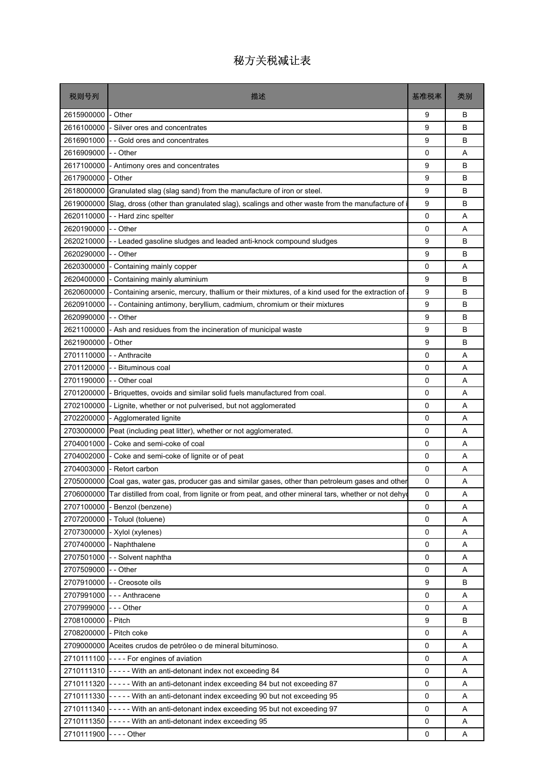| 税则号列                    | 描述                                                                                                          | 基准税率        | 类别 |
|-------------------------|-------------------------------------------------------------------------------------------------------------|-------------|----|
| 2615900000              | - Other                                                                                                     | 9           | B  |
| 2616100000              | - Silver ores and concentrates                                                                              | 9           | B  |
| 2616901000              | -- Gold ores and concentrates                                                                               | 9           | B  |
| 2616909000              | - - Other                                                                                                   | 0           | A  |
| 2617100000              | - Antimony ores and concentrates                                                                            | 9           | B  |
| 2617900000              | - Other                                                                                                     | 9           | B  |
| 2618000000              | Granulated slag (slag sand) from the manufacture of iron or steel.                                          | 9           | B  |
| 2619000000              | Slag, dross (other than granulated slag), scalings and other waste from the manufacture of                  | 9           | B  |
| 2620110000              | -- Hard zinc spelter                                                                                        | 0           | A  |
| 2620190000              | - - Other                                                                                                   | 0           | A  |
| 2620210000              | -- Leaded gasoline sludges and leaded anti-knock compound sludges                                           | 9           | B  |
| 2620290000              | - - Other                                                                                                   | 9           | B  |
| 2620300000              | - Containing mainly copper                                                                                  | 0           | A  |
| 2620400000              | - Containing mainly aluminium                                                                               | 9           | B  |
| 2620600000              | - Containing arsenic, mercury, thallium or their mixtures, of a kind used for the extraction of             | 9           | B  |
| 2620910000              | - - Containing antimony, beryllium, cadmium, chromium or their mixtures                                     | 9           | B  |
| 2620990000              | - - Other                                                                                                   | 9           | B  |
| 2621100000              | - Ash and residues from the incineration of municipal waste                                                 | 9           | B  |
| 2621900000              | - Other                                                                                                     | 9           | B  |
| 2701110000              | - - Anthracite                                                                                              | 0           | A  |
| 2701120000              | - - Bituminous coal                                                                                         | 0           | A  |
| 2701190000              | - - Other coal                                                                                              | 0           | A  |
| 2701200000              | - Briquettes, ovoids and similar solid fuels manufactured from coal.                                        | 0           | A  |
| 2702100000              | - Lignite, whether or not pulverised, but not agglomerated                                                  | 0           | A  |
| 2702200000              | - Agglomerated lignite                                                                                      | 0           | A  |
| 2703000000              | Peat (including peat litter), whether or not agglomerated.                                                  | 0           | A  |
| 2704001000              | - Coke and semi-coke of coal                                                                                | 0           | A  |
| 2704002000              | - Coke and semi-coke of lignite or of peat                                                                  | 0           | A  |
| 2704003000              | - Retort carbon                                                                                             | 0           | A  |
|                         | 2705000000 Coal gas, water gas, producer gas and similar gases, other than petroleum gases and other        | 0           | Α  |
|                         | 2706000000 Tar distilled from coal, from lignite or from peat, and other mineral tars, whether or not dehyd | 0           | Α  |
| 2707100000              | - Benzol (benzene)                                                                                          | 0           | A  |
| 2707200000              | - Toluol (toluene)                                                                                          | 0           | Α  |
| 2707300000              | - Xylol (xylenes)                                                                                           | 0           | Α  |
|                         | 2707400000 - Naphthalene                                                                                    | 0           | Α  |
| 2707501000              | - - Solvent naphtha                                                                                         | 0           | Α  |
| 2707509000              | - - Other                                                                                                   | 0           | Α  |
| 2707910000              | - - Creosote oils                                                                                           | 9           | B  |
| 2707991000              | --- Anthracene                                                                                              | 0           | Α  |
| 2707999000              | - - - Other                                                                                                 | 0           | Α  |
| 2708100000              | - Pitch                                                                                                     | 9           | B  |
| 2708200000 - Pitch coke |                                                                                                             | 0           | Α  |
|                         | 2709000000 Aceites crudos de petróleo o de mineral bituminoso.                                              | 0           | Α  |
|                         | 2710111100 $\vert$ ---- For engines of aviation                                                             | 0           | Α  |
|                         | 2710111310 - - - - - With an anti-detonant index not exceeding 84                                           | 0           | Α  |
|                         | 2710111320 - - - - - With an anti-detonant index exceeding 84 but not exceeding 87                          | 0           | Α  |
|                         | 2710111330 ----- With an anti-detonant index exceeding 90 but not exceeding 95                              | 0           | Α  |
|                         | 2710111340 ----- With an anti-detonant index exceeding 95 but not exceeding 97                              | $\mathbf 0$ | A  |
|                         | 2710111350 - - - - - With an anti-detonant index exceeding 95                                               | $\mathsf 0$ | Α  |
| 2710111900 ---- Other   |                                                                                                             | 0           | A  |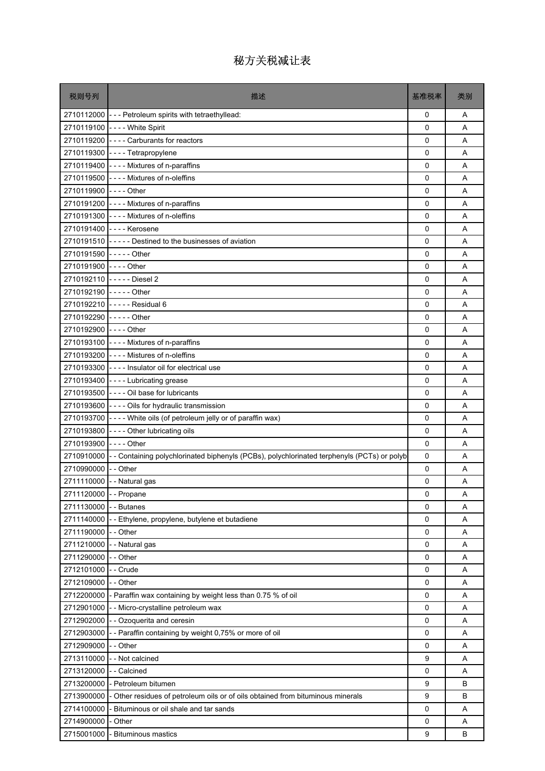| 税则号列                   | 描述                                                                                                     | 基准税率        | 类别 |
|------------------------|--------------------------------------------------------------------------------------------------------|-------------|----|
|                        | 2710112000 - - - Petroleum spirits with tetraethyllead:                                                | 0           | A  |
|                        | 2710119100 ---- White Spirit                                                                           | $\Omega$    | A  |
|                        | 2710119200 ---- Carburants for reactors                                                                | $\Omega$    | A  |
|                        | 2710119300 ---- Tetrapropylene                                                                         | 0           | Α  |
|                        | 2710119400 - - - - Mixtures of n-paraffins                                                             | 0           | A  |
|                        | 2710119500 ---- Mixtures of n-oleffins                                                                 | 0           | A  |
| 2710119900 ---- Other  |                                                                                                        | 0           | Α  |
|                        | 2710191200 - - - - Mixtures of n-paraffins                                                             | $\mathbf 0$ | A  |
|                        | 2710191300 ---- Mixtures of n-oleffins                                                                 | $\Omega$    | A  |
|                        | 2710191400 ---- Kerosene                                                                               | 0           | Α  |
|                        | 2710191510 - - - - - Destined to the businesses of aviation                                            | 0           | A  |
| 2710191590 ----- Other |                                                                                                        | $\Omega$    | A  |
| 2710191900 ---- Other  |                                                                                                        | $\mathbf 0$ | A  |
|                        | 2710192110 ----- Diesel 2                                                                              | 0           | A  |
| 2710192190 ----- Other |                                                                                                        | 0           | A  |
|                        | 2710192210 ----- Residual 6                                                                            | 0           | A  |
| 2710192290 ----- Other |                                                                                                        | 0           | Α  |
| 2710192900 ---- Other  |                                                                                                        | $\mathbf 0$ | A  |
|                        | 2710193100 ---- Mixtures of n-paraffins                                                                | $\mathbf 0$ | A  |
|                        | 2710193200 ---- Mistures of n-oleffins                                                                 | 0           | Α  |
|                        | 2710193300 ---- Insulator oil for electrical use                                                       | 0           | A  |
|                        | 2710193400 ---- Lubricating grease                                                                     | $\Omega$    | A  |
|                        | 2710193500 - - - - Oil base for lubricants                                                             | $\mathbf 0$ | Α  |
|                        | 2710193600 - - - - Oils for hydraulic transmission                                                     | 0           | A  |
|                        | 2710193700 - - - - White oils (of petroleum jelly or of paraffin wax)                                  | 0           | A  |
|                        | 2710193800 ---- Other lubricating oils                                                                 | 0           | A  |
| 2710193900 ---- Other  |                                                                                                        | 0           | A  |
|                        | 2710910000 - - Containing polychlorinated biphenyls (PCBs), polychlorinated terphenyls (PCTs) or polyb | $\mathbf 0$ | A  |
| 2710990000             | - - Other                                                                                              | 0           | A  |
|                        | 2711110000 - - Natural gas                                                                             | 0           | Α  |
| 2711120000 - - Propane |                                                                                                        | 0           | Α  |
| 2711130000             | - - Butanes                                                                                            | $\Omega$    | A  |
| 2711140000             | - Ethylene, propylene, butylene et butadiene                                                           | $\mathsf 0$ | Α  |
| 2711190000             | - - Other                                                                                              | 0           | Α  |
|                        | 2711210000 - - Natural gas                                                                             | 0           | Α  |
| 2711290000             | - - Other                                                                                              | 0           | Α  |
| 2712101000             | - - Crude                                                                                              | 0           | Α  |
| 2712109000             | - - Other                                                                                              | $\mathbf 0$ | Α  |
| 2712200000             | - Paraffin wax containing by weight less than 0.75 % of oil                                            | 0           | Α  |
| 2712901000             | - - Micro-crystalline petroleum wax                                                                    | 0           | Α  |
| 2712902000             | - - Ozoquerita and ceresin                                                                             | $\mathsf 0$ | Α  |
| 2712903000             | - - Paraffin containing by weight 0,75% or more of oil                                                 | $\mathbf 0$ | Α  |
| 2712909000             | - Other                                                                                                | 0           | Α  |
| 2713110000             | - - Not calcined                                                                                       | 9           | Α  |
| 2713120000             | - - Calcined                                                                                           | 0           | Α  |
| 2713200000             | - Petroleum bitumen                                                                                    | 9           | B  |
| 2713900000             | Other residues of petroleum oils or of oils obtained from bituminous minerals                          | 9           | B  |
| 2714100000             | Bituminous or oil shale and tar sands                                                                  | 0           | Α  |
| 2714900000             | Other                                                                                                  | 0           | Α  |
| 2715001000             | <b>Bituminous mastics</b>                                                                              | 9           | В  |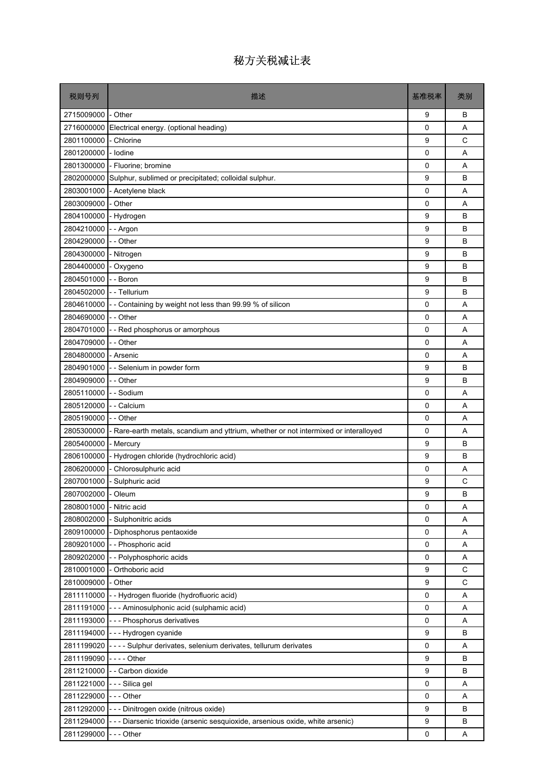| 税则号列               | 描述                                                                                 | 基准税率        | 类别 |
|--------------------|------------------------------------------------------------------------------------|-------------|----|
| 2715009000         | - Other                                                                            | 9           | B  |
| 2716000000         | Electrical energy. (optional heading)                                              | 0           | A  |
| 2801100000         | - Chlorine                                                                         | 9           | C  |
| 2801200000         | - Iodine                                                                           | 0           | Α  |
| 2801300000         | - Fluorine; bromine                                                                | 0           | A  |
| 2802000000         | Sulphur, sublimed or precipitated; colloidal sulphur.                              | 9           | B  |
| 2803001000         | - Acetylene black                                                                  | 0           | Α  |
| 2803009000         | - Other                                                                            | 0           | A  |
| 2804100000         | - Hydrogen                                                                         | 9           | B  |
| 2804210000         | - Argon                                                                            | 9           | B  |
| 2804290000         | - - Other                                                                          | 9           | B  |
| 2804300000         | - Nitrogen                                                                         | 9           | B  |
| 2804400000         | - Oxygeno                                                                          | 9           | В  |
| 2804501000         | - - Boron                                                                          | 9           | В  |
| 2804502000         | - - Tellurium                                                                      | 9           | B  |
| 2804610000         | - Containing by weight not less than 99.99 % of silicon                            | $\mathbf 0$ | A  |
| 2804690000         | - - Other                                                                          | 0           | A  |
| 2804701000         | - - Red phosphorus or amorphous                                                    | 0           | A  |
| 2804709000         | - - Other                                                                          | 0           | A  |
| 2804800000         | - Arsenic                                                                          | 0           | A  |
| 2804901000         | - - Selenium in powder form                                                        | 9           | B  |
| 2804909000         | - - Other                                                                          | 9           | B  |
| 2805110000         | - Sodium                                                                           | 0           | A  |
| 2805120000         | - - Calcium                                                                        | 0           | Α  |
| 2805190000         | - - Other                                                                          | 0           | A  |
| 2805300000         | Rare-earth metals, scandium and yttrium, whether or not intermixed or interalloyed | $\mathbf 0$ | A  |
| 2805400000         | Mercury                                                                            | 9           | B  |
| 2806100000         | - Hydrogen chloride (hydrochloric acid)                                            | 9           | B  |
| 2806200000         | - Chlorosulphuric acid                                                             | 0           | Α  |
| 2807001000         | - Sulphuric acid                                                                   | 9           | C  |
| 2807002000 - Oleum |                                                                                    | 9           | B  |
| 2808001000         | - Nitric acid                                                                      | 0           | Α  |
| 2808002000         | - Sulphonitric acids                                                               | 0           | Α  |
| 2809100000         | Diphosphorus pentaoxide                                                            | 0           | Α  |
| 2809201000         | -- Phosphoric acid                                                                 | 0           | A  |
| 2809202000         | - - Polyphosphoric acids                                                           | 0           | Α  |
| 2810001000         | Orthoboric acid                                                                    | 9           | C  |
| 2810009000         | - Other                                                                            | 9           | C  |
| 2811110000         | -- Hydrogen fluoride (hydrofluoric acid)                                           | 0           | Α  |
| 2811191000         | --- Aminosulphonic acid (sulphamic acid)                                           | 0           | A  |
| 2811193000         | --- Phosphorus derivatives                                                         | 0           | Α  |
|                    | 2811194000 - - - Hydrogen cyanide                                                  | 9           | B  |
| 2811199020         | - - - - Sulphur derivates, selenium derivates, tellurum derivates                  | 0           | Α  |
| 2811199090         | $--$ - Other                                                                       | 9           | В  |
| 2811210000         | - - Carbon dioxide                                                                 | 9           | B  |
| 2811221000         | --- Silica gel                                                                     | 0           | Α  |
| 2811229000         | - - - Other                                                                        | 0           | Α  |
| 2811292000         | --- Dinitrogen oxide (nitrous oxide)                                               | 9           | В  |
| 2811294000         | - - - Diarsenic trioxide (arsenic sesquioxide, arsenious oxide, white arsenic)     | 9           | В  |
| 2811299000         | --- Other                                                                          | 0           | Α  |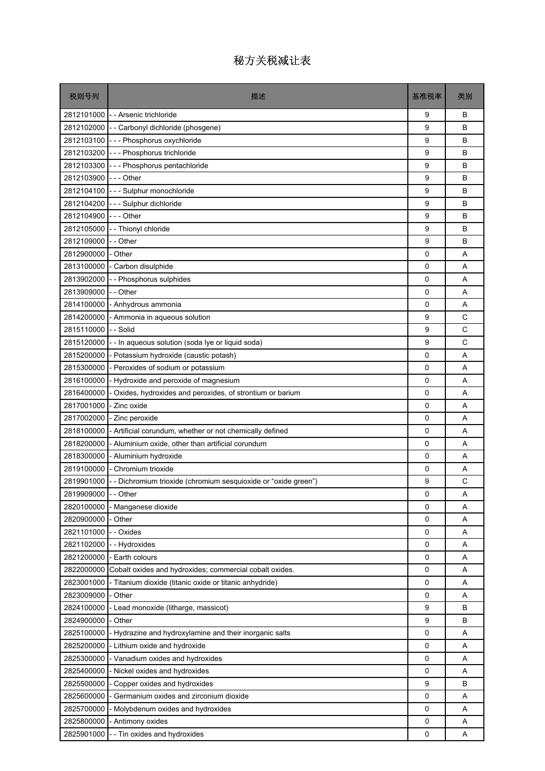| 税则号列                 | 描述                                                              | 基准税率        | 类别 |
|----------------------|-----------------------------------------------------------------|-------------|----|
|                      | 2812101000 -- Arsenic trichloride                               | 9           | B  |
|                      | 2812102000 - - Carbonyl dichloride (phosgene)                   | 9           | B  |
|                      | 2812103100 --- Phosphorus oxychloride                           | 9           | B  |
| 2812103200           | --- Phosphorus trichloride                                      | 9           | B  |
| 2812103300           | --- Phosphorus pentachloride                                    | 9           | B  |
| 2812103900           | -  -  - Other                                                   | 9           | B  |
|                      | 2812104100 -- Sulphur monochloride                              | 9           | B  |
| 2812104200           | --- Sulphur dichloride                                          | 9           | B  |
| 2812104900           | -  - - Other                                                    | 9           | B  |
| 2812105000           | -- Thionyl chloride                                             | 9           | B  |
| 2812109000           | - - Other                                                       | 9           | B  |
| 2812900000           | - Other                                                         | 0           | A  |
| 2813100000           | - Carbon disulphide                                             | $\mathbf 0$ | A  |
| 2813902000           | - - Phosphorus sulphides                                        | 0           | A  |
| 2813909000           | - - Other                                                       | 0           | A  |
| 2814100000           | - Anhydrous ammonia                                             | 0           | A  |
| 2814200000           | - Ammonia in aqueous solution                                   | 9           | C  |
| 2815110000           | - - Solid                                                       | 9           | C  |
| 2815120000           | -- In aqueous solution (soda lye or liquid soda)                | 9           | C  |
| 2815200000           | - Potassium hydroxide (caustic potash)                          | 0           | A  |
| 2815300000           | - Peroxides of sodium or potassium                              | 0           | A  |
| 2816100000           | - Hydroxide and peroxide of magnesium                           | 0           | A  |
| 2816400000           | - Oxides, hydroxides and peroxides, of strontium or barium      | 0           | Α  |
| 2817001000           | - Zinc oxide                                                    | 0           | A  |
| 2817002000           | - Zinc peroxide                                                 | 0           | A  |
| 2818100000           | - Artificial corundum, whether or not chemically defined        | 0           | A  |
| 2818200000           | - Aluminium oxide, other than artificial corundum               | 0           | Α  |
| 2818300000           | - Aluminium hydroxide                                           | $\mathbf 0$ | A  |
| 2819100000           | - Chromium trioxide                                             | 0           | Α  |
| 2819901000           | - - Dichromium trioxide (chromium sesquioxide or "oxide green") | 9           | C  |
| 2819909000 - - Other |                                                                 | 0           | Α  |
| 2820100000           | - Manganese dioxide                                             | 0           | A  |
| 2820900000           | - Other                                                         | 0           | Α  |
| 2821101000           | - - Oxides                                                      | 0           | Α  |
| 2821102000           | - - Hydroxides                                                  | 0           | Α  |
| 2821200000           | - Earth colours                                                 | 0           | Α  |
| 2822000000           | Cobalt oxides and hydroxides; commercial cobalt oxides.         | 0           | Α  |
| 2823001000           | - Titanium dioxide (titanic oxide or titanic anhydride)         | 0           | Α  |
| 2823009000           | - Other                                                         | 0           | Α  |
| 2824100000           | - Lead monoxide (litharge, massicot)                            | 9           | в  |
| 2824900000           | - Other                                                         | 9           | B  |
| 2825100000           | - Hydrazine and hydroxylamine and their inorganic salts         | 0           | Α  |
| 2825200000           | - Lithium oxide and hydroxide                                   | 0           | Α  |
| 2825300000           | - Vanadium oxides and hydroxides                                | 0           | Α  |
| 2825400000           | - Nickel oxides and hydroxides                                  | 0           | Α  |
| 2825500000           | - Copper oxides and hydroxides                                  | 9           | B  |
| 2825600000           | - Germanium oxides and zirconium dioxide                        | 0           | Α  |
| 2825700000           | - Molybdenum oxides and hydroxides                              | 0           | Α  |
| 2825800000           | - Antimony oxides                                               | 0           | Α  |
| 2825901000           | -- Tin oxides and hydroxides                                    | 0           | Α  |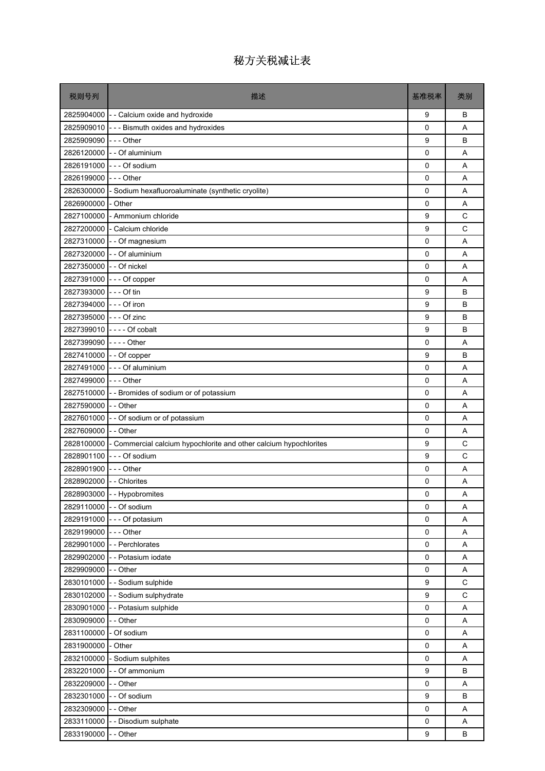| 税则号列                     | 描述                                                                           | 基准税率        | 类别          |
|--------------------------|------------------------------------------------------------------------------|-------------|-------------|
|                          | 2825904000 - - Calcium oxide and hydroxide                                   | 9           | B           |
|                          | 2825909010 --- Bismuth oxides and hydroxides                                 | $\Omega$    | A           |
| 2825909090 --- Other     |                                                                              | 9           | B           |
|                          | 2826120000 - - Of aluminium                                                  | $\mathbf 0$ | A           |
|                          | 2826191000 --- Of sodium                                                     | $\mathbf 0$ | A           |
| 2826199000 --- Other     |                                                                              | $\mathbf 0$ | A           |
|                          | 2826300000 - Sodium hexafluoroaluminate (synthetic cryolite)                 | 0           | A           |
| 2826900000               | - Other                                                                      | 0           | A           |
|                          | 2827100000 - Ammonium chloride                                               | 9           | C           |
|                          | 2827200000 - Calcium chloride                                                | 9           | C           |
| 2827310000               | - - Of magnesium                                                             | 0           | A           |
|                          | 2827320000 - - Of aluminium                                                  | 0           | A           |
| 2827350000 - - Of nickel |                                                                              | $\mathbf 0$ | A           |
|                          | 2827391000 --- Of copper                                                     | 0           | A           |
| 2827393000 - - - Of tin  |                                                                              | 9           | B           |
| 2827394000 --- Of iron   |                                                                              | 9           | B           |
| 2827395000 --- Of zinc   |                                                                              | 9           | B           |
|                          | 2827399010 ---- Of cobalt                                                    | 9           | B           |
| 2827399090 ---- Other    |                                                                              | $\Omega$    | A           |
| 2827410000 - - Of copper |                                                                              | 9           | B           |
|                          | 2827491000 - - - Of aluminium                                                | 0           | A           |
| 2827499000 --- Other     |                                                                              | 0           | A           |
|                          | 2827510000 - - Bromides of sodium or of potassium                            | $\mathbf 0$ | A           |
| 2827590000 - - Other     |                                                                              | $\mathbf 0$ | A           |
|                          | 2827601000 - - Of sodium or of potassium                                     | $\mathbf 0$ | A           |
| 2827609000 - - Other     |                                                                              | 0           | A           |
|                          | 2828100000 - Commercial calcium hypochlorite and other calcium hypochlorites | 9           | С           |
|                          | 2828901100 --- Of sodium                                                     | 9           | C           |
| 2828901900 --- Other     |                                                                              | 0           | A           |
| 2828902000 - - Chlorites |                                                                              | 0           | A           |
|                          | 2828903000 - - Hypobromites                                                  | 0           | Α           |
|                          | 2829110000 - - Of sodium                                                     | $\Omega$    | Α           |
|                          | 2829191000 - - - Of potasium                                                 | $\mathsf 0$ | Α           |
| 2829199000 - - - Other   |                                                                              | 0           | Α           |
|                          | 2829901000 - - Perchlorates                                                  | 0           | Α           |
|                          | 2829902000 - - Potasium iodate                                               | $\mathsf 0$ | Α           |
| 2829909000 - - Other     |                                                                              | 0           | Α           |
|                          | 2830101000 - - Sodium sulphide                                               | 9           | C           |
|                          | 2830102000 - - Sodium sulphydrate                                            | 9           | $\mathsf C$ |
|                          | 2830901000 - - Potasium sulphide                                             | $\mathsf 0$ | Α           |
| 2830909000               | - - Other                                                                    | 0           | Α           |
| 2831100000 - Of sodium   |                                                                              | 0           | Α           |
| 2831900000               | - Other                                                                      | $\mathsf 0$ | Α           |
|                          | 2832100000 - Sodium sulphites                                                | 0           | Α           |
|                          | 2832201000 - - Of ammonium                                                   | 9           | B           |
| 2832209000               | - - Other                                                                    | $\mathsf 0$ | Α           |
| 2832301000               | - - Of sodium                                                                | 9           | B           |
| 2832309000 - - Other     |                                                                              | 0           | Α           |
|                          | 2833110000 - - Disodium sulphate                                             | $\mathsf 0$ | Α           |
| 2833190000               | - - Other                                                                    | 9           | В           |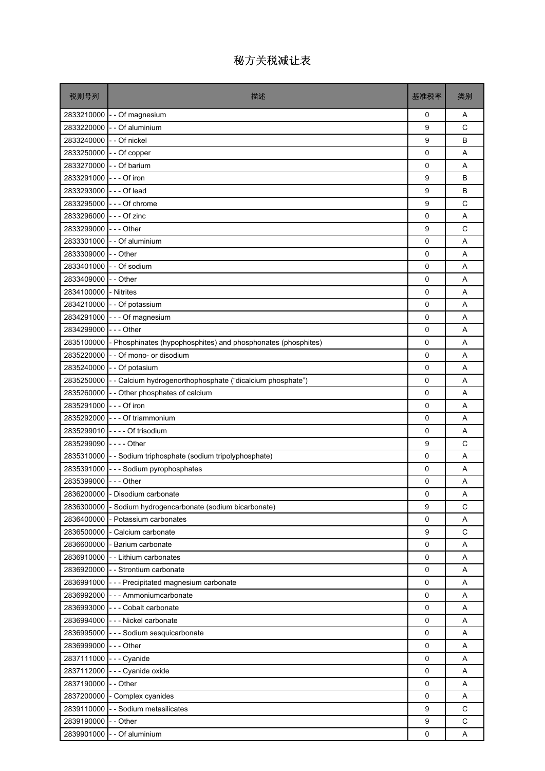| 税则号列                     | 描述                                                            | 基准税率        | 类别           |
|--------------------------|---------------------------------------------------------------|-------------|--------------|
| 2833210000               | - - Of magnesium                                              | 0           | A            |
| 2833220000               | - - Of aluminium                                              | 9           | C            |
| 2833240000               | - - Of nickel                                                 | 9           | B            |
| 2833250000               | -- Of copper                                                  | 0           | Α            |
| 2833270000               | - - Of barium                                                 | $\mathbf 0$ | Α            |
| 2833291000               | $- -$ Of iron                                                 | 9           | B            |
| 2833293000               | --- Of lead                                                   | 9           | B            |
| 2833295000               | --- Of chrome                                                 | 9           | $\mathsf{C}$ |
| 2833296000               | - - - Of zinc                                                 | 0           | A            |
| 2833299000               | $--$ Other                                                    | 9           | C            |
| 2833301000               | - - Of aluminium                                              | 0           | A            |
| 2833309000 - - Other     |                                                               | 0           | A            |
| 2833401000 - - Of sodium |                                                               | $\mathbf 0$ | A            |
| 2833409000               | - - Other                                                     | 0           | Α            |
| 2834100000               | - Nitrites                                                    | 0           | A            |
| 2834210000               | - - Of potassium                                              | 0           | A            |
| 2834291000               | - - - Of magnesium                                            | $\mathbf 0$ | Α            |
| 2834299000               | $- -$ Other                                                   | $\mathbf 0$ | A            |
| 2835100000               | - Phosphinates (hypophosphites) and phosphonates (phosphites) | 0           | A            |
| 2835220000               | - - Of mono- or disodium                                      | 0           | Α            |
| 2835240000               | - - Of potasium                                               | $\mathbf 0$ | A            |
| 2835250000               | - - Calcium hydrogenorthophosphate ("dicalcium phosphate")    | 0           | Α            |
| 2835260000               | - Other phosphates of calcium                                 | $\mathbf 0$ | A            |
| 2835291000               | --- Of iron                                                   | 0           | A            |
|                          | 2835292000 - - - Of triammonium                               | $\mathbf 0$ | A            |
|                          | 2835299010 ---- Of trisodium                                  | 0           | A            |
| 2835299090               | $\mathsf{l}$ --- Other                                        | 9           | C            |
|                          | 2835310000 - - Sodium triphosphate (sodium tripolyphosphate)  | $\mathbf 0$ | A            |
| 2835391000               | --- Sodium pyrophosphates                                     | $\mathbf 0$ | A            |
| 2835399000               | $- -$ Other                                                   | 0           | Α            |
|                          | 2836200000 - Disodium carbonate                               | 0           | Α            |
| 2836300000               | - Sodium hydrogencarbonate (sodium bicarbonate)               | 9           | C            |
| 2836400000               | Potassium carbonates                                          | 0           | Α            |
| 2836500000               | - Calcium carbonate                                           | 9           | $\mathsf C$  |
|                          | 2836600000 - Barium carbonate                                 | 0           | Α            |
|                          | 2836910000 - - Lithium carbonates                             | 0           | Α            |
| 2836920000               | - - Strontium carbonate                                       | 0           | Α            |
|                          | 2836991000 - - - Precipitated magnesium carbonate             | 0           | Α            |
| 2836992000               | --- Ammoniumcarbonate                                         | $\mathsf 0$ | Α            |
| 2836993000               | --- Cobalt carbonate                                          | 0           | Α            |
| 2836994000               | --- Nickel carbonate                                          | $\mathbf 0$ | Α            |
|                          | 2836995000 - - - Sodium sesquicarbonate                       | $\mathbf 0$ | Α            |
| 2836999000               | $--$ Other                                                    | 0           | Α            |
| 2837111000               | --- Cyanide                                                   | 0           | Α            |
| 2837112000               | - - - Cyanide oxide                                           | $\mathbf 0$ | Α            |
| 2837190000               | - - Other                                                     | 0           | Α            |
| 2837200000               | - Complex cyanides                                            | 0           | Α            |
| 2839110000               | - - Sodium metasilicates                                      | 9           | C            |
| 2839190000               | - - Other                                                     | 9           | $\mathsf C$  |
| 2839901000               | - - Of aluminium                                              | 0           | Α            |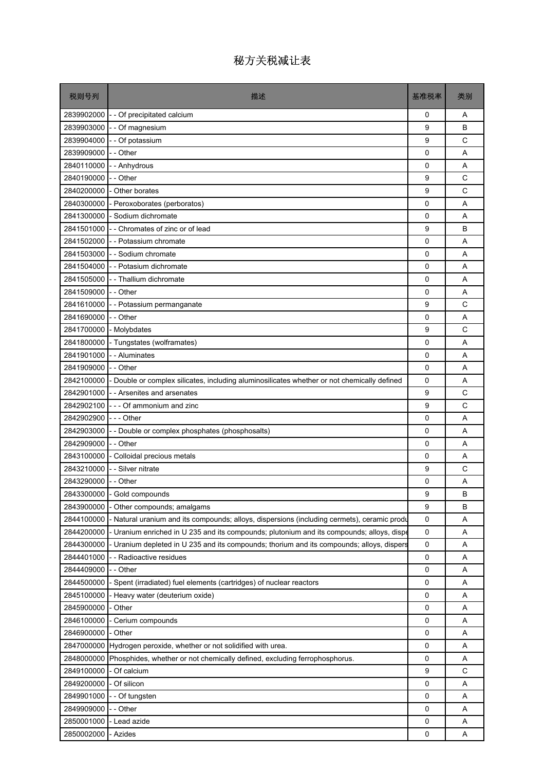| 税则号列                 | 描述                                                                                          | 基准税率        | 类别 |
|----------------------|---------------------------------------------------------------------------------------------|-------------|----|
| 2839902000           | - - Of precipitated calcium                                                                 | 0           | A  |
| 2839903000           | - - Of magnesium                                                                            | 9           | B  |
| 2839904000           | - - Of potassium                                                                            | 9           | C  |
| 2839909000           | - - Other                                                                                   | 0           | A  |
| 2840110000           | - - Anhydrous                                                                               | 0           | A  |
| 2840190000           | - - Other                                                                                   | 9           | C  |
| 2840200000           | - Other borates                                                                             | 9           | C  |
|                      | 2840300000 - Peroxoborates (perboratos)                                                     | 0           | A  |
|                      | 2841300000 - Sodium dichromate                                                              | 0           | A  |
| 2841501000           | -- Chromates of zinc or of lead                                                             | 9           | B  |
| 2841502000           | - - Potassium chromate                                                                      | 0           | A  |
|                      | 2841503000 - Sodium chromate                                                                | 0           | A  |
|                      | 2841504000 - - Potasium dichromate                                                          | 0           | A  |
|                      | 2841505000 - Thallium dichromate                                                            | 0           | A  |
| 2841509000 - - Other |                                                                                             | 0           | A  |
| 2841610000           | - - Potassium permanganate                                                                  | 9           | C  |
| 2841690000           | - - Other                                                                                   | 0           | A  |
| 2841700000           | - Molybdates                                                                                | 9           | C  |
|                      | 2841800000 - Tungstates (wolframates)                                                       | 0           | A  |
| 2841901000           | - - Aluminates                                                                              | 0           | A  |
| 2841909000           | - - Other                                                                                   | 0           | A  |
| 2842100000           | - Double or complex silicates, including aluminosilicates whether or not chemically defined | 0           | A  |
| 2842901000           | - - Arsenites and arsenates                                                                 | 9           | C  |
|                      | 2842902100 $\vert$ - - - Of ammonium and zinc                                               | 9           | C  |
| 2842902900 --- Other |                                                                                             | $\mathbf 0$ | A  |
| 2842903000           | - - Double or complex phosphates (phosphosalts)                                             | 0           | A  |
| 2842909000 -- Other  |                                                                                             | 0           | A  |
|                      | 2843100000 - Colloidal precious metals                                                      | 0           | A  |
|                      | 2843210000 - Silver nitrate                                                                 | 9           | C  |
| 2843290000 - - Other |                                                                                             | 0           | A  |
|                      | 2843300000 - Gold compounds                                                                 | 9           | B  |
| 2843900000           | - Other compounds; amalgams                                                                 | 9           | B  |
| 2844100000           | - Natural uranium and its compounds; alloys, dispersions (including cermets), ceramic produ | 0           | Α  |
| 2844200000           | - Uranium enriched in U 235 and its compounds; plutonium and its compounds; alloys, dispe   | 0           | Α  |
| 2844300000           | - Uranium depleted in U 235 and its compounds; thorium and its compounds; alloys, dispers   | 0           | Α  |
| 2844401000           | - - Radioactive residues                                                                    | 0           | Α  |
| 2844409000           | - - Other                                                                                   | 0           | Α  |
| 2844500000           | - Spent (irradiated) fuel elements (cartridges) of nuclear reactors                         | 0           | Α  |
| 2845100000           | - Heavy water (deuterium oxide)                                                             | 0           | Α  |
| 2845900000           | - Other                                                                                     | 0           | Α  |
| 2846100000           | - Cerium compounds                                                                          | 0           | Α  |
| 2846900000           | - Other                                                                                     | 0           | Α  |
| 2847000000           | Hydrogen peroxide, whether or not solidified with urea.                                     | 0           | Α  |
| 2848000000           | Phosphides, whether or not chemically defined, excluding ferrophosphorus.                   | 0           | Α  |
| 2849100000           | - Of calcium                                                                                | 9           | C  |
| 2849200000           | - Of silicon                                                                                | 0           | Α  |
| 2849901000           | - - Of tungsten                                                                             | 0           | Α  |
| 2849909000           | -- Other                                                                                    | $\mathbf 0$ | A  |
| 2850001000           | - Lead azide                                                                                | 0           | Α  |
| 2850002000           | - Azides                                                                                    | 0           | Α  |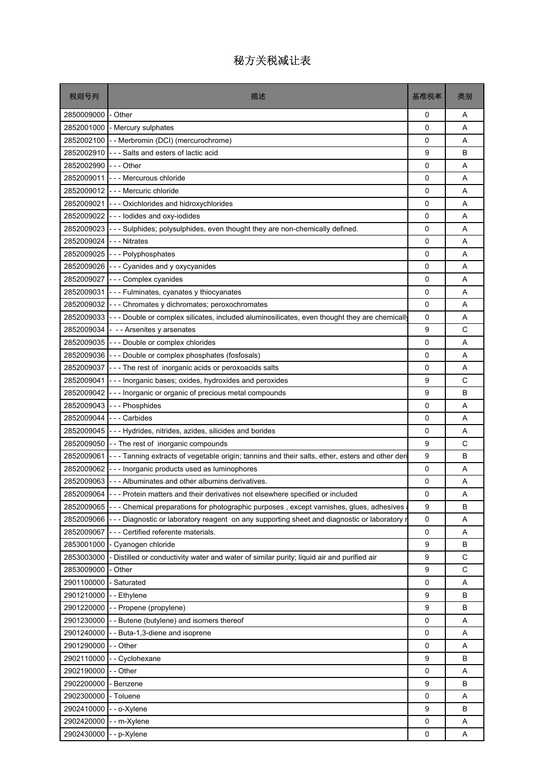| 税则号列       | 描述                                                                                              | 基准税率        | 类别 |
|------------|-------------------------------------------------------------------------------------------------|-------------|----|
| 2850009000 | - Other                                                                                         | 0           | Α  |
| 2852001000 | - Mercury sulphates                                                                             | 0           | A  |
| 2852002100 | - - Merbromin (DCI) (mercurochrome)                                                             | 0           | A  |
| 2852002910 | - - - Salts and esters of lactic acid                                                           | 9           | B  |
| 2852002990 | -  -  - Other                                                                                   | 0           | A  |
| 2852009011 | - - - Mercurous chloride                                                                        | 0           | Α  |
| 2852009012 | -  - - Mercuric chloride                                                                        | 0           | A  |
| 2852009021 | --- Oxichlorides and hidroxychlorides                                                           | 0           | A  |
| 2852009022 | --- lodides and oxy-iodides                                                                     | 0           | A  |
| 2852009023 | - - Sulphides; polysulphides, even thought they are non-chemically defined.                     | 0           | Α  |
| 2852009024 | - - - Nitrates                                                                                  | 0           | A  |
| 2852009025 | --- Polyphosphates                                                                              | 0           | Α  |
| 2852009026 | --- Cyanides and y oxycyanides                                                                  | 0           | A  |
| 2852009027 | - - Complex cyanides                                                                            | 0           | A  |
| 2852009031 | - - Fulminates, cyanates y thiocyanates                                                         | 0           | A  |
| 2852009032 | - - Chromates y dichromates; peroxochromates                                                    | 0           | Α  |
| 2852009033 | - Double or complex silicates, included aluminosilicates, even thought they are chemically      | 0           | A  |
| 2852009034 | - - Arsenites y arsenates                                                                       | 9           | С  |
| 2852009035 | --- Double or complex chlorides                                                                 | $\mathbf 0$ | A  |
| 2852009036 | --- Double or complex phosphates (fosfosals)                                                    | 0           | A  |
| 2852009037 | --- The rest of inorganic acids or peroxoacids salts                                            | 0           | Α  |
| 2852009041 | - Inorganic bases; oxides, hydroxides and peroxides                                             | 9           | C  |
| 2852009042 | --- Inorganic or organic of precious metal compounds                                            | 9           | B  |
| 2852009043 | --- Phosphides                                                                                  | $\mathbf 0$ | A  |
| 2852009044 | - - - Carbides                                                                                  | 0           | A  |
| 2852009045 | - - - Hydrides, nitrides, azides, silicides and borides                                         | 0           | Α  |
| 2852009050 | - The rest of inorganic compounds                                                               | 9           | С  |
| 2852009061 | --- Tanning extracts of vegetable origin; tannins and their salts, ether, esters and other deri | 9           | B  |
| 2852009062 | --- Inorganic products used as luminophores                                                     | 0           | Α  |
| 2852009063 | - - - Albuminates and other albumins derivatives.                                               | 0           | Α  |
| 2852009064 | Protein matters and their derivatives not elsewhere specified or included                       | 0           | Α  |
| 2852009065 | --- Chemical preparations for photographic purposes, except varnishes, glues, adhesives         | 9           | в  |
| 2852009066 | - - - Diagnostic or laboratory reagent on any supporting sheet and diagnostic or laboratory r   | 0           | Α  |
| 2852009067 | - - Certified referente materials.                                                              | 0           | A  |
| 2853001000 | - Cyanogen chloride                                                                             | 9           | B  |
| 2853003000 | - Distilled or conductivity water and water of similar purity; liquid air and purified air      | 9           | С  |
| 2853009000 | Other                                                                                           | 9           | C  |
| 2901100000 | - Saturated                                                                                     | 0           | A  |
| 2901210000 | - Ethylene                                                                                      | 9           | B  |
| 2901220000 | -- Propene (propylene)                                                                          | 9           | В  |
| 2901230000 | - - Butene (butylene) and isomers thereof                                                       | 0           | Α  |
| 2901240000 | - Buta-1,3-diene and isoprene                                                                   | 0           | Α  |
| 2901290000 | - - Other                                                                                       | 0           | A  |
| 2902110000 | - Cyclohexane                                                                                   | 9           | B  |
| 2902190000 | - - Other                                                                                       | 0           | Α  |
| 2902200000 | - Benzene                                                                                       | 9           | В  |
| 2902300000 | - Toluene                                                                                       | 0           | Α  |
| 2902410000 | - - o-Xylene                                                                                    | 9           | B  |
| 2902420000 | - m-Xylene                                                                                      | 0           | Α  |
| 2902430000 | - p-Xylene                                                                                      | 0           | Α  |
|            |                                                                                                 |             |    |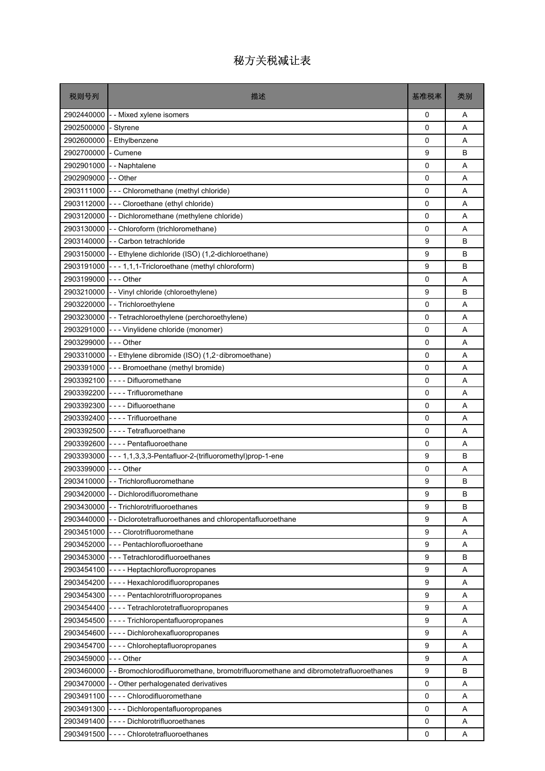| 税则号列                   | 描述                                                                                             | 基准税率        | 类别 |
|------------------------|------------------------------------------------------------------------------------------------|-------------|----|
| 2902440000             | - - Mixed xylene isomers                                                                       | 0           | A  |
| 2902500000             | - Styrene                                                                                      | 0           | A  |
| 2902600000             | - Ethylbenzene                                                                                 | 0           | A  |
| 2902700000             | - Cumene                                                                                       | 9           | B  |
|                        | 2902901000 - - Naphtalene                                                                      | 0           | A  |
| 2902909000 - - Other   |                                                                                                | 0           | A  |
|                        | 2903111000 - - - Chloromethane (methyl chloride)                                               | 0           | Α  |
|                        | 2903112000 - - - Cloroethane (ethyl chloride)                                                  | 0           | A  |
|                        | 2903120000 - - Dichloromethane (methylene chloride)                                            | 0           | A  |
|                        | 2903130000 - - Chloroform (trichloromethane)                                                   | 0           | A  |
|                        | 2903140000 - Carbon tetrachloride                                                              | 9           | B  |
|                        | 2903150000 - Ethylene dichloride (ISO) (1,2-dichloroethane)                                    | 9           | B  |
|                        | 2903191000 --- 1,1,1-Tricloroethane (methyl chloroform)                                        | 9           | B  |
| 2903199000 --- Other   |                                                                                                | 0           | Α  |
|                        | 2903210000 - - Vinyl chloride (chloroethylene)                                                 | 9           | B  |
|                        | 2903220000 - Trichloroethylene                                                                 | 0           | A  |
|                        | 2903230000 - - Tetrachloroethylene (perchoroethylene)                                          | 0           | A  |
|                        | 2903291000 - - - Vinylidene chloride (monomer)                                                 | 0           | A  |
| 2903299000 - - - Other |                                                                                                | 0           | A  |
|                        | 2903310000 - Ethylene dibromide (ISO) (1,2-dibromoethane)                                      | 0           | A  |
|                        | 2903391000 - - - Bromoethane (methyl bromide)                                                  | 0           | A  |
|                        | 2903392100 ---- Difluoromethane                                                                | 0           | A  |
|                        | 2903392200 ---- Trifluoromethane                                                               | 0           | A  |
|                        | 2903392300 ---- Difluoroethane                                                                 | 0           | A  |
|                        | 2903392400 - - - - Trifluoroethane                                                             | 0           | A  |
|                        | 2903392500 ---- Tetrafluoroethane                                                              | 0           | A  |
|                        | 2903392600 ---- Pentafluoroethane                                                              | 0           | A  |
|                        | 2903393000 - - - 1,1,3,3,3-Pentafluor-2-(trifluoromethyl)prop-1-ene                            | 9           | B  |
| 2903399000 --- Other   |                                                                                                | 0           | Α  |
|                        | 2903410000 - Trichlorofluoromethane                                                            | 9           | в  |
|                        | 2903420000 - - Dichlorodifluoromethane                                                         | 9           | B  |
|                        | 2903430000 - Trichlorotrifluoroethanes                                                         | 9           | B  |
| 2903440000             | - - Diclorotetrafluoroethanes and chloropentafluoroethane                                      | 9           | Α  |
|                        | 2903451000 - - - Clorotrifluoromethane                                                         | 9           | Α  |
|                        | 2903452000 - - - Pentachlorofluoroethane                                                       | 9           | Α  |
|                        | 2903453000 - - - Tetrachlorodifluoroethanes                                                    | 9           | в  |
|                        | 2903454100 ---- Heptachlorofluoropropanes                                                      | 9           | Α  |
|                        | 2903454200 ---- Hexachlorodifluoropropanes                                                     | 9           | Α  |
|                        | 2903454300 ---- Pentachlorotrifluoropropanes                                                   | 9           | Α  |
|                        | 2903454400 ---- Tetrachlorotetrafluoropropanes                                                 | 9           | Α  |
|                        | 2903454500 - - - - Trichloropentafluoropropanes                                                | 9           | Α  |
|                        | 2903454600 - - - - Dichlorohexafluoropropanes                                                  | 9           | A  |
|                        | 2903454700 ---- Chloroheptafluoropropanes                                                      | 9           | Α  |
| 2903459000 --- Other   |                                                                                                | 9           | Α  |
|                        | 2903460000 - - Bromochlorodifluoromethane, bromotrifluoromethane and dibromotetrafluoroethanes | 9           | B  |
|                        | 2903470000 - - Other perhalogenated derivatives                                                | 0           | Α  |
|                        | 2903491100 ---- Chlorodifluoromethane                                                          | 0           | Α  |
| 2903491300             | ---- Dichloropentafluoropropanes                                                               | $\mathbf 0$ | A  |
|                        | 2903491400 ---- Dichlorotrifluoroethanes                                                       | 0           | Α  |
|                        | 2903491500 ---- Chlorotetrafluoroethanes                                                       | 0           | Α  |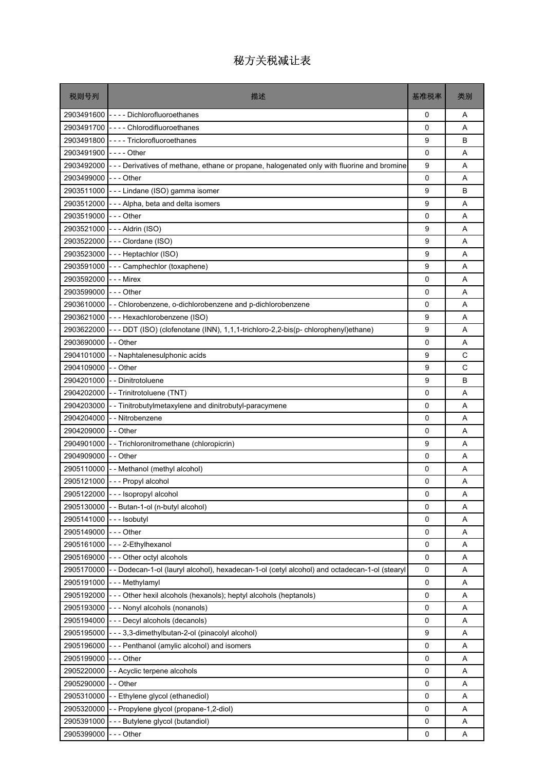| 税则号列                  | 描述                                                                                                       | 基准税率     | 类别 |
|-----------------------|----------------------------------------------------------------------------------------------------------|----------|----|
|                       | 2903491600 ---- Dichlorofluoroethanes                                                                    | 0        | A  |
|                       | 2903491700 ---- Chlorodifluoroethanes                                                                    | 0        | A  |
|                       | 2903491800 ---- Triclorofluoroethanes                                                                    | 9        | B  |
| 2903491900 ---- Other |                                                                                                          | 0        | Α  |
|                       | 2903492000 - - - Derivatives of methane, ethane or propane, halogenated only with fluorine and bromine   | 9        | A  |
| 2903499000 --- Other  |                                                                                                          | 0        | A  |
|                       | 2903511000 - - - Lindane (ISO) gamma isomer                                                              | 9        | B  |
|                       | 2903512000 - - - Alpha, beta and delta isomers                                                           | 9        | A  |
| 2903519000  --- Other |                                                                                                          | 0        | A  |
|                       | 2903521000 --- Aldrin (ISO)                                                                              | 9        | A  |
|                       | 2903522000 --- Clordane (ISO)                                                                            | 9        | Α  |
|                       | 2903523000 --- Heptachlor (ISO)                                                                          | 9        | A  |
|                       | 2903591000 - - - Camphechlor (toxaphene)                                                                 | 9        | A  |
| 2903592000 --- Mirex  |                                                                                                          | 0        | Α  |
| 2903599000  --- Other |                                                                                                          | 0        | A  |
|                       | 2903610000 - Chlorobenzene, o-dichlorobenzene and p-dichlorobenzene                                      | $\Omega$ | A  |
|                       | 2903621000 - - - Hexachlorobenzene (ISO)                                                                 | 9        | Α  |
|                       | 2903622000 - - - DDT (ISO) (clofenotane (INN), 1,1,1-trichloro-2,2-bis(p- chlorophenyl)ethane)           | 9        | A  |
| 2903690000 - - Other  |                                                                                                          | 0        | A  |
|                       | 2904101000 - - Naphtalenesulphonic acids                                                                 | 9        | C  |
| 2904109000 - - Other  |                                                                                                          | 9        | C  |
|                       | 2904201000 - - Dinitrotoluene                                                                            | 9        | B  |
| 2904202000            | - - Trinitrotoluene (TNT)                                                                                | 0        | Α  |
|                       | 2904203000 - Tinitrobutylmetaxylene and dinitrobutyl-paracymene                                          | 0        | Α  |
|                       | 2904204000 - - Nitrobenzene                                                                              | 0        | A  |
| 2904209000 - - Other  |                                                                                                          | 0        | A  |
|                       | 2904901000 - Trichloronitromethane (chloropicrin)                                                        | 9        | Α  |
| 2904909000 - - Other  |                                                                                                          | 0        | A  |
|                       | 2905110000 - - Methanol (methyl alcohol)                                                                 | 0        | A  |
|                       | 2905121000 --- Propyl alcohol                                                                            | 0        | A  |
|                       | 2905122000 --- Isopropyl alcohol                                                                         | 0        | Α  |
|                       | 2905130000 - - Butan-1-ol (n-butyl alcohol)                                                              | 0        | Α  |
| 2905141000            | - - - Isobutyl                                                                                           | 0        | Α  |
| 2905149000            | -  - - Other                                                                                             | 0        | Α  |
| 2905161000            | --- 2-Ethylhexanol                                                                                       | 0        | Α  |
|                       | 2905169000 - - - Other octyl alcohols                                                                    | 0        | Α  |
|                       | 2905170000 - - Dodecan-1-ol (lauryl alcohol), hexadecan-1-ol (cetyl alcohol) and octadecan-1-ol (stearyl | 0        | Α  |
| 2905191000            | --- Methylamyl                                                                                           | 0        | Α  |
|                       | 2905192000 - - - Other hexil alcohols (hexanols); heptyl alcohols (heptanols)                            | 0        | Α  |
|                       | 2905193000 --- Nonyl alcohols (nonanols)                                                                 | 0        | Α  |
|                       | 2905194000 - - - Decyl alcohols (decanols)                                                               | 0        | Α  |
|                       | 2905195000 - - - 3,3-dimethylbutan-2-ol (pinacolyl alcohol)                                              | 9        | Α  |
| 2905196000            | --- Penthanol (amylic alcohol) and isomers                                                               | 0        | Α  |
| 2905199000            | -  - - Other                                                                                             | 0        | Α  |
| 2905220000            | - - Acyclic terpene alcohols                                                                             | 0        | Α  |
| 2905290000            | - - Other                                                                                                | 0        | Α  |
|                       | 2905310000 - - Ethylene glycol (ethanediol)                                                              | 0        | Α  |
| 2905320000            | - - Propylene glycol (propane-1,2-diol)                                                                  | 0        | Α  |
| 2905391000            | --- Butylene glycol (butandiol)                                                                          | 0        | Α  |
| 2905399000            | - - - Other                                                                                              | 0        | Α  |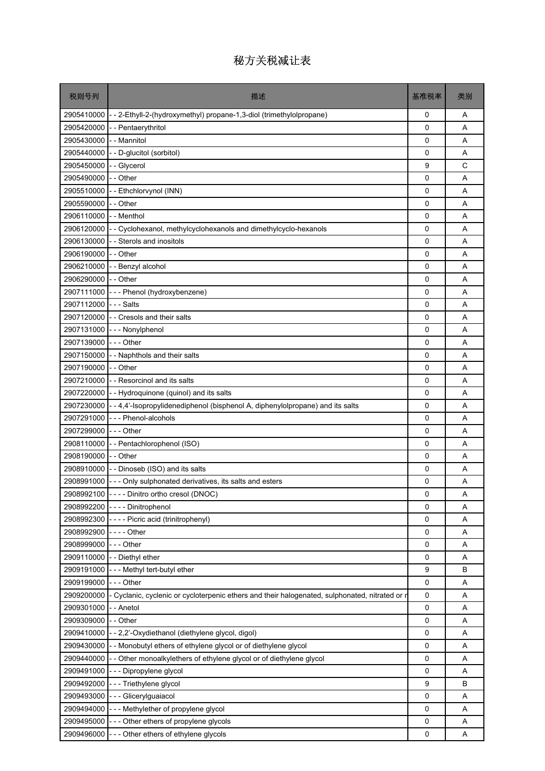| 税则号列       | 描述                                                                                           | 基准税率        | 类别 |
|------------|----------------------------------------------------------------------------------------------|-------------|----|
| 2905410000 | - - 2-Ethyll-2-(hydroxymethyl) propane-1,3-diol (trimethylolpropane)                         | 0           | A  |
| 2905420000 | - Pentaerythritol                                                                            | $\Omega$    | A  |
| 2905430000 | - - Mannitol                                                                                 | 0           | A  |
| 2905440000 | - - D-glucitol (sorbitol)                                                                    | 0           | Α  |
| 2905450000 | - Glycerol                                                                                   | 9           | C  |
| 2905490000 | -- Other                                                                                     | 0           | A  |
| 2905510000 | -- Ethchlorvynol (INN)                                                                       | 0           | Α  |
| 2905590000 | - - Other                                                                                    | 0           | A  |
| 2906110000 | - - Menthol                                                                                  | 0           | A  |
| 2906120000 | - Cyclohexanol, methylcyclohexanols and dimethylcyclo-hexanols                               | 0           | Α  |
| 2906130000 | - - Sterols and inositols                                                                    | 0           | A  |
| 2906190000 | - - Other                                                                                    | $\mathbf 0$ | A  |
| 2906210000 | - - Benzyl alcohol                                                                           | $\mathbf 0$ | A  |
| 2906290000 | - - Other                                                                                    | 0           | A  |
| 2907111000 | --- Phenol (hydroxybenzene)                                                                  | 0           | A  |
| 2907112000 | - - - Salts                                                                                  | 0           | A  |
| 2907120000 | -- Cresols and their salts                                                                   | 0           | Α  |
| 2907131000 | --- Nonylphenol                                                                              | 0           | A  |
| 2907139000 | -  - - Other                                                                                 | $\mathbf 0$ | A  |
| 2907150000 | - - Naphthols and their salts                                                                | 0           | Α  |
| 2907190000 | - - Other                                                                                    | 0           | A  |
| 2907210000 | - - Resorcinol and its salts                                                                 | 0           | A  |
|            | 2907220000 - - Hydroquinone (quinol) and its salts                                           | 0           | A  |
| 2907230000 | --4,4'-Isopropylidenediphenol (bisphenol A, diphenylolpropane) and its salts                 | 0           | A  |
| 2907291000 | --- Phenol-alcohols                                                                          | 0           | A  |
| 2907299000 | -  -  - Other                                                                                | 0           | A  |
| 2908110000 | -- Pentachlorophenol (ISO)                                                                   | 0           | Α  |
| 2908190000 | -- Other                                                                                     | 0           | A  |
| 2908910000 | - - Dinoseb (ISO) and its salts                                                              | 0           | Α  |
|            | 2908991000 - - - Only sulphonated derivatives, its salts and esters                          | 0           | Α  |
|            | 2908992100 ---- Dinitro ortho cresol (DNOC)                                                  | $\Omega$    | Α  |
|            | 2908992200 ---- Dinitrophenol                                                                | 0           | Α  |
| 2908992300 | ---- Picric acid (trinitrophenyl)                                                            | 0           | Α  |
| 2908992900 |                                                                                              | 0           | Α  |
| 2908999000 | --- Other                                                                                    | 0           | Α  |
| 2909110000 | - - Diethyl ether                                                                            | 0           | Α  |
| 2909191000 | --- Methyl tert-butyl ether                                                                  | 9           | В  |
| 2909199000 | --- Other                                                                                    | 0           | Α  |
| 2909200000 | Cyclanic, cyclenic or cycloterpenic ethers and their halogenated, sulphonated, nitrated or r | 0           | Α  |
| 2909301000 | - Anetol                                                                                     | 0           | Α  |
| 2909309000 | - Other                                                                                      | 0           | Α  |
| 2909410000 | - - 2,2'-Oxydiethanol (diethylene glycol, digol)                                             | 0           | Α  |
| 2909430000 | - Monobutyl ethers of ethylene glycol or of diethylene glycol                                | 0           | Α  |
| 2909440000 | - Other monoalkylethers of ethylene glycol or of diethylene glycol                           | 0           | Α  |
| 2909491000 | --- Dipropylene glycol                                                                       | 0           | Α  |
| 2909492000 | - Triethylene glycol                                                                         | 9           | B  |
| 2909493000 | --- Glicerylguaiacol                                                                         | 0           | Α  |
| 2909494000 | --- Methylether of propylene glycol                                                          | 0           | Α  |
| 2909495000 | --- Other ethers of propylene glycols                                                        | 0           | Α  |
| 2909496000 | --- Other ethers of ethylene glycols                                                         | 0           | Α  |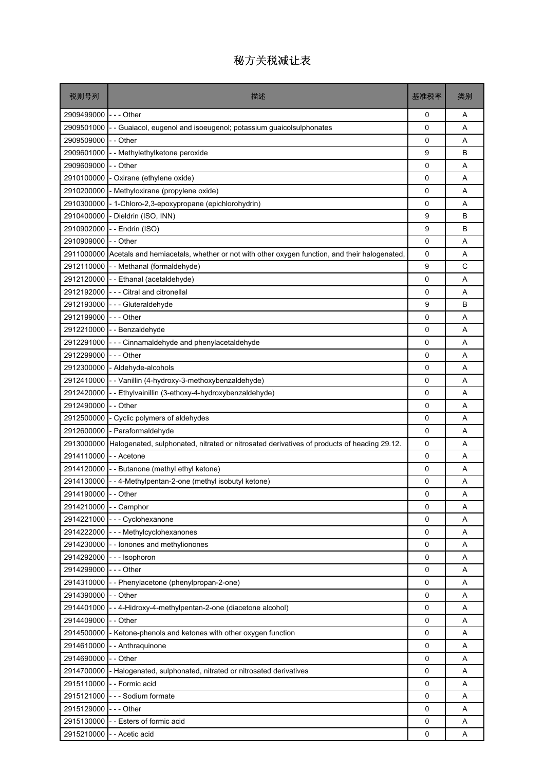| 税则号列                   | 描述                                                                                                    | 基准税率 | 类别 |
|------------------------|-------------------------------------------------------------------------------------------------------|------|----|
| 2909499000             | --- Other                                                                                             | 0    | Α  |
| 2909501000             | - - Guaiacol, eugenol and isoeugenol; potassium guaicolsulphonates                                    | 0    | Α  |
| 2909509000             | - - Other                                                                                             | 0    | A  |
| 2909601000             | - - Methylethylketone peroxide                                                                        | 9    | в  |
| 2909609000             | - - Other                                                                                             | 0    | Α  |
| 2910100000             | - Oxirane (ethylene oxide)                                                                            | 0    | A  |
| 2910200000             | - Methyloxirane (propylene oxide)                                                                     | 0    | Α  |
| 2910300000             | - 1-Chloro-2,3-epoxypropane (epichlorohydrin)                                                         | 0    | A  |
| 2910400000             | - Dieldrin (ISO, INN)                                                                                 | 9    | B  |
| 2910902000             | - - Endrin (ISO)                                                                                      | 9    | B  |
| 2910909000 - - Other   |                                                                                                       | 0    | Α  |
|                        | 2911000000 Acetals and hemiacetals, whether or not with other oxygen function, and their halogenated, | 0    | Α  |
|                        | 2912110000 - - Methanal (formaldehyde)                                                                | 9    | C  |
|                        | 2912120000 - Ethanal (acetaldehyde)                                                                   | 0    | Α  |
|                        | 2912192000 - - - Citral and citronellal                                                               | 0    | A  |
| 2912193000             | --- Gluteraldehyde                                                                                    | 9    | B  |
| 2912199000             | --- Other                                                                                             | 0    | Α  |
|                        | 2912210000 - - Benzaldehyde                                                                           | 0    | A  |
| 2912291000             | --- Cinnamaldehyde and phenylacetaldehyde                                                             | 0    | A  |
| 2912299000             | --- Other                                                                                             | 0    | Α  |
| 2912300000             | - Aldehyde-alcohols                                                                                   | 0    | Α  |
|                        | 2912410000 - Vanillin (4-hydroxy-3-methoxybenzaldehyde)                                               | 0    | Α  |
| 2912420000             | - Ethylvainillin (3-ethoxy-4-hydroxybenzaldehyde)                                                     | 0    | A  |
| 2912490000             | - - Other                                                                                             | 0    | Α  |
| 2912500000             | - Cyclic polymers of aldehydes                                                                        | 0    | A  |
| 2912600000             | - Paraformaldehyde                                                                                    | 0    | A  |
| 2913000000             | Halogenated, sulphonated, nitrated or nitrosated derivatives of products of heading 29.12.            | 0    | Α  |
| 2914110000             | - - Acetone                                                                                           | 0    | A  |
| 2914120000             | - - Butanone (methyl ethyl ketone)                                                                    | 0    | Α  |
|                        | 2914130000 - 4-Methylpentan-2-one (methyl isobutyl ketone)                                            | 0    | Α  |
| 2914190000 - - Other   |                                                                                                       | 0    | Α  |
| 2914210000 - - Camphor |                                                                                                       | 0    | Α  |
| 2914221000             | --- Cyclohexanone                                                                                     | 0    | A  |
|                        | 2914222000 - - - Methylcyclohexanones                                                                 | 0    | Α  |
|                        | 2914230000 - - lonones and methylionones                                                              | 0    | A  |
|                        | 2914292000 --- Isophoron                                                                              | 0    | A  |
| 2914299000 --- Other   |                                                                                                       | 0    | Α  |
| 2914310000             | -- Phenylacetone (phenylpropan-2-one)                                                                 | 0    | A  |
| 2914390000 - - Other   |                                                                                                       | 0    | Α  |
| 2914401000             | - - 4-Hidroxy-4-methylpentan-2-one (diacetone alcohol)                                                | 0    | Α  |
| 2914409000             | - - Other                                                                                             | 0    | Α  |
|                        | 2914500000 - Ketone-phenols and ketones with other oxygen function                                    | 0    | Α  |
| 2914610000             | - - Anthraquinone                                                                                     | 0    | A  |
| 2914690000             | - - Other                                                                                             | 0    | Α  |
|                        | 2914700000 - Halogenated, sulphonated, nitrated or nitrosated derivatives                             | 0    | A  |
|                        | 2915110000 - - Formic acid                                                                            | 0    | A  |
| 2915121000             | --- Sodium formate                                                                                    | 0    | Α  |
| 2915129000             | --- Other                                                                                             | 0    | A  |
|                        | 2915130000 - Esters of formic acid                                                                    | 0    | Α  |
|                        | 2915210000 - - Acetic acid                                                                            | 0    | Α  |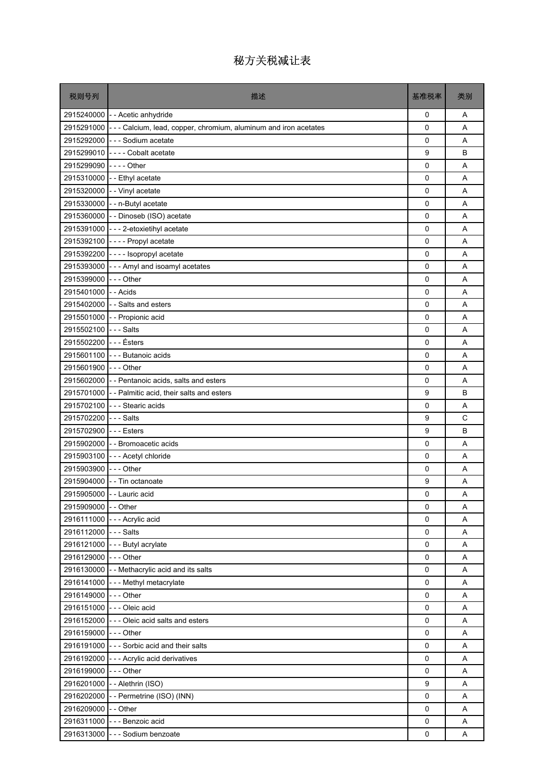| 税则号列                    | 描述                                                                           | 基准税率        | 类别 |
|-------------------------|------------------------------------------------------------------------------|-------------|----|
|                         | 2915240000 - - Acetic anhydride                                              | 0           | Α  |
|                         | 2915291000 - - - Calcium, lead, copper, chromium, aluminum and iron acetates | 0           | A  |
|                         | 2915292000 -- - Sodium acetate                                               | $\mathbf 0$ | A  |
|                         | 2915299010 ---- Cobalt acetate                                               | 9           | B  |
| 2915299090 ---- Other   |                                                                              | 0           | A  |
|                         | 2915310000 - Ethyl acetate                                                   | $\mathbf 0$ | A  |
|                         | 2915320000 - Vinyl acetate                                                   | 0           | A  |
|                         | 2915330000 - - n-Butyl acetate                                               | 0           | A  |
|                         | 2915360000 - - Dinoseb (ISO) acetate                                         | 0           | A  |
|                         | 2915391000 - - - 2-etoxietihyl acetate                                       | 0           | A  |
|                         | 2915392100 ---- Propyl acetate                                               | 0           | Α  |
|                         | 2915392200 ---- Isopropyl acetate                                            | 0           | A  |
|                         | 2915393000 - - - Amyl and isoamyl acetates                                   | $\mathbf 0$ | A  |
| 2915399000 --- Other    |                                                                              | 0           | A  |
| 2915401000 - - Acids    |                                                                              | 0           | Α  |
|                         | 2915402000 - Salts and esters                                                | 0           | A  |
|                         | 2915501000 - - Propionic acid                                                | 0           | A  |
| 2915502100 --- Salts    |                                                                              | 0           | A  |
| 2915502200 - - - Ésters |                                                                              | $\mathbf 0$ | A  |
|                         | 2915601100 --- Butanoic acids                                                | 0           | A  |
| 2915601900 --- Other    |                                                                              | 0           | A  |
|                         | 2915602000 - - Pentanoic acids, salts and esters                             | 0           | A  |
|                         | 2915701000 - Palmitic acid, their salts and esters                           | 9           | B  |
|                         | 2915702100 --- Stearic acids                                                 | $\mathbf 0$ | A  |
| 2915702200 --- Salts    |                                                                              | 9           | C  |
| 2915702900 --- Esters   |                                                                              | 9           | B  |
|                         | 2915902000 - Bromoacetic acids                                               | 0           | A  |
|                         | 2915903100 --- Acetyl chloride                                               | 0           | A  |
| 2915903900 --- Other    |                                                                              | 0           | A  |
|                         | 2915904000 - - Tin octanoate                                                 | 9           | Α  |
|                         | 2915905000 - - Lauric acid                                                   | 0           | Α  |
| 2915909000 - - Other    |                                                                              | $\Omega$    | Α  |
|                         | 2916111000 --- Acrylic acid                                                  | 0           | Α  |
| 2916112000 --- Salts    |                                                                              | 0           | Α  |
|                         | 2916121000 - - - Butyl acrylate                                              | 0           | Α  |
| 2916129000 - - - Other  |                                                                              | $\mathsf 0$ | Α  |
|                         | 2916130000 - - Methacrylic acid and its salts                                | 0           | Α  |
|                         | 2916141000 --- Methyl metacrylate                                            | 0           | Α  |
| 2916149000 - - - Other  |                                                                              | 0           | Α  |
|                         | 2916151000 - - - Oleic acid                                                  | 0           | Α  |
|                         | 2916152000 - - - Oleic acid salts and esters                                 | 0           | Α  |
| 2916159000 - - - Other  |                                                                              | $\mathbf 0$ | Α  |
|                         | 2916191000 - - - Sorbic acid and their salts                                 | 0           | Α  |
|                         | 2916192000 - - - Acrylic acid derivatives                                    | 0           | Α  |
| 2916199000 --- Other    |                                                                              | 0           | Α  |
|                         | 2916201000 - - Alethrin (ISO)                                                | 9           | Α  |
|                         | 2916202000 - - Permetrine (ISO) (INN)                                        | 0           | Α  |
| 2916209000 - - Other    |                                                                              | $\mathbf 0$ | A  |
|                         | 2916311000 - - - Benzoic acid                                                | 0           | Α  |
|                         | 2916313000 - - - Sodium benzoate                                             | 0           | A  |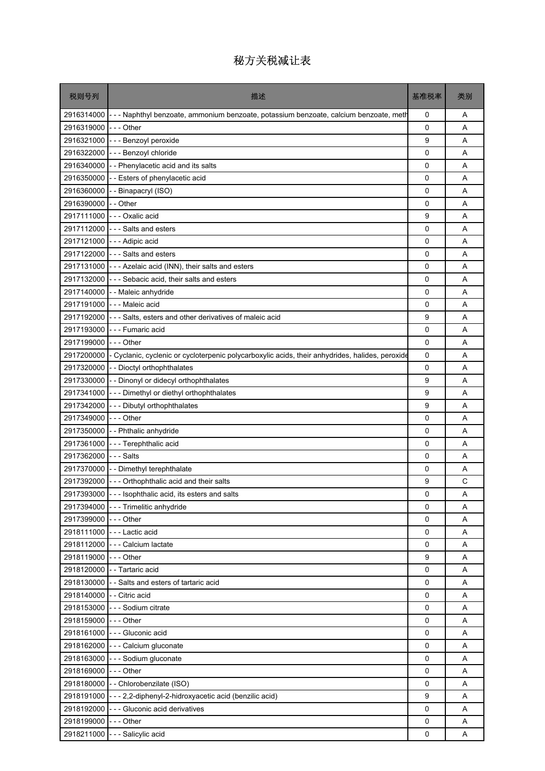| 税则号列                       | 描述                                                                                                         | 基准税率        | 类别 |
|----------------------------|------------------------------------------------------------------------------------------------------------|-------------|----|
|                            | 2916314000 - - - Naphthyl benzoate, ammonium benzoate, potassium benzoate, calcium benzoate, meth          | 0           | Α  |
| 2916319000                 | -  -  - Other                                                                                              | 0           | A  |
|                            | 2916321000 --- Benzoyl peroxide                                                                            | 9           | A  |
|                            | 2916322000 --- Benzoyl chloride                                                                            | $\mathbf 0$ | A  |
|                            | 2916340000 - - Phenylacetic acid and its salts                                                             | 0           | A  |
|                            | 2916350000 - Esters of phenylacetic acid                                                                   | 0           | Α  |
| 2916360000                 | - - Binapacryl (ISO)                                                                                       | 0           | A  |
| 2916390000 - - Other       |                                                                                                            | 0           | A  |
|                            | 2917111000 --- Oxalic acid                                                                                 | 9           | A  |
|                            | 2917112000 - - - Salts and esters                                                                          | 0           | A  |
|                            | 2917121000 - - - Adipic acid                                                                               | 0           | A  |
|                            | 2917122000 --- Salts and esters                                                                            | 0           | A  |
|                            | 2917131000 - - - Azelaic acid (INN), their salts and esters                                                | 0           | A  |
|                            | 2917132000 - - - Sebacic acid, their salts and esters                                                      | $\mathbf 0$ | A  |
| 2917140000                 | - - Maleic anhydride                                                                                       | 0           | A  |
|                            | 2917191000 --- Maleic acid                                                                                 | 0           | Α  |
| 2917192000                 | --- Salts, esters and other derivatives of maleic acid                                                     | 9           | A  |
|                            | 2917193000 - - - Fumaric acid                                                                              | 0           | A  |
| 2917199000 --- Other       |                                                                                                            | $\mathbf 0$ | A  |
|                            | 2917200000 - Cyclanic, cyclenic or cycloterpenic polycarboxylic acids, their anhydrides, halides, peroxide | 0           | A  |
|                            | 2917320000 - - Dioctyl orthophthalates                                                                     | 0           | Α  |
|                            | 2917330000 - - Dinonyl or didecyl orthophthalates                                                          | 9           | A  |
|                            | 2917341000 - - - Dimethyl or diethyl orthophthalates                                                       | 9           | A  |
|                            | 2917342000 - - - Dibutyl orthophthalates                                                                   | 9           | A  |
| 2917349000 --- Other       |                                                                                                            | 0           | A  |
|                            | 2917350000 - - Phthalic anhydride                                                                          | 0           | Α  |
| 2917361000                 | - - - Terephthalic acid                                                                                    | 0           | A  |
| 2917362000 --- Salts       |                                                                                                            | 0           | A  |
|                            | 2917370000 - - Dimethyl terephthalate                                                                      | $\mathbf 0$ | Α  |
|                            | 2917392000 - - - Orthophthalic acid and their salts                                                        | 9           | С  |
| 2917393000                 | -- Isophthalic acid, its esters and salts                                                                  | 0           | Α  |
|                            | 2917394000 - - - Trimelitic anhydride                                                                      | $\Omega$    | A  |
| 2917399000 - - - Other     |                                                                                                            | 0           | Α  |
|                            | 2918111000 --- Lactic acid                                                                                 | 0           | A  |
|                            | 2918112000 - - - Calcium lactate                                                                           | $\mathbf 0$ | Α  |
| 2918119000 --- Other       |                                                                                                            | 9           | Α  |
|                            | 2918120000 - - Tartaric acid                                                                               | 0           | A  |
|                            | 2918130000 - - Salts and esters of tartaric acid                                                           | $\Omega$    | A  |
| 2918140000 - - Citric acid |                                                                                                            | $\mathsf 0$ | Α  |
|                            | 2918153000 - - - Sodium citrate                                                                            | 0           | Α  |
| 2918159000 - - - Other     |                                                                                                            | 0           | A  |
|                            | 2918161000 - - - Gluconic acid                                                                             | 0           | A  |
|                            | 2918162000 - - - Calcium gluconate                                                                         | 0           | Α  |
|                            | 2918163000 --- Sodium gluconate                                                                            | $\mathbf 0$ | A  |
| 2918169000 --- Other       |                                                                                                            | 0           | A  |
|                            | 2918180000 - - Chlorobenzilate (ISO)                                                                       | 0           | Α  |
|                            | 2918191000 - - - 2,2-diphenyl-2-hidroxyacetic acid (benzilic acid)                                         | 9           | A  |
|                            | 2918192000 - - - Gluconic acid derivatives                                                                 | $\Omega$    | A  |
| 2918199000 --- Other       |                                                                                                            | $\mathsf 0$ | Α  |
|                            | 2918211000 --- Salicylic acid                                                                              | 0           | Α  |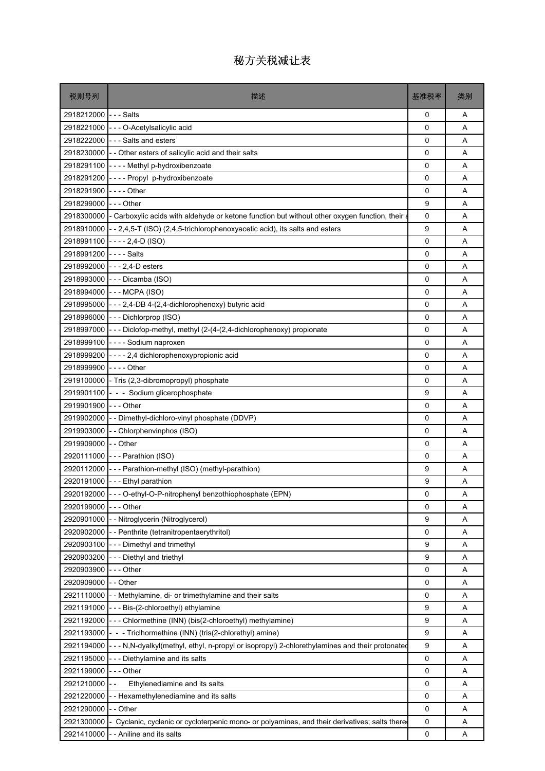| 税则号列                   | 描述                                                                                                        | 基准税率     | 类别 |
|------------------------|-----------------------------------------------------------------------------------------------------------|----------|----|
| 2918212000 --- Salts   |                                                                                                           | 0        | Α  |
|                        | 2918221000 - - - O-Acetylsalicylic acid                                                                   | 0        | A  |
|                        | 2918222000 --- Salts and esters                                                                           | 0        | A  |
|                        | 2918230000 - - Other esters of salicylic acid and their salts                                             | 0        | Α  |
|                        | 2918291100 ---- Methyl p-hydroxibenzoate                                                                  | 0        | A  |
| 2918291200             | ---- Propyl p-hydroxibenzoate                                                                             | 0        | A  |
| 2918291900             |                                                                                                           | 0        | Α  |
| 2918299000             | -  -  - Other                                                                                             | 9        | A  |
|                        | 2918300000 - Carboxylic acids with aldehyde or ketone function but without other oxygen function, their a | 0        | A  |
|                        | 2918910000 - - 2,4,5-T (ISO) (2,4,5-trichlorophenoxyacetic acid), its salts and esters                    | 9        | A  |
| 2918991100             | $-- 2,4-D (ISO)$                                                                                          | 0        | Α  |
| 2918991200 ---- Salts  |                                                                                                           | $\Omega$ | A  |
|                        | 2918992000 --- 2,4-D esters                                                                               | 0        | A  |
|                        | 2918993000 - - - Dicamba (ISO)                                                                            | 0        | A  |
|                        | 2918994000 --- MCPA (ISO)                                                                                 | 0        | A  |
|                        | 2918995000 - - - 2,4-DB 4-(2,4-dichlorophenoxy) butyric acid                                              | 0        | A  |
|                        | 2918996000 --- Dichlorprop (ISO)                                                                          | 0        | Α  |
|                        | 2918997000 - - - Diclofop-methyl, methyl (2-(4-(2,4-dichlorophenoxy) propionate                           | 0        | A  |
|                        | 2918999100 ---- Sodium naproxen                                                                           | $\Omega$ | A  |
|                        | 2918999200 ---- 2,4 dichlorophenoxypropionic acid                                                         | 0        | A  |
| 2918999900             | -  -  -  - Other                                                                                          | 0        | A  |
|                        | 2919100000 - Tris (2,3-dibromopropyl) phosphate                                                           | 0        | A  |
|                        | 2919901100 - - Sodium glicerophosphate                                                                    | 9        | A  |
| 2919901900 - - - Other |                                                                                                           | 0        | A  |
|                        | 2919902000 - - Dimethyl-dichloro-vinyl phosphate (DDVP)                                                   | 0        | A  |
|                        | 2919903000 - - Chlorphenvinphos (ISO)                                                                     | 0        | A  |
| 2919909000 -- Other    |                                                                                                           | 0        | Α  |
|                        | 2920111000 --- Parathion (ISO)                                                                            | 0        | A  |
|                        | 2920112000 - - - Parathion-methyl (ISO) (methyl-parathion)                                                | 9        | A  |
|                        | 2920191000 --- Ethyl parathion                                                                            | 9        | Α  |
|                        | 2920192000 - - - O-ethyl-O-P-nitrophenyl benzothiophosphate (EPN)                                         | 0        | Α  |
| 2920199000             | -  -  - Other                                                                                             | 0        | Α  |
| 2920901000             | -- Nitroglycerin (Nitroglycerol)                                                                          | 9        | Α  |
| 2920902000             | -- Penthrite (tetranitropentaerythritol)                                                                  | 0        | Α  |
| 2920903100             | --- Dimethyl and trimethyl                                                                                | 9        | Α  |
| 2920903200             | --- Diethyl and triethyl                                                                                  | 9        | Α  |
| 2920903900             | - - - Other                                                                                               | 0        | Α  |
| 2920909000             | -- Other                                                                                                  | 0        | Α  |
| 2921110000             | - - Methylamine, di- or trimethylamine and their salts                                                    | 0        | Α  |
|                        | 2921191000 - - - Bis-(2-chloroethyl) ethylamine                                                           | 9        | Α  |
| 2921192000             | --- Chlormethine (INN) (bis(2-chloroethyl) methylamine)                                                   | 9        | Α  |
| 2921193000             | - - - Triclhormethine (INN) (tris(2-chlorethyl) amine)                                                    | 9        | Α  |
| 2921194000             | --- N,N-dyalkyl(methyl, ethyl, n-propyl or isopropyl) 2-chlorethylamines and their protonated             | 9        | Α  |
| 2921195000             | --- Diethylamine and its salts                                                                            | 0        | Α  |
| 2921199000             | --- Other                                                                                                 | 0        | Α  |
| 2921210000             | Ethylenediamine and its salts                                                                             | 0        | Α  |
| 2921220000             | -- Hexamethylenediamine and its salts                                                                     | 0        | Α  |
| 2921290000             | -- Other                                                                                                  | 0        | Α  |
| 2921300000             | - Cyclanic, cyclenic or cycloterpenic mono- or polyamines, and their derivatives; salts there             | 0        | Α  |
| 2921410000             | - - Aniline and its salts                                                                                 | 0        | Α  |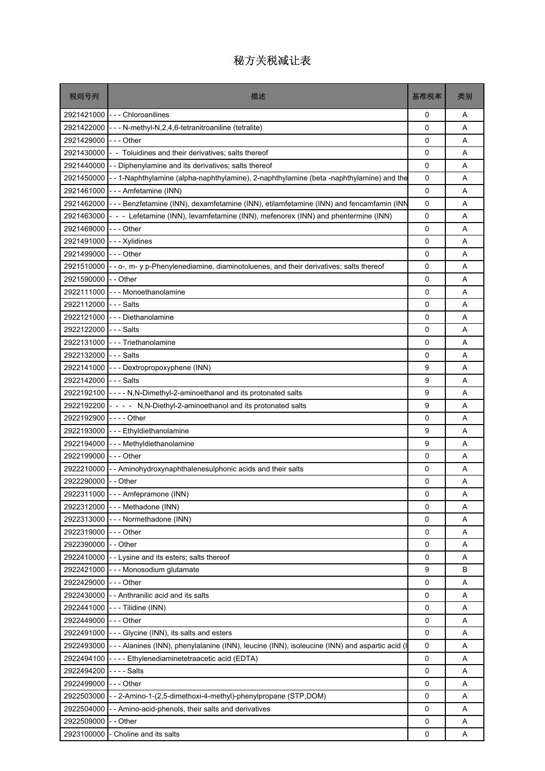| 税则号列                 | 描述                                                                                              | 基准税率        | 类别 |
|----------------------|-------------------------------------------------------------------------------------------------|-------------|----|
| 2921421000           | --- Chloroanilines                                                                              | 0           | A  |
| 2921422000           | - - - N-methyl-N,2,4,6-tetranitroaniline (tetralite)                                            | 0           | Α  |
| 2921429000           | -  -  - Other                                                                                   | 0           | A  |
| 2921430000           | - - Toluidines and their derivatives; salts thereof                                             | 0           | Α  |
| 2921440000           | - - Diphenylamine and its derivatives; salts thereof                                            | 0           | A  |
| 2921450000           | -- 1-Naphthylamine (alpha-naphthylamine), 2-naphthylamine (beta -naphthylamine) and the         | 0           | A  |
| 2921461000           | --- Amfetamine (INN)                                                                            | 0           | Α  |
| 2921462000           | --- Benzfetamine (INN), dexamfetamine (INN), etilamfetamine (INN) and fencamfamin (INN          | 0           | A  |
| 2921463000           | - - - Lefetamine (INN), levamfetamine (INN), mefenorex (INN) and phentermine (INN)              | 0           | A  |
| 2921469000           | $--$ Other                                                                                      | $\mathbf 0$ | A  |
| 2921491000           | --- Xylidines                                                                                   | 0           | Α  |
| 2921499000           | $- -$ - Other                                                                                   | 0           | Α  |
| 2921510000           | - - o-, m- y p-Phenylenediamine, diaminotoluenes, and their derivatives; salts thereof          | 0           | A  |
| 2921590000           | -- Other                                                                                        | 0           | A  |
| 2922111000           | - - - Monoethanolamine                                                                          | 0           | A  |
| 2922112000           | -  -  - Salts                                                                                   | 0           | A  |
| 2922121000           | - - - Diethanolamine                                                                            | 0           | Α  |
| 2922122000           | $- -$ Salts                                                                                     | 0           | A  |
|                      | 2922131000 --- Triethanolamine                                                                  | 0           | A  |
| 2922132000           | $- -$ Salts                                                                                     | 0           | A  |
| 2922141000           | --- Dextropropoxyphene (INN)                                                                    | 9           | Α  |
| 2922142000 --- Salts |                                                                                                 | 9           | Α  |
| 2922192100           | - - - - N, N-Dimethyl-2-aminoethanol and its protonated salts                                   | 9           | A  |
| 2922192200           | - - - - N, N-Diethyl-2-aminoethanol and its protonated salts                                    | 9           | A  |
| 2922192900           | - - - - Other                                                                                   | $\mathbf 0$ | A  |
|                      | 2922193000 - - Ethyldiethanolamine                                                              | 9           | A  |
| 2922194000           | --- Methyldiethanolamine                                                                        | 9           | Α  |
| 2922199000           | - - - Other                                                                                     | 0           | A  |
| 2922210000           | - Aminohydroxynaphthalenesulphonic acids and their salts                                        | 0           | A  |
| 2922290000           | - - Other                                                                                       | 0           | A  |
|                      | 2922311000 - - - Amfepramone (INN)                                                              | 0           | Α  |
| 2922312000           | --- Methadone (INN)                                                                             | 0           | Α  |
| 2922313000           | --- Normethadone (INN)                                                                          | 0           | Α  |
| 2922319000           | -  - - Other                                                                                    | 0           | Α  |
| 2922390000           | - - Other                                                                                       | 0           | A  |
| 2922410000           | - - Lysine and its esters; salts thereof                                                        | 0           | Α  |
| 2922421000           | --- Monosodium glutamate                                                                        | 9           | в  |
| 2922429000           | - - - Other                                                                                     | 0           | Α  |
| 2922430000           | - - Anthranilic acid and its salts                                                              | 0           | Α  |
| 2922441000           | --- Tilidine (INN)                                                                              | 0           | Α  |
| 2922449000           | - - - Other                                                                                     | 0           | Α  |
|                      | 2922491000 --- Glycine (INN), its salts and esters                                              | 0           | Α  |
| 2922493000           | - - - Alanines (INN), phenylalanine (INN), leucine (INN), isoleucine (INN) and aspartic acid (I | 0           | Α  |
| 2922494100           | ---- Ethylenediaminetetraacetic acid (EDTA)                                                     | 0           | Α  |
| 2922494200           | - - - - Salts                                                                                   | 0           | A  |
| 2922499000           | - - - Other                                                                                     | 0           | Α  |
| 2922503000           | - - 2-Amino-1-(2,5-dimethoxi-4-methyl)-phenylpropane (STP,DOM)                                  | 0           | Α  |
| 2922504000           | - Amino-acid-phenols, their salts and derivatives                                               | 0           | Α  |
| 2922509000           | - Other                                                                                         | 0           | Α  |
| 2923100000           | Choline and its salts                                                                           | 0           | Α  |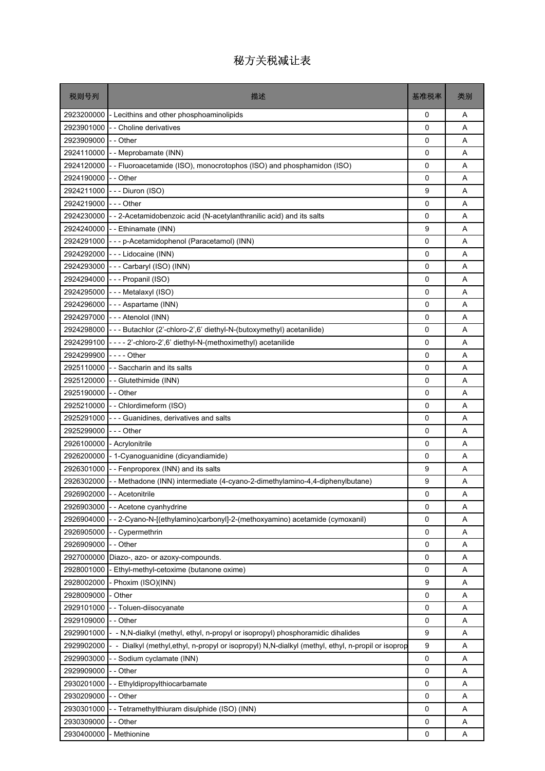| 税则号列                       | 描述                                                                                                | 基准税率         | 类别 |
|----------------------------|---------------------------------------------------------------------------------------------------|--------------|----|
|                            | 2923200000 - Lecithins and other phosphoaminolipids                                               | 0            | Α  |
|                            | 2923901000 - Choline derivatives                                                                  | 0            | Α  |
| 2923909000                 | - - Other                                                                                         | 0            | A  |
|                            | 2924110000 - - Meprobamate (INN)                                                                  | 0            | Α  |
|                            | 2924120000 - Fluoroacetamide (ISO), monocrotophos (ISO) and phosphamidon (ISO)                    | 0            | A  |
| 2924190000 - - Other       |                                                                                                   | $\mathbf{0}$ | A  |
| 2924211000                 | --- Diuron (ISO)                                                                                  | 9            | Α  |
| 2924219000                 | --- Other                                                                                         | 0            | A  |
|                            | 2924230000 - - 2-Acetamidobenzoic acid (N-acetylanthranilic acid) and its salts                   | $\Omega$     | A  |
|                            | 2924240000 - Ethinamate (INN)                                                                     | 9            | A  |
|                            | 2924291000 - - - p-Acetamidophenol (Paracetamol) (INN)                                            | 0            | Α  |
|                            | 2924292000 --- Lidocaine (INN)                                                                    | 0            | A  |
|                            | 2924293000 --- Carbaryl (ISO) (INN)                                                               | 0            | A  |
| 2924294000                 | --- Propanil (ISO)                                                                                | 0            | Α  |
|                            | 2924295000 --- Metalaxyl (ISO)                                                                    | 0            | A  |
| 2924296000                 | --- Aspartame (INN)                                                                               | 0            | A  |
|                            | 2924297000 - - - Atenolol (INN)                                                                   | 0            | Α  |
| 2924298000                 | --- Butachlor (2'-chloro-2',6' diethyl-N-(butoxymethyl) acetanilide)                              | 0            | A  |
|                            | 2924299100 - - - - 2'-chloro-2',6' diethyl-N-(methoximethyl) acetanilide                          | $\Omega$     | A  |
| 2924299900 - - - - Other   |                                                                                                   | 0            | A  |
|                            | 2925110000 - Saccharin and its salts                                                              | 0            | A  |
|                            | 2925120000 - - Glutethimide (INN)                                                                 | 0            | A  |
| 2925190000                 | - - Other                                                                                         | 0            | A  |
|                            | 2925210000 - - Chlordimeform (ISO)                                                                | 0            | Α  |
|                            | 2925291000 - - - Guanidines, derivatives and salts                                                | 0            | A  |
| 2925299000                 | --- Other                                                                                         | 0            | A  |
| 2926100000 - Acrylonitrile |                                                                                                   | 0            | Α  |
|                            | 2926200000 - 1-Cyanoguanidine (dicyandiamide)                                                     | 0            | A  |
|                            | 2926301000 - Fenproporex (INN) and its salts                                                      | 9            | A  |
|                            | 2926302000 - - Methadone (INN) intermediate (4-cyano-2-dimethylamino-4,4-diphenylbutane)          | 9            | A  |
|                            | 2926902000 - - Acetonitrile                                                                       | 0            | Α  |
| 2926903000                 | - - Acetone cyanhydrine                                                                           | 0            | Α  |
| 2926904000                 | - 2-Cyano-N-[(ethylamino)carbonyl]-2-(methoxyamino) acetamide (cymoxanil)                         | 0            | Α  |
| 2926905000                 | - Cypermethrin                                                                                    | 0            | Α  |
| 2926909000                 | -- Other                                                                                          | 0            | A  |
| 2927000000                 | Diazo-, azo- or azoxy-compounds.                                                                  | 0            | Α  |
| 2928001000                 | - Ethyl-methyl-cetoxime (butanone oxime)                                                          | 0            | Α  |
| 2928002000                 | - Phoxim (ISO)(INN)                                                                               | 9            | Α  |
| 2928009000                 | - Other                                                                                           | 0            | Α  |
| 2929101000                 | - - Toluen-diisocyanate                                                                           | 0            | Α  |
| 2929109000                 | - - Other                                                                                         | 0            | Α  |
| 2929901000                 | - - N,N-dialkyl (methyl, ethyl, n-propyl or isopropyl) phosphoramidic dihalides                   | 9            | Α  |
| 2929902000                 | - - Dialkyl (methyl,ethyl, n-propyl or isopropyl) N,N-dialkyl (methyl, ethyl, n-propil or isoprop | 9            | Α  |
| 2929903000                 | -- Sodium cyclamate (INN)                                                                         | 0            | Α  |
| 2929909000                 | -- Other                                                                                          | 0            | Α  |
| 2930201000                 | - Ethyldipropylthiocarbamate                                                                      | 0            | A  |
| 2930209000                 | - - Other                                                                                         | 0            | Α  |
| 2930301000                 | - Tetramethylthiuram disulphide (ISO) (INN)                                                       | 0            | Α  |
| 2930309000                 | -- Other                                                                                          | 0            | Α  |
| 2930400000                 | - Methionine                                                                                      | 0            | Α  |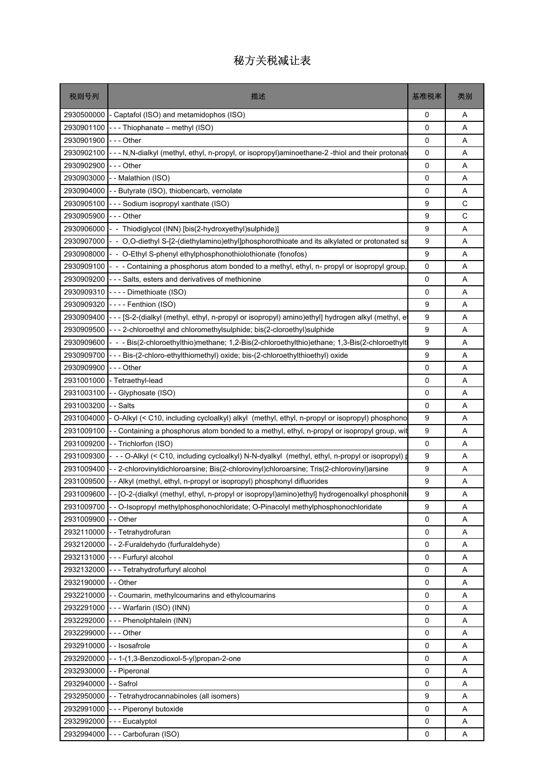| 税则号列                      | 描述                                                                                                       | 基准税率 | 类别 |
|---------------------------|----------------------------------------------------------------------------------------------------------|------|----|
| 2930500000                | - Captafol (ISO) and metamidophos (ISO)                                                                  | 0    | Α  |
| 2930901100                | --- Thiophanate - methyl (ISO)                                                                           | 0    | Α  |
| 2930901900                | - - - Other                                                                                              | 0    | A  |
| 2930902100                | --- N.N-dialkyl (methyl, ethyl, n-propyl, or isopropyl)aminoethane-2-thiol and their protonate           | 0    | Α  |
| 2930902900                | $--$ Other                                                                                               | 0    | A  |
| 2930903000                | - Malathion (ISO)                                                                                        | 0    | Α  |
| 2930904000                | - - Butyrate (ISO), thiobencarb, vernolate                                                               | 0    | Α  |
| 2930905100                | --- Sodium isopropyl xanthate (ISO)                                                                      | 9    | C  |
| 2930905900                | --- Other                                                                                                | 9    | C  |
| 2930906000                | - - Thiodiglycol (INN) [bis(2-hydroxyethyl)sulphide)]                                                    | 9    | A  |
| 2930907000                | - - O,O-diethyl S-[2-(diethylamino)ethyl]phosphorothioate and its alkylated or protonated sa             | 9    | Α  |
| 2930908000                | - - O-Ethyl S-phenyl ethylphosphonothiolothionate (fonofos)                                              | 9    | Α  |
| 2930909100                | - - - Containing a phosphorus atom bonded to a methyl, ethyl, n- propyl or isopropyl group.              | 0    | A  |
| 2930909200                | - - - Salts, esters and derivatives of methionine                                                        | 0    | Α  |
| 2930909310                | ---- Dimethioate (ISO)                                                                                   | 0    | A  |
| 2930909320                | ---- Fenthion (ISO)                                                                                      | 9    | Α  |
| 2930909400                | - - - [S-2-(dialkyl (methyl, ethyl, n-propyl or isopropyl) amino)ethyl] hydrogen alkyl (methyl, e        | 9    | Α  |
| 2930909500                | --- 2-chloroethyl and chloromethylsulphide; bis(2-cloroethyl)sulphide                                    | 9    | Α  |
| 2930909600                | - - Bis(2-chloroethylthio)methane; 1,2-Bis(2-chloroethylthio)ethane; 1,3-Bis(2-chloroethylt              | 9    | Α  |
| 2930909700                | - - Bis-(2-chloro-ethylthiomethyl) oxide; bis-(2-chloroethylthioethyl) oxide                             | 9    | Α  |
| 2930909900                | -  -  - Other                                                                                            | 0    | Α  |
| 2931001000                | - Tetraethyl-lead                                                                                        | 0    | Α  |
| 2931003100                | - Glyphosate (ISO)                                                                                       | 0    | A  |
| 2931003200                | - - Salts                                                                                                | 0    | Α  |
| 2931004000                | - O-Alkyl (< C10, including cycloalkyl) alkyl (methyl, ethyl, n-propyl or isopropyl) phosphono           | 9    | A  |
| 2931009100                | - Containing a phosphorus atom bonded to a methyl, ethyl, n-propyl or isopropyl group, wit               | 9    | A  |
| 2931009200                | -- Trichlorfon (ISO)                                                                                     | 0    | Α  |
| 2931009300                | - -- O-Alkyl (< C10, including cycloalkyl) N-N-dyalkyl (methyl, ethyl, n-propyl or isopropyl) p          | 9    | Α  |
| 2931009400                | - 2-chlorovinyldichloroarsine; Bis(2-chlorovinyl)chloroarsine; Tris(2-chlorovinyl)arsine                 | 9    | Α  |
| 2931009500                | - Alkyl (methyl, ethyl, n-propyl or isopropyl) phosphonyl difluorides                                    | 9    | A  |
|                           | 2931009600 -- [O-2-(dialkyl (methyl, ethyl, n-propyl or isopropyl)amino)ethyl] hydrogenoalkyl phosphonit | 9    | Α  |
|                           | 2931009700 - - O-Isopropyl methylphosphonochloridate; O-Pinacolyl methylphosphonochloridate              | 9    | Α  |
| 2931009900                | - - Other                                                                                                | 0    | Α  |
| 2932110000                | - - Tetrahydrofuran                                                                                      | 0    | Α  |
|                           | 2932120000 - - 2-Furaldehydo (furfuraldehyde)                                                            | 0    | Α  |
|                           | 2932131000 - - - Furfuryl alcohol                                                                        | 0    | A  |
| 2932132000                | --- Tetrahydrofurfuryl alcohol                                                                           | 0    | Α  |
| 2932190000                | -- Other                                                                                                 | 0    | Α  |
|                           | 2932210000 - - Coumarin, methylcoumarins and ethylcoumarins                                              | 0    | A  |
|                           | 2932291000 --- Warfarin (ISO) (INN)                                                                      | 0    | Α  |
| 2932292000                | - - - Phenolphtalein (INN)                                                                               | 0    | Α  |
| 2932299000 --- Other      |                                                                                                          | 0    | Α  |
| 2932910000 - - Isosafrole |                                                                                                          | 0    | Α  |
| 2932920000                | $-1$ - 1-(1,3-Benzodioxol-5-yl)propan-2-one                                                              | 0    | Α  |
| 2932930000 - - Piperonal  |                                                                                                          | 0    | Α  |
| 2932940000                | -- Safrol                                                                                                | 0    | Α  |
| 2932950000                | - - Tetrahydrocannabinoles (all isomers)                                                                 | 9    | Α  |
| 2932991000                | --- Piperonyl butoxide                                                                                   | 0    | Α  |
| 2932992000                | - - - Eucalyptol                                                                                         | 0    | A  |
|                           | 2932994000 --- Carbofuran (ISO)                                                                          | 0    | Α  |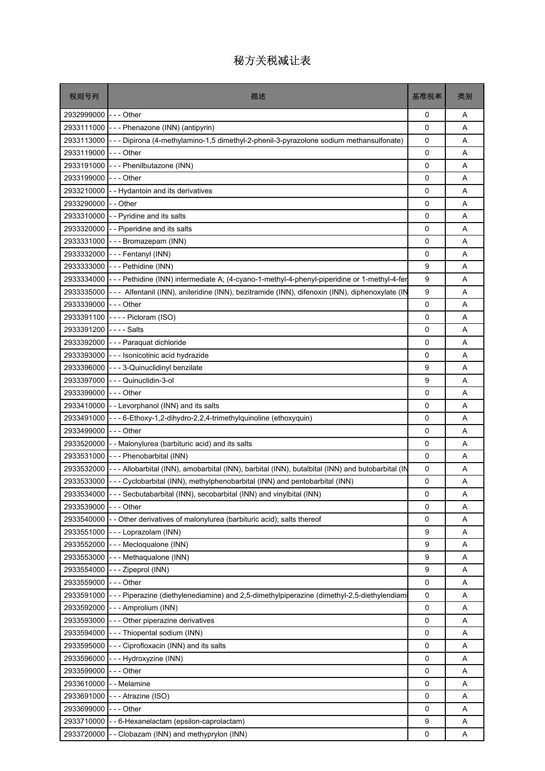| 税则号列       | 描述                                                                                                           | 基准税率        | 类别 |
|------------|--------------------------------------------------------------------------------------------------------------|-------------|----|
| 2932999000 | - - - Other                                                                                                  | 0           | Α  |
| 2933111000 | - - - Phenazone (INN) (antipyrin)                                                                            | 0           | A  |
| 2933113000 | --- Dipirona (4-methylamino-1,5 dimethyl-2-phenil-3-pyrazolone sodium methansulfonate)                       | 0           | A  |
| 2933119000 | -  -  - Other                                                                                                | 0           | Α  |
| 2933191000 | --- Phenilbutazone (INN)                                                                                     | 0           | A  |
| 2933199000 | - - - Other                                                                                                  | $\mathbf 0$ | A  |
| 2933210000 | - - Hydantoin and its derivatives                                                                            | 0           | Α  |
| 2933290000 | - - Other                                                                                                    | 0           | A  |
|            | 2933310000 - - Pyridine and its salts                                                                        | 0           | A  |
| 2933320000 | - - Piperidine and its salts                                                                                 | 0           | A  |
| 2933331000 | --- Bromazepam (INN)                                                                                         | 0           | Α  |
| 2933332000 | --- Fentanyl (INN)                                                                                           | 0           | A  |
| 2933333000 | --- Pethidine (INN)                                                                                          | 9           | Α  |
| 2933334000 | - - - Pethidine (INN) intermediate A; (4-cyano-1-methyl-4-phenyl-piperidine or 1-methyl-4-fer                | 9           | Α  |
| 2933335000 | --- Alfentanil (INN), anileridine (INN), bezitramide (INN), difenoxin (INN), diphenoxylate (IN               | 9           | A  |
| 2933339000 | --- Other                                                                                                    | 0           | A  |
| 2933391100 | $---Picloram (ISO)$                                                                                          | 0           | Α  |
| 2933391200 | - - - - Salts                                                                                                | 0           | Α  |
|            | 2933392000 - - - Paraquat dichloride                                                                         | 0           | A  |
| 2933393000 | --- Isonicotinic acid hydrazide                                                                              | 0           | A  |
| 2933396000 | --- 3-Quinuclidinyl benzilate                                                                                | 9           | Α  |
| 2933397000 | --- Quinuclidin-3-ol                                                                                         | 9           | A  |
| 2933399000 | -  -  - Other                                                                                                | 0           | A  |
| 2933410000 | - - Levorphanol (INN) and its salts                                                                          | 0           | Α  |
| 2933491000 | - - - 6-Ethoxy-1,2-dihydro-2,2,4-trimethylquinoline (ethoxyquin)                                             | 0           | A  |
| 2933499000 | --- Other                                                                                                    | 0           | A  |
| 2933520000 | - - Malonylurea (barbituric acid) and its salts                                                              | 0           | Α  |
| 2933531000 | - - - Phenobarbital (INN)                                                                                    | 0           | Α  |
|            | 2933532000  --- Allobarbital (INN), amobarbital (INN), barbital (INN), butalbital (INN) and butobarbital (IN | 0           | A  |
| 2933533000 | --- Cyclobarbital (INN), methylphenobarbital (INN) and pentobarbital (INN)                                   | 0           | Α  |
|            | 2933534000 --- Secbutabarbital (INN), secobarbital (INN) and vinylbital (INN)                                | 0           | Α  |
| 2933539000 | $- -$ Other                                                                                                  | 0           | Α  |
| 2933540000 | - Other derivatives of malonylurea (barbituric acid); salts thereof                                          | 0           | Α  |
| 2933551000 | --- Loprazolam (INN)                                                                                         | 9           | Α  |
| 2933552000 | --- Mecloqualone (INN)                                                                                       | 9           | A  |
| 2933553000 | --- Methaqualone (INN)                                                                                       | 9           | Α  |
| 2933554000 | - - Zipeprol (INN)                                                                                           | 9           | Α  |
| 2933559000 | --- Other                                                                                                    | 0           | Α  |
| 2933591000 | --- Piperazine (diethylenediamine) and 2,5-dimethylpiperazine (dimethyl-2,5-diethylendiam                    | 0           | A  |
| 2933592000 | - - Amprolium (INN)                                                                                          | 0           | A  |
| 2933593000 | --- Other piperazine derivatives                                                                             | 0           | A  |
| 2933594000 | - - - Thiopental sodium (INN)                                                                                | 0           | Α  |
| 2933595000 | --- Ciprofloxacin (INN) and its salts                                                                        | 0           | Α  |
| 2933596000 | --- Hydroxyzine (INN)                                                                                        | 0           | Α  |
| 2933599000 | --- Other                                                                                                    | 0           | Α  |
| 2933610000 | - - Melamine                                                                                                 | 0           | Α  |
| 2933691000 | - - Atrazine (ISO)                                                                                           | 0           | A  |
| 2933699000 | - - - Other                                                                                                  | 0           | Α  |
| 2933710000 | - 6-Hexanelactam (epsilon-caprolactam)                                                                       | 9           | Α  |
| 2933720000 | - Clobazam (INN) and methyprylon (INN)                                                                       | 0           | A  |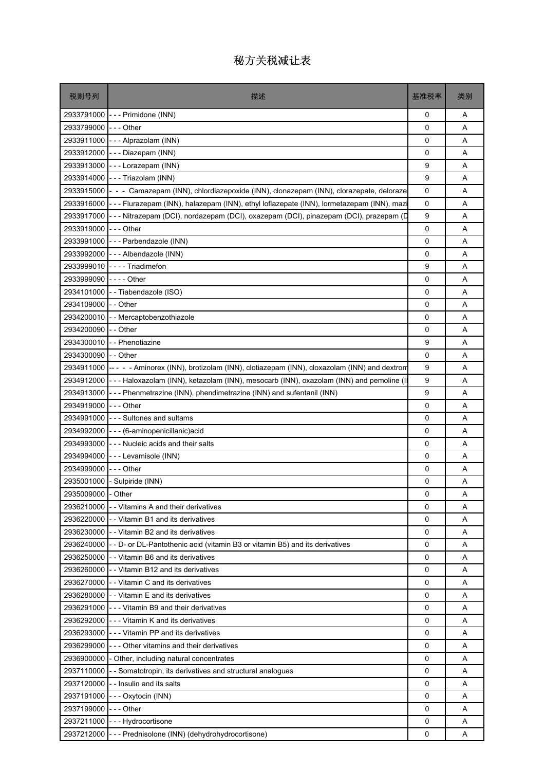| 税则号列                 | 描述                                                                                                    | 基准税率        | 类别 |
|----------------------|-------------------------------------------------------------------------------------------------------|-------------|----|
|                      | 2933791000 - - - Primidone (INN)                                                                      | 0           | A  |
| 2933799000 --- Other |                                                                                                       | 0           | A  |
|                      | 2933911000 - - - Alprazolam (INN)                                                                     | $\Omega$    | A  |
| 2933912000           | --- Diazepam (INN)                                                                                    | 0           | Α  |
| 2933913000           | --- Lorazepam (INN)                                                                                   | 9           | A  |
| 2933914000           | --- Triazolam (INN)                                                                                   | 9           | A  |
| 2933915000           | - - Camazepam (INN), chlordiazepoxide (INN), clonazepam (INN), clorazepate, deloraze                  | 0           | Α  |
|                      | 2933916000 - - - Flurazepam (INN), halazepam (INN), ethyl loflazepate (INN), lormetazepam (INN), mazi | 0           | A  |
| 2933917000           | - - - Nitrazepam (DCI), nordazepam (DCI), oxazepam (DCI), pinazepam (DCI), prazepam (D                | 9           | A  |
| 2933919000           | -  -  - Other                                                                                         | 0           | Α  |
| 2933991000           | --- Parbendazole (INN)                                                                                | 0           | A  |
|                      | 2933992000 --- Albendazole (INN)                                                                      | $\Omega$    | A  |
|                      | 2933999010 ---- Triadimefon                                                                           | 9           | A  |
| 2933999090           | -  -  -  - Other                                                                                      | 0           | A  |
|                      | 2934101000 - - Tiabendazole (ISO)                                                                     | 0           | A  |
| 2934109000           | - - Other                                                                                             | 0           | A  |
|                      | 2934200010 - - Mercaptobenzothiazole                                                                  | 0           | A  |
| 2934200090 - - Other |                                                                                                       | $\mathbf 0$ | A  |
|                      | 2934300010 - - Phenotiazine                                                                           | 9           | A  |
| 2934300090 -- Other  |                                                                                                       | 0           | Α  |
|                      | 2934911000 ----- Aminorex (INN), brotizolam (INN), clotiazepam (INN), cloxazolam (INN) and dextrom    | 9           | A  |
|                      | 2934912000 --- Haloxazolam (INN), ketazolam (INN), mesocarb (INN), oxazolam (INN) and pemoline (I     | 9           | A  |
| 2934913000           | --- Phenmetrazine (INN), phendimetrazine (INN) and sufentanil (INN)                                   | 9           | Α  |
| 2934919000           | -  - - Other                                                                                          | 0           | A  |
|                      | 2934991000 - - - Sultones and sultams                                                                 | 0           | A  |
|                      | 2934992000 - - - (6-aminopenicillanic) acid                                                           | 0           | A  |
|                      | 2934993000 - - - Nucleic acids and their salts                                                        | 0           | A  |
| 2934994000           | - - - Levamisole (INN)                                                                                | 0           | A  |
| 2934999000           | -  - - Other                                                                                          | 0           | A  |
|                      | 2935001000 - Sulpiride (INN)                                                                          | 0           | Α  |
| 2935009000 - Other   |                                                                                                       | 0           | Α  |
|                      | 2936210000 - - Vitamins A and their derivatives                                                       | $\Omega$    | A  |
| 2936220000           | - - Vitamin B1 and its derivatives                                                                    | 0           | Α  |
|                      | 2936230000 - Vitamin B2 and its derivatives                                                           | 0           | Α  |
|                      | 2936240000 - - D- or DL-Pantothenic acid (vitamin B3 or vitamin B5) and its derivatives               | 0           | A  |
|                      | 2936250000 - Vitamin B6 and its derivatives                                                           | 0           | A  |
|                      | 2936260000 - Vitamin B12 and its derivatives                                                          | 0           | Α  |
|                      | 2936270000 - Vitamin C and its derivatives                                                            | $\mathbf 0$ | A  |
| 2936280000           | -- Vitamin E and its derivatives                                                                      | 0           | Α  |
|                      | 2936291000 - - - Vitamin B9 and their derivatives                                                     | 0           | Α  |
|                      | 2936292000 - - - Vitamin K and its derivatives                                                        | 0           | A  |
|                      | 2936293000 - - - Vitamin PP and its derivatives                                                       | 0           | A  |
|                      | 2936299000 - - - Other vitamins and their derivatives                                                 | 0           | Α  |
|                      | 2936900000 - Other, including natural concentrates                                                    | 0           | Α  |
|                      | 2937110000 - Somatotropin, its derivatives and structural analogues                                   | 0           | A  |
| 2937120000           | - - Insulin and its salts                                                                             | 0           | A  |
|                      | 2937191000 --- Oxytocin (INN)                                                                         | 0           | Α  |
| 2937199000           | - - - Other                                                                                           | 0           | A  |
|                      | 2937211000 - - - Hydrocortisone                                                                       | 0           | Α  |
|                      | 2937212000 - - - Prednisolone (INN) (dehydrohydrocortisone)                                           | 0           | Α  |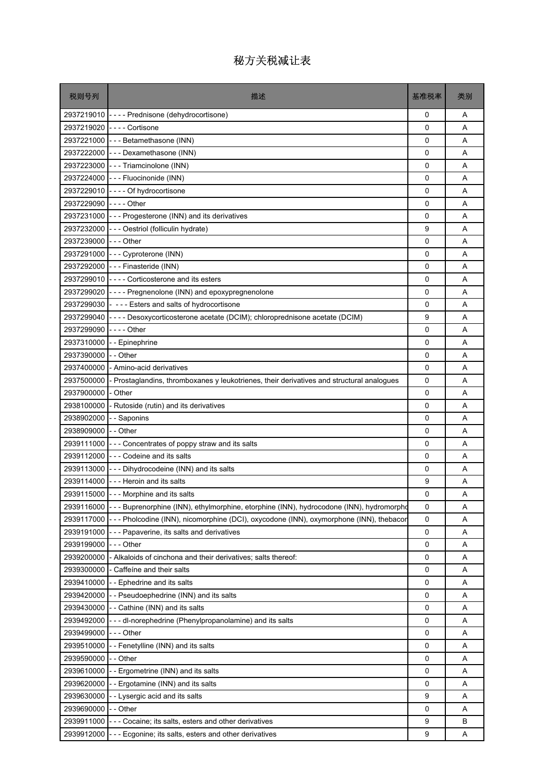| 税则号列                    | 描述                                                                                        | 基准税率        | 类别 |
|-------------------------|-------------------------------------------------------------------------------------------|-------------|----|
|                         | 2937219010 ---- Prednisone (dehydrocortisone)                                             | 0           | Α  |
|                         | 2937219020 ---- Cortisone                                                                 | 0           | A  |
|                         | 2937221000 - - - Betamethasone (INN)                                                      | 0           | A  |
|                         | 2937222000 - - - Dexamethasone (INN)                                                      | 0           | A  |
|                         | 2937223000 - - - Triamcinolone (INN)                                                      | $\Omega$    | A  |
|                         | 2937224000 - - - Fluocinonide (INN)                                                       | 0           | A  |
|                         | 2937229010 ---- Of hydrocortisone                                                         | 0           | A  |
| 2937229090 ---- Other   |                                                                                           | 0           | A  |
|                         | 2937231000 - - - Progesterone (INN) and its derivatives                                   | 0           | A  |
|                         | 2937232000 - - - Oestriol (folliculin hydrate)                                            | 9           | A  |
| 2937239000 --- Other    |                                                                                           | $\mathbf 0$ | A  |
|                         | 2937291000 --- Cyproterone (INN)                                                          | 0           | A  |
|                         | 2937292000 --- Finasteride (INN)                                                          | 0           | Α  |
| 2937299010              | ---- Corticosterone and its esters                                                        | 0           | A  |
|                         | 2937299020 - - - - Pregnenolone (INN) and epoxypregnenolone                               | 0           | A  |
|                         | 2937299030 - --- Esters and salts of hydrocortisone                                       | 0           | A  |
| 2937299040              | ---- Desoxycorticosterone acetate (DCIM); chloroprednisone acetate (DCIM)                 | 9           | A  |
| 2937299090              | - - - - Other                                                                             | 0           | A  |
| 2937310000              | - - Epinephrine                                                                           | 0           | A  |
| 2937390000              | - - Other                                                                                 | 0           | A  |
| 2937400000              | - Amino-acid derivatives                                                                  | $\Omega$    | A  |
| 2937500000              | - Prostaglandins, thromboxanes y leukotrienes, their derivatives and structural analogues | 0           | A  |
| 2937900000              | - Other                                                                                   | 0           | Α  |
| 2938100000              | - Rutoside (rutin) and its derivatives                                                    | 0           | A  |
| 2938902000 - - Saponins |                                                                                           | $\Omega$    | Α  |
| 2938909000 - - Other    |                                                                                           | 0           | A  |
|                         | 2939111000 - - - Concentrates of poppy straw and its salts                                | 0           | A  |
|                         | 2939112000 --- Codeine and its salts                                                      | 0           | Α  |
|                         | 2939113000 - - - Dihydrocodeine (INN) and its salts                                       | 0           | A  |
|                         | 2939114000 - - - Heroin and its salts                                                     | 9           | A  |
|                         | 2939115000 - - - Morphine and its salts                                                   | 0           | Α  |
| 2939116000              | --- Buprenorphine (INN), ethylmorphine, etorphine (INN), hydrocodone (INN), hydromorpho   | 0           | Α  |
| 2939117000              | - - - Pholcodine (INN), nicomorphine (DCI), oxycodone (INN), oxymorphone (INN), thebacor  | 0           | Α  |
| 2939191000              | - Papaverine, its salts and derivatives                                                   | 0           | Α  |
| 2939199000              | -  -  - Other                                                                             | 0           | Α  |
| 2939200000              | - Alkaloids of cinchona and their derivatives; salts thereof:                             | 0           | Α  |
| 2939300000              | - Caffeine and their salts                                                                | 0           | Α  |
| 2939410000              | -- Ephedrine and its salts                                                                | 0           | Α  |
| 2939420000              | -- Pseudoephedrine (INN) and its salts                                                    | 0           | Α  |
| 2939430000              | -- Cathine (INN) and its salts                                                            | 0           | Α  |
| 2939492000              | - - - dl-norephedrine (Phenylpropanolamine) and its salts                                 | 0           | Α  |
| 2939499000              | -  -  - Other                                                                             | 0           | Α  |
| 2939510000              | -- Fenetylline (INN) and its salts                                                        | 0           | Α  |
| 2939590000              | - - Other                                                                                 | 0           | Α  |
| 2939610000              | - - Ergometrine (INN) and its salts                                                       | 0           | A  |
| 2939620000              | -- Ergotamine (INN) and its salts                                                         | 0           | Α  |
| 2939630000              | - - Lysergic acid and its salts                                                           | 9           | Α  |
| 2939690000              | - - Other                                                                                 | 0           | Α  |
| 2939911000              | - - - Cocaine; its salts, esters and other derivatives                                    | 9           | В  |
| 2939912000              | --- Ecgonine; its salts, esters and other derivatives                                     | 9           | Α  |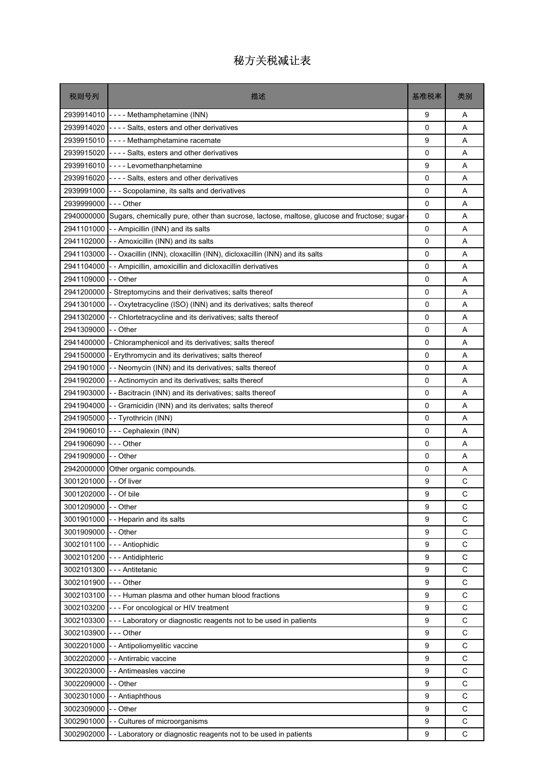| 税则号列                   | 描述                                                                                         | 基准税率        | 类别          |
|------------------------|--------------------------------------------------------------------------------------------|-------------|-------------|
|                        | 2939914010 ---- Methamphetamine (INN)                                                      | 9           | Α           |
| 2939914020             | ---- Salts, esters and other derivatives                                                   | 0           | A           |
| 2939915010             | ---- Methamphetamine racemate                                                              | 9           | Α           |
| 2939915020             | ---- Salts, esters and other derivatives                                                   | 0           | A           |
| 2939916010             | ---- Levomethanphetamine                                                                   | 9           | A           |
| 2939916020             | ---- Salts, esters and other derivatives                                                   | $\mathbf 0$ | Α           |
| 2939991000             | --- Scopolamine, its salts and derivatives                                                 | 0           | Α           |
| 2939999000             | -  -  - Other                                                                              | 0           | A           |
| 2940000000             | Sugars, chemically pure, other than sucrose, lactose, maltose, glucose and fructose; sugar | 0           | A           |
| 2941101000             | - - Ampicillin (INN) and its salts                                                         | 0           | Α           |
|                        | 2941102000 - - Amoxicillin (INN) and its salts                                             | 0           | A           |
| 2941103000             | - - Oxacillin (INN), cloxacillin (INN), dicloxacillin (INN) and its salts                  | 0           | A           |
| 2941104000             | - - Ampicillin, amoxicillin and dicloxacillin derivatives                                  | 0           | Α           |
| 2941109000             | - - Other                                                                                  | 0           | A           |
| 2941200000             | - Streptomycins and their derivatives; salts thereof                                       | $\Omega$    | A           |
| 2941301000             | - Oxytetracycline (ISO) (INN) and its derivatives; salts thereof                           | 0           | Α           |
| 2941302000             | - - Chlortetracycline and its derivatives; salts thereof                                   | 0           | Α           |
| 2941309000             | - - Other                                                                                  | 0           | A           |
| 2941400000             | - Chloramphenicol and its derivatives; salts thereof                                       | 0           | A           |
| 2941500000             | - Erythromycin and its derivatives; salts thereof                                          | 0           | Α           |
| 2941901000             | - - Neomycin (INN) and its derivatives; salts thereof                                      | 0           | A           |
| 2941902000             | - Actinomycin and its derivatives; salts thereof                                           | 0           | Α           |
| 2941903000             | - - Bacitracin (INN) and its derivatives; salts thereof                                    | 0           | Α           |
|                        | 2941904000 - - Gramicidin (INN) and its derivates; salts thereof                           | 0           | A           |
| 2941905000             | - - Tyrothricin (INN)                                                                      | $\Omega$    | A           |
| 2941906010             | --- Cephalexin (INN)                                                                       | 0           | Α           |
| 2941906090             | --- Other                                                                                  | 0           | Α           |
| 2941909000             | - - Other                                                                                  | 0           | A           |
| 2942000000             | Other organic compounds.                                                                   | 0           | Α           |
| 3001201000             | - - Of liver                                                                               | 9           | С           |
| 3001202000 - - Of bile |                                                                                            | 9           | С           |
| 3001209000             | - - Other                                                                                  | 9           | C           |
| 3001901000             | - - Heparin and its salts                                                                  | 9           | С           |
| 3001909000             | - - Other                                                                                  | 9           | $\mathsf C$ |
| 3002101100             | - - - Antiophidic                                                                          | 9           | С           |
| 3002101200             | --- Antidiphteric                                                                          | 9           | C           |
| 3002101300             | --- Antitetanic                                                                            | 9           | C           |
| 3002101900             | --- Other                                                                                  | 9           | C           |
| 3002103100             | --- Human plasma and other human blood fractions                                           | 9           | C           |
| 3002103200             | --- For oncological or HIV treatment                                                       | 9           | C           |
| 3002103300             | - - - Laboratory or diagnostic reagents not to be used in patients                         | 9           | C           |
| 3002103900             | --- Other                                                                                  | 9           | C           |
| 3002201000             | - Antipoliomyelitic vaccine                                                                | 9           | С           |
| 3002202000             | - Antirrabic vaccine                                                                       | 9           | C           |
| 3002203000             | - Antimeasles vaccine                                                                      | 9           | С           |
| 3002209000             | - - Other                                                                                  | 9           | C           |
| 3002301000             | - - Antiaphthous                                                                           | 9           | $\mathsf C$ |
| 3002309000             | - - Other                                                                                  | 9           | С           |
| 3002901000             | - Cultures of microorganisms                                                               | 9           | C           |
| 3002902000             | - - Laboratory or diagnostic reagents not to be used in patients                           | 9           | C           |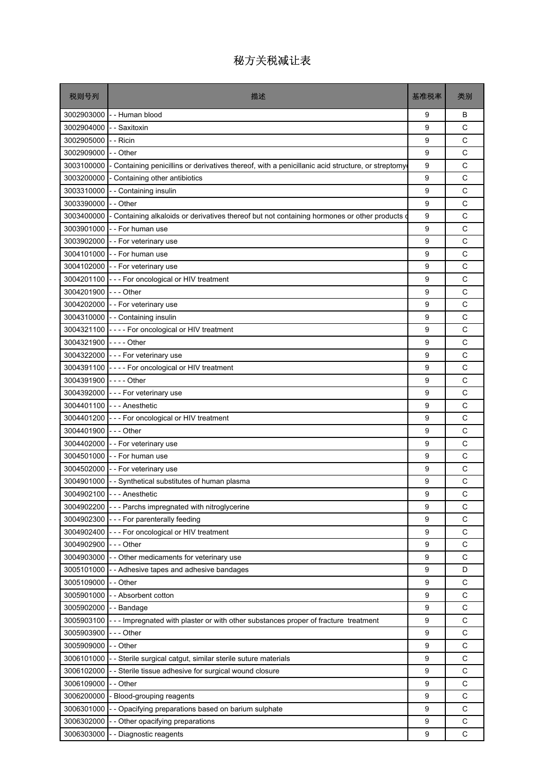| 税则号列                  | 描述                                                                                                | 基准税率 | 类别          |
|-----------------------|---------------------------------------------------------------------------------------------------|------|-------------|
|                       | 3002903000 - - Human blood                                                                        | 9    | B           |
| 3002904000            | - Saxitoxin                                                                                       | 9    | C           |
| 3002905000            | - - Ricin                                                                                         | 9    | C           |
| 3002909000            | - - Other                                                                                         | 9    | C           |
| 3003100000            | - Containing penicillins or derivatives thereof, with a penicillanic acid structure, or streptomy | 9    | C           |
| 3003200000            | Containing other antibiotics                                                                      | 9    | C           |
| 3003310000            | -- Containing insulin                                                                             | 9    | C           |
| 3003390000            | - - Other                                                                                         | 9    | C           |
| 3003400000            | - Containing alkaloids or derivatives thereof but not containing hormones or other products o     | 9    | C           |
| 3003901000            | -- For human use                                                                                  | 9    | C           |
|                       | 3003902000 - - For veterinary use                                                                 | 9    | C           |
| 3004101000            | - - For human use                                                                                 | 9    | C           |
|                       | 3004102000 - - For veterinary use                                                                 | 9    | C           |
| 3004201100            | - - - For oncological or HIV treatment                                                            | 9    | C           |
| 3004201900            | --- Other                                                                                         | 9    | C           |
|                       | 3004202000 - - For veterinary use                                                                 | 9    | C           |
|                       | 3004310000 - - Containing insulin                                                                 | 9    | C           |
|                       | 3004321100 ---- For oncological or HIV treatment                                                  | 9    | C           |
| 3004321900 ---- Other |                                                                                                   | 9    | C           |
| 3004322000            | - - - For veterinary use                                                                          | 9    | C           |
|                       | 3004391100 ---- For oncological or HIV treatment                                                  | 9    | C           |
| 3004391900            |                                                                                                   | 9    | C           |
| 3004392000            | - - - For veterinary use                                                                          | 9    | C           |
|                       | 3004401100 --- Anesthetic                                                                         | 9    | C           |
| 3004401200            | --- For oncological or HIV treatment                                                              | 9    | C           |
| 3004401900            | - - - Other                                                                                       | 9    | C           |
| 3004402000            | - - For veterinary use                                                                            | 9    | C           |
| 3004501000            | - - For human use                                                                                 | 9    | C           |
|                       | 3004502000 - - For veterinary use                                                                 | 9    | C           |
| 3004901000            | - - Synthetical substitutes of human plasma                                                       | 9    | С           |
| 3004902100            | - - - Anesthetic                                                                                  | 9    | С           |
| 3004902200            | - Parchs impregnated with nitroglycerine                                                          | 9    | C           |
| 3004902300            | --- For parenterally feeding                                                                      | 9    | C           |
| 3004902400            | - - For oncological or HIV treatment                                                              | 9    | $\mathsf C$ |
| 3004902900            | - - - Other                                                                                       | 9    | C           |
| 3004903000            | - Other medicaments for veterinary use                                                            | 9    | C           |
| 3005101000            | - Adhesive tapes and adhesive bandages                                                            | 9    | D           |
| 3005109000            | - Other                                                                                           | 9    | C           |
| 3005901000            | - Absorbent cotton                                                                                | 9    | $\mathsf C$ |
| 3005902000            | --Bandage                                                                                         | 9    | C           |
| 3005903100            | --- Impregnated with plaster or with other substances proper of fracture treatment                | 9    | C           |
| 3005903900            | - - Other                                                                                         | 9    | $\mathsf C$ |
| 3005909000            | - Other                                                                                           | 9    | C           |
| 3006101000            | - Sterile surgical catgut, similar sterile suture materials                                       | 9    | C           |
| 3006102000            | - Sterile tissue adhesive for surgical wound closure                                              | 9    | C           |
| 3006109000            | - Other                                                                                           | 9    | C           |
| 3006200000            | Blood-grouping reagents                                                                           | 9    | C           |
| 3006301000            | - Opacifying preparations based on barium sulphate                                                | 9    | C           |
| 3006302000            | Other opacifying preparations                                                                     | 9    | C           |
| 3006303000            | - Diagnostic reagents                                                                             | 9    | C           |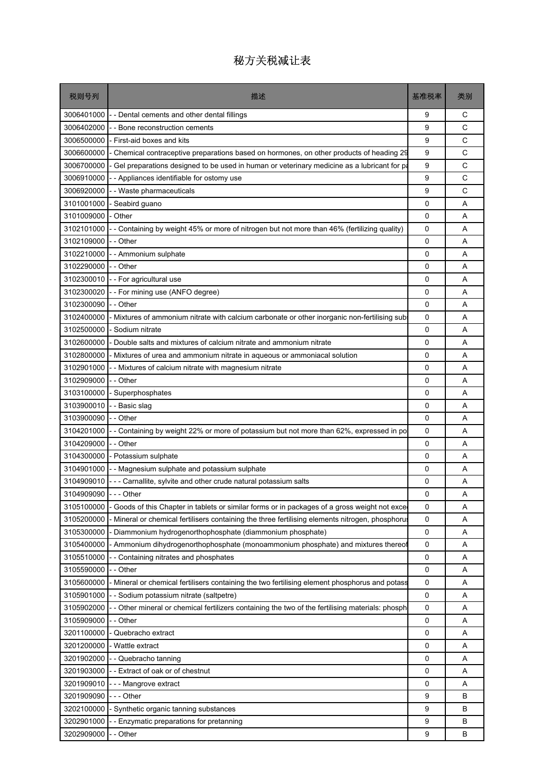| 税则号列                 | 描述                                                                                             | 基准税率        | 类别 |
|----------------------|------------------------------------------------------------------------------------------------|-------------|----|
| 3006401000           | - - Dental cements and other dental fillings                                                   | 9           | С  |
| 3006402000           | - Bone reconstruction cements                                                                  | 9           | C  |
| 3006500000           | - First-aid boxes and kits                                                                     | 9           | C  |
| 3006600000           | Chemical contraceptive preparations based on hormones, on other products of heading 29         | 9           | C  |
| 3006700000           | Gel preparations designed to be used in human or veterinary medicine as a lubricant for pa     | 9           | C  |
| 3006910000           | - Appliances identifiable for ostomy use                                                       | 9           | C  |
| 3006920000           | - - Waste pharmaceuticals                                                                      | 9           | C  |
| 3101001000           | - Seabird guano                                                                                | 0           | A  |
| 3101009000           | - Other                                                                                        | 0           | A  |
| 3102101000           | Containing by weight 45% or more of nitrogen but not more than 46% (fertilizing quality)       | 0           | A  |
| 3102109000           | - - Other                                                                                      | 0           | A  |
| 3102210000           | - Ammonium sulphate                                                                            | 0           | A  |
| 3102290000           | - - Other                                                                                      | 0           | A  |
| 3102300010           | -- For agricultural use                                                                        | 0           | A  |
| 3102300020           | - For mining use (ANFO degree)                                                                 | 0           | A  |
| 3102300090           | - - Other                                                                                      | 0           | A  |
| 3102400000           | Mixtures of ammonium nitrate with calcium carbonate or other inorganic non-fertilising sub-    | 0           | A  |
| 3102500000           | - Sodium nitrate                                                                               | 0           | A  |
| 3102600000           | Double salts and mixtures of calcium nitrate and ammonium nitrate                              | 0           | A  |
| 3102800000           | Mixtures of urea and ammonium nitrate in aqueous or ammoniacal solution                        | 0           | A  |
| 3102901000           | - - Mixtures of calcium nitrate with magnesium nitrate                                         | 0           | A  |
| 3102909000           | - - Other                                                                                      | 0           | A  |
| 3103100000           | - Superphosphates                                                                              | 0           | A  |
| 3103900010           | - - Basic slag                                                                                 | 0           | A  |
| 3103900090           | - Other                                                                                        | $\mathbf 0$ | A  |
| 3104201000           | - Containing by weight 22% or more of potassium but not more than 62%, expressed in po         | 0           | A  |
| 3104209000           | - - Other                                                                                      | 0           | A  |
| 3104300000           | - Potassium sulphate                                                                           | 0           | A  |
| 3104901000           | - Magnesium sulphate and potassium sulphate                                                    | 0           | A  |
| 3104909010           | - - - Carnallite, sylvite and other crude natural potassium salts                              | 0           | A  |
| 3104909090 --- Other |                                                                                                | 0           | Α  |
| 3105100000           | Goods of this Chapter in tablets or similar forms or in packages of a gross weight not exce    | $\mathbf 0$ | Α  |
| 3105200000           | Mineral or chemical fertilisers containing the three fertilising elements nitrogen, phosphorus | 0           | Α  |
| 3105300000           | Diammonium hydrogenorthophosphate (diammonium phosphate)                                       | 0           | Α  |
| 3105400000           | - Ammonium dihydrogenorthophosphate (monoammonium phosphate) and mixtures thereof              | 0           | Α  |
| 3105510000           | - Containing nitrates and phosphates                                                           | 0           | Α  |
| 3105590000           | - - Other                                                                                      | 0           | Α  |
| 3105600000           | - Mineral or chemical fertilisers containing the two fertilising element phosphorus and potass | 0           | Α  |
| 3105901000           | - Sodium potassium nitrate (saltpetre)                                                         | 0           | Α  |
| 3105902000           | Other mineral or chemical fertilizers containing the two of the fertilising materials: phosph  | 0           | Α  |
| 3105909000           | - - Other                                                                                      | 0           | Α  |
| 3201100000           | Quebracho extract                                                                              | 0           | Α  |
| 3201200000           | - Wattle extract                                                                               | 0           | Α  |
| 3201902000           | - - Quebracho tanning                                                                          | 0           | Α  |
| 3201903000           | - Extract of oak or of chestnut                                                                | 0           | Α  |
| 3201909010           | - - Mangrove extract                                                                           | 0           | Α  |
| 3201909090           | - - Other                                                                                      | 9           | в  |
| 3202100000           | - Synthetic organic tanning substances                                                         | 9           | B  |
| 3202901000           | - Enzymatic preparations for pretanning                                                        | 9           | B  |
| 3202909000           | - Other                                                                                        | 9           | в  |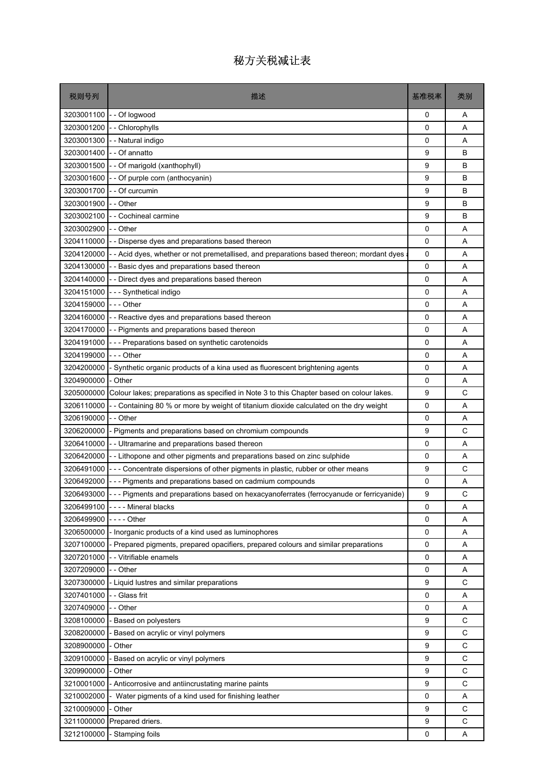| 税则号列                  | 描述                                                                                                 | 基准税率         | 类别          |
|-----------------------|----------------------------------------------------------------------------------------------------|--------------|-------------|
| 3203001100            | - Of logwood                                                                                       | 0            | A           |
| 3203001200            | - Chlorophylls                                                                                     | 0            | A           |
| 3203001300            | - Natural indigo                                                                                   | 0            | A           |
| 3203001400            | - Of annatto                                                                                       | 9            | B           |
| 3203001500            | - Of marigold (xanthophyll)                                                                        | 9            | В           |
| 3203001600            | - Of purple corn (anthocyanin)                                                                     | 9            | B           |
| 3203001700            | - Of curcumin                                                                                      | 9            | B           |
| 3203001900            | - - Other                                                                                          | 9            | B           |
| 3203002100            | - Cochineal carmine                                                                                | 9            | B           |
| 3203002900            | - - Other                                                                                          | 0            | Α           |
| 3204110000            | - Disperse dyes and preparations based thereon                                                     | 0            | A           |
| 3204120000            | - Acid dyes, whether or not premetallised, and preparations based thereon; mordant dyes            | 0            | A           |
| 3204130000            | - Basic dyes and preparations based thereon                                                        | 0            | A           |
| 3204140000            | - - Direct dyes and preparations based thereon                                                     | 0            | A           |
| 3204151000            | --- Synthetical indigo                                                                             | 0            | A           |
| 3204159000            | - - - Other                                                                                        | 0            | A           |
| 3204160000            | -- Reactive dyes and preparations based thereon                                                    | 0            | Α           |
| 3204170000            | - Pigments and preparations based thereon                                                          | 0            | A           |
| 3204191000            | - - Preparations based on synthetic carotenoids                                                    | $\mathbf 0$  | A           |
| 3204199000            | -  - - Other                                                                                       | 0            | Α           |
| 3204200000            | Synthetic organic products of a kina used as fluorescent brightening agents                        | 0            | A           |
| 3204900000            | - Other                                                                                            | 0            | A           |
| 3205000000            | Colour lakes; preparations as specified in Note 3 to this Chapter based on colour lakes.           | 9            | C           |
| 3206110000            | - Containing 80 % or more by weight of titanium dioxide calculated on the dry weight               | 0            | A           |
| 3206190000            | - - Other                                                                                          | 0            | A           |
| 3206200000            | Pigments and preparations based on chromium compounds                                              | 9            | C           |
| 3206410000            | - - Ultramarine and preparations based thereon                                                     | 0            | Α           |
| 3206420000            | - - Lithopone and other pigments and preparations based on zinc sulphide                           | 0            | A           |
| 3206491000            | --- Concentrate dispersions of other pigments in plastic, rubber or other means                    | 9            | C           |
| 3206492000            | --- Pigments and preparations based on cadmium compounds                                           | 0            | Α           |
|                       | 3206493000 --- Pigments and preparations based on hexacyanoferrates (ferrocyanude or ferricyanide) | 9            | C           |
| 3206499100            | - - - - Mineral blacks                                                                             | $\mathbf{0}$ | A           |
| 3206499900 ---- Other |                                                                                                    | 0            | Α           |
| 3206500000            | - Inorganic products of a kind used as luminophores                                                | 0            | Α           |
| 3207100000            | - Prepared pigments, prepared opacifiers, prepared colours and similar preparations                | 0            | Α           |
| 3207201000            | - Vitrifiable enamels                                                                              | 0            | Α           |
| 3207209000            | -- Other                                                                                           | 0            | Α           |
| 3207300000            | - Liquid lustres and similar preparations                                                          | 9            | C           |
| 3207401000            | - Glass frit                                                                                       | 0            | Α           |
| 3207409000            | - Other                                                                                            | 0            | A           |
| 3208100000            | - Based on polyesters                                                                              | 9            | $\mathsf C$ |
| 3208200000            | Based on acrylic or vinyl polymers                                                                 | 9            | $\mathsf C$ |
| 3208900000            | Other                                                                                              | 9            | $\mathsf C$ |
| 3209100000            | Based on acrylic or vinyl polymers                                                                 | 9            | C           |
| 3209900000            | - Other                                                                                            | 9            | C           |
| 3210001000            | Anticorrosive and antiincrustating marine paints                                                   | 9            | $\mathsf C$ |
| 3210002000            | Water pigments of a kind used for finishing leather                                                | 0            | Α           |
| 3210009000            | Other                                                                                              | 9            | C           |
| 3211000000            | Prepared driers.                                                                                   | 9            | $\mathsf C$ |
| 3212100000            | Stamping foils                                                                                     | 0            | Α           |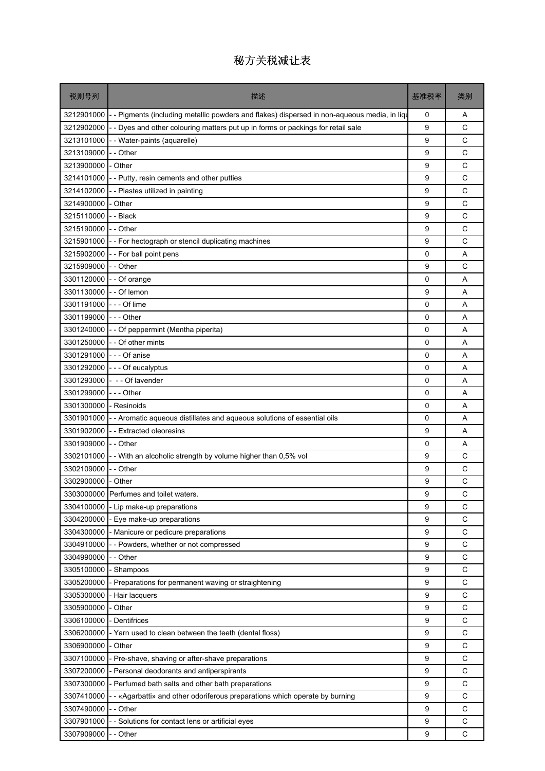| 税则号列               | 描述                                                                                         | 基准税率        | 类别           |
|--------------------|--------------------------------------------------------------------------------------------|-------------|--------------|
| 3212901000 -       | - Pigments (including metallic powders and flakes) dispersed in non-aqueous media, in liqu | 0           | Α            |
| 3212902000         | - Dyes and other colouring matters put up in forms or packings for retail sale             | 9           | C            |
| 3213101000         | - Water-paints (aquarelle)                                                                 | 9           | C            |
| 3213109000         | - - Other                                                                                  | 9           | C            |
| 3213900000         | - Other                                                                                    | 9           | C            |
| 3214101000         | - Putty, resin cements and other putties                                                   | 9           | $\mathsf{C}$ |
| 3214102000         | - - Plastes utilized in painting                                                           | 9           | C            |
| 3214900000         | - Other                                                                                    | 9           | C            |
| 3215110000         | - - Black                                                                                  | 9           | C            |
| 3215190000         | -- Other                                                                                   | 9           | C            |
|                    | 3215901000 - - For hectograph or stencil duplicating machines                              | 9           | C            |
| 3215902000         | - - For ball point pens                                                                    | 0           | A            |
| 3215909000         | - - Other                                                                                  | 9           | C            |
| 3301120000         | - - Of orange                                                                              | 0           | Α            |
| 3301130000         | - - Of lemon                                                                               | 9           | A            |
| 3301191000         | -  - - Of lime                                                                             | $\mathbf 0$ | A            |
| 3301199000         | $--$ Other                                                                                 | 0           | Α            |
|                    | 3301240000 - - Of peppermint (Mentha piperita)                                             | 0           | A            |
| 3301250000         | - - Of other mints                                                                         | 0           | A            |
| 3301291000         | --- Of anise                                                                               | 0           | Α            |
| 3301292000         | - - - Of eucalyptus                                                                        | $\mathbf 0$ | A            |
| 3301293000         | - -- Of lavender                                                                           | 0           | A            |
| 3301299000         | -  - - Other                                                                               | 0           | Α            |
| 3301300000         | - Resinoids                                                                                | 0           | A            |
|                    | 3301901000 - - Aromatic aqueous distillates and aqueous solutions of essential oils        | 0           | A            |
| 3301902000         | - Extracted oleoresins                                                                     | 9           | A            |
| 3301909000         | -- Other                                                                                   | 0           | Α            |
| 3302101000         | - - With an alcoholic strength by volume higher than 0,5% vol                              | 9           | C            |
| 3302109000         | - Other                                                                                    | 9           | C            |
| 3302900000 - Other |                                                                                            | 9           | C            |
|                    | 3303000000 Perfumes and toilet waters                                                      | 9           | C            |
| 3304100000         | - Lip make-up preparations                                                                 | 9           | C            |
| 3304200000         | - Eye make-up preparations                                                                 | 9           | С            |
| 3304300000         | - Manicure or pedicure preparations                                                        | 9           | C            |
| 3304910000         | -- Powders, whether or not compressed                                                      | 9           | C            |
| 3304990000         | - Other                                                                                    | 9           | C            |
| 3305100000         | - Shampoos                                                                                 | 9           | C            |
| 3305200000         | - Preparations for permanent waving or straightening                                       | 9           | C            |
| 3305300000         | - Hair lacquers                                                                            | 9           | C            |
| 3305900000         | - Other                                                                                    | 9           | C            |
| 3306100000         | - Dentifrices                                                                              | 9           | $\mathsf C$  |
| 3306200000         | - Yarn used to clean between the teeth (dental floss)                                      | 9           | C            |
| 3306900000         | Other                                                                                      | 9           | C            |
| 3307100000         | Pre-shave, shaving or after-shave preparations                                             | 9           | C            |
| 3307200000         | Personal deodorants and antiperspirants                                                    | 9           | C            |
| 3307300000         | - Perfumed bath salts and other bath preparations                                          | 9           | $\mathsf C$  |
| 3307410000         | - «Agarbatti» and other odoriferous preparations which operate by burning                  | 9           | C            |
| 3307490000         | - - Other                                                                                  | 9           | C            |
| 3307901000         | - Solutions for contact lens or artificial eyes                                            | 9           | C            |
| 3307909000         | - Other                                                                                    | 9           | C            |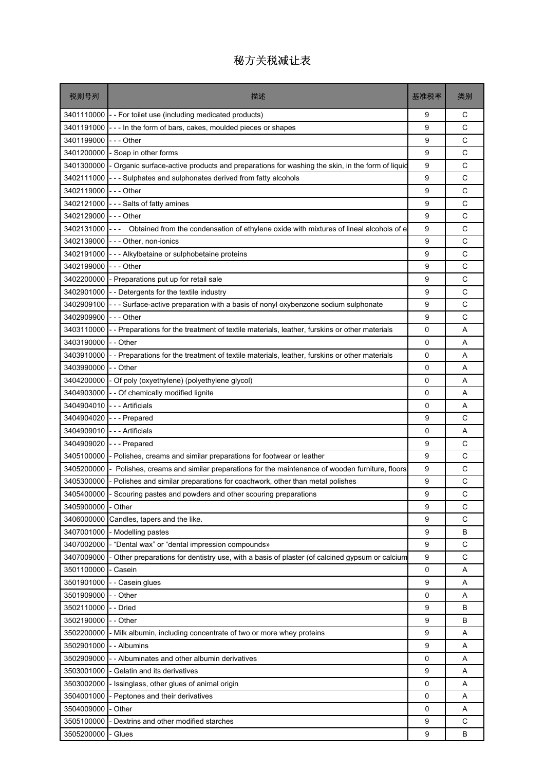| 税则号列       | 描述                                                                                             | 基准税率 | 类别 |
|------------|------------------------------------------------------------------------------------------------|------|----|
| 3401110000 | - - For toilet use (including medicated products)                                              | 9    | С  |
| 3401191000 | --- In the form of bars, cakes, moulded pieces or shapes                                       | 9    | C  |
| 3401199000 | -  -  - Other                                                                                  | 9    | C  |
| 3401200000 | - Soap in other forms                                                                          | 9    | C  |
| 3401300000 | Organic surface-active products and preparations for washing the skin, in the form of liquid   | 9    | C  |
| 3402111000 | - - Sulphates and sulphonates derived from fatty alcohols                                      | 9    | C  |
| 3402119000 | - - - Other                                                                                    | 9    | С  |
| 3402121000 | --- Salts of fatty amines                                                                      | 9    | C  |
| 3402129000 | -  -  - Other                                                                                  | 9    | C  |
| 3402131000 | Obtained from the condensation of ethylene oxide with mixtures of lineal alcohols of e<br>$ -$ | 9    | C  |
| 3402139000 | --- Other, non-ionics                                                                          | 9    | C  |
| 3402191000 | - - - Alkylbetaine or sulphobetaine proteins                                                   | 9    | C  |
| 3402199000 | - - Other                                                                                      | 9    | C  |
| 3402200000 | - Preparations put up for retail sale                                                          | 9    | C  |
| 3402901000 | - Detergents for the textile industry                                                          | 9    | C  |
| 3402909100 | -- Surface-active preparation with a basis of nonyl oxybenzone sodium sulphonate               | 9    | C  |
| 3402909900 | -  -  - Other                                                                                  | 9    | C  |
| 3403110000 | - Preparations for the treatment of textile materials, leather, furskins or other materials    | 0    | A  |
| 3403190000 | - - Other                                                                                      | 0    | A  |
| 3403910000 | - Preparations for the treatment of textile materials, leather, furskins or other materials    | 0    | A  |
| 3403990000 | - - Other                                                                                      | 0    | A  |
| 3404200000 | - Of poly (oxyethylene) (polyethylene glycol)                                                  | 0    | A  |
| 3404903000 | - Of chemically modified lignite                                                               | 0    | A  |
| 3404904010 | - - - Artificials                                                                              | 0    | A  |
| 3404904020 | --- Prepared                                                                                   | 9    | C  |
| 3404909010 | -  - - Artificials                                                                             | 0    | Α  |
| 3404909020 | --- Prepared                                                                                   | 9    | С  |
| 3405100000 | Polishes, creams and similar preparations for footwear or leather                              | 9    | C  |
| 3405200000 | Polishes, creams and similar preparations for the maintenance of wooden furniture, floors      | 9    | C  |
| 3405300000 | Polishes and similar preparations for coachwork, other than metal polishes                     | 9    | C  |
| 3405400000 | - Scouring pastes and powders and other scouring preparations                                  | 9    | C  |
| 3405900000 | - Other                                                                                        | 9    | C  |
| 3406000000 | Candles, tapers and the like.                                                                  | 9    | C  |
| 3407001000 | - Modelling pastes                                                                             | 9    | B  |
| 3407002000 | - "Dental wax" or "dental impression compounds»                                                | 9    | C  |
| 3407009000 | - Other preparations for dentistry use, with a basis of plaster (of calcined gypsum or calcium | 9    | C  |
| 3501100000 | Casein                                                                                         | 0    | Α  |
| 3501901000 | - Casein glues                                                                                 | 9    | Α  |
| 3501909000 | - Other                                                                                        | 0    | Α  |
| 3502110000 | - Dried                                                                                        | 9    | В  |
| 3502190000 | - - Other                                                                                      | 9    | в  |
| 3502200000 | - Milk albumin, including concentrate of two or more whey proteins                             | 9    | Α  |
| 3502901000 | - Albumins                                                                                     | 9    | Α  |
| 3502909000 | - - Albuminates and other albumin derivatives                                                  | 0    | Α  |
| 3503001000 | - Gelatin and its derivatives                                                                  | 9    | Α  |
| 3503002000 | - Issinglass, other glues of animal origin                                                     | 0    | Α  |
| 3504001000 | Peptones and their derivatives                                                                 | 0    | Α  |
| 3504009000 | Other                                                                                          | 0    | A  |
| 3505100000 | Dextrins and other modified starches                                                           | 9    | C  |
| 3505200000 | Glues                                                                                          | 9    | В  |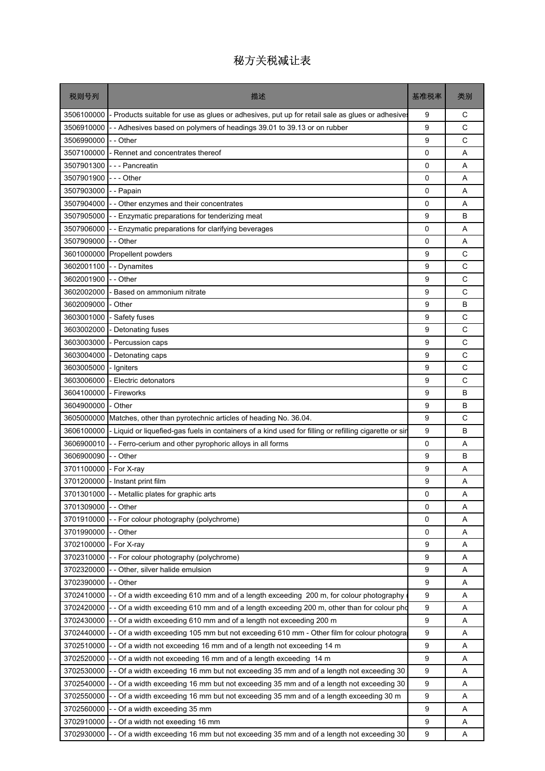| 税则号列       | 描述                                                                                                     | 基准税率 | 类别           |
|------------|--------------------------------------------------------------------------------------------------------|------|--------------|
| 3506100000 | - Products suitable for use as glues or adhesives, put up for retail sale as glues or adhesive         | 9    | С            |
| 3506910000 | - Adhesives based on polymers of headings 39.01 to 39.13 or on rubber                                  | 9    | C            |
| 3506990000 | - Other                                                                                                | 9    | $\mathsf{C}$ |
| 3507100000 | - Rennet and concentrates thereof                                                                      | 0    | A            |
| 3507901300 | --- Pancreatin                                                                                         | 0    | A            |
| 3507901900 | -  - - Other                                                                                           | 0    | A            |
| 3507903000 | - - Papain                                                                                             | 0    | A            |
| 3507904000 | - Other enzymes and their concentrates                                                                 | 0    | A            |
| 3507905000 | -- Enzymatic preparations for tenderizing meat                                                         | 9    | B            |
| 3507906000 | - - Enzymatic preparations for clarifying beverages                                                    | 0    | Α            |
| 3507909000 | - - Other                                                                                              | 0    | A            |
| 3601000000 | Propellent powders                                                                                     | 9    | С            |
| 3602001100 | - - Dynamites                                                                                          | 9    | C            |
| 3602001900 | - - Other                                                                                              | 9    | С            |
| 3602002000 | Based on ammonium nitrate                                                                              | 9    | C            |
| 3602009000 | Other                                                                                                  | 9    | B            |
| 3603001000 | - Safety fuses                                                                                         | 9    | С            |
| 3603002000 | Detonating fuses                                                                                       | 9    | C            |
| 3603003000 | - Percussion caps                                                                                      | 9    | C            |
| 3603004000 | Detonating caps                                                                                        | 9    | C            |
| 3603005000 | Igniters                                                                                               | 9    | C            |
| 3603006000 | Electric detonators                                                                                    | 9    | C            |
| 3604100000 | - Fireworks                                                                                            | 9    | B            |
| 3604900000 | - Other                                                                                                | 9    | B            |
| 3605000000 | Matches, other than pyrotechnic articles of heading No. 36.04.                                         | 9    | C            |
| 3606100000 | - Liquid or liquefied-gas fuels in containers of a kind used for filling or refilling cigarette or sin | 9    | B            |
| 3606900010 | - - Ferro-cerium and other pyrophoric alloys in all forms                                              | 0    | Α            |
| 3606900090 | - - Other                                                                                              | 9    | B            |
| 3701100000 | - For X-ray                                                                                            | 9    | A            |
| 3701200000 | - Instant print film                                                                                   | 9    | Α            |
|            | 3701301000 - - Metallic plates for graphic arts                                                        | 0    | Α            |
| 3701309000 | - Other                                                                                                | 0    | Α            |
| 3701910000 | - For colour photography (polychrome)                                                                  | 0    | A            |
| 3701990000 | - - Other                                                                                              | 0    | A            |
| 3702100000 | - For X-ray                                                                                            | 9    | Α            |
| 3702310000 | - For colour photography (polychrome)                                                                  | 9    | Α            |
| 3702320000 | - Other, silver halide emulsion                                                                        | 9    | Α            |
| 3702390000 | - Other                                                                                                | 9    | Α            |
| 3702410000 | - Of a width exceeding 610 mm and of a length exceeding 200 m, for colour photography                  | 9    | Α            |
| 3702420000 | - - Of a width exceeding 610 mm and of a length exceeding 200 m, other than for colour pho             | 9    | Α            |
| 3702430000 | - Of a width exceeding 610 mm and of a length not exceeding 200 m                                      | 9    | Α            |
| 3702440000 | - Of a width exceeding 105 mm but not exceeding 610 mm - Other film for colour photogra                | 9    | Α            |
| 3702510000 | - Of a width not exceeding 16 mm and of a length not exceeding 14 m                                    | 9    | Α            |
| 3702520000 | - Of a width not exceeding 16 mm and of a length exceeding 14 m                                        | 9    | Α            |
| 3702530000 | - Of a width exceeding 16 mm but not exceeding 35 mm and of a length not exceeding 30                  | 9    | Α            |
| 3702540000 | - Of a width exceeding 16 mm but not exceeding 35 mm and of a length not exceeding 30                  | 9    | Α            |
| 3702550000 | - Of a width exceeding 16 mm but not exceeding 35 mm and of a length exceeding 30 m                    | 9    | A            |
| 3702560000 | Of a width exceeding 35 mm                                                                             | 9    | Α            |
| 3702910000 | - Of a width not exeeding 16 mm                                                                        | 9    | Α            |
| 3702930000 | - Of a width exceeding 16 mm but not exceeding 35 mm and of a length not exceeding 30                  | 9    | Α            |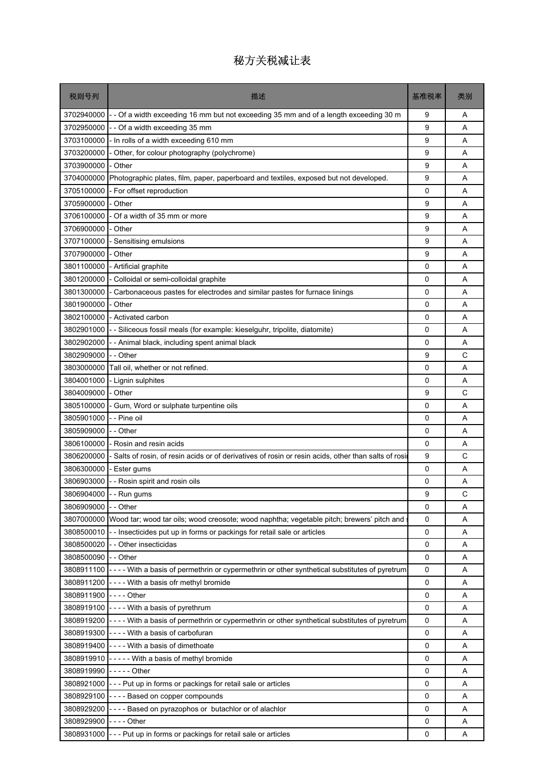| 税则号列       | 描述                                                                                                         | 基准税率 | 类别 |
|------------|------------------------------------------------------------------------------------------------------------|------|----|
| 3702940000 | Of a width exceeding 16 mm but not exceeding 35 mm and of a length exceeding 30 m                          | 9    | Α  |
| 3702950000 | - Of a width exceeding 35 mm                                                                               | 9    | A  |
| 3703100000 | - In rolls of a width exceeding 610 mm                                                                     | 9    | A  |
| 3703200000 | Other, for colour photography (polychrome)                                                                 | 9    | A  |
| 3703900000 | - Other                                                                                                    | 9    | A  |
| 3704000000 | Photographic plates, film, paper, paperboard and textiles, exposed but not developed.                      | 9    | A  |
| 3705100000 | - For offset reproduction                                                                                  | 0    | A  |
| 3705900000 | - Other                                                                                                    | 9    | A  |
| 3706100000 | Of a width of 35 mm or more                                                                                | 9    | A  |
| 3706900000 | - Other                                                                                                    | 9    | A  |
| 3707100000 | Sensitising emulsions                                                                                      | 9    | A  |
| 3707900000 | - Other                                                                                                    | 9    | A  |
| 3801100000 | - Artificial graphite                                                                                      | 0    | A  |
| 3801200000 | Colloidal or semi-colloidal graphite                                                                       | 0    | A  |
| 3801300000 | Carbonaceous pastes for electrodes and similar pastes for furnace linings                                  | 0    | A  |
| 3801900000 | Other                                                                                                      | 0    | A  |
| 3802100000 | - Activated carbon                                                                                         | 0    | A  |
| 3802901000 | - Siliceous fossil meals (for example: kieselguhr, tripolite, diatomite)                                   | 0    | A  |
| 3802902000 | - Animal black, including spent animal black                                                               | 0    | A  |
| 3802909000 | - - Other                                                                                                  | 9    | C  |
| 3803000000 | Tall oil, whether or not refined.                                                                          | 0    | A  |
| 3804001000 | - Lignin sulphites                                                                                         | 0    | A  |
| 3804009000 | Other                                                                                                      | 9    | C  |
| 3805100000 | Gum, Word or sulphate turpentine oils                                                                      | 0    | A  |
| 3805901000 | - - Pine oil                                                                                               | 0    | A  |
| 3805909000 | - Other                                                                                                    | 0    | A  |
| 3806100000 | - Rosin and resin acids                                                                                    | 0    | A  |
| 3806200000 | Salts of rosin, of resin acids or of derivatives of rosin or resin acids, other than salts of rosi         | 9    | C  |
| 3806300000 | - Ester gums                                                                                               | 0    | A  |
| 3806903000 | - - Rosin spirit and rosin oils                                                                            | 0    | A  |
| 3806904000 | Run gums                                                                                                   | 9    | С  |
| 3806909000 | - - Other                                                                                                  | 0    | Α  |
| 3807000000 | Wood tar; wood tar oils; wood creosote; wood naphtha; vegetable pitch; brewers' pitch and                  | 0    | Α  |
| 3808500010 | - - Insecticides put up in forms or packings for retail sale or articles                                   | 0    | A  |
| 3808500020 | - - Other insecticidas                                                                                     | 0    | A  |
| 3808500090 | - - Other                                                                                                  | 0    | Α  |
| 3808911100 | - - - - With a basis of permethrin or cypermethrin or other synthetical substitutes of pyretrum            | 0    | Α  |
| 3808911200 | ---- With a basis ofr methyl bromide                                                                       | 0    | Α  |
| 3808911900 | - - - - Other                                                                                              | 0    | Α  |
| 3808919100 | - - - - With a basis of pyrethrum                                                                          | 0    | Α  |
|            | 3808919200 - - - - With a basis of permethrin or cypermethrin or other synthetical substitutes of pyretrum | 0    | A  |
| 3808919300 | ---- With a basis of carbofuran                                                                            | 0    | Α  |
| 3808919400 | ---- With a basis of dimethoate                                                                            | 0    | Α  |
| 3808919910 | ----- With a basis of methyl bromide                                                                       | 0    | Α  |
| 3808919990 | $---$ Other                                                                                                | 0    | Α  |
| 3808921000 | --- Put up in forms or packings for retail sale or articles                                                | 0    | Α  |
| 3808929100 | ---- Based on copper compounds                                                                             | 0    | Α  |
| 3808929200 | ---- Based on pyrazophos or butachlor or of alachlor                                                       | 0    | A  |
| 3808929900 | - - - - Other                                                                                              | 0    | Α  |
| 3808931000 | - - - Put up in forms or packings for retail sale or articles                                              | 0    | Α  |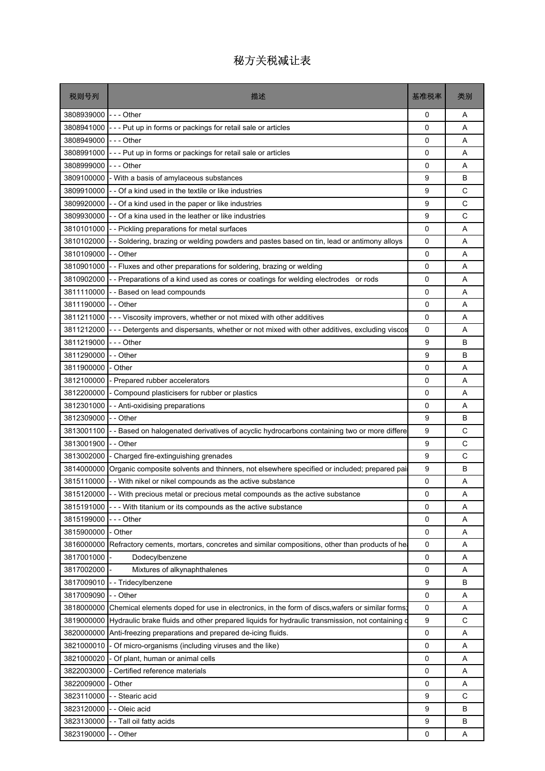| 3808939000<br>- - - Other<br>0<br>Α<br>3808941000<br>- - - Put up in forms or packings for retail sale or articles<br>0<br>A<br>3808949000<br>- - - Other<br>0<br>A<br>3808991000<br>- - - Put up in forms or packings for retail sale or articles<br>0<br>Α<br>$--$ Other<br>3808999000<br>0<br>A<br>B<br>3809100000<br>- With a basis of amylaceous substances<br>9<br>3809910000<br>- Of a kind used in the textile or like industries<br>9<br>С<br>C<br>3809920000<br>- - Of a kind used in the paper or like industries<br>9<br>C<br>3809930000<br>- Of a kina used in the leather or like industries<br>9<br>3810101000<br>0<br>A<br>-- Pickling preparations for metal surfaces<br>3810102000<br>- Soldering, brazing or welding powders and pastes based on tin, lead or antimony alloys<br>0<br>Α<br>3810109000<br>-- Other<br>0<br>A<br>0<br>3810901000<br>- Fluxes and other preparations for soldering, brazing or welding<br>A<br>3810902000<br>-- Preparations of a kind used as cores or coatings for welding electrodes or rods<br>0<br>Α<br>3811110000<br>- - Based on lead compounds<br>$\Omega$<br>A<br>3811190000<br>- - Other<br>0<br>A<br>3811211000<br>- - - Viscosity improvers, whether or not mixed with other additives<br>0<br>Α<br>3811212000<br>- - Detergents and dispersants, whether or not mixed with other additives, excluding viscos<br>0<br>A<br>$--$ Other<br>9<br>B<br>3811219000<br>3811290000<br>9<br>B<br>-- Other<br>3811900000<br>- Other<br>0<br>A<br>3812100000<br>A<br>Prepared rubber accelerators<br>0<br>3812200000<br>- Compound plasticisers for rubber or plastics<br>0<br>A |
|------------------------------------------------------------------------------------------------------------------------------------------------------------------------------------------------------------------------------------------------------------------------------------------------------------------------------------------------------------------------------------------------------------------------------------------------------------------------------------------------------------------------------------------------------------------------------------------------------------------------------------------------------------------------------------------------------------------------------------------------------------------------------------------------------------------------------------------------------------------------------------------------------------------------------------------------------------------------------------------------------------------------------------------------------------------------------------------------------------------------------------------------------------------------------------------------------------------------------------------------------------------------------------------------------------------------------------------------------------------------------------------------------------------------------------------------------------------------------------------------------------------------------------------------------------------------------------------------------------------------------------|
|                                                                                                                                                                                                                                                                                                                                                                                                                                                                                                                                                                                                                                                                                                                                                                                                                                                                                                                                                                                                                                                                                                                                                                                                                                                                                                                                                                                                                                                                                                                                                                                                                                    |
|                                                                                                                                                                                                                                                                                                                                                                                                                                                                                                                                                                                                                                                                                                                                                                                                                                                                                                                                                                                                                                                                                                                                                                                                                                                                                                                                                                                                                                                                                                                                                                                                                                    |
|                                                                                                                                                                                                                                                                                                                                                                                                                                                                                                                                                                                                                                                                                                                                                                                                                                                                                                                                                                                                                                                                                                                                                                                                                                                                                                                                                                                                                                                                                                                                                                                                                                    |
|                                                                                                                                                                                                                                                                                                                                                                                                                                                                                                                                                                                                                                                                                                                                                                                                                                                                                                                                                                                                                                                                                                                                                                                                                                                                                                                                                                                                                                                                                                                                                                                                                                    |
|                                                                                                                                                                                                                                                                                                                                                                                                                                                                                                                                                                                                                                                                                                                                                                                                                                                                                                                                                                                                                                                                                                                                                                                                                                                                                                                                                                                                                                                                                                                                                                                                                                    |
|                                                                                                                                                                                                                                                                                                                                                                                                                                                                                                                                                                                                                                                                                                                                                                                                                                                                                                                                                                                                                                                                                                                                                                                                                                                                                                                                                                                                                                                                                                                                                                                                                                    |
|                                                                                                                                                                                                                                                                                                                                                                                                                                                                                                                                                                                                                                                                                                                                                                                                                                                                                                                                                                                                                                                                                                                                                                                                                                                                                                                                                                                                                                                                                                                                                                                                                                    |
|                                                                                                                                                                                                                                                                                                                                                                                                                                                                                                                                                                                                                                                                                                                                                                                                                                                                                                                                                                                                                                                                                                                                                                                                                                                                                                                                                                                                                                                                                                                                                                                                                                    |
|                                                                                                                                                                                                                                                                                                                                                                                                                                                                                                                                                                                                                                                                                                                                                                                                                                                                                                                                                                                                                                                                                                                                                                                                                                                                                                                                                                                                                                                                                                                                                                                                                                    |
|                                                                                                                                                                                                                                                                                                                                                                                                                                                                                                                                                                                                                                                                                                                                                                                                                                                                                                                                                                                                                                                                                                                                                                                                                                                                                                                                                                                                                                                                                                                                                                                                                                    |
|                                                                                                                                                                                                                                                                                                                                                                                                                                                                                                                                                                                                                                                                                                                                                                                                                                                                                                                                                                                                                                                                                                                                                                                                                                                                                                                                                                                                                                                                                                                                                                                                                                    |
|                                                                                                                                                                                                                                                                                                                                                                                                                                                                                                                                                                                                                                                                                                                                                                                                                                                                                                                                                                                                                                                                                                                                                                                                                                                                                                                                                                                                                                                                                                                                                                                                                                    |
|                                                                                                                                                                                                                                                                                                                                                                                                                                                                                                                                                                                                                                                                                                                                                                                                                                                                                                                                                                                                                                                                                                                                                                                                                                                                                                                                                                                                                                                                                                                                                                                                                                    |
|                                                                                                                                                                                                                                                                                                                                                                                                                                                                                                                                                                                                                                                                                                                                                                                                                                                                                                                                                                                                                                                                                                                                                                                                                                                                                                                                                                                                                                                                                                                                                                                                                                    |
|                                                                                                                                                                                                                                                                                                                                                                                                                                                                                                                                                                                                                                                                                                                                                                                                                                                                                                                                                                                                                                                                                                                                                                                                                                                                                                                                                                                                                                                                                                                                                                                                                                    |
|                                                                                                                                                                                                                                                                                                                                                                                                                                                                                                                                                                                                                                                                                                                                                                                                                                                                                                                                                                                                                                                                                                                                                                                                                                                                                                                                                                                                                                                                                                                                                                                                                                    |
|                                                                                                                                                                                                                                                                                                                                                                                                                                                                                                                                                                                                                                                                                                                                                                                                                                                                                                                                                                                                                                                                                                                                                                                                                                                                                                                                                                                                                                                                                                                                                                                                                                    |
|                                                                                                                                                                                                                                                                                                                                                                                                                                                                                                                                                                                                                                                                                                                                                                                                                                                                                                                                                                                                                                                                                                                                                                                                                                                                                                                                                                                                                                                                                                                                                                                                                                    |
|                                                                                                                                                                                                                                                                                                                                                                                                                                                                                                                                                                                                                                                                                                                                                                                                                                                                                                                                                                                                                                                                                                                                                                                                                                                                                                                                                                                                                                                                                                                                                                                                                                    |
|                                                                                                                                                                                                                                                                                                                                                                                                                                                                                                                                                                                                                                                                                                                                                                                                                                                                                                                                                                                                                                                                                                                                                                                                                                                                                                                                                                                                                                                                                                                                                                                                                                    |
|                                                                                                                                                                                                                                                                                                                                                                                                                                                                                                                                                                                                                                                                                                                                                                                                                                                                                                                                                                                                                                                                                                                                                                                                                                                                                                                                                                                                                                                                                                                                                                                                                                    |
|                                                                                                                                                                                                                                                                                                                                                                                                                                                                                                                                                                                                                                                                                                                                                                                                                                                                                                                                                                                                                                                                                                                                                                                                                                                                                                                                                                                                                                                                                                                                                                                                                                    |
|                                                                                                                                                                                                                                                                                                                                                                                                                                                                                                                                                                                                                                                                                                                                                                                                                                                                                                                                                                                                                                                                                                                                                                                                                                                                                                                                                                                                                                                                                                                                                                                                                                    |
| 3812301000<br>- - Anti-oxidising preparations<br>0<br>Α                                                                                                                                                                                                                                                                                                                                                                                                                                                                                                                                                                                                                                                                                                                                                                                                                                                                                                                                                                                                                                                                                                                                                                                                                                                                                                                                                                                                                                                                                                                                                                            |
| 9<br>3812309000<br>- - Other<br>В                                                                                                                                                                                                                                                                                                                                                                                                                                                                                                                                                                                                                                                                                                                                                                                                                                                                                                                                                                                                                                                                                                                                                                                                                                                                                                                                                                                                                                                                                                                                                                                                  |
| C<br>3813001100<br>Based on halogenated derivatives of acyclic hydrocarbons containing two or more differe<br>9                                                                                                                                                                                                                                                                                                                                                                                                                                                                                                                                                                                                                                                                                                                                                                                                                                                                                                                                                                                                                                                                                                                                                                                                                                                                                                                                                                                                                                                                                                                    |
| C<br>3813001900<br>-- Other<br>9                                                                                                                                                                                                                                                                                                                                                                                                                                                                                                                                                                                                                                                                                                                                                                                                                                                                                                                                                                                                                                                                                                                                                                                                                                                                                                                                                                                                                                                                                                                                                                                                   |
| C<br>3813002000<br>9<br>- Charged fire-extinguishing grenades                                                                                                                                                                                                                                                                                                                                                                                                                                                                                                                                                                                                                                                                                                                                                                                                                                                                                                                                                                                                                                                                                                                                                                                                                                                                                                                                                                                                                                                                                                                                                                      |
| 9<br>B<br>3814000000<br>Organic composite solvents and thinners, not elsewhere specified or included; prepared pai                                                                                                                                                                                                                                                                                                                                                                                                                                                                                                                                                                                                                                                                                                                                                                                                                                                                                                                                                                                                                                                                                                                                                                                                                                                                                                                                                                                                                                                                                                                 |
| 3815110000<br>- With nikel or nikel compounds as the active substance<br>0<br>Α                                                                                                                                                                                                                                                                                                                                                                                                                                                                                                                                                                                                                                                                                                                                                                                                                                                                                                                                                                                                                                                                                                                                                                                                                                                                                                                                                                                                                                                                                                                                                    |
| 3815120000 - - With precious metal or precious metal compounds as the active substance<br>0<br>Α                                                                                                                                                                                                                                                                                                                                                                                                                                                                                                                                                                                                                                                                                                                                                                                                                                                                                                                                                                                                                                                                                                                                                                                                                                                                                                                                                                                                                                                                                                                                   |
| 3815191000 - - - With titanium or its compounds as the active substance<br>$\Omega$<br>Α                                                                                                                                                                                                                                                                                                                                                                                                                                                                                                                                                                                                                                                                                                                                                                                                                                                                                                                                                                                                                                                                                                                                                                                                                                                                                                                                                                                                                                                                                                                                           |
| 3815199000<br>0<br>Α<br>-  -  - Other                                                                                                                                                                                                                                                                                                                                                                                                                                                                                                                                                                                                                                                                                                                                                                                                                                                                                                                                                                                                                                                                                                                                                                                                                                                                                                                                                                                                                                                                                                                                                                                              |
| 3815900000<br>- Other<br>0<br>Α<br>3816000000<br>0<br>Α                                                                                                                                                                                                                                                                                                                                                                                                                                                                                                                                                                                                                                                                                                                                                                                                                                                                                                                                                                                                                                                                                                                                                                                                                                                                                                                                                                                                                                                                                                                                                                            |
| Refractory cements, mortars, concretes and similar compositions, other than products of hear<br>3817001000<br>0<br>Α                                                                                                                                                                                                                                                                                                                                                                                                                                                                                                                                                                                                                                                                                                                                                                                                                                                                                                                                                                                                                                                                                                                                                                                                                                                                                                                                                                                                                                                                                                               |
| Dodecylbenzene<br>3817002000<br>Mixtures of alkynaphthalenes<br>0<br>Α                                                                                                                                                                                                                                                                                                                                                                                                                                                                                                                                                                                                                                                                                                                                                                                                                                                                                                                                                                                                                                                                                                                                                                                                                                                                                                                                                                                                                                                                                                                                                             |
| 3817009010<br>- Tridecylbenzene<br>B<br>9                                                                                                                                                                                                                                                                                                                                                                                                                                                                                                                                                                                                                                                                                                                                                                                                                                                                                                                                                                                                                                                                                                                                                                                                                                                                                                                                                                                                                                                                                                                                                                                          |
| 3817009090<br>0<br>- - Other<br>Α                                                                                                                                                                                                                                                                                                                                                                                                                                                                                                                                                                                                                                                                                                                                                                                                                                                                                                                                                                                                                                                                                                                                                                                                                                                                                                                                                                                                                                                                                                                                                                                                  |
| 3818000000<br>Chemical elements doped for use in electronics, in the form of discs, wafers or similar forms<br>0<br>A                                                                                                                                                                                                                                                                                                                                                                                                                                                                                                                                                                                                                                                                                                                                                                                                                                                                                                                                                                                                                                                                                                                                                                                                                                                                                                                                                                                                                                                                                                              |
| C<br>3819000000<br>Hydraulic brake fluids and other prepared liquids for hydraulic transmission, not containing o<br>9                                                                                                                                                                                                                                                                                                                                                                                                                                                                                                                                                                                                                                                                                                                                                                                                                                                                                                                                                                                                                                                                                                                                                                                                                                                                                                                                                                                                                                                                                                             |
| Anti-freezing preparations and prepared de-icing fluids.<br>3820000000<br>0<br>Α                                                                                                                                                                                                                                                                                                                                                                                                                                                                                                                                                                                                                                                                                                                                                                                                                                                                                                                                                                                                                                                                                                                                                                                                                                                                                                                                                                                                                                                                                                                                                   |
| 3821000010<br>Of micro-organisms (including viruses and the like)<br>0<br>Α                                                                                                                                                                                                                                                                                                                                                                                                                                                                                                                                                                                                                                                                                                                                                                                                                                                                                                                                                                                                                                                                                                                                                                                                                                                                                                                                                                                                                                                                                                                                                        |
| 3821000020<br>0<br>- Of plant, human or animal cells<br>Α                                                                                                                                                                                                                                                                                                                                                                                                                                                                                                                                                                                                                                                                                                                                                                                                                                                                                                                                                                                                                                                                                                                                                                                                                                                                                                                                                                                                                                                                                                                                                                          |
| 3822003000<br>- Certified reference materials<br>0<br>Α                                                                                                                                                                                                                                                                                                                                                                                                                                                                                                                                                                                                                                                                                                                                                                                                                                                                                                                                                                                                                                                                                                                                                                                                                                                                                                                                                                                                                                                                                                                                                                            |
| 3822009000<br>0<br>Α<br>- Other                                                                                                                                                                                                                                                                                                                                                                                                                                                                                                                                                                                                                                                                                                                                                                                                                                                                                                                                                                                                                                                                                                                                                                                                                                                                                                                                                                                                                                                                                                                                                                                                    |
| - Stearic acid<br>C<br>3823110000<br>9                                                                                                                                                                                                                                                                                                                                                                                                                                                                                                                                                                                                                                                                                                                                                                                                                                                                                                                                                                                                                                                                                                                                                                                                                                                                                                                                                                                                                                                                                                                                                                                             |
| 3823120000<br>- Oleic acid<br>9<br>B                                                                                                                                                                                                                                                                                                                                                                                                                                                                                                                                                                                                                                                                                                                                                                                                                                                                                                                                                                                                                                                                                                                                                                                                                                                                                                                                                                                                                                                                                                                                                                                               |
| 9<br>3823130000<br>- - Tall oil fatty acids<br>В                                                                                                                                                                                                                                                                                                                                                                                                                                                                                                                                                                                                                                                                                                                                                                                                                                                                                                                                                                                                                                                                                                                                                                                                                                                                                                                                                                                                                                                                                                                                                                                   |
| 3823190000<br>0<br>- - Other<br>Α                                                                                                                                                                                                                                                                                                                                                                                                                                                                                                                                                                                                                                                                                                                                                                                                                                                                                                                                                                                                                                                                                                                                                                                                                                                                                                                                                                                                                                                                                                                                                                                                  |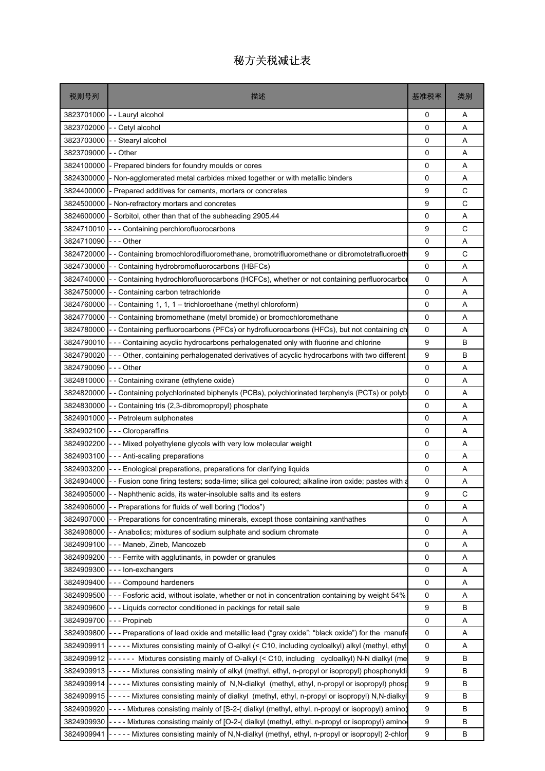| 3823701000<br>-- Lauryl alcohol<br>0<br>$\Omega$<br>3823702000<br>- - Cetyl alcohol<br>$\mathbf 0$<br>3823703000<br>- Stearyl alcohol<br>3823709000<br>- - Other<br>0<br>3824100000<br>- Prepared binders for foundry moulds or cores<br>0<br>0<br>3824300000<br>- Non-agglomerated metal carbides mixed together or with metallic binders<br>3824400000<br>9<br>- Prepared additives for cements, mortars or concretes | Α<br>A<br>A<br>Α<br>Α<br>A<br>C<br>C<br>A<br>C<br>Α<br>C<br>Α |
|-------------------------------------------------------------------------------------------------------------------------------------------------------------------------------------------------------------------------------------------------------------------------------------------------------------------------------------------------------------------------------------------------------------------------|---------------------------------------------------------------|
|                                                                                                                                                                                                                                                                                                                                                                                                                         |                                                               |
|                                                                                                                                                                                                                                                                                                                                                                                                                         |                                                               |
|                                                                                                                                                                                                                                                                                                                                                                                                                         |                                                               |
|                                                                                                                                                                                                                                                                                                                                                                                                                         |                                                               |
|                                                                                                                                                                                                                                                                                                                                                                                                                         |                                                               |
|                                                                                                                                                                                                                                                                                                                                                                                                                         |                                                               |
|                                                                                                                                                                                                                                                                                                                                                                                                                         |                                                               |
| 9<br>3824500000<br>- Non-refractory mortars and concretes                                                                                                                                                                                                                                                                                                                                                               |                                                               |
| 3824600000<br>- Sorbitol, other than that of the subheading 2905.44<br>0                                                                                                                                                                                                                                                                                                                                                |                                                               |
| 9<br>3824710010<br>--- Containing perchlorofluorocarbons                                                                                                                                                                                                                                                                                                                                                                |                                                               |
| 3824710090<br>-  - - Other<br>0                                                                                                                                                                                                                                                                                                                                                                                         |                                                               |
| 3824720000<br>- - Containing bromochlorodifluoromethane, bromotrifluoromethane or dibromotetrafluoroeth<br>9                                                                                                                                                                                                                                                                                                            |                                                               |
| $\mathbf 0$<br>3824730000<br>-- Containing hydrobromofluorocarbons (HBFCs)                                                                                                                                                                                                                                                                                                                                              |                                                               |
| 3824740000<br>-- Containing hydrochlorofluorocarbons (HCFCs), whether or not containing perfluorocarbor<br>0                                                                                                                                                                                                                                                                                                            | Α                                                             |
| 3824750000<br>-- Containing carbon tetrachloride<br>0                                                                                                                                                                                                                                                                                                                                                                   | A                                                             |
| 0<br>3824760000<br>- - Containing 1, 1, 1 - trichloroethane (methyl chloroform)                                                                                                                                                                                                                                                                                                                                         | A                                                             |
| 3824770000<br>0<br>-- Containing bromomethane (metyl bromide) or bromochloromethane                                                                                                                                                                                                                                                                                                                                     | Α                                                             |
| 3824780000<br>-- Containing perfluorocarbons (PFCs) or hydrofluorocarbons (HFCs), but not containing ch<br>0                                                                                                                                                                                                                                                                                                            | A                                                             |
| --- Containing acyclic hydrocarbons perhalogenated only with fluorine and chlorine<br>9<br>3824790010                                                                                                                                                                                                                                                                                                                   | B                                                             |
| --- Other, containing perhalogenated derivatives of acyclic hydrocarbons with two different<br>9<br>3824790020                                                                                                                                                                                                                                                                                                          | B                                                             |
| 3824790090<br>-  -  - Other<br>0                                                                                                                                                                                                                                                                                                                                                                                        | A                                                             |
| 3824810000<br>0<br>-- Containing oxirane (ethylene oxide)                                                                                                                                                                                                                                                                                                                                                               | Α                                                             |
| 0<br>3824820000<br>- - Containing polychlorinated biphenyls (PCBs), polychlorinated terphenyls (PCTs) or polyb                                                                                                                                                                                                                                                                                                          | Α                                                             |
| 3824830000<br>0<br>-- Containing tris (2,3-dibromopropyl) phosphate                                                                                                                                                                                                                                                                                                                                                     | A                                                             |
| 3824901000<br>- - Petroleum sulphonates<br>0                                                                                                                                                                                                                                                                                                                                                                            | A                                                             |
| 3824902100<br>--- Cloroparaffins<br>0                                                                                                                                                                                                                                                                                                                                                                                   | Α                                                             |
| 3824902200<br>--- Mixed polyethylene glycols with very low molecular weight<br>0                                                                                                                                                                                                                                                                                                                                        | Α                                                             |
| 3824903100<br>--- Anti-scaling preparations<br>0                                                                                                                                                                                                                                                                                                                                                                        | A                                                             |
| 0<br>3824903200<br>--- Enological preparations, preparations for clarifying liquids                                                                                                                                                                                                                                                                                                                                     | Α                                                             |
| - - Fusion cone firing testers; soda-lime; silica gel coloured; alkaline iron oxide; pastes with a<br>3824904000<br>0                                                                                                                                                                                                                                                                                                   | Α                                                             |
| $\mathbf{Q}$<br>3824905000 - - Naphthenic acids, its water-insoluble salts and its esters                                                                                                                                                                                                                                                                                                                               | C                                                             |
| $\mathbf 0$<br>3824906000<br>-- Preparations for fluids of well boring ("lodos")                                                                                                                                                                                                                                                                                                                                        | Α                                                             |
| 3824907000<br>0<br>- Preparations for concentrating minerals, except those containing xanthathes                                                                                                                                                                                                                                                                                                                        | Α                                                             |
| 3824908000<br>0<br>- - Anabolics; mixtures of sodium sulphate and sodium chromate                                                                                                                                                                                                                                                                                                                                       | Α                                                             |
| 3824909100<br>0<br>- - - Maneb, Zineb, Mancozeb                                                                                                                                                                                                                                                                                                                                                                         | Α                                                             |
| 3824909200<br>--- Ferrite with agglutinants, in powder or granules<br>0                                                                                                                                                                                                                                                                                                                                                 | Α                                                             |
| 3824909300<br>0<br>---lon-exchangers                                                                                                                                                                                                                                                                                                                                                                                    | Α                                                             |
| 3824909400<br>--- Compound hardeners<br>0                                                                                                                                                                                                                                                                                                                                                                               | Α                                                             |
| 3824909500<br>--- Fosforic acid, without isolate, whether or not in concentration containing by weight 54%<br>0                                                                                                                                                                                                                                                                                                         | Α                                                             |
| 3824909600<br>9<br>--- Liquids corrector conditioned in packings for retail sale                                                                                                                                                                                                                                                                                                                                        | в                                                             |
| 3824909700<br>--- Propineb<br>0                                                                                                                                                                                                                                                                                                                                                                                         | Α                                                             |
| --- Preparations of lead oxide and metallic lead ("gray oxide"; "black oxide") for the manufa<br>3824909800<br>0                                                                                                                                                                                                                                                                                                        | Α                                                             |
| 3824909911<br>----- Mixtures consisting mainly of O-alkyl (< C10, including cycloalkyl) alkyl (methyl, ethyl<br>0                                                                                                                                                                                                                                                                                                       | Α                                                             |
| ------ Mixtures consisting mainly of O-alkyl (< C10, including cycloalkyl) N-N dialkyl (me<br>9<br>3824909912                                                                                                                                                                                                                                                                                                           | В                                                             |
| 3824909913 ----- Mixtures consisting mainly of alkyl (methyl, ethyl, n-propyl or isopropyl) phosphonyldi<br>9                                                                                                                                                                                                                                                                                                           | В                                                             |
| ----- Mixtures consisting mainly of N,N-dialkyl (methyl, ethyl, n-propyl or isopropyl) phosp<br>9<br>3824909914                                                                                                                                                                                                                                                                                                         | в                                                             |
| 9<br>3824909915<br>----- Mixtures consisting mainly of dialkyl (methyl, ethyl, n-propyl or isopropyl) N,N-dialkyl                                                                                                                                                                                                                                                                                                       | В                                                             |
| ---- Mixtures consisting mainly of [S-2-( dialkyl (methyl, ethyl, n-propyl or isopropyl) amino)<br>9<br>3824909920                                                                                                                                                                                                                                                                                                      | В                                                             |
| 9<br>- - - - Mixtures consisting mainly of [O-2-( dialkyl (methyl, ethyl, n-propyl or isopropyl) amino<br>3824909930                                                                                                                                                                                                                                                                                                    | В                                                             |
| 9<br>3824909941  - - - - Mixtures consisting mainly of N,N-dialkyl (methyl, ethyl, n-propyl or isopropyl) 2-chlor                                                                                                                                                                                                                                                                                                       | В                                                             |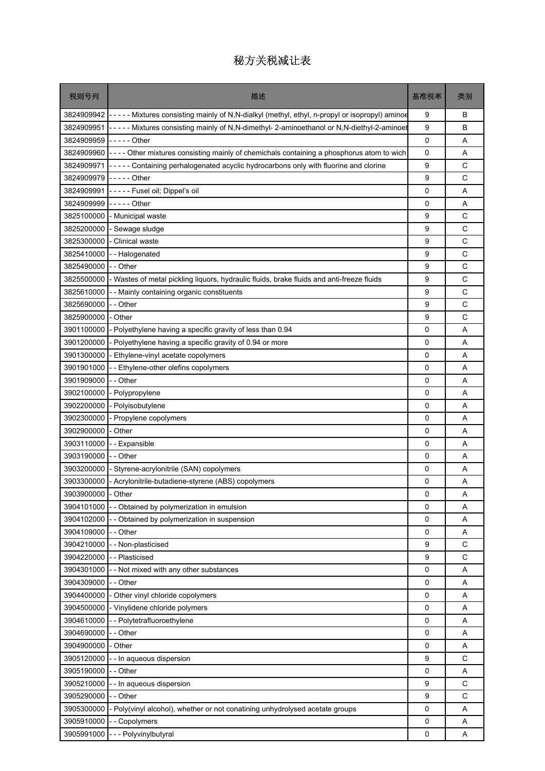| 税则号列               | 描述                                                                                                         | 基准税率         | 类别          |
|--------------------|------------------------------------------------------------------------------------------------------------|--------------|-------------|
|                    | 3824909942 - - - - Mixtures consisting mainly of N,N-dialkyl (methyl, ethyl, n-propyl or isopropyl) aminoe | 9            | B           |
| 3824909951         | - - - - - Mixtures consisting mainly of N,N-dimethyl- 2-aminoethanol or N,N-diethyl-2-aminoet              | 9            | B           |
| 3824909959         | $\left  \ldots \right $ - $\cdots$ - Other                                                                 | 0            | Α           |
| 3824909960         | ---- Other mixtures consisting mainly of chemichals containing a phosphorus atom to wich                   | 0            | Α           |
| 3824909971         | ----- Containing perhalogenated acyclic hydrocarbons only with fluorine and clorine                        | 9            | C           |
| 3824909979         | $---$ Other                                                                                                | 9            | C           |
| 3824909991         | ----- Fusel oil; Dippel's oil                                                                              | 0            | A           |
| 3824909999         | $---$ Other                                                                                                | 0            | Α           |
| 3825100000         | - Municipal waste                                                                                          | 9            | C           |
| 3825200000         | - Sewage sludge                                                                                            | 9            | $\mathsf C$ |
| 3825300000         | - Clinical waste                                                                                           | 9            | C           |
| 3825410000         | -- Halogenated                                                                                             | 9            | C           |
| 3825490000         | - - Other                                                                                                  | 9            | C           |
| 3825500000         | - Wastes of metal pickling liquors, hydraulic fluids, brake fluids and anti-freeze fluids                  | 9            | C           |
| 3825610000         | - Mainly containing organic constituents                                                                   | 9            | C           |
| 3825690000         | - Other                                                                                                    | 9            | C           |
| 3825900000         | - Other                                                                                                    | 9            | C           |
| 3901100000         | - Polyethylene having a specific gravity of less than 0.94                                                 | 0            | Α           |
| 3901200000         | - Polyethylene having a specific gravity of 0.94 or more                                                   | 0            | A           |
| 3901300000         | - Ethylene-vinyl acetate copolymers                                                                        | 0            | A           |
| 3901901000         | - Ethylene-other olefins copolymers                                                                        | 0            | A           |
| 3901909000         | - Other                                                                                                    | $\mathbf 0$  | A           |
| 3902100000         | - Polypropylene                                                                                            | 0            | Α           |
| 3902200000         | - Polyisobutylene                                                                                          | 0            | Α           |
| 3902300000         | Propylene copolymers                                                                                       | 0            | A           |
| 3902900000         | Other                                                                                                      | 0            | A           |
| 3903110000         | -- Expansible                                                                                              | 0            | Α           |
| 3903190000         | - - Other                                                                                                  | 0            | A           |
| 3903200000         | Styrene-acrylonitrile (SAN) copolymers                                                                     | 0            | A           |
| 3903300000         | - Acrylonitrile-butadiene-styrene (ABS) copolymers                                                         | 0            | Α           |
| 3903900000 - Other |                                                                                                            | 0            | A           |
| 3904101000         | - Obtained by polymerization in emulsion                                                                   | $\mathbf{0}$ | Α           |
| 3904102000         | Obtained by polymerization in suspension                                                                   | 0            | Α           |
| 3904109000         | - Other                                                                                                    | 0            | Α           |
| 3904210000         | - Non-plasticised                                                                                          | 9            | C           |
| 3904220000         | - Plasticised                                                                                              | 9            | C           |
| 3904301000         | - Not mixed with any other substances                                                                      | 0            | Α           |
| 3904309000         | -- Other                                                                                                   | 0            | Α           |
| 3904400000         | Other vinyl chloride copolymers                                                                            | 0            | Α           |
| 3904500000         | - Vinylidene chloride polymers                                                                             | 0            | Α           |
| 3904610000         | - Polytetrafluoroethylene                                                                                  | 0            | Α           |
| 3904690000         | - Other                                                                                                    | 0            | Α           |
| 3904900000         | Other                                                                                                      | 0            | Α           |
| 3905120000         | - In aqueous dispersion                                                                                    | 9            | C           |
| 3905190000         | - Other                                                                                                    | 0            | Α           |
| 3905210000         | - In aqueous dispersion                                                                                    | 9            | C           |
| 3905290000         | - - Other                                                                                                  | 9            | C           |
| 3905300000         | - Poly(vinyl alcohol), whether or not conatining unhydrolysed acetate groups                               | 0            | Α           |
| 3905910000         | - Copolymers                                                                                               | 0            | Α           |
| 3905991000         | - - Polyvinylbutyral                                                                                       | 0            | Α           |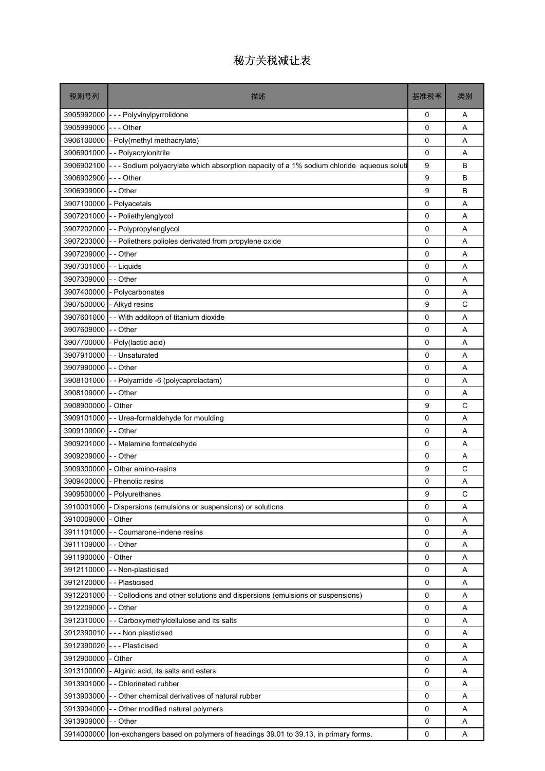| 税则号列       | 描述                                                                                        | 基准税率         | 类别 |
|------------|-------------------------------------------------------------------------------------------|--------------|----|
| 3905992000 | --- Polyvinylpyrrolidone                                                                  | 0            | Α  |
| 3905999000 | -  -  - Other                                                                             | $\Omega$     | A  |
| 3906100000 | - Poly(methyl methacrylate)                                                               | 0            | A  |
| 3906901000 | - - Polyacrylonitrile                                                                     | 0            | Α  |
| 3906902100 | --- Sodium polyacrylate which absorption capacity of a 1% sodium chloride aqueous soluti  | 9            | B  |
| 3906902900 | --- Other                                                                                 | 9            | B  |
| 3906909000 | - - Other                                                                                 | 9            | В  |
| 3907100000 | - Polyacetals                                                                             | 0            | A  |
| 3907201000 | -- Poliethylenglycol                                                                      | $\Omega$     | A  |
| 3907202000 | -- Polypropylenglycol                                                                     | 0            | Α  |
| 3907203000 | -- Poliethers polioles derivated from propylene oxide                                     | 0            | Α  |
| 3907209000 | - - Other                                                                                 | $\Omega$     | A  |
| 3907301000 | - - Liquids                                                                               | $\mathbf 0$  | A  |
| 3907309000 | - - Other                                                                                 | 0            | Α  |
| 3907400000 | Polycarbonates                                                                            | 0            | A  |
| 3907500000 | - Alkyd resins                                                                            | 9            | C  |
| 3907601000 | - With additopn of titanium dioxide                                                       | 0            | Α  |
| 3907609000 | - - Other                                                                                 | $\mathbf 0$  | A  |
| 3907700000 | - Poly(lactic acid)                                                                       | $\Omega$     | A  |
| 3907910000 | - - Unsaturated                                                                           | 0            | Α  |
| 3907990000 | - - Other                                                                                 | 0            | Α  |
| 3908101000 | - Polyamide -6 (polycaprolactam)                                                          | 0            | A  |
| 3908109000 | - Other                                                                                   | 0            | Α  |
| 3908900000 | - Other                                                                                   | 9            | C  |
| 3909101000 | - - Urea-formaldehyde for moulding                                                        | $\mathbf 0$  | A  |
| 3909109000 | - - Other                                                                                 | 0            | A  |
| 3909201000 | -- Melamine formaldehyde                                                                  | 0            | Α  |
| 3909209000 | - - Other                                                                                 | 0            | A  |
| 3909300000 | Other amino-resins                                                                        | 9            | C  |
| 3909400000 | <b>Phenolic resins</b>                                                                    | 0            | Α  |
|            | 3909500000 - Polyurethanes                                                                | $\mathbf{Q}$ | C  |
| 3910001000 | Dispersions (emulsions or suspensions) or solutions                                       | $\Omega$     | A  |
| 3910009000 | Other                                                                                     | 0            | Α  |
| 3911101000 | - - Coumarone-indene resins                                                               | 0            | Α  |
| 3911109000 | - - Other                                                                                 | $\mathbf 0$  | Α  |
| 3911900000 | - Other                                                                                   | 0            | Α  |
| 3912110000 | - - Non-plasticised                                                                       | 0            | Α  |
| 3912120000 | - - Plasticised                                                                           | 0            | Α  |
| 3912201000 | - - Collodions and other solutions and dispersions (emulsions or suspensions)             | 0            | Α  |
| 3912209000 | - - Other                                                                                 | 0            | Α  |
| 3912310000 | - - Carboxymethylcellulose and its salts                                                  | 0            | Α  |
| 3912390010 | - - - Non plasticised                                                                     | 0            | A  |
| 3912390020 | --- Plasticised                                                                           | 0            | Α  |
| 3912900000 | - Other                                                                                   | 0            | Α  |
|            | 3913100000 - Alginic acid, its salts and esters                                           | 0            | Α  |
| 3913901000 | -- Chlorinated rubber                                                                     | 0            | Α  |
| 3913903000 | - - Other chemical derivatives of natural rubber                                          | 0            | Α  |
| 3913904000 | - - Other modified natural polymers                                                       | $\mathsf 0$  | Α  |
| 3913909000 | - - Other                                                                                 | 0            | Α  |
|            | 3914000000 lon-exchangers based on polymers of headings 39.01 to 39.13, in primary forms. | 0            | Α  |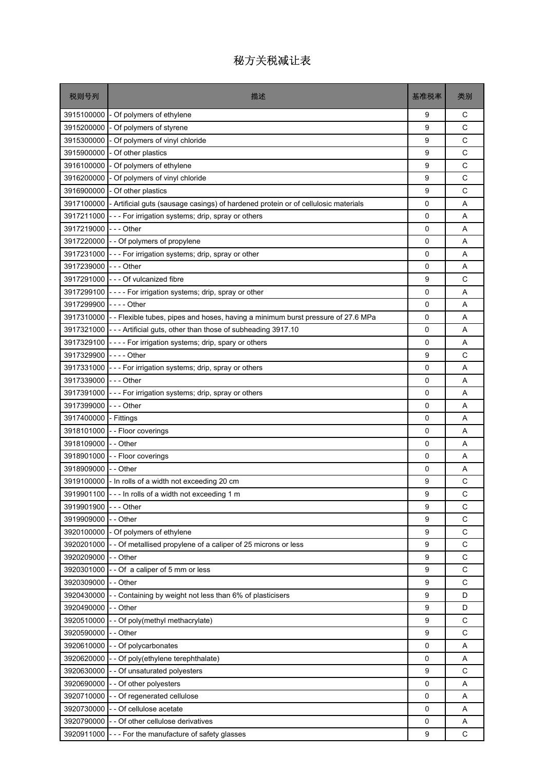| 税则号列                    | 描述                                                                                            | 基准税率        | 类别          |
|-------------------------|-----------------------------------------------------------------------------------------------|-------------|-------------|
| 3915100000              | - Of polymers of ethylene                                                                     | 9           | С           |
| 3915200000              | - Of polymers of styrene                                                                      | 9           | C           |
| 3915300000              | - Of polymers of vinyl chloride                                                               | 9           | C           |
| 3915900000              | - Of other plastics                                                                           | 9           | C           |
| 3916100000              | - Of polymers of ethylene                                                                     | 9           | C           |
| 3916200000              | - Of polymers of vinyl chloride                                                               | 9           | C           |
| 3916900000              | - Of other plastics                                                                           | 9           | C           |
|                         | 3917100000 - Artificial guts (sausage casings) of hardened protein or of cellulosic materials | 0           | A           |
| 3917211000              | --- For irrigation systems; drip, spray or others                                             | 0           | A           |
| 3917219000  - - - Other |                                                                                               | 0           | Α           |
|                         | 3917220000 - - Of polymers of propylene                                                       | 0           | A           |
|                         | 3917231000 - - - For irrigation systems; drip, spray or other                                 | $\Omega$    | A           |
| 3917239000 - - - Other  |                                                                                               | $\mathbf 0$ | A           |
|                         | 3917291000 --- Of vulcanized fibre                                                            | 9           | C           |
|                         | 3917299100 - - - - For irrigation systems; drip, spray or other                               | 0           | A           |
| 3917299900 ---- Other   |                                                                                               | 0           | A           |
|                         | 3917310000  - - Flexible tubes, pipes and hoses, having a minimum burst pressure of 27.6 MPa  | 0           | A           |
|                         | 3917321000 - - - Artificial guts, other than those of subheading 3917.10                      | $\mathbf 0$ | A           |
|                         | 3917329100 - - - - For irrigation systems; drip, spary or others                              | 0           | A           |
| 3917329900 ---- Other   |                                                                                               | 9           | С           |
|                         | 3917331000 - - - For irrigation systems; drip, spray or others                                | 0           | A           |
| 3917339000  - - - Other |                                                                                               | $\Omega$    | A           |
| 3917391000              | --- For irrigation systems; drip, spray or others                                             | $\mathbf 0$ | A           |
| 3917399000              | -  - - Other                                                                                  | 0           | A           |
| 3917400000 - Fittings   |                                                                                               | 0           | A           |
|                         | 3918101000 - - Floor coverings                                                                | 0           | A           |
| 3918109000 I- - Other   |                                                                                               | 0           | A           |
|                         | 3918901000 - - Floor coverings                                                                | 0           | A           |
| 3918909000              | - - Other                                                                                     | 0           | Α           |
|                         | 3919100000  - In rolls of a width not exceeding 20 cm                                         | 9           | С           |
|                         | 3919901100 - - - In rolls of a width not exceeding 1 m                                        | q           | C           |
| 3919901900              | - - - Other                                                                                   | 9           | C           |
| 3919909000              | - - Other                                                                                     | 9           | C           |
| 3920100000              | - Of polymers of ethylene                                                                     | 9           | $\mathsf C$ |
| 3920201000              | - - Of metallised propylene of a caliper of 25 microns or less                                | 9           | C           |
| 3920209000              | -- Other                                                                                      | 9           | $\mathsf C$ |
| 3920301000              | -- Of a caliper of 5 mm or less                                                               | 9           | C           |
| 3920309000              | - - Other                                                                                     | 9           | C           |
| 3920430000              | - - Containing by weight not less than 6% of plasticisers                                     | 9           | D           |
| 3920490000              | - - Other                                                                                     | 9           | D           |
| 3920510000              | -- Of poly(methyl methacrylate)                                                               | 9           | C           |
| 3920590000              | - - Other                                                                                     | 9           | C           |
| 3920610000              | - - Of polycarbonates                                                                         | 0           | Α           |
| 3920620000              | -- Of poly(ethylene terephthalate)                                                            | 0           | Α           |
| 3920630000              | - - Of unsaturated polyesters                                                                 | 9           | C           |
| 3920690000              | -- Of other polyesters                                                                        | 0           | Α           |
| 3920710000              | - - Of regenerated cellulose                                                                  | 0           | Α           |
| 3920730000              | - - Of cellulose acetate                                                                      | 0           | A           |
| 3920790000              | - - Of other cellulose derivatives                                                            | 0           | Α           |
|                         | 3920911000 - - - For the manufacture of safety glasses                                        | 9           | С           |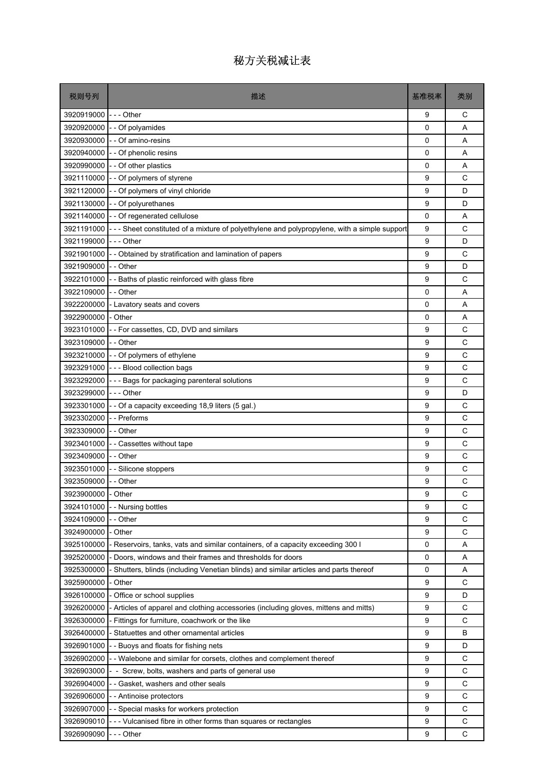| 税则号列                 | 描述                                                                                          | 基准税率        | 类别 |
|----------------------|---------------------------------------------------------------------------------------------|-------------|----|
| 3920919000 --- Other |                                                                                             | 9           | С  |
| 3920920000           | - Of polyamides                                                                             | $\mathbf 0$ | A  |
| 3920930000           | - - Of amino-resins                                                                         | 0           | Α  |
| 3920940000           | - - Of phenolic resins                                                                      | 0           | A  |
| 3920990000           | - - Of other plastics                                                                       | $\Omega$    | A  |
| 3921110000           | - Of polymers of styrene                                                                    | 9           | C  |
| 3921120000           | - Of polymers of vinyl chloride                                                             | 9           | D  |
| 3921130000           | - Of polyurethanes                                                                          | 9           | D  |
| 3921140000           | - Of regenerated cellulose                                                                  | 0           | A  |
| 3921191000           | --- Sheet constituted of a mixture of polyethylene and polypropylene, with a simple support | 9           | С  |
| 3921199000           | - - - Other                                                                                 | 9           | D  |
| 3921901000           | - Obtained by stratification and lamination of papers                                       | 9           | C  |
| 3921909000           | - - Other                                                                                   | 9           | D  |
| 3922101000           | - - Baths of plastic reinforced with glass fibre                                            | 9           | C  |
| 3922109000           | - - Other                                                                                   | 0           | A  |
| 3922200000           | Lavatory seats and covers                                                                   | $\mathbf 0$ | Α  |
| 3922900000           | - Other                                                                                     | 0           | Α  |
| 3923101000           | - - For cassettes, CD, DVD and similars                                                     | 9           | C  |
| 3923109000           | - - Other                                                                                   | 9           | C  |
| 3923210000           | - - Of polymers of ethylene                                                                 | 9           | C  |
|                      | 3923291000 - - - Blood collection bags                                                      | 9           | C  |
| 3923292000           | - - Bags for packaging parenteral solutions                                                 | 9           | C  |
| 3923299000           | --- Other                                                                                   | 9           | D  |
| 3923301000           | - - Of a capacity exceeding 18,9 liters (5 gal.)                                            | 9           | C  |
| 3923302000           | - - Preforms                                                                                | 9           | C  |
| 3923309000           | - Other                                                                                     | 9           | C  |
| 3923401000           | - - Cassettes without tape                                                                  | 9           | C  |
| 3923409000           | - - Other                                                                                   | 9           | C  |
| 3923501000           | - Silicone stoppers                                                                         | 9           | C  |
| 3923509000           | - - Other                                                                                   | 9           | С  |
| 3923900000 - Other   |                                                                                             | 9           | С  |
| 3924101000           | - Nursing bottles                                                                           | 9           | C  |
| 3924109000           | - - Other                                                                                   | 9           | С  |
| 3924900000           | - Other                                                                                     | 9           | C  |
| 3925100000           | Reservoirs, tanks, vats and similar containers, of a capacity exceeding 300 l               | 0           | Α  |
| 3925200000           | Doors, windows and their frames and thresholds for doors                                    | 0           | Α  |
| 3925300000           | Shutters, blinds (including Venetian blinds) and similar articles and parts thereof         | 0           | Α  |
| 3925900000           | Other                                                                                       | 9           | C  |
| 3926100000           | Office or school supplies                                                                   | 9           | D  |
| 3926200000           | - Articles of apparel and clothing accessories (including gloves, mittens and mitts)        | 9           | C  |
| 3926300000           | Fittings for furniture, coachwork or the like                                               | 9           | C  |
| 3926400000           | Statuettes and other ornamental articles                                                    | 9           | B  |
| 3926901000           | - Buoys and floats for fishing nets                                                         | 9           | D  |
| 3926902000           | - Walebone and similar for corsets, clothes and complement thereof                          | 9           | C  |
| 3926903000           | - Screw, bolts, washers and parts of general use                                            | 9           | C  |
| 3926904000           | Gasket, washers and other seals                                                             | 9           | C  |
| 3926906000           | - - Antinoise protectors                                                                    | 9           | C  |
| 3926907000           | - Special masks for workers protection                                                      | 9           | C  |
| 3926909010           | - - Vulcanised fibre in other forms than squares or rectangles                              | 9           | C  |
| 3926909090           | --- Other                                                                                   | 9           | C  |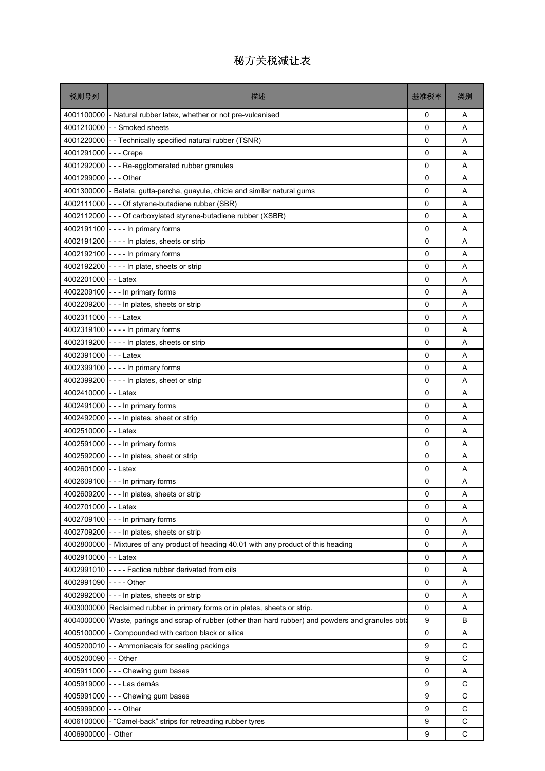| 税则号列                 | 描述                                                                                        | 基准税率        | 类别          |
|----------------------|-------------------------------------------------------------------------------------------|-------------|-------------|
| 4001100000           | - Natural rubber latex, whether or not pre-vulcanised                                     | 0           | A           |
| 4001210000           | - - Smoked sheets                                                                         | 0           | Α           |
| 4001220000           | - - Technically specified natural rubber (TSNR)                                           | $\mathbf 0$ | A           |
| 4001291000           | -  -  - Crepe                                                                             | 0           | Α           |
| 4001292000           | --- Re-agglomerated rubber granules                                                       | 0           | Α           |
| 4001299000           | - - - Other                                                                               | 0           | A           |
| 4001300000           | - Balata, gutta-percha, guayule, chicle and similar natural gums                          | 0           | Α           |
|                      | 4002111000 --- Of styrene-butadiene rubber (SBR)                                          | $\mathbf 0$ | Α           |
| 4002112000           | --- Of carboxylated styrene-butadiene rubber (XSBR)                                       | 0           | A           |
|                      | 4002191100 ---- In primary forms                                                          | 0           | Α           |
| 4002191200           | ---- In plates, sheets or strip                                                           | 0           | A           |
|                      | 4002192100 ---- In primary forms                                                          | 0           | A           |
|                      | 4002192200 ---- In plate, sheets or strip                                                 | 0           | Α           |
| 4002201000           | --Latex                                                                                   | 0           | Α           |
|                      | 4002209100 --- In primary forms                                                           | 0           | Α           |
|                      | 4002209200 --- In plates, sheets or strip                                                 | 0           | A           |
| 4002311000 --- Latex |                                                                                           | 0           | Α           |
|                      | 4002319100 ---- In primary forms                                                          | $\mathbf 0$ | Α           |
|                      | 4002319200 ---- In plates, sheets or strip                                                | 0           | A           |
| 4002391000           | $- -$ Latex                                                                               | 0           | Α           |
| 4002399100           | - - - - In primary forms                                                                  | 0           | A           |
| 4002399200           | ---- In plates, sheet or strip                                                            | 0           | Α           |
| 4002410000 -- Latex  |                                                                                           | 0           | Α           |
|                      | 4002491000 - - - In primary forms                                                         | 0           | Α           |
|                      | 4002492000 --- In plates, sheet or strip                                                  | 0           | A           |
| 4002510000 - - Latex |                                                                                           | 0           | A           |
| 4002591000           | --- In primary forms                                                                      | 0           | Α           |
|                      | 4002592000 --- In plates, sheet or strip                                                  | $\mathbf 0$ | Α           |
| 4002601000           | --Lstex                                                                                   | 0           | Α           |
|                      | 4002609100 - - - In primary forms                                                         | 0           | Α           |
|                      | 4002609200 --- In plates, sheets or strip                                                 | 0           | Α           |
| 4002701000           | - - Latex                                                                                 | 0           | Α           |
| 4002709100           | - - - In primary forms                                                                    | 0           | Α           |
| 4002709200           | --- In plates, sheets or strip                                                            | 0           | Α           |
| 4002800000           | - Mixtures of any product of heading 40.01 with any product of this heading               | 0           | Α           |
| 4002910000           | - - Latex                                                                                 | 0           | Α           |
| 4002991010           | ---- Factice rubber derivated from oils                                                   | 0           | Α           |
| 4002991090           | - - - - Other                                                                             | 0           | Α           |
| 4002992000           | --- In plates, sheets or strip                                                            | 0           | Α           |
| 4003000000           | Reclaimed rubber in primary forms or in plates, sheets or strip.                          | 0           | Α           |
| 4004000000           | Waste, parings and scrap of rubber (other than hard rubber) and powders and granules obta | 9           | B           |
| 4005100000           | - Compounded with carbon black or silica                                                  | 0           | Α           |
| 4005200010           | - Ammoniacals for sealing packings                                                        | 9           | C           |
| 4005200090           | - - Other                                                                                 | 9           | C           |
| 4005911000           | --- Chewing gum bases                                                                     | 0           | Α           |
| 4005919000           | ---Las demás                                                                              | 9           | C           |
| 4005991000           | --- Chewing gum bases                                                                     | 9           | С           |
| 4005999000           | - - - Other                                                                               | 9           | C           |
| 4006100000           | - "Camel-back" strips for retreading rubber tyres                                         | 9           | $\mathsf C$ |
| 4006900000           | Other                                                                                     | 9           | C           |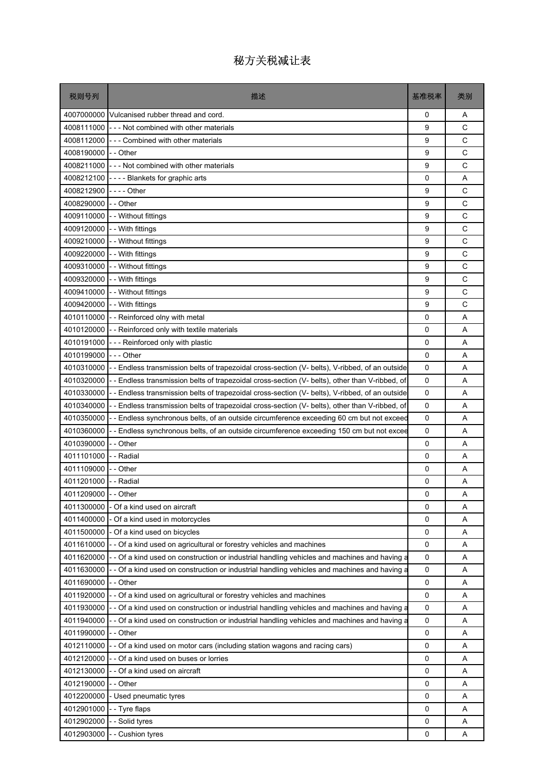| 税则号列                     | 描述                                                                                                                                                               | 基准税率        | 类别           |
|--------------------------|------------------------------------------------------------------------------------------------------------------------------------------------------------------|-------------|--------------|
| 4007000000               | Vulcanised rubber thread and cord.                                                                                                                               | 0           | A            |
| 4008111000               | --- Not combined with other materials                                                                                                                            | 9           | C            |
| 4008112000               | --- Combined with other materials                                                                                                                                | 9           | $\mathsf{C}$ |
| 4008190000               | - - Other                                                                                                                                                        | 9           | C            |
| 4008211000               | --- Not combined with other materials                                                                                                                            | 9           | C            |
| 4008212100               | ---- Blankets for graphic arts                                                                                                                                   | 0           | A            |
| 4008212900               | -  -  -  - Other                                                                                                                                                 | 9           | C            |
| 4008290000               | - - Other                                                                                                                                                        | 9           | C            |
| 4009110000               | - - Without fittings                                                                                                                                             | 9           | C            |
| 4009120000               | - - With fittings                                                                                                                                                | 9           | C            |
| 4009210000               | - - Without fittings                                                                                                                                             | 9           | C            |
| 4009220000               | - - With fittings                                                                                                                                                | 9           | C            |
| 4009310000               | - - Without fittings                                                                                                                                             | 9           | C            |
| 4009320000               | - - With fittings                                                                                                                                                | 9           | C            |
| 4009410000               | - - Without fittings                                                                                                                                             | 9           | C            |
| 4009420000               | - - With fittings                                                                                                                                                | 9           | C            |
| 4010110000               | - - Reinforced olny with metal                                                                                                                                   | 0           | Α            |
| 4010120000               | - - Reinforced only with textile materials                                                                                                                       | $\mathbf 0$ | A            |
| 4010191000               | --- Reinforced only with plastic                                                                                                                                 | 0           | A            |
| 4010199000               | - - - Other                                                                                                                                                      | 0           | Α            |
| 4010310000               | -- Endless transmission belts of trapezoidal cross-section (V- belts), V-ribbed, of an outside                                                                   | 0           | A            |
| 4010320000               | -- Endless transmission belts of trapezoidal cross-section (V- belts), other than V-ribbed, of                                                                   | 0           | A            |
| 4010330000               | -- Endless transmission belts of trapezoidal cross-section (V- belts), V-ribbed, of an outside                                                                   | $\mathbf 0$ | A            |
| 4010340000               | -- Endless transmission belts of trapezoidal cross-section (V- belts), other than V-ribbed, of                                                                   | 0           | A            |
| 4010350000               | -- Endless synchronous belts, of an outside circumference exceeding 60 cm but not exceed                                                                         | $\mathbf 0$ | A            |
| 4010360000               | -- Endless synchronous belts, of an outside circumference exceeding 150 cm but not excee                                                                         | 0           | A            |
| 4010390000               | - - Other                                                                                                                                                        | 0           | Α            |
| 4011101000               | - - Radial                                                                                                                                                       | $\mathbf 0$ | A            |
| 4011109000               | - - Other                                                                                                                                                        | 0           | Α            |
| 4011201000               | - - Radial                                                                                                                                                       | 0           | Α            |
| 4011209000 - - Other     |                                                                                                                                                                  | 0           | Α            |
| 4011300000               | - Of a kind used on aircraft                                                                                                                                     | 0           | A            |
| 4011400000               | Of a kind used in motorcycles                                                                                                                                    | 0           | Α            |
| 4011500000<br>4011610000 | - Of a kind used on bicycles                                                                                                                                     | 0           | Α            |
| 4011620000               | - Of a kind used on agricultural or forestry vehicles and machines                                                                                               | 0           | Α            |
| 4011630000               | - Of a kind used on construction or industrial handling vehicles and machines and having a                                                                       | 0<br>0      | Α            |
| 4011690000               | - Of a kind used on construction or industrial handling vehicles and machines and having a<br>- Other                                                            | 0           | Α<br>Α       |
| 4011920000               |                                                                                                                                                                  | 0           | Α            |
| 4011930000               | - Of a kind used on agricultural or forestry vehicles and machines<br>- Of a kind used on construction or industrial handling vehicles and machines and having a | 0           | Α            |
| 4011940000               | - Of a kind used on construction or industrial handling vehicles and machines and having a                                                                       | 0           | Α            |
| 4011990000               | -- Other                                                                                                                                                         | 0           | Α            |
| 4012110000               | Of a kind used on motor cars (including station wagons and racing cars)                                                                                          | 0           | Α            |
| 4012120000               | - Of a kind used on buses or lorries                                                                                                                             | 0           | Α            |
| 4012130000               | - Of a kind used on aircraft                                                                                                                                     | 0           | Α            |
| 4012190000               | - Other                                                                                                                                                          | 0           | Α            |
| 4012200000               | - Used pneumatic tyres                                                                                                                                           | 0           | Α            |
| 4012901000               | - Tyre flaps                                                                                                                                                     | 0           | Α            |
| 4012902000               | - Solid tyres                                                                                                                                                    | 0           | Α            |
| 4012903000               | - Cushion tyres                                                                                                                                                  | 0           | Α            |
|                          |                                                                                                                                                                  |             |              |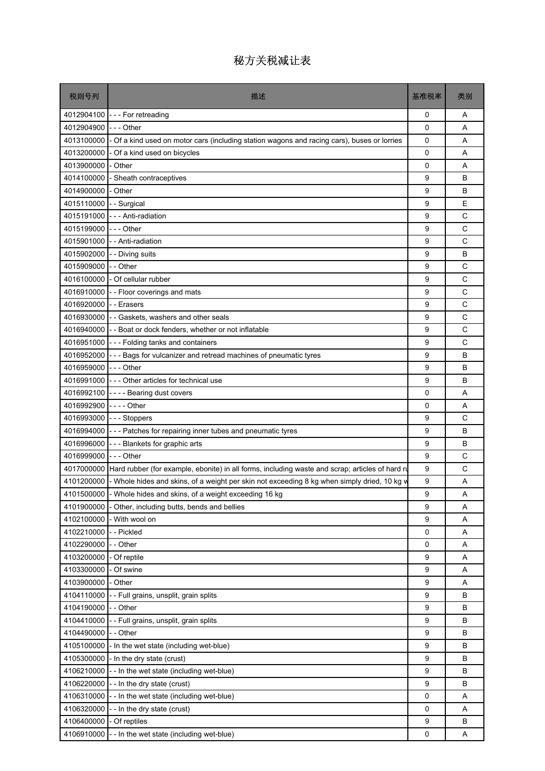| 税则号列                     | 描述                                                                                              | 基准税率        | 类别 |
|--------------------------|-------------------------------------------------------------------------------------------------|-------------|----|
| 4012904100               | --- For retreading                                                                              | 0           | A  |
| 4012904900               | -  -  - Other                                                                                   | 0           | Α  |
| 4013100000               | - Of a kind used on motor cars (including station wagons and racing cars), buses or lorries     | 0           | A  |
| 4013200000               | Of a kind used on bicycles                                                                      | 0           | A  |
| 4013900000               | - Other                                                                                         | $\mathbf 0$ | A  |
| 4014100000               | - Sheath contraceptives                                                                         | 9           | B  |
| 4014900000               | Other                                                                                           | 9           | В  |
| 4015110000               | - - Surgical                                                                                    | 9           | E  |
| 4015191000               | - - - Anti-radiation                                                                            | 9           | С  |
| 4015199000               | - - - Other                                                                                     | 9           | C  |
| 4015901000               | - - Anti-radiation                                                                              | 9           | C  |
| 4015902000               | - - Diving suits                                                                                | 9           | B  |
| 4015909000               | - - Other                                                                                       | 9           | C  |
| 4016100000               | - Of cellular rubber                                                                            | 9           | C  |
| 4016910000               | - - Floor coverings and mats                                                                    | 9           | C  |
| 4016920000               | - - Erasers                                                                                     | 9           | C  |
| 4016930000               | - - Gaskets, washers and other seals                                                            | 9           | C  |
| 4016940000               | - - Boat or dock fenders, whether or not inflatable                                             | 9           | C  |
|                          | 4016951000 --- Folding tanks and containers                                                     | 9           | С  |
| 4016952000               | - - - Bags for vulcanizer and retread machines of pneumatic tyres                               | 9           | B  |
| 4016959000               | - - - Other                                                                                     | 9           | В  |
|                          | 4016991000 --- Other articles for technical use                                                 | 9           | B  |
| 4016992100               | ---- Bearing dust covers                                                                        | 0           | A  |
| 4016992900               | -  -  -  -  Other                                                                               | 0           | A  |
| 4016993000               | --- Stoppers                                                                                    | 9           | C  |
| 4016994000               | --- Patches for repairing inner tubes and pneumatic tyres                                       | 9           | B  |
| 4016996000               | --- Blankets for graphic arts                                                                   | 9           | В  |
| 4016999000               | -  -  - Other                                                                                   | 9           | С  |
| 4017000000               | Hard rubber (for example, ebonite) in all forms, including waste and scrap; articles of hard ru | 9           | C  |
| 4101200000               | - Whole hides and skins, of a weight per skin not exceeding 8 kg when simply dried, 10 kg v     | 9           | A  |
|                          | 4101500000 - Whole hides and skins, of a weight exceeding 16 kg                                 | 9           | Α  |
| 4101900000               | - Other, including butts, bends and bellies                                                     | 9           | Α  |
| 4102100000               | - With wool on                                                                                  | 9           | Α  |
| 4102210000               | -- Pickled                                                                                      | 0           | Α  |
| 4102290000               | - - Other                                                                                       | 0           | A  |
| 4103200000               | - Of reptile                                                                                    | 9           | Α  |
| 4103300000               | - Of swine                                                                                      | 9           | Α  |
| 4103900000               | - Other                                                                                         | 9           | Α  |
| 4104110000               | - - Full grains, unsplit, grain splits                                                          | 9           | В  |
| 4104190000               | - - Other                                                                                       | 9           | B  |
| 4104410000               | - - Full grains, unsplit, grain splits                                                          | 9           | B  |
| 4104490000               | - - Other                                                                                       | 9           | B  |
| 4105100000               | - In the wet state (including wet-blue)                                                         | 9           | В  |
| 4105300000               | - In the dry state (crust)                                                                      | 9           | В  |
|                          | 4106210000 - - In the wet state (including wet-blue)                                            | 9           | B  |
| 4106220000               | -- In the dry state (crust)                                                                     | 9           | B  |
| 4106310000               | -- In the wet state (including wet-blue)                                                        | 0           | Α  |
| 4106320000<br>4106400000 | -- In the dry state (crust)                                                                     | 0           | Α  |
|                          | - Of reptiles<br>4106910000 - - In the wet state (including wet-blue)                           | 9<br>0      | B  |
|                          |                                                                                                 |             | Α  |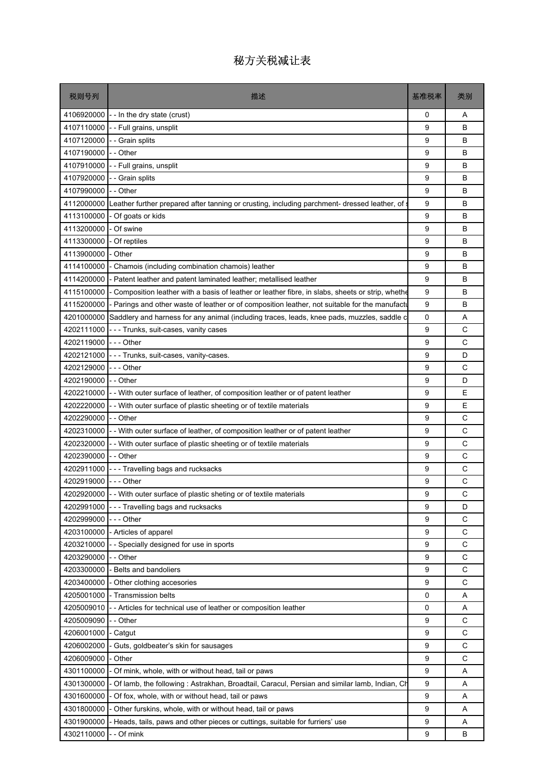| 税则号列       | 描述                                                                                                 | 基准税率 | 类别 |
|------------|----------------------------------------------------------------------------------------------------|------|----|
| 4106920000 | - - In the dry state (crust)                                                                       | 0    | A  |
| 4107110000 | - - Full grains, unsplit                                                                           | 9    | B  |
| 4107120000 | - Grain splits                                                                                     | 9    | B  |
| 4107190000 | - - Other                                                                                          | 9    | B  |
| 4107910000 | - - Full grains, unsplit                                                                           | 9    | B  |
| 4107920000 | - Grain splits                                                                                     | 9    | B  |
| 4107990000 | - - Other                                                                                          | 9    | B  |
| 4112000000 | Leather further prepared after tanning or crusting, including parchment- dressed leather, of       | 9    | B  |
| 4113100000 | - Of goats or kids                                                                                 | 9    | B  |
| 4113200000 | - Of swine                                                                                         | 9    | B  |
| 4113300000 | - Of reptiles                                                                                      | 9    | B  |
| 4113900000 | - Other                                                                                            | 9    | B  |
| 4114100000 | Chamois (including combination chamois) leather                                                    | 9    | B  |
| 4114200000 | - Patent leather and patent laminated leather; metallised leather                                  | 9    | B  |
| 4115100000 | - Composition leather with a basis of leather or leather fibre, in slabs, sheets or strip, whether | 9    | B  |
| 4115200000 | Parings and other waste of leather or of composition leather, not suitable for the manufactu       | 9    | B  |
| 4201000000 | Saddlery and harness for any animal (including traces, leads, knee pads, muzzles, saddle c         | 0    | Α  |
| 4202111000 | --- Trunks, suit-cases, vanity cases                                                               | 9    | C  |
| 4202119000 | $--$ Other                                                                                         | 9    | C  |
| 4202121000 | - - - Trunks, suit-cases, vanity-cases.                                                            | 9    | D  |
| 4202129000 | $- -$ - Other                                                                                      | 9    | C  |
| 4202190000 | - - Other                                                                                          | 9    | D  |
| 4202210000 | - With outer surface of leather, of composition leather or of patent leather                       | 9    | Ε  |
| 4202220000 | - - With outer surface of plastic sheeting or of textile materials                                 | 9    | E  |
| 4202290000 | -- Other                                                                                           | 9    | C  |
| 4202310000 | - With outer surface of leather, of composition leather or of patent leather                       | 9    | C  |
| 4202320000 | - - With outer surface of plastic sheeting or of textile materials                                 | 9    | С  |
| 4202390000 | -- Other                                                                                           | 9    | C  |
| 4202911000 | --- Travelling bags and rucksacks                                                                  | 9    | C  |
| 4202919000 | $--$ Other                                                                                         | 9    | С  |
|            | 4202920000 - With outer surface of plastic sheting or of textile materials                         | g    | C  |
| 4202991000 | --- Travelling bags and rucksacks                                                                  | 9    | D  |
| 4202999000 | $--$ Other                                                                                         | 9    | С  |
| 4203100000 | - Articles of apparel                                                                              | 9    | C  |
| 4203210000 | - Specially designed for use in sports                                                             | 9    | C  |
| 4203290000 | - - Other                                                                                          | 9    | C  |
| 4203300000 | - Belts and bandoliers                                                                             | 9    | С  |
| 4203400000 | - Other clothing accesories                                                                        | 9    | C  |
| 4205001000 | - Transmission belts                                                                               | 0    | Α  |
| 4205009010 | - Articles for technical use of leather or composition leather                                     | 0    | Α  |
| 4205009090 | - - Other                                                                                          | 9    | C  |
| 4206001000 | - Catgut                                                                                           | 9    | C  |
| 4206002000 | Guts, goldbeater's skin for sausages                                                               | 9    | C  |
| 4206009000 | - Other                                                                                            | 9    | C  |
| 4301100000 | - Of mink, whole, with or without head, tail or paws                                               | 9    | Α  |
| 4301300000 | - Of lamb, the following: Astrakhan, Broadtail, Caracul, Persian and similar lamb, Indian, Ch      | 9    | Α  |
| 4301600000 | - Of fox, whole, with or without head, tail or paws                                                | 9    | Α  |
| 4301800000 | Other furskins, whole, with or without head, tail or paws                                          | 9    | Α  |
| 4301900000 | - Heads, tails, paws and other pieces or cuttings, suitable for furriers' use                      | 9    | Α  |
| 4302110000 | - - Of mink                                                                                        | 9    | В  |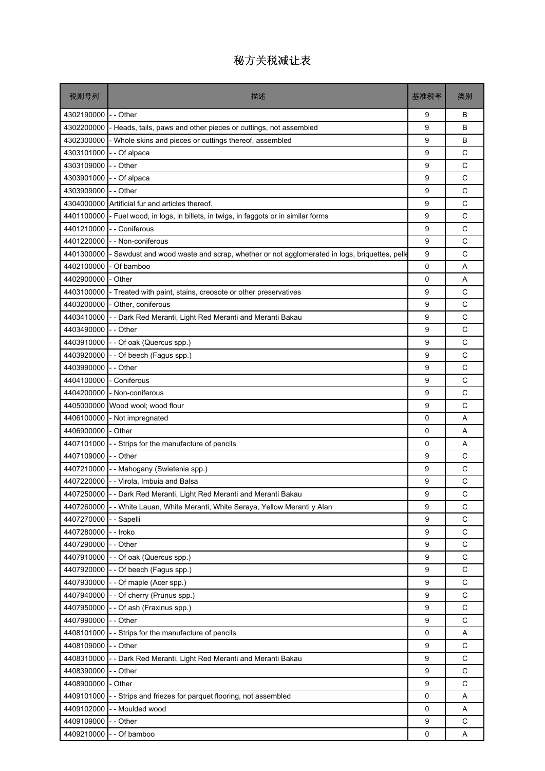| 税则号列                 | 描述                                                                                       | 基准税率        | 类别          |
|----------------------|------------------------------------------------------------------------------------------|-------------|-------------|
| 4302190000           | - - Other                                                                                | 9           | В           |
| 4302200000           | Heads, tails, paws and other pieces or cuttings, not assembled                           | 9           | В           |
| 4302300000           | Whole skins and pieces or cuttings thereof, assembled                                    | 9           | B           |
| 4303101000           | - - Of alpaca                                                                            | 9           | C           |
| 4303109000           | -- Other                                                                                 | 9           | C           |
| 4303901000           | - - Of alpaca                                                                            | 9           | C           |
| 4303909000           | $I -$ Other                                                                              | 9           | C           |
|                      | 4304000000 Artificial fur and articles thereof.                                          | 9           | C           |
| 4401100000           | - Fuel wood, in logs, in billets, in twigs, in faggots or in similar forms               | 9           | C           |
| 4401210000           | - Coniferous                                                                             | 9           | C           |
| 4401220000           | - - Non-coniferous                                                                       | 9           | C           |
| 4401300000           | Sawdust and wood waste and scrap, whether or not agglomerated in logs, briquettes, pelle | 9           | C           |
| 4402100000           | - Of bamboo                                                                              | 0           | A           |
| 4402900000           | - Other                                                                                  | 0           | A           |
| 4403100000           | - Treated with paint, stains, creosote or other preservatives                            | 9           | C           |
| 4403200000           | - Other, coniferous                                                                      | 9           | C           |
| 4403410000           | - Dark Red Meranti, Light Red Meranti and Meranti Bakau                                  | 9           | C           |
| 4403490000           | - - Other                                                                                | 9           | C           |
| 4403910000           | - - Of oak (Quercus spp.)                                                                | 9           | C           |
| 4403920000           | - Of beech (Fagus spp.)                                                                  | 9           | C           |
| 4403990000           | - - Other                                                                                | 9           | C           |
| 4404100000           | - Coniferous                                                                             | 9           | C           |
| 4404200000           | - Non-coniferous                                                                         | 9           | C           |
| 4405000000           | Wood wool; wood flour                                                                    | 9           | C           |
| 4406100000           | - Not impregnated                                                                        | $\mathbf 0$ | A           |
| 4406900000           | - Other                                                                                  | 0           | A           |
| 4407101000           | - - Strips for the manufacture of pencils                                                | 0           | A           |
| 4407109000 - - Other |                                                                                          | 9           | C           |
| 4407210000           | - Mahogany (Swietenia spp.)                                                              | 9           | C           |
|                      | 4407220000 - - Virola, Imbuia and Balsa                                                  | 9           | C           |
|                      | 4407250000 - - Dark Red Meranti, Light Red Meranti and Meranti Bakau                     | g           | C           |
| 4407260000           | - - White Lauan, White Meranti, White Seraya, Yellow Meranti y Alan                      | 9           | C           |
| 4407270000           | - Sapelli                                                                                | 9           | C           |
| 4407280000           | - - Iroko                                                                                | 9           | $\mathsf C$ |
| 4407290000 - - Other |                                                                                          | 9           | C           |
|                      | 4407910000 - - Of oak (Quercus spp.)                                                     | 9           | $\mathsf C$ |
| 4407920000           | - - Of beech (Fagus spp.)                                                                | 9           | C           |
|                      | 4407930000 - - Of maple (Acer spp.)                                                      | 9           | C           |
| 4407940000           | - - Of cherry (Prunus spp.)                                                              | 9           | $\mathsf C$ |
| 4407950000           | - Of ash (Fraxinus spp.)                                                                 | 9           | $\mathsf C$ |
| 4407990000           | -- Other                                                                                 | 9           | $\mathsf C$ |
| 4408101000           | -- Strips for the manufacture of pencils                                                 | 0           | Α           |
| 4408109000           | - Other                                                                                  | 9           | C           |
| 4408310000           | - - Dark Red Meranti, Light Red Meranti and Meranti Bakau                                | 9           | C           |
| 4408390000           | - Other                                                                                  | 9           | C           |
| 4408900000           | - Other                                                                                  | 9           | $\mathsf C$ |
| 4409101000           | -- Strips and friezes for parquet flooring, not assembled                                | 0           | Α           |
| 4409102000           | - Moulded wood                                                                           | 0           | Α           |
| 4409109000           | - - Other                                                                                | 9           | $\mathsf C$ |
| 4409210000           | - Of bamboo                                                                              | 0           | Α           |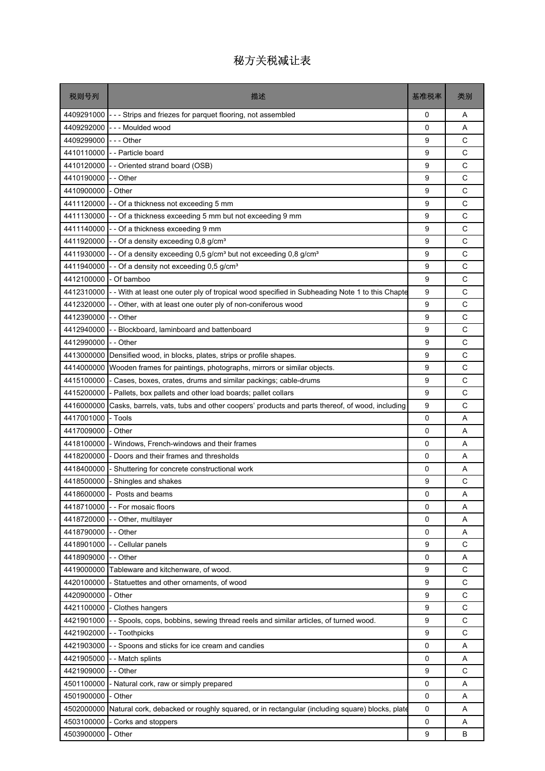| 税则号列       | 描述                                                                                             | 基准税率        | 类别          |
|------------|------------------------------------------------------------------------------------------------|-------------|-------------|
| 4409291000 | - - - Strips and friezes for parquet flooring, not assembled                                   | 0           | Α           |
| 4409292000 | --- Moulded wood                                                                               | $\Omega$    | A           |
| 4409299000 | - - - Other                                                                                    | 9           | C           |
| 4410110000 | -- Particle board                                                                              | 9           | C           |
| 4410120000 | -- Oriented strand board (OSB)                                                                 | 9           | C           |
| 4410190000 | - - Other                                                                                      | 9           | C           |
| 4410900000 | - Other                                                                                        | 9           | С           |
| 4411120000 | - - Of a thickness not exceeding 5 mm                                                          | 9           | C           |
| 4411130000 | - - Of a thickness exceeding 5 mm but not exceeding 9 mm                                       | 9           | C           |
| 4411140000 | - - Of a thickness exceeding 9 mm                                                              | 9           | C           |
| 4411920000 | - - Of a density exceeding 0,8 g/cm <sup>3</sup>                                               | 9           | C           |
| 4411930000 | - - Of a density exceeding 0,5 g/cm <sup>3</sup> but not exceeding 0,8 g/cm <sup>3</sup>       | 9           | C           |
| 4411940000 | - Of a density not exceeding 0,5 g/cm <sup>3</sup>                                             | 9           | C           |
| 4412100000 | - Of bamboo                                                                                    | 9           | C           |
| 4412310000 | - - With at least one outer ply of tropical wood specified in Subheading Note 1 to this Chapte | 9           | C           |
| 4412320000 | - Other, with at least one outer ply of non-coniferous wood                                    | 9           | C           |
| 4412390000 | -- Other                                                                                       | 9           | С           |
| 4412940000 | - Blockboard, laminboard and battenboard                                                       | 9           | C           |
| 4412990000 | - - Other                                                                                      | 9           | C           |
| 4413000000 | Densified wood, in blocks, plates, strips or profile shapes.                                   | 9           | C           |
| 4414000000 | Wooden frames for paintings, photographs, mirrors or similar objects.                          | 9           | C           |
| 4415100000 | - Cases, boxes, crates, drums and similar packings; cable-drums                                | 9           | C           |
| 4415200000 | - Pallets, box pallets and other load boards; pallet collars                                   | 9           | C           |
| 4416000000 | Casks, barrels, vats, tubs and other coopers' products and parts thereof, of wood, including   | 9           | C           |
| 4417001000 | - Tools                                                                                        | 0           | A           |
| 4417009000 | Other                                                                                          | 0           | A           |
| 4418100000 | - Windows, French-windows and their frames                                                     | 0           | Α           |
| 4418200000 | - Doors and their frames and thresholds                                                        | 0           | A           |
| 4418400000 | Shuttering for concrete constructional work                                                    | 0           | A           |
| 4418500000 | Shingles and shakes                                                                            | 9           | С           |
|            | 4418600000 - Posts and beams                                                                   | 0           | Α           |
| 4418710000 | - - For mosaic floors                                                                          | $\Omega$    | A           |
| 4418720000 | - Other, multilayer                                                                            | 0           | A           |
| 4418790000 | - - Other                                                                                      | 0           | Α           |
| 4418901000 | - Cellular panels                                                                              | 9           | C           |
| 4418909000 | - - Other                                                                                      | 0           | Α           |
| 4419000000 | Tableware and kitchenware, of wood.                                                            | 9           | C           |
| 4420100000 | Statuettes and other ornaments, of wood                                                        | 9           | C           |
| 4420900000 | Other                                                                                          | 9           | $\mathsf C$ |
| 4421100000 | Clothes hangers                                                                                | 9           | $\mathsf C$ |
| 4421901000 | - Spools, cops, bobbins, sewing thread reels and similar articles, of turned wood.             | 9           | C           |
| 4421902000 | - - Toothpicks                                                                                 | 9           | C           |
| 4421903000 | - Spoons and sticks for ice cream and candies                                                  | 0           | Α           |
| 4421905000 | - - Match splints                                                                              | 0           | Α           |
| 4421909000 | - Other                                                                                        | 9           | C           |
| 4501100000 | - Natural cork, raw or simply prepared                                                         | 0           | Α           |
| 4501900000 | - Other                                                                                        | 0           | Α           |
| 4502000000 | Natural cork, debacked or roughly squared, or in rectangular (including square) blocks, plate  | $\mathbf 0$ | A           |
| 4503100000 | Corks and stoppers                                                                             | $\mathbf 0$ | Α           |
| 4503900000 | Other                                                                                          | 9           | В           |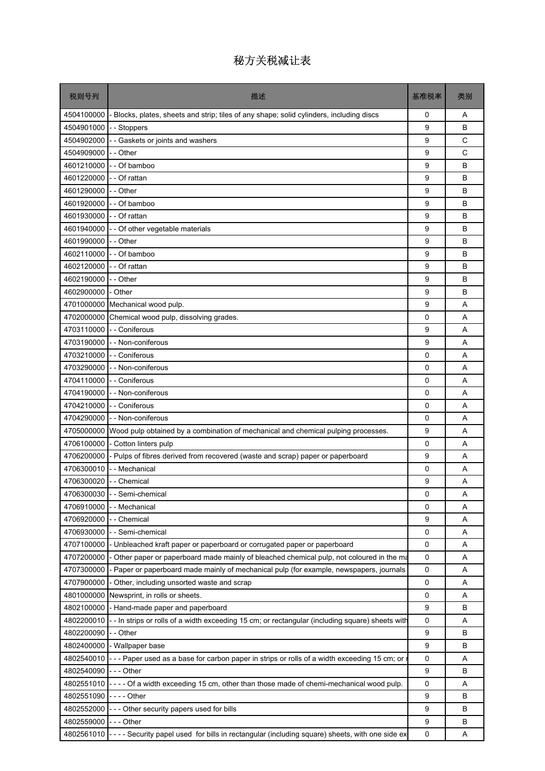| 税则号列                    | 描述                                                                                               | 基准税率        | 类别 |
|-------------------------|--------------------------------------------------------------------------------------------------|-------------|----|
| 4504100000              | Blocks, plates, sheets and strip; tiles of any shape; solid cylinders, including discs           | 0           | Α  |
| 4504901000              | - Stoppers                                                                                       | 9           | B  |
| 4504902000              | Gaskets or joints and washers                                                                    | 9           | C  |
| 4504909000              | - - Other                                                                                        | 9           | C  |
| 4601210000              | - - Of bamboo                                                                                    | 9           | B  |
| 4601220000              | - - Of rattan                                                                                    | 9           | B  |
| 4601290000              | - - Other                                                                                        | 9           | B  |
|                         | 4601920000 - - Of bamboo                                                                         | 9           | B  |
| 4601930000              | - - Of rattan                                                                                    | 9           | B  |
| 4601940000              | - - Of other vegetable materials                                                                 | 9           | B  |
| 4601990000              | - - Other                                                                                        | 9           | B  |
| 4602110000              | - - Of bamboo                                                                                    | 9           | B  |
| 4602120000              | - - Of rattan                                                                                    | 9           | B  |
| 4602190000              | - - Other                                                                                        | 9           | B  |
| 4602900000              | - Other                                                                                          | 9           | B  |
| 4701000000              | Mechanical wood pulp.                                                                            | 9           | A  |
| 4702000000              | Chemical wood pulp, dissolving grades.                                                           | 0           | Α  |
|                         | 4703110000 - - Coniferous                                                                        | 9           | A  |
| 4703190000              | - - Non-coniferous                                                                               | 9           | A  |
|                         | 4703210000 - - Coniferous                                                                        | 0           | A  |
|                         | 4703290000 - - Non-coniferous                                                                    | $\mathbf 0$ | A  |
| 4704110000              | - - Coniferous                                                                                   | 0           | A  |
| 4704190000              | - - Non-coniferous                                                                               | 0           | Α  |
| 4704210000              | - - Coniferous                                                                                   | 0           | A  |
| 4704290000              | - - Non-coniferous                                                                               | 0           | A  |
| 4705000000              | Wood pulp obtained by a combination of mechanical and chemical pulping processes.                | 9           | A  |
| 4706100000              | - Cotton linters pulp                                                                            | 0           | A  |
| 4706200000              | - Pulps of fibres derived from recovered (waste and scrap) paper or paperboard                   | 9           | A  |
| 4706300010              | - Mechanical                                                                                     | 0           | A  |
| 4706300020 - - Chemical |                                                                                                  | 9           | A  |
|                         | 4706300030 - - Semi-chemical                                                                     | 0           | Α  |
| 4706910000              | - Mechanical                                                                                     | 0           | Α  |
| 4706920000              | - Chemical                                                                                       | 9           | Α  |
| 4706930000              | - - Semi-chemical                                                                                | 0           | Α  |
| 4707100000              | Unbleached kraft paper or paperboard or corrugated paper or paperboard                           | 0           | Α  |
| 4707200000              | Other paper or paperboard made mainly of bleached chemical pulp, not coloured in the ma          | 0           | Α  |
| 4707300000              | - Paper or paperboard made mainly of mechanical pulp (for example, newspapers, journals          | 0           | Α  |
| 4707900000              | - Other, including unsorted waste and scrap                                                      | 0           | Α  |
| 4801000000              | Newsprint, in rolls or sheets.                                                                   | 0           | Α  |
| 4802100000              | - Hand-made paper and paperboard                                                                 | 9           | в  |
| 4802200010              | - - In strips or rolls of a width exceeding 15 cm; or rectangular (including square) sheets with | $\mathsf 0$ | Α  |
| 4802200090              | - - Other                                                                                        | 9           | B  |
| 4802400000              | - Wallpaper base                                                                                 | 9           | в  |
| 4802540010              | - Paper used as a base for carbon paper in strips or rolls of a width exceeding 15 cm; or        | 0           | Α  |
| 4802540090              | --- Other                                                                                        | 9           | B  |
| 4802551010              | ---- Of a width exceeding 15 cm, other than those made of chemi-mechanical wood pulp.            | $\mathbf 0$ | Α  |
| 4802551090              |                                                                                                  | 9           | В  |
| 4802552000              | --- Other security papers used for bills                                                         | 9           | B  |
| 4802559000              | - - - Other                                                                                      | 9           | B  |
| 4802561010              | ---- Security papel used for bills in rectangular (including square) sheets, with one side ex    | 0           | Α  |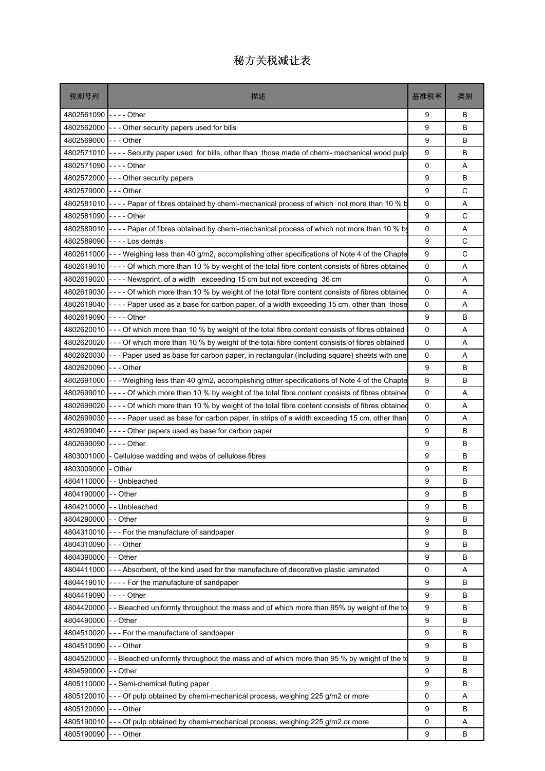| 税则号列                 | 描述                                                                                                        | 基准税率 | 类别 |
|----------------------|-----------------------------------------------------------------------------------------------------------|------|----|
| 4802561090           | $- - -$ Other                                                                                             | 9    | В  |
| 4802562000           | --- Other security papers used for bills                                                                  | 9    | B  |
| 4802569000           | $--$ Other                                                                                                | 9    | B  |
| 4802571010           | ---- Security paper used for bills, other than those made of chemi- mechanical wood pulp                  | 9    | В  |
| 4802571090           | $--$ Other                                                                                                | 0    | Α  |
|                      | 4802572000 - - - Other security papers                                                                    | 9    | B  |
| 4802579000           | $--$ Other                                                                                                | 9    | C  |
| 4802581010           | ---- Paper of fibres obtained by chemi-mechanical process of which not more than 10 % b                   | 0    | A  |
| 4802581090           | - - - - Other                                                                                             | 9    | C  |
| 4802589010           | ---- Paper of fibres obtained by chemi-mechanical process of which not more than 10 % by                  | 0    | Α  |
| 4802589090           | ---- Los demás                                                                                            | 9    | C  |
|                      | 4802611000 -- Weighing less than 40 g/m2, accomplishing other specifications of Note 4 of the Chapte      | 9    | С  |
| 4802619010           | ---- Of which more than 10 % by weight of the total fibre content consists of fibres obtained             | 0    | Α  |
| 4802619020           | ---- Newsprint, of a width exceeding 15 cm but not exceeding 36 cm                                        | 0    | A  |
| 4802619030           | ---- Of which more than 10 % by weight of the total fibre content consists of fibres obtained             | 0    | A  |
| 4802619040           | ---- Paper used as a base for carbon paper, of a width exceeding 15 cm, other than those                  | 0    | A  |
| 4802619090           | - - - - Other                                                                                             | 9    | B  |
|                      | 4802620010 - - - Of which more than 10 % by weight of the total fibre content consists of fibres obtained | 0    | A  |
|                      | 4802620020 - - - Of which more than 10 % by weight of the total fibre content consists of fibres obtained | 0    | A  |
| 4802620030           | --- Paper used as base for carbon paper, in rectangular (including square) sheets with one                | 0    | Α  |
| 4802620090           | $--$ Other                                                                                                | 9    | B  |
| 4802691000           | - - - Weighing less than 40 g/m2, accomplishing other specifications of Note 4 of the Chapte              | 9    | В  |
| 4802699010           | - - - - Of which more than 10 % by weight of the total fibre content consists of fibres obtained          | 0    | A  |
| 4802699020           | ---- Of which more than 10 % by weight of the total fibre content consists of fibres obtained             | 0    | Α  |
| 4802699030           | ---- Paper used as base for carbon paper, in strips of a width exceeding 15 cm, other than                | 0    | A  |
| 4802699040           | ---- Other papers used as base for carbon paper                                                           | 9    | B  |
| 4802699090           | - - - - Other                                                                                             | 9    | B  |
| 4803001000           | - Cellulose wadding and webs of cellulose fibres                                                          | 9    | B  |
| 4803009000           | - Other                                                                                                   | 9    | B  |
|                      | 4804110000 -- Unbleached                                                                                  | 9    | В  |
| 4804190000 - - Other |                                                                                                           | 9    | B  |
| 4804210000           | - - Unbleached                                                                                            | 9    | B  |
| 4804290000 - - Other |                                                                                                           | 9    | В  |
| 4804310010           | $\left\lfloor -\right\rfloor$ - - For the manufacture of sandpaper                                        | 9    | В  |
| 4804310090 --- Other |                                                                                                           | 9    | B  |
| 4804390000 - - Other |                                                                                                           | 9    | B  |
| 4804411000           | --- Absorbent, of the kind used for the manufacture of decorative plastic laminated                       | 0    | Α  |
| 4804419010           | $\vert$ ---- For the manufacture of sandpaper                                                             | 9    | B  |
| 4804419090           | - - - - Other                                                                                             | 9    | B  |
| 4804420000           | - Bleached uniformly throughout the mass and of which more than 95% by weight of the to                   | 9    | В  |
| 4804490000 - - Other |                                                                                                           | 9    | В  |
| 4804510020           | --- For the manufacture of sandpaper                                                                      | 9    | B  |
| 4804510090           | $--$ Other                                                                                                | 9    | В  |
| 4804520000           | - - Bleached uniformly throughout the mass and of which more than 95 % by weight of the to                | 9    | B  |
| 4804590000           | - - Other                                                                                                 | 9    | B  |
| 4805110000           | - Semi-chemical fluting paper                                                                             | 9    | B  |
| 4805120010           | - - - Of pulp obtained by chemi-mechanical process, weighing 225 g/m2 or more                             | 0    | Α  |
| 4805120090           | $--$ Other                                                                                                | 9    | B  |
| 4805190010           | - - - Of pulp obtained by chemi-mechanical process, weighing 225 g/m2 or more                             | 0    | Α  |
| 4805190090           | --- Other                                                                                                 | 9    | В  |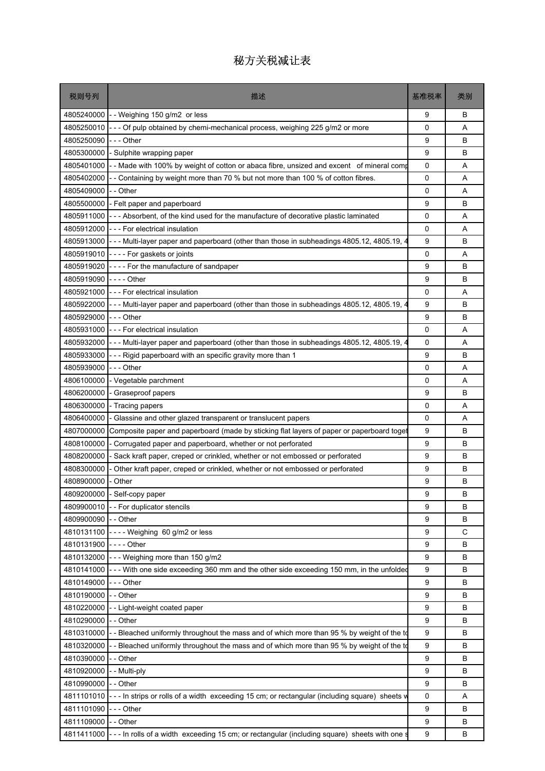| 税则号列       | 描述                                                                                             | 基准税率        | 类别 |
|------------|------------------------------------------------------------------------------------------------|-------------|----|
| 4805240000 | -- Weighing 150 g/m2 or less                                                                   | 9           | В  |
| 4805250010 | - - Of pulp obtained by chemi-mechanical process, weighing 225 g/m2 or more                    | 0           | A  |
| 4805250090 | - - - Other                                                                                    | 9           | B  |
| 4805300000 | - Sulphite wrapping paper                                                                      | 9           | B  |
| 4805401000 | - - Made with 100% by weight of cotton or abaca fibre, unsized and excent of mineral comp      | 0           | A  |
| 4805402000 | - Containing by weight more than 70 % but not more than 100 % of cotton fibres.                | $\mathbf 0$ | A  |
| 4805409000 | - - Other                                                                                      | 0           | Α  |
| 4805500000 | - Felt paper and paperboard                                                                    | 9           | B  |
| 4805911000 | --- Absorbent, of the kind used for the manufacture of decorative plastic laminated            | $\Omega$    | A  |
| 4805912000 | --- For electrical insulation                                                                  | 0           | Α  |
| 4805913000 | --- Multi-layer paper and paperboard (other than those in subheadings 4805.12, 4805.19, 4      | 9           | В  |
| 4805919010 | - - - - For gaskets or joints                                                                  | 0           | A  |
| 4805919020 | ---- For the manufacture of sandpaper                                                          | 9           | B  |
| 4805919090 | -  -  -  - Other                                                                               | 9           | В  |
| 4805921000 | --- For electrical insulation                                                                  | 0           | A  |
| 4805922000 | - - - Multi-layer paper and paperboard (other than those in subheadings 4805.12, 4805.19, $4$  | 9           | B  |
| 4805929000 | - - - Other                                                                                    | 9           | В  |
| 4805931000 | --- For electrical insulation                                                                  | 0           | A  |
| 4805932000 | --- Multi-layer paper and paperboard (other than those in subheadings 4805.12, 4805.19, 4      | $\Omega$    | A  |
| 4805933000 | --- Rigid paperboard with an specific gravity more than 1                                      | 9           | B  |
| 4805939000 | -  - - Other                                                                                   | 0           | A  |
| 4806100000 | - Vegetable parchment                                                                          | $\Omega$    | A  |
| 4806200000 | - Graseproof papers                                                                            | 9           | B  |
| 4806300000 | - Tracing papers                                                                               | 0           | A  |
| 4806400000 | Glassine and other glazed transparent or translucent papers                                    | 0           | A  |
| 4807000000 | Composite paper and paperboard (made by sticking flat layers of paper or paperboard toget      | 9           | B  |
| 4808100000 | Corrugated paper and paperboard, whether or not perforated                                     | 9           | В  |
| 4808200000 | Sack kraft paper, creped or crinkled, whether or not embossed or perforated                    | 9           | B  |
| 4808300000 | Other kraft paper, creped or crinkled, whether or not embossed or perforated                   | 9           | B  |
| 4808900000 | Other                                                                                          | 9           | В  |
| 4809200000 | - Self-copy paper                                                                              | 9           | B  |
| 4809900010 | - - For duplicator stencils                                                                    | 9           | B  |
| 4809900090 | - Other                                                                                        | 9           | В  |
| 4810131100 | $---$ Weighing 60 g/m2 or less                                                                 | 9           | C  |
| 4810131900 | - - - - Other                                                                                  | 9           | B  |
| 4810132000 | --- Weighing more than 150 g/m2                                                                | 9           | В  |
| 4810141000 | --- With one side exceeding 360 mm and the other side exceeding 150 mm, in the unfolded        | 9           | В  |
| 4810149000 | - - - Other                                                                                    | 9           | B  |
| 4810190000 | - - Other                                                                                      | 9           | В  |
| 4810220000 | - Light-weight coated paper                                                                    | 9           | В  |
| 4810290000 | -- Other                                                                                       | 9           | В  |
| 4810310000 | - Bleached uniformly throughout the mass and of which more than 95 % by weight of the to       | 9           | B  |
| 4810320000 | - Bleached uniformly throughout the mass and of which more than 95 % by weight of the to       | 9           | B  |
| 4810390000 | - - Other                                                                                      | 9           | В  |
| 4810920000 | - Multi-ply                                                                                    | 9           | B  |
| 4810990000 | - - Other                                                                                      | 9           | В  |
| 4811101010 | --- In strips or rolls of a width exceeding 15 cm; or rectangular (including square) sheets w  | 0           | Α  |
| 4811101090 | --- Other                                                                                      | 9           | B  |
| 4811109000 | - - Other                                                                                      | 9           | B  |
| 4811411000 | - - - In rolls of a width exceeding 15 cm; or rectangular (including square) sheets with one s | 9           | В  |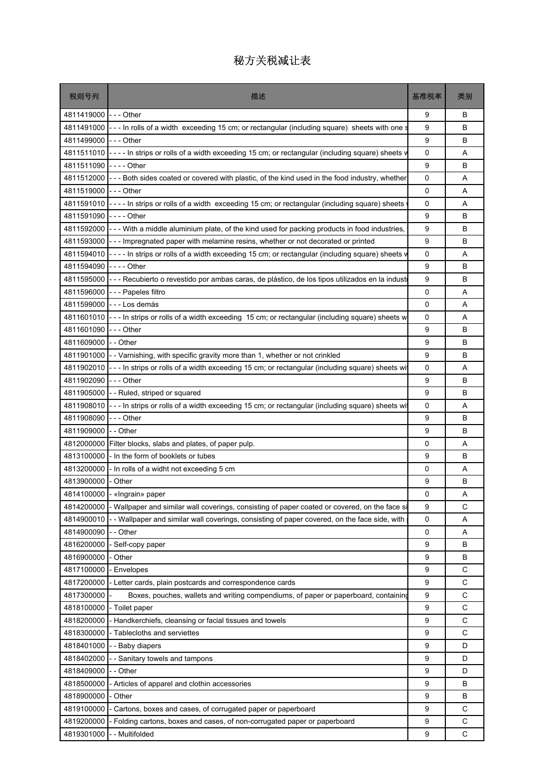| 4811419000<br>$I - -$ Other<br>9<br>В<br>4811491000<br>--- In rolls of a width exceeding 15 cm; or rectangular (including square) sheets with one s<br>9<br>B<br>4811499000 --- Other<br>9<br>B<br>4811511010<br> ---- In strips or rolls of a width exceeding 15 cm; or rectangular (including square) sheets v<br>0<br>Α<br>4811511090<br>$- - -$ Other<br>9<br>B<br>0<br>4811512000 -- - Both sides coated or covered with plastic, of the kind used in the food industry, whether<br>A<br>4811519000<br>0<br>$\mathsf{I}$ - - Other<br>Α<br>---- In strips or rolls of a width exceeding 15 cm; or rectangular (including square) sheets<br>4811591010<br>0<br>A<br>4811591090 ---- Other<br>9<br>В<br>9<br>B<br>4811592000<br>-- With a middle aluminium plate, of the kind used for packing products in food industries,<br>9<br>B<br>4811593000<br>--- Impregnated paper with melamine resins, whether or not decorated or printed<br>4811594010<br>---- In strips or rolls of a width exceeding 15 cm; or rectangular (including square) sheets v<br>0<br>Α<br>$\mathsf{l}$ ---Other<br>9<br>4811594090<br>B<br>4811595000<br>--- Recubierto o revestido por ambas caras, de plástico, de los tipos utilizados en la industi<br>9<br>B<br>4811596000<br>0<br>--- Papeles filtro<br>A<br>4811599000<br>--- Los demás<br>0<br>A<br>0<br>Α<br>4811601010<br>$\vert$ ---In strips or rolls of a width exceeding 15 cm; or rectangular (including square) sheets w<br>4811601090<br>$--$ Other<br>9<br>B<br>4811609000 -- Other<br>9<br>В | 税则号列 | 描述                                                                                  | 基准税率 | 类别 |
|----------------------------------------------------------------------------------------------------------------------------------------------------------------------------------------------------------------------------------------------------------------------------------------------------------------------------------------------------------------------------------------------------------------------------------------------------------------------------------------------------------------------------------------------------------------------------------------------------------------------------------------------------------------------------------------------------------------------------------------------------------------------------------------------------------------------------------------------------------------------------------------------------------------------------------------------------------------------------------------------------------------------------------------------------------------------------------------------------------------------------------------------------------------------------------------------------------------------------------------------------------------------------------------------------------------------------------------------------------------------------------------------------------------------------------------------------------------------------------------------------------------------------------------------|------|-------------------------------------------------------------------------------------|------|----|
|                                                                                                                                                                                                                                                                                                                                                                                                                                                                                                                                                                                                                                                                                                                                                                                                                                                                                                                                                                                                                                                                                                                                                                                                                                                                                                                                                                                                                                                                                                                                              |      |                                                                                     |      |    |
|                                                                                                                                                                                                                                                                                                                                                                                                                                                                                                                                                                                                                                                                                                                                                                                                                                                                                                                                                                                                                                                                                                                                                                                                                                                                                                                                                                                                                                                                                                                                              |      |                                                                                     |      |    |
|                                                                                                                                                                                                                                                                                                                                                                                                                                                                                                                                                                                                                                                                                                                                                                                                                                                                                                                                                                                                                                                                                                                                                                                                                                                                                                                                                                                                                                                                                                                                              |      |                                                                                     |      |    |
|                                                                                                                                                                                                                                                                                                                                                                                                                                                                                                                                                                                                                                                                                                                                                                                                                                                                                                                                                                                                                                                                                                                                                                                                                                                                                                                                                                                                                                                                                                                                              |      |                                                                                     |      |    |
|                                                                                                                                                                                                                                                                                                                                                                                                                                                                                                                                                                                                                                                                                                                                                                                                                                                                                                                                                                                                                                                                                                                                                                                                                                                                                                                                                                                                                                                                                                                                              |      |                                                                                     |      |    |
|                                                                                                                                                                                                                                                                                                                                                                                                                                                                                                                                                                                                                                                                                                                                                                                                                                                                                                                                                                                                                                                                                                                                                                                                                                                                                                                                                                                                                                                                                                                                              |      |                                                                                     |      |    |
|                                                                                                                                                                                                                                                                                                                                                                                                                                                                                                                                                                                                                                                                                                                                                                                                                                                                                                                                                                                                                                                                                                                                                                                                                                                                                                                                                                                                                                                                                                                                              |      |                                                                                     |      |    |
|                                                                                                                                                                                                                                                                                                                                                                                                                                                                                                                                                                                                                                                                                                                                                                                                                                                                                                                                                                                                                                                                                                                                                                                                                                                                                                                                                                                                                                                                                                                                              |      |                                                                                     |      |    |
|                                                                                                                                                                                                                                                                                                                                                                                                                                                                                                                                                                                                                                                                                                                                                                                                                                                                                                                                                                                                                                                                                                                                                                                                                                                                                                                                                                                                                                                                                                                                              |      |                                                                                     |      |    |
|                                                                                                                                                                                                                                                                                                                                                                                                                                                                                                                                                                                                                                                                                                                                                                                                                                                                                                                                                                                                                                                                                                                                                                                                                                                                                                                                                                                                                                                                                                                                              |      |                                                                                     |      |    |
|                                                                                                                                                                                                                                                                                                                                                                                                                                                                                                                                                                                                                                                                                                                                                                                                                                                                                                                                                                                                                                                                                                                                                                                                                                                                                                                                                                                                                                                                                                                                              |      |                                                                                     |      |    |
|                                                                                                                                                                                                                                                                                                                                                                                                                                                                                                                                                                                                                                                                                                                                                                                                                                                                                                                                                                                                                                                                                                                                                                                                                                                                                                                                                                                                                                                                                                                                              |      |                                                                                     |      |    |
|                                                                                                                                                                                                                                                                                                                                                                                                                                                                                                                                                                                                                                                                                                                                                                                                                                                                                                                                                                                                                                                                                                                                                                                                                                                                                                                                                                                                                                                                                                                                              |      |                                                                                     |      |    |
|                                                                                                                                                                                                                                                                                                                                                                                                                                                                                                                                                                                                                                                                                                                                                                                                                                                                                                                                                                                                                                                                                                                                                                                                                                                                                                                                                                                                                                                                                                                                              |      |                                                                                     |      |    |
|                                                                                                                                                                                                                                                                                                                                                                                                                                                                                                                                                                                                                                                                                                                                                                                                                                                                                                                                                                                                                                                                                                                                                                                                                                                                                                                                                                                                                                                                                                                                              |      |                                                                                     |      |    |
|                                                                                                                                                                                                                                                                                                                                                                                                                                                                                                                                                                                                                                                                                                                                                                                                                                                                                                                                                                                                                                                                                                                                                                                                                                                                                                                                                                                                                                                                                                                                              |      |                                                                                     |      |    |
|                                                                                                                                                                                                                                                                                                                                                                                                                                                                                                                                                                                                                                                                                                                                                                                                                                                                                                                                                                                                                                                                                                                                                                                                                                                                                                                                                                                                                                                                                                                                              |      |                                                                                     |      |    |
|                                                                                                                                                                                                                                                                                                                                                                                                                                                                                                                                                                                                                                                                                                                                                                                                                                                                                                                                                                                                                                                                                                                                                                                                                                                                                                                                                                                                                                                                                                                                              |      |                                                                                     |      |    |
|                                                                                                                                                                                                                                                                                                                                                                                                                                                                                                                                                                                                                                                                                                                                                                                                                                                                                                                                                                                                                                                                                                                                                                                                                                                                                                                                                                                                                                                                                                                                              |      |                                                                                     |      |    |
|                                                                                                                                                                                                                                                                                                                                                                                                                                                                                                                                                                                                                                                                                                                                                                                                                                                                                                                                                                                                                                                                                                                                                                                                                                                                                                                                                                                                                                                                                                                                              |      | 4811901000 - Varnishing, with specific gravity more than 1, whether or not crinkled | 9    | B  |
| 4811902010<br>- - - In strips or rolls of a width exceeding 15 cm; or rectangular (including square) sheets wi<br>0<br>A                                                                                                                                                                                                                                                                                                                                                                                                                                                                                                                                                                                                                                                                                                                                                                                                                                                                                                                                                                                                                                                                                                                                                                                                                                                                                                                                                                                                                     |      |                                                                                     |      |    |
| 4811902090<br>$- -$ Other<br>9<br>B                                                                                                                                                                                                                                                                                                                                                                                                                                                                                                                                                                                                                                                                                                                                                                                                                                                                                                                                                                                                                                                                                                                                                                                                                                                                                                                                                                                                                                                                                                          |      |                                                                                     |      |    |
| 9<br>B<br>4811905000<br>-- Ruled, striped or squared                                                                                                                                                                                                                                                                                                                                                                                                                                                                                                                                                                                                                                                                                                                                                                                                                                                                                                                                                                                                                                                                                                                                                                                                                                                                                                                                                                                                                                                                                         |      |                                                                                     |      |    |
| 4811908010<br>--- In strips or rolls of a width exceeding 15 cm; or rectangular (including square) sheets wi<br>0<br>Α                                                                                                                                                                                                                                                                                                                                                                                                                                                                                                                                                                                                                                                                                                                                                                                                                                                                                                                                                                                                                                                                                                                                                                                                                                                                                                                                                                                                                       |      |                                                                                     |      |    |
| 4811908090<br>$--$ Other<br>9<br>B                                                                                                                                                                                                                                                                                                                                                                                                                                                                                                                                                                                                                                                                                                                                                                                                                                                                                                                                                                                                                                                                                                                                                                                                                                                                                                                                                                                                                                                                                                           |      |                                                                                     |      |    |
| 9<br>B<br>4811909000<br>- - Other                                                                                                                                                                                                                                                                                                                                                                                                                                                                                                                                                                                                                                                                                                                                                                                                                                                                                                                                                                                                                                                                                                                                                                                                                                                                                                                                                                                                                                                                                                            |      |                                                                                     |      |    |
| 4812000000<br>Filter blocks, slabs and plates, of paper pulp.<br>0<br>Α                                                                                                                                                                                                                                                                                                                                                                                                                                                                                                                                                                                                                                                                                                                                                                                                                                                                                                                                                                                                                                                                                                                                                                                                                                                                                                                                                                                                                                                                      |      |                                                                                     |      |    |
| 4813100000<br>- In the form of booklets or tubes<br>9<br>B                                                                                                                                                                                                                                                                                                                                                                                                                                                                                                                                                                                                                                                                                                                                                                                                                                                                                                                                                                                                                                                                                                                                                                                                                                                                                                                                                                                                                                                                                   |      |                                                                                     |      |    |
| 4813200000<br>- In rolls of a widht not exceeding 5 cm<br>0<br>A                                                                                                                                                                                                                                                                                                                                                                                                                                                                                                                                                                                                                                                                                                                                                                                                                                                                                                                                                                                                                                                                                                                                                                                                                                                                                                                                                                                                                                                                             |      |                                                                                     |      |    |
| 9<br>B<br>4813900000<br>- Other                                                                                                                                                                                                                                                                                                                                                                                                                                                                                                                                                                                                                                                                                                                                                                                                                                                                                                                                                                                                                                                                                                                                                                                                                                                                                                                                                                                                                                                                                                              |      |                                                                                     |      |    |
| 0<br>4814100000 - «Ingrain» paper<br>Α                                                                                                                                                                                                                                                                                                                                                                                                                                                                                                                                                                                                                                                                                                                                                                                                                                                                                                                                                                                                                                                                                                                                                                                                                                                                                                                                                                                                                                                                                                       |      |                                                                                     |      |    |
| 4814200000<br>- Wallpaper and similar wall coverings, consisting of paper coated or covered, on the face si<br>C<br>9                                                                                                                                                                                                                                                                                                                                                                                                                                                                                                                                                                                                                                                                                                                                                                                                                                                                                                                                                                                                                                                                                                                                                                                                                                                                                                                                                                                                                        |      |                                                                                     |      |    |
| 4814900010<br>- Wallpaper and similar wall coverings, consisting of paper covered, on the face side, with<br>0<br>Α                                                                                                                                                                                                                                                                                                                                                                                                                                                                                                                                                                                                                                                                                                                                                                                                                                                                                                                                                                                                                                                                                                                                                                                                                                                                                                                                                                                                                          |      |                                                                                     |      |    |
| 4814900090<br>- - Other<br>0<br>Α                                                                                                                                                                                                                                                                                                                                                                                                                                                                                                                                                                                                                                                                                                                                                                                                                                                                                                                                                                                                                                                                                                                                                                                                                                                                                                                                                                                                                                                                                                            |      |                                                                                     |      |    |
| 4816200000<br>9<br>B<br>Self-copy paper                                                                                                                                                                                                                                                                                                                                                                                                                                                                                                                                                                                                                                                                                                                                                                                                                                                                                                                                                                                                                                                                                                                                                                                                                                                                                                                                                                                                                                                                                                      |      |                                                                                     |      |    |
| 4816900000<br>- Other<br>9<br>B                                                                                                                                                                                                                                                                                                                                                                                                                                                                                                                                                                                                                                                                                                                                                                                                                                                                                                                                                                                                                                                                                                                                                                                                                                                                                                                                                                                                                                                                                                              |      |                                                                                     |      |    |
| C<br>4817100000<br>Envelopes<br>9                                                                                                                                                                                                                                                                                                                                                                                                                                                                                                                                                                                                                                                                                                                                                                                                                                                                                                                                                                                                                                                                                                                                                                                                                                                                                                                                                                                                                                                                                                            |      |                                                                                     |      |    |
| 4817200000<br>C<br>- Letter cards, plain postcards and correspondence cards<br>9                                                                                                                                                                                                                                                                                                                                                                                                                                                                                                                                                                                                                                                                                                                                                                                                                                                                                                                                                                                                                                                                                                                                                                                                                                                                                                                                                                                                                                                             |      |                                                                                     |      |    |
| 4817300000<br>С<br>Boxes, pouches, wallets and writing compendiums, of paper or paperboard, containing<br>9                                                                                                                                                                                                                                                                                                                                                                                                                                                                                                                                                                                                                                                                                                                                                                                                                                                                                                                                                                                                                                                                                                                                                                                                                                                                                                                                                                                                                                  |      |                                                                                     |      |    |
| C<br>9<br>4818100000<br>- Toilet paper                                                                                                                                                                                                                                                                                                                                                                                                                                                                                                                                                                                                                                                                                                                                                                                                                                                                                                                                                                                                                                                                                                                                                                                                                                                                                                                                                                                                                                                                                                       |      |                                                                                     |      |    |
| C<br>4818200000<br>- Handkerchiefs, cleansing or facial tissues and towels<br>9                                                                                                                                                                                                                                                                                                                                                                                                                                                                                                                                                                                                                                                                                                                                                                                                                                                                                                                                                                                                                                                                                                                                                                                                                                                                                                                                                                                                                                                              |      |                                                                                     |      |    |
| C<br>4818300000<br>- Tablecloths and serviettes<br>9                                                                                                                                                                                                                                                                                                                                                                                                                                                                                                                                                                                                                                                                                                                                                                                                                                                                                                                                                                                                                                                                                                                                                                                                                                                                                                                                                                                                                                                                                         |      |                                                                                     |      |    |
| 4818401000<br>- Baby diapers<br>9<br>D                                                                                                                                                                                                                                                                                                                                                                                                                                                                                                                                                                                                                                                                                                                                                                                                                                                                                                                                                                                                                                                                                                                                                                                                                                                                                                                                                                                                                                                                                                       |      |                                                                                     |      |    |
| 4818402000<br>- Sanitary towels and tampons<br>9<br>D                                                                                                                                                                                                                                                                                                                                                                                                                                                                                                                                                                                                                                                                                                                                                                                                                                                                                                                                                                                                                                                                                                                                                                                                                                                                                                                                                                                                                                                                                        |      |                                                                                     |      |    |
| 4818409000<br>- Other<br>9<br>D                                                                                                                                                                                                                                                                                                                                                                                                                                                                                                                                                                                                                                                                                                                                                                                                                                                                                                                                                                                                                                                                                                                                                                                                                                                                                                                                                                                                                                                                                                              |      |                                                                                     |      |    |
| 4818500000<br>Articles of apparel and clothin accessories<br>9<br>B                                                                                                                                                                                                                                                                                                                                                                                                                                                                                                                                                                                                                                                                                                                                                                                                                                                                                                                                                                                                                                                                                                                                                                                                                                                                                                                                                                                                                                                                          |      |                                                                                     |      |    |
| 4818900000<br>9<br>В<br>Other                                                                                                                                                                                                                                                                                                                                                                                                                                                                                                                                                                                                                                                                                                                                                                                                                                                                                                                                                                                                                                                                                                                                                                                                                                                                                                                                                                                                                                                                                                                |      |                                                                                     |      |    |
| 4819100000<br>C<br>Cartons, boxes and cases, of corrugated paper or paperboard<br>9                                                                                                                                                                                                                                                                                                                                                                                                                                                                                                                                                                                                                                                                                                                                                                                                                                                                                                                                                                                                                                                                                                                                                                                                                                                                                                                                                                                                                                                          |      |                                                                                     |      |    |
| C<br>4819200000<br>Folding cartons, boxes and cases, of non-corrugated paper or paperboard<br>9                                                                                                                                                                                                                                                                                                                                                                                                                                                                                                                                                                                                                                                                                                                                                                                                                                                                                                                                                                                                                                                                                                                                                                                                                                                                                                                                                                                                                                              |      |                                                                                     |      |    |
| $\mathbf C$<br>4819301000<br>- Multifolded<br>9                                                                                                                                                                                                                                                                                                                                                                                                                                                                                                                                                                                                                                                                                                                                                                                                                                                                                                                                                                                                                                                                                                                                                                                                                                                                                                                                                                                                                                                                                              |      |                                                                                     |      |    |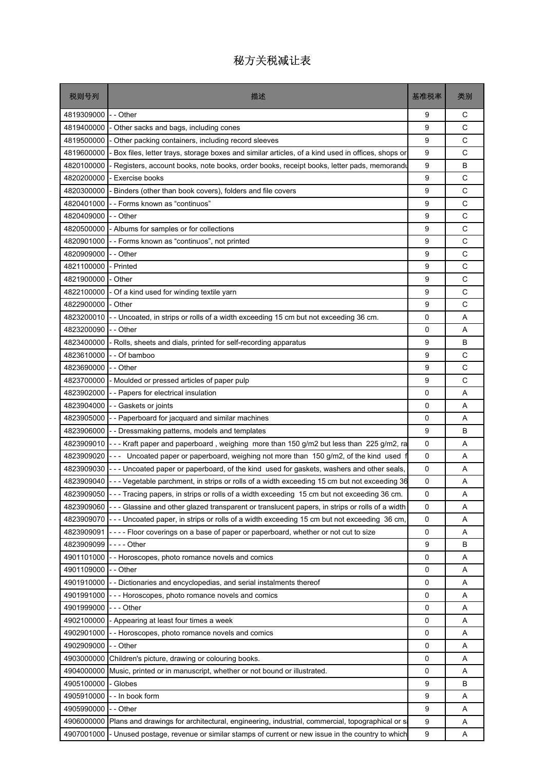| 税则号列       | 描述                                                                                                        | 基准税率 | 类别           |
|------------|-----------------------------------------------------------------------------------------------------------|------|--------------|
| 4819309000 | - - Other                                                                                                 | 9    | С            |
| 4819400000 | Other sacks and bags, including cones                                                                     | 9    | C            |
| 4819500000 | - Other packing containers, including record sleeves                                                      | 9    | C            |
| 4819600000 | Box files, letter trays, storage boxes and similar articles, of a kind used in offices, shops or          | 9    | C            |
| 4820100000 | Registers, account books, note books, order books, receipt books, letter pads, memorandu                  | 9    | B            |
| 4820200000 | - Exercise books                                                                                          | 9    | C            |
| 4820300000 | Binders (other than book covers), folders and file covers                                                 | 9    | C            |
| 4820401000 | - - Forms known as "continuos"                                                                            | 9    | C            |
| 4820409000 | - Other                                                                                                   | 9    | C            |
| 4820500000 | - Albums for samples or for collections                                                                   | 9    | $\mathsf{C}$ |
| 4820901000 | -- Forms known as "continuos", not printed                                                                | 9    | C            |
| 4820909000 | - - Other                                                                                                 | 9    | C            |
| 4821100000 | - Printed                                                                                                 | 9    | C            |
| 4821900000 | - Other                                                                                                   | 9    | C            |
| 4822100000 | - Of a kind used for winding textile yarn                                                                 | 9    | C            |
| 4822900000 | - Other                                                                                                   | 9    | C            |
| 4823200010 | - Uncoated, in strips or rolls of a width exceeding 15 cm but not exceeding 36 cm.                        | 0    | Α            |
| 4823200090 | - - Other                                                                                                 | 0    | A            |
| 4823400000 | Rolls, sheets and dials, printed for self-recording apparatus                                             | 9    | В            |
| 4823610000 | - Of bamboo                                                                                               | 9    | C            |
| 4823690000 | - - Other                                                                                                 | 9    | C            |
| 4823700000 | - Moulded or pressed articles of paper pulp                                                               | 9    | C            |
| 4823902000 | - Papers for electrical insulation                                                                        | 0    | A            |
| 4823904000 | -- Gaskets or joints                                                                                      | 0    | Α            |
| 4823905000 | - Paperboard for jacquard and similar machines                                                            | 0    | A            |
| 4823906000 | - Dressmaking patterns, models and templates                                                              | 9    | B            |
| 4823909010 | --- Kraft paper and paperboard, weighing more than 150 g/m2 but less than 225 g/m2, ra                    | 0    | Α            |
| 4823909020 | --- Uncoated paper or paperboard, weighing not more than 150 g/m2, of the kind used f                     | 0    | A            |
| 4823909030 | --- Uncoated paper or paperboard, of the kind used for gaskets, washers and other seals,                  | 0    | A            |
| 4823909040 | -- Vegetable parchment, in strips or rolls of a width exceeding 15 cm but not exceeding 36                | 0    | Α            |
|            | 4823909050 --- Tracing papers, in strips or rolls of a width exceeding 15 cm but not exceeding 36 cm.     | 0    | Α            |
|            | 4823909060 --- Glassine and other glazed transparent or translucent papers, in strips or rolls of a width | 0    | Α            |
| 4823909070 | --- Uncoated paper, in strips or rolls of a width exceeding 15 cm but not exceeding 36 cm,                | 0    | Α            |
| 4823909091 | ---- Floor coverings on a base of paper or paperboard, whether or not cut to size                         | 0    | Α            |
| 4823909099 | - - - - Other                                                                                             | 9    | B            |
| 4901101000 | - Horoscopes, photo romance novels and comics                                                             | 0    | Α            |
| 4901109000 | - Other                                                                                                   | 0    | Α            |
| 4901910000 | - Dictionaries and encyclopedias, and serial instalments thereof                                          | 0    | Α            |
| 4901991000 | - - Horoscopes, photo romance novels and comics                                                           | 0    | Α            |
| 4901999000 | - - Other                                                                                                 | 0    | Α            |
| 4902100000 | - Appearing at least four times a week                                                                    | 0    | Α            |
| 4902901000 | - - Horoscopes, photo romance novels and comics                                                           | 0    | Α            |
| 4902909000 | - Other                                                                                                   | 0    | Α            |
| 4903000000 | Children's picture, drawing or colouring books.                                                           | 0    | A            |
| 4904000000 | Music, printed or in manuscript, whether or not bound or illustrated.                                     | 0    | Α            |
| 4905100000 | - Globes                                                                                                  | 9    | В            |
| 4905910000 | - - In book form                                                                                          | 9    | Α            |
| 4905990000 | - - Other                                                                                                 | 9    | Α            |
| 4906000000 | Plans and drawings for architectural, engineering, industrial, commercial, topographical or si            | 9    | Α            |
| 4907001000 | - Unused postage, revenue or similar stamps of current or new issue in the country to which               | 9    | Α            |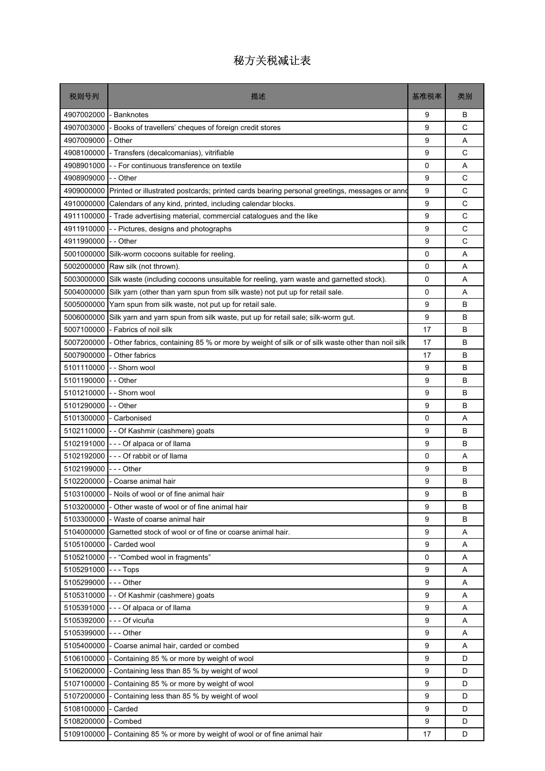| 税则号列       | 描述                                                                                               | 基准税率     | 类别 |
|------------|--------------------------------------------------------------------------------------------------|----------|----|
| 4907002000 | - Banknotes                                                                                      | 9        | В  |
| 4907003000 | Books of travellers' cheques of foreign credit stores                                            | 9        | C  |
| 4907009000 | Other                                                                                            | 9        | A  |
| 4908100000 | - Transfers (decalcomanias), vitrifiable                                                         | 9        | C  |
| 4908901000 | -- For continuous transference on textile                                                        | 0        | A  |
| 4908909000 | - - Other                                                                                        | 9        | C  |
| 4909000000 | Printed or illustrated postcards; printed cards bearing personal greetings, messages or anno     | 9        | C  |
| 4910000000 | Calendars of any kind, printed, including calendar blocks.                                       | 9        | C  |
| 4911100000 | - Trade advertising material, commercial catalogues and the like                                 | 9        | C  |
| 4911910000 | - Pictures, designs and photographs                                                              | 9        | C  |
| 4911990000 | - - Other                                                                                        | 9        | C  |
| 5001000000 | Silk-worm cocoons suitable for reeling.                                                          | 0        | A  |
| 5002000000 | Raw silk (not thrown).                                                                           | 0        | A  |
| 5003000000 | Silk waste (including cocoons unsuitable for reeling, yarn waste and garnetted stock).           | 0        | A  |
| 5004000000 | Silk yarn (other than yarn spun from silk waste) not put up for retail sale.                     | $\Omega$ | A  |
| 5005000000 | Yarn spun from silk waste, not put up for retail sale.                                           | 9        | В  |
| 5006000000 | Silk yarn and yarn spun from silk waste, put up for retail sale; silk-worm gut.                  | 9        | В  |
| 5007100000 | - Fabrics of noil silk                                                                           | 17       | B  |
| 5007200000 | - Other fabrics, containing 85 % or more by weight of silk or of silk waste other than noil silk | 17       | B  |
| 5007900000 | Other fabrics                                                                                    | 17       | В  |
| 5101110000 | - - Shorn wool                                                                                   | 9        | В  |
| 5101190000 | - - Other                                                                                        | 9        | В  |
| 5101210000 | - Shorn wool                                                                                     | 9        | B  |
| 5101290000 | - - Other                                                                                        | 9        | В  |
|            | 5101300000 - Carbonised                                                                          | 0        | A  |
| 5102110000 | -- Of Kashmir (cashmere) goats                                                                   | 9        | В  |
| 5102191000 | - - - Of alpaca or of llama                                                                      | 9        | В  |
| 5102192000 | --- Of rabbit or of llama                                                                        | 0        | A  |
| 5102199000 | -  - - Other                                                                                     | 9        | B  |
|            | 5102200000 - Coarse animal hair                                                                  | 9        | B  |
|            | 5103100000 - Noils of wool or of fine animal hair                                                | g        | B  |
| 5103200000 | - Other waste of wool or of fine animal hair                                                     | 9        | B  |
| 5103300000 | - Waste of coarse animal hair                                                                    | 9        | B  |
| 5104000000 | Garnetted stock of wool or of fine or coarse animal hair.                                        | 9        | Α  |
|            | 5105100000 - Carded wool                                                                         | 9        | Α  |
| 5105210000 | -- "Combed wool in fragments"                                                                    | 0        | Α  |
| 5105291000 | -  -  -  Tops                                                                                    | 9        | Α  |
| 5105299000 | --- Other                                                                                        | 9        | Α  |
| 5105310000 | - - Of Kashmir (cashmere) goats                                                                  | 9        | Α  |
| 5105391000 | - - - Of alpaca or of llama                                                                      | 9        | Α  |
| 5105392000 | --- Of vicuña                                                                                    | 9        | Α  |
| 5105399000 | $--$ Other                                                                                       | 9        | A  |
| 5105400000 | - Coarse animal hair, carded or combed                                                           | 9        | A  |
| 5106100000 | - Containing 85 % or more by weight of wool                                                      | 9        | D  |
| 5106200000 | - Containing less than 85 % by weight of wool                                                    | 9        | D  |
| 5107100000 | - Containing 85 % or more by weight of wool                                                      | 9        | D  |
| 5107200000 | Containing less than 85 % by weight of wool                                                      | 9        | D  |
| 5108100000 | - Carded                                                                                         | 9        | D  |
| 5108200000 | - Combed                                                                                         | 9        | D  |
| 5109100000 | Containing 85 % or more by weight of wool or of fine animal hair                                 | 17       | D  |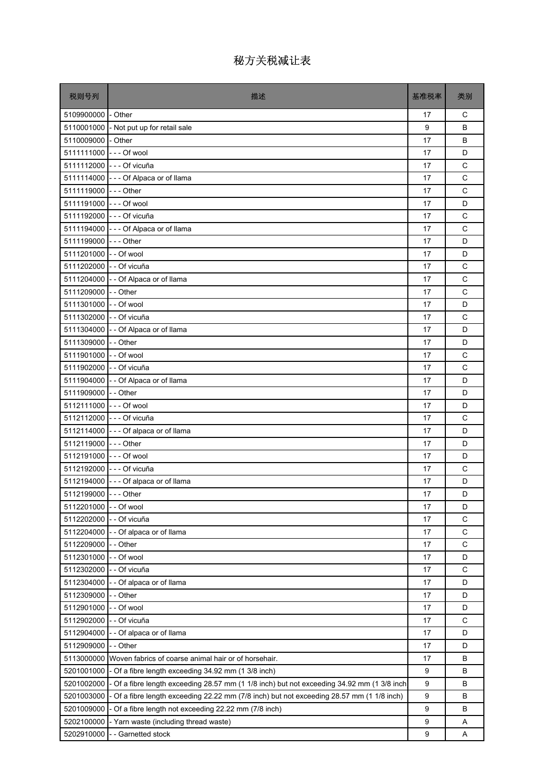| 税则号列                     | 描述                                                                                         | 基准税率 | 类别           |
|--------------------------|--------------------------------------------------------------------------------------------|------|--------------|
| 5109900000 - Other       |                                                                                            | 17   | C            |
|                          | 5110001000 - Not put up for retail sale                                                    | 9    | B            |
| 5110009000 - Other       |                                                                                            | 17   | B            |
| 5111111000 --- Of wool   |                                                                                            | 17   | D            |
|                          | 5111112000 --- Of vicuña                                                                   | 17   | C            |
|                          | 5111114000 - - - Of Alpaca or of Ilama                                                     | 17   | C            |
| 5111119000 --- Other     |                                                                                            | 17   | C            |
| 5111191000 --- Of wool   |                                                                                            | 17   | D            |
|                          | 5111192000 --- Of vicuña                                                                   | 17   | C            |
|                          | 5111194000 - - - Of Alpaca or of Ilama                                                     | 17   | C            |
| 5111199000 --- Other     |                                                                                            | 17   | D            |
| 5111201000 - - Of wool   |                                                                                            | 17   | D            |
| 5111202000 - - Of vicuña |                                                                                            | 17   | C            |
|                          | 5111204000 - - Of Alpaca or of Ilama                                                       | 17   | C            |
| 5111209000 - - Other     |                                                                                            | 17   | C            |
| 5111301000 - - Of wool   |                                                                                            | 17   | D            |
| 5111302000 - - Of vicuña |                                                                                            | 17   | C            |
|                          | 5111304000 - - Of Alpaca or of Ilama                                                       | 17   | D            |
| 5111309000 - - Other     |                                                                                            | 17   | D            |
| 5111901000 -- Of wool    |                                                                                            | 17   | C            |
| 5111902000 - - Of vicuña |                                                                                            | 17   | C            |
|                          | 5111904000 - - Of Alpaca or of Ilama                                                       | 17   | D            |
| 5111909000 - - Other     |                                                                                            | 17   | D            |
| 5112111000 --- Of wool   |                                                                                            | 17   | D            |
|                          | 5112112000 --- Of vicuña                                                                   | 17   | C            |
|                          | 5112114000 --- Of alpaca or of llama                                                       | 17   | D            |
| 5112119000 --- Other     |                                                                                            | 17   | D            |
| 5112191000 --- Of wool   |                                                                                            | 17   | D            |
|                          | 5112192000 - - - Of vicuña                                                                 | 17   | $\mathsf{C}$ |
|                          | 5112194000 - - - Of alpaca or of llama                                                     | 17   | D            |
| 5112199000 --- Other     |                                                                                            | 17   | D            |
| 5112201000               | - - Of wool                                                                                | 17   | D            |
| 5112202000               | - - Of vicuña                                                                              | 17   | C            |
| 5112204000               | - - Of alpaca or of llama                                                                  | 17   | C            |
| 5112209000               | - - Other                                                                                  | 17   | C            |
| 5112301000               | - - Of wool                                                                                | 17   | D            |
| 5112302000               | - - Of vicuña                                                                              | 17   | С            |
| 5112304000               | -- Of alpaca or of llama                                                                   | 17   | D            |
| 5112309000               | - - Other                                                                                  | 17   | D            |
| 5112901000               | - - Of wool                                                                                | 17   | D            |
| 5112902000               | - - Of vicuña                                                                              | 17   | C            |
| 5112904000               | - - Of alpaca or of llama                                                                  | 17   | D            |
| 5112909000               | - - Other                                                                                  | 17   | D            |
| 5113000000               | Woven fabrics of coarse animal hair or of horsehair.                                       | 17   | В            |
| 5201001000               | - Of a fibre length exceeding 34.92 mm (1 3/8 inch)                                        | 9    | B            |
| 5201002000               | - Of a fibre length exceeding 28.57 mm (1 1/8 inch) but not exceeding 34.92 mm (1 3/8 inch | 9    | B            |
| 5201003000               | - Of a fibre length exceeding 22.22 mm (7/8 inch) but not exceeding 28.57 mm (1 1/8 inch)  | 9    | В            |
| 5201009000               | - Of a fibre length not exceeding 22.22 mm (7/8 inch)                                      | 9    | B            |
| 5202100000               | - Yarn waste (including thread waste)                                                      | 9    | Α            |
| 5202910000               | -- Garnetted stock                                                                         | 9    | Α            |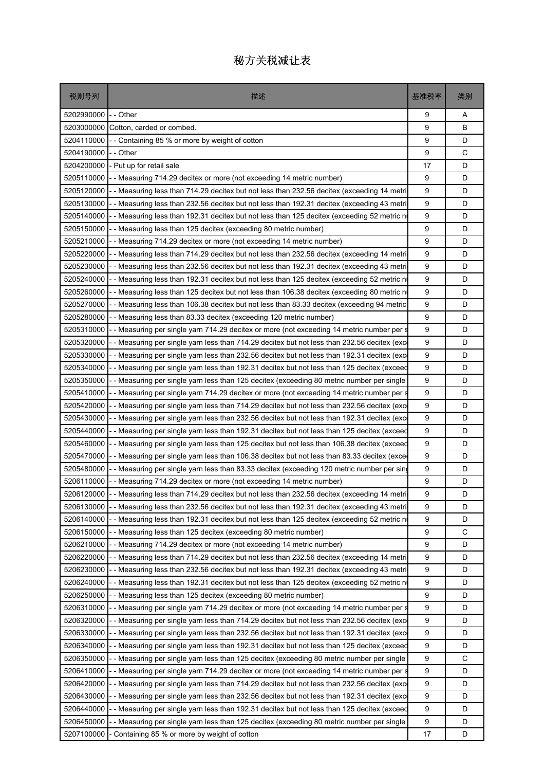| 税则号列       | 描述                                                                                                     | 基准税率 | 类别 |
|------------|--------------------------------------------------------------------------------------------------------|------|----|
| 5202990000 | - - Other                                                                                              | 9    | Α  |
| 5203000000 | Cotton, carded or combed.                                                                              | 9    | B  |
| 5204110000 | - Containing 85 % or more by weight of cotton                                                          | 9    | D  |
| 5204190000 | - - Other                                                                                              | 9    | C  |
| 5204200000 | - Put up for retail sale                                                                               | 17   | D  |
| 5205110000 | - Measuring 714.29 decitex or more (not exceeding 14 metric number)                                    | 9    | D  |
| 5205120000 | - Measuring less than 714.29 decitex but not less than 232.56 decitex (exceeding 14 metri              | 9    | D  |
| 5205130000 | - Measuring less than 232.56 decitex but not less than 192.31 decitex (exceeding 43 metri              | 9    | D  |
| 5205140000 | - Measuring less than 192.31 decitex but not less than 125 decitex (exceeding 52 metric n              | 9    | D  |
| 5205150000 | - Measuring less than 125 decitex (exceeding 80 metric number)                                         | 9    | D  |
| 5205210000 | - Measuring 714.29 decitex or more (not exceeding 14 metric number)                                    | 9    | D  |
| 5205220000 | - Measuring less than 714.29 decitex but not less than 232.56 decitex (exceeding 14 metri)             | 9    | D  |
| 5205230000 | - Measuring less than 232.56 decitex but not less than 192.31 decitex (exceeding 43 metri              | 9    | D  |
| 5205240000 | - - Measuring less than 192.31 decitex but not less than 125 decitex (exceeding 52 metric n            | 9    | D  |
| 5205260000 | - Measuring less than 125 decitex but not less than 106.38 decitex (exceeding 80 metric no             | 9    | D  |
| 5205270000 | - Measuring less than 106.38 decitex but not less than 83.33 decitex (exceeding 94 metric              | 9    | D  |
| 5205280000 | - Measuring less than 83.33 decitex (exceeding 120 metric number)                                      | 9    | D  |
| 5205310000 | - Measuring per single yarn 714.29 decitex or more (not exceeding 14 metric number per s               | 9    | D  |
| 5205320000 | - Measuring per single yarn less than 714.29 decitex but not less than 232.56 decitex (excent          | 9    | D  |
| 5205330000 | - Measuring per single yarn less than 232.56 decitex but not less than 192.31 decitex (excontant)      | 9    | D  |
| 5205340000 | - Measuring per single yarn less than 192.31 decitex but not less than 125 decitex (exceed             | 9    | D  |
| 5205350000 | - Measuring per single yarn less than 125 decitex (exceeding 80 metric number per single               | 9    | D  |
| 5205410000 | - Measuring per single yarn 714.29 decitex or more (not exceeding 14 metric number per s               | 9    | D  |
| 5205420000 | - - Measuring per single yarn less than 714.29 decitex but not less than 232.56 decitex (exc           | 9    | D  |
| 5205430000 | - Measuring per single yarn less than 232.56 decitex but not less than 192.31 decitex (exco            | 9    | D  |
| 5205440000 | - Measuring per single yarn less than 192.31 decitex but not less than 125 decitex (exceed             | 9    | D  |
| 5205460000 | - Measuring per single yarn less than 125 decitex but not less than 106.38 decitex (exceed             | 9    | D  |
| 5205470000 | - Measuring per single yarn less than 106.38 decitex but not less than 83.33 decitex (excer            | 9    | D  |
| 5205480000 | - Measuring per single yarn less than 83.33 decitex (exceeding 120 metric number per sing              | 9    | D  |
| 5206110000 | - Measuring 714.29 decitex or more (not exceeding 14 metric number)                                    | 9    | D  |
|            | 5206120000 - - Measuring less than 714.29 decitex but not less than 232.56 decitex (exceeding 14 metri | 9    | D  |
| 5206130000 | - Measuring less than 232.56 decitex but not less than 192.31 decitex (exceeding 43 metri              | 9    | D  |
| 5206140000 | - Measuring less than 192.31 decitex but not less than 125 decitex (exceeding 52 metric n              | 9    | D  |
| 5206150000 | - - Measuring less than 125 decitex (exceeding 80 metric number)                                       | 9    | C  |
| 5206210000 | - Measuring 714.29 decitex or more (not exceeding 14 metric number)                                    | 9    | D  |
| 5206220000 | - Measuring less than 714.29 decitex but not less than 232.56 decitex (exceeding 14 metric             | 9    | D  |
| 5206230000 | - Measuring less than 232.56 decitex but not less than 192.31 decitex (exceeding 43 metric             | 9    | D  |
| 5206240000 | - Measuring less than 192.31 decitex but not less than 125 decitex (exceeding 52 metric no             | 9    | D  |
| 5206250000 | - Measuring less than 125 decitex (exceeding 80 metric number)                                         | 9    | D  |
| 5206310000 | - Measuring per single yarn 714.29 decitex or more (not exceeding 14 metric number per s               | 9    | D  |
| 5206320000 | - - Measuring per single yarn less than 714.29 decitex but not less than 232.56 decitex (exce          | 9    | D  |
| 5206330000 | - Measuring per single yarn less than 232.56 decitex but not less than 192.31 decitex (exc             | 9    | D  |
| 5206340000 | - Measuring per single yarn less than 192.31 decitex but not less than 125 decitex (exceed             | 9    | D  |
| 5206350000 | - - Measuring per single yarn less than 125 decitex (exceeding 80 metric number per single             | 9    | С  |
| 5206410000 | - Measuring per single yarn 714.29 decitex or more (not exceeding 14 metric number per s               | 9    | D  |
| 5206420000 | - Measuring per single yarn less than 714.29 decitex but not less than 232.56 decitex (exce            | 9    | D  |
| 5206430000 | - Measuring per single yarn less than 232.56 decitex but not less than 192.31 decitex (exc             | 9    | D  |
| 5206440000 | - Measuring per single yarn less than 192.31 decitex but not less than 125 decitex (exceed             | 9    | D  |
| 5206450000 | - Measuring per single yarn less than 125 decitex (exceeding 80 metric number per single               | 9    | D  |
| 5207100000 | Containing 85 % or more by weight of cotton                                                            | 17   | D  |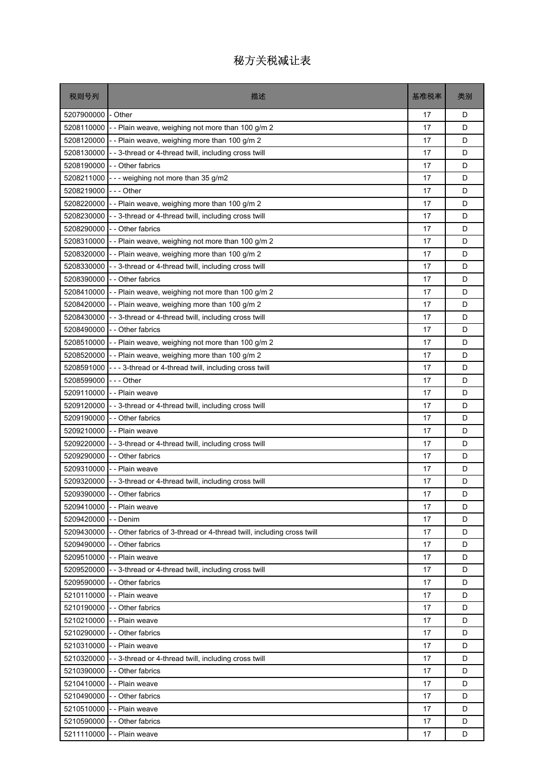| 税则号列       | 描述                                                                     | 基准税率 | 类别 |
|------------|------------------------------------------------------------------------|------|----|
| 5207900000 | - Other                                                                | 17   | D  |
| 5208110000 | - - Plain weave, weighing not more than 100 g/m 2                      | 17   | D  |
| 5208120000 | -- Plain weave, weighing more than 100 g/m 2                           | 17   | D  |
| 5208130000 | - - 3-thread or 4-thread twill, including cross twill                  | 17   | D  |
| 5208190000 | - - Other fabrics                                                      | 17   | D  |
| 5208211000 | --- weighing not more than 35 g/m2                                     | 17   | D  |
| 5208219000 | -  - - Other                                                           | 17   | D  |
| 5208220000 | - - Plain weave, weighing more than 100 g/m 2                          | 17   | D  |
| 5208230000 | --3-thread or 4-thread twill, including cross twill                    | 17   | D  |
| 5208290000 | - - Other fabrics                                                      | 17   | D  |
| 5208310000 | -- Plain weave, weighing not more than 100 g/m 2                       | 17   | D  |
|            | 5208320000 - - Plain weave, weighing more than 100 g/m 2               | 17   | D  |
| 5208330000 | - - 3-thread or 4-thread twill, including cross twill                  | 17   | D  |
| 5208390000 | - - Other fabrics                                                      | 17   | D  |
| 5208410000 | - - Plain weave, weighing not more than 100 g/m 2                      | 17   | D  |
| 5208420000 | -- Plain weave, weighing more than 100 g/m 2                           | 17   | D  |
| 5208430000 | --3-thread or 4-thread twill, including cross twill                    | 17   | D  |
| 5208490000 | - - Other fabrics                                                      | 17   | D  |
| 5208510000 | - - Plain weave, weighing not more than 100 g/m 2                      | 17   | D  |
| 5208520000 | -- Plain weave, weighing more than 100 g/m 2                           | 17   | D  |
| 5208591000 | --- 3-thread or 4-thread twill, including cross twill                  | 17   | D  |
| 5208599000 | -  - - Other                                                           | 17   | D  |
| 5209110000 | - - Plain weave                                                        | 17   | D  |
| 5209120000 | - - 3-thread or 4-thread twill, including cross twill                  | 17   | D  |
|            | 5209190000 - - Other fabrics                                           | 17   | D  |
| 5209210000 | - - Plain weave                                                        | 17   | D  |
| 5209220000 | - - 3-thread or 4-thread twill, including cross twill                  | 17   | D  |
| 5209290000 | - - Other fabrics                                                      | 17   | D  |
| 5209310000 | - - Plain weave                                                        | 17   | D  |
|            | 5209320000 - - 3-thread or 4-thread twill, including cross twill       | 17   | D  |
|            | 5209390000 - - Other fabrics                                           | 17   | D  |
| 5209410000 | - - Plain weave                                                        | 17   | D  |
| 5209420000 | - - Denim                                                              | 17   | D  |
| 5209430000 | - - Other fabrics of 3-thread or 4-thread twill, including cross twill | 17   | D  |
|            | 5209490000 - - Other fabrics                                           | 17   | D  |
| 5209510000 | - - Plain weave                                                        | 17   | D  |
| 5209520000 | - - 3-thread or 4-thread twill, including cross twill                  | 17   | D  |
| 5209590000 | - - Other fabrics                                                      | 17   | D  |
| 5210110000 | - - Plain weave                                                        | 17   | D  |
| 5210190000 | -- Other fabrics                                                       | 17   | D  |
| 5210210000 | - - Plain weave                                                        | 17   | D  |
|            | 5210290000 - - Other fabrics                                           | 17   | D  |
| 5210310000 | - - Plain weave                                                        | 17   | D  |
| 5210320000 | --3-thread or 4-thread twill, including cross twill                    | 17   | D  |
| 5210390000 | -- Other fabrics                                                       | 17   | D  |
| 5210410000 | - - Plain weave                                                        | 17   | D  |
| 5210490000 | - - Other fabrics                                                      | 17   | D  |
| 5210510000 | - - Plain weave                                                        | 17   | D  |
| 5210590000 |                                                                        |      | D  |
|            | - - Other fabrics                                                      | 17   |    |
| 5211110000 | - - Plain weave                                                        | 17   | D  |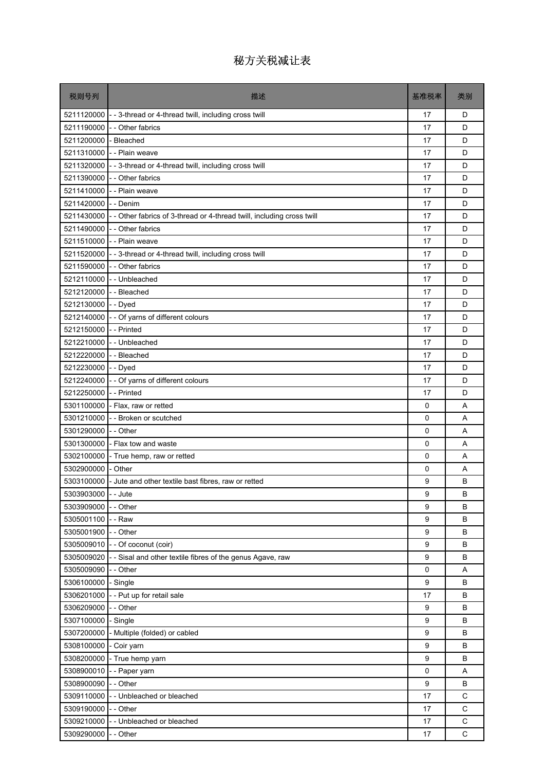| 税则号列                    | 描述                                                                                | 基准税率        | 类别          |
|-------------------------|-----------------------------------------------------------------------------------|-------------|-------------|
|                         | 5211120000 - - 3-thread or 4-thread twill, including cross twill                  | 17          | D           |
|                         | 5211190000 - - Other fabrics                                                      | 17          | D           |
| 5211200000              | - Bleached                                                                        | 17          | D           |
|                         | 5211310000 - - Plain weave                                                        | 17          | D           |
|                         | 5211320000 - - 3-thread or 4-thread twill, including cross twill                  | 17          | D           |
| 5211390000              | - - Other fabrics                                                                 | 17          | D           |
|                         | 5211410000 - - Plain weave                                                        | 17          | D           |
| 5211420000 - - Denim    |                                                                                   | 17          | D           |
|                         | 5211430000 - - Other fabrics of 3-thread or 4-thread twill, including cross twill | 17          | D           |
|                         | 5211490000 - - Other fabrics                                                      | 17          | D           |
|                         | 5211510000 - - Plain weave                                                        | 17          | D           |
|                         | 5211520000 - - 3-thread or 4-thread twill, including cross twill                  | 17          | D           |
|                         | 5211590000 - - Other fabrics                                                      | 17          | D           |
|                         | 5212110000 - - Unbleached                                                         | 17          | D           |
| 5212120000 - - Bleached |                                                                                   | 17          | D           |
| 5212130000              | - - Dyed                                                                          | 17          | D           |
| 5212140000              | - - Of yarns of different colours                                                 | 17          | D           |
| 5212150000 - - Printed  |                                                                                   | 17          | D           |
|                         | 5212210000 - - Unbleached                                                         | 17          | D           |
| 5212220000 - - Bleached |                                                                                   | 17          | D           |
| 5212230000              | - - Dyed                                                                          | 17          | D           |
|                         | 5212240000 - - Of yarns of different colours                                      | 17          | D           |
| 5212250000              | - - Printed                                                                       | 17          | D           |
|                         | 5301100000 - Flax, raw or retted                                                  | 0           | A           |
|                         | 5301210000 - - Broken or scutched                                                 | 0           | A           |
| 5301290000              | - - Other                                                                         | $\mathbf 0$ | A           |
|                         | 5301300000 - Flax tow and waste                                                   | 0           | A           |
| 5302100000              | - True hemp, raw or retted                                                        | $\mathbf 0$ | A           |
| 5302900000 - Other      |                                                                                   | 0           | A           |
| 5303100000              | - Jute and other textile bast fibres, raw or retted                               | 9           | B           |
| 5303903000 - - Jute     |                                                                                   | 9           | B           |
| 5303909000              | - - Other                                                                         | 9           | B           |
| 5305001100              | - - Raw                                                                           | 9           | B           |
| 5305001900 - - Other    |                                                                                   | 9           | B           |
|                         | 5305009010 - - Of coconut (coir)                                                  | 9           | B           |
| 5305009020              | - - Sisal and other textile fibres of the genus Agave, raw                        | 9           | B           |
| 5305009090              | - - Other                                                                         | 0           | Α           |
| 5306100000              | - Single                                                                          | 9           | B           |
| 5306201000              | - - Put up for retail sale                                                        | 17          | B           |
| 5306209000              | - - Other                                                                         | 9           | B           |
| 5307100000              | - Single                                                                          | 9           | B           |
| 5307200000              | - Multiple (folded) or cabled                                                     | 9           | B           |
| 5308100000              | - Coir yarn                                                                       | 9           | B           |
| 5308200000              | - True hemp yarn                                                                  | 9           | B           |
| 5308900010              | - - Paper yarn                                                                    | 0           | Α           |
| 5308900090              | -- Other                                                                          | 9           | B           |
| 5309110000              | -- Unbleached or bleached                                                         | 17          | C           |
| 5309190000 - - Other    |                                                                                   | 17          | $\mathsf C$ |
|                         | 5309210000 - - Unbleached or bleached                                             | 17          | $\mathsf C$ |
| 5309290000              | - - Other                                                                         | 17          | C           |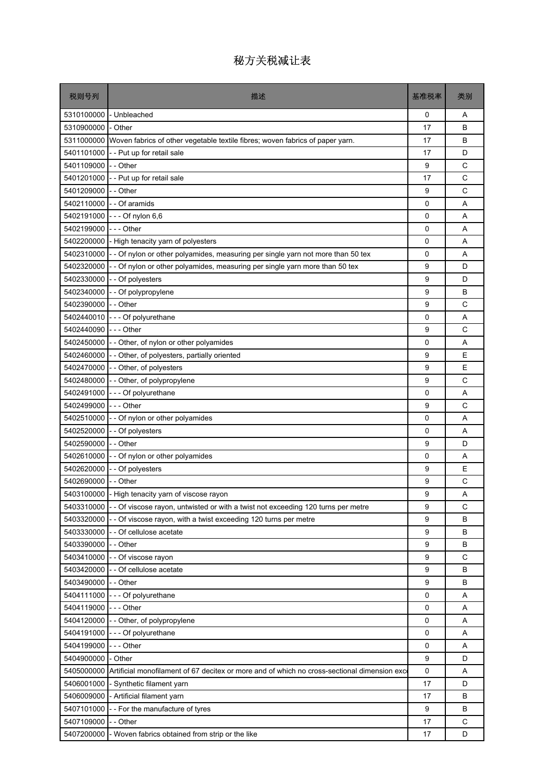| 税则号列                 | 描述                                                                                                     | 基准税率     | 类别          |
|----------------------|--------------------------------------------------------------------------------------------------------|----------|-------------|
| 5310100000           | - Unbleached                                                                                           | 0        | Α           |
| 5310900000 - Other   |                                                                                                        | 17       | B           |
|                      | 5311000000 Woven fabrics of other vegetable textile fibres; woven fabrics of paper yarn.               | 17       | В           |
| 5401101000           | - - Put up for retail sale                                                                             | 17       | D           |
| 5401109000 - - Other |                                                                                                        | 9        | C           |
|                      | 5401201000 - - Put up for retail sale                                                                  | 17       | C           |
| 5401209000 - - Other |                                                                                                        | 9        | C           |
| 5402110000           | - - Of aramids                                                                                         | 0        | A           |
| 5402191000           | - - - Of nylon 6,6                                                                                     | $\Omega$ | A           |
| 5402199000           | -  -  - Other                                                                                          | 0        | A           |
| 5402200000           | - High tenacity yarn of polyesters                                                                     | 0        | A           |
|                      | 5402310000 - - Of nylon or other polyamides, measuring per single yarn not more than 50 tex            | 0        | A           |
|                      | 5402320000 - - Of nylon or other polyamides, measuring per single yarn more than 50 tex                | 9        | D           |
| 5402330000           | - - Of polyesters                                                                                      | 9        | D           |
| 5402340000           | - - Of polypropylene                                                                                   | 9        | B           |
| 5402390000           | - - Other                                                                                              | 9        | C           |
| 5402440010           | --- Of polyurethane                                                                                    | 0        | A           |
| 5402440090           | --- Other                                                                                              | 9        | C           |
|                      | 5402450000 - - Other, of nylon or other polyamides                                                     | 0        | A           |
|                      | 5402460000 - - Other, of polyesters, partially oriented                                                | 9        | E           |
| 5402470000           | - - Other, of polyesters                                                                               | 9        | E           |
|                      | 5402480000 - - Other, of polypropylene                                                                 | 9        | C           |
| 5402491000           | --- Of polyurethane                                                                                    | 0        | A           |
| 5402499000 --- Other |                                                                                                        | 9        | C           |
|                      | 5402510000 - - Of nylon or other polyamides                                                            | 0        | A           |
| 5402520000           | - - Of polyesters                                                                                      | 0        | A           |
| 5402590000           | -- Other                                                                                               | 9        | D           |
|                      | 5402610000 - - Of nylon or other polyamides                                                            | 0        | A           |
| 5402620000           | - - Of polyesters                                                                                      | 9        | E           |
| 5402690000 - - Other |                                                                                                        | 9        | C           |
|                      | 5403100000 - High tenacity yarn of viscose rayon                                                       | g        | Α           |
| 5403310000           | - - Of viscose rayon, untwisted or with a twist not exceeding 120 turns per metre                      | 9        | C           |
| 5403320000           | - - Of viscose rayon, with a twist exceeding 120 turns per metre                                       | 9        | B           |
| 5403330000           | - - Of cellulose acetate                                                                               | 9        | В           |
| 5403390000 - - Other |                                                                                                        | 9        | B           |
|                      | 5403410000 - - Of viscose rayon                                                                        | 9        | C           |
|                      | 5403420000 - - Of cellulose acetate                                                                    | 9        | В           |
| 5403490000           | - - Other                                                                                              | 9        | B           |
|                      | 5404111000 - - - Of polyurethane                                                                       | 0        | Α           |
| 5404119000 --- Other |                                                                                                        | 0        | Α           |
| 5404120000           | - - Other, of polypropylene                                                                            | 0        | Α           |
|                      | 5404191000 - - - Of polyurethane                                                                       | 0        | A           |
| 5404199000           | --- Other                                                                                              | 0        | Α           |
| 5404900000 - Other   |                                                                                                        | 9        | D           |
|                      | 5405000000 Artificial monofilament of 67 decitex or more and of which no cross-sectional dimension exc | 0        | Α           |
| 5406001000           | - Synthetic filament yarn                                                                              | 17       | D           |
|                      | 5406009000 - Artificial filament yarn                                                                  | 17       | В           |
| 5407101000           | - - For the manufacture of tyres                                                                       | 9        | B           |
| 5407109000           | - - Other                                                                                              | 17       | $\mathsf C$ |
| 5407200000           | - Woven fabrics obtained from strip or the like                                                        | 17       | D           |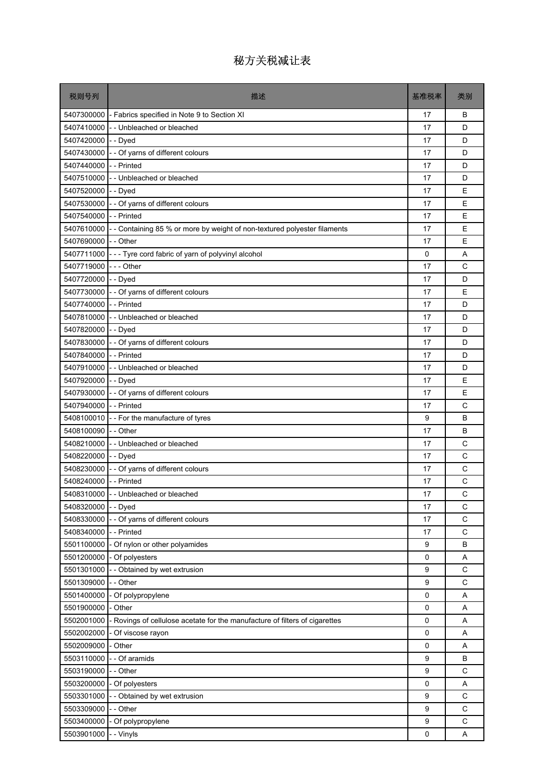| 税则号列                   | 描述                                                                          | 基准税率        | 类别          |
|------------------------|-----------------------------------------------------------------------------|-------------|-------------|
|                        | 5407300000 - Fabrics specified in Note 9 to Section XI                      | 17          | B           |
|                        | 5407410000 - Unbleached or bleached                                         | 17          | D           |
| 5407420000 - - Dyed    |                                                                             | 17          | D           |
| 5407430000             | - - Of yarns of different colours                                           | 17          | D           |
| 5407440000 - - Printed |                                                                             | 17          | D           |
|                        | 5407510000 - - Unbleached or bleached                                       | 17          | D           |
| 5407520000 - - Dyed    |                                                                             | 17          | E           |
|                        | 5407530000 - - Of yarns of different colours                                | 17          | E           |
| 5407540000 - - Printed |                                                                             | 17          | E           |
| 5407610000             | - - Containing 85 % or more by weight of non-textured polyester filaments   | 17          | E           |
| 5407690000             | - - Other                                                                   | 17          | E           |
|                        | 5407711000 - - Tyre cord fabric of yarn of polyvinyl alcohol                | 0           | Α           |
| 5407719000 --- Other   |                                                                             | 17          | C           |
| 5407720000             | - - Dyed                                                                    | 17          | D           |
| 5407730000             | - - Of yarns of different colours                                           | 17          | E           |
| 5407740000             | -- Printed                                                                  | 17          | D           |
| 5407810000             | -- Unbleached or bleached                                                   | 17          | D           |
| 5407820000 - - Dyed    |                                                                             | 17          | D           |
|                        | 5407830000 - - Of yarns of different colours                                | 17          | D           |
| 5407840000 -- Printed  |                                                                             | 17          | D           |
|                        | 5407910000 - - Unbleached or bleached                                       | 17          | D           |
| 5407920000 - - Dyed    |                                                                             | 17          | E           |
|                        | 5407930000 - - Of yarns of different colours                                | 17          | E           |
| 5407940000 - - Printed |                                                                             | 17          | C           |
|                        | 5408100010 - For the manufacture of tyres                                   | 9           | B           |
| 5408100090 - - Other   |                                                                             | 17          | B           |
|                        | 5408210000 - Unbleached or bleached                                         | 17          | C           |
| 5408220000 - - Dyed    |                                                                             | 17          | C           |
|                        | 5408230000 - - Of yarns of different colours                                | 17          | C           |
| 5408240000 - - Printed |                                                                             | 17          | C           |
|                        | 5408310000 - - Unbleached or bleached                                       | 17          | C           |
| 5408320000             | - - Dyed                                                                    | 17          | C           |
| 5408330000             | - - Of yarns of different colours                                           | 17          | C           |
| 5408340000             | -- Printed                                                                  | 17          | $\mathsf C$ |
| 5501100000             | - Of nylon or other polyamides                                              | 9           | B           |
| 5501200000             | - Of polyesters                                                             | 0           | А           |
| 5501301000             | - - Obtained by wet extrusion                                               | 9           | С           |
| 5501309000             | -- Other                                                                    | 9           | $\mathsf C$ |
| 5501400000             | - Of polypropylene                                                          | 0           | Α           |
| 5501900000             | - Other                                                                     | 0           | Α           |
| 5502001000             | - Rovings of cellulose acetate for the manufacture of filters of cigarettes | $\mathbf 0$ | Α           |
| 5502002000             | - Of viscose rayon                                                          | $\mathbf 0$ | Α           |
| 5502009000             | - Other                                                                     | 0           | Α           |
| 5503110000             | - - Of aramids                                                              | 9           | В           |
| 5503190000             | - - Other                                                                   | 9           | C           |
| 5503200000             | - Of polyesters                                                             | 0           | Α           |
| 5503301000             | -- Obtained by wet extrusion                                                | 9           | С           |
| 5503309000             | - - Other                                                                   | 9           | C           |
| 5503400000             | - Of polypropylene                                                          | 9           | $\mathsf C$ |
| 5503901000             | - - Vinyls                                                                  | 0           | Α           |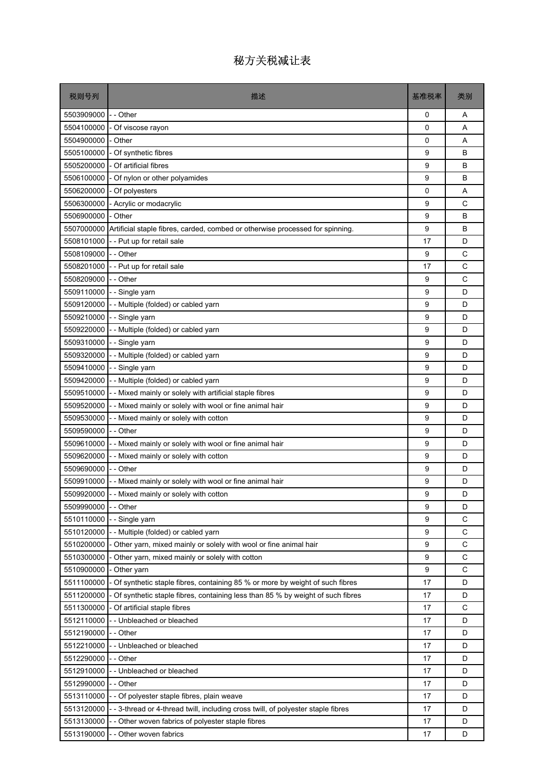| 税则号列                 | 描述                                                                                | 基准税率     | 类别          |
|----------------------|-----------------------------------------------------------------------------------|----------|-------------|
| 5503909000           | - - Other                                                                         | 0        | A           |
| 5504100000           | - Of viscose rayon                                                                | $\Omega$ | A           |
| 5504900000           | - Other                                                                           | 0        | A           |
| 5505100000           | - Of synthetic fibres                                                             | 9        | B           |
| 5505200000           | - Of artificial fibres                                                            | 9        | B           |
| 5506100000           | - Of nylon or other polyamides                                                    | 9        | B           |
| 5506200000           | - Of polyesters                                                                   | 0        | Α           |
| 5506300000           | - Acrylic or modacrylic                                                           | 9        | C           |
| 5506900000           | - Other                                                                           | 9        | B           |
| 5507000000           | Artificial staple fibres, carded, combed or otherwise processed for spinning.     | 9        | B           |
| 5508101000           | - - Put up for retail sale                                                        | 17       | D           |
| 5508109000 - - Other |                                                                                   | 9        | С           |
|                      | 5508201000 - - Put up for retail sale                                             | 17       | C           |
| 5508209000           | - - Other                                                                         | 9        | С           |
| 5509110000           | - - Single yarn                                                                   | 9        | D           |
| 5509120000           | - Multiple (folded) or cabled yarn                                                | 9        | D           |
| 5509210000           | - - Single yarn                                                                   | 9        | D           |
|                      | 5509220000 - - Multiple (folded) or cabled yarn                                   | 9        | D           |
| 5509310000           | - - Single yarn                                                                   | 9        | D           |
| 5509320000           | -- Multiple (folded) or cabled yarn                                               | 9        | D           |
| 5509410000           | - - Single yarn                                                                   | 9        | D           |
| 5509420000           | -- Multiple (folded) or cabled yarn                                               | 9        | D           |
| 5509510000           | - - Mixed mainly or solely with artificial staple fibres                          | 9        | D           |
| 5509520000           | - - Mixed mainly or solely with wool or fine animal hair                          | 9        | D           |
|                      | 5509530000 - - Mixed mainly or solely with cotton                                 | 9        | D           |
| 5509590000           | - - Other                                                                         | 9        | D           |
|                      | 5509610000 - - Mixed mainly or solely with wool or fine animal hair               | 9        | D           |
|                      | 5509620000 - - Mixed mainly or solely with cotton                                 | 9        | D           |
| 5509690000           | - - Other                                                                         | 9        | D           |
|                      | 5509910000  - - Mixed mainly or solely with wool or fine animal hair              | 9        | D           |
|                      | 5509920000 - - Mixed mainly or solely with cotton                                 | 9        | D           |
| 5509990000           | - - Other                                                                         | 9        | D           |
| 5510110000           | - Single yarn                                                                     | 9        | C           |
| 5510120000           | -- Multiple (folded) or cabled yarn                                               | 9        | C           |
|                      | 5510200000 - Other yarn, mixed mainly or solely with wool or fine animal hair     | 9        | C           |
| 5510300000           | - Other yarn, mixed mainly or solely with cotton                                  | 9        | $\mathsf C$ |
| 5510900000           | - Other yarn                                                                      | 9        | C           |
| 5511100000           | - Of synthetic staple fibres, containing 85 % or more by weight of such fibres    | 17       | D           |
| 5511200000           | - Of synthetic staple fibres, containing less than 85 % by weight of such fibres  | 17       | D           |
| 5511300000           | - Of artificial staple fibres                                                     | 17       | C           |
| 5512110000           | -- Unbleached or bleached                                                         | 17       | D           |
| 5512190000           | - - Other                                                                         | 17       | D           |
| 5512210000           | -- Unbleached or bleached                                                         | 17       | D           |
| 5512290000           | - - Other                                                                         | 17       | D           |
| 5512910000           | -- Unbleached or bleached                                                         | 17       | D           |
| 5512990000           | - - Other                                                                         | 17       | D           |
| 5513110000           | - - Of polyester staple fibres, plain weave                                       | 17       | D           |
| 5513120000           | - - 3-thread or 4-thread twill, including cross twill, of polyester staple fibres | 17       | D           |
| 5513130000           | - Other woven fabrics of polyester staple fibres                                  | 17       | D           |
| 5513190000           | - Other woven fabrics                                                             | 17       | D           |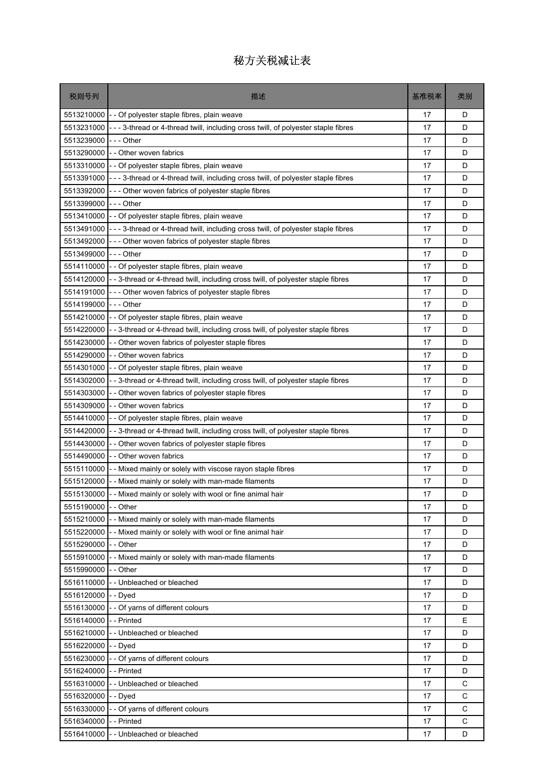| 税则号列                   | 描述                                                                                | 基准税率 | 类别          |
|------------------------|-----------------------------------------------------------------------------------|------|-------------|
| 5513210000             | - - Of polyester staple fibres, plain weave                                       | 17   | D           |
| 5513231000             | - - 3-thread or 4-thread twill, including cross twill, of polyester staple fibres | 17   | D           |
| 5513239000             | - - - Other                                                                       | 17   | D           |
| 5513290000             | - - Other woven fabrics                                                           | 17   | D           |
| 5513310000             | - - Of polyester staple fibres, plain weave                                       | 17   | D           |
| 5513391000             | --- 3-thread or 4-thread twill, including cross twill, of polyester staple fibres | 17   | D           |
| 5513392000             | --- Other woven fabrics of polyester staple fibres                                | 17   | D           |
| 5513399000             | $--$ Other                                                                        | 17   | D           |
| 5513410000             | - Of polyester staple fibres, plain weave                                         | 17   | D           |
| 5513491000             | --- 3-thread or 4-thread twill, including cross twill, of polyester staple fibres | 17   | D           |
| 5513492000             | --- Other woven fabrics of polyester staple fibres                                | 17   | D           |
| 5513499000             | $--$ Other                                                                        | 17   | D           |
|                        | 5514110000 - - Of polyester staple fibres, plain weave                            | 17   | D           |
| 5514120000             | - - 3-thread or 4-thread twill, including cross twill, of polyester staple fibres | 17   | D           |
| 5514191000             | --- Other woven fabrics of polyester staple fibres                                | 17   | D           |
| 5514199000             | -  - - Other                                                                      | 17   | D           |
| 5514210000             | - - Of polyester staple fibres, plain weave                                       | 17   | D           |
| 5514220000             | - 3-thread or 4-thread twill, including cross twill, of polyester staple fibres   | 17   | D           |
| 5514230000             | - Other woven fabrics of polyester staple fibres                                  | 17   | D           |
| 5514290000             | - - Other woven fabrics                                                           | 17   | D           |
| 5514301000             | - - Of polyester staple fibres, plain weave                                       | 17   | D           |
| 5514302000             | - 3-thread or 4-thread twill, including cross twill, of polyester staple fibres   | 17   | D           |
| 5514303000             | Other woven fabrics of polyester staple fibres                                    | 17   | D           |
| 5514309000             | - - Other woven fabrics                                                           | 17   | D           |
| 5514410000             | - Of polyester staple fibres, plain weave                                         | 17   | D           |
| 5514420000             | - 3-thread or 4-thread twill, including cross twill, of polyester staple fibres   | 17   | D           |
| 5514430000             | - - Other woven fabrics of polyester staple fibres                                | 17   | D           |
| 5514490000             | - Other woven fabrics                                                             | 17   | D           |
| 5515110000             | - Mixed mainly or solely with viscose rayon staple fibres                         | 17   | D           |
| 5515120000             | - - Mixed mainly or solely with man-made filaments                                | 17   | D           |
|                        | 5515130000 - - Mixed mainly or solely with wool or fine animal hair               | 17   | D           |
| 5515190000             | - - Other                                                                         | 17   | D           |
| 5515210000             | - Mixed mainly or solely with man-made filaments                                  | 17   | D           |
| 5515220000             | - - Mixed mainly or solely with wool or fine animal hair                          | 17   | D           |
| 5515290000 - - Other   |                                                                                   | 17   | D           |
| 5515910000             | - - Mixed mainly or solely with man-made filaments                                | 17   | D           |
| 5515990000             | - - Other                                                                         | 17   | D           |
| 5516110000             | - - Unbleached or bleached                                                        | 17   | D           |
| 5516120000             | - - Dyed                                                                          | 17   | D           |
| 5516130000             | - - Of yarns of different colours                                                 | 17   | D           |
| 5516140000             | - - Printed                                                                       | 17   | E           |
| 5516210000             | - - Unbleached or bleached                                                        | 17   | D           |
| 5516220000 - - Dyed    |                                                                                   | 17   | D           |
| 5516230000             | - - Of yarns of different colours                                                 | 17   | D           |
| 5516240000 - - Printed |                                                                                   | 17   | D           |
| 5516310000             | -- Unbleached or bleached                                                         | 17   | $\mathsf C$ |
| 5516320000             | - - Dyed                                                                          | 17   | C           |
| 5516330000             | Of yarns of different colours                                                     | 17   | C           |
| 5516340000             | - - Printed                                                                       | 17   | $\mathsf C$ |
| 5516410000             | - - Unbleached or bleached                                                        | 17   | D           |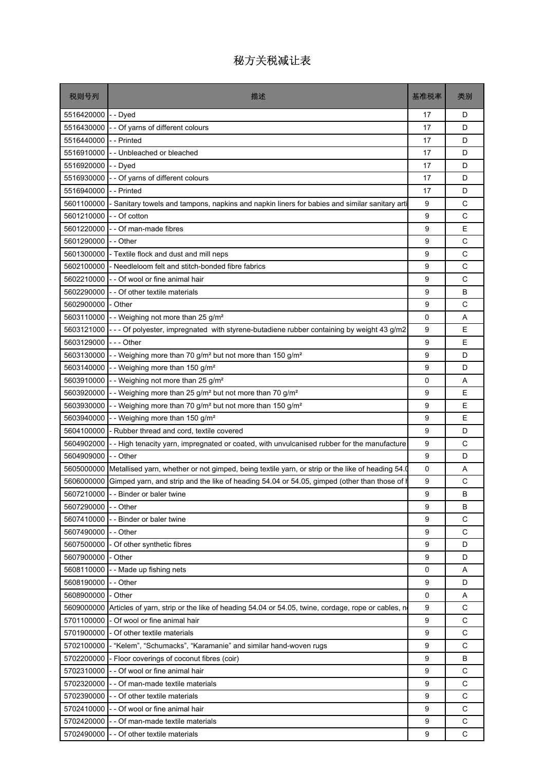| 5516420000<br>- - Dyed<br>17<br>D<br>5516430000<br>- - Of yarns of different colours<br>17<br>D<br>5516440000<br>- - Printed<br>17<br>D<br>5516910000<br>-- Unbleached or bleached<br>17<br>D<br>5516920000<br>D<br>- - Dyed<br>17<br>- - Of yarns of different colours<br>17<br>D<br>5516930000<br>5516940000<br>- - Printed<br>D<br>17<br>C<br>5601100000<br>9<br>- Sanitary towels and tampons, napkins and napkin liners for babies and similar sanitary arti<br>C<br>5601210000<br>- - Of cotton<br>9<br>E<br>5601220000<br>- - Of man-made fibres<br>9<br>C<br>5601290000<br>- - Other<br>9<br>C<br>5601300000<br>9<br>- Textile flock and dust and mill neps<br>C<br>9<br>5602100000<br>- Needleloom felt and stitch-bonded fibre fabrics<br>C<br>5602210000<br>- - Of wool or fine animal hair<br>9<br>B<br>5602290000<br>9<br>- - Of other textile materials<br>C<br>5602900000<br>9<br>- Other<br>5603110000 - - Weighing not more than 25 g/m <sup>2</sup><br>0<br>Α<br>E<br>5603121000<br>--- Of polyester, impregnated with styrene-butadiene rubber containing by weight 43 g/m2<br>9<br>- - - Other<br>E<br>5603129000<br>9<br>5603130000  <br>- - Weighing more than 70 g/m <sup>2</sup> but not more than 150 g/m <sup>2</sup><br>9<br>D<br>5603140000<br>-- Weighing more than 150 g/m <sup>2</sup><br>9<br>D<br>5603910000<br>- - Weighing not more than 25 g/m <sup>2</sup><br>0<br>A<br>E<br>5603920000<br>- Weighing more than 25 g/m <sup>2</sup> but not more than 70 g/m <sup>2</sup><br>9<br>E<br>5603930000<br>- - Weighing more than 70 g/m <sup>2</sup> but not more than 150 g/m <sup>2</sup><br>9<br>9<br>E<br>5603940000  <br>- - Weighing more than 150 g/m <sup>2</sup><br>5604100000<br>- Rubber thread and cord, textile covered<br>9<br>D<br>5604902000<br>9<br>С<br>- - High tenacity yarn, impregnated or coated, with unvulcanised rubber for the manufacture<br>D<br>5604909000<br>- - Other<br>9<br>0<br>5605000000<br>Metallised yarn, whether or not gimped, being textile yarn, or strip or the like of heading 54.<br>A<br>9<br>С<br>5606000000<br>Gimped yarn, and strip and the like of heading 54.04 or 54.05, gimped (other than those of I<br>9<br>5607210000 - - Binder or baler twine<br>B<br>9<br>5607290000 -- Other<br>B<br>9<br>C<br>5607410000<br>- - Binder or baler twine<br>5607490000 - - Other<br>9<br>C<br>5607500000 - Of other synthetic fibres<br>9<br>D<br>5607900000<br>- Other<br>9<br>D<br>- - Made up fishing nets<br>5608110000<br>0<br>Α<br>5608190000<br>9<br>D<br>- - Other<br>5608900000<br>- Other<br>0<br>Α<br>$\mathsf C$<br>9<br>5609000000 Articles of yarn, strip or the like of heading 54.04 or 54.05, twine, cordage, rope or cables, n<br>$\mathsf C$<br>5701100000<br>- Of wool or fine animal hair<br>9<br>C<br>5701900000 - Of other textile materials<br>9<br>$\mathsf{C}$<br>9<br>5702100000 - "Kelem", "Schumacks", "Karamanie" and similar hand-woven rugs<br>5702200000 - Floor coverings of coconut fibres (coir)<br>9<br>В<br>5702310000 - - Of wool or fine animal hair<br>9<br>C<br>C<br>5702320000<br>- - Of man-made textile materials<br>9<br>$\mathsf C$<br>5702390000 - - Of other textile materials<br>9<br>C<br>5702410000 - - Of wool or fine animal hair<br>9<br>С<br>9<br>5702420000 - - Of man-made textile materials<br>9<br>C<br>5702490000 - - Of other textile materials | 税则号列 | 描述 | 基准税率 | 类别 |
|--------------------------------------------------------------------------------------------------------------------------------------------------------------------------------------------------------------------------------------------------------------------------------------------------------------------------------------------------------------------------------------------------------------------------------------------------------------------------------------------------------------------------------------------------------------------------------------------------------------------------------------------------------------------------------------------------------------------------------------------------------------------------------------------------------------------------------------------------------------------------------------------------------------------------------------------------------------------------------------------------------------------------------------------------------------------------------------------------------------------------------------------------------------------------------------------------------------------------------------------------------------------------------------------------------------------------------------------------------------------------------------------------------------------------------------------------------------------------------------------------------------------------------------------------------------------------------------------------------------------------------------------------------------------------------------------------------------------------------------------------------------------------------------------------------------------------------------------------------------------------------------------------------------------------------------------------------------------------------------------------------------------------------------------------------------------------------------------------------------------------------------------------------------------------------------------------------------------------------------------------------------------------------------------------------------------------------------------------------------------------------------------------------------------------------------------------------------------------------------------------------------------------------------------------------------------------------------------------------------------------------------------------------------------------------------------------------------------------------------------------------------------------------------------------------------------------------------------------------------------------------------------------------------------------------------------------------------------------------------------------------------------------------------------------------------------------------------------------------------------------------------------------------------------------------------------------------------------------------------------------------------------------------------------------------------------------------------------------------------------------------------------|------|----|------|----|
|                                                                                                                                                                                                                                                                                                                                                                                                                                                                                                                                                                                                                                                                                                                                                                                                                                                                                                                                                                                                                                                                                                                                                                                                                                                                                                                                                                                                                                                                                                                                                                                                                                                                                                                                                                                                                                                                                                                                                                                                                                                                                                                                                                                                                                                                                                                                                                                                                                                                                                                                                                                                                                                                                                                                                                                                                                                                                                                                                                                                                                                                                                                                                                                                                                                                                                                                                                                            |      |    |      |    |
|                                                                                                                                                                                                                                                                                                                                                                                                                                                                                                                                                                                                                                                                                                                                                                                                                                                                                                                                                                                                                                                                                                                                                                                                                                                                                                                                                                                                                                                                                                                                                                                                                                                                                                                                                                                                                                                                                                                                                                                                                                                                                                                                                                                                                                                                                                                                                                                                                                                                                                                                                                                                                                                                                                                                                                                                                                                                                                                                                                                                                                                                                                                                                                                                                                                                                                                                                                                            |      |    |      |    |
|                                                                                                                                                                                                                                                                                                                                                                                                                                                                                                                                                                                                                                                                                                                                                                                                                                                                                                                                                                                                                                                                                                                                                                                                                                                                                                                                                                                                                                                                                                                                                                                                                                                                                                                                                                                                                                                                                                                                                                                                                                                                                                                                                                                                                                                                                                                                                                                                                                                                                                                                                                                                                                                                                                                                                                                                                                                                                                                                                                                                                                                                                                                                                                                                                                                                                                                                                                                            |      |    |      |    |
|                                                                                                                                                                                                                                                                                                                                                                                                                                                                                                                                                                                                                                                                                                                                                                                                                                                                                                                                                                                                                                                                                                                                                                                                                                                                                                                                                                                                                                                                                                                                                                                                                                                                                                                                                                                                                                                                                                                                                                                                                                                                                                                                                                                                                                                                                                                                                                                                                                                                                                                                                                                                                                                                                                                                                                                                                                                                                                                                                                                                                                                                                                                                                                                                                                                                                                                                                                                            |      |    |      |    |
|                                                                                                                                                                                                                                                                                                                                                                                                                                                                                                                                                                                                                                                                                                                                                                                                                                                                                                                                                                                                                                                                                                                                                                                                                                                                                                                                                                                                                                                                                                                                                                                                                                                                                                                                                                                                                                                                                                                                                                                                                                                                                                                                                                                                                                                                                                                                                                                                                                                                                                                                                                                                                                                                                                                                                                                                                                                                                                                                                                                                                                                                                                                                                                                                                                                                                                                                                                                            |      |    |      |    |
|                                                                                                                                                                                                                                                                                                                                                                                                                                                                                                                                                                                                                                                                                                                                                                                                                                                                                                                                                                                                                                                                                                                                                                                                                                                                                                                                                                                                                                                                                                                                                                                                                                                                                                                                                                                                                                                                                                                                                                                                                                                                                                                                                                                                                                                                                                                                                                                                                                                                                                                                                                                                                                                                                                                                                                                                                                                                                                                                                                                                                                                                                                                                                                                                                                                                                                                                                                                            |      |    |      |    |
|                                                                                                                                                                                                                                                                                                                                                                                                                                                                                                                                                                                                                                                                                                                                                                                                                                                                                                                                                                                                                                                                                                                                                                                                                                                                                                                                                                                                                                                                                                                                                                                                                                                                                                                                                                                                                                                                                                                                                                                                                                                                                                                                                                                                                                                                                                                                                                                                                                                                                                                                                                                                                                                                                                                                                                                                                                                                                                                                                                                                                                                                                                                                                                                                                                                                                                                                                                                            |      |    |      |    |
|                                                                                                                                                                                                                                                                                                                                                                                                                                                                                                                                                                                                                                                                                                                                                                                                                                                                                                                                                                                                                                                                                                                                                                                                                                                                                                                                                                                                                                                                                                                                                                                                                                                                                                                                                                                                                                                                                                                                                                                                                                                                                                                                                                                                                                                                                                                                                                                                                                                                                                                                                                                                                                                                                                                                                                                                                                                                                                                                                                                                                                                                                                                                                                                                                                                                                                                                                                                            |      |    |      |    |
|                                                                                                                                                                                                                                                                                                                                                                                                                                                                                                                                                                                                                                                                                                                                                                                                                                                                                                                                                                                                                                                                                                                                                                                                                                                                                                                                                                                                                                                                                                                                                                                                                                                                                                                                                                                                                                                                                                                                                                                                                                                                                                                                                                                                                                                                                                                                                                                                                                                                                                                                                                                                                                                                                                                                                                                                                                                                                                                                                                                                                                                                                                                                                                                                                                                                                                                                                                                            |      |    |      |    |
|                                                                                                                                                                                                                                                                                                                                                                                                                                                                                                                                                                                                                                                                                                                                                                                                                                                                                                                                                                                                                                                                                                                                                                                                                                                                                                                                                                                                                                                                                                                                                                                                                                                                                                                                                                                                                                                                                                                                                                                                                                                                                                                                                                                                                                                                                                                                                                                                                                                                                                                                                                                                                                                                                                                                                                                                                                                                                                                                                                                                                                                                                                                                                                                                                                                                                                                                                                                            |      |    |      |    |
|                                                                                                                                                                                                                                                                                                                                                                                                                                                                                                                                                                                                                                                                                                                                                                                                                                                                                                                                                                                                                                                                                                                                                                                                                                                                                                                                                                                                                                                                                                                                                                                                                                                                                                                                                                                                                                                                                                                                                                                                                                                                                                                                                                                                                                                                                                                                                                                                                                                                                                                                                                                                                                                                                                                                                                                                                                                                                                                                                                                                                                                                                                                                                                                                                                                                                                                                                                                            |      |    |      |    |
|                                                                                                                                                                                                                                                                                                                                                                                                                                                                                                                                                                                                                                                                                                                                                                                                                                                                                                                                                                                                                                                                                                                                                                                                                                                                                                                                                                                                                                                                                                                                                                                                                                                                                                                                                                                                                                                                                                                                                                                                                                                                                                                                                                                                                                                                                                                                                                                                                                                                                                                                                                                                                                                                                                                                                                                                                                                                                                                                                                                                                                                                                                                                                                                                                                                                                                                                                                                            |      |    |      |    |
|                                                                                                                                                                                                                                                                                                                                                                                                                                                                                                                                                                                                                                                                                                                                                                                                                                                                                                                                                                                                                                                                                                                                                                                                                                                                                                                                                                                                                                                                                                                                                                                                                                                                                                                                                                                                                                                                                                                                                                                                                                                                                                                                                                                                                                                                                                                                                                                                                                                                                                                                                                                                                                                                                                                                                                                                                                                                                                                                                                                                                                                                                                                                                                                                                                                                                                                                                                                            |      |    |      |    |
|                                                                                                                                                                                                                                                                                                                                                                                                                                                                                                                                                                                                                                                                                                                                                                                                                                                                                                                                                                                                                                                                                                                                                                                                                                                                                                                                                                                                                                                                                                                                                                                                                                                                                                                                                                                                                                                                                                                                                                                                                                                                                                                                                                                                                                                                                                                                                                                                                                                                                                                                                                                                                                                                                                                                                                                                                                                                                                                                                                                                                                                                                                                                                                                                                                                                                                                                                                                            |      |    |      |    |
|                                                                                                                                                                                                                                                                                                                                                                                                                                                                                                                                                                                                                                                                                                                                                                                                                                                                                                                                                                                                                                                                                                                                                                                                                                                                                                                                                                                                                                                                                                                                                                                                                                                                                                                                                                                                                                                                                                                                                                                                                                                                                                                                                                                                                                                                                                                                                                                                                                                                                                                                                                                                                                                                                                                                                                                                                                                                                                                                                                                                                                                                                                                                                                                                                                                                                                                                                                                            |      |    |      |    |
|                                                                                                                                                                                                                                                                                                                                                                                                                                                                                                                                                                                                                                                                                                                                                                                                                                                                                                                                                                                                                                                                                                                                                                                                                                                                                                                                                                                                                                                                                                                                                                                                                                                                                                                                                                                                                                                                                                                                                                                                                                                                                                                                                                                                                                                                                                                                                                                                                                                                                                                                                                                                                                                                                                                                                                                                                                                                                                                                                                                                                                                                                                                                                                                                                                                                                                                                                                                            |      |    |      |    |
|                                                                                                                                                                                                                                                                                                                                                                                                                                                                                                                                                                                                                                                                                                                                                                                                                                                                                                                                                                                                                                                                                                                                                                                                                                                                                                                                                                                                                                                                                                                                                                                                                                                                                                                                                                                                                                                                                                                                                                                                                                                                                                                                                                                                                                                                                                                                                                                                                                                                                                                                                                                                                                                                                                                                                                                                                                                                                                                                                                                                                                                                                                                                                                                                                                                                                                                                                                                            |      |    |      |    |
|                                                                                                                                                                                                                                                                                                                                                                                                                                                                                                                                                                                                                                                                                                                                                                                                                                                                                                                                                                                                                                                                                                                                                                                                                                                                                                                                                                                                                                                                                                                                                                                                                                                                                                                                                                                                                                                                                                                                                                                                                                                                                                                                                                                                                                                                                                                                                                                                                                                                                                                                                                                                                                                                                                                                                                                                                                                                                                                                                                                                                                                                                                                                                                                                                                                                                                                                                                                            |      |    |      |    |
|                                                                                                                                                                                                                                                                                                                                                                                                                                                                                                                                                                                                                                                                                                                                                                                                                                                                                                                                                                                                                                                                                                                                                                                                                                                                                                                                                                                                                                                                                                                                                                                                                                                                                                                                                                                                                                                                                                                                                                                                                                                                                                                                                                                                                                                                                                                                                                                                                                                                                                                                                                                                                                                                                                                                                                                                                                                                                                                                                                                                                                                                                                                                                                                                                                                                                                                                                                                            |      |    |      |    |
|                                                                                                                                                                                                                                                                                                                                                                                                                                                                                                                                                                                                                                                                                                                                                                                                                                                                                                                                                                                                                                                                                                                                                                                                                                                                                                                                                                                                                                                                                                                                                                                                                                                                                                                                                                                                                                                                                                                                                                                                                                                                                                                                                                                                                                                                                                                                                                                                                                                                                                                                                                                                                                                                                                                                                                                                                                                                                                                                                                                                                                                                                                                                                                                                                                                                                                                                                                                            |      |    |      |    |
|                                                                                                                                                                                                                                                                                                                                                                                                                                                                                                                                                                                                                                                                                                                                                                                                                                                                                                                                                                                                                                                                                                                                                                                                                                                                                                                                                                                                                                                                                                                                                                                                                                                                                                                                                                                                                                                                                                                                                                                                                                                                                                                                                                                                                                                                                                                                                                                                                                                                                                                                                                                                                                                                                                                                                                                                                                                                                                                                                                                                                                                                                                                                                                                                                                                                                                                                                                                            |      |    |      |    |
|                                                                                                                                                                                                                                                                                                                                                                                                                                                                                                                                                                                                                                                                                                                                                                                                                                                                                                                                                                                                                                                                                                                                                                                                                                                                                                                                                                                                                                                                                                                                                                                                                                                                                                                                                                                                                                                                                                                                                                                                                                                                                                                                                                                                                                                                                                                                                                                                                                                                                                                                                                                                                                                                                                                                                                                                                                                                                                                                                                                                                                                                                                                                                                                                                                                                                                                                                                                            |      |    |      |    |
|                                                                                                                                                                                                                                                                                                                                                                                                                                                                                                                                                                                                                                                                                                                                                                                                                                                                                                                                                                                                                                                                                                                                                                                                                                                                                                                                                                                                                                                                                                                                                                                                                                                                                                                                                                                                                                                                                                                                                                                                                                                                                                                                                                                                                                                                                                                                                                                                                                                                                                                                                                                                                                                                                                                                                                                                                                                                                                                                                                                                                                                                                                                                                                                                                                                                                                                                                                                            |      |    |      |    |
|                                                                                                                                                                                                                                                                                                                                                                                                                                                                                                                                                                                                                                                                                                                                                                                                                                                                                                                                                                                                                                                                                                                                                                                                                                                                                                                                                                                                                                                                                                                                                                                                                                                                                                                                                                                                                                                                                                                                                                                                                                                                                                                                                                                                                                                                                                                                                                                                                                                                                                                                                                                                                                                                                                                                                                                                                                                                                                                                                                                                                                                                                                                                                                                                                                                                                                                                                                                            |      |    |      |    |
|                                                                                                                                                                                                                                                                                                                                                                                                                                                                                                                                                                                                                                                                                                                                                                                                                                                                                                                                                                                                                                                                                                                                                                                                                                                                                                                                                                                                                                                                                                                                                                                                                                                                                                                                                                                                                                                                                                                                                                                                                                                                                                                                                                                                                                                                                                                                                                                                                                                                                                                                                                                                                                                                                                                                                                                                                                                                                                                                                                                                                                                                                                                                                                                                                                                                                                                                                                                            |      |    |      |    |
|                                                                                                                                                                                                                                                                                                                                                                                                                                                                                                                                                                                                                                                                                                                                                                                                                                                                                                                                                                                                                                                                                                                                                                                                                                                                                                                                                                                                                                                                                                                                                                                                                                                                                                                                                                                                                                                                                                                                                                                                                                                                                                                                                                                                                                                                                                                                                                                                                                                                                                                                                                                                                                                                                                                                                                                                                                                                                                                                                                                                                                                                                                                                                                                                                                                                                                                                                                                            |      |    |      |    |
|                                                                                                                                                                                                                                                                                                                                                                                                                                                                                                                                                                                                                                                                                                                                                                                                                                                                                                                                                                                                                                                                                                                                                                                                                                                                                                                                                                                                                                                                                                                                                                                                                                                                                                                                                                                                                                                                                                                                                                                                                                                                                                                                                                                                                                                                                                                                                                                                                                                                                                                                                                                                                                                                                                                                                                                                                                                                                                                                                                                                                                                                                                                                                                                                                                                                                                                                                                                            |      |    |      |    |
|                                                                                                                                                                                                                                                                                                                                                                                                                                                                                                                                                                                                                                                                                                                                                                                                                                                                                                                                                                                                                                                                                                                                                                                                                                                                                                                                                                                                                                                                                                                                                                                                                                                                                                                                                                                                                                                                                                                                                                                                                                                                                                                                                                                                                                                                                                                                                                                                                                                                                                                                                                                                                                                                                                                                                                                                                                                                                                                                                                                                                                                                                                                                                                                                                                                                                                                                                                                            |      |    |      |    |
|                                                                                                                                                                                                                                                                                                                                                                                                                                                                                                                                                                                                                                                                                                                                                                                                                                                                                                                                                                                                                                                                                                                                                                                                                                                                                                                                                                                                                                                                                                                                                                                                                                                                                                                                                                                                                                                                                                                                                                                                                                                                                                                                                                                                                                                                                                                                                                                                                                                                                                                                                                                                                                                                                                                                                                                                                                                                                                                                                                                                                                                                                                                                                                                                                                                                                                                                                                                            |      |    |      |    |
|                                                                                                                                                                                                                                                                                                                                                                                                                                                                                                                                                                                                                                                                                                                                                                                                                                                                                                                                                                                                                                                                                                                                                                                                                                                                                                                                                                                                                                                                                                                                                                                                                                                                                                                                                                                                                                                                                                                                                                                                                                                                                                                                                                                                                                                                                                                                                                                                                                                                                                                                                                                                                                                                                                                                                                                                                                                                                                                                                                                                                                                                                                                                                                                                                                                                                                                                                                                            |      |    |      |    |
|                                                                                                                                                                                                                                                                                                                                                                                                                                                                                                                                                                                                                                                                                                                                                                                                                                                                                                                                                                                                                                                                                                                                                                                                                                                                                                                                                                                                                                                                                                                                                                                                                                                                                                                                                                                                                                                                                                                                                                                                                                                                                                                                                                                                                                                                                                                                                                                                                                                                                                                                                                                                                                                                                                                                                                                                                                                                                                                                                                                                                                                                                                                                                                                                                                                                                                                                                                                            |      |    |      |    |
|                                                                                                                                                                                                                                                                                                                                                                                                                                                                                                                                                                                                                                                                                                                                                                                                                                                                                                                                                                                                                                                                                                                                                                                                                                                                                                                                                                                                                                                                                                                                                                                                                                                                                                                                                                                                                                                                                                                                                                                                                                                                                                                                                                                                                                                                                                                                                                                                                                                                                                                                                                                                                                                                                                                                                                                                                                                                                                                                                                                                                                                                                                                                                                                                                                                                                                                                                                                            |      |    |      |    |
|                                                                                                                                                                                                                                                                                                                                                                                                                                                                                                                                                                                                                                                                                                                                                                                                                                                                                                                                                                                                                                                                                                                                                                                                                                                                                                                                                                                                                                                                                                                                                                                                                                                                                                                                                                                                                                                                                                                                                                                                                                                                                                                                                                                                                                                                                                                                                                                                                                                                                                                                                                                                                                                                                                                                                                                                                                                                                                                                                                                                                                                                                                                                                                                                                                                                                                                                                                                            |      |    |      |    |
|                                                                                                                                                                                                                                                                                                                                                                                                                                                                                                                                                                                                                                                                                                                                                                                                                                                                                                                                                                                                                                                                                                                                                                                                                                                                                                                                                                                                                                                                                                                                                                                                                                                                                                                                                                                                                                                                                                                                                                                                                                                                                                                                                                                                                                                                                                                                                                                                                                                                                                                                                                                                                                                                                                                                                                                                                                                                                                                                                                                                                                                                                                                                                                                                                                                                                                                                                                                            |      |    |      |    |
|                                                                                                                                                                                                                                                                                                                                                                                                                                                                                                                                                                                                                                                                                                                                                                                                                                                                                                                                                                                                                                                                                                                                                                                                                                                                                                                                                                                                                                                                                                                                                                                                                                                                                                                                                                                                                                                                                                                                                                                                                                                                                                                                                                                                                                                                                                                                                                                                                                                                                                                                                                                                                                                                                                                                                                                                                                                                                                                                                                                                                                                                                                                                                                                                                                                                                                                                                                                            |      |    |      |    |
|                                                                                                                                                                                                                                                                                                                                                                                                                                                                                                                                                                                                                                                                                                                                                                                                                                                                                                                                                                                                                                                                                                                                                                                                                                                                                                                                                                                                                                                                                                                                                                                                                                                                                                                                                                                                                                                                                                                                                                                                                                                                                                                                                                                                                                                                                                                                                                                                                                                                                                                                                                                                                                                                                                                                                                                                                                                                                                                                                                                                                                                                                                                                                                                                                                                                                                                                                                                            |      |    |      |    |
|                                                                                                                                                                                                                                                                                                                                                                                                                                                                                                                                                                                                                                                                                                                                                                                                                                                                                                                                                                                                                                                                                                                                                                                                                                                                                                                                                                                                                                                                                                                                                                                                                                                                                                                                                                                                                                                                                                                                                                                                                                                                                                                                                                                                                                                                                                                                                                                                                                                                                                                                                                                                                                                                                                                                                                                                                                                                                                                                                                                                                                                                                                                                                                                                                                                                                                                                                                                            |      |    |      |    |
|                                                                                                                                                                                                                                                                                                                                                                                                                                                                                                                                                                                                                                                                                                                                                                                                                                                                                                                                                                                                                                                                                                                                                                                                                                                                                                                                                                                                                                                                                                                                                                                                                                                                                                                                                                                                                                                                                                                                                                                                                                                                                                                                                                                                                                                                                                                                                                                                                                                                                                                                                                                                                                                                                                                                                                                                                                                                                                                                                                                                                                                                                                                                                                                                                                                                                                                                                                                            |      |    |      |    |
|                                                                                                                                                                                                                                                                                                                                                                                                                                                                                                                                                                                                                                                                                                                                                                                                                                                                                                                                                                                                                                                                                                                                                                                                                                                                                                                                                                                                                                                                                                                                                                                                                                                                                                                                                                                                                                                                                                                                                                                                                                                                                                                                                                                                                                                                                                                                                                                                                                                                                                                                                                                                                                                                                                                                                                                                                                                                                                                                                                                                                                                                                                                                                                                                                                                                                                                                                                                            |      |    |      |    |
|                                                                                                                                                                                                                                                                                                                                                                                                                                                                                                                                                                                                                                                                                                                                                                                                                                                                                                                                                                                                                                                                                                                                                                                                                                                                                                                                                                                                                                                                                                                                                                                                                                                                                                                                                                                                                                                                                                                                                                                                                                                                                                                                                                                                                                                                                                                                                                                                                                                                                                                                                                                                                                                                                                                                                                                                                                                                                                                                                                                                                                                                                                                                                                                                                                                                                                                                                                                            |      |    |      |    |
|                                                                                                                                                                                                                                                                                                                                                                                                                                                                                                                                                                                                                                                                                                                                                                                                                                                                                                                                                                                                                                                                                                                                                                                                                                                                                                                                                                                                                                                                                                                                                                                                                                                                                                                                                                                                                                                                                                                                                                                                                                                                                                                                                                                                                                                                                                                                                                                                                                                                                                                                                                                                                                                                                                                                                                                                                                                                                                                                                                                                                                                                                                                                                                                                                                                                                                                                                                                            |      |    |      |    |
|                                                                                                                                                                                                                                                                                                                                                                                                                                                                                                                                                                                                                                                                                                                                                                                                                                                                                                                                                                                                                                                                                                                                                                                                                                                                                                                                                                                                                                                                                                                                                                                                                                                                                                                                                                                                                                                                                                                                                                                                                                                                                                                                                                                                                                                                                                                                                                                                                                                                                                                                                                                                                                                                                                                                                                                                                                                                                                                                                                                                                                                                                                                                                                                                                                                                                                                                                                                            |      |    |      |    |
|                                                                                                                                                                                                                                                                                                                                                                                                                                                                                                                                                                                                                                                                                                                                                                                                                                                                                                                                                                                                                                                                                                                                                                                                                                                                                                                                                                                                                                                                                                                                                                                                                                                                                                                                                                                                                                                                                                                                                                                                                                                                                                                                                                                                                                                                                                                                                                                                                                                                                                                                                                                                                                                                                                                                                                                                                                                                                                                                                                                                                                                                                                                                                                                                                                                                                                                                                                                            |      |    |      |    |
|                                                                                                                                                                                                                                                                                                                                                                                                                                                                                                                                                                                                                                                                                                                                                                                                                                                                                                                                                                                                                                                                                                                                                                                                                                                                                                                                                                                                                                                                                                                                                                                                                                                                                                                                                                                                                                                                                                                                                                                                                                                                                                                                                                                                                                                                                                                                                                                                                                                                                                                                                                                                                                                                                                                                                                                                                                                                                                                                                                                                                                                                                                                                                                                                                                                                                                                                                                                            |      |    |      |    |
|                                                                                                                                                                                                                                                                                                                                                                                                                                                                                                                                                                                                                                                                                                                                                                                                                                                                                                                                                                                                                                                                                                                                                                                                                                                                                                                                                                                                                                                                                                                                                                                                                                                                                                                                                                                                                                                                                                                                                                                                                                                                                                                                                                                                                                                                                                                                                                                                                                                                                                                                                                                                                                                                                                                                                                                                                                                                                                                                                                                                                                                                                                                                                                                                                                                                                                                                                                                            |      |    |      |    |
|                                                                                                                                                                                                                                                                                                                                                                                                                                                                                                                                                                                                                                                                                                                                                                                                                                                                                                                                                                                                                                                                                                                                                                                                                                                                                                                                                                                                                                                                                                                                                                                                                                                                                                                                                                                                                                                                                                                                                                                                                                                                                                                                                                                                                                                                                                                                                                                                                                                                                                                                                                                                                                                                                                                                                                                                                                                                                                                                                                                                                                                                                                                                                                                                                                                                                                                                                                                            |      |    |      |    |
|                                                                                                                                                                                                                                                                                                                                                                                                                                                                                                                                                                                                                                                                                                                                                                                                                                                                                                                                                                                                                                                                                                                                                                                                                                                                                                                                                                                                                                                                                                                                                                                                                                                                                                                                                                                                                                                                                                                                                                                                                                                                                                                                                                                                                                                                                                                                                                                                                                                                                                                                                                                                                                                                                                                                                                                                                                                                                                                                                                                                                                                                                                                                                                                                                                                                                                                                                                                            |      |    |      |    |
|                                                                                                                                                                                                                                                                                                                                                                                                                                                                                                                                                                                                                                                                                                                                                                                                                                                                                                                                                                                                                                                                                                                                                                                                                                                                                                                                                                                                                                                                                                                                                                                                                                                                                                                                                                                                                                                                                                                                                                                                                                                                                                                                                                                                                                                                                                                                                                                                                                                                                                                                                                                                                                                                                                                                                                                                                                                                                                                                                                                                                                                                                                                                                                                                                                                                                                                                                                                            |      |    |      |    |
|                                                                                                                                                                                                                                                                                                                                                                                                                                                                                                                                                                                                                                                                                                                                                                                                                                                                                                                                                                                                                                                                                                                                                                                                                                                                                                                                                                                                                                                                                                                                                                                                                                                                                                                                                                                                                                                                                                                                                                                                                                                                                                                                                                                                                                                                                                                                                                                                                                                                                                                                                                                                                                                                                                                                                                                                                                                                                                                                                                                                                                                                                                                                                                                                                                                                                                                                                                                            |      |    |      |    |
|                                                                                                                                                                                                                                                                                                                                                                                                                                                                                                                                                                                                                                                                                                                                                                                                                                                                                                                                                                                                                                                                                                                                                                                                                                                                                                                                                                                                                                                                                                                                                                                                                                                                                                                                                                                                                                                                                                                                                                                                                                                                                                                                                                                                                                                                                                                                                                                                                                                                                                                                                                                                                                                                                                                                                                                                                                                                                                                                                                                                                                                                                                                                                                                                                                                                                                                                                                                            |      |    |      |    |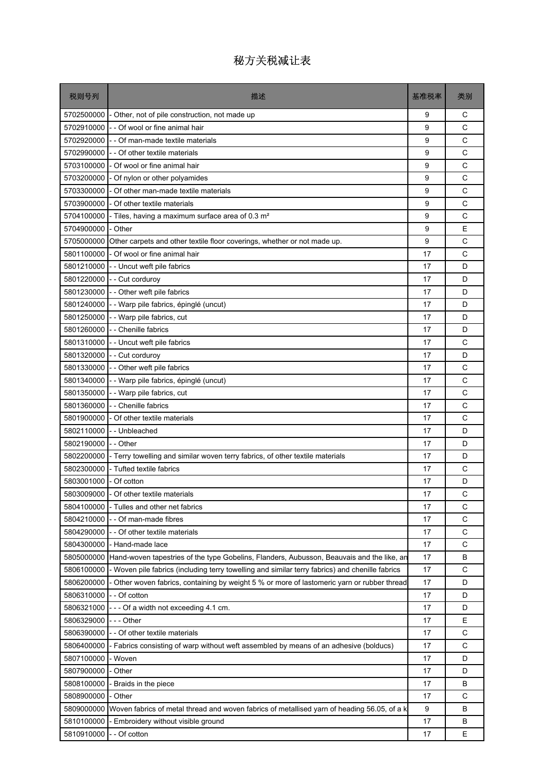| 税则号列                   | 描述                                                                                              | 基准税率 | 类别 |
|------------------------|-------------------------------------------------------------------------------------------------|------|----|
| 5702500000             | - Other, not of pile construction, not made up                                                  | 9    | С  |
| 5702910000             | - - Of wool or fine animal hair                                                                 | 9    | C  |
| 5702920000             | - - Of man-made textile materials                                                               | 9    | C  |
| 5702990000             | - - Of other textile materials                                                                  | 9    | C  |
|                        | 5703100000 - Of wool or fine animal hair                                                        | 9    | C  |
|                        | 5703200000 - Of nylon or other polyamides                                                       | 9    | C  |
| 5703300000             | - Of other man-made textile materials                                                           | 9    | C  |
| 5703900000             | - Of other textile materials                                                                    | 9    | C  |
| 5704100000             | - Tiles, having a maximum surface area of 0.3 m <sup>2</sup>                                    | 9    | C  |
| 5704900000             | - Other                                                                                         | 9    | E  |
|                        | 5705000000 Other carpets and other textile floor coverings, whether or not made up.             | 9    | C  |
| 5801100000             | - Of wool or fine animal hair                                                                   | 17   | C  |
|                        | 5801210000 - Uncut weft pile fabrics                                                            | 17   | D  |
|                        | 5801220000 - - Cut corduroy                                                                     | 17   | D  |
|                        | 5801230000 - - Other weft pile fabrics                                                          | 17   | D  |
|                        | 5801240000 - - Warp pile fabrics, épinglé (uncut)                                               | 17   | D  |
| 5801250000             | - - Warp pile fabrics, cut                                                                      | 17   | D  |
|                        | 5801260000 - - Chenille fabrics                                                                 | 17   | D  |
| 5801310000             | - - Uncut weft pile fabrics                                                                     | 17   | C  |
|                        | 5801320000 - - Cut corduroy                                                                     | 17   | D  |
|                        | 5801330000 - - Other weft pile fabrics                                                          | 17   | C  |
| 5801340000             | - - Warp pile fabrics, épinglé (uncut)                                                          | 17   | C  |
| 5801350000             | - - Warp pile fabrics, cut                                                                      | 17   | C  |
|                        | 5801360000 - - Chenille fabrics                                                                 | 17   | C  |
|                        | 5801900000 - Of other textile materials                                                         | 17   | C  |
|                        | 5802110000 - - Unbleached                                                                       | 17   | D  |
| 5802190000             | - - Other                                                                                       | 17   | D  |
| 5802200000             | - Terry towelling and similar woven terry fabrics, of other textile materials                   | 17   | D  |
| 5802300000             | - Tufted textile fabrics                                                                        | 17   | C  |
| 5803001000 - Of cotton |                                                                                                 | 17   | D  |
|                        | 5803009000 - Of other textile materials                                                         | 17   | С  |
| 5804100000             | - Tulles and other net fabrics                                                                  | 17   | C  |
| 5804210000             | - - Of man-made fibres                                                                          | 17   | С  |
| 5804290000             | - - Of other textile materials                                                                  | 17   | C  |
| 5804300000             | - Hand-made lace                                                                                | 17   | C  |
| 5805000000             | Hand-woven tapestries of the type Gobelins, Flanders, Aubusson, Beauvais and the like, an       | 17   | В  |
| 5806100000             | - Woven pile fabrics (including terry towelling and similar terry fabrics) and chenille fabrics | 17   | С  |
| 5806200000             | - Other woven fabrics, containing by weight 5 % or more of lastomeric yarn or rubber thread     | 17   | D  |
| 5806310000             | - - Of cotton                                                                                   | 17   | D  |
| 5806321000             | --- Of a width not exceeding 4.1 cm.                                                            | 17   | D  |
| 5806329000             | - - - Other                                                                                     | 17   | E  |
| 5806390000             | - - Of other textile materials                                                                  | 17   | C  |
| 5806400000             | - Fabrics consisting of warp without weft assembled by means of an adhesive (bolducs)           | 17   | С  |
| 5807100000             | - Woven                                                                                         | 17   | D  |
| 5807900000             | - Other                                                                                         | 17   | D  |
| 5808100000             | - Braids in the piece                                                                           | 17   | В  |
| 5808900000             | - Other                                                                                         | 17   | С  |
| 5809000000             | Woven fabrics of metal thread and woven fabrics of metallised yarn of heading 56.05, of a k     | 9    | B  |
| 5810100000             | - Embroidery without visible ground                                                             | 17   | В  |
| 5810910000             | - - Of cotton                                                                                   | 17   | Е  |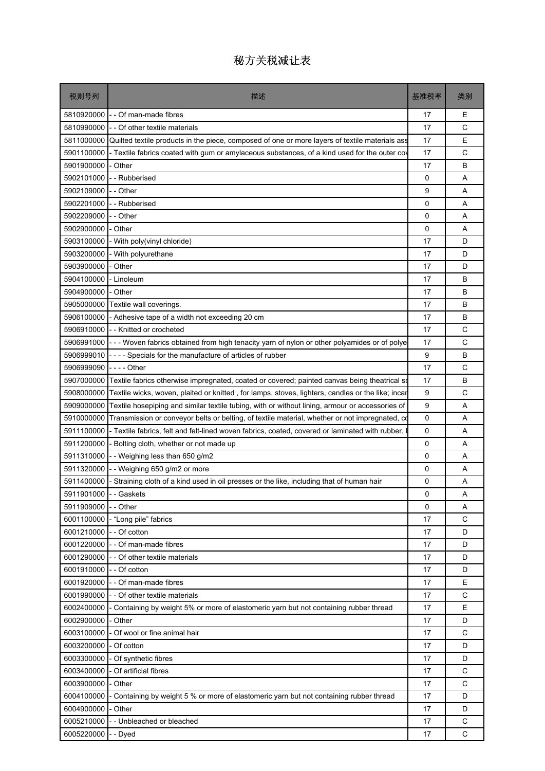| 税则号列                     | 描述                                                                                                | 基准税率        | 类别          |
|--------------------------|---------------------------------------------------------------------------------------------------|-------------|-------------|
| 5810920000               | - - Of man-made fibres                                                                            | 17          | E           |
| 5810990000               | - Of other textile materials                                                                      | 17          | C           |
| 5811000000               | Quilted textile products in the piece, composed of one or more layers of textile materials ass    | 17          | E           |
| 5901100000               | - Textile fabrics coated with gum or amylaceous substances, of a kind used for the outer cov      | 17          | C           |
| 5901900000               | - Other                                                                                           | 17          | B           |
| 5902101000               | - - Rubberised                                                                                    | 0           | A           |
| 5902109000               | - - Other                                                                                         | 9           | Α           |
| 5902201000               | - - Rubberised                                                                                    | 0           | A           |
| 5902209000               | - - Other                                                                                         | $\Omega$    | A           |
| 5902900000               | Other                                                                                             | 0           | Α           |
| 5903100000               | - With poly(vinyl chloride)                                                                       | 17          | D           |
| 5903200000               | - With polyurethane                                                                               | 17          | D           |
| 5903900000               | - Other                                                                                           | 17          | D           |
| 5904100000               | - Linoleum                                                                                        | 17          | В           |
| 5904900000               | - Other                                                                                           | 17          | B           |
| 5905000000               | Textile wall coverings.                                                                           | 17          | В           |
| 5906100000               | - Adhesive tape of a width not exceeding 20 cm                                                    | 17          | В           |
| 5906910000               | - - Knitted or crocheted                                                                          | 17          | C           |
| 5906991000               | --- Woven fabrics obtained from high tenacity yarn of nylon or other polyamides or of polye       | 17          | C           |
| 5906999010               | ---- Specials for the manufacture of articles of rubber                                           | 9           | B           |
| 5906999090               |                                                                                                   | 17          | C           |
| 5907000000               | Textile fabrics otherwise impregnated, coated or covered; painted canvas being theatrical so      | 17          | В           |
| 5908000000               | Textile wicks, woven, plaited or knitted, for lamps, stoves, lighters, candles or the like; incar | 9           | C           |
| 5909000000               | Textile hosepiping and similar textile tubing, with or without lining, armour or accessories of   | 9           | Α           |
| 5910000000               | Transmission or conveyor belts or belting, of textile material, whether or not impregnated, co    | $\mathbf 0$ | A           |
| 5911100000               | - Textile fabrics, felt and felt-lined woven fabrics, coated, covered or laminated with rubber,   | 0           | A           |
| 5911200000               | Bolting cloth, whether or not made up                                                             | 0           | Α           |
| 5911310000               | -- Weighing less than 650 g/m2                                                                    | 0           | A           |
| 5911320000               | - Weighing 650 g/m2 or more                                                                       | 0           | A           |
| 5911400000               | Straining cloth of a kind used in oil presses or the like, including that of human hair           | 0           | Α           |
| 5911901000               | - - Gaskets                                                                                       | 0           | Α           |
| 5911909000               | - - Other                                                                                         | $\Omega$    | A<br>C      |
| 6001100000               | - "Long pile" fabrics<br>- - Of cotton                                                            | 17<br>17    | D           |
| 6001210000<br>6001220000 | - - Of man-made fibres                                                                            | 17          | D           |
| 6001290000               | - - Of other textile materials                                                                    | 17          | D           |
| 6001910000               | - - Of cotton                                                                                     | 17          | D           |
| 6001920000               | - - Of man-made fibres                                                                            | 17          | E           |
| 6001990000               | - Of other textile materials                                                                      | 17          | C           |
| 6002400000               | Containing by weight 5% or more of elastomeric yarn but not containing rubber thread              | 17          | E           |
| 6002900000               | - Other                                                                                           | 17          | D           |
| 6003100000               | Of wool or fine animal hair                                                                       | 17          | C           |
| 6003200000               | - Of cotton                                                                                       | 17          | D           |
| 6003300000               | - Of synthetic fibres                                                                             | 17          | D           |
| 6003400000               | Of artificial fibres                                                                              | 17          | C           |
| 6003900000               | - Other                                                                                           | 17          | C           |
| 6004100000               | Containing by weight 5 % or more of elastomeric yarn but not containing rubber thread             | 17          | D           |
| 6004900000               | - Other                                                                                           | 17          | D           |
| 6005210000               | - Unbleached or bleached                                                                          | 17          | $\mathsf C$ |
| 6005220000               | - Dyed                                                                                            | 17          | C           |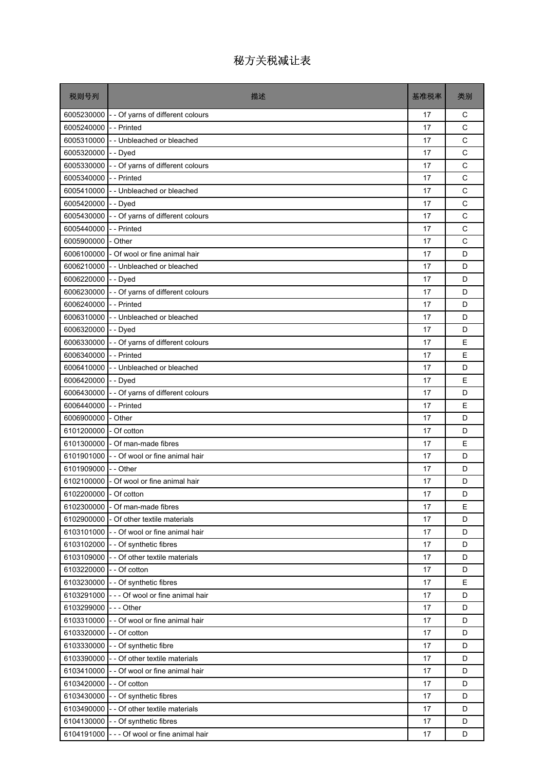| 6005230000 - - Of yarns of different colours<br>17<br>6005240000 - - Printed<br>17<br>6005310000 - Unbleached or bleached<br>17<br>6005320000<br>- - Dyed<br>17<br>6005330000 - - Of yarns of different colours<br>17<br>6005340000 - - Printed<br>17<br>6005410000 - Unbleached or bleached<br>17<br>6005420000 - - Dyed<br>17 | С<br>C<br>$\mathsf{C}$<br>C |
|---------------------------------------------------------------------------------------------------------------------------------------------------------------------------------------------------------------------------------------------------------------------------------------------------------------------------------|-----------------------------|
|                                                                                                                                                                                                                                                                                                                                 |                             |
|                                                                                                                                                                                                                                                                                                                                 |                             |
|                                                                                                                                                                                                                                                                                                                                 |                             |
|                                                                                                                                                                                                                                                                                                                                 |                             |
|                                                                                                                                                                                                                                                                                                                                 | C                           |
|                                                                                                                                                                                                                                                                                                                                 | C                           |
|                                                                                                                                                                                                                                                                                                                                 | C                           |
|                                                                                                                                                                                                                                                                                                                                 | $\mathsf{C}$                |
| 6005430000 - - Of yarns of different colours<br>17                                                                                                                                                                                                                                                                              | C                           |
| - - Printed<br>6005440000<br>17                                                                                                                                                                                                                                                                                                 | C                           |
| 6005900000 - Other<br>17                                                                                                                                                                                                                                                                                                        | C                           |
| 6006100000 - Of wool or fine animal hair<br>17                                                                                                                                                                                                                                                                                  | D                           |
| 6006210000 - Unbleached or bleached<br>17                                                                                                                                                                                                                                                                                       | D                           |
| 6006220000 - - Dyed<br>17                                                                                                                                                                                                                                                                                                       | D                           |
| 6006230000 - - Of yarns of different colours<br>17                                                                                                                                                                                                                                                                              | D                           |
| 6006240000 - - Printed<br>17                                                                                                                                                                                                                                                                                                    | D                           |
| 6006310000 - Unbleached or bleached<br>17                                                                                                                                                                                                                                                                                       | D                           |
| 6006320000 - - Dyed<br>17                                                                                                                                                                                                                                                                                                       | D                           |
| 6006330000 - - Of yarns of different colours<br>17                                                                                                                                                                                                                                                                              | E                           |
| 6006340000 - - Printed<br>17                                                                                                                                                                                                                                                                                                    | E                           |
| 6006410000 - Unbleached or bleached<br>17                                                                                                                                                                                                                                                                                       | D                           |
| 6006420000 - - Dyed<br>17                                                                                                                                                                                                                                                                                                       | E                           |
| 6006430000 - - Of yarns of different colours<br>17                                                                                                                                                                                                                                                                              | D                           |
| 6006440000 - - Printed<br>17                                                                                                                                                                                                                                                                                                    | E                           |
| 6006900000 - Other<br>17                                                                                                                                                                                                                                                                                                        | D                           |
| 6101200000 - Of cotton<br>17                                                                                                                                                                                                                                                                                                    | D                           |
| 6101300000 - Of man-made fibres<br>17                                                                                                                                                                                                                                                                                           | E                           |
| 6101901000 - - Of wool or fine animal hair<br>17                                                                                                                                                                                                                                                                                | D                           |
| 6101909000<br>- - Other<br>17                                                                                                                                                                                                                                                                                                   | D                           |
| 6102100000 - Of wool or fine animal hair<br>17                                                                                                                                                                                                                                                                                  | D                           |
| 6102200000 - Of cotton<br>17                                                                                                                                                                                                                                                                                                    | D                           |
| 6102300000 - Of man-made fibres<br>17                                                                                                                                                                                                                                                                                           | E                           |
| 6102900000 - Of other textile materials<br>17                                                                                                                                                                                                                                                                                   | D                           |
| 6103101000<br>- - Of wool or fine animal hair<br>17                                                                                                                                                                                                                                                                             | D                           |
| 6103102000 - - Of synthetic fibres<br>17                                                                                                                                                                                                                                                                                        | D                           |
| 6103109000 - - Of other textile materials<br>17                                                                                                                                                                                                                                                                                 | D                           |
| 6103220000 - - Of cotton<br>17                                                                                                                                                                                                                                                                                                  | D                           |
| 6103230000 - - Of synthetic fibres<br>17                                                                                                                                                                                                                                                                                        | E                           |
| 6103291000 - - - Of wool or fine animal hair<br>17                                                                                                                                                                                                                                                                              | D                           |
| 6103299000 --- Other<br>17                                                                                                                                                                                                                                                                                                      | D                           |
| 6103310000 - - Of wool or fine animal hair<br>17                                                                                                                                                                                                                                                                                | D                           |
| 6103320000 - - Of cotton<br>17                                                                                                                                                                                                                                                                                                  | D                           |
| 6103330000 - - Of synthetic fibre<br>17                                                                                                                                                                                                                                                                                         | D                           |
| 6103390000 - - Of other textile materials<br>17                                                                                                                                                                                                                                                                                 | D                           |
| 6103410000 - - Of wool or fine animal hair<br>17                                                                                                                                                                                                                                                                                | D                           |
| 6103420000<br>- - Of cotton<br>17                                                                                                                                                                                                                                                                                               | D                           |
| 6103430000 - - Of synthetic fibres<br>17                                                                                                                                                                                                                                                                                        | D                           |
| 6103490000 - - Of other textile materials<br>17                                                                                                                                                                                                                                                                                 | D                           |
| 6104130000 - - Of synthetic fibres<br>17                                                                                                                                                                                                                                                                                        | D                           |
| 6104191000 - - - Of wool or fine animal hair<br>17                                                                                                                                                                                                                                                                              | D                           |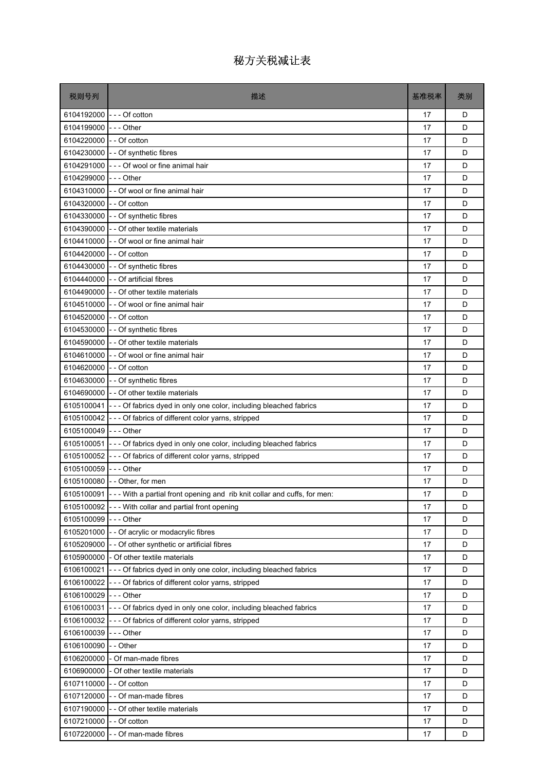| 税则号列                     | 描述                                                                                    | 基准税率 | 类别 |
|--------------------------|---------------------------------------------------------------------------------------|------|----|
| 6104192000               | --- Of cotton                                                                         | 17   | D  |
| 6104199000               | - - - Other                                                                           | 17   | D  |
| 6104220000               | - - Of cotton                                                                         | 17   | D  |
| 6104230000               | - - Of synthetic fibres                                                               | 17   | D  |
| 6104291000               | - - - Of wool or fine animal hair                                                     | 17   | D  |
| 6104299000               | - - - Other                                                                           | 17   | D  |
| 6104310000               | - - Of wool or fine animal hair                                                       | 17   | D  |
| 6104320000               | - - Of cotton                                                                         | 17   | D  |
| 6104330000               | - - Of synthetic fibres                                                               | 17   | D  |
| 6104390000               | - - Of other textile materials                                                        | 17   | D  |
| 6104410000               | - - Of wool or fine animal hair                                                       | 17   | D  |
| 6104420000 - - Of cotton |                                                                                       | 17   | D  |
| 6104430000               | - - Of synthetic fibres                                                               | 17   | D  |
| 6104440000               | - - Of artificial fibres                                                              | 17   | D  |
| 6104490000               | - - Of other textile materials                                                        | 17   | D  |
| 6104510000               | - - Of wool or fine animal hair                                                       | 17   | D  |
| 6104520000               | - - Of cotton                                                                         | 17   | D  |
| 6104530000               | - - Of synthetic fibres                                                               | 17   | D  |
| 6104590000               | - - Of other textile materials                                                        | 17   | D  |
| 6104610000               | - - Of wool or fine animal hair                                                       | 17   | D  |
| 6104620000               | - - Of cotton                                                                         | 17   | D  |
| 6104630000               | - - Of synthetic fibres                                                               | 17   | D  |
| 6104690000               | - - Of other textile materials                                                        | 17   | D  |
| 6105100041               | --- Of fabrics dyed in only one color, including bleached fabrics                     | 17   | D  |
| 6105100042               | - - - Of fabrics of different color yarns, stripped                                   | 17   | D  |
| 6105100049               | -  -  - Other                                                                         | 17   | D  |
| 6105100051               | --- Of fabrics dyed in only one color, including bleached fabrics                     | 17   | D  |
| 6105100052               | - - - Of fabrics of different color yarns, stripped                                   | 17   | D  |
| 6105100059               | - - - Other                                                                           | 17   | D  |
|                          | 6105100080 - - Other, for men                                                         | 17   | D  |
|                          | 6105100091 - - - With a partial front opening and rib knit collar and cuffs, for men: | 17   | D  |
| 6105100092               | --- With collar and partial front opening                                             | 17   | D  |
| 6105100099               | $--$ Other                                                                            | 17   | D  |
| 6105201000               | - - Of acrylic or modacrylic fibres                                                   | 17   | D  |
|                          | 6105209000 - - Of other synthetic or artificial fibres                                | 17   | D  |
| 6105900000               | - Of other textile materials                                                          | 17   | D  |
| 6106100021               | --- Of fabrics dyed in only one color, including bleached fabrics                     | 17   | D  |
| 6106100022               | --- Of fabrics of different color yarns, stripped                                     | 17   | D  |
| 6106100029               | --- Other                                                                             | 17   | D  |
| 6106100031               | --- Of fabrics dyed in only one color, including bleached fabrics                     | 17   | D  |
| 6106100032               | --- Of fabrics of different color yarns, stripped                                     | 17   | D  |
| 6106100039               | - - - Other                                                                           | 17   | D  |
| 6106100090               | - - Other                                                                             | 17   | D  |
| 6106200000               | - Of man-made fibres                                                                  | 17   | D  |
| 6106900000               | - Of other textile materials                                                          | 17   | D  |
| 6107110000               | - - Of cotton                                                                         | 17   | D  |
| 6107120000               | - - Of man-made fibres                                                                | 17   | D  |
| 6107190000               | - - Of other textile materials                                                        | 17   | D  |
| 6107210000               | - Of cotton                                                                           | 17   | D  |
| 6107220000               | - Of man-made fibres                                                                  | 17   | D  |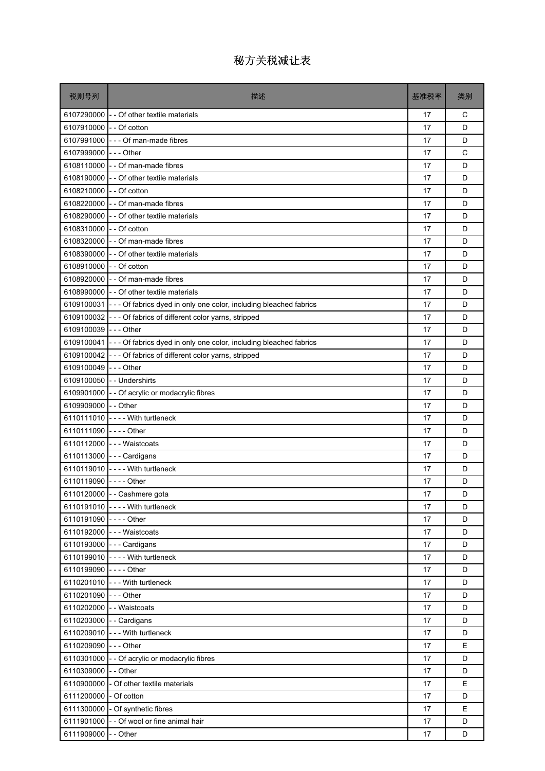| 税则号列                     | 描述                                                                             | 基准税率 | 类别 |
|--------------------------|--------------------------------------------------------------------------------|------|----|
| 6107290000               | - - Of other textile materials                                                 | 17   | С  |
| 6107910000               | - - Of cotton                                                                  | 17   | D  |
| 6107991000               | - - - Of man-made fibres                                                       | 17   | D  |
| 6107999000               | - - - Other                                                                    | 17   | C  |
|                          | 6108110000 - - Of man-made fibres                                              | 17   | D  |
|                          | 6108190000 - - Of other textile materials                                      | 17   | D  |
| 6108210000 - - Of cotton |                                                                                | 17   | D  |
|                          | 6108220000 - - Of man-made fibres                                              | 17   | D  |
| 6108290000               | - - Of other textile materials                                                 | 17   | D  |
| 6108310000 - - Of cotton |                                                                                | 17   | D  |
|                          | 6108320000 - - Of man-made fibres                                              | 17   | D  |
|                          | 6108390000 - - Of other textile materials                                      | 17   | D  |
| 6108910000 - - Of cotton |                                                                                | 17   | D  |
| 6108920000               | - - Of man-made fibres                                                         | 17   | D  |
|                          | 6108990000 - - Of other textile materials                                      | 17   | D  |
|                          | 6109100031 - - - Of fabrics dyed in only one color, including bleached fabrics | 17   | D  |
| 6109100032               | - - - Of fabrics of different color yarns, stripped                            | 17   | D  |
| 6109100039 --- Other     |                                                                                | 17   | D  |
|                          | 6109100041 - - - Of fabrics dyed in only one color, including bleached fabrics | 17   | D  |
| 6109100042               | --- Of fabrics of different color yarns, stripped                              | 17   | D  |
| 6109100049               | $--$ Other                                                                     | 17   | D  |
|                          | 6109100050 - - Undershirts                                                     | 17   | D  |
|                          | 6109901000 - - Of acrylic or modacrylic fibres                                 | 17   | D  |
| 6109909000 - - Other     |                                                                                | 17   | D  |
|                          | 6110111010 ---- With turtleneck                                                | 17   | D  |
| 6110111090 ---- Other    |                                                                                | 17   | D  |
|                          | 6110112000 --- Waistcoats                                                      | 17   | D  |
|                          | 6110113000 --- Cardigans                                                       | 17   | D  |
|                          | 6110119010 ---- With turtleneck                                                | 17   | D  |
| 6110119090 ---- Other    |                                                                                | 17   | D  |
|                          | 6110120000 - - Cashmere gota                                                   | 17   | D  |
|                          | 6110191010 ---- With turtleneck                                                | 17   | D  |
| 6110191090 ---- Other    |                                                                                | 17   | D  |
|                          | 6110192000 --- Waistcoats                                                      | 17   | D  |
|                          | 6110193000 --- Cardigans                                                       | 17   | D  |
|                          | 6110199010 - - - - With turtleneck                                             | 17   | D  |
| 6110199090 ---- Other    |                                                                                | 17   | D  |
|                          | 6110201010 --- With turtleneck                                                 | 17   | D  |
| 6110201090 --- Other     |                                                                                | 17   | D  |
|                          | 6110202000 - - Waistcoats                                                      | 17   | D  |
|                          | 6110203000 - - Cardigans                                                       | 17   | D  |
|                          | 6110209010 --- With turtleneck                                                 | 17   | D  |
| 6110209090 --- Other     |                                                                                | 17   | Е  |
|                          | 6110301000 - - Of acrylic or modacrylic fibres                                 | 17   | D  |
| 6110309000               | - - Other                                                                      | 17   | D  |
| 6110900000               | - Of other textile materials                                                   | 17   | Е  |
| 6111200000               | - Of cotton                                                                    | 17   | D  |
|                          | 6111300000 - Of synthetic fibres                                               | 17   | E  |
| 6111901000               | - - Of wool or fine animal hair                                                | 17   | D  |
| 6111909000               | - - Other                                                                      | 17   | D  |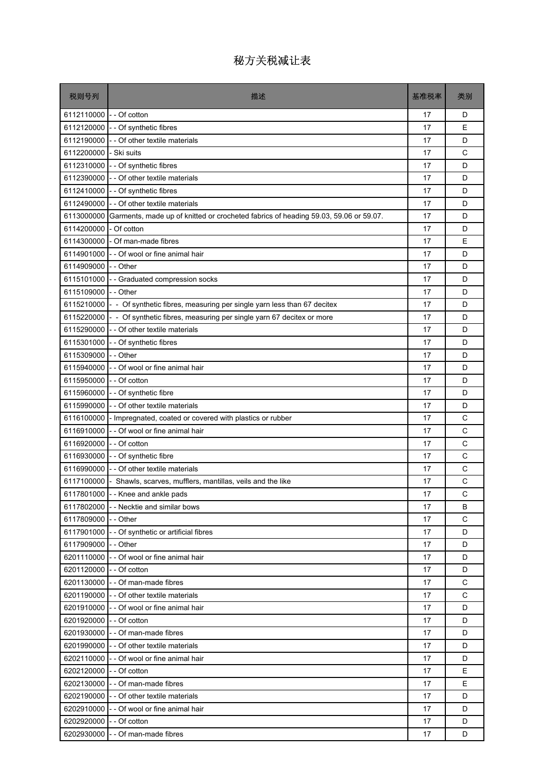| 税则号列                     | 描述                                                                                  | 基准税率 | 类别 |
|--------------------------|-------------------------------------------------------------------------------------|------|----|
| 6112110000 - - Of cotton |                                                                                     | 17   | D  |
|                          | 6112120000 - - Of synthetic fibres                                                  | 17   | E  |
| 6112190000               | - - Of other textile materials                                                      | 17   | D  |
| 6112200000               | - Ski suits                                                                         | 17   | C  |
|                          | 6112310000 - - Of synthetic fibres                                                  | 17   | D  |
|                          | 6112390000 - - Of other textile materials                                           | 17   | D  |
|                          | 6112410000 - - Of synthetic fibres                                                  | 17   | D  |
|                          | 6112490000 - - Of other textile materials                                           | 17   | D  |
| 6113000000               | Garments, made up of knitted or crocheted fabrics of heading 59.03, 59.06 or 59.07. | 17   | D  |
| 6114200000               | - Of cotton                                                                         | 17   | D  |
|                          | 6114300000 - Of man-made fibres                                                     | 17   | E  |
|                          | 6114901000 - - Of wool or fine animal hair                                          | 17   | D  |
| 6114909000 - - Other     |                                                                                     | 17   | D  |
|                          | 6115101000 - Graduated compression socks                                            | 17   | D  |
| 6115109000 -- Other      |                                                                                     | 17   | D  |
|                          | 6115210000 - - Of synthetic fibres, measuring per single yarn less than 67 decitex  | 17   | D  |
|                          | 6115220000 - - Of synthetic fibres, measuring per single yarn 67 decitex or more    | 17   | D  |
|                          | 6115290000 - - Of other textile materials                                           | 17   | D  |
|                          | 6115301000 - - Of synthetic fibres                                                  | 17   | D  |
| 6115309000 -- Other      |                                                                                     | 17   | D  |
| 6115940000               | - - Of wool or fine animal hair                                                     | 17   | D  |
| 6115950000 - - Of cotton |                                                                                     | 17   | D  |
|                          | 6115960000 - - Of synthetic fibre                                                   | 17   | D  |
|                          | 6115990000 - - Of other textile materials                                           | 17   | D  |
|                          | 6116100000 - Impregnated, coated or covered with plastics or rubber                 | 17   | C  |
|                          | 6116910000 - - Of wool or fine animal hair                                          | 17   | C  |
| 6116920000 - - Of cotton |                                                                                     | 17   | C  |
|                          | 6116930000 - - Of synthetic fibre                                                   | 17   | C  |
| 6116990000               | - - Of other textile materials                                                      | 17   | C  |
|                          | 6117100000 - Shawls, scarves, mufflers, mantillas, veils and the like               | 17   | C  |
|                          | 6117801000 - - Knee and ankle pads                                                  | 17   | C  |
|                          | 6117802000 - Necktie and similar bows                                               | 17   | B  |
| 6117809000 - - Other     |                                                                                     | 17   | C  |
|                          | 6117901000 - - Of synthetic or artificial fibres                                    | 17   | D  |
| 6117909000 - - Other     |                                                                                     | 17   | D  |
|                          | 6201110000 - - Of wool or fine animal hair                                          | 17   | D  |
| 6201120000 - - Of cotton |                                                                                     | 17   | D  |
|                          | 6201130000 - - Of man-made fibres                                                   | 17   | C  |
|                          | 6201190000 - - Of other textile materials                                           | 17   | C  |
|                          | 6201910000 - - Of wool or fine animal hair                                          | 17   | D  |
| 6201920000 - - Of cotton |                                                                                     | 17   | D  |
|                          | 6201930000 - - Of man-made fibres                                                   | 17   | D  |
|                          | 6201990000 - - Of other textile materials                                           | 17   | D  |
|                          | 6202110000 - - Of wool or fine animal hair                                          | 17   | D  |
| 6202120000 - - Of cotton |                                                                                     | 17   | E  |
|                          | 6202130000 - - Of man-made fibres                                                   | 17   | E  |
|                          | 6202190000 - - Of other textile materials                                           | 17   | D  |
|                          | 6202910000 - - Of wool or fine animal hair                                          | 17   | D  |
| 6202920000 - - Of cotton |                                                                                     | 17   | D  |
|                          | 6202930000 - - Of man-made fibres                                                   | 17   | D  |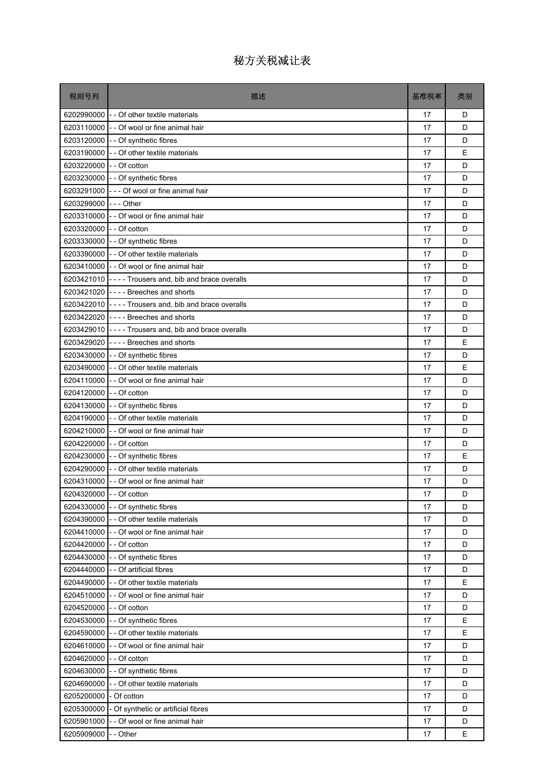| 税则号列                     | 描述                                                        | 基准税率 | 类别 |
|--------------------------|-----------------------------------------------------------|------|----|
|                          | 6202990000 - - Of other textile materials                 | 17   | D  |
|                          | 6203110000 - - Of wool or fine animal hair                | 17   | D  |
|                          | 6203120000 - - Of synthetic fibres                        | 17   | D  |
|                          | 6203190000 - - Of other textile materials                 | 17   | E  |
| 6203220000 - - Of cotton |                                                           | 17   | D  |
|                          | 6203230000 - - Of synthetic fibres                        | 17   | D  |
|                          | 6203291000 - - - Of wool or fine animal hair              | 17   | D  |
| 6203299000 --- Other     |                                                           | 17   | D  |
|                          | 6203310000 - - Of wool or fine animal hair                | 17   | D  |
| 6203320000 - - Of cotton |                                                           | 17   | D  |
|                          | 6203330000 - - Of synthetic fibres                        | 17   | D  |
|                          | 6203390000 - - Of other textile materials                 | 17   | D  |
|                          | 6203410000 - - Of wool or fine animal hair                | 17   | D  |
|                          | 6203421010 ---- Trousers and, bib and brace overalls      | 17   | D  |
|                          | 6203421020 ---- Breeches and shorts                       | 17   | D  |
|                          | $6203422010$ - $-$ - Trousers and, bib and brace overalls | 17   | D  |
|                          | 6203422020 ---- Breeches and shorts                       | 17   | D  |
|                          | 6203429010 - - - - Trousers and, bib and brace overalls   | 17   | D  |
|                          | 6203429020 ---- Breeches and shorts                       | 17   | E  |
|                          | 6203430000 - - Of synthetic fibres                        | 17   | D  |
|                          | 6203490000 - - Of other textile materials                 | 17   | E  |
|                          | 6204110000 - - Of wool or fine animal hair                | 17   | D  |
| 6204120000 - - Of cotton |                                                           | 17   | D  |
|                          | 6204130000 - - Of synthetic fibres                        | 17   | D  |
|                          | 6204190000 - - Of other textile materials                 | 17   | D  |
|                          | 6204210000 - - Of wool or fine animal hair                | 17   | D  |
| 6204220000 - - Of cotton |                                                           | 17   | D  |
|                          | 6204230000 - - Of synthetic fibres                        | 17   | E  |
|                          | 6204290000 - - Of other textile materials                 | 17   | D  |
|                          | 6204310000 - - Of wool or fine animal hair                | 17   | D  |
| 6204320000 - - Of cotton |                                                           | 17   | D  |
|                          | 6204330000 - - Of synthetic fibres                        | 17   | D  |
| 6204390000               | - - Of other textile materials                            | 17   | D  |
| 6204410000               | - - Of wool or fine animal hair                           | 17   | D  |
| 6204420000 - - Of cotton |                                                           | 17   | D  |
|                          | 6204430000 - - Of synthetic fibres                        | 17   | D  |
|                          | 6204440000 - - Of artificial fibres                       | 17   | D  |
|                          | 6204490000 - - Of other textile materials                 | 17   | E  |
| 6204510000               | - - Of wool or fine animal hair                           | 17   | D  |
| 6204520000 - - Of cotton |                                                           | 17   | D  |
|                          | 6204530000 - - Of synthetic fibres                        | 17   | E  |
|                          | 6204590000 - - Of other textile materials                 | 17   | E  |
| 6204610000               | - - Of wool or fine animal hair                           | 17   | D  |
| 6204620000               | - - Of cotton                                             | 17   | D  |
| 6204630000               | - - Of synthetic fibres                                   | 17   | D  |
| 6204690000               | - - Of other textile materials                            | 17   | D  |
| 6205200000               | - Of cotton                                               | 17   | D  |
| 6205300000               | - Of synthetic or artificial fibres                       | 17   | D  |
| 6205901000               | - - Of wool or fine animal hair                           | 17   | D  |
| 6205909000               | - - Other                                                 | 17   | Ε  |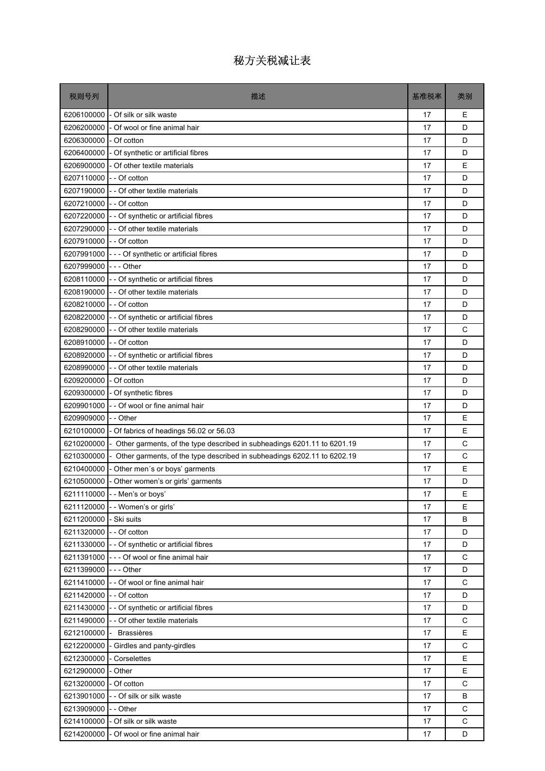| 税则号列                     | 描述                                                                        | 基准税率 | 类别          |
|--------------------------|---------------------------------------------------------------------------|------|-------------|
| 6206100000               | - Of silk or silk waste                                                   | 17   | Е           |
| 6206200000               | - Of wool or fine animal hair                                             | 17   | D           |
| 6206300000               | - Of cotton                                                               | 17   | D           |
|                          | 6206400000 - Of synthetic or artificial fibres                            | 17   | D           |
|                          | 6206900000 - Of other textile materials                                   | 17   | E           |
| 6207110000               | - - Of cotton                                                             | 17   | D           |
|                          | 6207190000 - - Of other textile materials                                 | 17   | D           |
| 6207210000 - - Of cotton |                                                                           | 17   | D           |
|                          | 6207220000 - - Of synthetic or artificial fibres                          | 17   | D           |
|                          | 6207290000 - - Of other textile materials                                 | 17   | D           |
| 6207910000 - - Of cotton |                                                                           | 17   | D           |
|                          | 6207991000 --- Of synthetic or artificial fibres                          | 17   | D           |
| 6207999000 --- Other     |                                                                           | 17   | D           |
|                          | 6208110000 - - Of synthetic or artificial fibres                          | 17   | D           |
| 6208190000               | - - Of other textile materials                                            | 17   | D           |
| 6208210000               | - - Of cotton                                                             | 17   | D           |
|                          | 6208220000 - - Of synthetic or artificial fibres                          | 17   | D           |
|                          | 6208290000 - - Of other textile materials                                 | 17   | C           |
| 6208910000 - - Of cotton |                                                                           | 17   | D           |
|                          | 6208920000 - - Of synthetic or artificial fibres                          | 17   | D           |
| 6208990000               | - - Of other textile materials                                            | 17   | D           |
| 6209200000               | - Of cotton                                                               | 17   | D           |
| 6209300000               | - Of synthetic fibres                                                     | 17   | D           |
| 6209901000               | -- Of wool or fine animal hair                                            | 17   | D           |
| 6209909000 - - Other     |                                                                           | 17   | E           |
| 6210100000               | - Of fabrics of headings 56.02 or 56.03                                   | 17   | E           |
| 6210200000               | - Other garments, of the type described in subheadings 6201.11 to 6201.19 | 17   | C           |
| 6210300000               | - Other garments, of the type described in subheadings 6202.11 to 6202.19 | 17   | C           |
|                          | 6210400000 - Other men's or boys' garments                                | 17   | E           |
|                          | 6210500000 - Other women's or girls' garments                             | 17   | D           |
|                          | 6211110000 - - Men's or boys'                                             | 17   | Е           |
|                          | 6211120000 - - Women's or girls'                                          | 17   | E           |
| 6211200000               | - Ski suits                                                               | 17   | B           |
| 6211320000 - - Of cotton |                                                                           | 17   | D           |
|                          | 6211330000 - - Of synthetic or artificial fibres                          | 17   | D           |
|                          | 6211391000 - - - Of wool or fine animal hair                              | 17   | C           |
| 6211399000 --- Other     |                                                                           | 17   | D           |
|                          | 6211410000 - - Of wool or fine animal hair                                | 17   | C           |
| 6211420000 - - Of cotton |                                                                           | 17   | D           |
|                          | 6211430000 - - Of synthetic or artificial fibres                          | 17   | D           |
| 6211490000               | - - Of other textile materials                                            | 17   | C           |
|                          | 6212100000 - Brassières                                                   | 17   | E           |
| 6212200000               | - Girdles and panty-girdles                                               | 17   | C           |
| 6212300000               | - Corselettes                                                             | 17   | Е           |
| 6212900000               | - Other                                                                   | 17   | E           |
| 6213200000               | - Of cotton                                                               | 17   | C           |
| 6213901000               | - - Of silk or silk waste                                                 | 17   | В           |
| 6213909000 - - Other     |                                                                           | 17   | C           |
|                          | 6214100000 - Of silk or silk waste                                        | 17   | $\mathsf C$ |
| 6214200000               | - Of wool or fine animal hair                                             | 17   | D           |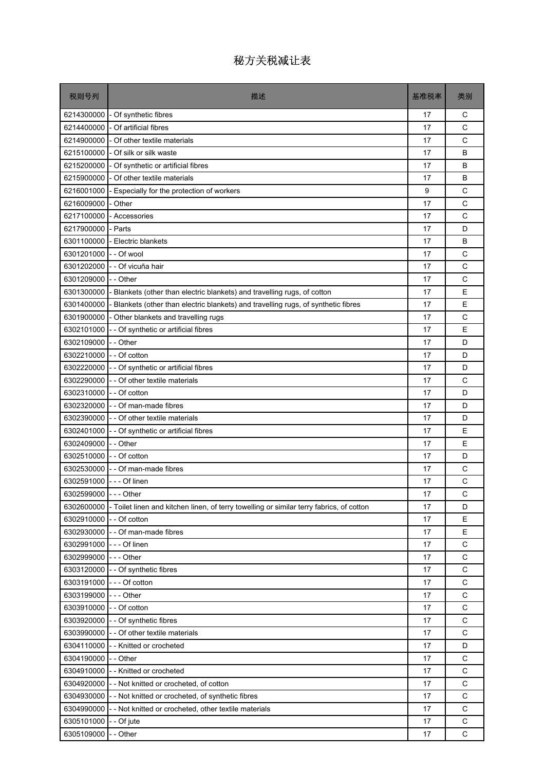| 税则号列                     | 描述                                                                                       | 基准税率 | 类别           |
|--------------------------|------------------------------------------------------------------------------------------|------|--------------|
| 6214300000               | - Of synthetic fibres                                                                    | 17   | С            |
| 6214400000               | - Of artificial fibres                                                                   | 17   | C            |
| 6214900000               | - Of other textile materials                                                             | 17   | $\mathsf{C}$ |
| 6215100000               | - Of silk or silk waste                                                                  | 17   | B            |
| 6215200000               | - Of synthetic or artificial fibres                                                      | 17   | B            |
| 6215900000               | - Of other textile materials                                                             | 17   | B            |
| 6216001000               | - Especially for the protection of workers                                               | 9    | C            |
| 6216009000               | - Other                                                                                  | 17   | $\mathsf{C}$ |
| 6217100000               | - Accessories                                                                            | 17   | C            |
| 6217900000               | - Parts                                                                                  | 17   | D            |
| 6301100000               | - Electric blankets                                                                      | 17   | B            |
| 6301201000               | - - Of wool                                                                              | 17   | C            |
| 6301202000               | - - Of vicuña hair                                                                       | 17   | C            |
| 6301209000               | - - Other                                                                                | 17   | C            |
| 6301300000               | Blankets (other than electric blankets) and travelling rugs, of cotton                   | 17   | E            |
| 6301400000               | Blankets (other than electric blankets) and travelling rugs, of synthetic fibres         | 17   | E            |
| 6301900000               | - Other blankets and travelling rugs                                                     | 17   | C            |
| 6302101000               | - Of synthetic or artificial fibres                                                      | 17   | E            |
| 6302109000               | - - Other                                                                                | 17   | D            |
| 6302210000               | - - Of cotton                                                                            | 17   | D            |
| 6302220000               | - - Of synthetic or artificial fibres                                                    | 17   | D            |
| 6302290000               | - - Of other textile materials                                                           | 17   | C            |
| 6302310000               | - - Of cotton                                                                            | 17   | D            |
| 6302320000               | - - Of man-made fibres                                                                   | 17   | D            |
|                          | 6302390000 - - Of other textile materials                                                | 17   | D            |
|                          | 6302401000 - - Of synthetic or artificial fibres                                         | 17   | E            |
| 6302409000               | - - Other                                                                                | 17   | E            |
| 6302510000 - - Of cotton |                                                                                          | 17   | D            |
| 6302530000               | - - Of man-made fibres                                                                   | 17   | C            |
| 6302591000 --- Of linen  |                                                                                          | 17   | C            |
| 6302599000 --- Other     |                                                                                          | 17   | C            |
| 6302600000               | - Toilet linen and kitchen linen, of terry towelling or similar terry fabrics, of cotton | 17   | D            |
| 6302910000               | - Of cotton                                                                              | 17   | Ε            |
| 6302930000               | - - Of man-made fibres                                                                   | 17   | Ε            |
| 6302991000               | $--$ Of linen                                                                            | 17   | C            |
| 6302999000               | --- Other                                                                                | 17   | C            |
| 6303120000               | - - Of synthetic fibres                                                                  | 17   | C            |
| 6303191000               | --- Of cotton                                                                            | 17   | C            |
| 6303199000               | - - - Other                                                                              | 17   | $\mathsf C$  |
| 6303910000               | - - Of cotton                                                                            | 17   | C            |
| 6303920000               | - - Of synthetic fibres                                                                  | 17   | $\mathsf C$  |
|                          | 6303990000 - - Of other textile materials                                                | 17   | C            |
| 6304110000               | -- Knitted or crocheted                                                                  | 17   | D            |
| 6304190000               | - - Other                                                                                | 17   | C            |
| 6304910000               | - - Knitted or crocheted                                                                 | 17   | C            |
| 6304920000               | -- Not knitted or crocheted, of cotton                                                   | 17   | C            |
| 6304930000               | -- Not knitted or crocheted, of synthetic fibres                                         | 17   | С            |
| 6304990000               | - - Not knitted or crocheted, other textile materials                                    | 17   | C            |
| 6305101000               | - - Of jute                                                                              | 17   | $\mathsf C$  |
| 6305109000               | - Other                                                                                  | 17   | C            |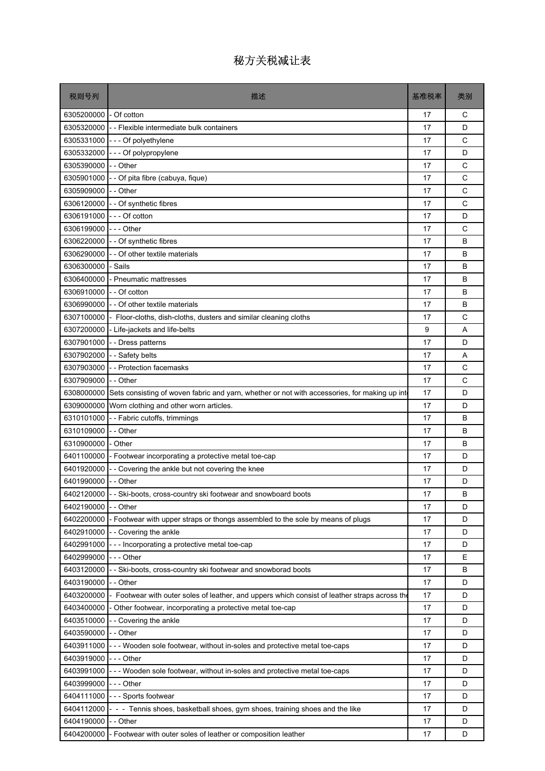| 税则号列                 | 描述                                                                                            | 基准税率 | 类别 |
|----------------------|-----------------------------------------------------------------------------------------------|------|----|
| 6305200000           | - Of cotton                                                                                   | 17   | С  |
|                      | 6305320000 - - Flexible intermediate bulk containers                                          | 17   | D  |
|                      | 6305331000 --- Of polyethylene                                                                | 17   | C  |
| 6305332000           | --- Of polypropylene                                                                          | 17   | D  |
| 6305390000 - - Other |                                                                                               | 17   | C  |
| 6305901000           | - - Of pita fibre (cabuya, fique)                                                             | 17   | C  |
| 6305909000           | -- Other                                                                                      | 17   | C  |
| 6306120000           | - - Of synthetic fibres                                                                       | 17   | C  |
| 6306191000           | - - - Of cotton                                                                               | 17   | D  |
| 6306199000           | -  -  - Other                                                                                 | 17   | C  |
| 6306220000           | - - Of synthetic fibres                                                                       | 17   | B  |
| 6306290000           | - - Of other textile materials                                                                | 17   | B  |
| 6306300000           | - Sails                                                                                       | 17   | B  |
| 6306400000           | - Pneumatic mattresses                                                                        | 17   | В  |
| 6306910000           | - - Of cotton                                                                                 | 17   | B  |
| 6306990000           | - - Of other textile materials                                                                | 17   | В  |
| 6307100000           | - Floor-cloths, dish-cloths, dusters and similar cleaning cloths                              | 17   | C  |
| 6307200000           | - Life-jackets and life-belts                                                                 | 9    | A  |
|                      | 6307901000 - - Dress patterns                                                                 | 17   | D  |
| 6307902000           | - - Safety belts                                                                              | 17   | A  |
| 6307903000           | -- Protection facemasks                                                                       | 17   | C  |
| 6307909000           | - - Other                                                                                     | 17   | C  |
| 6308000000           | Sets consisting of woven fabric and yarn, whether or not with accessories, for making up inte | 17   | D  |
|                      | 6309000000 Worn clothing and other worn articles.                                             | 17   | D  |
|                      | 6310101000 - - Fabric cutoffs, trimmings                                                      | 17   | B  |
| 6310109000           | - - Other                                                                                     | 17   | B  |
| 6310900000           | - Other                                                                                       | 17   | В  |
|                      | 6401100000 - Footwear incorporating a protective metal toe-cap                                | 17   | D  |
| 6401920000           | - - Covering the ankle but not covering the knee                                              | 17   | D  |
| 6401990000 - - Other |                                                                                               | 17   | D  |
|                      | 6402120000 - - Ski-boots, cross-country ski footwear and snowboard boots                      | 17   | B  |
| 6402190000           | - - Other                                                                                     | 17   | D  |
| 6402200000           | - Footwear with upper straps or thongs assembled to the sole by means of plugs                | 17   | D  |
| 6402910000           | - - Covering the ankle                                                                        | 17   | D  |
| 6402991000           | --- Incorporating a protective metal toe-cap                                                  | 17   | D  |
| 6402999000           | -  -  - Other                                                                                 | 17   | E  |
| 6403120000           | - - Ski-boots, cross-country ski footwear and snowborad boots                                 | 17   | В  |
| 6403190000           | - - Other                                                                                     | 17   | D  |
| 6403200000           | - Footwear with outer soles of leather, and uppers which consist of leather straps across the | 17   | D  |
| 6403400000           | - Other footwear, incorporating a protective metal toe-cap                                    | 17   | D  |
| 6403510000           | -- Covering the ankle                                                                         | 17   | D  |
| 6403590000           | - - Other                                                                                     | 17   | D  |
| 6403911000           | --- Wooden sole footwear, without in-soles and protective metal toe-caps                      | 17   | D  |
| 6403919000           | -  - - Other                                                                                  | 17   | D  |
| 6403991000           | --- Wooden sole footwear, without in-soles and protective metal toe-caps                      | 17   | D  |
| 6403999000           | -  -  - Other                                                                                 | 17   | D  |
| 6404111000           | --- Sports footwear                                                                           | 17   | D  |
| 6404112000           | - - - Tennis shoes, basketball shoes, gym shoes, training shoes and the like                  | 17   | D  |
| 6404190000           | - - Other                                                                                     | 17   | D  |
| 6404200000           | - Footwear with outer soles of leather or composition leather                                 | 17   | D  |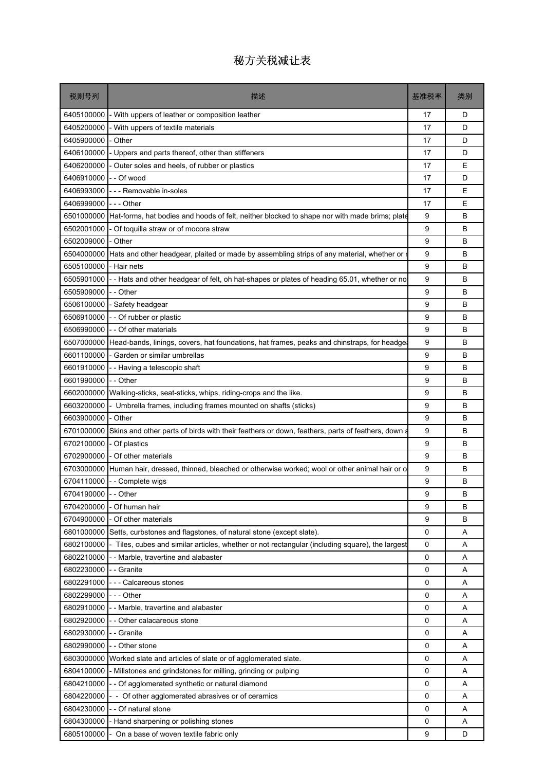| 税则号列                 | 描述                                                                                              | 基准税率 | 类别 |
|----------------------|-------------------------------------------------------------------------------------------------|------|----|
| 6405100000           | - With uppers of leather or composition leather                                                 | 17   | D  |
| 6405200000           | With uppers of textile materials                                                                | 17   | D  |
| 6405900000           | - Other                                                                                         | 17   | D  |
| 6406100000           | Uppers and parts thereof, other than stiffeners                                                 | 17   | D  |
| 6406200000           | Outer soles and heels, of rubber or plastics                                                    | 17   | E  |
| 6406910000           | - - Of wood                                                                                     | 17   | D  |
| 6406993000           | - - - Removable in-soles                                                                        | 17   | Ε  |
| 6406999000           | -  - - Other                                                                                    | 17   | E  |
| 6501000000           | Hat-forms, hat bodies and hoods of felt, neither blocked to shape nor with made brims; plate    | 9    | B  |
| 6502001000           | Of toquilla straw or of mocora straw                                                            | 9    | B  |
| 6502009000           | - Other                                                                                         | 9    | B  |
| 6504000000           | Hats and other headgear, plaited or made by assembling strips of any material, whether or       | 9    | B  |
| 6505100000           | - Hair nets                                                                                     | 9    | B  |
| 6505901000           | --Hats and other headgear of felt, oh hat-shapes or plates of heading 65.01, whether or no      | 9    | B  |
| 6505909000           | - Other                                                                                         | 9    | B  |
| 6506100000           | - Safety headgear                                                                               | 9    | B  |
| 6506910000           | - Of rubber or plastic                                                                          | 9    | B  |
| 6506990000           | - - Of other materials                                                                          | 9    | B  |
| 6507000000           | Head-bands, linings, covers, hat foundations, hat frames, peaks and chinstraps, for headgeard   | 9    | B  |
| 6601100000           | Garden or similar umbrellas                                                                     | 9    | B  |
| 6601910000           | - - Having a telescopic shaft                                                                   | 9    | B  |
| 6601990000           | - - Other                                                                                       | 9    | B  |
| 6602000000           | Walking-sticks, seat-sticks, whips, riding-crops and the like.                                  | 9    | B  |
| 6603200000           | Umbrella frames, including frames mounted on shafts (sticks)                                    | 9    | B  |
| 6603900000           | - Other                                                                                         | 9    | B  |
| 6701000000           | Skins and other parts of birds with their feathers or down, feathers, parts of feathers, down a | 9    | B  |
| 6702100000           | - Of plastics                                                                                   | 9    | B  |
| 6702900000           | - Of other materials                                                                            | 9    | B  |
| 6703000000           | Human hair, dressed, thinned, bleached or otherwise worked; wool or other animal hair or o      | 9    | B  |
| 6704110000           | - - Complete wigs                                                                               | 9    | B  |
| 6704190000 - - Other |                                                                                                 | g    | B  |
| 6704200000           | - Of human hair                                                                                 | 9    | B  |
| 6704900000           | Of other materials                                                                              | 9    | в  |
| 6801000000           | Setts, curbstones and flagstones, of natural stone (except slate).                              | 0    | Α  |
| 6802100000           | - Tiles, cubes and similar articles, whether or not rectangular (including square), the largest | 0    | Α  |
| 6802210000           | - Marble, travertine and alabaster                                                              | 0    | Α  |
| 6802230000           | - - Granite                                                                                     | 0    | Α  |
| 6802291000           | - - Calcareous stones                                                                           | 0    | Α  |
| 6802299000           | -  -  - Other                                                                                   | 0    | Α  |
| 6802910000           | - Marble, travertine and alabaster                                                              | 0    | Α  |
| 6802920000           | - - Other calacareous stone                                                                     | 0    | Α  |
| 6802930000           | - - Granite                                                                                     | 0    | Α  |
| 6802990000           | - Other stone                                                                                   | 0    | Α  |
| 6803000000           | Worked slate and articles of slate or of agglomerated slate.                                    | 0    | Α  |
| 6804100000           | Millstones and grindstones for milling, grinding or pulping                                     | 0    | Α  |
| 6804210000           | - - Of agglomerated synthetic or natural diamond                                                | 0    | Α  |
| 6804220000           | - Of other agglomerated abrasives or of ceramics                                                | 0    | Α  |
| 6804230000           | - Of natural stone                                                                              | 0    | A  |
| 6804300000           | Hand sharpening or polishing stones                                                             | 0    | Α  |
| 6805100000           | On a base of woven textile fabric only                                                          | 9    | D  |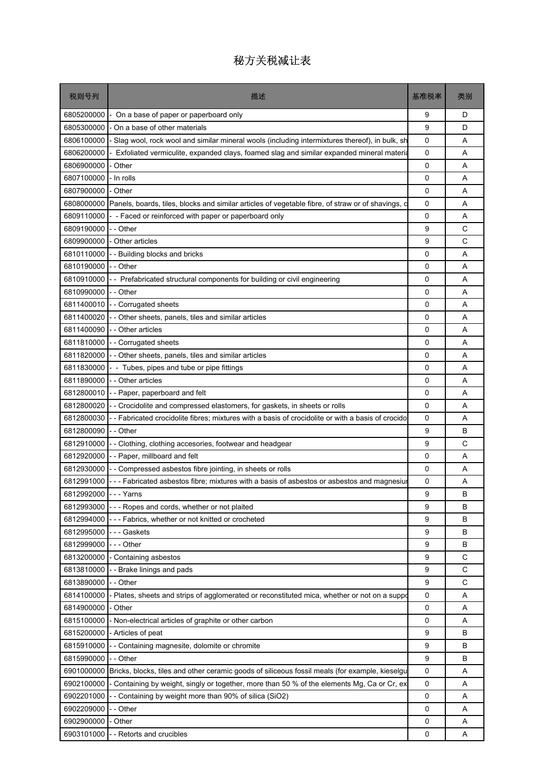| 税则号列                 | 描述                                                                                                | 基准税率        | 类别 |
|----------------------|---------------------------------------------------------------------------------------------------|-------------|----|
| 6805200000           | On a base of paper or paperboard only                                                             | 9           | D  |
| 6805300000           | On a base of other materials                                                                      | 9           | D  |
| 6806100000           | Slag wool, rock wool and similar mineral wools (including intermixtures thereof), in bulk, sh     | 0           | A  |
| 6806200000           | Exfoliated vermiculite, expanded clays, foamed slag and similar expanded mineral materia          | 0           | A  |
| 6806900000           | Other                                                                                             | 0           | A  |
| 6807100000           | - In rolls                                                                                        | 0           | A  |
| 6807900000           | - Other                                                                                           | 0           | A  |
| 6808000000           | Panels, boards, tiles, blocks and similar articles of vegetable fibre, of straw or of shavings, c | 0           | A  |
| 6809110000           | - Faced or reinforced with paper or paperboard only                                               | 0           | A  |
| 6809190000           | - - Other                                                                                         | 9           | С  |
| 6809900000           | - Other articles                                                                                  | 9           | C  |
| 6810110000           | - Building blocks and bricks                                                                      | 0           | A  |
| 6810190000           | - - Other                                                                                         | 0           | A  |
| 6810910000           | - Prefabricated structural components for building or civil engineering                           | 0           | A  |
| 6810990000           | - Other                                                                                           | 0           | A  |
| 6811400010           | - Corrugated sheets                                                                               | 0           | A  |
| 6811400020           | - Other sheets, panels, tiles and similar articles                                                | 0           | A  |
| 6811400090           | - Other articles                                                                                  | $\mathbf 0$ | A  |
| 6811810000           | - Corrugated sheets                                                                               | 0           | A  |
| 6811820000           | - Other sheets, panels, tiles and similar articles                                                | 0           | A  |
| 6811830000           | - Tubes, pipes and tube or pipe fittings                                                          | 0           | A  |
| 6811890000           | - Other articles                                                                                  | 0           | A  |
| 6812800010           | - Paper, paperboard and felt                                                                      | 0           | A  |
| 6812800020           | - Crocidolite and compressed elastomers, for gaskets, in sheets or rolls                          | 0           | A  |
| 6812800030           | - Fabricated crocidolite fibres; mixtures with a basis of crocidolite or with a basis of crocido  | 0           | A  |
| 6812800090           | - - Other                                                                                         | 9           | B  |
| 6812910000           | - Clothing, clothing accesories, footwear and headgear                                            | 9           | C  |
| 6812920000           | - Paper, millboard and felt                                                                       | 0           | A  |
| 6812930000           | - Compressed asbestos fibre jointing, in sheets or rolls                                          | 0           | A  |
| 6812991000           | --- Fabricated asbestos fibre; mixtures with a basis of asbestos or asbestos and magnesiur        | 0           | Α  |
| 6812992000 --- Yarns |                                                                                                   | g           | B  |
| 6812993000           | --- Ropes and cords, whether or not plaited                                                       | 9           | B  |
| 6812994000           | -- Fabrics, whether or not knitted or crocheted                                                   | 9           | в  |
| 6812995000           | - - - Gaskets                                                                                     | 9           | в  |
| 6812999000           | - - - Other                                                                                       | 9           | B  |
| 6813200000           | - Containing asbestos                                                                             | 9           | C  |
| 6813810000           | -- Brake linings and pads                                                                         | 9           | С  |
| 6813890000           | - Other                                                                                           | 9           | C  |
| 6814100000           | Plates, sheets and strips of agglomerated or reconstituted mica, whether or not on a suppo        | 0           | Α  |
| 6814900000           | Other                                                                                             | 0           | Α  |
| 6815100000           | - Non-electrical articles of graphite or other carbon                                             | 0           | Α  |
| 6815200000           | - Articles of peat                                                                                | 9           | B  |
| 6815910000           | - Containing magnesite, dolomite or chromite                                                      | 9           | B  |
| 6815990000           | - Other                                                                                           | 9           | в  |
| 6901000000           | Bricks, blocks, tiles and other ceramic goods of siliceous fossil meals (for example, kieselgu    | 0           | Α  |
| 6902100000           | - Containing by weight, singly or together, more than 50 % of the elements Mg, Ca or Cr, ex       | 0           | Α  |
| 6902201000           | - Containing by weight more than 90% of silica (SiO2)                                             | 0           | Α  |
| 6902209000           | - Other                                                                                           | 0           | A  |
| 6902900000           | Other                                                                                             | 0           | Α  |
| 6903101000           | - Retorts and crucibles                                                                           | 0           | Α  |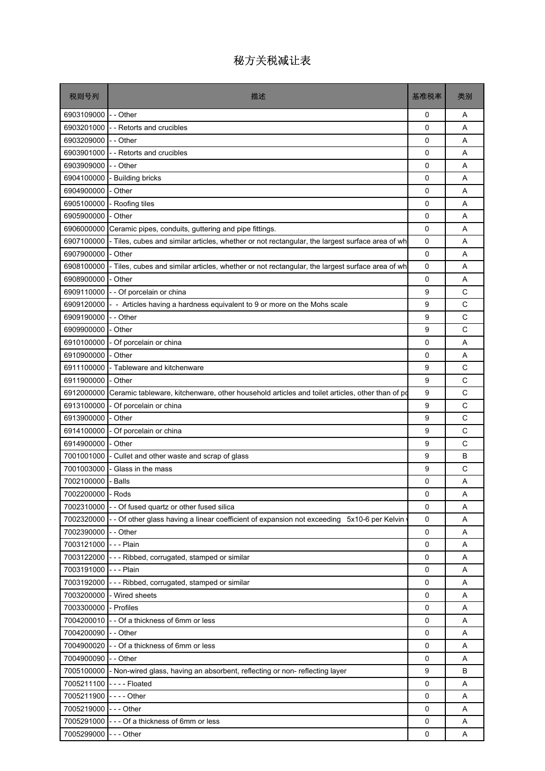| 税则号列                 | 描述                                                                                              | 基准税率        | 类别 |
|----------------------|-------------------------------------------------------------------------------------------------|-------------|----|
| 6903109000           | - - Other                                                                                       | 0           | Α  |
| 6903201000           | - Retorts and crucibles                                                                         | 0           | A  |
| 6903209000           | - - Other                                                                                       | 0           | A  |
| 6903901000           | -- Retorts and crucibles                                                                        | 0           | A  |
| 6903909000           | - - Other                                                                                       | 0           | A  |
| 6904100000           | - Building bricks                                                                               | 0           | A  |
| 6904900000           | Other                                                                                           | 0           | A  |
| 6905100000           | - Roofing tiles                                                                                 | 0           | A  |
| 6905900000           | - Other                                                                                         | 0           | A  |
| 6906000000           | Ceramic pipes, conduits, guttering and pipe fittings.                                           | 0           | Α  |
| 6907100000           | - Tiles, cubes and similar articles, whether or not rectangular, the largest surface area of wh | 0           | A  |
| 6907900000           | - Other                                                                                         | 0           | A  |
| 6908100000           | Tiles, cubes and similar articles, whether or not rectangular, the largest surface area of wh   | 0           | A  |
| 6908900000           | - Other                                                                                         | 0           | A  |
| 6909110000           | - - Of porcelain or china                                                                       | 9           | C  |
| 6909120000           | - Articles having a hardness equivalent to 9 or more on the Mohs scale                          | 9           | C  |
| 6909190000           | - - Other                                                                                       | 9           | C  |
| 6909900000           | - Other                                                                                         | 9           | C  |
| 6910100000           | - Of porcelain or china                                                                         | $\mathbf 0$ | A  |
| 6910900000           | - Other                                                                                         | 0           | A  |
| 6911100000           | - Tableware and kitchenware                                                                     | 9           | C  |
| 6911900000           | - Other                                                                                         | 9           | C  |
| 6912000000           | Ceramic tableware, kitchenware, other household articles and toilet articles, other than of pd  | 9           | C  |
| 6913100000           | - Of porcelain or china                                                                         | 9           | C  |
| 6913900000           | - Other                                                                                         | 9           | C  |
| 6914100000           | - Of porcelain or china                                                                         | 9           | C  |
| 6914900000           | - Other                                                                                         | 9           | C  |
| 7001001000           | - Cullet and other waste and scrap of glass                                                     | 9           | B  |
| 7001003000           | Glass in the mass                                                                               | 9           | C  |
| 7002100000           | Balls                                                                                           | 0           | Α  |
| 7002200000 - Rods    |                                                                                                 | 0           | Α  |
| 7002310000           | - - Of fused quartz or other fused silica                                                       | $\Omega$    | A  |
| 7002320000           | - Of other glass having a linear coefficient of expansion not exceeding 5x10-6 per Kelvin       | 0           | Α  |
| 7002390000           | - - Other                                                                                       | 0           | Α  |
| 7003121000 --- Plain |                                                                                                 | 0           | Α  |
| 7003122000           | --- Ribbed, corrugated, stamped or similar                                                      | 0           | A  |
| 7003191000           | -  -  -  Plain                                                                                  | 0           | Α  |
| 7003192000           | --- Ribbed, corrugated, stamped or similar                                                      | 0           | Α  |
| 7003200000           | - Wired sheets                                                                                  | 0           | A  |
| 7003300000           | - Profiles                                                                                      | 0           | Α  |
| 7004200010           | - - Of a thickness of 6mm or less                                                               | 0           | Α  |
| 7004200090 - - Other |                                                                                                 | 0           | A  |
| 7004900020           | - - Of a thickness of 6mm or less                                                               | 0           | Α  |
| 7004900090           | - - Other                                                                                       | 0           | Α  |
|                      | 7005100000 - Non-wired glass, having an absorbent, reflecting or non- reflecting layer          | 9           | B  |
| 7005211100           | ---- Floated                                                                                    | 0           | Α  |
| 7005211900           | - - - - Other                                                                                   | 0           | Α  |
| 7005219000           | $--$ Other                                                                                      | 0           | A  |
| 7005291000           | --- Of a thickness of 6mm or less                                                               | 0           | Α  |
| 7005299000           | - - - Other                                                                                     | 0           | Α  |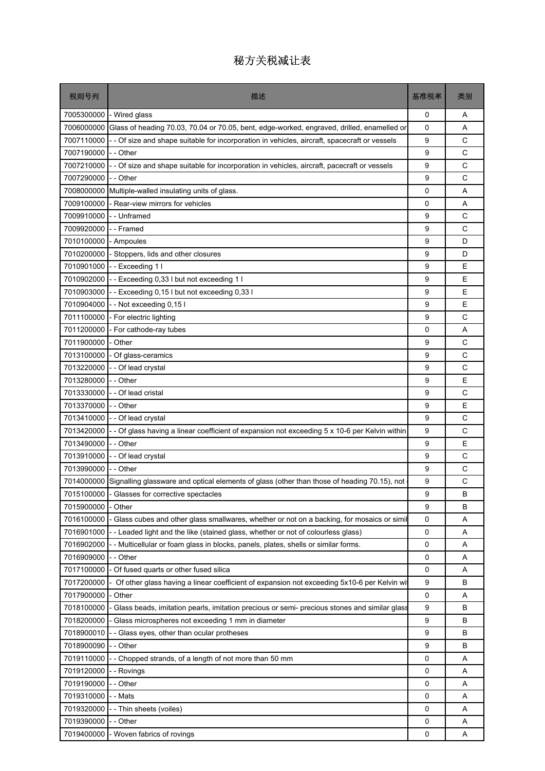| 税则号列       | 描述                                                                                           | 基准税率     | 类别           |
|------------|----------------------------------------------------------------------------------------------|----------|--------------|
| 7005300000 | - Wired glass                                                                                | 0        | Α            |
| 7006000000 | Glass of heading 70.03, 70.04 or 70.05, bent, edge-worked, engraved, drilled, enamelled or   | $\Omega$ | A            |
| 7007110000 | - Of size and shape suitable for incorporation in vehicles, aircraft, spacecraft or vessels  | 9        | C            |
| 7007190000 | -- Other                                                                                     | 9        | C            |
| 7007210000 | - Of size and shape suitable for incorporation in vehicles, aircraft, pacecraft or vessels   | 9        | C            |
| 7007290000 | - - Other                                                                                    | 9        | C            |
| 7008000000 | Multiple-walled insulating units of glass.                                                   | 0        | A            |
| 7009100000 | - Rear-view mirrors for vehicles                                                             | 0        | A            |
| 7009910000 | I-- Unframed                                                                                 | 9        | C            |
| 7009920000 | --Framed                                                                                     | 9        | $\mathsf{C}$ |
| 7010100000 | - Ampoules                                                                                   | 9        | D            |
| 7010200000 | - Stoppers, lids and other closures                                                          | 9        | D            |
| 7010901000 | -- Exceeding 1 I                                                                             | 9        | E            |
| 7010902000 | -- Exceeding 0,33 I but not exceeding 1 I                                                    | 9        | Е            |
| 7010903000 | -- Exceeding 0,15 I but not exceeding 0,33 I                                                 | 9        | E            |
| 7010904000 | - Not exceeding 0,15 l                                                                       | 9        | E            |
| 7011100000 | - For electric lighting                                                                      | 9        | C            |
| 7011200000 | - For cathode-ray tubes                                                                      | 0        | A            |
| 7011900000 | - Other                                                                                      | 9        | C            |
| 7013100000 | - Of glass-ceramics                                                                          | 9        | C            |
| 7013220000 | - - Of lead crystal                                                                          | 9        | C            |
| 7013280000 | - Other                                                                                      | 9        | E            |
| 7013330000 | - Of lead cristal                                                                            | 9        | C            |
| 7013370000 | -- Other                                                                                     | 9        | E            |
| 7013410000 | - - Of lead crystal                                                                          | 9        | C            |
| 7013420000 | - Of glass having a linear coefficient of expansion not exceeding 5 x 10-6 per Kelvin within | 9        | С            |
| 7013490000 | - Other                                                                                      | 9        | E            |
| 7013910000 | - Of lead crystal                                                                            | 9        | C            |
| 7013990000 | $I -$ Other                                                                                  | 9        | C            |
| 7014000000 | Signalling glassware and optical elements of glass (other than those of heading 70.15), not  | 9        | C            |
|            | 7015100000 - Glasses for corrective spectacles                                               | 9        | B            |
| 7015900000 | - Other                                                                                      | 9        | B            |
| 7016100000 | - Glass cubes and other glass smallwares, whether or not on a backing, for mosaics or simil  | 0        | Α            |
| 7016901000 | -- Leaded light and the like (stained glass, whether or not of colourless glass)             | 0        | Α            |
| 7016902000 | - Multicellular or foam glass in blocks, panels, plates, shells or similar forms.            | 0        | Α            |
| 7016909000 | - - Other                                                                                    | 0        | A            |
| 7017100000 | Of fused quarts or other fused silica                                                        | 0        | Α            |
| 7017200000 | Of other glass having a linear coefficient of expansion not exceeding 5x10-6 per Kelvin wi   | 9        | В            |
| 7017900000 | Other                                                                                        | 0        | Α            |
| 7018100000 | Glass beads, imitation pearls, imitation precious or semi- precious stones and similar glass | 9        | B            |
| 7018200000 | - Glass microspheres not exceeding 1 mm in diameter                                          | 9        | В            |
| 7018900010 | Glass eyes, other than ocular protheses                                                      | 9        | B            |
| 7018900090 | - Other                                                                                      | 9        | В            |
| 7019110000 | - Chopped strands, of a length of not more than 50 mm                                        | 0        | Α            |
| 7019120000 | - Rovings                                                                                    | 0        | Α            |
| 7019190000 | - Other                                                                                      | 0        | Α            |
| 7019310000 | - Mats                                                                                       | 0        | Α            |
| 7019320000 | - - Thin sheets (voiles)                                                                     | 0        | Α            |
| 7019390000 | - Other                                                                                      | 0        | A            |
| 7019400000 | - Woven fabrics of rovings                                                                   | 0        | Α            |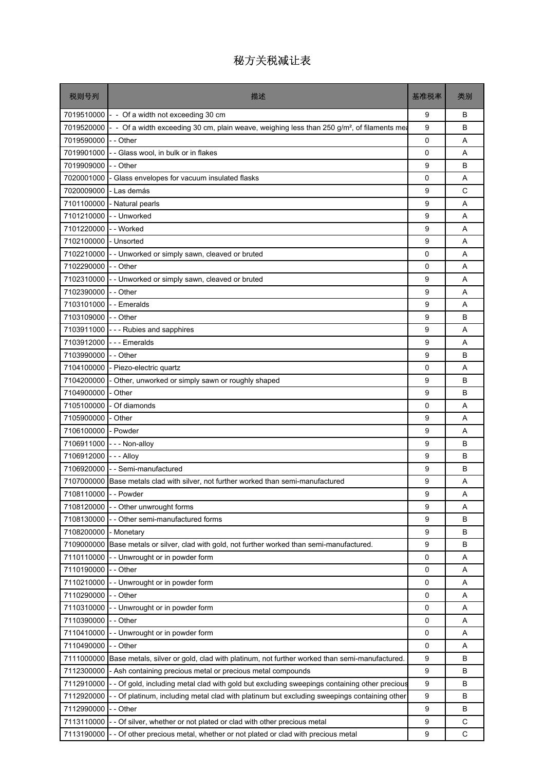| 税则号列                  | 描述                                                                                                          | 基准税率        | 类别     |
|-----------------------|-------------------------------------------------------------------------------------------------------------|-------------|--------|
|                       | 7019510000 $\vert$ - Of a width not exceeding 30 cm                                                         | 9           | B      |
| 7019520000            | - - Of a width exceeding 30 cm, plain weave, weighing less than 250 g/m <sup>2</sup> , of filaments mearly  | 9           | B      |
| 7019590000            | - - Other                                                                                                   | $\mathbf 0$ | A      |
| 7019901000            | - - Glass wool, in bulk or in flakes                                                                        | 0           | A      |
| 7019909000 - - Other  |                                                                                                             | 9           | B      |
| 7020001000            | - Glass envelopes for vacuum insulated flasks                                                               | 0           | A      |
| 7020009000            | - Las demás                                                                                                 | 9           | C      |
| 7101100000            | - Natural pearls                                                                                            | 9           | A      |
| 7101210000            | -- Unworked                                                                                                 | 9           | A      |
| 7101220000            | - - Worked                                                                                                  | 9           | A      |
| 7102100000            | - Unsorted                                                                                                  | 9           | Α      |
|                       | 7102210000 - Unworked or simply sawn, cleaved or bruted                                                     | 0           | A      |
| 7102290000            | - - Other                                                                                                   | 0           | A      |
| 7102310000            | -- Unworked or simply sawn, cleaved or bruted                                                               | 9           | A      |
| 7102390000 - - Other  |                                                                                                             | 9           | A      |
| 7103101000            | - - Emeralds                                                                                                | 9           | A      |
| 7103109000 - - Other  |                                                                                                             | 9           | B      |
| 7103911000            | --- Rubies and sapphires                                                                                    | 9           | A      |
|                       | 7103912000 --- Emeralds                                                                                     | 9           | A      |
| 7103990000            | -- Other                                                                                                    | 9           | B      |
| 7104100000            | - Piezo-electric quartz                                                                                     | 0           | A      |
| 7104200000            | - Other, unworked or simply sawn or roughly shaped                                                          | 9           | B      |
| 7104900000            | - Other                                                                                                     | 9           | B      |
| 7105100000            | - Of diamonds                                                                                               | 0           | A      |
| 7105900000 - Other    |                                                                                                             | 9           | A      |
| 7106100000            | - Powder                                                                                                    | 9           | A      |
| 7106911000            | --- Non-alloy                                                                                               | 9           | B      |
| 7106912000            | $- - -$ Alloy                                                                                               | 9<br>9      | B<br>B |
| 7106920000            | - - Semi-manufactured<br>7107000000 Base metals clad with silver, not further worked than semi-manufactured | 9           | A      |
| 7108110000 - - Powder |                                                                                                             | 9           | Α      |
| 7108120000            | Other unwrought forms                                                                                       | 9           | Α      |
| 7108130000            | Other semi-manufactured forms                                                                               | 9           | B      |
| 7108200000            | - Monetary                                                                                                  | 9           | в      |
| 7109000000            | Base metals or silver, clad with gold, not further worked than semi-manufactured.                           | 9           | B      |
| 7110110000            | - Unwrought or in powder form                                                                               | 0           | Α      |
| 7110190000            | - Other                                                                                                     | 0           | Α      |
| 7110210000            | - Unwrought or in powder form                                                                               | 0           | Α      |
| 7110290000            | - Other                                                                                                     | 0           | Α      |
| 7110310000            | - Unwrought or in powder form                                                                               | 0           | Α      |
| 7110390000            | - - Other                                                                                                   | 0           | Α      |
| 7110410000            | - - Unwrought or in powder form                                                                             | 0           | Α      |
| 7110490000            | - - Other                                                                                                   | 0           | Α      |
| 7111000000            | Base metals, silver or gold, clad with platinum, not further worked than semi-manufactured.                 | 9           | В      |
| 7112300000            | - Ash containing precious metal or precious metal compounds                                                 | 9           | B      |
| 7112910000            | - Of gold, including metal clad with gold but excluding sweepings containing other precious                 | 9           | B      |
| 7112920000            | - Of platinum, including metal clad with platinum but excluding sweepings containing other                  | 9           | в      |
| 7112990000            | - Other                                                                                                     | 9           | в      |
| 7113110000            | Of silver, whether or not plated or clad with other precious metal                                          | 9           | C      |
| 7113190000            | - Of other precious metal, whether or not plated or clad with precious metal                                | 9           | C      |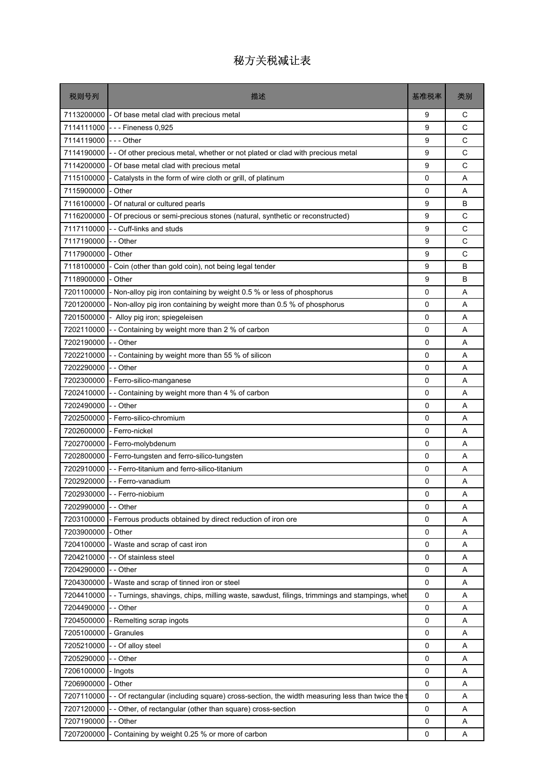| 税则号列       | 描述                                                                                           | 基准税率        | 类别     |
|------------|----------------------------------------------------------------------------------------------|-------------|--------|
| 7113200000 | - Of base metal clad with precious metal                                                     | 9           | С      |
| 7114111000 | - - - Fineness 0,925                                                                         | 9           | C      |
| 7114119000 | - - - Other                                                                                  | 9           | C      |
| 7114190000 | - - Of other precious metal, whether or not plated or clad with precious metal               | 9           | C      |
| 7114200000 | - Of base metal clad with precious metal                                                     | 9           | C      |
| 7115100000 | - Catalysts in the form of wire cloth or grill, of platinum                                  | 0           | A      |
| 7115900000 | - Other                                                                                      | 0           | Α      |
| 7116100000 | - Of natural or cultured pearls                                                              | 9           | B      |
| 7116200000 | - Of precious or semi-precious stones (natural, synthetic or reconstructed)                  | 9           | C      |
| 7117110000 | - Cuff-links and studs                                                                       | 9           | C      |
| 7117190000 | - - Other                                                                                    | 9           | C      |
| 7117900000 | - Other                                                                                      | 9           | C      |
| 7118100000 | Coin (other than gold coin), not being legal tender                                          | 9           | B      |
| 7118900000 | - Other                                                                                      | 9           | B      |
| 7201100000 | Non-alloy pig iron containing by weight 0.5 % or less of phosphorus                          | 0           | A      |
| 7201200000 | - Non-alloy pig iron containing by weight more than 0.5 % of phosphorus                      | 0           | A      |
| 7201500000 | Alloy pig iron; spiegeleisen                                                                 | 0           | Α      |
| 7202110000 | - Containing by weight more than 2 % of carbon                                               | 0           | A      |
| 7202190000 | - - Other                                                                                    | 0           | A      |
| 7202210000 | Containing by weight more than 55 % of silicon                                               | 0           | Α      |
| 7202290000 | - - Other                                                                                    | 0           | A      |
| 7202300000 | - Ferro-silico-manganese                                                                     | 0           | A      |
| 7202410000 | Containing by weight more than 4 % of carbon                                                 | 0           | A      |
| 7202490000 | - - Other                                                                                    | 0           | Α      |
| 7202500000 | - Ferro-silico-chromium                                                                      | 0           | A      |
| 7202600000 | - Ferro-nickel                                                                               | 0           | A      |
| 7202700000 | - Ferro-molybdenum                                                                           | 0           | Α      |
| 7202800000 | - Ferro-tungsten and ferro-silico-tungsten<br>- - Ferro-titanium and ferro-silico-titanium   | 0           | A      |
| 7202910000 | 7202920000 - - Ferro-vanadium                                                                | 0<br>0      | A<br>Α |
|            | 7202930000 - - Ferro-niobium                                                                 | 0           | Α      |
| 7202990000 | - - Other                                                                                    | $\Omega$    | Α      |
| 7203100000 | Ferrous products obtained by direct reduction of iron ore                                    | 0           | Α      |
| 7203900000 | - Other                                                                                      | 0           | Α      |
| 7204100000 | - Waste and scrap of cast iron                                                               | 0           | Α      |
| 7204210000 | - - Of stainless steel                                                                       | 0           | Α      |
| 7204290000 | - - Other                                                                                    | 0           | Α      |
| 7204300000 | - Waste and scrap of tinned iron or steel                                                    | $\mathsf 0$ | Α      |
| 7204410000 | --Turnings, shavings, chips, milling waste, sawdust, filings, trimmings and stampings, whet  | 0           | Α      |
| 7204490000 | - Other                                                                                      | 0           | Α      |
| 7204500000 | - Remelting scrap ingots                                                                     | 0           | Α      |
| 7205100000 | - Granules                                                                                   | 0           | A      |
| 7205210000 | - Of alloy steel                                                                             | 0           | Α      |
| 7205290000 | - - Other                                                                                    | 0           | Α      |
| 7206100000 | Ingots                                                                                       | 0           | Α      |
| 7206900000 | - Other                                                                                      | 0           | Α      |
| 7207110000 | - Of rectangular (including square) cross-section, the width measuring less than twice the t | 0           | Α      |
| 7207120000 | Other, of rectangular (other than square) cross-section                                      | $\mathsf 0$ | Α      |
| 7207190000 | - Other                                                                                      | 0           | Α      |
| 7207200000 | - Containing by weight 0.25 % or more of carbon                                              | 0           | Α      |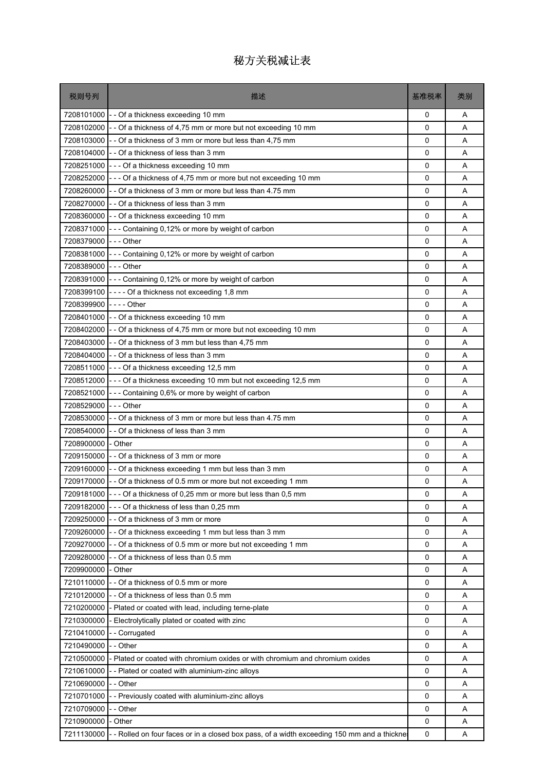| 税则号列       | 描述                                                                                        | 基准税率        | 类别     |
|------------|-------------------------------------------------------------------------------------------|-------------|--------|
| 7208101000 | - - Of a thickness exceeding 10 mm                                                        | 0           | A      |
| 7208102000 | - - Of a thickness of 4,75 mm or more but not exceeding 10 mm                             | $\Omega$    | A      |
| 7208103000 | - - Of a thickness of 3 mm or more but less than 4,75 mm                                  | 0           | A      |
| 7208104000 | - - Of a thickness of less than 3 mm                                                      | 0           | A      |
| 7208251000 | --- Of a thickness exceeding 10 mm                                                        | $\Omega$    | A      |
| 7208252000 | - - - Of a thickness of 4,75 mm or more but not exceeding 10 mm                           | $\mathbf 0$ | A      |
| 7208260000 | - - Of a thickness of 3 mm or more but less than 4.75 mm                                  | 0           | Α      |
| 7208270000 | - Of a thickness of less than 3 mm                                                        | $\Omega$    | A      |
| 7208360000 | - - Of a thickness exceeding 10 mm                                                        | 0           | A      |
| 7208371000 | --- Containing 0,12% or more by weight of carbon                                          | 0           | A      |
| 7208379000 | $--$ Other                                                                                | 0           | A      |
| 7208381000 | --- Containing 0,12% or more by weight of carbon                                          | 0           | A      |
| 7208389000 | $- -$ Other                                                                               | 0           | A      |
| 7208391000 | - - - Containing 0,12% or more by weight of carbon                                        | 0           | A      |
| 7208399100 | ---- Of a thickness not exceeding 1,8 mm                                                  | $\Omega$    | A      |
| 7208399900 | - - - - Other                                                                             | 0           | Α      |
| 7208401000 | -- Of a thickness exceeding 10 mm                                                         | 0           | A      |
| 7208402000 | - - Of a thickness of 4,75 mm or more but not exceeding 10 mm                             | 0           | A      |
| 7208403000 | - - Of a thickness of 3 mm but less than 4,75 mm                                          | 0           | A      |
| 7208404000 | - - Of a thickness of less than 3 mm                                                      | 0           | A      |
| 7208511000 | --- Of a thickness exceeding 12,5 mm                                                      | 0           | A      |
| 7208512000 | --- Of a thickness exceeding 10 mm but not exceeding 12,5 mm                              | 0           | A      |
| 7208521000 | --- Containing 0,6% or more by weight of carbon                                           | 0           | Α      |
| 7208529000 | $--$ Other                                                                                | 0           | A      |
| 7208530000 | - - Of a thickness of 3 mm or more but less than 4.75 mm                                  | $\Omega$    | A      |
| 7208540000 | -- Of a thickness of less than 3 mm                                                       | 0           | A      |
| 7208900000 | - Other                                                                                   | 0           | Α      |
| 7209150000 | -- Of a thickness of 3 mm or more                                                         | 0           | A      |
| 7209160000 | - - Of a thickness exceeding 1 mm but less than 3 mm                                      | 0           | A      |
| 7209170000 | - - Of a thickness of 0.5 mm or more but not exceeding 1 mm                               | 0           | Α      |
| 7209181000 | - - Of a thickness of 0,25 mm or more but less than 0,5 mm                                | 0           | Α      |
| 7209182000 | - Of a thickness of less than 0,25 mm                                                     | $\Omega$    | A      |
| 7209250000 | - - Of a thickness of 3 mm or more                                                        | 0           | Α      |
| 7209260000 | - Of a thickness exceeding 1 mm but less than 3 mm                                        | 0           | Α      |
| 7209270000 | - - Of a thickness of 0.5 mm or more but not exceeding 1 mm                               | $\mathbf 0$ | A      |
| 7209280000 | - Of a thickness of less than 0.5 mm                                                      | 0           | Α      |
| 7209900000 | Other                                                                                     | 0           | A      |
| 7210110000 | - Of a thickness of 0.5 mm or more                                                        | 0           | A      |
| 7210120000 | - Of a thickness of less than 0.5 mm                                                      | 0           | Α      |
| 7210200000 | - Plated or coated with lead, including terne-plate                                       | 0           | Α      |
| 7210300000 | - Electrolytically plated or coated with zinc                                             | 0           | Α      |
| 7210410000 |                                                                                           | 0           | A      |
| 7210490000 | -- Corrugated<br>- - Other                                                                |             |        |
| 7210500000 |                                                                                           | 0<br>0      | Α<br>A |
| 7210610000 | - Plated or coated with chromium oxides or with chromium and chromium oxides              | 0           | A      |
| 7210690000 | - Plated or coated with aluminium-zinc alloys                                             |             |        |
|            | - - Other                                                                                 | 0           | Α      |
| 7210701000 | - - Previously coated with aluminium-zinc alloys                                          | 0           | Α      |
| 7210709000 | - - Other                                                                                 | 0           | A      |
| 7210900000 | Other                                                                                     | 0           | A      |
| 7211130000 | - Rolled on four faces or in a closed box pass, of a width exceeding 150 mm and a thickne | 0           | Α      |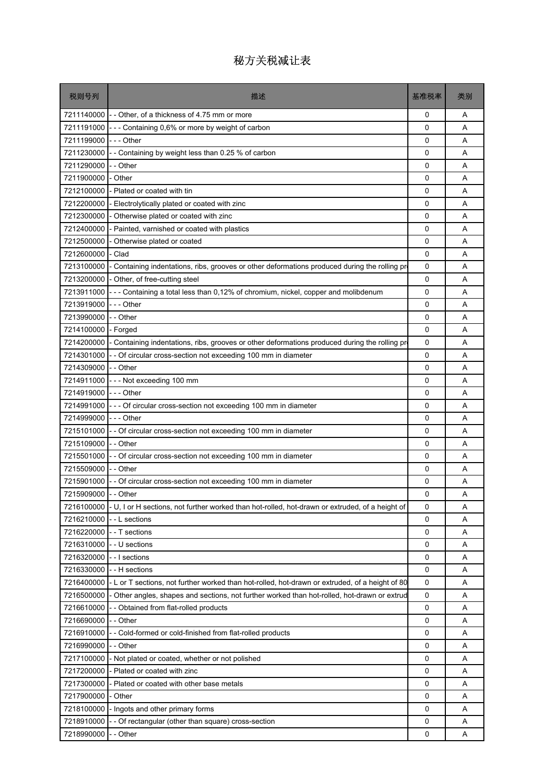| 税则号列       | 描述                                                                                                  | 基准税率        | 类别 |
|------------|-----------------------------------------------------------------------------------------------------|-------------|----|
| 7211140000 | - - Other, of a thickness of 4.75 mm or more                                                        | 0           | Α  |
| 7211191000 | - - Containing 0,6% or more by weight of carbon                                                     | 0           | A  |
| 7211199000 | -  -  - Other                                                                                       | 0           | A  |
| 7211230000 | - Containing by weight less than 0.25 % of carbon                                                   | 0           | A  |
| 7211290000 | - Other                                                                                             | 0           | A  |
| 7211900000 | Other                                                                                               | $\mathbf 0$ | A  |
| 7212100000 | Plated or coated with tin                                                                           | 0           | Α  |
| 7212200000 | Electrolytically plated or coated with zinc                                                         | 0           | A  |
| 7212300000 | Otherwise plated or coated with zinc                                                                | 0           | A  |
| 7212400000 | Painted, varnished or coated with plastics                                                          | $\mathbf 0$ | A  |
| 7212500000 | Otherwise plated or coated                                                                          | 0           | A  |
| 7212600000 | Clad                                                                                                | 0           | A  |
| 7213100000 | Containing indentations, ribs, grooves or other deformations produced during the rolling production | 0           | A  |
| 7213200000 | Other, of free-cutting steel                                                                        | 0           | Α  |
| 7213911000 | - - Containing a total less than 0,12% of chromium, nickel, copper and molibdenum                   | $\mathbf 0$ | A  |
| 7213919000 | --- Other                                                                                           | 0           | A  |
| 7213990000 | - - Other                                                                                           | 0           | Α  |
| 7214100000 | - Forged                                                                                            | 0           | A  |
| 7214200000 | - Containing indentations, ribs, grooves or other deformations produced during the rolling pr       | 0           | A  |
| 7214301000 | - Of circular cross-section not exceeding 100 mm in diameter                                        | $\mathbf 0$ | A  |
| 7214309000 | - - Other                                                                                           | 0           | Α  |
| 7214911000 | --- Not exceeding 100 mm                                                                            | 0           | A  |
| 7214919000 | - - Other                                                                                           | 0           | A  |
| 7214991000 | --- Of circular cross-section not exceeding 100 mm in diameter                                      | 0           | A  |
| 7214999000 | $--$ Other                                                                                          | 0           | A  |
| 7215101000 | - Of circular cross-section not exceeding 100 mm in diameter                                        | 0           | A  |
| 7215109000 | - - Other                                                                                           | 0           | Α  |
| 7215501000 | - Of circular cross-section not exceeding 100 mm in diameter                                        | 0           | A  |
| 7215509000 | -- Other                                                                                            | $\Omega$    | A  |
| 7215901000 | - - Of circular cross-section not exceeding 100 mm in diameter                                      | $\mathbf 0$ | Α  |
| 7215909000 | -- Other                                                                                            | $\Omega$    | Α  |
| 7216100000 | - U, I or H sections, not further worked than hot-rolled, hot-drawn or extruded, of a height of     | 0           | Α  |
| 7216210000 | - L sections                                                                                        | 0           | A  |
| 7216220000 | - - T sections                                                                                      | 0           | Α  |
| 7216310000 | - - U sections                                                                                      | $\mathbf 0$ | A  |
| 7216320000 | - - I sections                                                                                      | $\mathbf 0$ | A  |
| 7216330000 | - H sections                                                                                        | 0           | Α  |
| 7216400000 | - L or T sections, not further worked than hot-rolled, hot-drawn or extruded, of a height of 80     | 0           | A  |
| 7216500000 | Other angles, shapes and sections, not further worked than hot-rolled, hot-drawn or extrud          | 0           | Α  |
| 7216610000 | - Obtained from flat-rolled products                                                                | 0           | A  |
| 7216690000 | - - Other                                                                                           | 0           | Α  |
| 7216910000 | - Cold-formed or cold-finished from flat-rolled products                                            | 0           | A  |
| 7216990000 | - Other                                                                                             | 0           | A  |
| 7217100000 | - Not plated or coated, whether or not polished                                                     | 0           | Α  |
| 7217200000 | - Plated or coated with zinc                                                                        | $\mathbf 0$ | A  |
| 7217300000 | Plated or coated with other base metals                                                             | 0           | A  |
| 7217900000 | Other                                                                                               | 0           | Α  |
| 7218100000 | Ingots and other primary forms                                                                      | 0           | A  |
| 7218910000 | - Of rectangular (other than square) cross-section                                                  | 0           | A  |
| 7218990000 | - Other                                                                                             | 0           | Α  |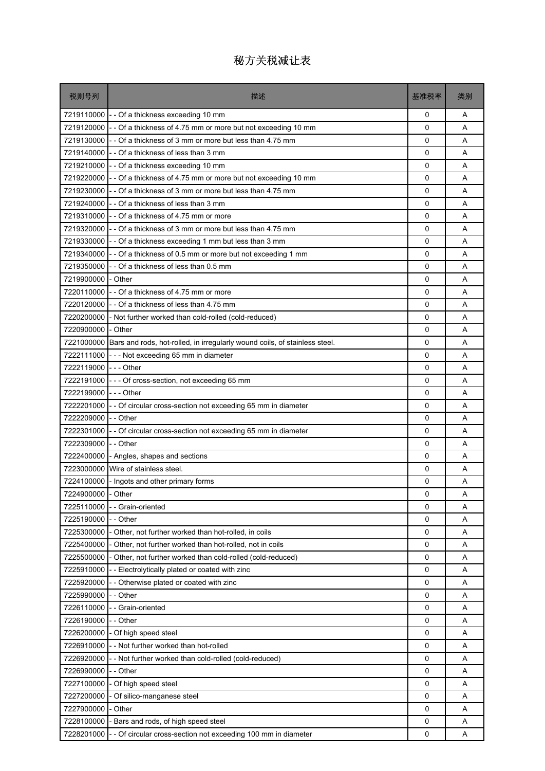| 税则号列                 | 描述                                                                         | 基准税率     | 类别          |
|----------------------|----------------------------------------------------------------------------|----------|-------------|
|                      | 7219110000 - - Of a thickness exceeding 10 mm                              | 0        | A           |
| 7219120000           | - - Of a thickness of 4.75 mm or more but not exceeding 10 mm              | $\Omega$ | A           |
|                      | 7219130000 - - Of a thickness of 3 mm or more but less than 4.75 mm        | 0        | Α           |
|                      | 7219140000 - - Of a thickness of less than 3 mm                            | 0        | A           |
|                      | 7219210000 - - Of a thickness exceeding 10 mm                              | 0        | A           |
|                      | 7219220000 - - Of a thickness of 4.75 mm or more but not exceeding 10 mm   | 0        | A           |
| 7219230000           | - - Of a thickness of 3 mm or more but less than 4.75 mm                   | 0        | A           |
|                      | 7219240000 - - Of a thickness of less than 3 mm                            | 0        | A           |
| 7219310000           | - - Of a thickness of 4.75 mm or more                                      | 0        | A           |
| 7219320000           | -- Of a thickness of 3 mm or more but less than 4.75 mm                    | 0        | Α           |
|                      | 7219330000 - - Of a thickness exceeding 1 mm but less than 3 mm            | 0        | A           |
| 7219340000           | - - Of a thickness of 0.5 mm or more but not exceeding 1 mm                | 0        | A           |
| 7219350000           | - - Of a thickness of less than 0.5 mm                                     | 0        | A           |
| 7219900000 - Other   |                                                                            | 0        | A           |
| 7220110000           | - - Of a thickness of 4.75 mm or more                                      | $\Omega$ | A           |
| 7220120000           | - - Of a thickness of less than 4.75 mm                                    | 0        | A           |
| 7220200000           | - Not further worked than cold-rolled (cold-reduced)                       | 0        | A           |
| 7220900000           | - Other                                                                    | 0        | A           |
| 7221000000           | Bars and rods, hot-rolled, in irregularly wound coils, of stainless steel. | 0        | A           |
| 7222111000           | --- Not exceeding 65 mm in diameter                                        | 0        | A           |
| 7222119000 --- Other |                                                                            | 0        | A           |
| 7222191000           | --- Of cross-section, not exceeding 65 mm                                  | 0        | A           |
| 7222199000           | $- -$ Other                                                                | 0        | A           |
| 7222201000           | - - Of circular cross-section not exceeding 65 mm in diameter              | 0        | A           |
| 7222209000           | - - Other                                                                  | $\Omega$ | A           |
| 7222301000           | - - Of circular cross-section not exceeding 65 mm in diameter              | 0        | A           |
| 7222309000           | - - Other                                                                  | 0        | A           |
| 7222400000           | - Angles, shapes and sections                                              | 0        | A           |
| 7223000000           | Wire of stainless steel.                                                   | 0        | A           |
| 7224100000           | - Ingots and other primary forms                                           | 0        | Α           |
| 7224900000 - Other   |                                                                            | 0        | $\mathsf A$ |
| 7225110000           | - - Grain-oriented                                                         | 0        | A           |
| 7225190000           | - - Other                                                                  | 0        | Α           |
| 7225300000           | - Other, not further worked than hot-rolled, in coils                      | 0        | Α           |
| 7225400000           | - Other, not further worked than hot-rolled, not in coils                  | 0        | A           |
| 7225500000           | Other, not further worked than cold-rolled (cold-reduced)                  | 0        | Α           |
| 7225910000           | - - Electrolytically plated or coated with zinc                            | 0        | Α           |
| 7225920000           | - Otherwise plated or coated with zinc                                     | 0        | A           |
| 7225990000           | - Other                                                                    | 0        | Α           |
| 7226110000           | -- Grain-oriented                                                          | 0        | Α           |
| 7226190000           | - - Other                                                                  | 0        | Α           |
| 7226200000           | - Of high speed steel                                                      | 0        | Α           |
| 7226910000           | -- Not further worked than hot-rolled                                      | 0        | Α           |
| 7226920000           | - Not further worked than cold-rolled (cold-reduced)                       | 0        | Α           |
| 7226990000           | - - Other                                                                  | 0        | A           |
| 7227100000           | Of high speed steel                                                        | 0        | Α           |
| 7227200000           | - Of silico-manganese steel                                                | 0        | Α           |
| 7227900000           | - Other                                                                    | 0        | A           |
| 7228100000           | Bars and rods, of high speed steel                                         | 0        | Α           |
| 7228201000           | - - Of circular cross-section not exceeding 100 mm in diameter             | 0        | Α           |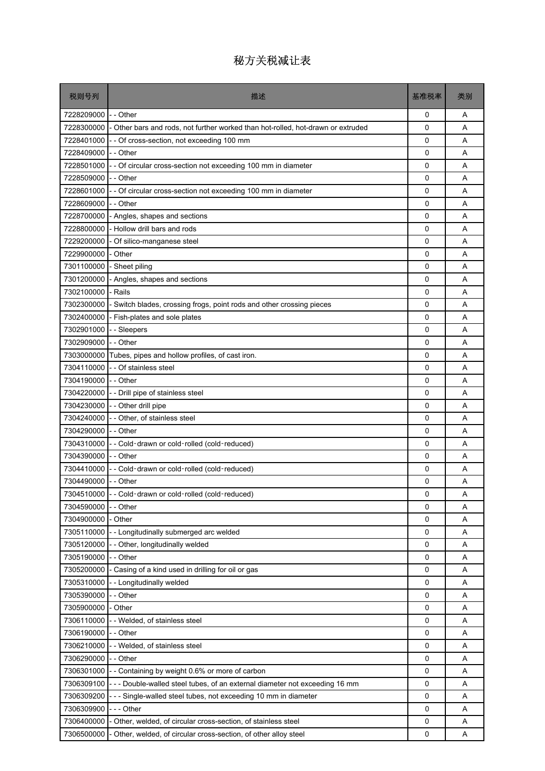| 税则号列                | 描述                                                                               | 基准税率     | 类别 |
|---------------------|----------------------------------------------------------------------------------|----------|----|
| 7228209000          | - - Other                                                                        | 0        | A  |
| 7228300000          | - Other bars and rods, not further worked than hot-rolled, hot-drawn or extruded | 0        | A  |
| 7228401000          | - Of cross-section, not exceeding 100 mm                                         | 0        | A  |
| 7228409000          | I- - Other                                                                       | 0        | A  |
| 7228501000          | Of circular cross-section not exceeding 100 mm in diameter                       | 0        | A  |
| 7228509000          | - - Other                                                                        | 0        | A  |
| 7228601000          | - Of circular cross-section not exceeding 100 mm in diameter                     | 0        | Α  |
| 7228609000          | - - Other                                                                        | 0        | A  |
| 7228700000          | - Angles, shapes and sections                                                    | 0        | A  |
| 7228800000          | - Hollow drill bars and rods                                                     | 0        | A  |
| 7229200000          | - Of silico-manganese steel                                                      | 0        | Α  |
| 7229900000          | - Other                                                                          | 0        | A  |
| 7301100000          | Sheet piling                                                                     | 0        | A  |
| 7301200000          | - Angles, shapes and sections                                                    | 0        | A  |
| 7302100000          | - Rails                                                                          | 0        | A  |
| 7302300000          | Switch blades, crossing frogs, point rods and other crossing pieces              | 0        | A  |
| 7302400000          | - Fish-plates and sole plates                                                    | 0        | Α  |
| 7302901000          | - Sleepers                                                                       | 0        | A  |
| 7302909000          | $I -$ Other                                                                      | 0        | A  |
| 7303000000          | Tubes, pipes and hollow profiles, of cast iron.                                  | 0        | A  |
| 7304110000          | - - Of stainless steel                                                           | 0        | A  |
| 7304190000 -- Other |                                                                                  | 0        | A  |
| 7304220000          | - Drill pipe of stainless steel                                                  | 0        | A  |
| 7304230000          | -- Other drill pipe                                                              | 0        | A  |
| 7304240000          | - - Other, of stainless steel                                                    | 0        | A  |
| 7304290000          | - - Other                                                                        | $\Omega$ | A  |
| 7304310000          | - - Cold-drawn or cold-rolled (cold-reduced)                                     | 0        | Α  |
| 7304390000          | I--Other                                                                         | 0        | A  |
| 7304410000          | - Cold-drawn or cold-rolled (cold-reduced)                                       | 0        | A  |
| 7304490000 -- Other |                                                                                  | 0        | Α  |
|                     | 7304510000 - - Cold-drawn or cold-rolled (cold-reduced)                          | 0        | Α  |
| 7304590000          | - - Other                                                                        | 0        | Α  |
| 7304900000          | - Other                                                                          | 0        | A  |
| 7305110000          | - - Longitudinally submerged arc welded                                          | 0        | Α  |
| 7305120000          | Other, longitudinally welded                                                     | 0        | A  |
| 7305190000          | - Other                                                                          | 0        | A  |
| 7305200000          | Casing of a kind used in drilling for oil or gas                                 | 0        | Α  |
| 7305310000          | - Longitudinally welded                                                          | 0        | A  |
| 7305390000          | - Other                                                                          | 0        | A  |
| 7305900000          | Other                                                                            | 0        | Α  |
| 7306110000          | - Welded, of stainless steel                                                     | 0        | Α  |
| 7306190000          | $\mathsf{I}$ - Other                                                             | 0        | Α  |
| 7306210000          | - Welded, of stainless steel                                                     | 0        | A  |
| 7306290000          | - Other                                                                          | 0        | Α  |
| 7306301000          | Containing by weight 0.6% or more of carbon                                      | 0        | A  |
| 7306309100          | - - Double-walled steel tubes, of an external diameter not exceeding 16 mm       | 0        | A  |
| 7306309200          | - - Single-walled steel tubes, not exceeding 10 mm in diameter                   | 0        | Α  |
| 7306309900          | - - Other                                                                        | 0        | Α  |
| 7306400000          | Other, welded, of circular cross-section, of stainless steel                     | 0        | A  |
| 7306500000          | Other, welded, of circular cross-section, of other alloy steel                   | 0        | A  |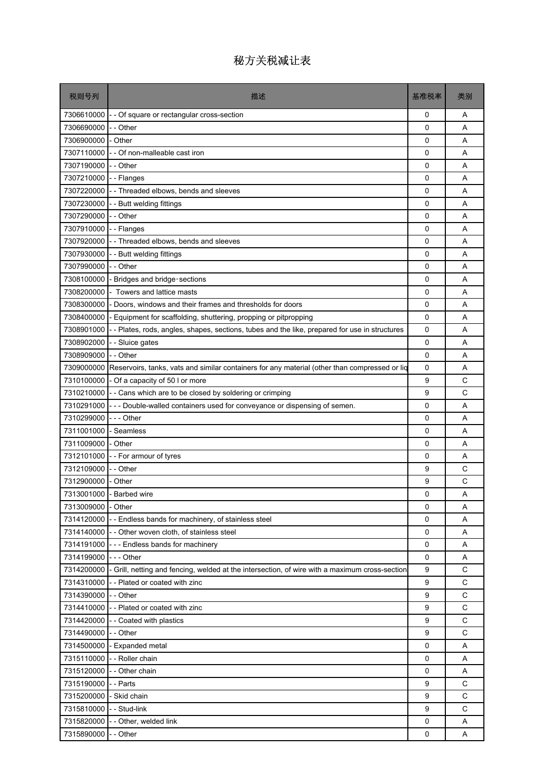| 税则号列                 | 描述                                                                                                        | 基准税率        | 类别           |
|----------------------|-----------------------------------------------------------------------------------------------------------|-------------|--------------|
| 7306610000           | - Of square or rectangular cross-section                                                                  | 0           | A            |
| 7306690000           | - Other                                                                                                   | 0           | A            |
| 7306900000           | - Other                                                                                                   | $\mathbf 0$ | A            |
| 7307110000           | - Of non-malleable cast iron                                                                              | 0           | Α            |
| 7307190000           | -- Other                                                                                                  | 0           | A            |
| 7307210000           | -- Flanges                                                                                                | 0           | A            |
| 7307220000           | - - Threaded elbows, bends and sleeves                                                                    | 0           | Α            |
| 7307230000           | - - Butt welding fittings                                                                                 | $\mathbf 0$ | A            |
| 7307290000           | - - Other                                                                                                 | 0           | A            |
| 7307910000           | -- Flanges                                                                                                | 0           | Α            |
| 7307920000           | - - Threaded elbows, bends and sleeves                                                                    | 0           | A            |
| 7307930000           | - - Butt welding fittings                                                                                 | 0           | A            |
| 7307990000           | - - Other                                                                                                 | 0           | Α            |
| 7308100000           | - Bridges and bridge-sections                                                                             | 0           | A            |
| 7308200000           | - Towers and lattice masts                                                                                | 0           | A            |
| 7308300000           | Doors, windows and their frames and thresholds for doors                                                  | 0           | A            |
| 7308400000           | - Equipment for scaffolding, shuttering, propping or pitpropping                                          | 0           | Α            |
| 7308901000           | - - Plates, rods, angles, shapes, sections, tubes and the like, prepared for use in structures            | $\mathbf 0$ | A            |
| 7308902000           | - Sluice gates                                                                                            | 0           | A            |
| 7308909000           | -- Other                                                                                                  | 0           | Α            |
| 7309000000           | Reservoirs, tanks, vats and similar containers for any material (other than compressed or liq             | 0           | A            |
| 7310100000           | - Of a capacity of 50 I or more                                                                           | 9           | C            |
| 7310210000           | - Cans which are to be closed by soldering or crimping                                                    | 9           | C            |
| 7310291000           | - - - Double-walled containers used for conveyance or dispensing of semen.                                | 0           | A            |
| 7310299000           | $--$ Other                                                                                                | 0           | A            |
| 7311001000           | - Seamless                                                                                                | 0           | A            |
| 7311009000           | - Other                                                                                                   | 0           | Α            |
| 7312101000           | - - For armour of tyres                                                                                   | $\mathbf 0$ | A            |
| 7312109000           | - - Other                                                                                                 | 9           | C            |
| 7312900000 - Other   |                                                                                                           | 9           | С            |
|                      | 7313001000 - Barbed wire                                                                                  | 0           | Α            |
| 7313009000           | - Other                                                                                                   | 0           | Α            |
| 7314120000           | - - Endless bands for machinery, of stainless steel                                                       | 0           | Α            |
| 7314140000           | - - Other woven cloth, of stainless steel                                                                 | $\mathsf 0$ | Α            |
|                      | 7314191000 - - - Endless bands for machinery                                                              | 0           | Α            |
| 7314199000 --- Other |                                                                                                           | 0           | Α            |
|                      | 7314200000 - Grill, netting and fencing, welded at the intersection, of wire with a maximum cross-section | 9           | C            |
|                      | 7314310000 - - Plated or coated with zinc                                                                 | 9           | $\mathsf{C}$ |
| 7314390000           | - - Other                                                                                                 | 9           | $\mathsf C$  |
| 7314410000           | - - Plated or coated with zinc                                                                            | 9           | C            |
| 7314420000           | - - Coated with plastics                                                                                  | 9           | C            |
| 7314490000           | -- Other                                                                                                  | 9           | C            |
| 7314500000           | - Expanded metal                                                                                          | $\mathsf 0$ | Α            |
| 7315110000           | - - Roller chain                                                                                          | 0           | Α            |
| 7315120000           | - - Other chain                                                                                           | 0           | Α            |
| 7315190000           | - - Parts                                                                                                 | 9           | C            |
| 7315200000           | - Skid chain                                                                                              | 9           | C            |
| 7315810000           | - - Stud-link                                                                                             | 9           | C            |
| 7315820000           | - - Other, welded link                                                                                    | $\mathsf 0$ | Α            |
| 7315890000           | - - Other                                                                                                 | 0           | Α            |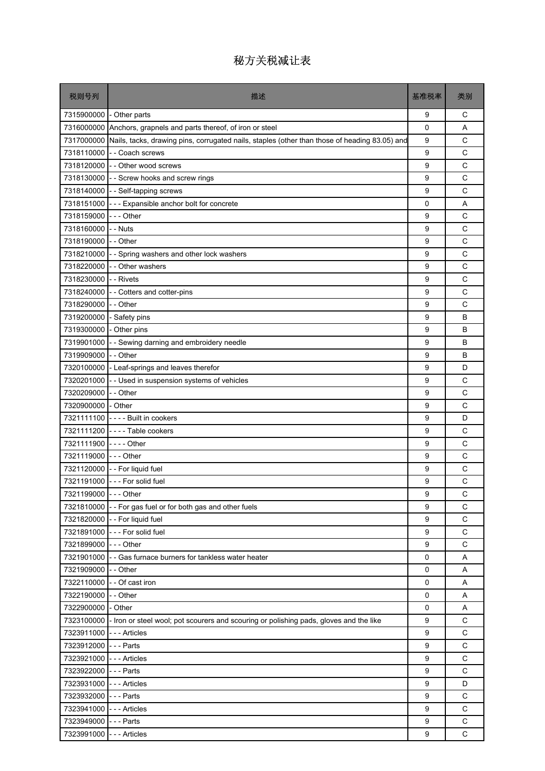| 税则号列                      | 描述                                                                                                | 基准税率        | 类别           |
|---------------------------|---------------------------------------------------------------------------------------------------|-------------|--------------|
| 7315900000 - Other parts  |                                                                                                   | 9           | С            |
| 7316000000                | Anchors, grapnels and parts thereof, of iron or steel                                             | 0           | A            |
| 7317000000                | Nails, tacks, drawing pins, corrugated nails, staples (other than those of heading 83.05) and     | 9           | $\mathsf{C}$ |
| 7318110000                | - - Coach screws                                                                                  | 9           | C            |
|                           | 7318120000 - - Other wood screws                                                                  | 9           | C            |
|                           | 7318130000 - - Screw hooks and screw rings                                                        | 9           | C            |
|                           | 7318140000 - - Self-tapping screws                                                                | 9           | C            |
|                           | 7318151000 - - - Expansible anchor bolt for concrete                                              | $\mathbf 0$ | A            |
| 7318159000                | $--$ Other                                                                                        | 9           | C            |
| 7318160000                | - - Nuts                                                                                          | 9           | C            |
| 7318190000 - - Other      |                                                                                                   | 9           | C            |
| 7318210000                | - - Spring washers and other lock washers                                                         | 9           | C            |
| 7318220000                | - - Other washers                                                                                 | 9           | C            |
| 7318230000                | - - Rivets                                                                                        | 9           | C            |
| 7318240000                | - - Cotters and cotter-pins                                                                       | 9           | C            |
| 7318290000                | - - Other                                                                                         | 9           | C            |
| 7319200000                | - Safety pins                                                                                     | 9           | B            |
| 7319300000 - Other pins   |                                                                                                   | 9           | B            |
| 7319901000                | - - Sewing darning and embroidery needle                                                          | 9           | B            |
| 7319909000                | - - Other                                                                                         | 9           | B            |
|                           | 7320100000 - Leaf-springs and leaves therefor                                                     | 9           | D            |
| 7320201000                | - - Used in suspension systems of vehicles                                                        | 9           | C            |
| 7320209000                | - - Other                                                                                         | 9           | C            |
| 7320900000 - Other        |                                                                                                   | 9           | C            |
|                           | 7321111100 - - - - Built in cookers                                                               | 9           | D            |
|                           | 7321111200 ---- Table cookers                                                                     | 9           | C            |
| 7321111900                | - - - - Other                                                                                     | 9           | C            |
| 7321119000 --- Other      |                                                                                                   | 9           | C            |
| 7321120000                | - - For liquid fuel                                                                               | 9           | C            |
|                           | 7321191000 --- For solid fuel                                                                     | 9           | С            |
| 7321199000 - - - Other    |                                                                                                   | g           | C            |
|                           | 7321810000 - - For gas fuel or for both gas and other fuels                                       | 9           | C            |
|                           | 7321820000 - - For liquid fuel                                                                    | 9           | C            |
|                           | 7321891000 --- For solid fuel                                                                     | 9           | $\mathsf C$  |
| 7321899000 --- Other      |                                                                                                   | 9           | C            |
|                           | 7321901000 - Gas furnace burners for tankless water heater                                        | $\mathsf 0$ | Α            |
| 7321909000 - - Other      |                                                                                                   | 0           | Α            |
|                           | 7322110000 - - Of cast iron                                                                       | 0           | Α            |
| 7322190000                | -- Other                                                                                          | $\mathsf 0$ | Α            |
| 7322900000 - Other        |                                                                                                   | 0           | Α            |
|                           | 7323100000 - Iron or steel wool; pot scourers and scouring or polishing pads, gloves and the like | 9           | $\mathsf{C}$ |
| 7323911000 - - - Articles |                                                                                                   | 9           | C            |
| 7323912000 --- Parts      |                                                                                                   | 9           | C            |
| 7323921000                | --- Articles                                                                                      | 9           | $\mathsf{C}$ |
| 7323922000 --- Parts      |                                                                                                   | 9           | C            |
| 7323931000 --- Articles   |                                                                                                   | 9           | D            |
| 7323932000 --- Parts      |                                                                                                   | 9           | C            |
| 7323941000 --- Articles   |                                                                                                   | 9           | C            |
| 7323949000                | - - - Parts                                                                                       | 9           | $\mathsf C$  |
| 7323991000 --- Articles   |                                                                                                   | 9           | C            |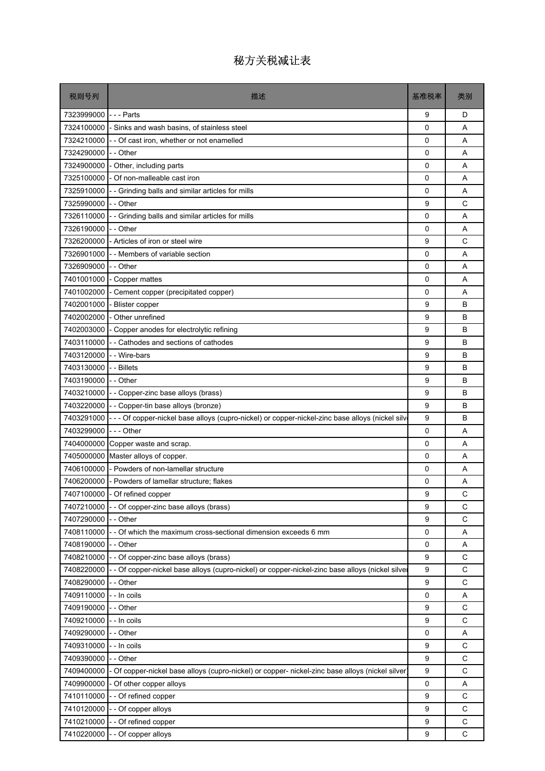| 税则号列       | 描述                                                                                              | 基准税率        | 类别          |
|------------|-------------------------------------------------------------------------------------------------|-------------|-------------|
| 7323999000 | - - - Parts                                                                                     | 9           | D           |
| 7324100000 | - Sinks and wash basins, of stainless steel                                                     | 0           | A           |
| 7324210000 | - Of cast iron, whether or not enamelled                                                        | 0           | A           |
| 7324290000 | - - Other                                                                                       | 0           | A           |
| 7324900000 | - Other, including parts                                                                        | 0           | A           |
| 7325100000 | Of non-malleable cast iron                                                                      | $\mathbf 0$ | A           |
| 7325910000 | - - Grinding balls and similar articles for mills                                               | 0           | Α           |
| 7325990000 | - - Other                                                                                       | 9           | C           |
| 7326110000 | - Grinding balls and similar articles for mills                                                 | 0           | A           |
| 7326190000 | - - Other                                                                                       | 0           | A           |
| 7326200000 | - Articles of iron or steel wire                                                                | 9           | C           |
| 7326901000 | - - Members of variable section                                                                 | 0           | A           |
| 7326909000 | - - Other                                                                                       | 0           | A           |
| 7401001000 | - Copper mattes                                                                                 | 0           | A           |
| 7401002000 | - Cement copper (precipitated copper)                                                           | 0           | A           |
| 7402001000 | Blister copper                                                                                  | 9           | B           |
| 7402002000 | - Other unrefined                                                                               | 9           | B           |
| 7402003000 | Copper anodes for electrolytic refining                                                         | 9           | B           |
| 7403110000 | - Cathodes and sections of cathodes                                                             | 9           | B           |
| 7403120000 | - - Wire-bars                                                                                   | 9           | B           |
| 7403130000 | - - Billets                                                                                     | 9           | B           |
| 7403190000 | - - Other                                                                                       | 9           | B           |
| 7403210000 | - Copper-zinc base alloys (brass)                                                               | 9           | B           |
| 7403220000 | - - Copper-tin base alloys (bronze)                                                             | 9           | B           |
| 7403291000 | --- Of copper-nickel base alloys (cupro-nickel) or copper-nickel-zinc base alloys (nickel silv  | 9           | B           |
| 7403299000 | -  - - Other                                                                                    | 0           | Α           |
| 7404000000 | Copper waste and scrap.                                                                         | 0           | A           |
| 7405000000 | Master alloys of copper.                                                                        | 0           | A           |
| 7406100000 | - Powders of non-lamellar structure                                                             | 0           | A           |
| 7406200000 | - Powders of lamellar structure; flakes                                                         | 0           | Α           |
|            | 7407100000 - Of refined copper                                                                  | 9           | С           |
| 7407210000 | - - Of copper-zinc base alloys (brass)                                                          | 9           | C           |
| 7407290000 | - - Other                                                                                       | 9           | С           |
| 7408110000 | - Of which the maximum cross-sectional dimension exceeds 6 mm                                   | 0           | Α           |
| 7408190000 | - - Other                                                                                       | 0           | Α           |
| 7408210000 | - Of copper-zinc base alloys (brass)                                                            | 9           | С           |
| 7408220000 | - Of copper-nickel base alloys (cupro-nickel) or copper-nickel-zinc base alloys (nickel silve   | 9           | C           |
| 7408290000 | - Other                                                                                         | 9           | C           |
| 7409110000 | - In coils                                                                                      | 0           | Α           |
| 7409190000 | - - Other                                                                                       | 9           | C           |
| 7409210000 | - - In coils                                                                                    | 9           | C           |
| 7409290000 | - - Other                                                                                       | 0           | Α           |
| 7409310000 | - - In coils                                                                                    | 9           | С           |
| 7409390000 | - - Other                                                                                       | 9           | C           |
| 7409400000 | - Of copper-nickel base alloys (cupro-nickel) or copper- nickel-zinc base alloys (nickel silver | 9           | $\mathsf C$ |
| 7409900000 | Of other copper alloys                                                                          | 0           | Α           |
| 7410110000 | -- Of refined copper                                                                            | 9           | C           |
| 7410120000 | - Of copper alloys                                                                              | 9           | C           |
| 7410210000 | - Of refined copper                                                                             | 9           | $\mathsf C$ |
| 7410220000 | - Of copper alloys                                                                              | 9           | С           |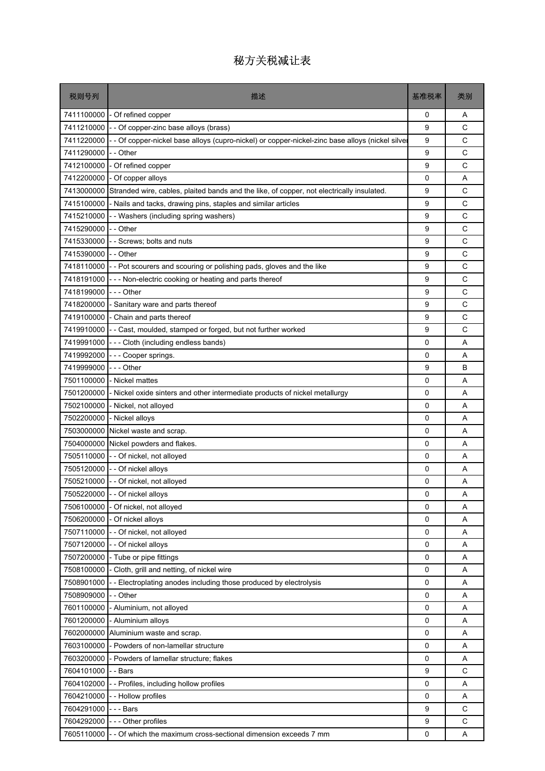| 税则号列       | 描述                                                                                            | 基准税率 | 类别           |
|------------|-----------------------------------------------------------------------------------------------|------|--------------|
| 7411100000 | - Of refined copper                                                                           | 0    | A            |
| 7411210000 | - - Of copper-zinc base alloys (brass)                                                        | 9    | C            |
| 7411220000 | - Of copper-nickel base alloys (cupro-nickel) or copper-nickel-zinc base alloys (nickel silve | 9    | C            |
| 7411290000 | -- Other                                                                                      | 9    | C            |
| 7412100000 | - Of refined copper                                                                           | 9    | C            |
| 7412200000 | - Of copper alloys                                                                            | 0    | A            |
| 7413000000 | Stranded wire, cables, plaited bands and the like, of copper, not electrically insulated.     | 9    | C            |
| 7415100000 | - Nails and tacks, drawing pins, staples and similar articles                                 | 9    | C            |
| 7415210000 | - - Washers (including spring washers)                                                        | 9    | C            |
| 7415290000 | -- Other                                                                                      | 9    | $\mathsf{C}$ |
| 7415330000 | - - Screws; bolts and nuts                                                                    | 9    | C            |
| 7415390000 | $I -$ Other                                                                                   | 9    | C            |
| 7418110000 | - - Pot scourers and scouring or polishing pads, gloves and the like                          | 9    | C            |
| 7418191000 | --- Non-electric cooking or heating and parts thereof                                         | 9    | C            |
| 7418199000 | $--$ Other                                                                                    | 9    | C            |
| 7418200000 | Sanitary ware and parts thereof                                                               | 9    | C            |
| 7419100000 | - Chain and parts thereof                                                                     | 9    | C            |
| 7419910000 | - Cast, moulded, stamped or forged, but not further worked                                    | 9    | C            |
| 7419991000 | --- Cloth (including endless bands)                                                           | 0    | A            |
| 7419992000 | --- Cooper springs.                                                                           | 0    | A            |
| 7419999000 | -  -  - Other                                                                                 | 9    | B            |
| 7501100000 | - Nickel mattes                                                                               | 0    | Α            |
| 7501200000 | - Nickel oxide sinters and other intermediate products of nickel metallurgy                   | 0    | A            |
| 7502100000 | - Nickel, not alloyed                                                                         | 0    | Α            |
| 7502200000 | - Nickel alloys                                                                               | 0    | A            |
| 7503000000 | Nickel waste and scrap.                                                                       | 0    | A            |
| 7504000000 | Nickel powders and flakes.                                                                    | 0    | Α            |
| 7505110000 | - - Of nickel, not alloyed                                                                    | 0    | A            |
| 7505120000 | - - Of nickel alloys                                                                          | 0    | A            |
|            | 7505210000 - - Of nickel, not alloyed                                                         | 0    | Α            |
|            | 7505220000 - - Of nickel alloys                                                               | 0    | Α            |
|            | 7506100000 - Of nickel, not alloyed                                                           | 0    | Α            |
| 7506200000 | - Of nickel alloys                                                                            | 0    | A            |
| 7507110000 | - - Of nickel, not alloyed                                                                    | 0    | Α            |
| 7507120000 | - Of nickel alloys                                                                            | 0    | A            |
| 7507200000 | - Tube or pipe fittings                                                                       | 0    | A            |
| 7508100000 | - Cloth, grill and netting, of nickel wire                                                    | 0    | Α            |
| 7508901000 | - Electroplating anodes including those produced by electrolysis                              | 0    | A            |
| 7508909000 | - Other                                                                                       | 0    | A            |
| 7601100000 | Aluminium, not alloyed                                                                        | 0    | Α            |
| 7601200000 | - Aluminium alloys                                                                            | 0    | Α            |
| 7602000000 | Aluminium waste and scrap.                                                                    | 0    | Α            |
| 7603100000 | - Powders of non-lamellar structure                                                           | 0    | A            |
| 7603200000 | - Powders of lamellar structure; flakes                                                       | 0    | Α            |
| 7604101000 | - Bars                                                                                        | 9    | C            |
| 7604102000 | - Profiles, including hollow profiles                                                         | 0    | A            |
| 7604210000 | - - Hollow profiles                                                                           | 0    | Α            |
| 7604291000 | -  -  -  Bars                                                                                 | 9    | C            |
| 7604292000 | --- Other profiles                                                                            | 9    | C            |
| 7605110000 | - Of which the maximum cross-sectional dimension exceeds 7 mm                                 | 0    | Α            |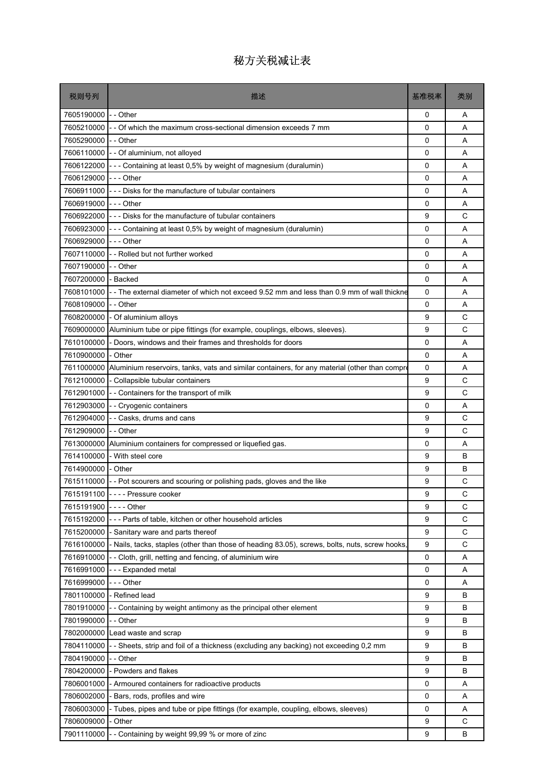| 税则号列                  | 描述                                                                                             | 基准税率 | 类别          |
|-----------------------|------------------------------------------------------------------------------------------------|------|-------------|
| 7605190000            | $I -$ Other                                                                                    | 0    | A           |
| 7605210000            | Of which the maximum cross-sectional dimension exceeds 7 mm                                    | 0    | A           |
| 7605290000            | -- Other                                                                                       | 0    | A           |
| 7606110000            | - - Of aluminium, not alloyed                                                                  | 0    | A           |
| 7606122000            | - - Containing at least 0,5% by weight of magnesium (duralumin)                                | 0    | A           |
| 7606129000            | $--$ Other                                                                                     | 0    | A           |
| 7606911000            | --- Disks for the manufacture of tubular containers                                            | 0    | Α           |
| 7606919000            | - - - Other                                                                                    | 0    | A           |
| 7606922000            | --- Disks for the manufacture of tubular containers                                            | 9    | C           |
| 7606923000            | - - - Containing at least 0,5% by weight of magnesium (duralumin)                              | 0    | A           |
| 7606929000            | --- Other                                                                                      | 0    | A           |
| 7607110000            | -- Rolled but not further worked                                                               | 0    | A           |
| 7607190000            | - - Other                                                                                      | 0    | A           |
| 7607200000            | - Backed                                                                                       | 0    | A           |
| 7608101000            | -- The external diameter of which not exceed 9.52 mm and less than 0.9 mm of wall thickne      | 0    | A           |
| 7608109000            | - - Other                                                                                      | 0    | A           |
| 7608200000            | - Of aluminium alloys                                                                          | 9    | C           |
| 7609000000            | Aluminium tube or pipe fittings (for example, couplings, elbows, sleeves).                     | 9    | C           |
| 7610100000            | - Doors, windows and their frames and thresholds for doors                                     | 0    | A           |
| 7610900000            | - Other                                                                                        | 0    | A           |
| 7611000000            | Aluminium reservoirs, tanks, vats and similar containers, for any material (other than compre  | 0    | A           |
| 7612100000            | - Collapsible tubular containers                                                               | 9    | C           |
| 7612901000            | - Containers for the transport of milk                                                         | 9    | C           |
| 7612903000            | - - Cryogenic containers                                                                       | 0    | A           |
| 7612904000            | -- Casks, drums and cans                                                                       | 9    | C           |
| 7612909000            | - - Other                                                                                      | 9    | С           |
| 7613000000            | Aluminium containers for compressed or liquefied gas.                                          | 0    | Α           |
| 7614100000            | - With steel core                                                                              | 9    | B           |
| 7614900000            | - Other                                                                                        | 9    | B           |
| 7615110000 -          | - Pot scourers and scouring or polishing pads, gloves and the like                             | 9    | C           |
|                       | 7615191100 ---- Pressure cooker                                                                | 9    | C           |
| 7615191900 ---- Other |                                                                                                | 9    | C           |
| 7615192000            | - - Parts of table, kitchen or other household articles                                        | 9    | C           |
| 7615200000            | - Sanitary ware and parts thereof                                                              | 9    | $\mathsf C$ |
| 7616100000            | - Nails, tacks, staples (other than those of heading 83.05), screws, bolts, nuts, screw hooks, | 9    | C           |
| 7616910000            | - Cloth, grill, netting and fencing, of aluminium wire                                         | 0    | A           |
| 7616991000            | --- Expanded metal                                                                             | 0    | Α           |
| 7616999000            | - - - Other                                                                                    | 0    | A           |
| 7801100000            | - Refined lead                                                                                 | 9    | B           |
| 7801910000            | Containing by weight antimony as the principal other element                                   | 9    | B           |
| 7801990000            | - - Other                                                                                      | 9    | В           |
| 7802000000            | Lead waste and scrap                                                                           | 9    | B           |
| 7804110000            | Sheets, strip and foil of a thickness (excluding any backing) not exceeding 0,2 mm             | 9    | B           |
| 7804190000            | - Other                                                                                        | 9    | B           |
| 7804200000            | - Powders and flakes                                                                           | 9    | B           |
| 7806001000            | - Armoured containers for radioactive products                                                 | 0    | Α           |
| 7806002000            | - Bars, rods, profiles and wire                                                                | 0    | Α           |
| 7806003000            | - Tubes, pipes and tube or pipe fittings (for example, coupling, elbows, sleeves)              | 0    | Α           |
| 7806009000            | Other                                                                                          | 9    | C           |
| 7901110000            | - Containing by weight 99,99 % or more of zinc                                                 | 9    | B           |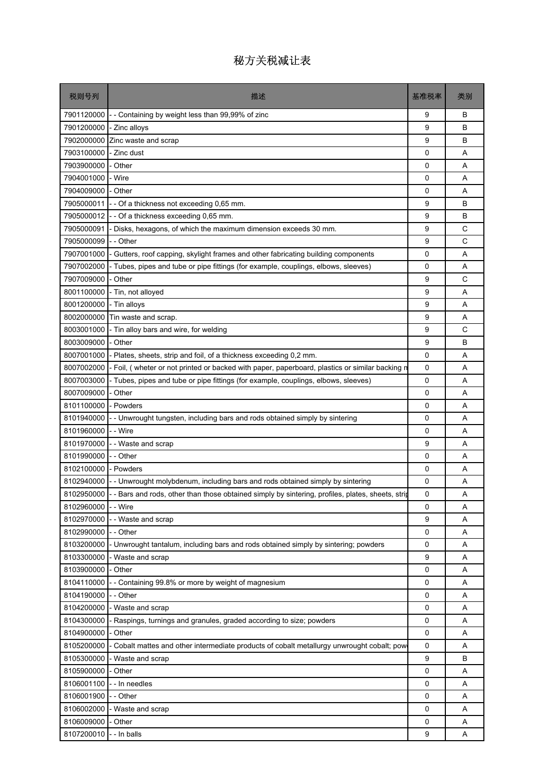| 税则号列                     | 描述                                                                                                           | 基准税率     | 类别     |
|--------------------------|--------------------------------------------------------------------------------------------------------------|----------|--------|
| 7901120000               | -- Containing by weight less than 99,99% of zinc                                                             | 9        | В      |
| 7901200000               | - Zinc alloys                                                                                                | 9        | В      |
| 7902000000               | Zinc waste and scrap                                                                                         | 9        | B      |
| 7903100000               | - Zinc dust                                                                                                  | 0        | Α      |
| 7903900000               | Other                                                                                                        | 0        | A      |
| 7904001000               | - Wire                                                                                                       | 0        | A      |
| 7904009000               | Other                                                                                                        | 0        | A      |
| 7905000011               | - Of a thickness not exceeding 0,65 mm.                                                                      | 9        | B      |
| 7905000012               | - Of a thickness exceeding 0,65 mm.                                                                          | 9        | B      |
| 7905000091               | Disks, hexagons, of which the maximum dimension exceeds 30 mm.                                               | 9        | C      |
| 7905000099               | -- Other                                                                                                     | 9        | C      |
| 7907001000               | Gutters, roof capping, skylight frames and other fabricating building components                             | 0        | A      |
| 7907002000               | Tubes, pipes and tube or pipe fittings (for example, couplings, elbows, sleeves)                             | 0        | A      |
| 7907009000               | Other                                                                                                        | 9        | C      |
| 8001100000               | - Tin, not alloyed                                                                                           | 9        | A      |
| 8001200000               | - Tin alloys                                                                                                 | 9        | A      |
| 8002000000               | Tin waste and scrap.                                                                                         | 9        | Α      |
| 8003001000               | - Tin alloy bars and wire, for welding                                                                       | 9        | C      |
| 8003009000               | - Other                                                                                                      | 9        | B      |
| 8007001000               | Plates, sheets, strip and foil, of a thickness exceeding 0,2 mm.                                             | 0        | A      |
| 8007002000               | - Foil, (wheter or not printed or backed with paper, paperboard, plastics or similar backing n               | 0        | A      |
| 8007003000               | - Tubes, pipes and tube or pipe fittings (for example, couplings, elbows, sleeves)                           | 0        | A      |
| 8007009000               | Other                                                                                                        | 0        | A      |
| 8101100000               | - Powders                                                                                                    | 0        | Α      |
| 8101940000               | - Unwrought tungsten, including bars and rods obtained simply by sintering                                   | 0        | A      |
| 8101960000               | - - Wire                                                                                                     | 0        | A      |
| 8101970000               | - - Waste and scrap                                                                                          | 9        | Α      |
| 8101990000               | -- Other                                                                                                     | 0        | A      |
| 8102100000               | - Powders                                                                                                    | 0        | A      |
| 8102940000               | - Unwrought molybdenum, including bars and rods obtained simply by sintering                                 | 0        | Α      |
|                          | 8102950000 - - Bars and rods, other than those obtained simply by sintering, profiles, plates, sheets, strip | 0        | Α      |
| 8102960000               | - - Wire                                                                                                     | $\Omega$ | A      |
| 8102970000               | - Waste and scrap                                                                                            | 9        | Α      |
| 8102990000               | - - Other                                                                                                    | 0        | Α      |
| 8103200000               | Unwrought tantalum, including bars and rods obtained simply by sintering; powders                            | 0        | Α      |
| 8103300000               | - Waste and scrap                                                                                            | 9        | A      |
| 8103900000               | Other                                                                                                        | 0        | Α      |
| 8104110000               | - Containing 99.8% or more by weight of magnesium                                                            | 0        | Α      |
| 8104190000               | - Other                                                                                                      | 0        | A      |
| 8104200000               | - Waste and scrap                                                                                            | 0        | A      |
| 8104300000               | - Raspings, turnings and granules, graded according to size; powders                                         | 0        | Α      |
| 8104900000<br>8105200000 | - Other<br>Cobalt mattes and other intermediate products of cobalt metallurgy unwrought cobalt; pow          | 0<br>0   | A<br>Α |
|                          |                                                                                                              |          |        |
| 8105300000<br>8105900000 | - Waste and scrap                                                                                            | 9<br>0   | В      |
| 8106001100               | - Other<br>- - In needles                                                                                    | 0        | Α<br>A |
| 8106001900               | -- Other                                                                                                     | 0        | Α      |
| 8106002000               | - Waste and scrap                                                                                            | 0        | A      |
| 8106009000               | - Other                                                                                                      | 0        | Α      |
| 8107200010               | - - In balls                                                                                                 | 9        | Α      |
|                          |                                                                                                              |          |        |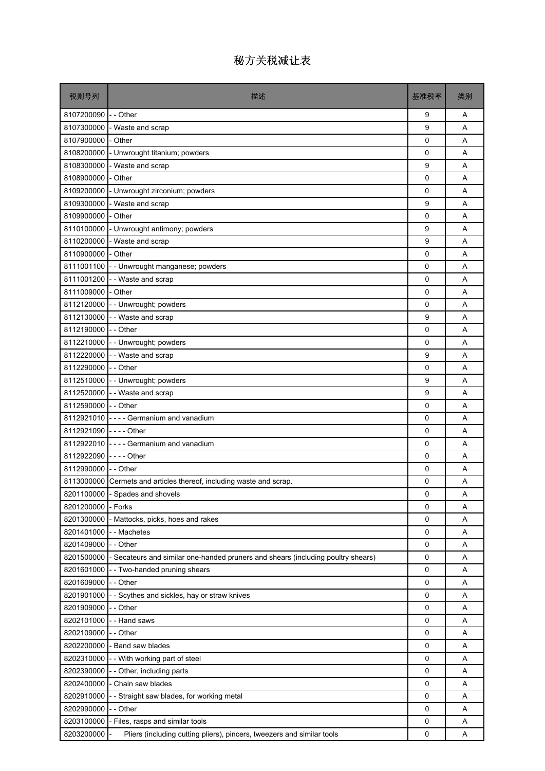| 税则号列                  | 描述                                                                               | 基准税率         | 类别 |
|-----------------------|----------------------------------------------------------------------------------|--------------|----|
| 8107200090 - - Other  |                                                                                  | 9            | A  |
|                       | 8107300000 - Waste and scrap                                                     | 9            | A  |
| 8107900000            | - Other                                                                          | 0            | A  |
| 8108200000            | - Unwrought titanium; powders                                                    | 0            | A  |
| 8108300000            | - Waste and scrap                                                                | 9            | A  |
| 8108900000            | - Other                                                                          | 0            | A  |
| 8109200000            | - Unwrought zirconium; powders                                                   | 0            | Α  |
|                       | 8109300000 - Waste and scrap                                                     | 9            | A  |
| 8109900000            | - Other                                                                          | 0            | A  |
|                       | 8110100000 - Unwrought antimony; powders                                         | 9            | Α  |
|                       | 8110200000 - Waste and scrap                                                     | 9            | A  |
| 8110900000 - Other    |                                                                                  | $\mathbf{0}$ | A  |
|                       | 8111001100 - Unwrought manganese; powders                                        | 0            | Α  |
|                       | 8111001200 - - Waste and scrap                                                   | 0            | A  |
| 8111009000 - Other    |                                                                                  | 0            | A  |
|                       | 8112120000 - - Unwrought; powders                                                | 0            | A  |
|                       | 8112130000 - - Waste and scrap                                                   | 9            | Α  |
| 8112190000 - - Other  |                                                                                  | 0            | A  |
|                       | 8112210000 - - Unwrought; powders                                                | 0            | A  |
|                       | 8112220000 - - Waste and scrap                                                   | 9            | Α  |
| 8112290000 - - Other  |                                                                                  | 0            | A  |
|                       | 8112510000 - - Unwrought; powders                                                | 9            | A  |
|                       | 8112520000 - - Waste and scrap                                                   | 9            | A  |
| 8112590000 - - Other  |                                                                                  | 0            | A  |
|                       | 8112921010 - - - - Germanium and vanadium                                        | 0            | A  |
| 8112921090 ---- Other |                                                                                  | 0            | A  |
|                       | 8112922010 ---- Germanium and vanadium                                           | 0            | A  |
| 8112922090 ---- Other |                                                                                  | 0            | A  |
| 8112990000 - - Other  |                                                                                  | 0            | A  |
|                       | 8113000000 Cermets and articles thereof, including waste and scrap.              | 0            | Α  |
|                       | 8201100000 - Spades and shovels                                                  | 0            | Α  |
| 8201200000 - Forks    |                                                                                  | $\Omega$     | A  |
| 8201300000            | - Mattocks, picks, hoes and rakes                                                | 0            | Α  |
| 8201401000            | - - Machetes                                                                     | 0            | Α  |
| 8201409000 - - Other  |                                                                                  | 0            | Α  |
| 8201500000            | - Secateurs and similar one-handed pruners and shears (including poultry shears) | 0            | Α  |
| 8201601000            | - - Two-handed pruning shears                                                    | 0            | Α  |
| 8201609000            | - - Other                                                                        | $\mathbf 0$  | Α  |
| 8201901000            | - Scythes and sickles, hay or straw knives                                       | 0            | Α  |
| 8201909000            | - - Other                                                                        | 0            | Α  |
| 8202101000            | - - Hand saws                                                                    | 0            | Α  |
| 8202109000 - - Other  |                                                                                  | 0            | Α  |
| 8202200000            | - Band saw blades                                                                | 0            | Α  |
| 8202310000            | -- With working part of steel                                                    | 0            | Α  |
| 8202390000            | - - Other, including parts                                                       | 0            | Α  |
| 8202400000            | - Chain saw blades                                                               | 0            | Α  |
| 8202910000            | -- Straight saw blades, for working metal                                        | 0            | Α  |
| 8202990000            | - - Other                                                                        | 0            | Α  |
| 8203100000            | - Files, rasps and similar tools                                                 | 0            | Α  |
| 8203200000            | Pliers (including cutting pliers), pincers, tweezers and similar tools           | 0            | A  |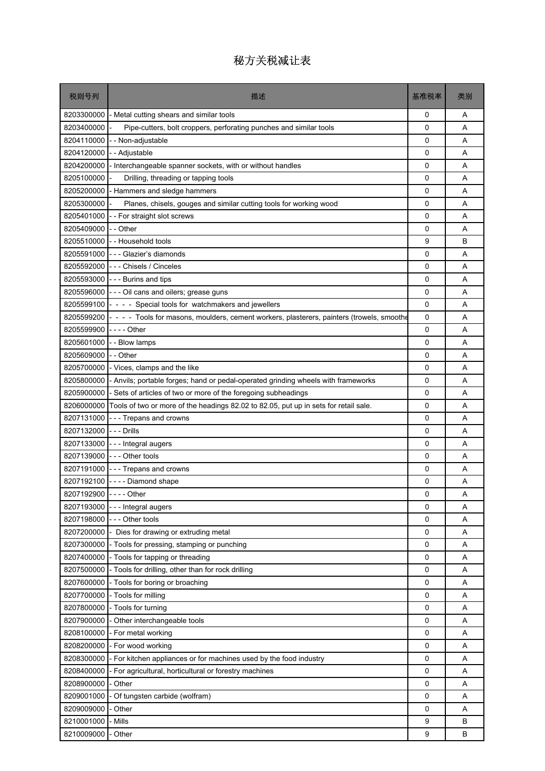| 税则号列                  | 描述                                                                                         | 基准税率        | 类别 |
|-----------------------|--------------------------------------------------------------------------------------------|-------------|----|
| 8203300000            | - Metal cutting shears and similar tools                                                   | 0           | Α  |
| 8203400000            | Pipe-cutters, bolt croppers, perforating punches and similar tools                         | 0           | A  |
| 8204110000            | - Non-adjustable                                                                           | 0           | A  |
| 8204120000            | - Adjustable                                                                               | 0           | Α  |
| 8204200000            | Interchangeable spanner sockets, with or without handles                                   | 0           | A  |
| 8205100000            | Drilling, threading or tapping tools                                                       | $\mathbf 0$ | A  |
| 8205200000            | Hammers and sledge hammers                                                                 | 0           | Α  |
| 8205300000            | Planes, chisels, gouges and similar cutting tools for working wood                         | 0           | A  |
| 8205401000            | - For straight slot screws                                                                 | 0           | A  |
| 8205409000            | - Other                                                                                    | 0           | A  |
| 8205510000            | - - Household tools                                                                        | 9           | B  |
| 8205591000            | --- Glazier's diamonds                                                                     | 0           | Α  |
| 8205592000            | --- Chisels / Cinceles                                                                     | 0           | A  |
| 8205593000            | --- Burins and tips                                                                        | 0           | A  |
| 8205596000            | - - - Oil cans and oilers; grease guns                                                     | 0           | A  |
| 8205599100            | - - - - Special tools for watchmakers and jewellers                                        | 0           | A  |
| 8205599200            | - - - - Tools for masons, moulders, cement workers, plasterers, painters (trowels, smoothe | 0           | Α  |
| 8205599900            | - - - - Other                                                                              | 0           | A  |
| 8205601000            | - - Blow lamps                                                                             | 0           | A  |
| 8205609000            | - - Other                                                                                  | 0           | A  |
| 8205700000            | - Vices, clamps and the like                                                               | 0           | Α  |
| 8205800000            | - Anvils; portable forges; hand or pedal-operated grinding wheels with frameworks          | 0           | A  |
| 8205900000            | - Sets of articles of two or more of the foregoing subheadings                             | 0           | A  |
| 8206000000            | Tools of two or more of the headings 82.02 to 82.05, put up in sets for retail sale.       | 0           | Α  |
| 8207131000            | --- Trepans and crowns                                                                     | 0           | A  |
| 8207132000            | - - - Drills                                                                               | $\mathbf 0$ | A  |
| 8207133000            | --- Integral augers                                                                        | 0           | Α  |
| 8207139000            | - - - Other tools                                                                          | 0           | A  |
| 8207191000            | --- Trepans and crowns                                                                     | 0           | A  |
|                       | 8207192100 ---- Diamond shape                                                              | 0           | Α  |
| 8207192900 ---- Other |                                                                                            | 0           | Α  |
| 8207193000            | --- Integral augers                                                                        | 0           | Α  |
| 8207198000            | - - - Other tools                                                                          | 0           | Α  |
| 8207200000            | Dies for drawing or extruding metal                                                        | 0           | Α  |
| 8207300000            | - Tools for pressing, stamping or punching                                                 | 0           | A  |
| 8207400000            | - Tools for tapping or threading                                                           | 0           | A  |
| 8207500000            | - Tools for drilling, other than for rock drilling                                         | 0           | Α  |
| 8207600000            | - Tools for boring or broaching                                                            | 0           | Α  |
| 8207700000            | - Tools for milling                                                                        | 0           | Α  |
| 8207800000            | - Tools for turning                                                                        | 0           | A  |
| 8207900000            | - Other interchangeable tools                                                              | 0           | Α  |
| 8208100000            | - For metal working                                                                        | 0           | Α  |
| 8208200000            | - For wood working                                                                         | 0           | A  |
| 8208300000            | - For kitchen appliances or for machines used by the food industry                         | 0           | Α  |
| 8208400000            | For agricultural, horticultural or forestry machines                                       | 0           | A  |
| 8208900000            | - Other                                                                                    | 0           | Α  |
| 8209001000            | Of tungsten carbide (wolfram)                                                              | 0           | Α  |
| 8209009000            | Other                                                                                      | 0           | Α  |
| 8210001000            | Mills                                                                                      | 9           | B  |
| 8210009000            | Other                                                                                      | 9           | В  |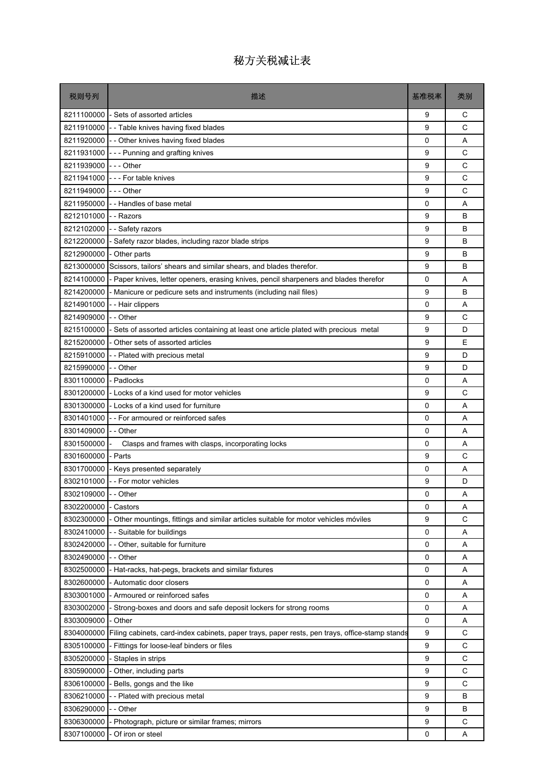| 8211100000<br>- Sets of assorted articles<br>9<br>С<br>C<br>8211910000<br>9<br>-- Table knives having fixed blades<br>$\mathbf 0$<br>A<br>8211920000<br>- - Other knives having fixed blades<br>8211931000<br>C<br>--- Punning and grafting knives<br>9<br>C<br>8211939000<br>$--$ Other<br>9<br>C<br>8211941000<br>--- For table knives<br>9<br>C<br>8211949000<br>--- Other<br>9<br>8211950000<br>- - Handles of base metal<br>0<br>A<br>B<br>8212101000<br>9<br>- - Razors<br>8212102000<br>9<br>B<br>-- Safety razors<br>8212200000<br>B<br>- Safety razor blades, including razor blade strips<br>9<br>8212900000<br>- Other parts<br>9<br>B<br>9<br>B<br>8213000000<br>Scissors, tailors' shears and similar shears, and blades therefor.<br>8214100000<br>0<br>A<br>- Paper knives, letter openers, erasing knives, pencil sharpeners and blades therefor<br>8214200000<br>- Manicure or pedicure sets and instruments (including nail files)<br>9<br>B<br>8214901000<br>0<br>A<br>- - Hair clippers<br>8214909000<br>C<br>- - Other<br>9<br>8215100000<br>9<br>D<br>- Sets of assorted articles containing at least one article plated with precious metal<br>E<br>8215200000<br>- Other sets of assorted articles<br>9<br>8215910000<br>9<br>D<br>-- Plated with precious metal<br>8215990000<br>- - Other<br>9<br>D<br>8301100000<br>- Padlocks<br>0<br>A<br>9<br>C<br>8301200000<br>- Locks of a kind used for motor vehicles<br>8301300000<br>- Locks of a kind used for furniture<br>0<br>A<br>8301401000<br>-- For armoured or reinforced safes<br>0<br>A<br>8301409000<br>- - Other<br>0<br>A<br>8301500000<br>Clasps and frames with clasps, incorporating locks<br>0<br>A<br>8301600000<br>- Parts<br>9<br>C<br>0<br>A<br>8301700000<br>- Keys presented separately<br>8302101000 - For motor vehicles<br>9<br>D<br>8302109000 - - Other<br>0<br>Α<br>8302200000<br>0<br>Α<br>- Castors<br>9<br>C<br>8302300000<br>Other mountings, fittings and similar articles suitable for motor vehicles móviles<br>8302410000<br>- - Suitable for buildings<br>0<br>Α<br>$\mathbf 0$<br>8302420000<br>- Other, suitable for furniture<br>Α<br>8302490000<br>- - Other<br>0<br>Α<br>8302500000<br>0<br>- Hat-racks, hat-pegs, brackets and similar fixtures<br>Α<br>8302600000<br>0<br>- Automatic door closers<br>Α<br>8303001000<br>- Armoured or reinforced safes<br>0<br>Α<br>8303002000<br>Strong-boxes and doors and safe deposit lockers for strong rooms<br>0<br>Α<br>8303009000<br>- Other<br>0<br>Α<br>9<br>C<br>8304000000<br>Filing cabinets, card-index cabinets, paper trays, paper rests, pen trays, office-stamp stands<br>8305100000<br>9<br>C<br>Fittings for loose-leaf binders or files<br>C<br>8305200000<br>9<br>- Staples in strips<br>C<br>8305900000<br>- Other, including parts<br>9<br>$\mathsf C$<br>8306100000<br>Bells, gongs and the like<br>9<br>8306210000<br>-- Plated with precious metal<br>9<br>в<br>9<br>B<br>8306290000<br>- - Other<br>C<br>9<br>8306300000<br>Photograph, picture or similar frames; mirrors | 税则号列       | 描述               | 基准税率 | 类别 |
|-------------------------------------------------------------------------------------------------------------------------------------------------------------------------------------------------------------------------------------------------------------------------------------------------------------------------------------------------------------------------------------------------------------------------------------------------------------------------------------------------------------------------------------------------------------------------------------------------------------------------------------------------------------------------------------------------------------------------------------------------------------------------------------------------------------------------------------------------------------------------------------------------------------------------------------------------------------------------------------------------------------------------------------------------------------------------------------------------------------------------------------------------------------------------------------------------------------------------------------------------------------------------------------------------------------------------------------------------------------------------------------------------------------------------------------------------------------------------------------------------------------------------------------------------------------------------------------------------------------------------------------------------------------------------------------------------------------------------------------------------------------------------------------------------------------------------------------------------------------------------------------------------------------------------------------------------------------------------------------------------------------------------------------------------------------------------------------------------------------------------------------------------------------------------------------------------------------------------------------------------------------------------------------------------------------------------------------------------------------------------------------------------------------------------------------------------------------------------------------------------------------------------------------------------------------------------------------------------------------------------------------------------------------------------------------------------------------------------------------------------------------------------------------------------------------------------------------------------------------------------------------------------------------------------------------------------------------------------------------------------------------------------------------------------------------|------------|------------------|------|----|
|                                                                                                                                                                                                                                                                                                                                                                                                                                                                                                                                                                                                                                                                                                                                                                                                                                                                                                                                                                                                                                                                                                                                                                                                                                                                                                                                                                                                                                                                                                                                                                                                                                                                                                                                                                                                                                                                                                                                                                                                                                                                                                                                                                                                                                                                                                                                                                                                                                                                                                                                                                                                                                                                                                                                                                                                                                                                                                                                                                                                                                                             |            |                  |      |    |
|                                                                                                                                                                                                                                                                                                                                                                                                                                                                                                                                                                                                                                                                                                                                                                                                                                                                                                                                                                                                                                                                                                                                                                                                                                                                                                                                                                                                                                                                                                                                                                                                                                                                                                                                                                                                                                                                                                                                                                                                                                                                                                                                                                                                                                                                                                                                                                                                                                                                                                                                                                                                                                                                                                                                                                                                                                                                                                                                                                                                                                                             |            |                  |      |    |
|                                                                                                                                                                                                                                                                                                                                                                                                                                                                                                                                                                                                                                                                                                                                                                                                                                                                                                                                                                                                                                                                                                                                                                                                                                                                                                                                                                                                                                                                                                                                                                                                                                                                                                                                                                                                                                                                                                                                                                                                                                                                                                                                                                                                                                                                                                                                                                                                                                                                                                                                                                                                                                                                                                                                                                                                                                                                                                                                                                                                                                                             |            |                  |      |    |
|                                                                                                                                                                                                                                                                                                                                                                                                                                                                                                                                                                                                                                                                                                                                                                                                                                                                                                                                                                                                                                                                                                                                                                                                                                                                                                                                                                                                                                                                                                                                                                                                                                                                                                                                                                                                                                                                                                                                                                                                                                                                                                                                                                                                                                                                                                                                                                                                                                                                                                                                                                                                                                                                                                                                                                                                                                                                                                                                                                                                                                                             |            |                  |      |    |
|                                                                                                                                                                                                                                                                                                                                                                                                                                                                                                                                                                                                                                                                                                                                                                                                                                                                                                                                                                                                                                                                                                                                                                                                                                                                                                                                                                                                                                                                                                                                                                                                                                                                                                                                                                                                                                                                                                                                                                                                                                                                                                                                                                                                                                                                                                                                                                                                                                                                                                                                                                                                                                                                                                                                                                                                                                                                                                                                                                                                                                                             |            |                  |      |    |
|                                                                                                                                                                                                                                                                                                                                                                                                                                                                                                                                                                                                                                                                                                                                                                                                                                                                                                                                                                                                                                                                                                                                                                                                                                                                                                                                                                                                                                                                                                                                                                                                                                                                                                                                                                                                                                                                                                                                                                                                                                                                                                                                                                                                                                                                                                                                                                                                                                                                                                                                                                                                                                                                                                                                                                                                                                                                                                                                                                                                                                                             |            |                  |      |    |
|                                                                                                                                                                                                                                                                                                                                                                                                                                                                                                                                                                                                                                                                                                                                                                                                                                                                                                                                                                                                                                                                                                                                                                                                                                                                                                                                                                                                                                                                                                                                                                                                                                                                                                                                                                                                                                                                                                                                                                                                                                                                                                                                                                                                                                                                                                                                                                                                                                                                                                                                                                                                                                                                                                                                                                                                                                                                                                                                                                                                                                                             |            |                  |      |    |
|                                                                                                                                                                                                                                                                                                                                                                                                                                                                                                                                                                                                                                                                                                                                                                                                                                                                                                                                                                                                                                                                                                                                                                                                                                                                                                                                                                                                                                                                                                                                                                                                                                                                                                                                                                                                                                                                                                                                                                                                                                                                                                                                                                                                                                                                                                                                                                                                                                                                                                                                                                                                                                                                                                                                                                                                                                                                                                                                                                                                                                                             |            |                  |      |    |
|                                                                                                                                                                                                                                                                                                                                                                                                                                                                                                                                                                                                                                                                                                                                                                                                                                                                                                                                                                                                                                                                                                                                                                                                                                                                                                                                                                                                                                                                                                                                                                                                                                                                                                                                                                                                                                                                                                                                                                                                                                                                                                                                                                                                                                                                                                                                                                                                                                                                                                                                                                                                                                                                                                                                                                                                                                                                                                                                                                                                                                                             |            |                  |      |    |
|                                                                                                                                                                                                                                                                                                                                                                                                                                                                                                                                                                                                                                                                                                                                                                                                                                                                                                                                                                                                                                                                                                                                                                                                                                                                                                                                                                                                                                                                                                                                                                                                                                                                                                                                                                                                                                                                                                                                                                                                                                                                                                                                                                                                                                                                                                                                                                                                                                                                                                                                                                                                                                                                                                                                                                                                                                                                                                                                                                                                                                                             |            |                  |      |    |
|                                                                                                                                                                                                                                                                                                                                                                                                                                                                                                                                                                                                                                                                                                                                                                                                                                                                                                                                                                                                                                                                                                                                                                                                                                                                                                                                                                                                                                                                                                                                                                                                                                                                                                                                                                                                                                                                                                                                                                                                                                                                                                                                                                                                                                                                                                                                                                                                                                                                                                                                                                                                                                                                                                                                                                                                                                                                                                                                                                                                                                                             |            |                  |      |    |
|                                                                                                                                                                                                                                                                                                                                                                                                                                                                                                                                                                                                                                                                                                                                                                                                                                                                                                                                                                                                                                                                                                                                                                                                                                                                                                                                                                                                                                                                                                                                                                                                                                                                                                                                                                                                                                                                                                                                                                                                                                                                                                                                                                                                                                                                                                                                                                                                                                                                                                                                                                                                                                                                                                                                                                                                                                                                                                                                                                                                                                                             |            |                  |      |    |
|                                                                                                                                                                                                                                                                                                                                                                                                                                                                                                                                                                                                                                                                                                                                                                                                                                                                                                                                                                                                                                                                                                                                                                                                                                                                                                                                                                                                                                                                                                                                                                                                                                                                                                                                                                                                                                                                                                                                                                                                                                                                                                                                                                                                                                                                                                                                                                                                                                                                                                                                                                                                                                                                                                                                                                                                                                                                                                                                                                                                                                                             |            |                  |      |    |
|                                                                                                                                                                                                                                                                                                                                                                                                                                                                                                                                                                                                                                                                                                                                                                                                                                                                                                                                                                                                                                                                                                                                                                                                                                                                                                                                                                                                                                                                                                                                                                                                                                                                                                                                                                                                                                                                                                                                                                                                                                                                                                                                                                                                                                                                                                                                                                                                                                                                                                                                                                                                                                                                                                                                                                                                                                                                                                                                                                                                                                                             |            |                  |      |    |
|                                                                                                                                                                                                                                                                                                                                                                                                                                                                                                                                                                                                                                                                                                                                                                                                                                                                                                                                                                                                                                                                                                                                                                                                                                                                                                                                                                                                                                                                                                                                                                                                                                                                                                                                                                                                                                                                                                                                                                                                                                                                                                                                                                                                                                                                                                                                                                                                                                                                                                                                                                                                                                                                                                                                                                                                                                                                                                                                                                                                                                                             |            |                  |      |    |
|                                                                                                                                                                                                                                                                                                                                                                                                                                                                                                                                                                                                                                                                                                                                                                                                                                                                                                                                                                                                                                                                                                                                                                                                                                                                                                                                                                                                                                                                                                                                                                                                                                                                                                                                                                                                                                                                                                                                                                                                                                                                                                                                                                                                                                                                                                                                                                                                                                                                                                                                                                                                                                                                                                                                                                                                                                                                                                                                                                                                                                                             |            |                  |      |    |
|                                                                                                                                                                                                                                                                                                                                                                                                                                                                                                                                                                                                                                                                                                                                                                                                                                                                                                                                                                                                                                                                                                                                                                                                                                                                                                                                                                                                                                                                                                                                                                                                                                                                                                                                                                                                                                                                                                                                                                                                                                                                                                                                                                                                                                                                                                                                                                                                                                                                                                                                                                                                                                                                                                                                                                                                                                                                                                                                                                                                                                                             |            |                  |      |    |
|                                                                                                                                                                                                                                                                                                                                                                                                                                                                                                                                                                                                                                                                                                                                                                                                                                                                                                                                                                                                                                                                                                                                                                                                                                                                                                                                                                                                                                                                                                                                                                                                                                                                                                                                                                                                                                                                                                                                                                                                                                                                                                                                                                                                                                                                                                                                                                                                                                                                                                                                                                                                                                                                                                                                                                                                                                                                                                                                                                                                                                                             |            |                  |      |    |
|                                                                                                                                                                                                                                                                                                                                                                                                                                                                                                                                                                                                                                                                                                                                                                                                                                                                                                                                                                                                                                                                                                                                                                                                                                                                                                                                                                                                                                                                                                                                                                                                                                                                                                                                                                                                                                                                                                                                                                                                                                                                                                                                                                                                                                                                                                                                                                                                                                                                                                                                                                                                                                                                                                                                                                                                                                                                                                                                                                                                                                                             |            |                  |      |    |
|                                                                                                                                                                                                                                                                                                                                                                                                                                                                                                                                                                                                                                                                                                                                                                                                                                                                                                                                                                                                                                                                                                                                                                                                                                                                                                                                                                                                                                                                                                                                                                                                                                                                                                                                                                                                                                                                                                                                                                                                                                                                                                                                                                                                                                                                                                                                                                                                                                                                                                                                                                                                                                                                                                                                                                                                                                                                                                                                                                                                                                                             |            |                  |      |    |
|                                                                                                                                                                                                                                                                                                                                                                                                                                                                                                                                                                                                                                                                                                                                                                                                                                                                                                                                                                                                                                                                                                                                                                                                                                                                                                                                                                                                                                                                                                                                                                                                                                                                                                                                                                                                                                                                                                                                                                                                                                                                                                                                                                                                                                                                                                                                                                                                                                                                                                                                                                                                                                                                                                                                                                                                                                                                                                                                                                                                                                                             |            |                  |      |    |
|                                                                                                                                                                                                                                                                                                                                                                                                                                                                                                                                                                                                                                                                                                                                                                                                                                                                                                                                                                                                                                                                                                                                                                                                                                                                                                                                                                                                                                                                                                                                                                                                                                                                                                                                                                                                                                                                                                                                                                                                                                                                                                                                                                                                                                                                                                                                                                                                                                                                                                                                                                                                                                                                                                                                                                                                                                                                                                                                                                                                                                                             |            |                  |      |    |
|                                                                                                                                                                                                                                                                                                                                                                                                                                                                                                                                                                                                                                                                                                                                                                                                                                                                                                                                                                                                                                                                                                                                                                                                                                                                                                                                                                                                                                                                                                                                                                                                                                                                                                                                                                                                                                                                                                                                                                                                                                                                                                                                                                                                                                                                                                                                                                                                                                                                                                                                                                                                                                                                                                                                                                                                                                                                                                                                                                                                                                                             |            |                  |      |    |
|                                                                                                                                                                                                                                                                                                                                                                                                                                                                                                                                                                                                                                                                                                                                                                                                                                                                                                                                                                                                                                                                                                                                                                                                                                                                                                                                                                                                                                                                                                                                                                                                                                                                                                                                                                                                                                                                                                                                                                                                                                                                                                                                                                                                                                                                                                                                                                                                                                                                                                                                                                                                                                                                                                                                                                                                                                                                                                                                                                                                                                                             |            |                  |      |    |
|                                                                                                                                                                                                                                                                                                                                                                                                                                                                                                                                                                                                                                                                                                                                                                                                                                                                                                                                                                                                                                                                                                                                                                                                                                                                                                                                                                                                                                                                                                                                                                                                                                                                                                                                                                                                                                                                                                                                                                                                                                                                                                                                                                                                                                                                                                                                                                                                                                                                                                                                                                                                                                                                                                                                                                                                                                                                                                                                                                                                                                                             |            |                  |      |    |
|                                                                                                                                                                                                                                                                                                                                                                                                                                                                                                                                                                                                                                                                                                                                                                                                                                                                                                                                                                                                                                                                                                                                                                                                                                                                                                                                                                                                                                                                                                                                                                                                                                                                                                                                                                                                                                                                                                                                                                                                                                                                                                                                                                                                                                                                                                                                                                                                                                                                                                                                                                                                                                                                                                                                                                                                                                                                                                                                                                                                                                                             |            |                  |      |    |
|                                                                                                                                                                                                                                                                                                                                                                                                                                                                                                                                                                                                                                                                                                                                                                                                                                                                                                                                                                                                                                                                                                                                                                                                                                                                                                                                                                                                                                                                                                                                                                                                                                                                                                                                                                                                                                                                                                                                                                                                                                                                                                                                                                                                                                                                                                                                                                                                                                                                                                                                                                                                                                                                                                                                                                                                                                                                                                                                                                                                                                                             |            |                  |      |    |
|                                                                                                                                                                                                                                                                                                                                                                                                                                                                                                                                                                                                                                                                                                                                                                                                                                                                                                                                                                                                                                                                                                                                                                                                                                                                                                                                                                                                                                                                                                                                                                                                                                                                                                                                                                                                                                                                                                                                                                                                                                                                                                                                                                                                                                                                                                                                                                                                                                                                                                                                                                                                                                                                                                                                                                                                                                                                                                                                                                                                                                                             |            |                  |      |    |
|                                                                                                                                                                                                                                                                                                                                                                                                                                                                                                                                                                                                                                                                                                                                                                                                                                                                                                                                                                                                                                                                                                                                                                                                                                                                                                                                                                                                                                                                                                                                                                                                                                                                                                                                                                                                                                                                                                                                                                                                                                                                                                                                                                                                                                                                                                                                                                                                                                                                                                                                                                                                                                                                                                                                                                                                                                                                                                                                                                                                                                                             |            |                  |      |    |
|                                                                                                                                                                                                                                                                                                                                                                                                                                                                                                                                                                                                                                                                                                                                                                                                                                                                                                                                                                                                                                                                                                                                                                                                                                                                                                                                                                                                                                                                                                                                                                                                                                                                                                                                                                                                                                                                                                                                                                                                                                                                                                                                                                                                                                                                                                                                                                                                                                                                                                                                                                                                                                                                                                                                                                                                                                                                                                                                                                                                                                                             |            |                  |      |    |
|                                                                                                                                                                                                                                                                                                                                                                                                                                                                                                                                                                                                                                                                                                                                                                                                                                                                                                                                                                                                                                                                                                                                                                                                                                                                                                                                                                                                                                                                                                                                                                                                                                                                                                                                                                                                                                                                                                                                                                                                                                                                                                                                                                                                                                                                                                                                                                                                                                                                                                                                                                                                                                                                                                                                                                                                                                                                                                                                                                                                                                                             |            |                  |      |    |
|                                                                                                                                                                                                                                                                                                                                                                                                                                                                                                                                                                                                                                                                                                                                                                                                                                                                                                                                                                                                                                                                                                                                                                                                                                                                                                                                                                                                                                                                                                                                                                                                                                                                                                                                                                                                                                                                                                                                                                                                                                                                                                                                                                                                                                                                                                                                                                                                                                                                                                                                                                                                                                                                                                                                                                                                                                                                                                                                                                                                                                                             |            |                  |      |    |
|                                                                                                                                                                                                                                                                                                                                                                                                                                                                                                                                                                                                                                                                                                                                                                                                                                                                                                                                                                                                                                                                                                                                                                                                                                                                                                                                                                                                                                                                                                                                                                                                                                                                                                                                                                                                                                                                                                                                                                                                                                                                                                                                                                                                                                                                                                                                                                                                                                                                                                                                                                                                                                                                                                                                                                                                                                                                                                                                                                                                                                                             |            |                  |      |    |
|                                                                                                                                                                                                                                                                                                                                                                                                                                                                                                                                                                                                                                                                                                                                                                                                                                                                                                                                                                                                                                                                                                                                                                                                                                                                                                                                                                                                                                                                                                                                                                                                                                                                                                                                                                                                                                                                                                                                                                                                                                                                                                                                                                                                                                                                                                                                                                                                                                                                                                                                                                                                                                                                                                                                                                                                                                                                                                                                                                                                                                                             |            |                  |      |    |
|                                                                                                                                                                                                                                                                                                                                                                                                                                                                                                                                                                                                                                                                                                                                                                                                                                                                                                                                                                                                                                                                                                                                                                                                                                                                                                                                                                                                                                                                                                                                                                                                                                                                                                                                                                                                                                                                                                                                                                                                                                                                                                                                                                                                                                                                                                                                                                                                                                                                                                                                                                                                                                                                                                                                                                                                                                                                                                                                                                                                                                                             |            |                  |      |    |
|                                                                                                                                                                                                                                                                                                                                                                                                                                                                                                                                                                                                                                                                                                                                                                                                                                                                                                                                                                                                                                                                                                                                                                                                                                                                                                                                                                                                                                                                                                                                                                                                                                                                                                                                                                                                                                                                                                                                                                                                                                                                                                                                                                                                                                                                                                                                                                                                                                                                                                                                                                                                                                                                                                                                                                                                                                                                                                                                                                                                                                                             |            |                  |      |    |
|                                                                                                                                                                                                                                                                                                                                                                                                                                                                                                                                                                                                                                                                                                                                                                                                                                                                                                                                                                                                                                                                                                                                                                                                                                                                                                                                                                                                                                                                                                                                                                                                                                                                                                                                                                                                                                                                                                                                                                                                                                                                                                                                                                                                                                                                                                                                                                                                                                                                                                                                                                                                                                                                                                                                                                                                                                                                                                                                                                                                                                                             |            |                  |      |    |
|                                                                                                                                                                                                                                                                                                                                                                                                                                                                                                                                                                                                                                                                                                                                                                                                                                                                                                                                                                                                                                                                                                                                                                                                                                                                                                                                                                                                                                                                                                                                                                                                                                                                                                                                                                                                                                                                                                                                                                                                                                                                                                                                                                                                                                                                                                                                                                                                                                                                                                                                                                                                                                                                                                                                                                                                                                                                                                                                                                                                                                                             |            |                  |      |    |
|                                                                                                                                                                                                                                                                                                                                                                                                                                                                                                                                                                                                                                                                                                                                                                                                                                                                                                                                                                                                                                                                                                                                                                                                                                                                                                                                                                                                                                                                                                                                                                                                                                                                                                                                                                                                                                                                                                                                                                                                                                                                                                                                                                                                                                                                                                                                                                                                                                                                                                                                                                                                                                                                                                                                                                                                                                                                                                                                                                                                                                                             |            |                  |      |    |
|                                                                                                                                                                                                                                                                                                                                                                                                                                                                                                                                                                                                                                                                                                                                                                                                                                                                                                                                                                                                                                                                                                                                                                                                                                                                                                                                                                                                                                                                                                                                                                                                                                                                                                                                                                                                                                                                                                                                                                                                                                                                                                                                                                                                                                                                                                                                                                                                                                                                                                                                                                                                                                                                                                                                                                                                                                                                                                                                                                                                                                                             |            |                  |      |    |
|                                                                                                                                                                                                                                                                                                                                                                                                                                                                                                                                                                                                                                                                                                                                                                                                                                                                                                                                                                                                                                                                                                                                                                                                                                                                                                                                                                                                                                                                                                                                                                                                                                                                                                                                                                                                                                                                                                                                                                                                                                                                                                                                                                                                                                                                                                                                                                                                                                                                                                                                                                                                                                                                                                                                                                                                                                                                                                                                                                                                                                                             |            |                  |      |    |
|                                                                                                                                                                                                                                                                                                                                                                                                                                                                                                                                                                                                                                                                                                                                                                                                                                                                                                                                                                                                                                                                                                                                                                                                                                                                                                                                                                                                                                                                                                                                                                                                                                                                                                                                                                                                                                                                                                                                                                                                                                                                                                                                                                                                                                                                                                                                                                                                                                                                                                                                                                                                                                                                                                                                                                                                                                                                                                                                                                                                                                                             |            |                  |      |    |
|                                                                                                                                                                                                                                                                                                                                                                                                                                                                                                                                                                                                                                                                                                                                                                                                                                                                                                                                                                                                                                                                                                                                                                                                                                                                                                                                                                                                                                                                                                                                                                                                                                                                                                                                                                                                                                                                                                                                                                                                                                                                                                                                                                                                                                                                                                                                                                                                                                                                                                                                                                                                                                                                                                                                                                                                                                                                                                                                                                                                                                                             |            |                  |      |    |
|                                                                                                                                                                                                                                                                                                                                                                                                                                                                                                                                                                                                                                                                                                                                                                                                                                                                                                                                                                                                                                                                                                                                                                                                                                                                                                                                                                                                                                                                                                                                                                                                                                                                                                                                                                                                                                                                                                                                                                                                                                                                                                                                                                                                                                                                                                                                                                                                                                                                                                                                                                                                                                                                                                                                                                                                                                                                                                                                                                                                                                                             |            |                  |      |    |
|                                                                                                                                                                                                                                                                                                                                                                                                                                                                                                                                                                                                                                                                                                                                                                                                                                                                                                                                                                                                                                                                                                                                                                                                                                                                                                                                                                                                                                                                                                                                                                                                                                                                                                                                                                                                                                                                                                                                                                                                                                                                                                                                                                                                                                                                                                                                                                                                                                                                                                                                                                                                                                                                                                                                                                                                                                                                                                                                                                                                                                                             |            |                  |      |    |
|                                                                                                                                                                                                                                                                                                                                                                                                                                                                                                                                                                                                                                                                                                                                                                                                                                                                                                                                                                                                                                                                                                                                                                                                                                                                                                                                                                                                                                                                                                                                                                                                                                                                                                                                                                                                                                                                                                                                                                                                                                                                                                                                                                                                                                                                                                                                                                                                                                                                                                                                                                                                                                                                                                                                                                                                                                                                                                                                                                                                                                                             |            |                  |      |    |
|                                                                                                                                                                                                                                                                                                                                                                                                                                                                                                                                                                                                                                                                                                                                                                                                                                                                                                                                                                                                                                                                                                                                                                                                                                                                                                                                                                                                                                                                                                                                                                                                                                                                                                                                                                                                                                                                                                                                                                                                                                                                                                                                                                                                                                                                                                                                                                                                                                                                                                                                                                                                                                                                                                                                                                                                                                                                                                                                                                                                                                                             |            |                  |      |    |
|                                                                                                                                                                                                                                                                                                                                                                                                                                                                                                                                                                                                                                                                                                                                                                                                                                                                                                                                                                                                                                                                                                                                                                                                                                                                                                                                                                                                                                                                                                                                                                                                                                                                                                                                                                                                                                                                                                                                                                                                                                                                                                                                                                                                                                                                                                                                                                                                                                                                                                                                                                                                                                                                                                                                                                                                                                                                                                                                                                                                                                                             |            |                  |      |    |
|                                                                                                                                                                                                                                                                                                                                                                                                                                                                                                                                                                                                                                                                                                                                                                                                                                                                                                                                                                                                                                                                                                                                                                                                                                                                                                                                                                                                                                                                                                                                                                                                                                                                                                                                                                                                                                                                                                                                                                                                                                                                                                                                                                                                                                                                                                                                                                                                                                                                                                                                                                                                                                                                                                                                                                                                                                                                                                                                                                                                                                                             |            |                  |      |    |
|                                                                                                                                                                                                                                                                                                                                                                                                                                                                                                                                                                                                                                                                                                                                                                                                                                                                                                                                                                                                                                                                                                                                                                                                                                                                                                                                                                                                                                                                                                                                                                                                                                                                                                                                                                                                                                                                                                                                                                                                                                                                                                                                                                                                                                                                                                                                                                                                                                                                                                                                                                                                                                                                                                                                                                                                                                                                                                                                                                                                                                                             | 8307100000 | Of iron or steel | 0    | Α  |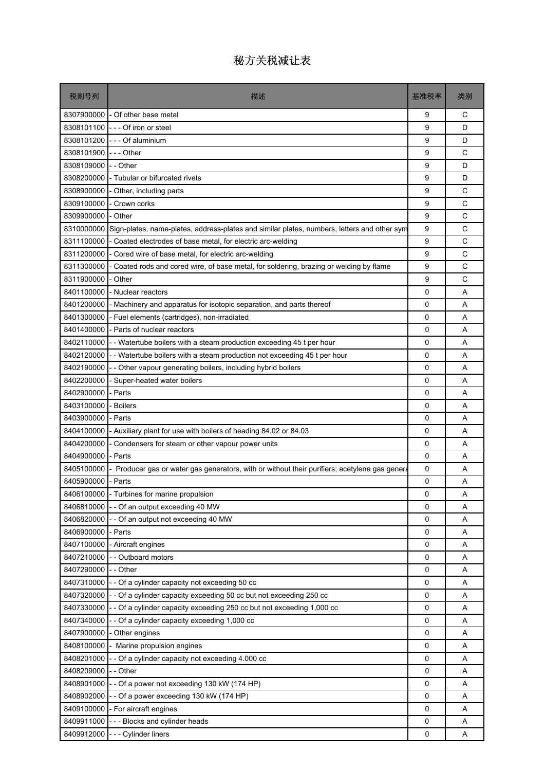| 税则号列       | 描述                                                                                          | 基准税率         | 类别 |
|------------|---------------------------------------------------------------------------------------------|--------------|----|
|            | 8307900000 - Of other base metal                                                            | 9            | С  |
| 8308101100 | --- Of iron or steel                                                                        | 9            | D  |
| 8308101200 | --- Of aluminium                                                                            | 9            | D  |
| 8308101900 | --- Other                                                                                   | 9            | C  |
| 8308109000 | - - Other                                                                                   | 9            | D  |
| 8308200000 | - Tubular or bifurcated rivets                                                              | 9            | D  |
| 8308900000 | - Other, including parts                                                                    | 9            | C  |
| 8309100000 | - Crown corks                                                                               | 9            | C  |
| 8309900000 | - Other                                                                                     | 9            | C  |
| 8310000000 | Sign-plates, name-plates, address-plates and similar plates, numbers, letters and other sym | 9            | C  |
| 8311100000 | - Coated electrodes of base metal, for electric arc-welding                                 | 9            | C  |
| 8311200000 | - Cored wire of base metal, for electric arc-welding                                        | 9            | C  |
| 8311300000 | Coated rods and cored wire, of base metal, for soldering, brazing or welding by flame       | 9            | C  |
| 8311900000 | - Other                                                                                     | 9            | С  |
| 8401100000 | - Nuclear reactors                                                                          | 0            | A  |
| 8401200000 | Machinery and apparatus for isotopic separation, and parts thereof                          | 0            | A  |
| 8401300000 | - Fuel elements (cartridges), non-irradiated                                                | 0            | Α  |
| 8401400000 | - Parts of nuclear reactors                                                                 | 0            | A  |
| 8402110000 | - Watertube boilers with a steam production exceeding 45 t per hour                         | 0            | A  |
| 8402120000 | -- Watertube boilers with a steam production not exceeding 45 t per hour                    | 0            | Α  |
| 8402190000 | - - Other vapour generating boilers, including hybrid boilers                               | 0            | A  |
| 8402200000 | Super-heated water boilers                                                                  | 0            | A  |
| 8402900000 | Parts                                                                                       | 0            | A  |
| 8403100000 | <b>Boilers</b>                                                                              | 0            | A  |
| 8403900000 | - Parts                                                                                     | 0            | A  |
| 8404100000 | - Auxiliary plant for use with boilers of heading 84.02 or 84.03                            | 0            | A  |
| 8404200000 | - Condensers for steam or other vapour power units                                          | 0            | Α  |
| 8404900000 | - Parts                                                                                     | 0            | A  |
| 8405100000 | Producer gas or water gas generators, with or without their purifiers; acetylene gas genera | 0            | A  |
| 8405900000 | - Parts                                                                                     | 0            | Α  |
|            | 8406100000 - Turbines for marine propulsion                                                 | $\Omega$     | Α  |
| 8406810000 | -- Of an output exceeding 40 MW                                                             | $\mathbf{0}$ | Α  |
| 8406820000 | - Of an output not exceeding 40 MW                                                          | 0            | Α  |
| 8406900000 | - Parts                                                                                     | 0            | Α  |
| 8407100000 | - Aircraft engines                                                                          | 0            | Α  |
| 8407210000 | - Outboard motors                                                                           | 0            | Α  |
| 8407290000 | - - Other                                                                                   | 0            | Α  |
| 8407310000 | - Of a cylinder capacity not exceeding 50 cc                                                | 0            | Α  |
| 8407320000 | - Of a cylinder capacity exceeding 50 cc but not exceeding 250 cc                           | 0            | Α  |
| 8407330000 | - Of a cylinder capacity exceeding 250 cc but not exceeding 1,000 cc                        | 0            | Α  |
| 8407340000 | - Of a cylinder capacity exceeding 1,000 cc                                                 | 0            | Α  |
| 8407900000 | - Other engines                                                                             | 0            | Α  |
| 8408100000 | Marine propulsion engines                                                                   | 0            | Α  |
| 8408201000 | - Of a cylinder capacity not exceeding 4.000 cc                                             | 0            | Α  |
| 8408209000 | - - Other                                                                                   | 0            | Α  |
| 8408901000 | - Of a power not exceeding 130 kW (174 HP)                                                  | 0            | Α  |
| 8408902000 | -- Of a power exceeding 130 kW (174 HP)                                                     | 0            | Α  |
| 8409100000 | - For aircraft engines                                                                      | 0            | Α  |
| 8409911000 | --- Blocks and cylinder heads                                                               | 0            | Α  |
|            | 8409912000 --- Cylinder liners                                                              | 0            | Α  |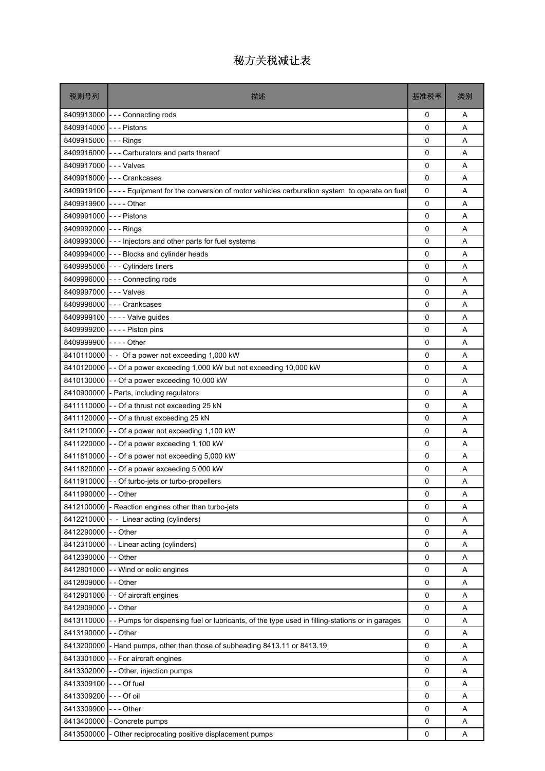| 税则号列                   | 描述                                                                                                   | 基准税率        | 类别 |
|------------------------|------------------------------------------------------------------------------------------------------|-------------|----|
|                        | 8409913000 - - - Connecting rods                                                                     | 0           | A  |
| 8409914000 --- Pistons |                                                                                                      | $\Omega$    | A  |
| 8409915000 --- Rings   |                                                                                                      | $\mathbf 0$ | A  |
|                        | 8409916000 - - - Carburators and parts thereof                                                       | 0           | Α  |
| 8409917000 --- Valves  |                                                                                                      | 0           | A  |
|                        | 8409918000 --- Crankcases                                                                            | 0           | A  |
|                        | 8409919100 ---- Equipment for the conversion of motor vehicles carburation system to operate on fuel | 0           | Α  |
| 8409919900 ---- Other  |                                                                                                      | $\mathbf 0$ | A  |
| 8409991000 --- Pistons |                                                                                                      | 0           | A  |
| 8409992000 --- Rings   |                                                                                                      | 0           | Α  |
|                        | 8409993000 - - - Injectors and other parts for fuel systems                                          | 0           | A  |
|                        | 8409994000 --- Blocks and cylinder heads                                                             | $\Omega$    | A  |
|                        | 8409995000 --- Cylinders liners                                                                      | $\mathbf 0$ | A  |
|                        | 8409996000 - - - Connecting rods                                                                     | 0           | A  |
| 8409997000 --- Valves  |                                                                                                      | 0           | A  |
|                        | 8409998000 --- Crankcases                                                                            | 0           | A  |
|                        | 8409999100 ---- Valve guides                                                                         | 0           | A  |
|                        | 8409999200 ---- Piston pins                                                                          | $\mathbf 0$ | A  |
| 8409999900 ---- Other  |                                                                                                      | 0           | A  |
|                        | 8410110000 - - Of a power not exceeding 1,000 kW                                                     | 0           | Α  |
|                        | 8410120000 - - Of a power exceeding 1,000 kW but not exceeding 10,000 kW                             | 0           | A  |
|                        | 8410130000 - - Of a power exceeding 10,000 kW                                                        | 0           | A  |
|                        | 8410900000 - Parts, including regulators                                                             | $\mathbf 0$ | A  |
|                        | 8411110000 - - Of a thrust not exceeding 25 kN                                                       | 0           | A  |
|                        | 8411120000 - - Of a thrust exceeding 25 kN                                                           | 0           | A  |
|                        | 8411210000 - - Of a power not exceeding 1,100 kW                                                     | 0           | A  |
|                        | 8411220000 - - Of a power exceeding 1,100 kW                                                         | 0           | A  |
|                        | 8411810000 - - Of a power not exceeding 5,000 kW                                                     | $\mathbf 0$ | A  |
|                        | 8411820000 - - Of a power exceeding 5,000 kW                                                         | 0           | A  |
|                        | 8411910000 - - Of turbo-jets or turbo-propellers                                                     | 0           | Α  |
| 8411990000 - - Other   |                                                                                                      | 0           | Α  |
| 8412100000             | - Reaction engines other than turbo-jets                                                             | $\Omega$    | A  |
| 8412210000             | - - Linear acting (cylinders)                                                                        | 0           | Α  |
| 8412290000             | - - Other                                                                                            | 0           | Α  |
|                        | 8412310000 - - Linear acting (cylinders)                                                             | 0           | Α  |
| 8412390000             | - - Other                                                                                            | 0           | Α  |
| 8412801000             | - - Wind or eolic engines                                                                            | 0           | Α  |
| 8412809000             | - - Other                                                                                            | $\mathbf 0$ | A  |
| 8412901000             | - - Of aircraft engines                                                                              | 0           | Α  |
| 8412909000             | - - Other                                                                                            | 0           | Α  |
| 8413110000             | -- Pumps for dispensing fuel or lubricants, of the type used in filling-stations or in garages       | 0           | Α  |
| 8413190000             | - - Other                                                                                            | $\mathbf 0$ | A  |
| 8413200000             | - Hand pumps, other than those of subheading 8413.11 or 8413.19                                      | 0           | Α  |
| 8413301000             | - - For aircraft engines                                                                             | 0           | Α  |
| 8413302000             | - - Other, injection pumps                                                                           | 0           | Α  |
| 8413309100             | -  -  - Of fuel                                                                                      | 0           | Α  |
| 8413309200             | -  - - Of oil                                                                                        | 0           | Α  |
| 8413309900             | - - - Other                                                                                          | 0           | A  |
| 8413400000             | - Concrete pumps                                                                                     | $\mathsf 0$ | Α  |
| 8413500000             | - Other reciprocating positive displacement pumps                                                    | 0           | Α  |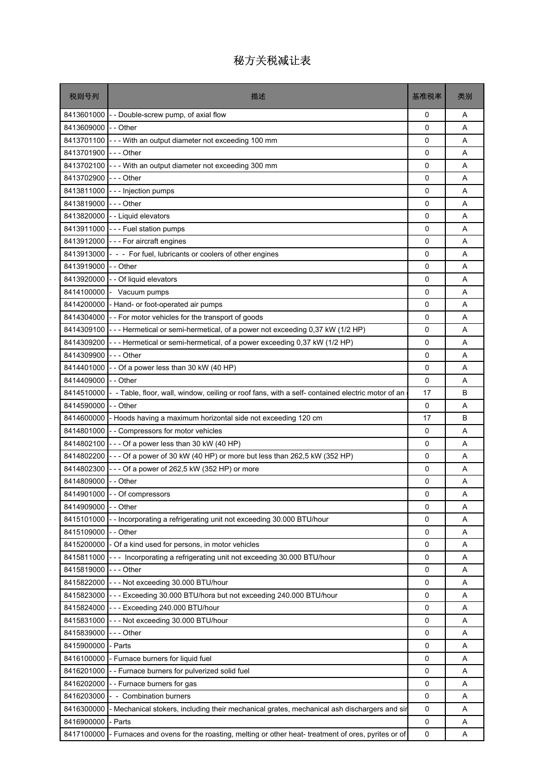| 税则号列                              | 描述                                                                                              | 基准税率     | 类别     |
|-----------------------------------|-------------------------------------------------------------------------------------------------|----------|--------|
| 8413601000                        | - - Double-screw pump, of axial flow                                                            | 0        | Α      |
| 8413609000                        | - - Other                                                                                       | 0        | A      |
| 8413701100                        | --- With an output diameter not exceeding 100 mm                                                | 0        | A      |
| 8413701900                        | - - - Other                                                                                     | 0        | Α      |
|                                   | 8413702100 - - - With an output diameter not exceeding 300 mm                                   | 0        | A      |
| 8413702900                        | --- Other                                                                                       | 0        | A      |
| 8413811000                        | - - - Injection pumps                                                                           | 0        | Α      |
| 8413819000                        | $- -$ Other                                                                                     | 0        | A      |
| 8413820000                        | - - Liquid elevators                                                                            | 0        | A      |
|                                   | 8413911000 - - - Fuel station pumps                                                             | 0        | Α      |
| 8413912000                        | - - - For aircraft engines                                                                      | 0        | A      |
| 8413913000                        | - - - For fuel, lubricants or coolers of other engines                                          | 0        | A      |
| 8413919000                        | - - Other                                                                                       | 0        | A      |
| 8413920000                        | - - Of liquid elevators                                                                         | 0        | A      |
| 8414100000                        | Vacuum pumps                                                                                    | 0        | A      |
| 8414200000                        | - Hand- or foot-operated air pumps                                                              | 0        | A      |
| 8414304000                        | - - For motor vehicles for the transport of goods                                               | 0        | Α      |
| 8414309100                        | --- Hermetical or semi-hermetical, of a power not exceeding 0,37 kW (1/2 HP)                    | 0        | A      |
| 8414309200                        | --- Hermetical or semi-hermetical, of a power exceeding 0,37 kW (1/2 HP)                        | $\Omega$ | A      |
| 8414309900                        | - - - Other                                                                                     | 0        | Α      |
| 8414401000                        | -- Of a power less than 30 kW (40 HP)                                                           | 0        | A      |
| 8414409000                        | - - Other                                                                                       | 0        | A      |
| 8414510000                        | - Table, floor, wall, window, ceiling or roof fans, with a self- contained electric motor of an | 17       | B      |
| 8414590000                        | - - Other                                                                                       | 0        | Α      |
|                                   | 8414600000 - Hoods having a maximum horizontal side not exceeding 120 cm                        | 17       | B      |
| 8414801000                        | - - Compressors for motor vehicles                                                              | 0        | A      |
| 8414802100                        | - - - Of a power less than 30 kW (40 HP)                                                        | 0        | Α      |
| 8414802200                        | --- Of a power of 30 kW (40 HP) or more but less than 262,5 kW (352 HP)                         | 0        | A      |
| 8414802300<br>8414809000 -- Other | - - - Of a power of 262,5 kW (352 HP) or more                                                   | 0<br>0   | A<br>Α |
|                                   | 8414901000 - - Of compressors                                                                   | 0        | Α      |
| 8414909000                        | - - Other                                                                                       | $\Omega$ | A      |
| 8415101000                        | - Incorporating a refrigerating unit not exceeding 30.000 BTU/hour                              | 0        | Α      |
| 8415109000                        | - - Other                                                                                       | 0        | Α      |
|                                   | 8415200000 - Of a kind used for persons, in motor vehicles                                      | 0        | Α      |
| 8415811000                        | --- Incorporating a refrigerating unit not exceeding 30.000 BTU/hour                            | 0        | Α      |
| 8415819000                        | - - - Other                                                                                     | 0        | Α      |
| 8415822000                        | --- Not exceeding 30.000 BTU/hour                                                               | 0        | Α      |
| 8415823000                        | --- Exceeding 30.000 BTU/hora but not exceeding 240.000 BTU/hour                                | 0        | Α      |
|                                   | 8415824000 --- Exceeding 240.000 BTU/hour                                                       | 0        | Α      |
| 8415831000                        | --- Not exceeding 30.000 BTU/hour                                                               | 0        | Α      |
| 8415839000                        | --- Other                                                                                       | 0        | A      |
| 8415900000                        | - Parts                                                                                         | 0        | Α      |
| 8416100000                        | - Furnace burners for liquid fuel                                                               | 0        | Α      |
| 8416201000                        | - - Furnace burners for pulverized solid fuel                                                   | 0        | Α      |
| 8416202000                        | -- Furnace burners for gas                                                                      | 0        | Α      |
| 8416203000                        | - - Combination burners                                                                         | 0        | Α      |
| 8416300000                        | Mechanical stokers, including their mechanical grates, mechanical ash dischargers and sir       | 0        | A      |
| 8416900000                        | - Parts                                                                                         | 0        | Α      |
| 8417100000                        | Furnaces and ovens for the roasting, melting or other heat- treatment of ores, pyrites or of    | 0        | Α      |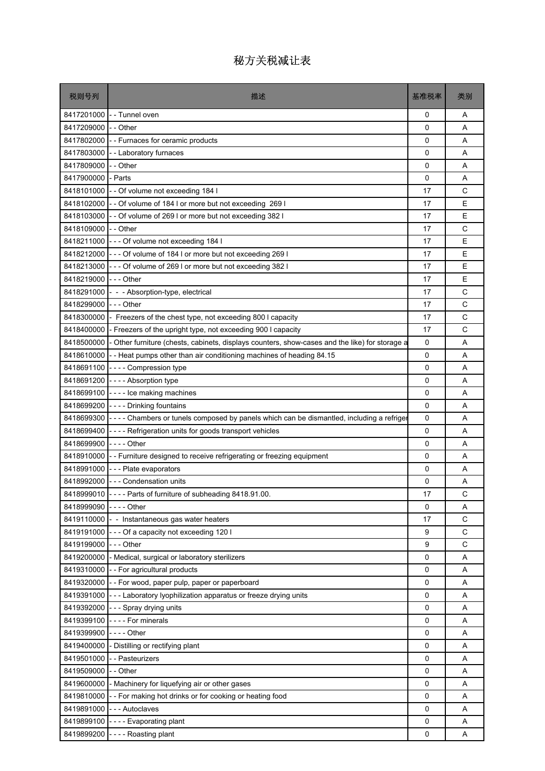| 税则号列                  | 描述                                                                                                        | 基准税率     | 类别 |
|-----------------------|-----------------------------------------------------------------------------------------------------------|----------|----|
|                       | 8417201000 - Tunnel oven                                                                                  | 0        | A  |
| 8417209000 -- Other   |                                                                                                           | $\Omega$ | A  |
|                       | 8417802000 - - Furnaces for ceramic products                                                              | 0        | A  |
| 8417803000            | - - Laboratory furnaces                                                                                   | 0        | Α  |
| 8417809000 -- Other   |                                                                                                           | 0        | A  |
| 8417900000            | - Parts                                                                                                   | 0        | A  |
|                       | 8418101000 - - Of volume not exceeding 184 l                                                              | 17       | C  |
|                       | 8418102000 - - Of volume of 184 I or more but not exceeding 269 I                                         | 17       | E  |
|                       | 8418103000 - - Of volume of 269 I or more but not exceeding 382 I                                         | 17       | E  |
| 8418109000 -- Other   |                                                                                                           | 17       | C  |
|                       | 8418211000 - - - Of volume not exceeding 184 I                                                            | 17       | E  |
|                       | 8418212000 - - - Of volume of 184 I or more but not exceeding 269 I                                       | 17       | E  |
|                       | 8418213000 - - - Of volume of 269 I or more but not exceeding 382 I                                       | 17       | E  |
| 8418219000 --- Other  |                                                                                                           | 17       | E  |
|                       | 8418291000 - - - Absorption-type, electrical                                                              | 17       | C  |
| 8418299000            | -  - - Other                                                                                              | 17       | C  |
| 8418300000            | - Freezers of the chest type, not exceeding 800 I capacity                                                | 17       | C  |
|                       | 8418400000 - Freezers of the upright type, not exceeding 900 I capacity                                   | 17       | C  |
|                       | 8418500000 - Other furniture (chests, cabinets, displays counters, show-cases and the like) for storage a | 0        | A  |
|                       | 8418610000 - Heat pumps other than air conditioning machines of heading 84.15                             | 0        | Α  |
|                       | 8418691100 ---- Compression type                                                                          | 0        | A  |
|                       | 8418691200 ---- Absorption type                                                                           | 0        | A  |
|                       | 8418699100 ---- Ice making machines                                                                       | 0        | Α  |
|                       | 8418699200 ---- Drinking fountains                                                                        | 0        | A  |
|                       | 8418699300 - - - - Chambers or tunels composed by panels which can be dismantled, including a refriger    | 0        | A  |
|                       | 8418699400 - - - - Refrigeration units for goods transport vehicles                                       | 0        | A  |
| 8418699900 ---- Other |                                                                                                           | 0        | Α  |
|                       | 8418910000 - Furniture designed to receive refrigerating or freezing equipment                            | 0        | A  |
|                       | 8418991000 --- Plate evaporators                                                                          | 0        | A  |
|                       | 8418992000 - - - Condensation units                                                                       | 0        | Α  |
|                       | 8418999010 ---- Parts of furniture of subheading 8418.91.00.                                              | 17       | C  |
| 8418999090 ---- Other |                                                                                                           | $\Omega$ | Α  |
|                       | 8419110000 - - Instantaneous gas water heaters                                                            | 17       | C  |
|                       | 8419191000 --- Of a capacity not exceeding 120 l                                                          | 9        | C  |
| 8419199000 --- Other  |                                                                                                           | 9        | C  |
|                       | 8419200000 - Medical, surgical or laboratory sterilizers                                                  | 0        | Α  |
|                       | 8419310000 - - For agricultural products                                                                  | 0        | Α  |
|                       | 8419320000 - For wood, paper pulp, paper or paperboard                                                    | 0        | Α  |
|                       | 8419391000 - - - Laboratory Iyophilization apparatus or freeze drying units                               | 0        | Α  |
|                       | 8419392000 --- Spray drying units                                                                         | 0        | Α  |
| 8419399100            | ---- For minerals                                                                                         | 0        | Α  |
| 8419399900 ---- Other |                                                                                                           | 0        | Α  |
|                       | 8419400000 - Distilling or rectifying plant                                                               | 0        | Α  |
| 8419501000            | - - Pasteurizers                                                                                          | 0        | Α  |
| 8419509000 - - Other  |                                                                                                           | 0        | Α  |
|                       | 8419600000 - Machinery for liquefying air or other gases                                                  | 0        | Α  |
|                       | 8419810000 - For making hot drinks or for cooking or heating food                                         | 0        | Α  |
|                       | 8419891000 --- Autoclaves                                                                                 | 0        | Α  |
|                       | 8419899100 ---- Evaporating plant                                                                         | 0        | Α  |
|                       | 8419899200 ---- Roasting plant                                                                            | 0        | Α  |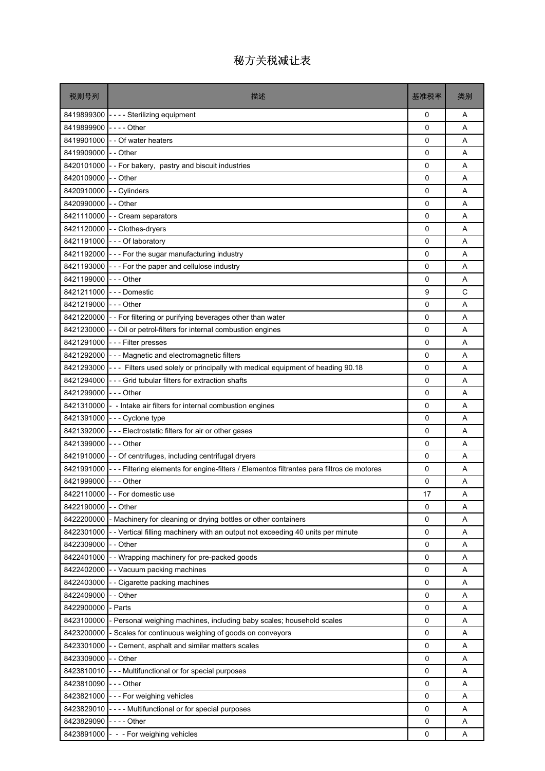| 税则号列                 | 描述                                                                                       | 基准税率        | 类别 |
|----------------------|------------------------------------------------------------------------------------------|-------------|----|
| 8419899300           | - - - - Sterilizing equipment                                                            | 0           | Α  |
| 8419899900           | -  -  -  - Other                                                                         | $\Omega$    | A  |
| 8419901000           | - - Of water heaters                                                                     | $\Omega$    | A  |
| 8419909000           | - - Other                                                                                | 0           | A  |
| 8420101000           | -- For bakery, pastry and biscuit industries                                             | 0           | A  |
| 8420109000           | - - Other                                                                                | 0           | A  |
| 8420910000           | -- Cylinders                                                                             | 0           | Α  |
| 8420990000           | -- Other                                                                                 | 0           | A  |
| 8421110000           | - - Cream separators                                                                     | 0           | A  |
|                      | 8421120000 - - Clothes-dryers                                                            | 0           | Α  |
|                      | 8421191000 --- Of laboratory                                                             | 0           | A  |
|                      | 8421192000 - - - For the sugar manufacturing industry                                    | $\Omega$    | A  |
| 8421193000           | --- For the paper and cellulose industry                                                 | $\mathbf 0$ | A  |
| 8421199000           | -  - - Other                                                                             | 0           | A  |
| 8421211000           | --- Domestic                                                                             | 9           | C  |
| 8421219000           | - - - Other                                                                              | 0           | A  |
|                      | 8421220000 - - For filtering or purifying beverages other than water                     | 0           | Α  |
|                      | 8421230000 - - Oil or petrol-filters for internal combustion engines                     | $\mathbf 0$ | A  |
| 8421291000           | - - - Filter presses                                                                     | 0           | A  |
| 8421292000           | - - - Magnetic and electromagnetic filters                                               | 0           | Α  |
| 8421293000           | - - - Filters used solely or principally with medical equipment of heading 90.18         | 0           | A  |
| 8421294000           | --- Grid tubular filters for extraction shafts                                           | $\Omega$    | A  |
| 8421299000 --- Other |                                                                                          | $\mathbf 0$ | Α  |
| 8421310000           | - - Intake air filters for internal combustion engines                                   | 0           | A  |
|                      | 8421391000 --- Cyclone type                                                              | 0           | A  |
| 8421392000           | --- Electrostatic filters for air or other gases                                         | 0           | A  |
| 8421399000           | - - - Other                                                                              | 0           | A  |
|                      | 8421910000 - - Of centrifuges, including centrifugal dryers                              | $\mathbf 0$ | A  |
| 8421991000           | --- Filtering elements for engine-filters / Elementos filtrantes para filtros de motores | 0           | A  |
| 8421999000           | $--$ Other                                                                               | 0           | Α  |
|                      | 8422110000 - - For domestic use                                                          | 17          | Α  |
| 8422190000           | - Other                                                                                  | $\Omega$    | A  |
| 8422200000           | Machinery for cleaning or drying bottles or other containers                             | 0           | Α  |
| 8422301000           | - - Vertical filling machinery with an output not exceeding 40 units per minute          | 0           | Α  |
| 8422309000           | - - Other                                                                                | 0           | Α  |
| 8422401000           | - Wrapping machinery for pre-packed goods                                                | 0           | Α  |
| 8422402000           | - - Vacuum packing machines                                                              | 0           | Α  |
| 8422403000           | Cigarette packing machines                                                               | 0           | Α  |
| 8422409000           | - Other                                                                                  | 0           | Α  |
| 8422900000           | - Parts                                                                                  | 0           | Α  |
| 8423100000           | Personal weighing machines, including baby scales; household scales                      | 0           | Α  |
| 8423200000           | - Scales for continuous weighing of goods on conveyors                                   | 0           | Α  |
| 8423301000           | - Cement, asphalt and similar matters scales                                             | 0           | Α  |
| 8423309000           | - - Other                                                                                | 0           | Α  |
| 8423810010           | --- Multifunctional or for special purposes                                              | 0           | Α  |
| 8423810090           | - - - Other                                                                              | 0           | Α  |
| 8423821000           | --- For weighing vehicles                                                                | 0           | Α  |
| 8423829010           | ---- Multifunctional or for special purposes                                             | 0           | Α  |
| 8423829090           | - - - - Other                                                                            | 0           | Α  |
| 8423891000           | - - - For weighing vehicles                                                              | 0           | Α  |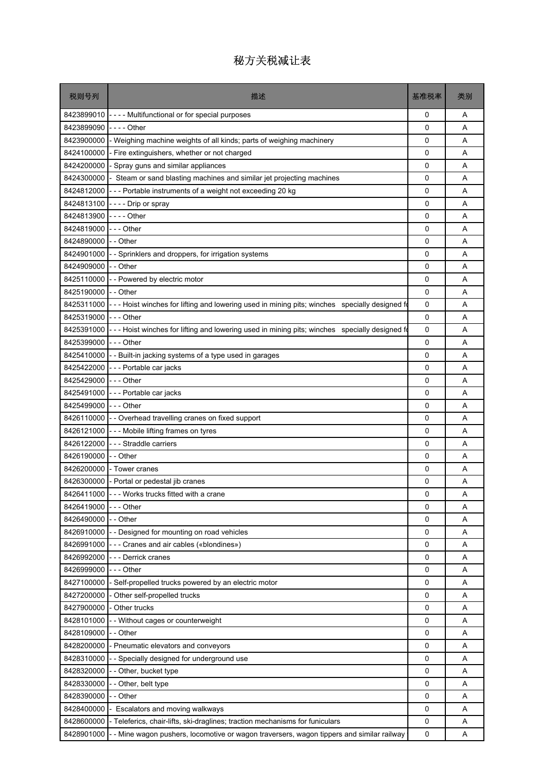| 税则号列       | 描述                                                                                             | 基准税率     | 类别 |
|------------|------------------------------------------------------------------------------------------------|----------|----|
| 8423899010 | ---- Multifunctional or for special purposes                                                   | 0        | Α  |
| 8423899090 | -  -  -  - Other                                                                               | 0        | A  |
| 8423900000 | - Weighing machine weights of all kinds; parts of weighing machinery                           | 0        | A  |
| 8424100000 | Fire extinguishers, whether or not charged                                                     | 0        | Α  |
| 8424200000 | Spray guns and similar appliances                                                              | 0        | A  |
| 8424300000 | - Steam or sand blasting machines and similar jet projecting machines                          | 0        | A  |
| 8424812000 | --- Portable instruments of a weight not exceeding 20 kg                                       | 0        | Α  |
| 8424813100 | ---- Drip or spray                                                                             | 0        | A  |
| 8424813900 |                                                                                                | 0        | A  |
| 8424819000 | -  -  - Other                                                                                  | 0        | Α  |
| 8424890000 | - - Other                                                                                      | 0        | A  |
| 8424901000 | - Sprinklers and droppers, for irrigation systems                                              | 0        | A  |
| 8424909000 | - - Other                                                                                      | 0        | A  |
| 8425110000 | - - Powered by electric motor                                                                  | 0        | A  |
| 8425190000 | - - Other                                                                                      | 0        | A  |
| 8425311000 | --- Hoist winches for lifting and lowering used in mining pits; winches specially designed for | 0        | A  |
| 8425319000 | - - - Other                                                                                    | 0        | Α  |
| 8425391000 | --- Hoist winches for lifting and lowering used in mining pits; winches specially designed for | 0        | A  |
| 8425399000 | - - - Other                                                                                    | 0        | A  |
|            | 8425410000 - Built-in jacking systems of a type used in garages                                | 0        | Α  |
| 8425422000 | --- Portable car jacks                                                                         | 0        | Α  |
| 8425429000 | - - - Other                                                                                    | 0        | A  |
| 8425491000 | --- Portable car jacks                                                                         | 0        | A  |
| 8425499000 | - - - Other                                                                                    | 0        | Α  |
|            | 8426110000 - - Overhead travelling cranes on fixed support                                     | 0        | A  |
| 8426121000 | --- Mobile lifting frames on tyres                                                             | 0        | A  |
| 8426122000 | --- Straddle carriers                                                                          | 0        | Α  |
| 8426190000 | - - Other                                                                                      | 0        | A  |
| 8426200000 | - Tower cranes                                                                                 | 0        | A  |
|            | 8426300000 - Portal or pedestal jib cranes                                                     | 0        | Α  |
|            | 8426411000 - - - Works trucks fitted with a crane                                              | 0        | Α  |
| 8426419000 | - - - Other                                                                                    | $\Omega$ | A  |
| 8426490000 | - Other                                                                                        | 0        | Α  |
| 8426910000 | - - Designed for mounting on road vehicles                                                     | 0        | Α  |
| 8426991000 | - - Cranes and air cables («blondines»)                                                        | 0        | Α  |
| 8426992000 | --- Derrick cranes                                                                             | 0        | Α  |
| 8426999000 | - - - Other                                                                                    | 0        | Α  |
| 8427100000 | - Self-propelled trucks powered by an electric motor                                           | 0        | Α  |
| 8427200000 | - Other self-propelled trucks                                                                  | 0        | Α  |
| 8427900000 | Other trucks                                                                                   | 0        | Α  |
| 8428101000 | - Without cages or counterweight                                                               | 0        | Α  |
| 8428109000 | - - Other                                                                                      | 0        | A  |
| 8428200000 | - Pneumatic elevators and conveyors                                                            | 0        | Α  |
| 8428310000 | - Specially designed for underground use                                                       | 0        | Α  |
| 8428320000 | - Other, bucket type                                                                           | 0        | A  |
| 8428330000 | - Other, belt type                                                                             | 0        | Α  |
| 8428390000 | - Other                                                                                        | 0        | Α  |
| 8428400000 | Escalators and moving walkways                                                                 | 0        | A  |
| 8428600000 | - Teleferics, chair-lifts, ski-draglines; traction mechanisms for funiculars                   | 0        | Α  |
| 8428901000 | - Mine wagon pushers, locomotive or wagon traversers, wagon tippers and similar railway        | 0        | Α  |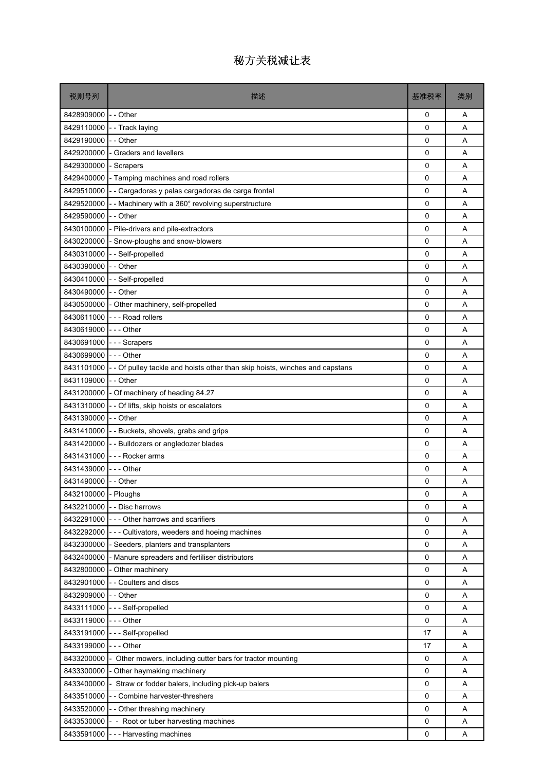| - - Other<br>8428909000<br>0<br>8429110000<br>0<br>- - Track laying<br>8429190000<br>- - Other<br>0<br>8429200000<br>- Graders and levellers<br>0<br>8429300000<br>- Scrapers<br>$\Omega$<br>$\mathbf 0$<br>8429400000<br>- Tamping machines and road rollers<br>8429510000<br>- - Cargadoras y palas cargadoras de carga frontal<br>0<br>-- Machinery with a 360° revolving superstructure<br>8429520000<br>0<br>8429590000<br>- - Other<br>0<br>8430100000<br>- Pile-drivers and pile-extractors<br>0<br>8430200000<br>$\mathbf 0$<br>- Snow-ploughs and snow-blowers<br>-- Self-propelled<br>8430310000<br>0<br>8430390000<br>- - Other<br>0<br>- - Self-propelled<br>8430410000<br>0<br>8430490000 - - Other<br>$\Omega$<br>8430500000<br>0<br>- Other machinery, self-propelled<br>8430611000<br>--- Road rollers<br>0 | 类别 |
|-----------------------------------------------------------------------------------------------------------------------------------------------------------------------------------------------------------------------------------------------------------------------------------------------------------------------------------------------------------------------------------------------------------------------------------------------------------------------------------------------------------------------------------------------------------------------------------------------------------------------------------------------------------------------------------------------------------------------------------------------------------------------------------------------------------------------------|----|
|                                                                                                                                                                                                                                                                                                                                                                                                                                                                                                                                                                                                                                                                                                                                                                                                                             | A  |
|                                                                                                                                                                                                                                                                                                                                                                                                                                                                                                                                                                                                                                                                                                                                                                                                                             | A  |
|                                                                                                                                                                                                                                                                                                                                                                                                                                                                                                                                                                                                                                                                                                                                                                                                                             | A  |
|                                                                                                                                                                                                                                                                                                                                                                                                                                                                                                                                                                                                                                                                                                                                                                                                                             | A  |
|                                                                                                                                                                                                                                                                                                                                                                                                                                                                                                                                                                                                                                                                                                                                                                                                                             | A  |
|                                                                                                                                                                                                                                                                                                                                                                                                                                                                                                                                                                                                                                                                                                                                                                                                                             | A  |
|                                                                                                                                                                                                                                                                                                                                                                                                                                                                                                                                                                                                                                                                                                                                                                                                                             | A  |
|                                                                                                                                                                                                                                                                                                                                                                                                                                                                                                                                                                                                                                                                                                                                                                                                                             | A  |
|                                                                                                                                                                                                                                                                                                                                                                                                                                                                                                                                                                                                                                                                                                                                                                                                                             | A  |
|                                                                                                                                                                                                                                                                                                                                                                                                                                                                                                                                                                                                                                                                                                                                                                                                                             | A  |
|                                                                                                                                                                                                                                                                                                                                                                                                                                                                                                                                                                                                                                                                                                                                                                                                                             | A  |
|                                                                                                                                                                                                                                                                                                                                                                                                                                                                                                                                                                                                                                                                                                                                                                                                                             | A  |
|                                                                                                                                                                                                                                                                                                                                                                                                                                                                                                                                                                                                                                                                                                                                                                                                                             | A  |
|                                                                                                                                                                                                                                                                                                                                                                                                                                                                                                                                                                                                                                                                                                                                                                                                                             | A  |
|                                                                                                                                                                                                                                                                                                                                                                                                                                                                                                                                                                                                                                                                                                                                                                                                                             | A  |
|                                                                                                                                                                                                                                                                                                                                                                                                                                                                                                                                                                                                                                                                                                                                                                                                                             | Α  |
|                                                                                                                                                                                                                                                                                                                                                                                                                                                                                                                                                                                                                                                                                                                                                                                                                             | A  |
| 8430619000 --- Other<br>0                                                                                                                                                                                                                                                                                                                                                                                                                                                                                                                                                                                                                                                                                                                                                                                                   | A  |
| 8430691000<br>0<br>--- Scrapers                                                                                                                                                                                                                                                                                                                                                                                                                                                                                                                                                                                                                                                                                                                                                                                             | A  |
| 8430699000 --- Other<br>0                                                                                                                                                                                                                                                                                                                                                                                                                                                                                                                                                                                                                                                                                                                                                                                                   | A  |
| 8431101000<br>- - Of pulley tackle and hoists other than skip hoists, winches and capstans<br>0                                                                                                                                                                                                                                                                                                                                                                                                                                                                                                                                                                                                                                                                                                                             | A  |
| - - Other<br>8431109000<br>0                                                                                                                                                                                                                                                                                                                                                                                                                                                                                                                                                                                                                                                                                                                                                                                                | A  |
| 8431200000 - Of machinery of heading 84.27<br>0                                                                                                                                                                                                                                                                                                                                                                                                                                                                                                                                                                                                                                                                                                                                                                             | A  |
| 8431310000 - - Of lifts, skip hoists or escalators<br>0                                                                                                                                                                                                                                                                                                                                                                                                                                                                                                                                                                                                                                                                                                                                                                     | A  |
| 8431390000 - - Other<br>$\Omega$                                                                                                                                                                                                                                                                                                                                                                                                                                                                                                                                                                                                                                                                                                                                                                                            | A  |
| 8431410000 - - Buckets, shovels, grabs and grips<br>0                                                                                                                                                                                                                                                                                                                                                                                                                                                                                                                                                                                                                                                                                                                                                                       | Α  |
| 8431420000 - - Bulldozers or angledozer blades<br>0                                                                                                                                                                                                                                                                                                                                                                                                                                                                                                                                                                                                                                                                                                                                                                         | A  |
| 8431431000 --- Rocker arms<br>0                                                                                                                                                                                                                                                                                                                                                                                                                                                                                                                                                                                                                                                                                                                                                                                             | A  |
| 8431439000 --- Other<br>0                                                                                                                                                                                                                                                                                                                                                                                                                                                                                                                                                                                                                                                                                                                                                                                                   | A  |
| 8431490000 - - Other<br>0                                                                                                                                                                                                                                                                                                                                                                                                                                                                                                                                                                                                                                                                                                                                                                                                   | Α  |
| 8432100000 - Ploughs<br>0                                                                                                                                                                                                                                                                                                                                                                                                                                                                                                                                                                                                                                                                                                                                                                                                   | Α  |
| 8432210000<br>0<br>- - Disc harrows                                                                                                                                                                                                                                                                                                                                                                                                                                                                                                                                                                                                                                                                                                                                                                                         | Α  |
| 8432291000<br>--- Other harrows and scarifiers<br>0                                                                                                                                                                                                                                                                                                                                                                                                                                                                                                                                                                                                                                                                                                                                                                         | Α  |
| 8432292000<br>0<br>--- Cultivators, weeders and hoeing machines                                                                                                                                                                                                                                                                                                                                                                                                                                                                                                                                                                                                                                                                                                                                                             | Α  |
| 8432300000<br>- Seeders, planters and transplanters<br>$\mathbf 0$                                                                                                                                                                                                                                                                                                                                                                                                                                                                                                                                                                                                                                                                                                                                                          | A  |
| 8432400000<br>- Manure spreaders and fertiliser distributors<br>0                                                                                                                                                                                                                                                                                                                                                                                                                                                                                                                                                                                                                                                                                                                                                           | Α  |
| 8432800000<br>- Other machinery<br>0                                                                                                                                                                                                                                                                                                                                                                                                                                                                                                                                                                                                                                                                                                                                                                                        | Α  |
| 8432901000<br>- - Coulters and discs<br>0                                                                                                                                                                                                                                                                                                                                                                                                                                                                                                                                                                                                                                                                                                                                                                                   | Α  |
| 8432909000<br>- - Other<br>0                                                                                                                                                                                                                                                                                                                                                                                                                                                                                                                                                                                                                                                                                                                                                                                                | Α  |
| 8433111000<br>--- Self-propelled<br>0                                                                                                                                                                                                                                                                                                                                                                                                                                                                                                                                                                                                                                                                                                                                                                                       | Α  |
| 8433119000<br>$\mathbf 0$<br>-  -  - Other                                                                                                                                                                                                                                                                                                                                                                                                                                                                                                                                                                                                                                                                                                                                                                                  | Α  |
| --- Self-propelled<br>8433191000<br>17                                                                                                                                                                                                                                                                                                                                                                                                                                                                                                                                                                                                                                                                                                                                                                                      | Α  |
| 8433199000<br>- - - Other<br>17                                                                                                                                                                                                                                                                                                                                                                                                                                                                                                                                                                                                                                                                                                                                                                                             | Α  |
| 8433200000<br>- Other mowers, including cutter bars for tractor mounting<br>0                                                                                                                                                                                                                                                                                                                                                                                                                                                                                                                                                                                                                                                                                                                                               | Α  |
| 8433300000<br>- Other haymaking machinery<br>0                                                                                                                                                                                                                                                                                                                                                                                                                                                                                                                                                                                                                                                                                                                                                                              | A  |
| 8433400000<br>Straw or fodder balers, including pick-up balers<br>0                                                                                                                                                                                                                                                                                                                                                                                                                                                                                                                                                                                                                                                                                                                                                         | Α  |
| 8433510000<br>- - Combine harvester-threshers<br>0                                                                                                                                                                                                                                                                                                                                                                                                                                                                                                                                                                                                                                                                                                                                                                          | Α  |
| 8433520000<br>- - Other threshing machinery<br>0                                                                                                                                                                                                                                                                                                                                                                                                                                                                                                                                                                                                                                                                                                                                                                            | A  |
| 8433530000<br>0<br>- - Root or tuber harvesting machines                                                                                                                                                                                                                                                                                                                                                                                                                                                                                                                                                                                                                                                                                                                                                                    | Α  |
| 8433591000 --- Harvesting machines<br>0                                                                                                                                                                                                                                                                                                                                                                                                                                                                                                                                                                                                                                                                                                                                                                                     | Α  |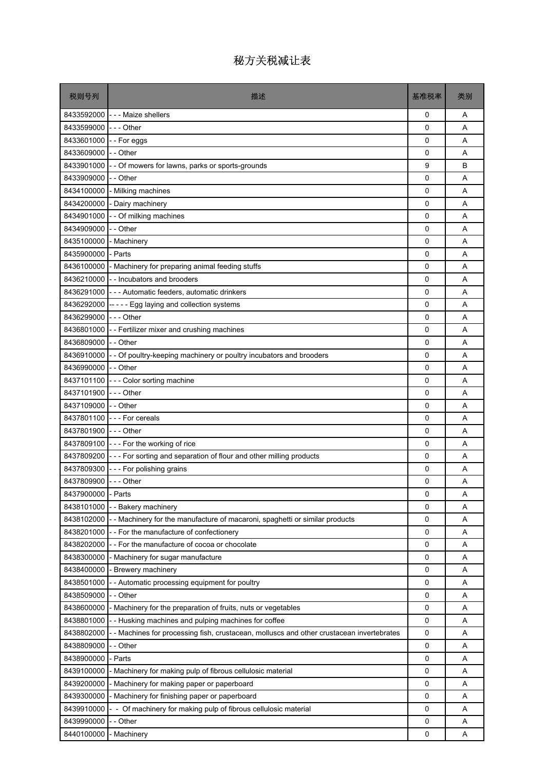| 税则号列                 | 描述                                                                                      | 基准税率     | 类别 |
|----------------------|-----------------------------------------------------------------------------------------|----------|----|
|                      | 8433592000 --- Maize shellers                                                           | 0        | Α  |
| 8433599000           | $--$ Other                                                                              | 0        | A  |
| 8433601000           | --For eggs                                                                              | 0        | A  |
| 8433609000           | - - Other                                                                               | 0        | A  |
| 8433901000           | - - Of mowers for lawns, parks or sports-grounds                                        | 9        | B  |
| 8433909000           | - - Other                                                                               | 0        | A  |
| 8434100000           | - Milking machines                                                                      | 0        | A  |
| 8434200000           | - Dairy machinery                                                                       | 0        | A  |
| 8434901000           | - - Of milking machines                                                                 | 0        | A  |
| 8434909000           | - - Other                                                                               | 0        | Α  |
| 8435100000           | - Machinery                                                                             | 0        | A  |
| 8435900000           | - Parts                                                                                 | 0        | A  |
| 8436100000           | - Machinery for preparing animal feeding stuffs                                         | 0        | A  |
| 8436210000           | - - Incubators and brooders                                                             | 0        | A  |
|                      | 8436291000 - - - Automatic feeders, automatic drinkers                                  | 0        | A  |
| 8436292000           | ----- Egg laying and collection systems                                                 | 0        | A  |
| 8436299000           | - - - Other                                                                             | 0        | A  |
| 8436801000           | - - Fertilizer mixer and crushing machines                                              | 0        | A  |
| 8436809000 - - Other |                                                                                         | $\Omega$ | A  |
|                      | 8436910000 - - Of poultry-keeping machinery or poultry incubators and brooders          | 0        | A  |
| 8436990000           | - - Other                                                                               | 0        | A  |
|                      | 8437101100 --- Color sorting machine                                                    | 0        | A  |
| 8437101900           | - - - Other                                                                             | 0        | A  |
| 8437109000           | $I -$ Other                                                                             | 0        | Α  |
|                      | 8437801100 --- For cereals                                                              | 0        | A  |
| 8437801900 --- Other |                                                                                         | 0        | A  |
|                      | 8437809100 - - - For the working of rice                                                | 0        | Α  |
|                      | 8437809200 - - - For sorting and separation of flour and other milling products         | 0        | A  |
| 8437809300           | - - - For polishing grains                                                              | 0        | A  |
| 8437809900 --- Other |                                                                                         | 0        | Α  |
| 8437900000 - Parts   |                                                                                         | 0        | Α  |
| 8438101000           | - - Bakery machinery                                                                    | 0        | Α  |
| 8438102000           | - Machinery for the manufacture of macaroni, spaghetti or similar products              | 0        | Α  |
| 8438201000           | -- For the manufacture of confectionery                                                 | 0        | Α  |
| 8438202000           | - For the manufacture of cocoa or chocolate                                             | 0        | Α  |
| 8438300000           | - Machinery for sugar manufacture                                                       | 0        | Α  |
| 8438400000           | Brewery machinery                                                                       | 0        | Α  |
| 8438501000           | - Automatic processing equipment for poultry                                            | 0        | Α  |
| 8438509000           | - Other                                                                                 | 0        | Α  |
| 8438600000           | Machinery for the preparation of fruits, nuts or vegetables                             | 0        | A  |
| 8438801000           | - - Husking machines and pulping machines for coffee                                    | 0        | Α  |
| 8438802000           | - Machines for processing fish, crustacean, molluscs and other crustacean invertebrates | 0        | A  |
| 8438809000           | - Other                                                                                 | 0        | Α  |
| 8438900000           | - Parts                                                                                 | 0        | Α  |
| 8439100000           | Machinery for making pulp of fibrous cellulosic material                                | 0        | Α  |
| 8439200000           | - Machinery for making paper or paperboard                                              | 0        | Α  |
| 8439300000           | - Machinery for finishing paper or paperboard                                           | 0        | Α  |
| 8439910000           | - Of machinery for making pulp of fibrous cellulosic material                           | 0        | Α  |
| 8439990000           | - Other                                                                                 | 0        | Α  |
| 8440100000           | Machinery                                                                               | 0        | Α  |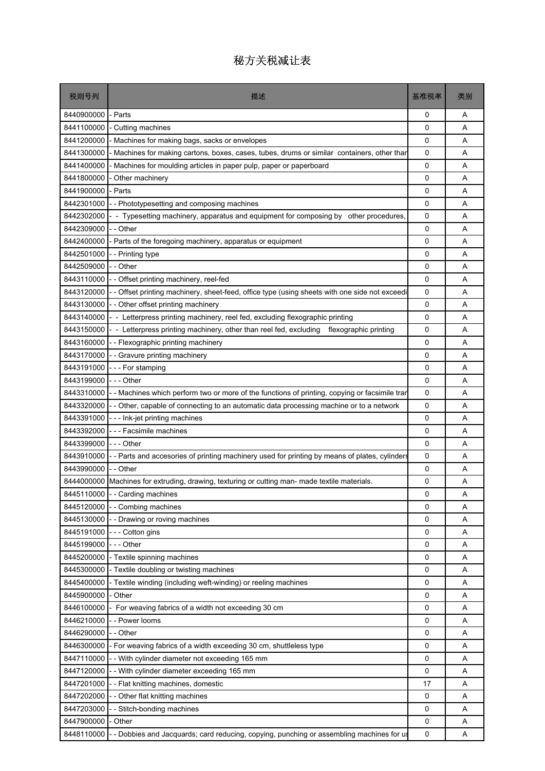| 税则号列       | 描述                                                                                             | 基准税率 | 类别 |
|------------|------------------------------------------------------------------------------------------------|------|----|
| 8440900000 | - Parts                                                                                        | 0    | Α  |
| 8441100000 | - Cutting machines                                                                             | 0    | A  |
| 8441200000 | Machines for making bags, sacks or envelopes                                                   | 0    | A  |
| 8441300000 | - Machines for making cartons, boxes, cases, tubes, drums or similar containers, other thar    | 0    | Α  |
| 8441400000 | Machines for moulding articles in paper pulp, paper or paperboard                              | 0    | A  |
| 8441800000 | Other machinery                                                                                | 0    | A  |
| 8441900000 | Parts                                                                                          | 0    | Α  |
| 8442301000 | - - Phototypesetting and composing machines                                                    | 0    | A  |
| 8442302000 | - Typesetting machinery, apparatus and equipment for composing by other procedures,            | 0    | A  |
| 8442309000 | - Other                                                                                        | 0    | Α  |
| 8442400000 | Parts of the foregoing machinery, apparatus or equipment                                       | 0    | A  |
| 8442501000 | - - Printing type                                                                              | 0    | A  |
| 8442509000 | - Other                                                                                        | 0    | A  |
| 8443110000 | - - Offset printing machinery, reel-fed                                                        | 0    | A  |
| 8443120000 | Offset printing machinery, sheet-feed, office type (using sheets with one side not exceedi     | 0    | A  |
| 8443130000 | - Other offset printing machinery                                                              | 0    | A  |
| 8443140000 | - Letterpress printing machinery, reel fed, excluding flexographic printing                    | 0    | Α  |
| 8443150000 | - Letterpress printing machinery, other than reel fed, excluding<br>flexographic printing      | 0    | A  |
| 8443160000 | -- Flexographic printing machinery                                                             | 0    | A  |
| 8443170000 | - Gravure printing machinery                                                                   | 0    | Α  |
| 8443191000 | --- For stamping                                                                               | 0    | Α  |
| 8443199000 | -  -  - Other                                                                                  | 0    | A  |
| 8443310000 | - Machines which perform two or more of the functions of printing, copying or facsimile tran   | 0    | A  |
| 8443320000 | - - Other, capable of connecting to an automatic data processing machine or to a network       | 0    | Α  |
| 8443391000 | --- Ink-jet printing machines                                                                  | 0    | A  |
| 8443392000 | - - - Facsimile machines                                                                       | 0    | A  |
| 8443399000 | -  - - Other                                                                                   | 0    | Α  |
| 8443910000 | - - Parts and accesories of printing machinery used for printing by means of plates, cylinders | 0    | A  |
| 8443990000 | - - Other                                                                                      | 0    | A  |
| 8444000000 | Machines for extruding, drawing, texturing or cutting man- made textile materials.             | 0    | Α  |
| 8445110000 | - - Carding machines                                                                           | 0    | Α  |
| 8445120000 | - - Combing machines                                                                           | 0    | Α  |
| 8445130000 | - Drawing or roving machines                                                                   | 0    | Α  |
| 8445191000 | --- Cotton gins                                                                                | 0    | Α  |
| 8445199000 | - - - Other                                                                                    | 0    | Α  |
| 8445200000 | - Textile spinning machines                                                                    | 0    | Α  |
| 8445300000 | - Textile doubling or twisting machines                                                        | 0    | Α  |
| 8445400000 | - Textile winding (including weft-winding) or reeling machines                                 | 0    | Α  |
| 8445900000 | - Other                                                                                        | 0    | Α  |
| 8446100000 | For weaving fabrics of a width not exceeding 30 cm                                             | 0    | Α  |
| 8446210000 | - - Power looms                                                                                | 0    | Α  |
| 8446290000 | - - Other                                                                                      | 0    | A  |
| 8446300000 | - For weaving fabrics of a width exceeding 30 cm, shuttleless type                             | 0    | Α  |
| 8447110000 | -- With cylinder diameter not exceeding 165 mm                                                 | 0    | Α  |
| 8447120000 | - - With cylinder diameter exceeding 165 mm                                                    | 0    | Α  |
| 8447201000 | -- Flat knitting machines, domestic                                                            | 17   | Α  |
| 8447202000 | -- Other flat knitting machines                                                                | 0    | Α  |
| 8447203000 | - Stitch-bonding machines                                                                      | 0    | Α  |
| 8447900000 | - Other                                                                                        | 0    | Α  |
| 8448110000 | - Dobbies and Jacquards; card reducing, copying, punching or assembling machines for us        | 0    | Α  |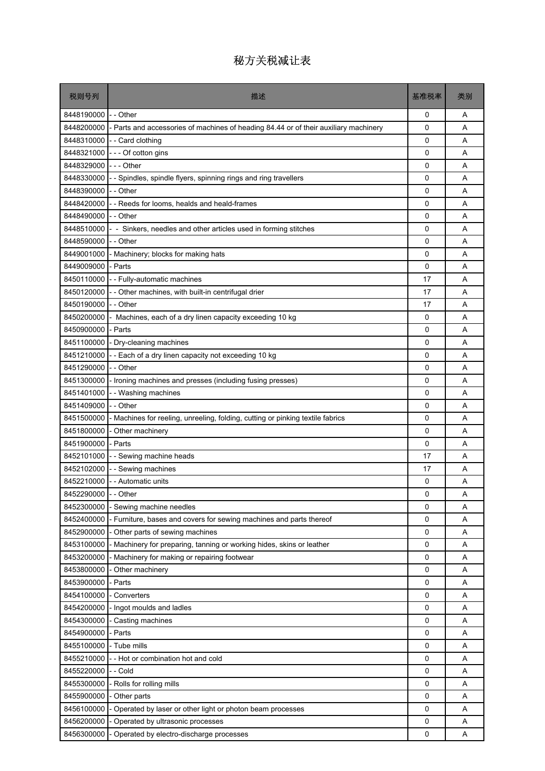| 税则号列                 | 描述                                                                                   | 基准税率         | 类别 |
|----------------------|--------------------------------------------------------------------------------------|--------------|----|
| 8448190000           | - - Other                                                                            | 0            | A  |
| 8448200000           | - Parts and accessories of machines of heading 84.44 or of their auxiliary machinery | 0            | A  |
| 8448310000           | - - Card clothing                                                                    | 0            | A  |
| 8448321000           | --- Of cotton gins                                                                   | 0            | A  |
| 8448329000           | --- Other                                                                            | 0            | A  |
| 8448330000           | - Spindles, spindle flyers, spinning rings and ring travellers                       | 0            | A  |
| 8448390000           | - - Other                                                                            | 0            | Α  |
| 8448420000           | - - Reeds for looms, healds and heald-frames                                         | 0            | A  |
| 8448490000           | - - Other                                                                            | 0            | A  |
| 8448510000           | - Sinkers, needles and other articles used in forming stitches                       | 0            | Α  |
| 8448590000           | - - Other                                                                            | 0            | A  |
| 8449001000           | - Machinery; blocks for making hats                                                  | 0            | A  |
| 8449009000           | - Parts                                                                              | 0            | A  |
| 8450110000           | - - Fully-automatic machines                                                         | 17           | A  |
| 8450120000           | - - Other machines, with built-in centrifugal drier                                  | 17           | A  |
| 8450190000           | - - Other                                                                            | 17           | A  |
| 8450200000           | Machines, each of a dry linen capacity exceeding 10 kg                               | 0            | Α  |
| 8450900000           | - Parts                                                                              | 0            | A  |
| 8451100000           | - Dry-cleaning machines                                                              | 0            | A  |
| 8451210000           | -- Each of a dry linen capacity not exceeding 10 kg                                  | 0            | Α  |
| 8451290000           | - - Other                                                                            | 0            | A  |
| 8451300000           | - Ironing machines and presses (including fusing presses)                            | 0            | A  |
| 8451401000           | - Washing machines                                                                   | 0            | A  |
| 8451409000           | - - Other                                                                            | 0            | A  |
| 8451500000           | Machines for reeling, unreeling, folding, cutting or pinking textile fabrics         | 0            | A  |
| 8451800000           | Other machinery                                                                      | 0            | A  |
| 8451900000           | - Parts                                                                              | 0            | Α  |
| 8452101000           | - - Sewing machine heads                                                             | 17           | A  |
| 8452102000           | - Sewing machines                                                                    | 17           | A  |
|                      | 8452210000 - - Automatic units                                                       | 0            | Α  |
| 8452290000 - - Other |                                                                                      | 0            | Α  |
| 8452300000           | - Sewing machine needles                                                             | $\mathbf{0}$ | Α  |
| 8452400000           | Furniture, bases and covers for sewing machines and parts thereof                    | 0            | Α  |
| 8452900000           | Other parts of sewing machines                                                       | 0            | Α  |
| 8453100000           | - Machinery for preparing, tanning or working hides, skins or leather                | 0            | Α  |
| 8453200000           | Machinery for making or repairing footwear                                           | 0            | Α  |
| 8453800000           | Other machinery                                                                      | 0            | Α  |
| 8453900000           | Parts                                                                                | 0            | Α  |
| 8454100000           | - Converters                                                                         | 0            | Α  |
| 8454200000           | - Ingot moulds and ladles                                                            | 0            | A  |
| 8454300000           | - Casting machines                                                                   | 0            | Α  |
| 8454900000           | - Parts                                                                              | 0            | Α  |
| 8455100000           | - Tube mills                                                                         | 0            | Α  |
| 8455210000           | - Hot or combination hot and cold                                                    | 0            | Α  |
| 8455220000           | - Cold                                                                               | 0            | Α  |
| 8455300000           | Rolls for rolling mills                                                              | 0            | Α  |
| 8455900000           | - Other parts                                                                        | 0            | Α  |
| 8456100000           | Operated by laser or other light or photon beam processes                            | 0            | Α  |
| 8456200000           | Operated by ultrasonic processes                                                     | 0            | Α  |
| 8456300000           | Operated by electro-discharge processes                                              | 0            | Α  |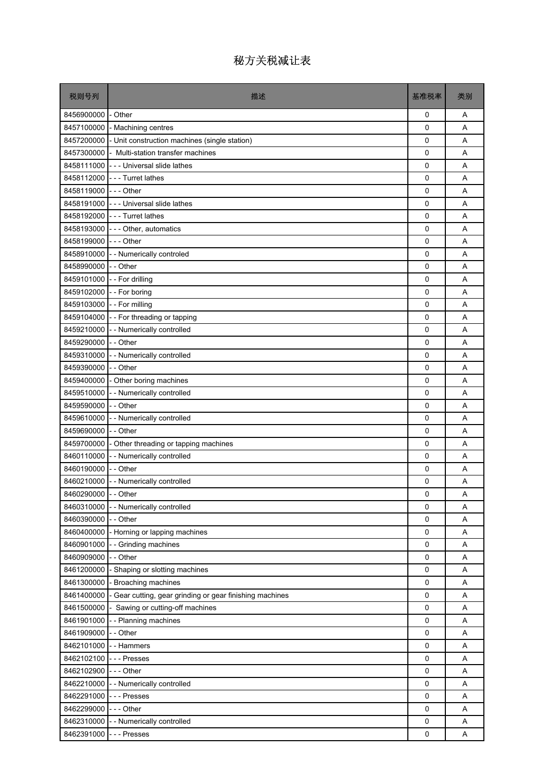| 税则号列                   | 描述                                                                  | 基准税率        | 类别 |
|------------------------|---------------------------------------------------------------------|-------------|----|
| 8456900000             | - Other                                                             | 0           | A  |
|                        | 8457100000 - Machining centres                                      | 0           | A  |
|                        | 8457200000 - Unit construction machines (single station)            | 0           | A  |
|                        | 8457300000 - Multi-station transfer machines                        | 0           | A  |
|                        | 8458111000 - - - Universal slide lathes                             | $\mathbf 0$ | A  |
|                        | 8458112000 - - - Turret lathes                                      | $\mathbf 0$ | A  |
| 8458119000 --- Other   |                                                                     | 0           | A  |
|                        | 8458191000 - - - Universal slide lathes                             | 0           | A  |
|                        | 8458192000 - - - Turret lathes                                      | 0           | A  |
|                        | 8458193000 --- Other, automatics                                    | 0           | A  |
| 8458199000 --- Other   |                                                                     | 0           | A  |
|                        | 8458910000 - - Numerically controled                                | 0           | A  |
| 8458990000 - - Other   |                                                                     | 0           | A  |
|                        | 8459101000 - - For drilling                                         | 0           | A  |
|                        | 8459102000 - - For boring                                           | 0           | A  |
|                        | 8459103000 - - For milling                                          | 0           | A  |
|                        | 8459104000 - - For threading or tapping                             | 0           | A  |
|                        | 8459210000 - - Numerically controlled                               | 0           | A  |
| 8459290000 - - Other   |                                                                     | 0           | A  |
|                        | 8459310000 - - Numerically controlled                               | 0           | A  |
| 8459390000 - - Other   |                                                                     | 0           | A  |
|                        | 8459400000 - Other boring machines                                  | 0           | A  |
| 8459510000             | - - Numerically controlled                                          | 0           | A  |
| 8459590000 -- Other    |                                                                     | 0           | A  |
|                        | 8459610000 - - Numerically controlled                               | $\mathbf 0$ | A  |
| 8459690000 - - Other   |                                                                     | 0           | A  |
|                        | 8459700000 - Other threading or tapping machines                    | 0           | A  |
|                        | 8460110000 - - Numerically controlled                               | 0           | A  |
| 8460190000 - - Other   |                                                                     | 0           | A  |
|                        | 8460210000 - - Numerically controlled                               | 0           | A  |
| 8460290000 - - Other   |                                                                     | 0           | Α  |
| 8460310000             | - - Numerically controlled                                          | 0           | Α  |
| 8460390000             | - - Other                                                           | 0           | Α  |
| 8460400000             | - Horning or lapping machines                                       | 0           | Α  |
|                        | 8460901000 - - Grinding machines                                    | 0           | Α  |
| 8460909000             | - - Other                                                           | 0           | Α  |
| 8461200000             | - Shaping or slotting machines                                      | 0           | Α  |
|                        | 8461300000 - Broaching machines                                     | 0           | Α  |
|                        | 8461400000 - Gear cutting, gear grinding or gear finishing machines | 0           | Α  |
| 8461500000             | - Sawing or cutting-off machines                                    | 0           | Α  |
| 8461901000             | - - Planning machines                                               | 0           | Α  |
| 8461909000 - - Other   |                                                                     | $\mathbf 0$ | Α  |
| 8462101000 - - Hammers |                                                                     | 0           | Α  |
| 8462102100 --- Presses |                                                                     | 0           | Α  |
| 8462102900 --- Other   |                                                                     | 0           | Α  |
| 8462210000             | - - Numerically controlled                                          | 0           | Α  |
| 8462291000             | - - - Presses                                                       | 0           | Α  |
| 8462299000 --- Other   |                                                                     | $\mathbf 0$ | Α  |
|                        | 8462310000 - - Numerically controlled                               | 0           | Α  |
| 8462391000 --- Presses |                                                                     | 0           | Α  |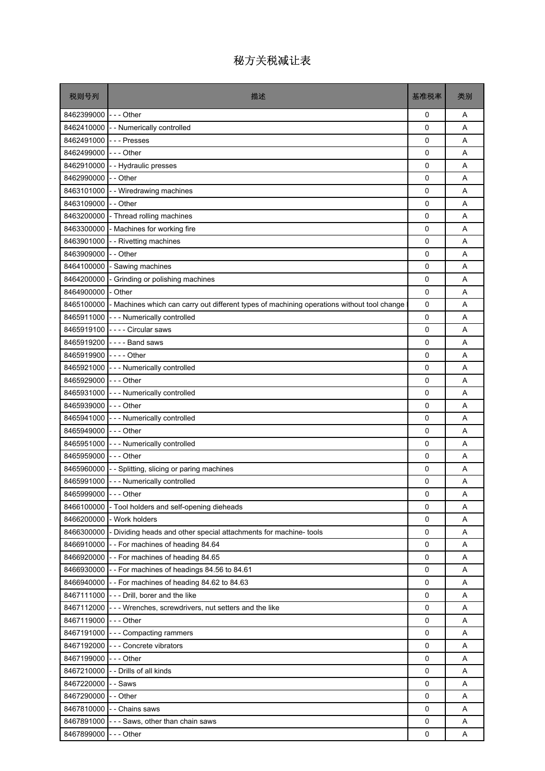| 税则号列                    | 描述                                                                                         | 基准税率        | 类别 |
|-------------------------|--------------------------------------------------------------------------------------------|-------------|----|
| 8462399000 I- - - Other |                                                                                            | 0           | Α  |
|                         | 8462410000 - - Numerically controlled                                                      | $\Omega$    | A  |
| 8462491000 --- Presses  |                                                                                            | 0           | A  |
| 8462499000 --- Other    |                                                                                            | 0           | A  |
|                         | 8462910000 - Hydraulic presses                                                             | 0           | A  |
| 8462990000 -- Other     |                                                                                            | 0           | A  |
|                         | 8463101000 - - Wiredrawing machines                                                        | 0           | A  |
| 8463109000 -- Other     |                                                                                            | 0           | A  |
|                         | 8463200000 - Thread rolling machines                                                       | $\Omega$    | A  |
|                         | 8463300000 - Machines for working fire                                                     | 0           | A  |
| 8463901000              | - - Rivetting machines                                                                     | 0           | A  |
| 8463909000 -- Other     |                                                                                            | $\Omega$    | A  |
|                         | 8464100000 - Sawing machines                                                               | 0           | A  |
| 8464200000              | - Grinding or polishing machines                                                           | 0           | A  |
| 8464900000              | - Other                                                                                    | 0           | A  |
| 8465100000              | - Machines which can carry out different types of machining operations without tool change | 0           | A  |
|                         | 8465911000 - - - Numerically controlled                                                    | 0           | A  |
|                         | 8465919100 ---- Circular saws                                                              | 0           | A  |
|                         | 8465919200 ---- Band saws                                                                  | $\Omega$    | A  |
| 8465919900 ---- Other   |                                                                                            | 0           | A  |
|                         | 8465921000 - - - Numerically controlled                                                    | 0           | A  |
| 8465929000 --- Other    |                                                                                            | $\Omega$    | A  |
|                         | 8465931000 --- Numerically controlled                                                      | 0           | A  |
| 8465939000 --- Other    |                                                                                            | 0           | A  |
|                         | 8465941000 - - - Numerically controlled                                                    | 0           | A  |
| 8465949000 --- Other    |                                                                                            | 0           | A  |
|                         | 8465951000 - - - Numerically controlled                                                    | 0           | A  |
| 8465959000 --- Other    |                                                                                            | 0           | A  |
|                         | 8465960000 - - Splitting, slicing or paring machines                                       | 0           | A  |
|                         | 8465991000 - - - Numerically controlled                                                    | 0           | A  |
| 8465999000 --- Other    |                                                                                            | $\Omega$    | Α  |
| 8466100000              | - Tool holders and self-opening dieheads                                                   | $\Omega$    | A  |
| 8466200000              | - Work holders                                                                             | 0           | Α  |
|                         | 8466300000 - Dividing heads and other special attachments for machine- tools               | 0           | Α  |
|                         | 8466910000 - - For machines of heading 84.64                                               | $\mathbf 0$ | Α  |
|                         | 8466920000 - - For machines of heading 84.65                                               | 0           | Α  |
|                         | 8466930000 - - For machines of headings 84.56 to 84.61                                     | 0           | Α  |
|                         | 8466940000 - - For machines of heading 84.62 to 84.63                                      | 0           | Α  |
|                         | 8467111000 - - - Drill, borer and the like                                                 | 0           | Α  |
|                         | 8467112000 - - - Wrenches, screwdrivers, nut setters and the like                          | 0           | Α  |
| 8467119000              | - - - Other                                                                                | 0           | Α  |
|                         | 8467191000 - - - Compacting rammers                                                        | 0           | A  |
|                         |                                                                                            |             |    |
|                         | 8467192000 --- Concrete vibrators                                                          | 0           | Α  |
| 8467199000 --- Other    |                                                                                            | 0           | Α  |
|                         | 8467210000 - - Drills of all kinds                                                         | 0           | A  |
| 8467220000              | - - Saws                                                                                   | 0           | Α  |
| 8467290000              | - - Other                                                                                  | 0           | Α  |
|                         | 8467810000 - - Chains saws                                                                 | 0           | Α  |
|                         | 8467891000 - - - Saws, other than chain saws                                               | 0           | Α  |
| 8467899000              | -  -  - Other                                                                              | 0           | Α  |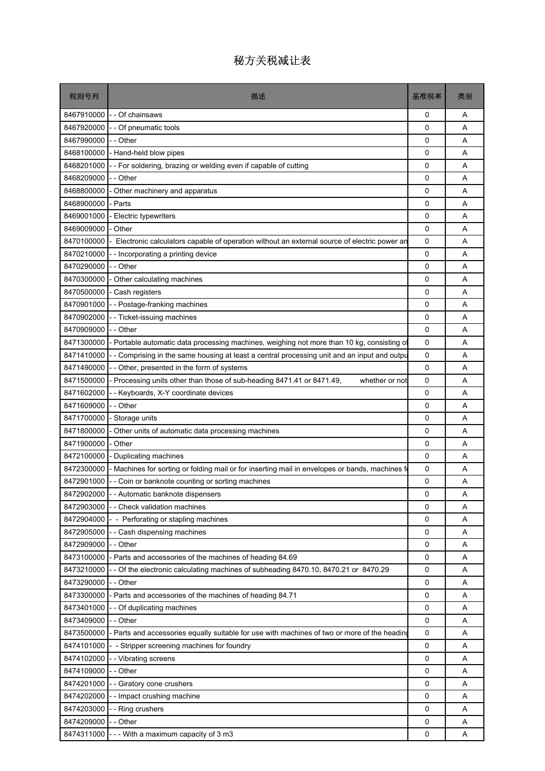| 税则号列       | 描述                                                                                              | 基准税率 | 类别 |
|------------|-------------------------------------------------------------------------------------------------|------|----|
| 8467910000 | Of chainsaws                                                                                    | 0    | Α  |
| 8467920000 | - Of pneumatic tools                                                                            | 0    | A  |
| 8467990000 | - - Other                                                                                       | 0    | A  |
| 8468100000 | - Hand-held blow pipes                                                                          | 0    | A  |
| 8468201000 | - - For soldering, brazing or welding even if capable of cutting                                | 0    | Α  |
| 8468209000 | - Other                                                                                         | 0    | A  |
| 8468800000 | Other machinery and apparatus                                                                   | 0    | A  |
| 8468900000 | - Parts                                                                                         | 0    | Α  |
| 8469001000 | - Electric typewriters                                                                          | 0    | A  |
| 8469009000 | - Other                                                                                         | 0    | A  |
| 8470100000 | Electronic calculators capable of operation without an external source of electric power an     | 0    | Α  |
| 8470210000 | - Incorporating a printing device                                                               | 0    | Α  |
| 8470290000 | - - Other                                                                                       | 0    | A  |
| 8470300000 | Other calculating machines                                                                      | 0    | A  |
| 8470500000 | - Cash registers                                                                                | 0    | Α  |
| 8470901000 | - Postage-franking machines                                                                     | 0    | A  |
| 8470902000 | - Ticket-issuing machines                                                                       | 0    | A  |
| 8470909000 | - - Other                                                                                       | 0    | A  |
| 8471300000 | - Portable automatic data processing machines, weighing not more than 10 kg, consisting of      | 0    | A  |
| 8471410000 | - - Comprising in the same housing at least a central processing unit and an input and outpu    | 0    | A  |
| 8471490000 | Other, presented in the form of systems                                                         | 0    | Α  |
| 8471500000 | - Processing units other than those of sub-heading 8471.41 or 8471.49,<br>whether or not        | 0    | Α  |
| 8471602000 | - Keyboards, X-Y coordinate devices                                                             | 0    | A  |
| 8471609000 | - - Other                                                                                       | 0    | A  |
| 8471700000 | - Storage units                                                                                 | 0    | A  |
| 8471800000 | Other units of automatic data processing machines                                               | 0    | A  |
| 8471900000 | Other                                                                                           | 0    | A  |
| 8472100000 | - Duplicating machines                                                                          | 0    | Α  |
| 8472300000 | - Machines for sorting or folding mail or for inserting mail in envelopes or bands, machines fo | 0    | Α  |
| 8472901000 | - - Coin or banknote counting or sorting machines                                               | 0    | A  |
| 8472902000 | - - Automatic banknote dispensers                                                               | 0    | A  |
| 8472903000 | - Check validation machines                                                                     | 0    | Α  |
| 8472904000 | - Perforating or stapling machines                                                              | 0    | A  |
| 8472905000 | Cash dispensing machines                                                                        | 0    | Α  |
| 8472909000 | - - Other                                                                                       | 0    | Α  |
| 8473100000 | - Parts and accessories of the machines of heading 84.69                                        | 0    | Α  |
| 8473210000 | - Of the electronic calculating machines of subheading 8470.10, 8470.21 or 8470.29              | 0    | Α  |
| 8473290000 | - - Other                                                                                       | 0    | Α  |
| 8473300000 | - Parts and accessories of the machines of heading 84.71                                        | 0    | Α  |
| 8473401000 | - - Of duplicating machines                                                                     | 0    | Α  |
| 8473409000 | - Other                                                                                         | 0    | Α  |
| 8473500000 | - Parts and accessories equally suitable for use with machines of two or more of the heading    | 0    | Α  |
| 8474101000 | - Stripper screening machines for foundry                                                       | 0    | Α  |
| 8474102000 | - Vibrating screens                                                                             | 0    | Α  |
| 8474109000 | - - Other                                                                                       | 0    | Α  |
| 8474201000 | Giratory cone crushers                                                                          | 0    | Α  |
| 8474202000 | - Impact crushing machine                                                                       | 0    | Α  |
| 8474203000 | - Ring crushers                                                                                 | 0    | Α  |
| 8474209000 | - Other                                                                                         | 0    | Α  |
| 8474311000 | - - With a maximum capacity of 3 m3                                                             | 0    | Α  |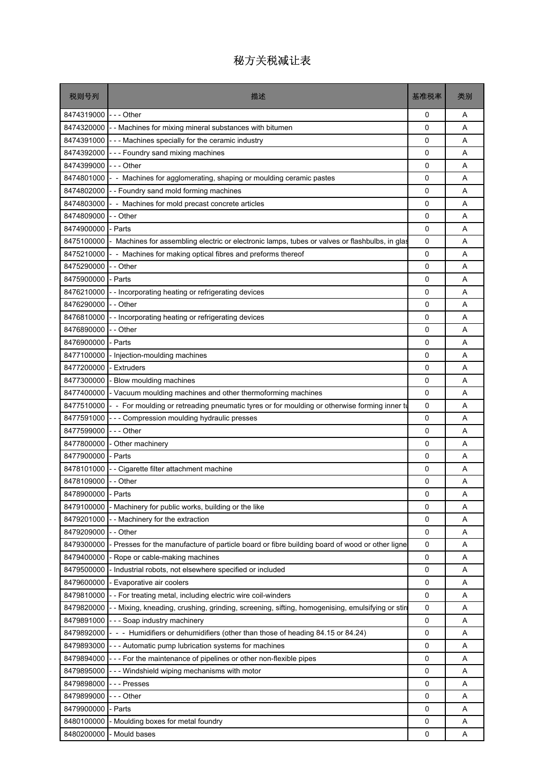| 税则号列                 | 描述                                                                                             | 基准税率        | 类别 |
|----------------------|------------------------------------------------------------------------------------------------|-------------|----|
| 8474319000 --- Other |                                                                                                | 0           | A  |
| 8474320000           | -- Machines for mixing mineral substances with bitumen                                         | 0           | A  |
| 8474391000           | - - - Machines specially for the ceramic industry                                              | 0           | A  |
| 8474392000           | --- Foundry sand mixing machines                                                               | 0           | Α  |
| 8474399000           | $\mathsf{I}$ - - Other                                                                         | 0           | A  |
| 8474801000           | - - Machines for agglomerating, shaping or moulding ceramic pastes                             | 0           | A  |
| 8474802000           | - - Foundry sand mold forming machines                                                         | 0           | A  |
| 8474803000           | - Machines for mold precast concrete articles                                                  | 0           | A  |
| 8474809000           | - Other                                                                                        | 0           | A  |
| 8474900000           | Parts                                                                                          | 0           | A  |
| 8475100000           | Machines for assembling electric or electronic lamps, tubes or valves or flashbulbs, in glas   | 0           | A  |
| 8475210000           | - Machines for making optical fibres and preforms thereof                                      | 0           | A  |
| 8475290000           | - Other                                                                                        | 0           | A  |
| 8475900000           | - Parts                                                                                        | 0           | A  |
| 8476210000           | - Incorporating heating or refrigerating devices                                               | 0           | A  |
| 8476290000           | - - Other                                                                                      | 0           | A  |
| 8476810000           | - Incorporating heating or refrigerating devices                                               | 0           | A  |
| 8476890000           | - Other                                                                                        | 0           | A  |
| 8476900000           | Parts                                                                                          | 0           | А  |
| 8477100000           | Injection-moulding machines                                                                    | 0           | A  |
| 8477200000           | - Extruders                                                                                    | 0           | A  |
| 8477300000           | Blow moulding machines                                                                         | 0           | A  |
| 8477400000           | - Vacuum moulding machines and other thermoforming machines                                    | 0           | A  |
| 8477510000           | - - For moulding or retreading pneumatic tyres or for moulding or otherwise forming inner to   | 0           | Α  |
| 8477591000           | - - Compression moulding hydraulic presses                                                     | 0           | A  |
| 8477599000           | - - - Other                                                                                    | 0           | A  |
| 8477800000           | - Other machinery                                                                              | 0           | A  |
| 8477900000           | - Parts                                                                                        | 0           | A  |
| 8478101000           | - Cigarette filter attachment machine                                                          | 0           | A  |
| 8478109000           | - Other                                                                                        | 0           | A  |
| 8478900000 - Parts   |                                                                                                | 0           | Α  |
| 8479100000           | Machinery for public works, building or the like                                               | $\Omega$    | A  |
| 8479201000           | Machinery for the extraction                                                                   | 0           | Α  |
| 8479209000           | - - Other                                                                                      | 0           | Α  |
| 8479300000           | Presses for the manufacture of particle board or fibre building board of wood or other ligne   | 0           | Α  |
| 8479400000           | - Rope or cable-making machines                                                                | 0           | Α  |
| 8479500000           | Industrial robots, not elsewhere specified or included                                         | 0           | Α  |
| 8479600000           | Evaporative air coolers                                                                        | 0           | Α  |
| 8479810000           | - For treating metal, including electric wire coil-winders                                     | 0           | Α  |
| 8479820000           | - Mixing, kneading, crushing, grinding, screening, sifting, homogenising, emulsifying or stiri | 0           | Α  |
| 8479891000           | --- Soap industry machinery                                                                    | 0           | Α  |
| 8479892000           | - - - Humidifiers or dehumidifiers (other than those of heading 84.15 or 84.24)                | 0           | A  |
| 8479893000           | - - Automatic pump lubrication systems for machines                                            | 0           | Α  |
| 8479894000           | --- For the maintenance of pipelines or other non-flexible pipes                               | 0           | Α  |
| 8479895000           | - - Windshield wiping mechanisms with motor                                                    | 0           | A  |
| 8479898000           | - - - Presses                                                                                  | 0           | Α  |
| 8479899000           | --- Other                                                                                      | 0           | Α  |
| 8479900000           | - Parts                                                                                        | $\mathbf 0$ | Α  |
| 8480100000           | - Moulding boxes for metal foundry                                                             | 0           | Α  |
| 8480200000           | Mould bases                                                                                    | 0           | Α  |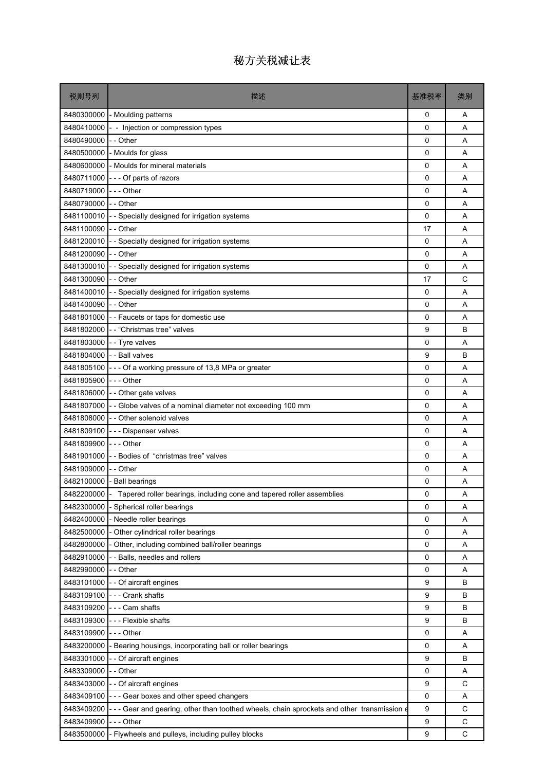| 税则号列                | 描述                                                                                                | 基准税率         | 类别          |
|---------------------|---------------------------------------------------------------------------------------------------|--------------|-------------|
| 8480300000          | - Moulding patterns                                                                               | 0            | A           |
| 8480410000          | - Injection or compression types                                                                  | 0            | A           |
| 8480490000          | - - Other                                                                                         | 0            | A           |
| 8480500000          | - Moulds for glass                                                                                | 0            | A           |
| 8480600000          | - Moulds for mineral materials                                                                    | 0            | A           |
| 8480711000          | --- Of parts of razors                                                                            | 0            | A           |
| 8480719000          | - - - Other                                                                                       | 0            | Α           |
| 8480790000          | - - Other                                                                                         | 0            | A           |
| 8481100010          | - Specially designed for irrigation systems                                                       | 0            | A           |
| 8481100090 -- Other |                                                                                                   | 17           | Α           |
| 8481200010          | Specially designed for irrigation systems                                                         | 0            | A           |
| 8481200090          | - - Other                                                                                         | 0            | A           |
| 8481300010          | - Specially designed for irrigation systems                                                       | 0            | Α           |
| 8481300090          | - - Other                                                                                         | 17           | С           |
| 8481400010          | - Specially designed for irrigation systems                                                       | 0            | A           |
| 8481400090          | - - Other                                                                                         | 0            | A           |
| 8481801000          | - - Faucets or taps for domestic use                                                              | 0            | Α           |
|                     | 8481802000 - - "Christmas tree" valves                                                            | 9            | B           |
| 8481803000          | - - Tyre valves                                                                                   | 0            | A           |
| 8481804000          | - - Ball valves                                                                                   | 9            | В           |
| 8481805100          | --- Of a working pressure of 13,8 MPa or greater                                                  | 0            | A           |
| 8481805900          | - - - Other                                                                                       | 0            | A           |
| 8481806000          | - - Other gate valves                                                                             | 0            | A           |
| 8481807000          | -- Globe valves of a nominal diameter not exceeding 100 mm                                        | 0            | A           |
| 8481808000          | - - Other solenoid valves                                                                         | 0            | A           |
| 8481809100          | - - - Dispenser valves                                                                            | 0            | A           |
| 8481809900          | --- Other                                                                                         | 0            | Α           |
| 8481901000          | --Bodies of "christmas tree" valves                                                               | 0            | A           |
| 8481909000          | - - Other                                                                                         | 0            | A           |
| 8482100000          | - Ball bearings                                                                                   | 0            | Α           |
|                     | 8482200000 - Tapered roller bearings, including cone and tapered roller assemblies                | $\Omega$     | Α           |
| 8482300000          | - Spherical roller bearings                                                                       | $\mathbf{0}$ | Α           |
| 8482400000          | - Needle roller bearings                                                                          | 0            | Α           |
| 8482500000          | - Other cylindrical roller bearings                                                               | 0            | Α           |
|                     | 8482800000 - Other, including combined ball/roller bearings                                       | 0            | Α           |
| 8482910000          | - - Balls, needles and rollers                                                                    | 0            | Α           |
| 8482990000          | - - Other                                                                                         | 0            | Α           |
| 8483101000          | - - Of aircraft engines                                                                           | 9            | B           |
| 8483109100          | - - - Crank shafts                                                                                | 9            | B           |
| 8483109200          | --- Cam shafts                                                                                    | 9            | В           |
| 8483109300          | - - - Flexible shafts                                                                             | 9            | В           |
| 8483109900          | --- Other                                                                                         | 0            | Α           |
| 8483200000          | Bearing housings, incorporating ball or roller bearings                                           | 0            | Α           |
| 8483301000          | - - Of aircraft engines                                                                           | 9            | В           |
| 8483309000          | - - Other                                                                                         | 0            | Α           |
| 8483403000          | - - Of aircraft engines                                                                           | 9            | $\mathbf C$ |
| 8483409100          | --- Gear boxes and other speed changers                                                           | 0            | A           |
| 8483409200          | -- Gear and gearing, other than toothed wheels, chain sprockets and other transmission $\epsilon$ | 9            | C           |
| 8483409900          | - - - Other                                                                                       | 9            | C           |
| 8483500000          | Flywheels and pulleys, including pulley blocks                                                    | 9            | C           |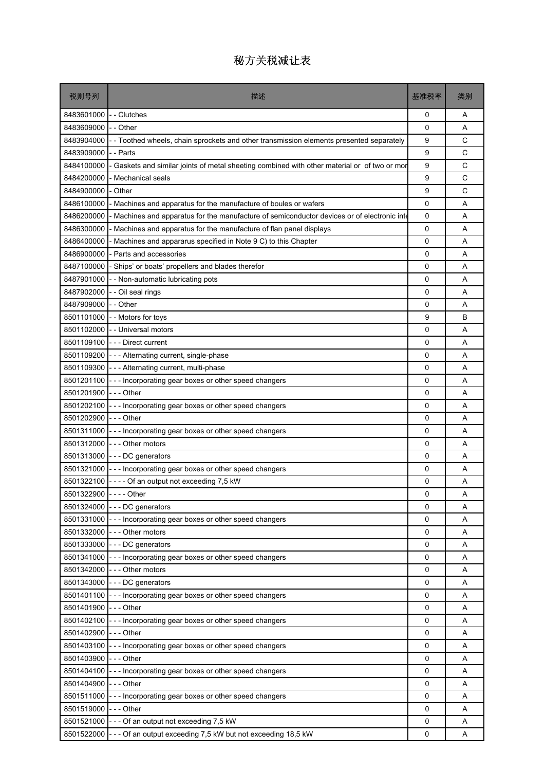| 税则号列                     | 描述                                                                                         | 基准税率   | 类别     |
|--------------------------|--------------------------------------------------------------------------------------------|--------|--------|
| 8483601000               | - - Clutches                                                                               | 0      | A      |
| 8483609000               | -- Other                                                                                   | 0      | A      |
| 8483904000               | - - Toothed wheels, chain sprockets and other transmission elements presented separately   | 9      | C      |
| 8483909000               | - - Parts                                                                                  | 9      | C      |
| 8484100000               | Gaskets and similar joints of metal sheeting combined with other material or of two or mor | 9      | C      |
| 8484200000               | - Mechanical seals                                                                         | 9      | С      |
| 8484900000               | Other                                                                                      | 9      | C      |
| 8486100000               | - Machines and apparatus for the manufacture of boules or wafers                           | 0      | A      |
| 8486200000               | Machines and apparatus for the manufacture of semiconductor devices or of electronic inte  | 0      | A      |
| 8486300000               | Machines and apparatus for the manufacture of flan panel displays                          | 0      | A      |
| 8486400000               | - Machines and appararus specified in Note 9 C) to this Chapter                            | 0      | Α      |
| 8486900000               | - Parts and accessories                                                                    | 0      | A      |
| 8487100000               | Ships' or boats' propellers and blades therefor                                            | 0      | A      |
| 8487901000               | - - Non-automatic lubricating pots                                                         | 0      | Α      |
| 8487902000               | - Oil seal rings                                                                           | 0      | A      |
| 8487909000               | - Other                                                                                    | 0      | A      |
| 8501101000               | - Motors for toys                                                                          | 9      | В      |
| 8501102000               | - - Universal motors                                                                       | 0      | A      |
|                          | 8501109100 --- Direct current                                                              | 0      | A      |
| 8501109200               | - - - Alternating current, single-phase                                                    | 0      | A      |
| 8501109300               | --- Alternating current, multi-phase                                                       | 0      | A      |
| 8501201100               | --- Incorporating gear boxes or other speed changers                                       | 0      | A      |
| 8501201900               | - - - Other                                                                                | 0      | A      |
| 8501202100               | --- Incorporating gear boxes or other speed changers                                       | 0      | Α      |
| 8501202900               | $- -$ Other                                                                                | 0      | A      |
| 8501311000<br>8501312000 | --- Incorporating gear boxes or other speed changers<br>--- Other motors                   | 0<br>0 | A      |
| 8501313000               | --- DC generators                                                                          | 0      | Α<br>A |
| 8501321000               | --- Incorporating gear boxes or other speed changers                                       | 0      | A      |
|                          | 8501322100 ---- Of an output not exceeding 7,5 kW                                          | 0      | A      |
| 8501322900 ---- Other    |                                                                                            | 0      | Α      |
|                          | 8501324000 --- DC generators                                                               | 0      | Α      |
| 8501331000               | - Incorporating gear boxes or other speed changers                                         | 0      | A      |
| 8501332000               | --- Other motors                                                                           | 0      | Α      |
| 8501333000               | - - DC generators                                                                          | 0      | A      |
| 8501341000               | --- Incorporating gear boxes or other speed changers                                       | 0      | A      |
| 8501342000               | --- Other motors                                                                           | 0      | Α      |
| 8501343000               | --- DC generators                                                                          | 0      | A      |
| 8501401100               | --- Incorporating gear boxes or other speed changers                                       | 0      | A      |
| 8501401900               | $--$ Other                                                                                 | 0      | Α      |
| 8501402100               | - - Incorporating gear boxes or other speed changers                                       | 0      | Α      |
| 8501402900               | $- -$ Other                                                                                | 0      | Α      |
| 8501403100               | --- Incorporating gear boxes or other speed changers                                       | 0      | A      |
| 8501403900               | - - - Other                                                                                | 0      | Α      |
| 8501404100               | - - Incorporating gear boxes or other speed changers                                       | 0      | A      |
| 8501404900               | --- Other                                                                                  | 0      | A      |
| 8501511000               | --- Incorporating gear boxes or other speed changers                                       | 0      | Α      |
| 8501519000               | --- Other                                                                                  | 0      | Α      |
| 8501521000               | --- Of an output not exceeding 7,5 kW                                                      | 0      | A      |
| 8501522000               | --- Of an output exceeding 7,5 kW but not exceeding 18,5 kW                                | 0      | Α      |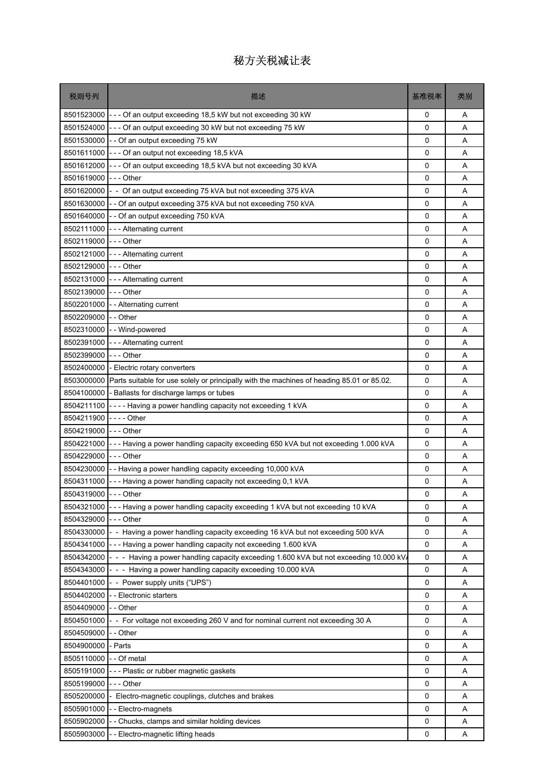| 税则号列                 | 描述                                                                                        | 基准税率 | 类别 |
|----------------------|-------------------------------------------------------------------------------------------|------|----|
|                      | 8501523000 - - - Of an output exceeding 18,5 kW but not exceeding 30 kW                   | 0    | Α  |
| 8501524000           | --- Of an output exceeding 30 kW but not exceeding 75 kW                                  | 0    | A  |
| 8501530000           | - - Of an output exceeding 75 kW                                                          | 0    | Α  |
| 8501611000           | --- Of an output not exceeding 18,5 kVA                                                   | 0    | A  |
| 8501612000           | --- Of an output exceeding 18,5 kVA but not exceeding 30 kVA                              | 0    | A  |
| 8501619000           | --- Other                                                                                 | 0    | A  |
| 8501620000           | - - Of an output exceeding 75 kVA but not exceeding 375 kVA                               | 0    | Α  |
| 8501630000           | - - Of an output exceeding 375 kVA but not exceeding 750 kVA                              | 0    | A  |
| 8501640000           | - - Of an output exceeding 750 kVA                                                        | 0    | A  |
| 8502111000           | - - - Alternating current                                                                 | 0    | Α  |
| 8502119000 --- Other |                                                                                           | 0    | A  |
| 8502121000           | --- Alternating current                                                                   | 0    | A  |
| 8502129000           | $--$ Other                                                                                | 0    | Α  |
| 8502131000           | - - - Alternating current                                                                 | 0    | A  |
| 8502139000           | - - - Other                                                                               | 0    | A  |
| 8502201000           | - - Alternating current                                                                   | 0    | Α  |
| 8502209000           | - - Other                                                                                 | 0    | Α  |
|                      | 8502310000 - - Wind-powered                                                               | 0    | A  |
| 8502391000           | - - - Alternating current                                                                 | 0    | A  |
| 8502399000           | - - - Other                                                                               | 0    | Α  |
| 8502400000           | - Electric rotary converters                                                              | 0    | A  |
| 8503000000           | Parts suitable for use solely or principally with the machines of heading 85.01 or 85.02. | 0    | Α  |
| 8504100000           | - Ballasts for discharge lamps or tubes                                                   | 0    | Α  |
| 8504211100           | ---- Having a power handling capacity not exceeding 1 kVA                                 | 0    | A  |
| 8504211900           | $--$ - Other                                                                              | 0    | A  |
| 8504219000           | - - - Other                                                                               | 0    | Α  |
| 8504221000           | --- Having a power handling capacity exceeding 650 kVA but not exceeding 1.000 kVA        | 0    | Α  |
| 8504229000           | $--$ Other                                                                                | 0    | Α  |
| 8504230000           | - Having a power handling capacity exceeding 10,000 kVA                                   | 0    | Α  |
| 8504311000           | --- Having a power handling capacity not exceeding 0,1 kVA                                | 0    | Α  |
| 8504319000           | - - Other                                                                                 | 0    | Α  |
| 8504321000           | - Having a power handling capacity exceeding 1 kVA but not exceeding 10 kVA               | 0    | Α  |
| 8504329000           | --- Other                                                                                 | 0    | Α  |
| 8504330000           | - - Having a power handling capacity exceeding 16 kVA but not exceeding 500 kVA           | 0    | Α  |
| 8504341000           | --- Having a power handling capacity not exceeding 1.600 kVA                              | 0    | Α  |
| 8504342000           | - - Having a power handling capacity exceeding 1.600 kVA but not exceeding 10.000 kV.     | 0    | Α  |
| 8504343000           | - - - Having a power handling capacity exceeding 10.000 kVA                               | 0    | Α  |
| 8504401000           | - - Power supply units ("UPS")                                                            | 0    | Α  |
| 8504402000           | - Electronic starters                                                                     | 0    | Α  |
| 8504409000           | - - Other                                                                                 | 0    | Α  |
| 8504501000           | - - For voltage not exceeding 260 V and for nominal current not exceeding 30 A            | 0    | Α  |
| 8504509000           | - - Other                                                                                 | 0    | Α  |
| 8504900000           | - Parts                                                                                   | 0    | Α  |
| 8505110000           | - Of metal                                                                                | 0    | Α  |
| 8505191000           | - - Plastic or rubber magnetic gaskets                                                    | 0    | Α  |
| 8505199000           | - - - Other                                                                               | 0    | Α  |
| 8505200000           | Electro-magnetic couplings, clutches and brakes                                           | 0    | Α  |
| 8505901000           | - - Electro-magnets                                                                       | 0    | Α  |
| 8505902000           | - Chucks, clamps and similar holding devices                                              | 0    | Α  |
| 8505903000           | - Electro-magnetic lifting heads                                                          | 0    | Α  |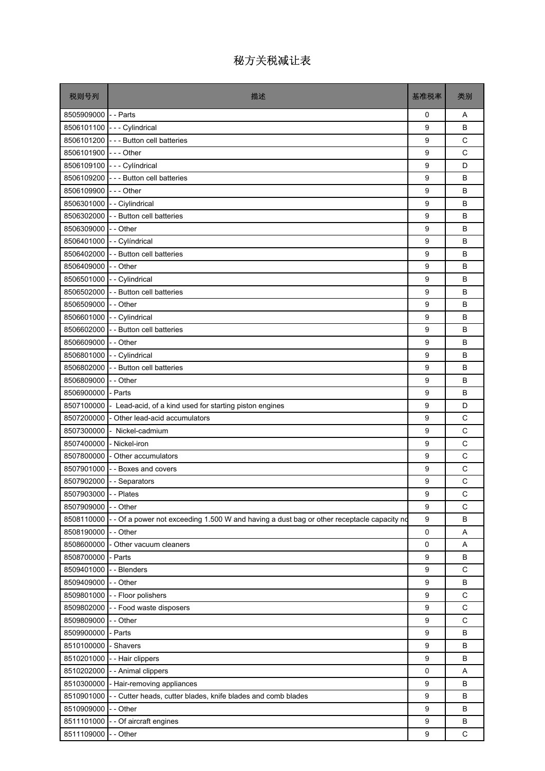| 税则号列                     | 描述                                                                                         | 基准税率        | 类别          |
|--------------------------|--------------------------------------------------------------------------------------------|-------------|-------------|
| 8505909000 - - Parts     |                                                                                            | 0           | A           |
|                          | 8506101100 --- Cylindrical                                                                 | 9           | B           |
|                          | 8506101200 - - Button cell batteries                                                       | 9           | C           |
| 8506101900 --- Other     |                                                                                            | 9           | $\mathsf C$ |
|                          | 8506109100 --- Cylíndrical                                                                 | 9           | D           |
|                          | 8506109200 - - - Button cell batteries                                                     | 9           | B           |
| 8506109900 --- Other     |                                                                                            | 9           | B           |
|                          | 8506301000 - - Ciylindrical                                                                | 9           | B           |
|                          | 8506302000 - - Button cell batteries                                                       | 9           | B           |
| 8506309000 - - Other     |                                                                                            | 9           | B           |
|                          | 8506401000 - - Cylíndrical                                                                 | 9           | B           |
|                          | 8506402000 - - Button cell batteries                                                       | 9           | B           |
| 8506409000 - - Other     |                                                                                            | 9           | B           |
|                          | 8506501000 - - Cylindrical                                                                 | 9           | B           |
|                          | 8506502000 - Button cell batteries                                                         | 9           | B           |
| 8506509000 - - Other     |                                                                                            | 9           | B           |
|                          | 8506601000 - - Cylindrical                                                                 | 9           | B           |
|                          | 8506602000 - - Button cell batteries                                                       | 9           | B           |
| 8506609000 - - Other     |                                                                                            | 9           | B           |
|                          | 8506801000 - - Cylindrical                                                                 | 9           | B           |
|                          | 8506802000 - - Button cell batteries                                                       | 9           | B           |
| 8506809000 - - Other     |                                                                                            | 9           | B           |
| 8506900000 - Parts       |                                                                                            | 9           | B           |
|                          | 8507100000 - Lead-acid, of a kind used for starting piston engines                         | 9           | D           |
|                          | 8507200000 - Other lead-acid accumulators                                                  | 9           | C           |
|                          | 8507300000 - Nickel-cadmium                                                                | 9           | C           |
| 8507400000 - Nickel-iron |                                                                                            | 9           | C           |
|                          | 8507800000 - Other accumulators                                                            | 9           | C           |
|                          | 8507901000 - Boxes and covers                                                              | 9           | C           |
|                          | 8507902000 - - Separators                                                                  | 9           | C           |
| 8507903000 - - Plates    |                                                                                            | q           | C           |
| 8507909000               | - - Other                                                                                  | 9           | C           |
| 8508110000               | - - Of a power not exceeding 1.500 W and having a dust bag or other receptacle capacity no | 9           | B           |
| 8508190000               | - - Other                                                                                  | $\mathsf 0$ | Α           |
| 8508600000               | - Other vacuum cleaners                                                                    | 0           | Α           |
| 8508700000               | - Parts                                                                                    | 9           | B           |
| 8509401000               | - - Blenders                                                                               | 9           | C           |
| 8509409000               | - - Other                                                                                  | 9           | B           |
| 8509801000               | - - Floor polishers                                                                        | 9           | $\mathsf C$ |
| 8509802000               | -- Food waste disposers                                                                    | 9           | C           |
| 8509809000               | - - Other                                                                                  | 9           | C           |
| 8509900000               | - Parts                                                                                    | 9           | B           |
| 8510100000               | - Shavers                                                                                  | 9           | B           |
| 8510201000               | -- Hair clippers                                                                           | 9           | B           |
| 8510202000               | - - Animal clippers                                                                        | 0           | Α           |
| 8510300000               | - Hair-removing appliances                                                                 | 9           | B           |
| 8510901000               | -- Cutter heads, cutter blades, knife blades and comb blades                               | 9           | B           |
| 8510909000               | - - Other                                                                                  | 9           | B           |
| 8511101000               | - - Of aircraft engines                                                                    | 9           | B           |
| 8511109000               | - - Other                                                                                  | 9           | С           |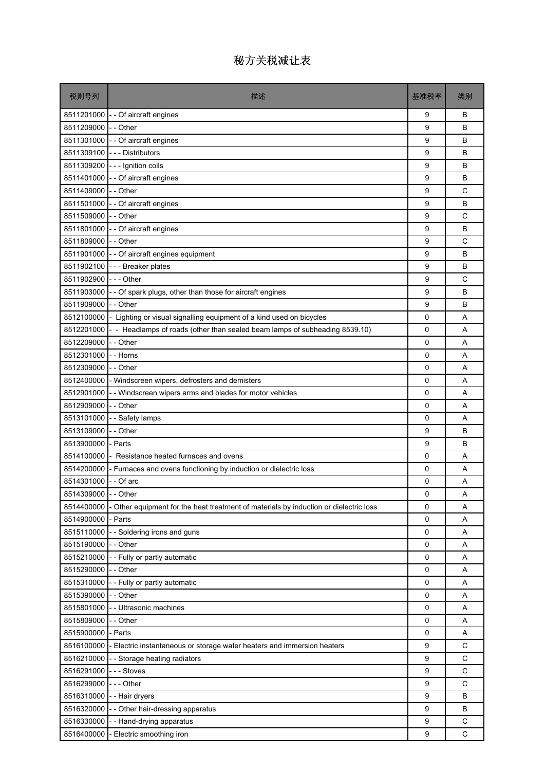| 税则号列                 | 描述                                                                                  | 基准税率        | 类别          |
|----------------------|-------------------------------------------------------------------------------------|-------------|-------------|
| 8511201000           | - - Of aircraft engines                                                             | 9           | B           |
| 8511209000           | - - Other                                                                           | 9           | B           |
| 8511301000           | - - Of aircraft engines                                                             | 9           | B           |
| 8511309100           | --- Distributors                                                                    | 9           | B           |
|                      | 8511309200 --- Ignition coils                                                       | 9           | B           |
| 8511401000           | - - Of aircraft engines                                                             | 9           | B           |
| 8511409000           | - - Other                                                                           | 9           | C           |
| 8511501000           | - - Of aircraft engines                                                             | 9           | B           |
| 8511509000           | - - Other                                                                           | 9           | C           |
| 8511801000           | - Of aircraft engines                                                               | 9           | B           |
| 8511809000           | - - Other                                                                           | 9           | C           |
| 8511901000           | - - Of aircraft engines equipment                                                   | 9           | B           |
| 8511902100           | - - - Breaker plates                                                                | 9           | B           |
| 8511902900           | --- Other                                                                           | 9           | C           |
| 8511903000           | - Of spark plugs, other than those for aircraft engines                             | 9           | B           |
| 8511909000           | - - Other                                                                           | 9           | B           |
| 8512100000           | Lighting or visual signalling equipment of a kind used on bicycles                  | 0           | A           |
| 8512201000           | - Headlamps of roads (other than sealed beam lamps of subheading 8539.10)           | 0           | A           |
| 8512209000           | - - Other                                                                           | 0           | A           |
| 8512301000           | - - Horns                                                                           | 0           | A           |
| 8512309000           | - - Other                                                                           | 0           | A           |
| 8512400000           | - Windscreen wipers, defrosters and demisters                                       | 0           | A           |
| 8512901000           | - Windscreen wipers arms and blades for motor vehicles                              | 0           | A           |
| 8512909000           | - - Other                                                                           | 0           | A           |
| 8513101000           | - Safety lamps                                                                      | $\mathbf 0$ | A           |
| 8513109000           | - - Other                                                                           | 9           | B           |
| 8513900000           | - Parts                                                                             | 9           | B           |
| 8514100000           | Resistance heated furnaces and ovens                                                | 0           | A           |
| 8514200000           | - Furnaces and ovens functioning by induction or dielectric loss                    | 0           | A           |
| 8514301000           | - - Of arc                                                                          | 0           | A           |
| 8514309000 - - Other |                                                                                     | 0           | Α           |
| 8514400000           | Other equipment for the heat treatment of materials by induction or dielectric loss | 0           | Α           |
| 8514900000           | Parts                                                                               | 0           | Α           |
| 8515110000           | -- Soldering irons and guns                                                         | 0           | Α           |
| 8515190000           | - - Other                                                                           | 0           | Α           |
| 8515210000           | - - Fully or partly automatic                                                       | 0           | Α           |
| 8515290000           | - - Other                                                                           | 0           | Α           |
| 8515310000           | - - Fully or partly automatic                                                       | 0           | Α           |
| 8515390000           | - - Other                                                                           | 0           | Α           |
| 8515801000           | - Ultrasonic machines                                                               | 0           | Α           |
| 8515809000           | - - Other                                                                           | 0           | Α           |
| 8515900000           | - Parts                                                                             | $\mathbf 0$ | Α           |
| 8516100000           | Electric instantaneous or storage water heaters and immersion heaters               | 9           | C           |
| 8516210000           | -- Storage heating radiators                                                        | 9           | C           |
| 8516291000           | --- Stoves                                                                          | 9           | C           |
| 8516299000           | --- Other                                                                           | 9           | $\mathsf C$ |
| 8516310000           | -- Hair dryers                                                                      | 9           | в           |
| 8516320000           | - - Other hair-dressing apparatus                                                   | 9           | B           |
| 8516330000           | - Hand-drying apparatus                                                             | 9           | $\mathsf C$ |
| 8516400000           | Electric smoothing iron                                                             | 9           | C           |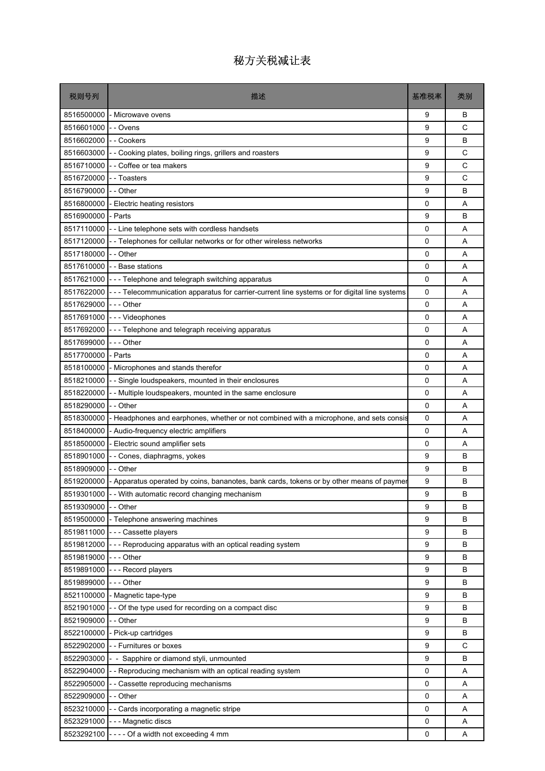| 税则号列       | 描述                                                                                             | 基准税率        | 类别 |
|------------|------------------------------------------------------------------------------------------------|-------------|----|
| 8516500000 | - Microwave ovens                                                                              | 9           | В  |
| 8516601000 | - Ovens                                                                                        | 9           | C  |
| 8516602000 | - Cookers                                                                                      | 9           | B  |
| 8516603000 | - Cooking plates, boiling rings, grillers and roasters                                         | 9           | С  |
| 8516710000 | - Coffee or tea makers                                                                         | 9           | C  |
| 8516720000 | - Toasters                                                                                     | 9           | C  |
| 8516790000 | - - Other                                                                                      | 9           | B  |
| 8516800000 | Electric heating resistors                                                                     | 0           | A  |
| 8516900000 | - Parts                                                                                        | 9           | B  |
| 8517110000 | -- Line telephone sets with cordless handsets                                                  | 0           | Α  |
| 8517120000 | -- Telephones for cellular networks or for other wireless networks                             | 0           | A  |
| 8517180000 | - - Other                                                                                      | 0           | A  |
| 8517610000 | - - Base stations                                                                              | $\mathbf 0$ | A  |
| 8517621000 | --- Telephone and telegraph switching apparatus                                                | 0           | A  |
| 8517622000 | - - - Telecommunication apparatus for carrier-current line systems or for digital line systems | 0           | A  |
| 8517629000 | -  -  - Other                                                                                  | 0           | A  |
| 8517691000 | --- Videophones                                                                                | 0           | Α  |
| 8517692000 | --- Telephone and telegraph receiving apparatus                                                | 0           | A  |
| 8517699000 | -  - - Other                                                                                   | 0           | A  |
| 8517700000 | - Parts                                                                                        | 0           | Α  |
| 8518100000 | - Microphones and stands therefor                                                              | 0           | A  |
| 8518210000 | - Single loudspeakers, mounted in their enclosures                                             | 0           | A  |
| 8518220000 | - Multiple loudspeakers, mounted in the same enclosure                                         | 0           | Α  |
| 8518290000 | - - Other                                                                                      | 0           | A  |
| 8518300000 | Headphones and earphones, whether or not combined with a microphone, and sets consis           | 0           | A  |
| 8518400000 | - Audio-frequency electric amplifiers                                                          | 0           | A  |
| 8518500000 | - Electric sound amplifier sets                                                                | 0           | Α  |
| 8518901000 | - Cones, diaphragms, yokes                                                                     | 9           | B  |
| 8518909000 | - - Other                                                                                      | 9           | В  |
| 8519200000 | - Apparatus operated by coins, bananotes, bank cards, tokens or by other means of paymer       | 9           | B  |
|            | 8519301000 - With automatic record changing mechanism                                          | 9           | B  |
| 8519309000 | - - Other                                                                                      | 9           | B  |
| 8519500000 | - Telephone answering machines                                                                 | 9           | В  |
| 8519811000 | --- Cassette players                                                                           | 9           | В  |
| 8519812000 | --- Reproducing apparatus with an optical reading system                                       | 9           | B  |
| 8519819000 | --- Other                                                                                      | 9           | В  |
| 8519891000 | --- Record players                                                                             | 9           | В  |
| 8519899000 | --- Other                                                                                      | 9           | B  |
| 8521100000 | - Magnetic tape-type                                                                           | 9           | B  |
| 8521901000 | - Of the type used for recording on a compact disc                                             | 9           | В  |
| 8521909000 | - - Other                                                                                      | 9           | В  |
| 8522100000 | - Pick-up cartridges                                                                           | 9           | B  |
| 8522902000 | -- Furnitures or boxes                                                                         | 9           | C  |
| 8522903000 | - Sapphire or diamond styli, unmounted                                                         | 9           | В  |
| 8522904000 | - Reproducing mechanism with an optical reading system                                         | 0           | Α  |
| 8522905000 | Cassette reproducing mechanisms                                                                | 0           | Α  |
| 8522909000 | - - Other                                                                                      | 0           | Α  |
| 8523210000 | - Cards incorporating a magnetic stripe                                                        | 0           | Α  |
| 8523291000 | - - - Magnetic discs                                                                           | 0           | Α  |
| 8523292100 | ---- Of a width not exceeding 4 mm                                                             | 0           | Α  |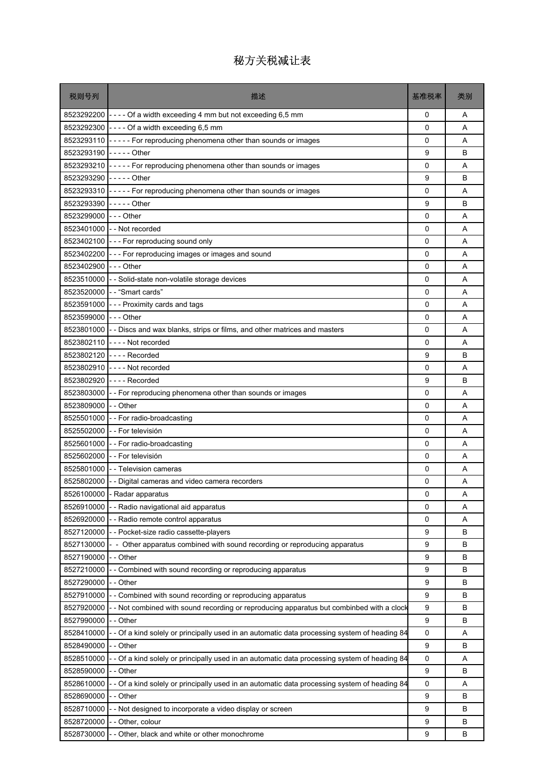| 税则号列                   | 描述                                                                                          | 基准税率        | 类别 |
|------------------------|---------------------------------------------------------------------------------------------|-------------|----|
|                        | 8523292200 - - - - Of a width exceeding 4 mm but not exceeding 6,5 mm                       | 0           | A  |
|                        | 8523292300 - - - - Of a width exceeding 6,5 mm                                              | 0           | A  |
|                        | 8523293110 - - - - - For reproducing phenomena other than sounds or images                  | $\Omega$    | A  |
| 8523293190 ----- Other |                                                                                             | 9           | B  |
|                        | 8523293210 - - - - - For reproducing phenomena other than sounds or images                  | 0           | A  |
| 8523293290 ----- Other |                                                                                             | 9           | B  |
|                        | 8523293310 ----- For reproducing phenomena other than sounds or images                      | 0           | Α  |
| 8523293390 ----- Other |                                                                                             | 9           | B  |
| 8523299000 --- Other   |                                                                                             | 0           | A  |
|                        | 8523401000 - - Not recorded                                                                 | 0           | Α  |
|                        | 8523402100 - - - For reproducing sound only                                                 | 0           | A  |
|                        | 8523402200 - - - For reproducing images or images and sound                                 | 0           | A  |
| 8523402900 --- Other   |                                                                                             | 0           | A  |
|                        | 8523510000 - - Solid-state non-volatile storage devices                                     | 0           | A  |
|                        | 8523520000 - - "Smart cards"                                                                | 0           | A  |
|                        | 8523591000 - - - Proximity cards and tags                                                   | 0           | A  |
| 8523599000 --- Other   |                                                                                             | 0           | Α  |
|                        | 8523801000 - - Discs and wax blanks, strips or films, and other matrices and masters        | $\mathbf 0$ | A  |
|                        | 8523802110 ---- Not recorded                                                                | 0           | A  |
|                        | 8523802120 ---- Recorded                                                                    | 9           | В  |
|                        | 8523802910 ---- Not recorded                                                                | 0           | A  |
|                        | 8523802920 ---- Recorded                                                                    | 9           | B  |
| 8523803000             | -- For reproducing phenomena other than sounds or images                                    | $\mathbf 0$ | Α  |
| 8523809000 - - Other   |                                                                                             | 0           | A  |
|                        | 8525501000 - For radio-broadcasting                                                         | 0           | A  |
|                        | 8525502000 - - For televisión                                                               | 0           | A  |
|                        | 8525601000 - - For radio-broadcasting                                                       | 0           | A  |
|                        | 8525602000 - - For televisión                                                               | $\mathbf 0$ | A  |
|                        | 8525801000 - Television cameras                                                             | 0           | A  |
|                        | 8525802000 - - Digital cameras and video camera recorders                                   | 0           | Α  |
|                        | 8526100000 - Radar apparatus                                                                | 0           | Α  |
| 8526910000             | - - Radio navigational aid apparatus                                                        | 0           | Α  |
| 8526920000             | - Radio remote control apparatus                                                            | 0           | Α  |
| 8527120000             | - - Pocket-size radio cassette-players                                                      | 9           | в  |
| 8527130000             | - - Other apparatus combined with sound recording or reproducing apparatus                  | 9           | B  |
| 8527190000             | - - Other                                                                                   | 9           | в  |
| 8527210000             | - - Combined with sound recording or reproducing apparatus                                  | 9           | В  |
| 8527290000             | Other                                                                                       | 9           | B  |
| 8527910000             | - Combined with sound recording or reproducing apparatus                                    | 9           | в  |
| 8527920000             | - Not combined with sound recording or reproducing apparatus but combinbed with a clock     | 9           | В  |
| 8527990000             | - - Other                                                                                   | 9           | в  |
| 8528410000             | - Of a kind solely or principally used in an automatic data processing system of heading 84 | 0           | Α  |
| 8528490000             | - Other                                                                                     | 9           | в  |
| 8528510000             | - Of a kind solely or principally used in an automatic data processing system of heading 84 | 0           | Α  |
| 8528590000             | - Other                                                                                     | 9           | B  |
| 8528610000             | Of a kind solely or principally used in an automatic data processing system of heading 84   | 0           | Α  |
| 8528690000             | - - Other                                                                                   | 9           | в  |
| 8528710000             | - Not designed to incorporate a video display or screen                                     | 9           | B  |
| 8528720000             | - Other, colour                                                                             | 9           | в  |
| 8528730000             | - Other, black and white or other monochrome                                                | 9           | в  |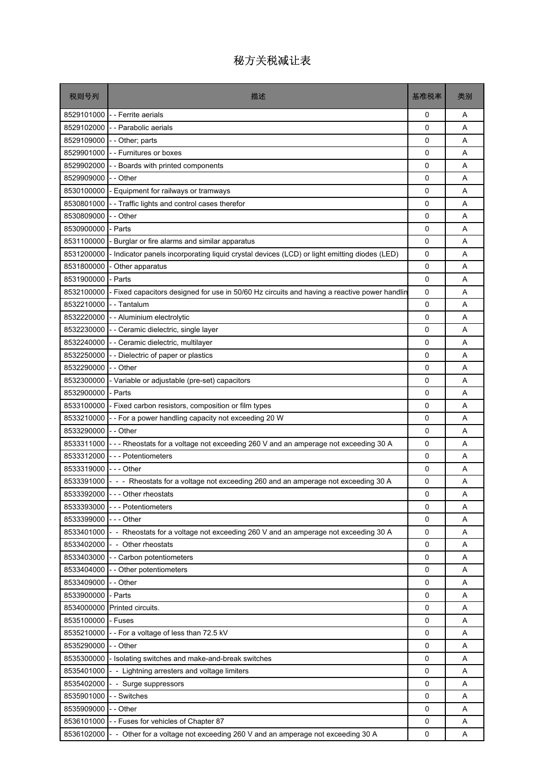| 税则号列       | 描述                                                                                            | 基准税率         | 类别 |
|------------|-----------------------------------------------------------------------------------------------|--------------|----|
| 8529101000 | - - Ferrite aerials                                                                           | 0            | A  |
| 8529102000 | - Parabolic aerials                                                                           | 0            | A  |
| 8529109000 | - Other; parts                                                                                | 0            | A  |
| 8529901000 | - - Furnitures or boxes                                                                       | 0            | A  |
| 8529902000 | - Boards with printed components                                                              | 0            | A  |
| 8529909000 | - Other                                                                                       | 0            | A  |
| 8530100000 | - Equipment for railways or tramways                                                          | 0            | Α  |
| 8530801000 | - Traffic lights and control cases therefor                                                   | 0            | A  |
| 8530809000 | - Other                                                                                       | 0            | A  |
| 8530900000 | Parts                                                                                         | 0            | Α  |
| 8531100000 | Burglar or fire alarms and similar apparatus                                                  | 0            | A  |
| 8531200000 | Indicator panels incorporating liquid crystal devices (LCD) or light emitting diodes (LED)    | 0            | A  |
| 8531800000 | Other apparatus                                                                               | 0            | A  |
| 8531900000 | - Parts                                                                                       | 0            | A  |
| 8532100000 | Fixed capacitors designed for use in 50/60 Hz circuits and having a reactive power handlin    | 0            | A  |
| 8532210000 | - - Tantalum                                                                                  | 0            | A  |
| 8532220000 | - - Aluminium electrolytic                                                                    | 0            | Α  |
| 8532230000 | - - Ceramic dielectric, single layer                                                          | 0            | A  |
| 8532240000 | - Ceramic dielectric, multilayer                                                              | 0            | A  |
| 8532250000 | -- Dielectric of paper or plastics                                                            | 0            | Α  |
| 8532290000 | - - Other                                                                                     | 0            | A  |
| 8532300000 | - Variable or adjustable (pre-set) capacitors                                                 | 0            | A  |
| 8532900000 | Parts                                                                                         | 0            | A  |
| 8533100000 | - Fixed carbon resistors, composition or film types                                           | 0            | A  |
| 8533210000 | - - For a power handling capacity not exceeding 20 W                                          | 0            | A  |
| 8533290000 | - - Other                                                                                     | 0            | A  |
| 8533311000 | --- Rheostats for a voltage not exceeding 260 V and an amperage not exceeding 30 A            | 0            | Α  |
| 8533312000 | --- Potentiometers                                                                            | 0            | A  |
| 8533319000 | -  - - Other                                                                                  | 0            | A  |
|            | 8533391000 - - - Rheostats for a voltage not exceeding 260 and an amperage not exceeding 30 A | 0            | Α  |
|            | 8533392000 --- Other rheostats                                                                | $\Omega$     | Α  |
| 8533393000 | --- Potentiometers                                                                            | $\mathbf{0}$ | A  |
| 8533399000 | --- Other                                                                                     | 0            | Α  |
| 8533401000 | - - Rheostats for a voltage not exceeding 260 V and an amperage not exceeding 30 A            | 0            | Α  |
| 8533402000 | - - Other rheostats                                                                           | 0            | Α  |
| 8533403000 | - - Carbon potentiometers                                                                     | 0            | A  |
| 8533404000 | -- Other potentiometers                                                                       | 0            | Α  |
| 8533409000 | - Other                                                                                       | 0            | Α  |
| 8533900000 | - Parts                                                                                       | 0            | Α  |
| 8534000000 | Printed circuits.                                                                             | 0            | Α  |
| 8535100000 | - Fuses                                                                                       | 0            | Α  |
| 8535210000 | -- For a voltage of less than 72.5 kV                                                         | 0            | A  |
| 8535290000 | - Other                                                                                       | 0            | Α  |
| 8535300000 | - Isolating switches and make-and-break switches                                              | 0            | Α  |
| 8535401000 | - - Lightning arresters and voltage limiters                                                  | 0            | A  |
| 8535402000 | - Surge suppressors                                                                           | 0            | Α  |
| 8535901000 | - Switches                                                                                    | 0            | Α  |
| 8535909000 | - - Other                                                                                     | 0            | Α  |
| 8536101000 | -- Fuses for vehicles of Chapter 87                                                           | 0            | Α  |
| 8536102000 | - - Other for a voltage not exceeding 260 V and an amperage not exceeding 30 A                | 0            | Α  |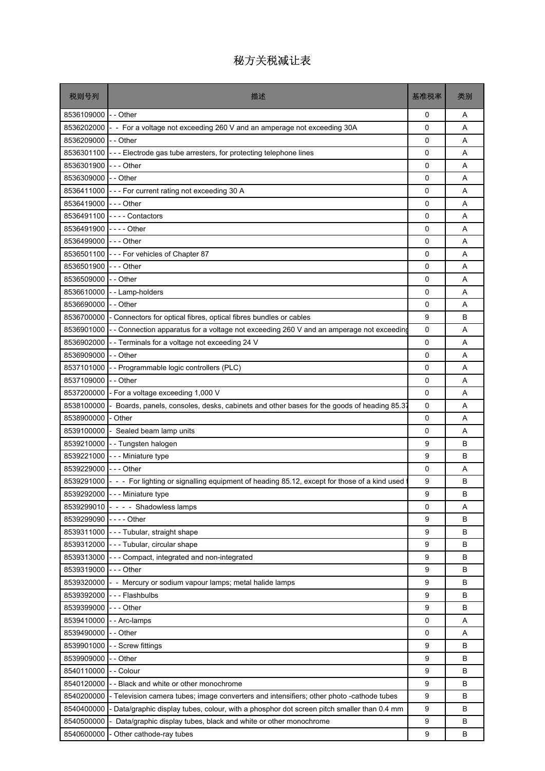| 税则号列                  | 描述                                                                                                      | 基准税率 | 类别 |
|-----------------------|---------------------------------------------------------------------------------------------------------|------|----|
| 8536109000            | $-$ Other                                                                                               | 0    | Α  |
| 8536202000            | - For a voltage not exceeding 260 V and an amperage not exceeding 30A                                   | 0    | A  |
| 8536209000            | - - Other                                                                                               | 0    | A  |
| 8536301100            | --- Electrode gas tube arresters, for protecting telephone lines                                        | 0    | A  |
| 8536301900            | $--$ Other                                                                                              | 0    | A  |
| 8536309000            | - - Other                                                                                               | 0    | A  |
| 8536411000            | --- For current rating not exceeding 30 A                                                               | 0    | Α  |
| 8536419000            | $--$ Other                                                                                              | 0    | A  |
|                       | 8536491100 ---- Contactors                                                                              | 0    | A  |
| 8536491900            | $- - -$ Other                                                                                           | 0    | A  |
| 8536499000            | $- -$ - Other                                                                                           | 0    | Α  |
|                       | 8536501100 --- For vehicles of Chapter 87                                                               | 0    | A  |
| 8536501900            | $- -$ Other                                                                                             | 0    | A  |
| 8536509000            | -- Other                                                                                                | 0    | Α  |
| 8536610000            | - - Lamp-holders                                                                                        | 0    | A  |
| 8536690000            | - Other                                                                                                 | 0    | A  |
| 8536700000            | Connectors for optical fibres, optical fibres bundles or cables                                         | 9    | В  |
| 8536901000            | - Connection apparatus for a voltage not exceeding 260 V and an amperage not exceeding                  | 0    | A  |
| 8536902000            | - Terminals for a voltage not exceeding 24 V                                                            | 0    | A  |
| 8536909000            | - Other                                                                                                 | 0    | A  |
| 8537101000            | - - Programmable logic controllers (PLC)                                                                | 0    | A  |
| 8537109000            | - - Other                                                                                               | 0    | Α  |
| 8537200000            | For a voltage exceeding 1,000 V                                                                         | 0    | A  |
| 8538100000            | Boards, panels, consoles, desks, cabinets and other bases for the goods of heading 85.37                | 0    | Α  |
| 8538900000            | - Other                                                                                                 | 0    | A  |
| 8539100000            | - Sealed beam lamp units                                                                                | 0    | A  |
| 8539210000            | -- Tungsten halogen                                                                                     | 9    | В  |
| 8539221000            | - - - Miniature type                                                                                    | 9    | В  |
| 8539229000 --- Other  |                                                                                                         | 0    | A  |
|                       | 8539291000 - - - For lighting or signalling equipment of heading 85.12, except for those of a kind used | 9    | B  |
|                       | 8539292000 --- Miniature type                                                                           | 9    | В  |
|                       | 8539299010 - - - - Shadowless lamps                                                                     | 0    | Α  |
| 8539299090 ---- Other |                                                                                                         | 9    | B  |
| 8539311000            | --- Tubular, straight shape                                                                             | 9    | В  |
|                       | 8539312000 --- Tubular, circular shape                                                                  | 9    | B  |
|                       | 8539313000 - - - Compact, integrated and non-integrated                                                 | 9    | B  |
| 8539319000            | $--$ Other                                                                                              | 9    | В  |
| 8539320000            | - - Mercury or sodium vapour lamps; metal halide lamps                                                  | 9    | В  |
| 8539392000            | - - - Flashbulbs                                                                                        | 9    | B  |
| 8539399000            | - - - Other                                                                                             | 9    | B  |
| 8539410000            | - - Arc-lamps                                                                                           | 0    | Α  |
| 8539490000            | $\mathsf{I}$ - Other                                                                                    | 0    | Α  |
| 8539901000            | - Screw fittings                                                                                        | 9    | B  |
| 8539909000            | - Other                                                                                                 | 9    | B  |
| 8540110000            | Colour                                                                                                  | 9    | B  |
| 8540120000            | - Black and white or other monochrome                                                                   | 9    | B  |
| 8540200000            | - Television camera tubes; image converters and intensifiers; other photo -cathode tubes                | 9    | В  |
| 8540400000            | Data/graphic display tubes, colour, with a phosphor dot screen pitch smaller than 0.4 mm                | 9    | В  |
| 8540500000            | Data/graphic display tubes, black and white or other monochrome                                         | 9    | B  |
| 8540600000            | Other cathode-ray tubes                                                                                 | 9    | В  |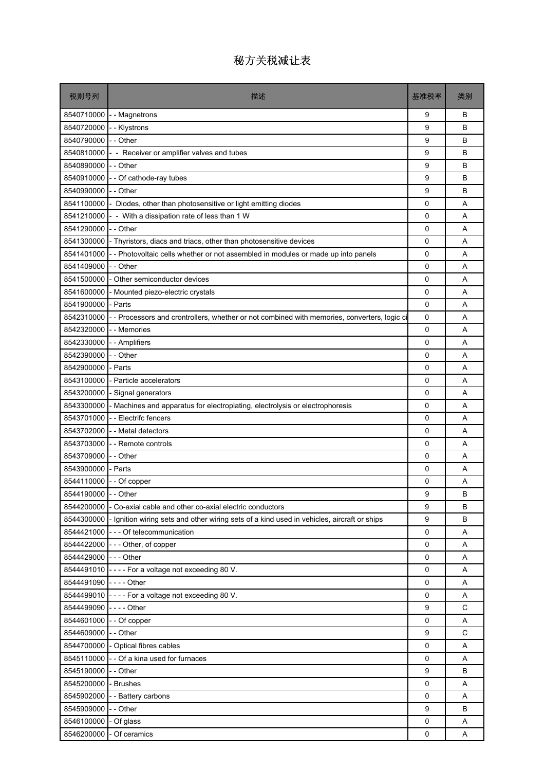#### 税则号列 描述 基准税率 类别 8540710000 - - Magnetrons Base of Base of Base of Base of Base of Base of Base of Base of Base of Base of Base of Base of Base of Base of Base of Base of Base of Base of Base of Base of Base of Base of Base of Base of Base 8540720000 |- - Klystrons 9 B 8540790000 - - Other 9 B 8540810000 - Receiver or amplifier valves and tubes 9 B 8540890000 - - Other 9 B 8540910000 - - Of cathode-ray tubes 9 B 8540990000 - - Other 9 B 8541100000 - Diodes, other than photosensitive or light emitting diodes 0 AA  $8541210000$  - With a dissipation rate of less than 1 W  $\qquad \qquad$  0 A 8541290000 - - Other 0 A 8541300000 - Thyristors, diacs and triacs, other than photosensitive devices **0 A** A 8541401000 - - Photovoltaic cells whether or not assembled in modules or made up into panels  $\begin{bmatrix} 0 \\ 0 \end{bmatrix}$  A 8541409000 - - Other 0 A 8541500000 - Other semiconductor devices and the control of the control of the control of the control of the control of the control of the control of the control of the control of the control of the control of the control 8541600000 - Mounted piezo-electric crystals and a control of the control of the control of the control of the control of the control of the control of the control of the control of the control of the control of the contro 8541900000 - Parts 0 A 8542310000 - - Processors and crontrollers, whether or not combined with memories, converters, logic ci ci computed with memories, converters, logic ci 8542320000 - - Memories 0 A 8542330000 - - Amplifiers 0 A 8542390000 - - Other 0 A 8542900000 - Parts 0 A 8543100000 - Particle accelerators and the state of the state of the state of the state of the state of the state of the state of the state of the state of the state of the state of the state of the state of the state of t 8543200000 - Signal generators and the state of the state of the state of the state of the state of the state of the state of the state of the state of the state of the state of the state of the state of the state of the s 8543300000 - Machines and apparatus for electroplating, electrolysis or electrophoresis **1** 0 A 8543701000 - - Electrifc fencers 0 A 8543702000 - - Metal detectors **0 A** 8543703000 - - Remote controls **ACCOLLECT CONTENT CONTENT CONTENT CONTENT** CONTENT CONTENT CONTENT CONTENT CONTE 8543709000 - - Other 0 A 8543900000 - Parts 0 A 8544110000 - - Of copper 0 A 8544190000 - - Other 9 B 8544200000 - Co-axial cable and other co-axial electric conductors **Particle 1 B** B 8544300000 - Ignition wiring sets and other wiring sets of a kind used in vehicles, aircraft or ships 9 B 8544421000 --- Of telecommunication **0 A** A 8544422000 --- Other, of copper 0 A 8544429000 - - - Other 0 A 8544491010 - - - - For a voltage not exceeding 80 V. 0 A 8544491090 - - - - Other 0 A 8544499010 - - - For a voltage not exceeding 80 V. <br>
and the contract of the contract of the contract of the contract of the contract of the contract of the contract of the contract of the contract of the contract of the c 8544499090 - - - - Other 9 C 8544601000 - - Of copper 0 A 8544609000 - - Other 9 C 8544700000 - Optical fibres cables 0 A 8545110000 - - Of a kina used for furnaces  $\begin{array}{|c|c|c|c|c|c|c|c|c|} \hline \multicolumn{1}{|c|}{\bf 0} & {\bf 0} & {\bf A} \ \hline \end{array}$ 8545190000 - - Other 9 B 8545200000 - Brushes 0 A 8545902000 - - Battery carbons 0 A 8545909000 - - Other 9 B 8546100000 - Of glass 0 A

8546200000 - Of ceramics and the control of the control of the control of the control of the control of the control of the control of the control of the control of the control of the control of the control of the control o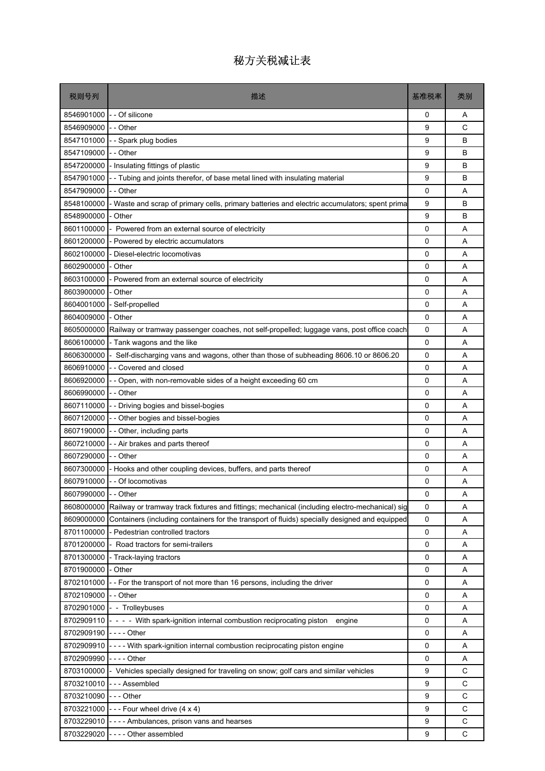#### 税则号列 描述 基准税率 类别 8546901000 - - Of silicone 0 A 8546909000 - - Other 2000 - Other 2000 - 2000 - 2000 - 2000 - 2000 - 2000 - 2000 - 2000 - 2000 - 2000 - 2000 - 2000 - 2000 - 2000 - 2000 - 2000 - 2000 - 2000 - 2000 - 2000 - 2000 - 2000 - 2000 - 2000 - 2000 - 2000 - 2000 -8547101000 - - Spark plug bodies 8547101000 - - Spark plug bodies 9 B 8547109000 - - Other 9 B 8547200000 - Insulating fittings of plastic Bernard Control of Bernard Control of Bernard Bernard Bernard Bernard Bernard Bernard Bernard Bernard Bernard Bernard Bernard Bernard Bernard Bernard Bernard Bernard Bernard Bern 8547901000 - Tubing and joints therefor, of base metal lined with insulating material 9 B 8547909000 - - Other 0 A 8548100000 - Waste and scrap of primary cells, primary batteries and electric accumulators; spent prima 9 B 8548900000 - Other 9 B 8601100000 - Powered from an external source of electricity and a control of the control of the A 8601200000 - Powered by electric accumulators and a community of the state of the A 8602100000 - Diesel-electric locomotivas by a control of the control of the control of the control of the control of the control of the control of the control of the control of the control of the control of the control of 8602900000 - Other 20020000 - Other 20020000 - Other 20020000 - Other 20020000 - Other 2002000 - A 8603100000 - Powered from an external source of electricity and a property of the Magnus Company of the A 8603900000 - Other 0 A 8604001000 - Self-propelled and the self-propelled control of the self-propelled control of the self-propelled 8604009000 - Other 0 A 8605000000 Railway or tramway passenger coaches, not self-propelled; luggage vans, post office coach 0 A 8606100000 - Tank wagons and the like 0 A 8606300000 - Self-discharging vans and wagons, other than those of subheading 8606.10 or 8606.20 | 0 | A 8606910000 - - Covered and closed 0 A 8606920000 - - Open, with non-removable sides of a height exceeding 60 cm  $\qquad \qquad \qquad$  0 A 8606990000 - - Other 0 A 8607110000 - - Driving bogies and bissel-bogies and bissel border and bissel and bissel A A A A A A A A A A A A 8607120000 - - Other bogies and bissel-bogies contract the contract of the contract of the contract of the contract of the contract of the contract of the contract of the contract of the contract of the contract of the con 8607190000 - - Other, including parts **1980 - 1990 - 1990 - 1990 - 1991 - 1991 - 1991** - 1991 - 1991 - 1991 - 1 8607210000 - - Air brakes and parts thereof 0 A 8607290000 - - Other 0 A 8607300000 - Hooks and other coupling devices, buffers, and parts thereof 0 A 8607910000 - - Of locomotivas 0 A 8607990000 - - Other 0 A 8608000000 Railway or tramway track fixtures and fittings; mechanical (including electro-mechanical) sig 0 A 8609000000 Containers (including containers for the transport of fluids) specially designed and equipped 0 A 8701100000 - Pedestrian controlled tractors and the controlled tractors and the controlled tractors and the controlled tractors and the controlled tractors and the controlled tractors and the controlled tractors and the co 8701200000 - Road tractors for semi-trailers and the control of the control of the control of the control of the control of the control of the control of the control of the control of the control of the control of the cont 8701300000 - Track-laying tractors and the control of the control of the control of the control of the control of the control of the control of the control of the control of the control of the control of the control of the 8701900000 - Other 0 A 8702101000 - - For the transport of not more than 16 persons, including the driver **1** A 8702109000 - - Other 0 A 8702901000 - Trolleybuses 8 April 20 April 20 April 20 April 20 April 20 April 20 April 20 April 20 April 20 A 8702909110 - - - - With spark-ignition internal combustion reciprocating piston engine 0 A 8702909190 - - - - Other 0 A 8702909910 ---- With spark-ignition internal combustion reciprocating piston engine 0 A 8702909990 - - - - Other 0 A 8703100000 - Vehicles specially designed for traveling on snow; golf cars and similar vehicles 9 | C 8703210010 --- Assembled COVID-000 --- Assembled COVID-000 --- Assembled COVID-000 --- Assembled COVID-000 --8703210090 - - - Other 9 C  $8703221000$  --Four wheel drive  $(4 \times 4)$ 8703229010 - - - - Ambulances, prison vans and hearses 9 C

8703229020 ---- Other assembled example of the state of the state of the state of the state of the state of the state of the state of the state of the state of the state of the state of the state of the state of the state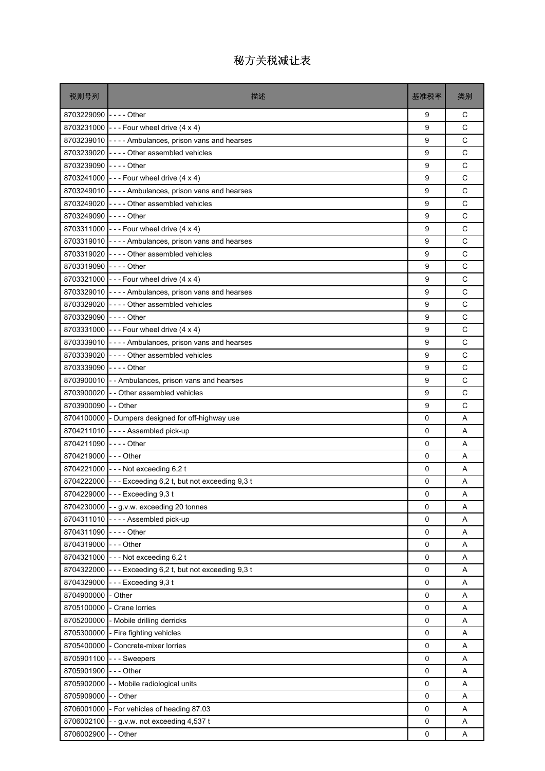| 8703229090 ---- Other<br>9<br>C<br>8703231000 - - - Four wheel drive (4 x 4)<br>C<br>9<br>C<br>9<br>8703239010 ---- Ambulances, prison vans and hearses<br>C<br>8703239020 ---- Other assembled vehicles<br>9<br>8703239090 ---- Other<br>C<br>9<br>C<br>8703241000 - - - Four wheel drive (4 x 4)<br>9<br>C<br>8703249010 ---- Ambulances, prison vans and hearses<br>9<br>C<br>8703249020 ---- Other assembled vehicles<br>9<br>8703249090 ---- Other<br>C<br>9<br>C<br>8703311000 - - - Four wheel drive (4 x 4)<br>9<br>C<br>8703319010 ---- Ambulances, prison vans and hearses<br>9<br>C<br>8703319020 ---- Other assembled vehicles<br>9<br>9<br>C<br>8703319090 ---- Other<br>C<br>8703321000 --- Four wheel drive (4 x 4)<br>9<br>C<br>8703329010 ---- Ambulances, prison vans and hearses<br>9<br>C<br>8703329020 ---- Other assembled vehicles<br>9<br>C<br>8703329090 ---- Other<br>9<br>C<br>8703331000 - - - Four wheel drive (4 x 4)<br>9<br>C<br>8703339010 ---- Ambulances, prison vans and hearses<br>9<br>C<br>8703339020 ---- Other assembled vehicles<br>9<br>C<br>8703339090 ---- Other<br>9<br>C<br>8703900010 - Ambulances, prison vans and hearses<br>9<br>9<br>C<br>8703900020 - Other assembled vehicles<br>C<br>8703900090 -- Other<br>9<br>8704100000 - Dumpers designed for off-highway use<br>0<br>A<br>8704211010 ---- Assembled pick-up<br>0<br>A<br>8704211090 ---- Other<br>0<br>Α<br>8704219000 --- Other<br>$\mathbf 0$<br>Α<br>8704221000 --- Not exceeding 6,2 t<br>0<br>A<br>8704222000 --- Exceeding 6,2 t, but not exceeding 9,3 t<br>0<br>Α<br>8704229000 --- Exceeding 9,3 t<br>0<br>Α<br>8704230000 - - g v w. exceeding 20 tonnes<br>$\mathbf 0$<br>Α<br>8704311010 ---- Assembled pick-up<br>0<br>Α<br>8704311090 ---- Other<br>0<br>Α<br>8704319000 --- Other<br>$\mathbf 0$<br>Α<br>8704321000 --- Not exceeding 6,2 t<br>0<br>Α<br>8704322000 - - - Exceeding 6,2 t, but not exceeding 9,3 t<br>0<br>Α<br>8704329000 --- Exceeding 9,3 t<br>$\mathbf 0$<br>Α<br>8704900000<br>- Other<br>0<br>Α<br>8705100000<br>- Crane lorries<br>0<br>Α<br>8705200000 - Mobile drilling derricks<br>$\mathbf 0$<br>Α<br>8705300000 - Fire fighting vehicles<br>$\mathbf 0$<br>Α<br>8705400000<br>- Concrete-mixer lorries<br>0<br>Α<br>8705901100<br>--- Sweepers<br>0<br>Α<br>8705901900<br>- - - Other<br>0<br>Α<br>8705902000<br>- - Mobile radiological units<br>0<br>Α<br>8705909000<br>- - Other<br>0<br>Α<br>8706001000 - For vehicles of heading 87.03<br>$\mathbf 0$<br>Α<br>8706002100<br>$\mathsf 0$<br>--g.v.w. not exceeding 4,537 t<br>Α<br>8706002900 | 税则号列 | 描述        | 基准税率 | 类别 |
|-----------------------------------------------------------------------------------------------------------------------------------------------------------------------------------------------------------------------------------------------------------------------------------------------------------------------------------------------------------------------------------------------------------------------------------------------------------------------------------------------------------------------------------------------------------------------------------------------------------------------------------------------------------------------------------------------------------------------------------------------------------------------------------------------------------------------------------------------------------------------------------------------------------------------------------------------------------------------------------------------------------------------------------------------------------------------------------------------------------------------------------------------------------------------------------------------------------------------------------------------------------------------------------------------------------------------------------------------------------------------------------------------------------------------------------------------------------------------------------------------------------------------------------------------------------------------------------------------------------------------------------------------------------------------------------------------------------------------------------------------------------------------------------------------------------------------------------------------------------------------------------------------------------------------------------------------------------------------------------------------------------------------------------------------------------------------------------------------------------------------------------------------------------------------------------------------------------------------------------------------------------------------------------------------------------------------------------------------------------------------------------------------------------------------------------------------------------------------------------------------------------------------------------------------------------------------------------------------------------|------|-----------|------|----|
|                                                                                                                                                                                                                                                                                                                                                                                                                                                                                                                                                                                                                                                                                                                                                                                                                                                                                                                                                                                                                                                                                                                                                                                                                                                                                                                                                                                                                                                                                                                                                                                                                                                                                                                                                                                                                                                                                                                                                                                                                                                                                                                                                                                                                                                                                                                                                                                                                                                                                                                                                                                                           |      |           |      |    |
|                                                                                                                                                                                                                                                                                                                                                                                                                                                                                                                                                                                                                                                                                                                                                                                                                                                                                                                                                                                                                                                                                                                                                                                                                                                                                                                                                                                                                                                                                                                                                                                                                                                                                                                                                                                                                                                                                                                                                                                                                                                                                                                                                                                                                                                                                                                                                                                                                                                                                                                                                                                                           |      |           |      |    |
|                                                                                                                                                                                                                                                                                                                                                                                                                                                                                                                                                                                                                                                                                                                                                                                                                                                                                                                                                                                                                                                                                                                                                                                                                                                                                                                                                                                                                                                                                                                                                                                                                                                                                                                                                                                                                                                                                                                                                                                                                                                                                                                                                                                                                                                                                                                                                                                                                                                                                                                                                                                                           |      |           |      |    |
|                                                                                                                                                                                                                                                                                                                                                                                                                                                                                                                                                                                                                                                                                                                                                                                                                                                                                                                                                                                                                                                                                                                                                                                                                                                                                                                                                                                                                                                                                                                                                                                                                                                                                                                                                                                                                                                                                                                                                                                                                                                                                                                                                                                                                                                                                                                                                                                                                                                                                                                                                                                                           |      |           |      |    |
|                                                                                                                                                                                                                                                                                                                                                                                                                                                                                                                                                                                                                                                                                                                                                                                                                                                                                                                                                                                                                                                                                                                                                                                                                                                                                                                                                                                                                                                                                                                                                                                                                                                                                                                                                                                                                                                                                                                                                                                                                                                                                                                                                                                                                                                                                                                                                                                                                                                                                                                                                                                                           |      |           |      |    |
|                                                                                                                                                                                                                                                                                                                                                                                                                                                                                                                                                                                                                                                                                                                                                                                                                                                                                                                                                                                                                                                                                                                                                                                                                                                                                                                                                                                                                                                                                                                                                                                                                                                                                                                                                                                                                                                                                                                                                                                                                                                                                                                                                                                                                                                                                                                                                                                                                                                                                                                                                                                                           |      |           |      |    |
|                                                                                                                                                                                                                                                                                                                                                                                                                                                                                                                                                                                                                                                                                                                                                                                                                                                                                                                                                                                                                                                                                                                                                                                                                                                                                                                                                                                                                                                                                                                                                                                                                                                                                                                                                                                                                                                                                                                                                                                                                                                                                                                                                                                                                                                                                                                                                                                                                                                                                                                                                                                                           |      |           |      |    |
|                                                                                                                                                                                                                                                                                                                                                                                                                                                                                                                                                                                                                                                                                                                                                                                                                                                                                                                                                                                                                                                                                                                                                                                                                                                                                                                                                                                                                                                                                                                                                                                                                                                                                                                                                                                                                                                                                                                                                                                                                                                                                                                                                                                                                                                                                                                                                                                                                                                                                                                                                                                                           |      |           |      |    |
|                                                                                                                                                                                                                                                                                                                                                                                                                                                                                                                                                                                                                                                                                                                                                                                                                                                                                                                                                                                                                                                                                                                                                                                                                                                                                                                                                                                                                                                                                                                                                                                                                                                                                                                                                                                                                                                                                                                                                                                                                                                                                                                                                                                                                                                                                                                                                                                                                                                                                                                                                                                                           |      |           |      |    |
|                                                                                                                                                                                                                                                                                                                                                                                                                                                                                                                                                                                                                                                                                                                                                                                                                                                                                                                                                                                                                                                                                                                                                                                                                                                                                                                                                                                                                                                                                                                                                                                                                                                                                                                                                                                                                                                                                                                                                                                                                                                                                                                                                                                                                                                                                                                                                                                                                                                                                                                                                                                                           |      |           |      |    |
|                                                                                                                                                                                                                                                                                                                                                                                                                                                                                                                                                                                                                                                                                                                                                                                                                                                                                                                                                                                                                                                                                                                                                                                                                                                                                                                                                                                                                                                                                                                                                                                                                                                                                                                                                                                                                                                                                                                                                                                                                                                                                                                                                                                                                                                                                                                                                                                                                                                                                                                                                                                                           |      |           |      |    |
|                                                                                                                                                                                                                                                                                                                                                                                                                                                                                                                                                                                                                                                                                                                                                                                                                                                                                                                                                                                                                                                                                                                                                                                                                                                                                                                                                                                                                                                                                                                                                                                                                                                                                                                                                                                                                                                                                                                                                                                                                                                                                                                                                                                                                                                                                                                                                                                                                                                                                                                                                                                                           |      |           |      |    |
|                                                                                                                                                                                                                                                                                                                                                                                                                                                                                                                                                                                                                                                                                                                                                                                                                                                                                                                                                                                                                                                                                                                                                                                                                                                                                                                                                                                                                                                                                                                                                                                                                                                                                                                                                                                                                                                                                                                                                                                                                                                                                                                                                                                                                                                                                                                                                                                                                                                                                                                                                                                                           |      |           |      |    |
|                                                                                                                                                                                                                                                                                                                                                                                                                                                                                                                                                                                                                                                                                                                                                                                                                                                                                                                                                                                                                                                                                                                                                                                                                                                                                                                                                                                                                                                                                                                                                                                                                                                                                                                                                                                                                                                                                                                                                                                                                                                                                                                                                                                                                                                                                                                                                                                                                                                                                                                                                                                                           |      |           |      |    |
|                                                                                                                                                                                                                                                                                                                                                                                                                                                                                                                                                                                                                                                                                                                                                                                                                                                                                                                                                                                                                                                                                                                                                                                                                                                                                                                                                                                                                                                                                                                                                                                                                                                                                                                                                                                                                                                                                                                                                                                                                                                                                                                                                                                                                                                                                                                                                                                                                                                                                                                                                                                                           |      |           |      |    |
|                                                                                                                                                                                                                                                                                                                                                                                                                                                                                                                                                                                                                                                                                                                                                                                                                                                                                                                                                                                                                                                                                                                                                                                                                                                                                                                                                                                                                                                                                                                                                                                                                                                                                                                                                                                                                                                                                                                                                                                                                                                                                                                                                                                                                                                                                                                                                                                                                                                                                                                                                                                                           |      |           |      |    |
|                                                                                                                                                                                                                                                                                                                                                                                                                                                                                                                                                                                                                                                                                                                                                                                                                                                                                                                                                                                                                                                                                                                                                                                                                                                                                                                                                                                                                                                                                                                                                                                                                                                                                                                                                                                                                                                                                                                                                                                                                                                                                                                                                                                                                                                                                                                                                                                                                                                                                                                                                                                                           |      |           |      |    |
|                                                                                                                                                                                                                                                                                                                                                                                                                                                                                                                                                                                                                                                                                                                                                                                                                                                                                                                                                                                                                                                                                                                                                                                                                                                                                                                                                                                                                                                                                                                                                                                                                                                                                                                                                                                                                                                                                                                                                                                                                                                                                                                                                                                                                                                                                                                                                                                                                                                                                                                                                                                                           |      |           |      |    |
|                                                                                                                                                                                                                                                                                                                                                                                                                                                                                                                                                                                                                                                                                                                                                                                                                                                                                                                                                                                                                                                                                                                                                                                                                                                                                                                                                                                                                                                                                                                                                                                                                                                                                                                                                                                                                                                                                                                                                                                                                                                                                                                                                                                                                                                                                                                                                                                                                                                                                                                                                                                                           |      |           |      |    |
|                                                                                                                                                                                                                                                                                                                                                                                                                                                                                                                                                                                                                                                                                                                                                                                                                                                                                                                                                                                                                                                                                                                                                                                                                                                                                                                                                                                                                                                                                                                                                                                                                                                                                                                                                                                                                                                                                                                                                                                                                                                                                                                                                                                                                                                                                                                                                                                                                                                                                                                                                                                                           |      |           |      |    |
|                                                                                                                                                                                                                                                                                                                                                                                                                                                                                                                                                                                                                                                                                                                                                                                                                                                                                                                                                                                                                                                                                                                                                                                                                                                                                                                                                                                                                                                                                                                                                                                                                                                                                                                                                                                                                                                                                                                                                                                                                                                                                                                                                                                                                                                                                                                                                                                                                                                                                                                                                                                                           |      |           |      |    |
|                                                                                                                                                                                                                                                                                                                                                                                                                                                                                                                                                                                                                                                                                                                                                                                                                                                                                                                                                                                                                                                                                                                                                                                                                                                                                                                                                                                                                                                                                                                                                                                                                                                                                                                                                                                                                                                                                                                                                                                                                                                                                                                                                                                                                                                                                                                                                                                                                                                                                                                                                                                                           |      |           |      |    |
|                                                                                                                                                                                                                                                                                                                                                                                                                                                                                                                                                                                                                                                                                                                                                                                                                                                                                                                                                                                                                                                                                                                                                                                                                                                                                                                                                                                                                                                                                                                                                                                                                                                                                                                                                                                                                                                                                                                                                                                                                                                                                                                                                                                                                                                                                                                                                                                                                                                                                                                                                                                                           |      |           |      |    |
|                                                                                                                                                                                                                                                                                                                                                                                                                                                                                                                                                                                                                                                                                                                                                                                                                                                                                                                                                                                                                                                                                                                                                                                                                                                                                                                                                                                                                                                                                                                                                                                                                                                                                                                                                                                                                                                                                                                                                                                                                                                                                                                                                                                                                                                                                                                                                                                                                                                                                                                                                                                                           |      |           |      |    |
|                                                                                                                                                                                                                                                                                                                                                                                                                                                                                                                                                                                                                                                                                                                                                                                                                                                                                                                                                                                                                                                                                                                                                                                                                                                                                                                                                                                                                                                                                                                                                                                                                                                                                                                                                                                                                                                                                                                                                                                                                                                                                                                                                                                                                                                                                                                                                                                                                                                                                                                                                                                                           |      |           |      |    |
|                                                                                                                                                                                                                                                                                                                                                                                                                                                                                                                                                                                                                                                                                                                                                                                                                                                                                                                                                                                                                                                                                                                                                                                                                                                                                                                                                                                                                                                                                                                                                                                                                                                                                                                                                                                                                                                                                                                                                                                                                                                                                                                                                                                                                                                                                                                                                                                                                                                                                                                                                                                                           |      |           |      |    |
|                                                                                                                                                                                                                                                                                                                                                                                                                                                                                                                                                                                                                                                                                                                                                                                                                                                                                                                                                                                                                                                                                                                                                                                                                                                                                                                                                                                                                                                                                                                                                                                                                                                                                                                                                                                                                                                                                                                                                                                                                                                                                                                                                                                                                                                                                                                                                                                                                                                                                                                                                                                                           |      |           |      |    |
|                                                                                                                                                                                                                                                                                                                                                                                                                                                                                                                                                                                                                                                                                                                                                                                                                                                                                                                                                                                                                                                                                                                                                                                                                                                                                                                                                                                                                                                                                                                                                                                                                                                                                                                                                                                                                                                                                                                                                                                                                                                                                                                                                                                                                                                                                                                                                                                                                                                                                                                                                                                                           |      |           |      |    |
|                                                                                                                                                                                                                                                                                                                                                                                                                                                                                                                                                                                                                                                                                                                                                                                                                                                                                                                                                                                                                                                                                                                                                                                                                                                                                                                                                                                                                                                                                                                                                                                                                                                                                                                                                                                                                                                                                                                                                                                                                                                                                                                                                                                                                                                                                                                                                                                                                                                                                                                                                                                                           |      |           |      |    |
|                                                                                                                                                                                                                                                                                                                                                                                                                                                                                                                                                                                                                                                                                                                                                                                                                                                                                                                                                                                                                                                                                                                                                                                                                                                                                                                                                                                                                                                                                                                                                                                                                                                                                                                                                                                                                                                                                                                                                                                                                                                                                                                                                                                                                                                                                                                                                                                                                                                                                                                                                                                                           |      |           |      |    |
|                                                                                                                                                                                                                                                                                                                                                                                                                                                                                                                                                                                                                                                                                                                                                                                                                                                                                                                                                                                                                                                                                                                                                                                                                                                                                                                                                                                                                                                                                                                                                                                                                                                                                                                                                                                                                                                                                                                                                                                                                                                                                                                                                                                                                                                                                                                                                                                                                                                                                                                                                                                                           |      |           |      |    |
|                                                                                                                                                                                                                                                                                                                                                                                                                                                                                                                                                                                                                                                                                                                                                                                                                                                                                                                                                                                                                                                                                                                                                                                                                                                                                                                                                                                                                                                                                                                                                                                                                                                                                                                                                                                                                                                                                                                                                                                                                                                                                                                                                                                                                                                                                                                                                                                                                                                                                                                                                                                                           |      |           |      |    |
|                                                                                                                                                                                                                                                                                                                                                                                                                                                                                                                                                                                                                                                                                                                                                                                                                                                                                                                                                                                                                                                                                                                                                                                                                                                                                                                                                                                                                                                                                                                                                                                                                                                                                                                                                                                                                                                                                                                                                                                                                                                                                                                                                                                                                                                                                                                                                                                                                                                                                                                                                                                                           |      |           |      |    |
|                                                                                                                                                                                                                                                                                                                                                                                                                                                                                                                                                                                                                                                                                                                                                                                                                                                                                                                                                                                                                                                                                                                                                                                                                                                                                                                                                                                                                                                                                                                                                                                                                                                                                                                                                                                                                                                                                                                                                                                                                                                                                                                                                                                                                                                                                                                                                                                                                                                                                                                                                                                                           |      |           |      |    |
|                                                                                                                                                                                                                                                                                                                                                                                                                                                                                                                                                                                                                                                                                                                                                                                                                                                                                                                                                                                                                                                                                                                                                                                                                                                                                                                                                                                                                                                                                                                                                                                                                                                                                                                                                                                                                                                                                                                                                                                                                                                                                                                                                                                                                                                                                                                                                                                                                                                                                                                                                                                                           |      |           |      |    |
|                                                                                                                                                                                                                                                                                                                                                                                                                                                                                                                                                                                                                                                                                                                                                                                                                                                                                                                                                                                                                                                                                                                                                                                                                                                                                                                                                                                                                                                                                                                                                                                                                                                                                                                                                                                                                                                                                                                                                                                                                                                                                                                                                                                                                                                                                                                                                                                                                                                                                                                                                                                                           |      |           |      |    |
|                                                                                                                                                                                                                                                                                                                                                                                                                                                                                                                                                                                                                                                                                                                                                                                                                                                                                                                                                                                                                                                                                                                                                                                                                                                                                                                                                                                                                                                                                                                                                                                                                                                                                                                                                                                                                                                                                                                                                                                                                                                                                                                                                                                                                                                                                                                                                                                                                                                                                                                                                                                                           |      |           |      |    |
|                                                                                                                                                                                                                                                                                                                                                                                                                                                                                                                                                                                                                                                                                                                                                                                                                                                                                                                                                                                                                                                                                                                                                                                                                                                                                                                                                                                                                                                                                                                                                                                                                                                                                                                                                                                                                                                                                                                                                                                                                                                                                                                                                                                                                                                                                                                                                                                                                                                                                                                                                                                                           |      |           |      |    |
|                                                                                                                                                                                                                                                                                                                                                                                                                                                                                                                                                                                                                                                                                                                                                                                                                                                                                                                                                                                                                                                                                                                                                                                                                                                                                                                                                                                                                                                                                                                                                                                                                                                                                                                                                                                                                                                                                                                                                                                                                                                                                                                                                                                                                                                                                                                                                                                                                                                                                                                                                                                                           |      |           |      |    |
|                                                                                                                                                                                                                                                                                                                                                                                                                                                                                                                                                                                                                                                                                                                                                                                                                                                                                                                                                                                                                                                                                                                                                                                                                                                                                                                                                                                                                                                                                                                                                                                                                                                                                                                                                                                                                                                                                                                                                                                                                                                                                                                                                                                                                                                                                                                                                                                                                                                                                                                                                                                                           |      |           |      |    |
|                                                                                                                                                                                                                                                                                                                                                                                                                                                                                                                                                                                                                                                                                                                                                                                                                                                                                                                                                                                                                                                                                                                                                                                                                                                                                                                                                                                                                                                                                                                                                                                                                                                                                                                                                                                                                                                                                                                                                                                                                                                                                                                                                                                                                                                                                                                                                                                                                                                                                                                                                                                                           |      |           |      |    |
|                                                                                                                                                                                                                                                                                                                                                                                                                                                                                                                                                                                                                                                                                                                                                                                                                                                                                                                                                                                                                                                                                                                                                                                                                                                                                                                                                                                                                                                                                                                                                                                                                                                                                                                                                                                                                                                                                                                                                                                                                                                                                                                                                                                                                                                                                                                                                                                                                                                                                                                                                                                                           |      |           |      |    |
|                                                                                                                                                                                                                                                                                                                                                                                                                                                                                                                                                                                                                                                                                                                                                                                                                                                                                                                                                                                                                                                                                                                                                                                                                                                                                                                                                                                                                                                                                                                                                                                                                                                                                                                                                                                                                                                                                                                                                                                                                                                                                                                                                                                                                                                                                                                                                                                                                                                                                                                                                                                                           |      |           |      |    |
|                                                                                                                                                                                                                                                                                                                                                                                                                                                                                                                                                                                                                                                                                                                                                                                                                                                                                                                                                                                                                                                                                                                                                                                                                                                                                                                                                                                                                                                                                                                                                                                                                                                                                                                                                                                                                                                                                                                                                                                                                                                                                                                                                                                                                                                                                                                                                                                                                                                                                                                                                                                                           |      |           |      |    |
|                                                                                                                                                                                                                                                                                                                                                                                                                                                                                                                                                                                                                                                                                                                                                                                                                                                                                                                                                                                                                                                                                                                                                                                                                                                                                                                                                                                                                                                                                                                                                                                                                                                                                                                                                                                                                                                                                                                                                                                                                                                                                                                                                                                                                                                                                                                                                                                                                                                                                                                                                                                                           |      |           |      |    |
|                                                                                                                                                                                                                                                                                                                                                                                                                                                                                                                                                                                                                                                                                                                                                                                                                                                                                                                                                                                                                                                                                                                                                                                                                                                                                                                                                                                                                                                                                                                                                                                                                                                                                                                                                                                                                                                                                                                                                                                                                                                                                                                                                                                                                                                                                                                                                                                                                                                                                                                                                                                                           |      |           |      |    |
|                                                                                                                                                                                                                                                                                                                                                                                                                                                                                                                                                                                                                                                                                                                                                                                                                                                                                                                                                                                                                                                                                                                                                                                                                                                                                                                                                                                                                                                                                                                                                                                                                                                                                                                                                                                                                                                                                                                                                                                                                                                                                                                                                                                                                                                                                                                                                                                                                                                                                                                                                                                                           |      |           |      |    |
|                                                                                                                                                                                                                                                                                                                                                                                                                                                                                                                                                                                                                                                                                                                                                                                                                                                                                                                                                                                                                                                                                                                                                                                                                                                                                                                                                                                                                                                                                                                                                                                                                                                                                                                                                                                                                                                                                                                                                                                                                                                                                                                                                                                                                                                                                                                                                                                                                                                                                                                                                                                                           |      |           |      |    |
|                                                                                                                                                                                                                                                                                                                                                                                                                                                                                                                                                                                                                                                                                                                                                                                                                                                                                                                                                                                                                                                                                                                                                                                                                                                                                                                                                                                                                                                                                                                                                                                                                                                                                                                                                                                                                                                                                                                                                                                                                                                                                                                                                                                                                                                                                                                                                                                                                                                                                                                                                                                                           |      |           |      |    |
|                                                                                                                                                                                                                                                                                                                                                                                                                                                                                                                                                                                                                                                                                                                                                                                                                                                                                                                                                                                                                                                                                                                                                                                                                                                                                                                                                                                                                                                                                                                                                                                                                                                                                                                                                                                                                                                                                                                                                                                                                                                                                                                                                                                                                                                                                                                                                                                                                                                                                                                                                                                                           |      | - - Other | 0    | Α  |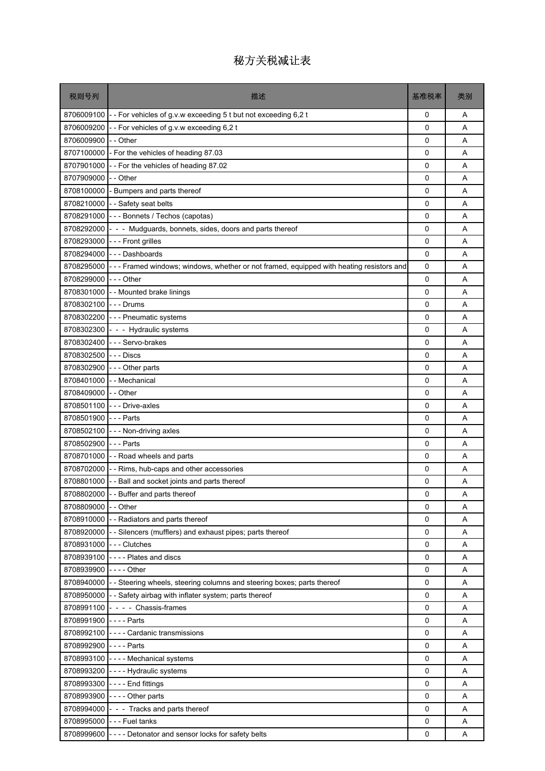| 税则号列                    | 描述                                                                                      | 基准税率         | 类别 |
|-------------------------|-----------------------------------------------------------------------------------------|--------------|----|
|                         | 8706009100 - For vehicles of g.v.w exceeding 5 t but not exceeding 6,2 t                | 0            | A  |
| 8706009200              | - For vehicles of g.v.w exceeding 6,2 t                                                 | $\mathbf{0}$ | A  |
| 8706009900              | -- Other                                                                                | 0            | A  |
| 8707100000              | - For the vehicles of heading 87.03                                                     | 0            | A  |
|                         | 8707901000 - For the vehicles of heading 87.02                                          | 0            | A  |
| 8707909000              | - - Other                                                                               | 0            | A  |
| 8708100000              | - Bumpers and parts thereof                                                             | 0            | A  |
|                         | 8708210000 - - Safety seat belts                                                        | 0            | A  |
|                         | 8708291000 - - - Bonnets / Techos (capotas)                                             | 0            | A  |
| 8708292000              | - - Mudguards, bonnets, sides, doors and parts thereof                                  | 0            | Α  |
| 8708293000              | - - - Front grilles                                                                     | 0            | A  |
|                         | 8708294000 --- Dashboards                                                               | 0            | A  |
| 8708295000              | --- Framed windows; windows, whether or not framed, equipped with heating resistors and | 0            | Α  |
| 8708299000              | $\left  - - \right $ - Other                                                            | 0            | A  |
|                         | 8708301000 - - Mounted brake linings                                                    | 0            | A  |
| 8708302100 --- Drums    |                                                                                         | 0            | A  |
|                         | 8708302200 --- Pneumatic systems                                                        | 0            | Α  |
|                         | 8708302300 - - - Hydraulic systems                                                      | 0            | A  |
|                         | 8708302400 --- Servo-brakes                                                             | 0            | A  |
| 8708302500              | I---Discs                                                                               | 0            | Α  |
| 8708302900              | $\left  - \right $ - $\circ$ Other parts                                                | 0            | A  |
|                         | 8708401000 - - Mechanical                                                               | 0            | A  |
| 8708409000 - - Other    |                                                                                         | 0            | A  |
| 8708501100              | --- Drive-axles                                                                         | 0            | Α  |
| 8708501900 --- Parts    |                                                                                         | 0            | A  |
| 8708502100              | --- Non-driving axles                                                                   | 0            | A  |
| 8708502900              | --- Parts                                                                               | 0            | Α  |
|                         | 8708701000 - - Road wheels and parts                                                    | 0            | A  |
|                         | 8708702000 - Rims, hub-caps and other accessories                                       | 0            | A  |
|                         | 8708801000 - - Ball and socket joints and parts thereof                                 | 0            | Α  |
|                         | 8708802000 - - Buffer and parts thereof                                                 | 0            | Α  |
| 8708809000 - - Other    |                                                                                         | $\Omega$     | Α  |
|                         | 8708910000 - - Radiators and parts thereof                                              | 0            | Α  |
|                         | 8708920000 - Silencers (mufflers) and exhaust pipes; parts thereof                      | 0            | Α  |
| 8708931000 --- Clutches |                                                                                         | 0            | Α  |
|                         | 8708939100 ---- Plates and discs                                                        | 0            | A  |
| 8708939900 ---- Other   |                                                                                         | 0            | Α  |
|                         | 8708940000 - - Steering wheels, steering columns and steering boxes; parts thereof      | 0            | Α  |
|                         | 8708950000 - - Safety airbag with inflater system; parts thereof                        | 0            | Α  |
|                         | 8708991100 - - - - Chassis-frames                                                       | 0            | A  |
| 8708991900 ---- Parts   |                                                                                         | 0            | Α  |
|                         | 8708992100 ---- Cardanic transmissions                                                  | 0            | Α  |
| 8708992900 ---- Parts   |                                                                                         | 0            | Α  |
|                         | 8708993100 ---- Mechanical systems                                                      | 0            | Α  |
|                         | 8708993200 ---- Hydraulic systems                                                       | 0            | Α  |
|                         | 8708993300 ---- End fittings                                                            | 0            | Α  |
|                         | 8708993900 ---- Other parts                                                             | 0            | Α  |
|                         | 8708994000 - - - Tracks and parts thereof                                               | 0            | Α  |
|                         | 8708995000 --- Fuel tanks                                                               | 0            | Α  |
|                         | 8708999600 ---- Detonator and sensor locks for safety belts                             | 0            | Α  |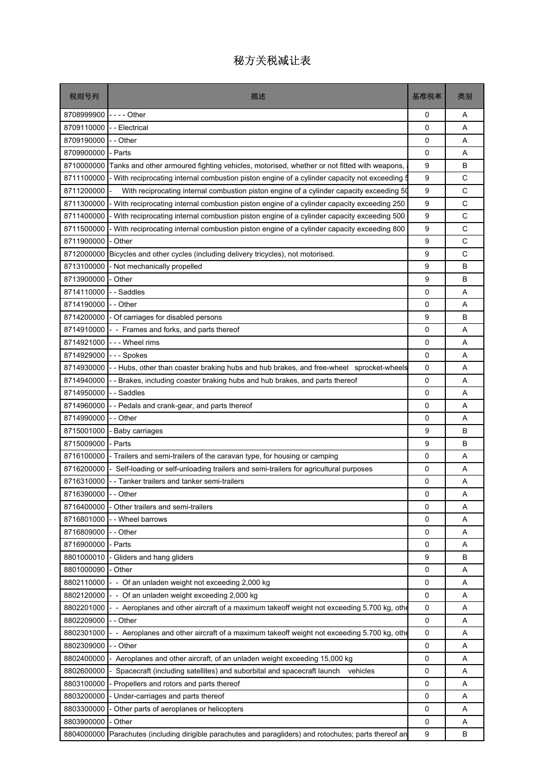| 税则号列                 | 描述                                                                                            | 基准税率     | 类别 |
|----------------------|-----------------------------------------------------------------------------------------------|----------|----|
| 8708999900           |                                                                                               | 0        | Α  |
| 8709110000           | - Electrical                                                                                  | $\Omega$ | A  |
| 8709190000           | - Other                                                                                       | 0        | A  |
| 8709900000           | - Parts                                                                                       | 0        | Α  |
| 8710000000           | Tanks and other armoured fighting vehicles, motorised, whether or not fitted with weapons,    | 9        | B  |
| 8711100000           | - With reciprocating internal combustion piston engine of a cylinder capacity not exceeding 5 | 9        | C  |
| 8711200000           | With reciprocating internal combustion piston engine of a cylinder capacity exceeding 50      | 9        | C  |
| 8711300000           | - With reciprocating internal combustion piston engine of a cylinder capacity exceeding 250   | 9        | C  |
| 8711400000           | - With reciprocating internal combustion piston engine of a cylinder capacity exceeding 500   | 9        | C  |
| 8711500000           | With reciprocating internal combustion piston engine of a cylinder capacity exceeding 800     | 9        | C  |
| 8711900000           | - Other                                                                                       | 9        | C  |
| 8712000000           | Bicycles and other cycles (including delivery tricycles), not motorised.                      | 9        | C  |
| 8713100000           | - Not mechanically propelled                                                                  | 9        | B  |
| 8713900000           | - Other                                                                                       | 9        | В  |
| 8714110000           | - Saddles                                                                                     | 0        | A  |
| 8714190000           | - - Other                                                                                     | 0        | A  |
| 8714200000           | - Of carriages for disabled persons                                                           | 9        | В  |
| 8714910000           | - - Frames and forks, and parts thereof                                                       | 0        | A  |
| 8714921000           | --- Wheel rims                                                                                | $\Omega$ | A  |
| 8714929000           | - - - Spokes                                                                                  | 0        | Α  |
| 8714930000           | -- Hubs, other than coaster braking hubs and hub brakes, and free-wheel sprocket-wheels       | 0        | A  |
| 8714940000           | - Brakes, including coaster braking hubs and hub brakes, and parts thereof                    | 0        | A  |
| 8714950000           | - Saddles                                                                                     | 0        | A  |
| 8714960000           | - - Pedals and crank-gear, and parts thereof                                                  | 0        | Α  |
| 8714990000           | - - Other                                                                                     | 0        | A  |
| 8715001000           | Baby carriages                                                                                | 9        | B  |
| 8715009000           | - Parts                                                                                       | 9        | В  |
| 8716100000           | - Trailers and semi-trailers of the caravan type, for housing or camping                      | 0        | A  |
| 8716200000           | Self-loading or self-unloading trailers and semi-trailers for agricultural purposes           | 0        | A  |
| 8716310000           | - Tanker trailers and tanker semi-trailers                                                    | 0        | Α  |
| 8716390000 - - Other |                                                                                               | 0        | Α  |
| 8716400000           | - Other trailers and semi-trailers                                                            | 0        | A  |
| 8716801000           | - Wheel barrows                                                                               | 0        | Α  |
| 8716809000           | - - Other                                                                                     | 0        | Α  |
| 8716900000           | - Parts                                                                                       | 0        | Α  |
| 8801000010           | - Gliders and hang gliders                                                                    | 9        | В  |
| 8801000090           | Other                                                                                         | 0        | Α  |
| 8802110000           | - - Of an unladen weight not exceeding 2,000 kg                                               | 0        | Α  |
| 8802120000           | - Of an unladen weight exceeding 2,000 kg                                                     | 0        | Α  |
| 8802201000           | - Aeroplanes and other aircraft of a maximum takeoff weight not exceeding 5.700 kg, other     | 0        | Α  |
| 8802209000           | - - Other                                                                                     | 0        | Α  |
| 8802301000           | - Aeroplanes and other aircraft of a maximum takeoff weight not exceeding 5.700 kg, other     | 0        | Α  |
| 8802309000           | - Other                                                                                       | 0        | Α  |
| 8802400000           | Aeroplanes and other aircraft, of an unladen weight exceeding 15,000 kg                       | 0        | Α  |
| 8802600000           | Spacecraft (including satellites) and suborbital and spacecraft launch<br>vehicles            | 0        | Α  |
| 8803100000           | - Propellers and rotors and parts thereof                                                     | 0        | Α  |
| 8803200000           | Under-carriages and parts thereof                                                             | 0        | Α  |
| 8803300000           | Other parts of aeroplanes or helicopters                                                      | 0        | Α  |
| 8803900000           | - Other                                                                                       | 0        | Α  |
| 8804000000           | Parachutes (including dirigible parachutes and paragliders) and rotochutes; parts thereof an  | 9        | В  |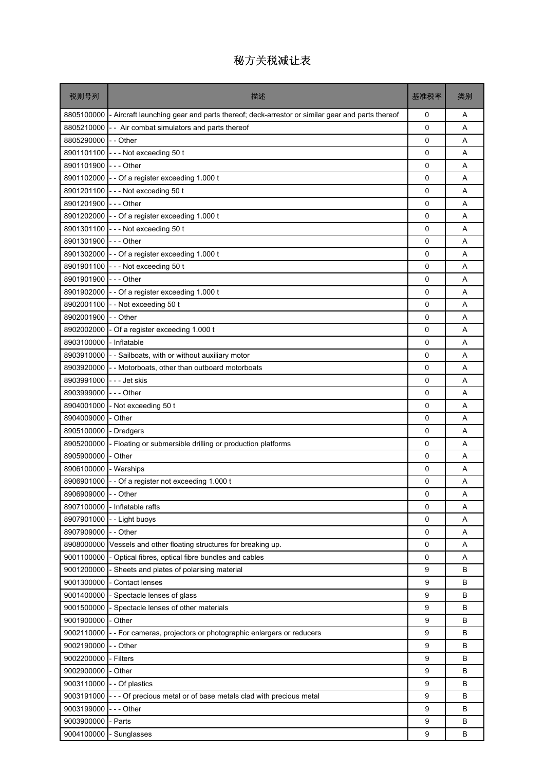| 税则号列       | 描述                                                                                           | 基准税率        | 类别 |
|------------|----------------------------------------------------------------------------------------------|-------------|----|
| 8805100000 | - Aircraft launching gear and parts thereof; deck-arrestor or similar gear and parts thereof | 0           | Α  |
| 8805210000 | - Air combat simulators and parts thereof                                                    | 0           | A  |
| 8805290000 | - - Other                                                                                    | 0           | Α  |
| 8901101100 | - Not exceeding 50 t                                                                         | 0           | A  |
| 8901101900 | $--$ Other                                                                                   | 0           | A  |
|            | 8901102000 - - Of a register exceeding 1.000 t                                               | 0           | A  |
| 8901201100 | --- Not excceding 50 t                                                                       | 0           | Α  |
| 8901201900 | $--$ Other                                                                                   | 0           | A  |
| 8901202000 | - - Of a register exceeding 1.000 t                                                          | 0           | A  |
| 8901301100 | --- Not exceeding 50 t                                                                       | 0           | A  |
| 8901301900 | $--$ Other                                                                                   | 0           | A  |
| 8901302000 | - - Of a register exceeding 1.000 t                                                          | 0           | A  |
| 8901901100 | --- Not exceeding 50 t                                                                       | 0           | A  |
| 8901901900 | --- Other                                                                                    | 0           | A  |
| 8901902000 | - - Of a register exceeding 1.000 t                                                          | 0           | A  |
| 8902001100 | -- Not exceeding 50 t                                                                        | 0           | Α  |
| 8902001900 | - - Other                                                                                    | 0           | A  |
| 8902002000 | - Of a register exceeding 1.000 t                                                            | 0           | A  |
| 8903100000 | - Inflatable                                                                                 | 0           | A  |
| 8903910000 | - - Sailboats, with or without auxiliary motor                                               | 0           | A  |
| 8903920000 | - - Motorboats, other than outboard motorboats                                               | 0           | Α  |
| 8903991000 | -  -  - Jet skis                                                                             | 0           | Α  |
| 8903999000 | -  -  - Other                                                                                | 0           | Α  |
| 8904001000 | - Not exceeding 50 t                                                                         | 0           | A  |
| 8904009000 | - Other                                                                                      | 0           | A  |
| 8905100000 | <b>Dredgers</b>                                                                              | 0           | Α  |
| 8905200000 | - Floating or submersible drilling or production platforms                                   | 0           | A  |
| 8905900000 | - Other                                                                                      | 0           | A  |
| 8906100000 | - Warships                                                                                   | 0           | A  |
| 8906901000 | - - Of a register not exceeding 1.000 t                                                      | 0           | Α  |
| 8906909000 | - Other                                                                                      | 0           | Α  |
| 8907100000 | - Inflatable rafts                                                                           | 0           | Α  |
| 8907901000 | - - Light buoys                                                                              | 0           | Α  |
| 8907909000 | -- Other                                                                                     | $\mathbf 0$ | Α  |
| 8908000000 | Vessels and other floating structures for breaking up.                                       | $\mathbf 0$ | Α  |
| 9001100000 | Optical fibres, optical fibre bundles and cables                                             | 0           | Α  |
| 9001200000 | - Sheets and plates of polarising material                                                   | 9           | в  |
| 9001300000 | <b>Contact lenses</b>                                                                        | 9           | B  |
| 9001400000 | Spectacle lenses of glass                                                                    | 9           | B  |
| 9001500000 | - Spectacle lenses of other materials                                                        | 9           | в  |
| 9001900000 | - Other                                                                                      | 9           | B  |
| 9002110000 | - For cameras, projectors or photographic enlargers or reducers                              | 9           | в  |
| 9002190000 | - - Other                                                                                    | 9           | в  |
| 9002200000 | - Filters                                                                                    | 9           | B  |
| 9002900000 | - Other                                                                                      | 9           | B  |
| 9003110000 | - - Of plastics                                                                              | 9           | B  |
| 9003191000 | --- Of precious metal or of base metals clad with precious metal                             | 9           | в  |
| 9003199000 | --- Other                                                                                    | 9           | B  |
| 9003900000 | Parts                                                                                        | 9           | B  |
| 9004100000 | - Sunglasses                                                                                 | 9           | B  |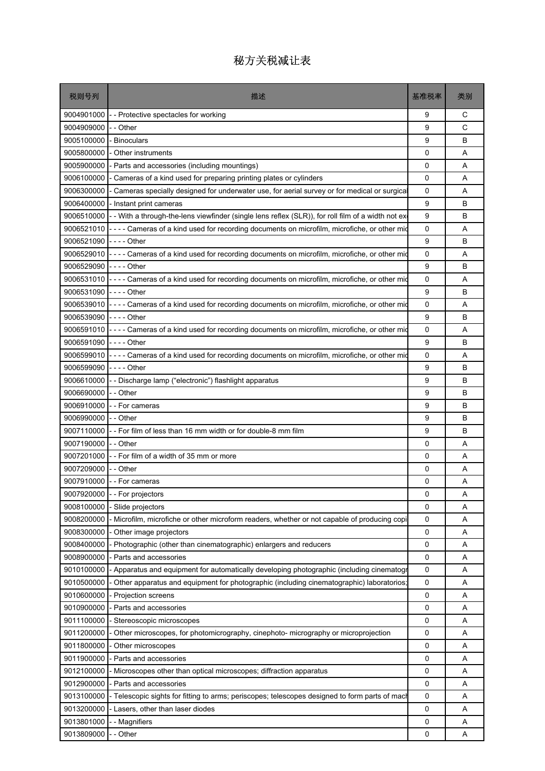| 税则号列                  | 描述                                                                                                    | 基准税率        | 类别 |
|-----------------------|-------------------------------------------------------------------------------------------------------|-------------|----|
| 9004901000            | -- Protective spectacles for working                                                                  | 9           | С  |
| 9004909000            | - - Other                                                                                             | 9           | C  |
| 9005100000            | - Binoculars                                                                                          | 9           | B  |
| 9005800000            | - Other instruments                                                                                   | 0           | A  |
| 9005900000            | - Parts and accessories (including mountings)                                                         | 0           | A  |
| 9006100000            | - Cameras of a kind used for preparing printing plates or cylinders                                   | 0           | A  |
| 9006300000            | - Cameras specially designed for underwater use, for aerial survey or for medical or surgical         | 0           | A  |
| 9006400000            | - Instant print cameras                                                                               | 9           | B  |
| 9006510000            | - - With a through-the-lens viewfinder (single lens reflex (SLR)), for roll film of a width not ex    | 9           | B  |
| 9006521010            | - - - - Cameras of a kind used for recording documents on microfilm, microfiche, or other mid         | 0           | A  |
| 9006521090            |                                                                                                       | 9           | B  |
|                       | 9006529010 ---- Cameras of a kind used for recording documents on microfilm, microfiche, or other mid | 0           | A  |
| 9006529090 ---- Other |                                                                                                       | 9           | B  |
|                       | 9006531010 ---- Cameras of a kind used for recording documents on microfilm, microfiche, or other mid | 0           | A  |
| 9006531090 ---- Other |                                                                                                       | 9           | B  |
| 9006539010            | ---- Cameras of a kind used for recording documents on microfilm, microfiche, or other mic            | 0           | A  |
| 9006539090 ---- Other |                                                                                                       | 9           | B  |
|                       | 9006591010 ---- Cameras of a kind used for recording documents on microfilm, microfiche, or other mid | 0           | A  |
| 9006591090 ---- Other |                                                                                                       | 9           | B  |
| 9006599010            | ---- Cameras of a kind used for recording documents on microfilm, microfiche, or other mid            | 0           | A  |
| 9006599090            | -  -  -  - Other                                                                                      | 9           | B  |
| 9006610000            | - - Discharge lamp ("electronic") flashlight apparatus                                                | 9           | B  |
| 9006690000            | - - Other                                                                                             | 9           | B  |
| 9006910000            | - - For cameras                                                                                       | 9           | B  |
| 9006990000            | - - Other                                                                                             | 9           | B  |
| 9007110000            | -- For film of less than 16 mm width or for double-8 mm film                                          | 9           | B  |
| 9007190000 -- Other   |                                                                                                       | 0           | A  |
|                       | 9007201000 - - For film of a width of 35 mm or more                                                   | 0           | A  |
| 9007209000 -- Other   |                                                                                                       | 0           | A  |
|                       | 9007910000 - For cameras                                                                              | 0           | A  |
|                       | 9007920000 - - For projectors                                                                         | 0           | Α  |
| 9008100000            | - Slide projectors                                                                                    | 0           | Α  |
| 9008200000            | Microfilm, microfiche or other microform readers, whether or not capable of producing copi            | 0           | Α  |
| 9008300000            | - Other image projectors                                                                              | 0           | Α  |
| 9008400000            | - Photographic (other than cinematographic) enlargers and reducers                                    | 0           | Α  |
| 9008900000            | - Parts and accessories                                                                               | 0           | Α  |
| 9010100000            | - Apparatus and equipment for automatically developing photographic (including cinematogr             | 0           | Α  |
| 9010500000            | - Other apparatus and equipment for photographic (including cinematographic) laboratorios             | 0           | Α  |
| 9010600000            | - Projection screens                                                                                  | 0           | Α  |
| 9010900000            | - Parts and accessories                                                                               | 0           | Α  |
| 9011100000            | - Stereoscopic microscopes                                                                            | 0           | Α  |
| 9011200000            | - Other microscopes, for photomicrography, cinephoto- micrography or microprojection                  | $\mathbf 0$ | Α  |
| 9011800000            | Other microscopes                                                                                     | 0           | Α  |
| 9011900000            | - Parts and accessories                                                                               | 0           | Α  |
| 9012100000            | - Microscopes other than optical microscopes; diffraction apparatus                                   | 0           | Α  |
| 9012900000            | - Parts and accessories                                                                               | 0           | Α  |
| 9013100000            | - Telescopic sights for fitting to arms; periscopes; telescopes designed to form parts of mach        | 0           | Α  |
| 9013200000            | - Lasers, other than laser diodes                                                                     | $\mathbf 0$ | Α  |
| 9013801000            | - - Magnifiers                                                                                        | 0           | Α  |
| 9013809000            | - - Other                                                                                             | 0           | Α  |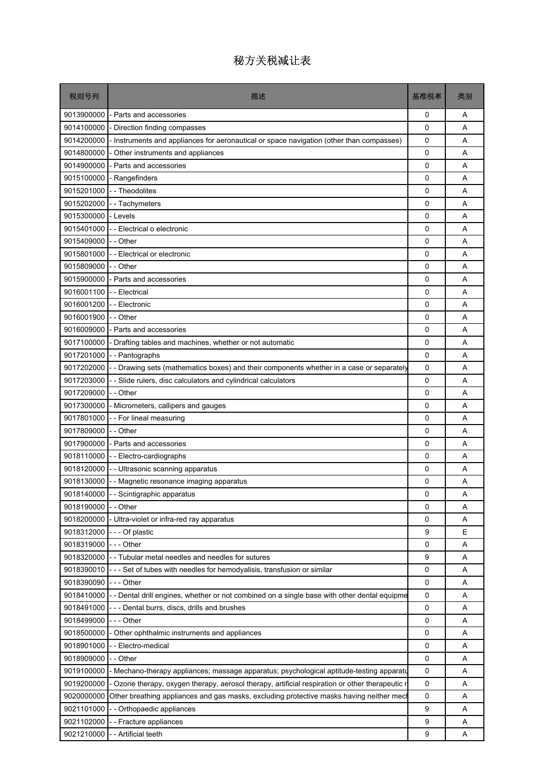| 税则号列                 | 描述                                                                                            | 基准税率         | 类别 |
|----------------------|-----------------------------------------------------------------------------------------------|--------------|----|
| 9013900000           | - Parts and accessories                                                                       | 0            | A  |
| 9014100000           | Direction finding compasses                                                                   | 0            | A  |
| 9014200000           | Instruments and appliances for aeronautical or space navigation (other than compasses)        | 0            | A  |
| 9014800000           | - Other instruments and appliances                                                            | 0            | A  |
| 9014900000           | - Parts and accessories                                                                       | 0            | A  |
| 9015100000           | - Rangefinders                                                                                | 0            | A  |
| 9015201000           | - - Theodolites                                                                               | 0            | Α  |
| 9015202000           | - - Tachymeters                                                                               | 0            | A  |
| 9015300000           | - Levels                                                                                      | 0            | A  |
| 9015401000           | - - Electrical o electronic                                                                   | 0            | Α  |
| 9015409000           | - - Other                                                                                     | 0            | A  |
| 9015801000           | - - Electrical or electronic                                                                  | 0            | A  |
| 9015809000           | - - Other                                                                                     | 0            | A  |
| 9015900000           | - Parts and accessories                                                                       | 0            | A  |
| 9016001100           | - - Electrical                                                                                | 0            | A  |
| 9016001200           | - Electronic                                                                                  | 0            | A  |
| 9016001900           | - - Other                                                                                     | 0            | Α  |
| 9016009000           | - Parts and accessories                                                                       | 0            | A  |
| 9017100000           | - Drafting tables and machines, whether or not automatic                                      | 0            | A  |
| 9017201000           | - - Pantographs                                                                               | 0            | Α  |
| 9017202000           | - - Drawing sets (mathematics boxes) and their components whether in a case or separately     | 0            | A  |
| 9017203000           | - Slide rulers, disc calculators and cylindrical calculators                                  | 0            | A  |
| 9017209000           | - - Other                                                                                     | 0            | A  |
| 9017300000           | - Micrometers, callipers and gauges                                                           | 0            | A  |
| 9017801000           | -- For lineal measuring                                                                       | 0            | A  |
| 9017809000           | - - Other                                                                                     | 0            | A  |
| 9017900000           | - Parts and accessories                                                                       | 0            | Α  |
|                      | 9018110000 - Electro-cardiographs                                                             | 0            | A  |
| 9018120000           | -- Ultrasonic scanning apparatus                                                              | 0            | A  |
| 9018130000           | -- Magnetic resonance imaging apparatus                                                       | 0            | Α  |
|                      | 9018140000 - - Scintigraphic apparatus                                                        | $\Omega$     | Α  |
| 9018190000           | - - Other                                                                                     | $\mathbf{0}$ | A  |
| 9018200000           | Ultra-violet or infra-red ray apparatus                                                       | 0            | Α  |
| 9018312000           | --- Of plastic                                                                                | 9            | E  |
| 9018319000 --- Other |                                                                                               | 0            | Α  |
|                      | 9018320000 - Tubular metal needles and needles for sutures                                    | 9            | Α  |
| 9018390010           | --- Set of tubes with needles for hemodyalisis, transfusion or similar                        | 0            | Α  |
| 9018390090           | - - - Other                                                                                   | 0            | Α  |
| 9018410000           | - Dental drill engines, whether or not combined on a single base with other dental equipme    | 0            | Α  |
| 9018491000           | --- Dental burrs, discs, drills and brushes                                                   | 0            | Α  |
| 9018499000           | - - - Other                                                                                   | 0            | Α  |
| 9018500000           | - Other ophthalmic instruments and appliances                                                 | 0            | Α  |
| 9018901000           | - Electro-medical                                                                             | 0            | Α  |
| 9018909000           | - - Other                                                                                     | 0            | Α  |
| 9019100000           | Mechano-therapy appliances; massage apparatus; psychological aptitude-testing apparatu        | 0            | Α  |
| 9019200000           | Ozone therapy, oxygen therapy, aerosol therapy, artificial respiration or other therapeutic r | 0            | Α  |
| 9020000000           | Other breathing appliances and gas masks, excluding protective masks having neither mech      | 0            | Α  |
| 9021101000           | - Orthopaedic appliances                                                                      | 9            | Α  |
| 9021102000           | - Fracture appliances                                                                         | 9            | Α  |
| 9021210000           | - Artificial teeth                                                                            | 9            | Α  |
|                      |                                                                                               |              |    |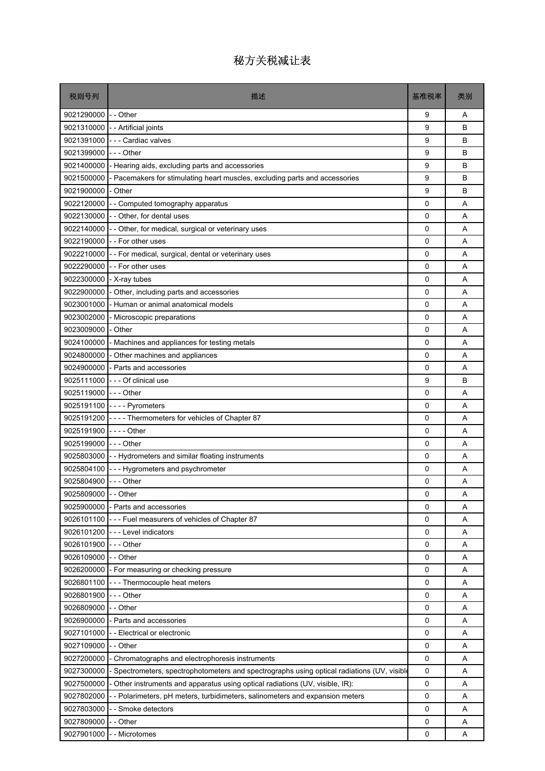| 税则号列                     | 描述                                                                                          | 基准税率         | 类别 |
|--------------------------|---------------------------------------------------------------------------------------------|--------------|----|
| 9021290000 - - Other     |                                                                                             | 9            | Α  |
|                          | 9021310000 - - Artificial joints                                                            | 9            | B  |
|                          | 9021391000 --- Cardiac valves                                                               | 9            | B  |
| 9021399000               | - - - Other                                                                                 | 9            | B  |
|                          | 9021400000 - Hearing aids, excluding parts and accessories                                  | 9            | B  |
| 9021500000               | - Pacemakers for stimulating heart muscles, excluding parts and accessories                 | 9            | B  |
| 9021900000 - Other       |                                                                                             | 9            | В  |
|                          | 9022120000 - - Computed tomography apparatus                                                | 0            | A  |
|                          | 9022130000 - - Other, for dental uses                                                       | 0            | A  |
|                          | 9022140000 - - Other, for medical, surgical or veterinary uses                              | 0            | Α  |
|                          | 9022190000 - - For other uses                                                               | 0            | A  |
|                          | 9022210000 - - For medical, surgical, dental or veterinary uses                             | 0            | A  |
|                          | 9022290000 - For other uses                                                                 | 0            | Α  |
| 9022300000 - X-ray tubes |                                                                                             | 0            | A  |
|                          | 9022900000 - Other, including parts and accessories                                         | 0            | A  |
| 9023001000               | - Human or animal anatomical models                                                         | 0            | A  |
| 9023002000               | - Microscopic preparations                                                                  | 0            | Α  |
| 9023009000               | - Other                                                                                     | 0            | A  |
| 9024100000               | - Machines and appliances for testing metals                                                | 0            | A  |
|                          | 9024800000 - Other machines and appliances                                                  | 0            | Α  |
|                          | 9024900000 - Parts and accessories                                                          | 0            | A  |
|                          | 9025111000 - - - Of clinical use                                                            | 9            | B  |
| 9025119000 --- Other     |                                                                                             | 0            | Α  |
|                          | 9025191100 ---- Pyrometers                                                                  | 0            | A  |
|                          | 9025191200 ---- Thermometers for vehicles of Chapter 87                                     | 0            | A  |
| 9025191900 ---- Other    |                                                                                             | 0            | A  |
| 9025199000 --- Other     |                                                                                             | 0            | A  |
|                          | 9025803000 - - Hydrometers and similar floating instruments                                 | 0            | A  |
|                          | 9025804100 - - - Hygrometers and psychrometer                                               | 0            | A  |
| 9025804900 --- Other     |                                                                                             | 0            | Α  |
| 9025809000 - - Other     |                                                                                             | 0            | Α  |
|                          | 9025900000 - Parts and accessories                                                          | $\mathbf{0}$ | A  |
|                          | 9026101100 --- Fuel measurers of vehicles of Chapter 87                                     | 0            | Α  |
| 9026101200               | - - - Level indicators                                                                      | 0            | Α  |
| 9026101900 --- Other     |                                                                                             | 0            | Α  |
| 9026109000 - - Other     |                                                                                             | 0            | Α  |
|                          | 9026200000 - For measuring or checking pressure                                             | 0            | Α  |
|                          | 9026801100 --- Thermocouple heat meters                                                     | 0            | Α  |
| 9026801900               | -  -  - Other                                                                               | 0            | Α  |
| 9026809000               | - - Other                                                                                   | 0            | Α  |
|                          | 9026900000 - Parts and accessories                                                          | $\mathsf 0$  | Α  |
|                          | 9027101000 - Electrical or electronic                                                       | 0            | Α  |
| 9027109000               | - - Other                                                                                   | 0            | Α  |
| 9027200000               | - Chromatographs and electrophoresis instruments                                            | 0            | A  |
| 9027300000               | - Spectrometers, spectrophotometers and spectrographs using optical radiations (UV, visible | 0            | Α  |
| 9027500000               | - Other instruments and apparatus using optical radiations (UV, visible, IR):               | $\mathsf 0$  | Α  |
| 9027802000               | -- Polarimeters, pH meters, turbidimeters, salinometers and expansion meters                | 0            | Α  |
| 9027803000               | - - Smoke detectors                                                                         | 0            | Α  |
| 9027809000               | - - Other                                                                                   | 0            | Α  |
| 9027901000               | - - Microtomes                                                                              | 0            | Α  |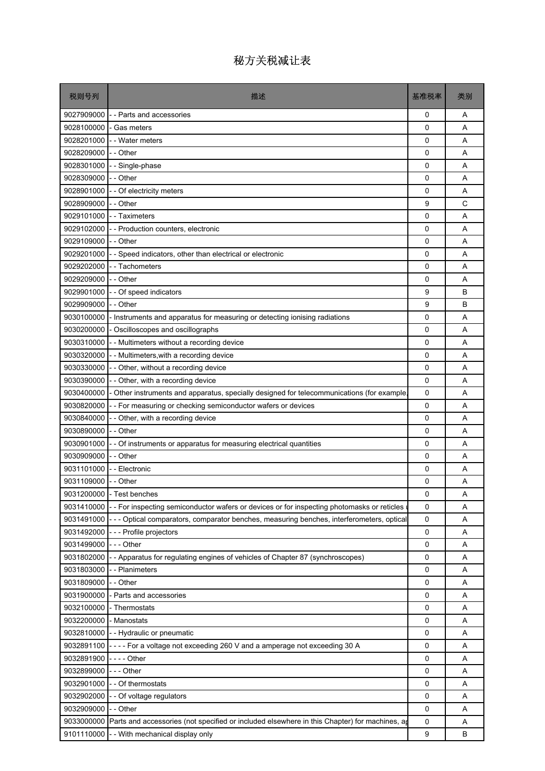| 税则号列                | 描述                                                                                          | 基准税率 | 类别 |
|---------------------|---------------------------------------------------------------------------------------------|------|----|
| 9027909000          | - - Parts and accessories                                                                   | 0    | Α  |
| 9028100000          | Gas meters                                                                                  | 0    | A  |
| 9028201000          | - Water meters                                                                              | 0    | A  |
| 9028209000          | - - Other                                                                                   | 0    | Α  |
| 9028301000          | - Single-phase                                                                              | 0    | A  |
| 9028309000          | - - Other                                                                                   | 0    | A  |
| 9028901000          | - - Of electricity meters                                                                   | 0    | Α  |
| 9028909000          | -- Other                                                                                    | 9    | C  |
| 9029101000          | - - Taximeters                                                                              | 0    | A  |
| 9029102000          | - Production counters, electronic                                                           | 0    | Α  |
| 9029109000          | - - Other                                                                                   | 0    | A  |
| 9029201000          | - Speed indicators, other than electrical or electronic                                     | 0    | A  |
| 9029202000          | - Tachometers                                                                               | 0    | A  |
| 9029209000          | - - Other                                                                                   | 0    | A  |
| 9029901000          | - Of speed indicators                                                                       | 9    | B  |
| 9029909000          | - - Other                                                                                   | 9    | В  |
| 9030100000          | Instruments and apparatus for measuring or detecting ionising radiations                    | 0    | Α  |
| 9030200000          | - Oscilloscopes and oscillographs                                                           | 0    | A  |
| 9030310000          | - - Multimeters without a recording device                                                  | 0    | A  |
| 9030320000          | - Multimeters, with a recording device                                                      | 0    | A  |
| 9030330000          | -- Other, without a recording device                                                        | 0    | A  |
| 9030390000          | - Other, with a recording device                                                            | 0    | A  |
| 9030400000          | Other instruments and apparatus, specially designed for telecommunications (for example     | 0    | A  |
| 9030820000          | -- For measuring or checking semiconductor wafers or devices                                | 0    | Α  |
| 9030840000          | - Other, with a recording device                                                            | 0    | A  |
| 9030890000          | - - Other                                                                                   | 0    | A  |
| 9030901000          | - - Of instruments or apparatus for measuring electrical quantities                         | 0    | Α  |
| 9030909000          | - - Other                                                                                   | 0    | A  |
| 9031101000          | - - Electronic                                                                              | 0    | A  |
| 9031109000 -- Other |                                                                                             | 0    | Α  |
|                     | 9031200000 - Test benches                                                                   | 0    | Α  |
| 9031410000          | -- For inspecting semiconductor wafers or devices or for inspecting photomasks or reticles  | 0    | Α  |
| 9031491000          | - - Optical comparators, comparator benches, measuring benches, interferometers, optical    | 0    | Α  |
| 9031492000          | --- Profile projectors                                                                      | 0    | Α  |
| 9031499000          | - - - Other                                                                                 | 0    | Α  |
| 9031802000          | - Apparatus for regulating engines of vehicles of Chapter 87 (synchroscopes)                | 0    | Α  |
| 9031803000          | - - Planimeters                                                                             | 0    | Α  |
| 9031809000          | - - Other                                                                                   | 0    | Α  |
| 9031900000          | - Parts and accessories                                                                     | 0    | Α  |
| 9032100000          | - Thermostats                                                                               | 0    | Α  |
| 9032200000          | - Manostats                                                                                 | 0    | Α  |
|                     | 9032810000 - Hydraulic or pneumatic                                                         | 0    | A  |
| 9032891100          | ---- For a voltage not exceeding 260 V and a amperage not exceeding 30 A                    | 0    | Α  |
| 9032891900          |                                                                                             | 0    | Α  |
| 9032899000          | --- Other                                                                                   | 0    | Α  |
| 9032901000          | - - Of thermostats                                                                          | 0    | Α  |
| 9032902000          | - - Of voltage regulators                                                                   | 0    | Α  |
| 9032909000          | - - Other                                                                                   | 0    | Α  |
| 9033000000          | Parts and accessories (not specified or included elsewhere in this Chapter) for machines, a | 0    | Α  |
| 9101110000          | - - With mechanical display only                                                            | 9    | В  |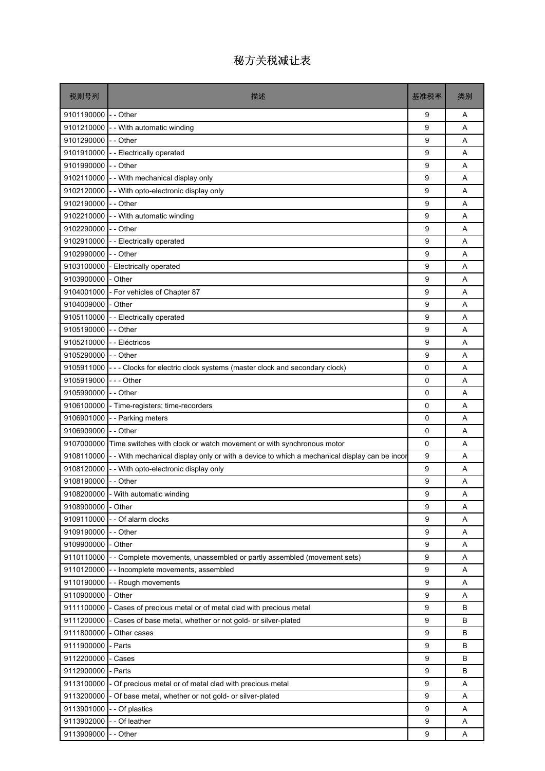| 税则号列                      | 描述                                                                                                      | 基准税率 | 类别 |
|---------------------------|---------------------------------------------------------------------------------------------------------|------|----|
| 9101190000                | -- Other                                                                                                | 9    | Α  |
|                           | 9101210000 - - With automatic winding                                                                   | 9    | A  |
| 9101290000 - - Other      |                                                                                                         | 9    | A  |
|                           | 9101910000 - Electrically operated                                                                      | 9    | A  |
| 9101990000 - - Other      |                                                                                                         | 9    | A  |
|                           | 9102110000 - - With mechanical display only                                                             | 9    | A  |
|                           | 9102120000 - With opto-electronic display only                                                          | 9    | A  |
| 9102190000                | - - Other                                                                                               | 9    | A  |
| 9102210000                | - - With automatic winding                                                                              | 9    | A  |
| 9102290000                | - - Other                                                                                               | 9    | A  |
| 9102910000                | -- Electrically operated                                                                                | 9    | A  |
| 9102990000                | - - Other                                                                                               | 9    | A  |
| 9103100000                | - Electrically operated                                                                                 | 9    | A  |
| 9103900000                | - Other                                                                                                 | 9    | A  |
| 9104001000                | - For vehicles of Chapter 87                                                                            | 9    | A  |
| 9104009000                | - Other                                                                                                 | 9    | A  |
| 9105110000                | -- Electrically operated                                                                                | 9    | A  |
| 9105190000                | - - Other                                                                                               | 9    | A  |
| 9105210000 - - Eléctricos |                                                                                                         | 9    | A  |
| 9105290000 - - Other      |                                                                                                         | 9    | A  |
| 9105911000                | --- Clocks for electric clock systems (master clock and secondary clock)                                | 0    | A  |
| 9105919000                | -  -  - Other                                                                                           | 0    | A  |
| 9105990000                | - - Other                                                                                               | 0    | A  |
| 9106100000                | - Time-registers; time-recorders                                                                        | 0    | A  |
|                           | 9106901000 - - Parking meters                                                                           | 0    | A  |
| 9106909000                | - - Other                                                                                               | 0    | A  |
|                           | 9107000000 Time switches with clock or watch movement or with synchronous motor                         | 0    | A  |
|                           | 9108110000 - - With mechanical display only or with a device to which a mechanical display can be incor | 9    | A  |
| 9108120000                | - - With opto-electronic display only                                                                   | 9    | A  |
| 9108190000 - - Other      |                                                                                                         | 9    | Α  |
|                           | 9108200000 - With automatic winding                                                                     | g    | Α  |
| 9108900000                | - Other                                                                                                 | 9    | A  |
| 9109110000                | -- Of alarm clocks                                                                                      | 9    | Α  |
| 9109190000                | -- Other                                                                                                | 9    | Α  |
| 9109900000                | - Other                                                                                                 | 9    | Α  |
| 9110110000                | - - Complete movements, unassembled or partly assembled (movement sets)                                 | 9    | Α  |
| 9110120000                | - - Incomplete movements, assembled                                                                     | 9    | Α  |
| 9110190000                | -- Rough movements                                                                                      | 9    | Α  |
| 9110900000                | - Other                                                                                                 | 9    | Α  |
| 9111100000                | Cases of precious metal or of metal clad with precious metal                                            | 9    | B  |
| 9111200000                | - Cases of base metal, whether or not gold- or silver-plated                                            | 9    | В  |
| 9111800000                | - Other cases                                                                                           | 9    | B  |
| 9111900000                | - Parts                                                                                                 | 9    | B  |
| 9112200000                | - Cases                                                                                                 | 9    | В  |
| 9112900000                | - Parts                                                                                                 | 9    | B  |
| 9113100000                | - Of precious metal or of metal clad with precious metal                                                | 9    | Α  |
| 9113200000                | - Of base metal, whether or not gold- or silver-plated                                                  | 9    | Α  |
| 9113901000                | - - Of plastics                                                                                         | 9    | Α  |
| 9113902000                | - - Of leather                                                                                          | 9    | Α  |
| 9113909000                | - - Other                                                                                               | 9    | Α  |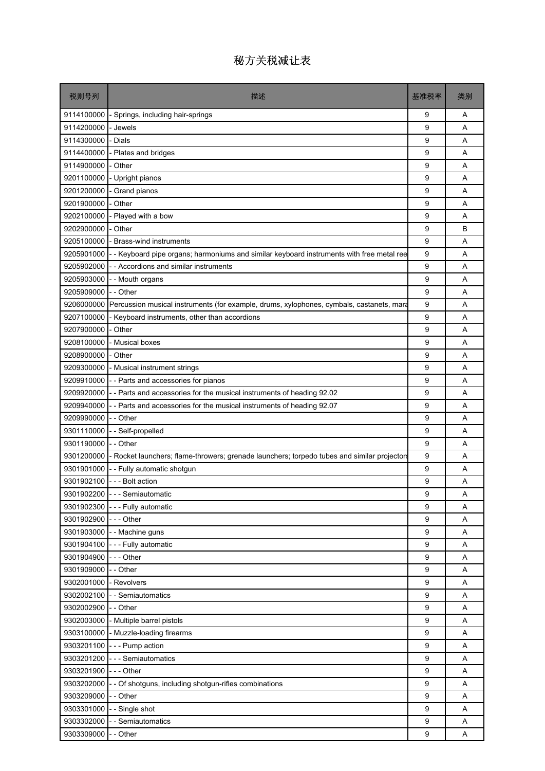| 税则号列                 | 描述                                                                                          | 基准税率 | 类别 |
|----------------------|---------------------------------------------------------------------------------------------|------|----|
| 9114100000           | - Springs, including hair-springs                                                           | 9    | Α  |
| 9114200000           | - Jewels                                                                                    | 9    | A  |
| 9114300000           | <b>Dials</b>                                                                                | 9    | A  |
| 9114400000           | Plates and bridges                                                                          | 9    | Α  |
| 9114900000           | - Other                                                                                     | 9    | A  |
| 9201100000           | - Upright pianos                                                                            | 9    | A  |
| 9201200000           | - Grand pianos                                                                              | 9    | Α  |
| 9201900000           | - Other                                                                                     | 9    | A  |
| 9202100000           | Played with a bow                                                                           | 9    | A  |
| 9202900000           | Other                                                                                       | 9    | B  |
| 9205100000           | Brass-wind instruments                                                                      | 9    | Α  |
| 9205901000           | - Keyboard pipe organs; harmoniums and similar keyboard instruments with free metal ree     | 9    | A  |
| 9205902000           | - Accordions and similar instruments                                                        | 9    | A  |
| 9205903000           | - - Mouth organs                                                                            | 9    | Α  |
| 9205909000           | - - Other                                                                                   | 9    | A  |
| 9206000000           | Percussion musical instruments (for example, drums, xylophones, cymbals, castanets, mara    | 9    | A  |
| 9207100000           | - Keyboard instruments, other than accordions                                               | 9    | Α  |
| 9207900000           | - Other                                                                                     | 9    | A  |
| 9208100000           | <b>Musical boxes</b>                                                                        | 9    | A  |
| 9208900000           | Other                                                                                       | 9    | Α  |
| 9209300000           | - Musical instrument strings                                                                | 9    | A  |
| 9209910000           | - - Parts and accessories for pianos                                                        | 9    | A  |
| 9209920000           | - Parts and accessories for the musical instruments of heading 92.02                        | 9    | A  |
| 9209940000           | -- Parts and accessories for the musical instruments of heading 92.07                       | 9    | A  |
| 9209990000           | - - Other                                                                                   | 9    | A  |
| 9301110000           | - - Self-propelled                                                                          | 9    | A  |
| 9301190000           | - - Other                                                                                   | 9    | A  |
| 9301200000           | - Rocket launchers; flame-throwers; grenade launchers; torpedo tubes and similar projectors | 9    | A  |
| 9301901000           | - - Fully automatic shotgun                                                                 | 9    | A  |
|                      | 9301902100 --- Bolt action                                                                  | 9    | Α  |
|                      | 9301902200 --- Semiautomatic                                                                | g    | Α  |
|                      | 9301902300 --- Fully automatic                                                              | 9    | A  |
| 9301902900 --- Other |                                                                                             | 9    | Α  |
| 9301903000           | - - Machine guns                                                                            | 9    | Α  |
|                      | 9301904100 --- Fully automatic                                                              | 9    | Α  |
| 9301904900           | --- Other                                                                                   | 9    | Α  |
| 9301909000           | -- Other                                                                                    | 9    | Α  |
| 9302001000           | - Revolvers                                                                                 | 9    | Α  |
| 9302002100           | - - Semiautomatics                                                                          | 9    | Α  |
| 9302002900           | - - Other                                                                                   | 9    | Α  |
| 9302003000           | - Multiple barrel pistols                                                                   | 9    | Α  |
|                      | 9303100000 - Muzzle-loading firearms                                                        | 9    | Α  |
|                      | 9303201100 --- Pump action                                                                  | 9    | Α  |
| 9303201200           | - - - Semiautomatics                                                                        | 9    | Α  |
| 9303201900           | $--$ Other                                                                                  | 9    | Α  |
| 9303202000           | - - Of shotguns, including shotgun-rifles combinations                                      | 9    | Α  |
| 9303209000           | - - Other                                                                                   | 9    | Α  |
| 9303301000           | - - Single shot                                                                             | 9    | Α  |
| 9303302000           | - - Semiautomatics                                                                          | 9    | Α  |
| 9303309000           | - - Other                                                                                   | 9    | Α  |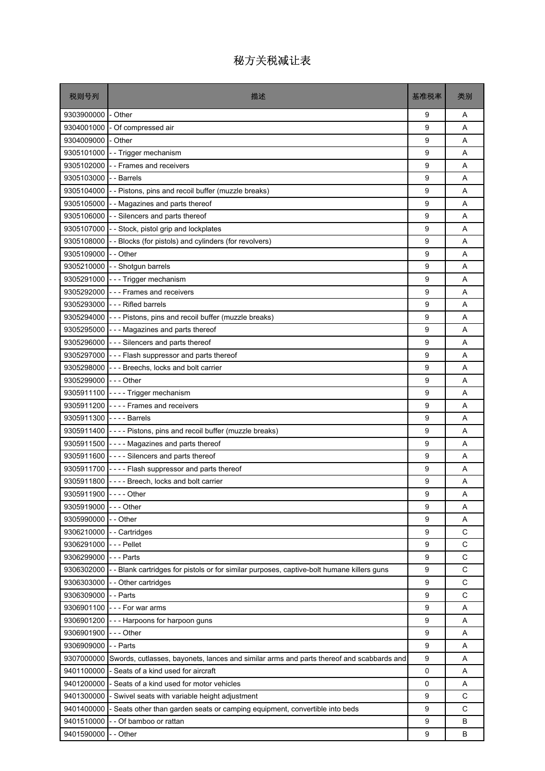| 税则号列                    | 描述                                                                                                    | 基准税率 | 类别 |
|-------------------------|-------------------------------------------------------------------------------------------------------|------|----|
| 9303900000              | - Other                                                                                               | 9    | A  |
| 9304001000              | - Of compressed air                                                                                   | 9    | A  |
| 9304009000              | - Other                                                                                               | 9    | A  |
| 9305101000              | - - Trigger mechanism                                                                                 | 9    | Α  |
|                         | 9305102000 - Frames and receivers                                                                     | 9    | A  |
| 9305103000              | - - Barrels                                                                                           | 9    | A  |
|                         | 9305104000 - - Pistons, pins and recoil buffer (muzzle breaks)                                        | 9    | Α  |
|                         | 9305105000 - - Magazines and parts thereof                                                            | 9    | A  |
|                         | 9305106000 - - Silencers and parts thereof                                                            | 9    | A  |
|                         | 9305107000 - Stock, pistol grip and lockplates                                                        | 9    | Α  |
|                         | 9305108000 - - Blocks (for pistols) and cylinders (for revolvers)                                     | 9    | A  |
| 9305109000 - - Other    |                                                                                                       | 9    | A  |
|                         | 9305210000 - - Shotgun barrels                                                                        | 9    | Α  |
|                         | 9305291000 - - - Trigger mechanism                                                                    | 9    | A  |
|                         | 9305292000 --- Frames and receivers                                                                   | 9    | A  |
|                         | 9305293000 --- Rifled barrels                                                                         | 9    | A  |
|                         | 9305294000 - - - Pistons, pins and recoil buffer (muzzle breaks)                                      | 9    | Α  |
|                         | 9305295000 - - - Magazines and parts thereof                                                          | 9    | A  |
|                         | 9305296000 - - - Silencers and parts thereof                                                          | 9    | A  |
|                         | 9305297000 - - - Flash suppressor and parts thereof                                                   | 9    | Α  |
|                         | 9305298000 - - - Breechs, locks and bolt carrier                                                      | 9    | A  |
| 9305299000 - - - Other  |                                                                                                       | 9    | A  |
|                         | 9305911100 ---- Trigger mechanism                                                                     | 9    | Α  |
|                         | 9305911200 ---- Frames and receivers                                                                  | 9    | A  |
| 9305911300 ---- Barrels |                                                                                                       | 9    | A  |
|                         | 9305911400 ---- Pistons, pins and recoil buffer (muzzle breaks)                                       | 9    | A  |
|                         | 9305911500 - - - - Magazines and parts thereof                                                        | 9    | Α  |
|                         | 9305911600 ---- Silencers and parts thereof                                                           | 9    | A  |
|                         | 9305911700 ---- Flash suppressor and parts thereof                                                    | 9    | A  |
|                         | $9305911800$ $\overline{ }$ - - - Breech, locks and bolt carrier                                      | 9    | Α  |
| 9305911900 ---- Other   |                                                                                                       | 9    | Α  |
| 9305919000 --- Other    |                                                                                                       | 9    | A  |
| 9305990000 - - Other    |                                                                                                       | 9    | Α  |
|                         | 9306210000 - - Cartridges                                                                             | 9    | C  |
| 9306291000 --- Pellet   |                                                                                                       | 9    | C  |
| 9306299000 --- Parts    |                                                                                                       | 9    | C  |
|                         | 9306302000 - - Blank cartridges for pistols or for similar purposes, captive-bolt humane killers guns | 9    | C  |
|                         | 9306303000 - - Other cartridges                                                                       | 9    | C  |
| 9306309000              | - - Parts                                                                                             | 9    | C  |
|                         | 9306901100 --- For war arms                                                                           | 9    | Α  |
| 9306901200              | --- Harpoons for harpoon guns                                                                         | 9    | Α  |
| 9306901900 --- Other    |                                                                                                       | 9    | Α  |
| 9306909000 - - Parts    |                                                                                                       | 9    | Α  |
|                         | 9307000000 Swords, cutlasses, bayonets, lances and similar arms and parts thereof and scabbards and   | 9    | Α  |
|                         | 9401100000 - Seats of a kind used for aircraft                                                        | 0    | Α  |
| 9401200000              | - Seats of a kind used for motor vehicles                                                             | 0    | A  |
| 9401300000              | - Swivel seats with variable height adjustment                                                        | 9    | C  |
| 9401400000              | - Seats other than garden seats or camping equipment, convertible into beds                           | 9    | C  |
| 9401510000              | - - Of bamboo or rattan                                                                               | 9    | B  |
| 9401590000              | - - Other                                                                                             | 9    | B  |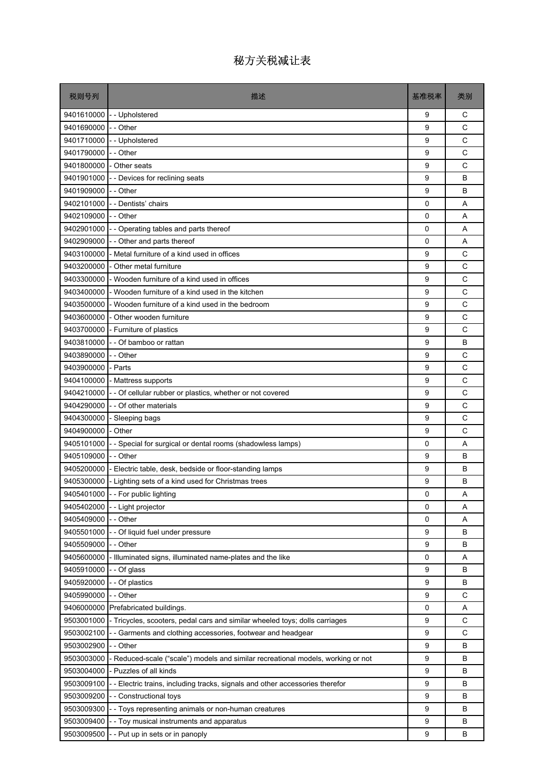| 税则号列                 | 描述                                                                               | 基准税率     | 类别 |
|----------------------|----------------------------------------------------------------------------------|----------|----|
| 9401610000           | -- Upholstered                                                                   | 9        | С  |
| 9401690000           | - - Other                                                                        | 9        | C  |
| 9401710000           | -- Upholstered                                                                   | 9        | C  |
| 9401790000           | - - Other                                                                        | 9        | C  |
|                      | 9401800000 - Other seats                                                         | 9        | C  |
|                      | 9401901000 - - Devices for reclining seats                                       | 9        | B  |
| 9401909000 -- Other  |                                                                                  | 9        | B  |
|                      | 9402101000 - Dentists' chairs                                                    | 0        | A  |
| 9402109000 -- Other  |                                                                                  | $\Omega$ | A  |
| 9402901000           | - - Operating tables and parts thereof                                           | 0        | Α  |
| 9402909000           | - - Other and parts thereof                                                      | 0        | A  |
| 9403100000           | - Metal furniture of a kind used in offices                                      | 9        | C  |
| 9403200000           | - Other metal furniture                                                          | 9        | C  |
| 9403300000           | I-Wooden furniture of a kind used in offices                                     | 9        | C  |
| 9403400000           | - Wooden furniture of a kind used in the kitchen                                 | 9        | C  |
| 9403500000           | - Wooden furniture of a kind used in the bedroom                                 | 9        | C  |
| 9403600000           | - Other wooden furniture                                                         | 9        | C  |
|                      | 9403700000 - Furniture of plastics                                               | 9        | C  |
|                      | 9403810000 - - Of bamboo or rattan                                               | 9        | B  |
| 9403890000 - - Other |                                                                                  | 9        | C  |
| 9403900000           | - Parts                                                                          | 9        | C  |
|                      | 9404100000 - Mattress supports                                                   | 9        | C  |
| 9404210000           | - - Of cellular rubber or plastics, whether or not covered                       | 9        | C  |
|                      | 9404290000 - - Of other materials                                                | 9        | C  |
|                      | 9404300000 - Sleeping bags                                                       | 9        | C  |
| 9404900000           | - Other                                                                          | 9        | C  |
| 9405101000           | - - Special for surgical or dental rooms (shadowless lamps)                      | 0        | A  |
| 9405109000 - - Other |                                                                                  | 9        | B  |
|                      | 9405200000 - Electric table, desk, bedside or floor-standing lamps               | 9        | B  |
|                      | 9405300000 - Lighting sets of a kind used for Christmas trees                    | 9        | B  |
|                      | 9405401000 - - For public lighting                                               | 0        | Α  |
| 9405402000           | - - Light projector                                                              | 0        | Α  |
| 9405409000           | - - Other                                                                        | 0        | Α  |
| 9405501000           | - - Of liquid fuel under pressure                                                | 9        | В  |
| 9405509000           | - - Other                                                                        | 9        | B  |
| 9405600000           | - Illuminated signs, illuminated name-plates and the like                        | 0        | Α  |
| 9405910000           | - - Of glass                                                                     | 9        | В  |
| 9405920000           | - - Of plastics                                                                  | 9        | B  |
| 9405990000           | - - Other                                                                        | 9        | C  |
| 9406000000           | Prefabricated buildings.                                                         | 0        | Α  |
| 9503001000           | - Tricycles, scooters, pedal cars and similar wheeled toys; dolls carriages      | 9        | C  |
| 9503002100           | - - Garments and clothing accessories, footwear and headgear                     | 9        | C  |
| 9503002900           | -- Other                                                                         | 9        | B  |
| 9503003000           | - Reduced-scale ("scale") models and similar recreational models, working or not | 9        | В  |
| 9503004000           | - Puzzles of all kinds                                                           | 9        | B  |
| 9503009100           | -- Electric trains, including tracks, signals and other accessories therefor     | 9        | В  |
| 9503009200           | - - Constructional toys                                                          | 9        | В  |
| 9503009300           | - - Toys representing animals or non-human creatures                             | 9        | B  |
| 9503009400           | - - Toy musical instruments and apparatus                                        | 9        | В  |
| 9503009500           | -- Put up in sets or in panoply                                                  | 9        | B  |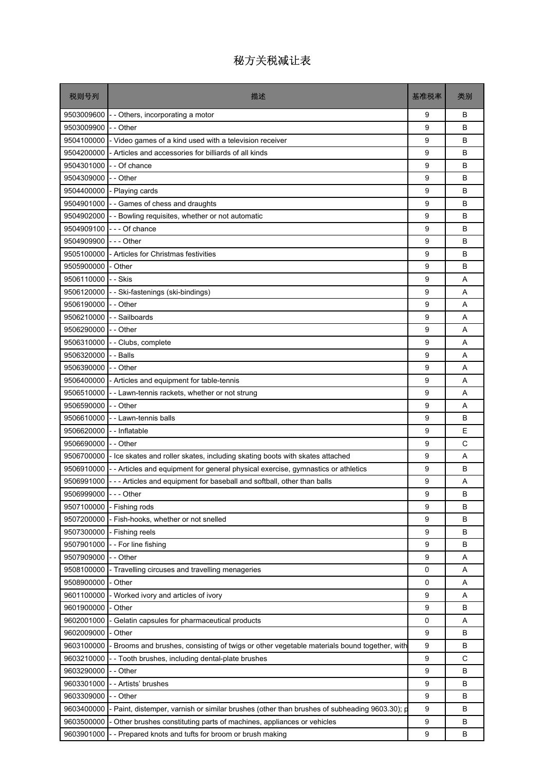| 税则号列                 | 描述                                                                                         | 基准税率 | 类别 |
|----------------------|--------------------------------------------------------------------------------------------|------|----|
| 9503009600           | -- Others, incorporating a motor                                                           | 9    | B  |
| 9503009900           | - Other                                                                                    | 9    | B  |
| 9504100000           | - Video games of a kind used with a television receiver                                    | 9    | B  |
| 9504200000           | - Articles and accessories for billiards of all kinds                                      | 9    | B  |
| 9504301000           | - Of chance                                                                                | 9    | B  |
| 9504309000           | - - Other                                                                                  | 9    | B  |
| 9504400000           | - Playing cards                                                                            | 9    | B  |
| 9504901000           | - - Games of chess and draughts                                                            | 9    | B  |
| 9504902000           | - - Bowling requisites, whether or not automatic                                           | 9    | B  |
| 9504909100           | --- Of chance                                                                              | 9    | B  |
| 9504909900           | -  - - Other                                                                               | 9    | B  |
| 9505100000           | - Articles for Christmas festivities                                                       | 9    | B  |
| 9505900000           | - Other                                                                                    | 9    | B  |
| 9506110000           | - - Skis                                                                                   | 9    | A  |
| 9506120000           | - Ski-fastenings (ski-bindings)                                                            | 9    | A  |
| 9506190000           | - - Other                                                                                  | 9    | A  |
| 9506210000           | - Sailboards                                                                               | 9    | A  |
| 9506290000           | - - Other                                                                                  | 9    | A  |
| 9506310000           | - - Clubs, complete                                                                        | 9    | A  |
| 9506320000           | - Balls                                                                                    | 9    | A  |
| 9506390000           | - - Other                                                                                  | 9    | A  |
| 9506400000           | - Articles and equipment for table-tennis                                                  | 9    | A  |
| 9506510000           | - Lawn-tennis rackets, whether or not strung                                               | 9    | A  |
| 9506590000           | - - Other                                                                                  | 9    | A  |
| 9506610000           | - - Lawn-tennis balls                                                                      | 9    | B  |
| 9506620000           | - - Inflatable                                                                             | 9    | E  |
| 9506690000           | - - Other                                                                                  | 9    | C  |
| 9506700000           | - Ice skates and roller skates, including skating boots with skates attached               | 9    | A  |
| 9506910000           | - Articles and equipment for general physical exercise, gymnastics or athletics            | 9    | B  |
| 9506991000           | --- Articles and equipment for baseball and softball, other than balls                     | 9    | A  |
| 9506999000 --- Other |                                                                                            | g    | B  |
| 9507100000           | - Fishing rods                                                                             | 9    | B  |
| 9507200000           | Fish-hooks, whether or not snelled                                                         | 9    | в  |
| 9507300000           | - Fishing reels                                                                            | 9    | в  |
| 9507901000           | - For line fishing                                                                         | 9    | B  |
| 9507909000           | - - Other                                                                                  | 9    | Α  |
| 9508100000           | Travelling circuses and travelling menageries                                              | 0    | Α  |
| 9508900000           | Other                                                                                      | 0    | Α  |
| 9601100000           | Worked ivory and articles of ivory                                                         | 9    | Α  |
| 9601900000           | Other                                                                                      | 9    | в  |
| 9602001000           | Gelatin capsules for pharmaceutical products                                               | 0    | Α  |
| 9602009000           | Other                                                                                      | 9    | B  |
| 9603100000           | Brooms and brushes, consisting of twigs or other vegetable materials bound together, with  | 9    | в  |
| 9603210000           | - Tooth brushes, including dental-plate brushes                                            | 9    | C  |
| 9603290000           | - Other                                                                                    | 9    | B  |
| 9603301000           | - Artists' brushes                                                                         | 9    | в  |
| 9603309000           | - Other                                                                                    | 9    | в  |
| 9603400000           | Paint, distemper, varnish or similar brushes (other than brushes of subheading 9603.30); p | 9    | B  |
| 9603500000           | Other brushes constituting parts of machines, appliances or vehicles                       | 9    | B  |
| 9603901000           | - Prepared knots and tufts for broom or brush making                                       | 9    | В  |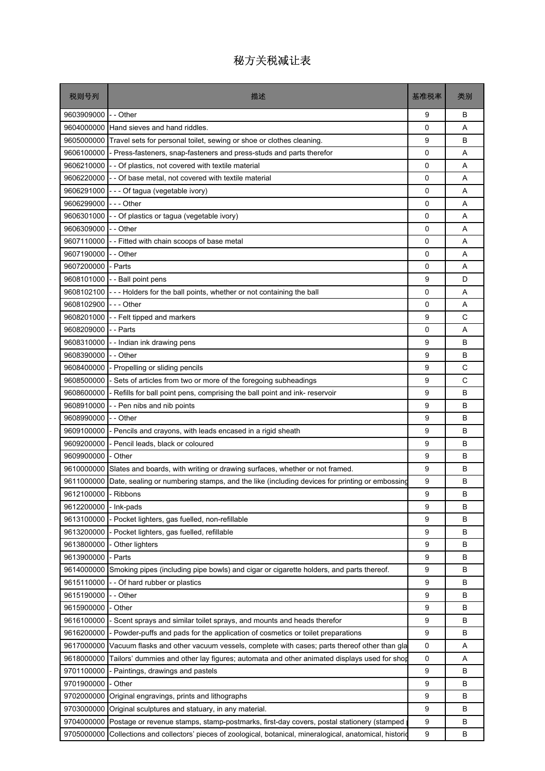| 税则号列       | 描述                                                                                               | 基准税率        | 类别 |
|------------|--------------------------------------------------------------------------------------------------|-------------|----|
| 9603909000 | - - Other                                                                                        | 9           | B  |
| 9604000000 | Hand sieves and hand riddles.                                                                    | 0           | A  |
| 9605000000 | Travel sets for personal toilet, sewing or shoe or clothes cleaning.                             | 9           | B  |
| 9606100000 | - Press-fasteners, snap-fasteners and press-studs and parts therefor                             | 0           | A  |
|            | 9606210000 - - Of plastics, not covered with textile material                                    | $\Omega$    | A  |
| 9606220000 | - - Of base metal, not covered with textile material                                             | $\mathbf 0$ | A  |
| 9606291000 | --- Of tagua (vegetable ivory)                                                                   | 0           | A  |
| 9606299000 | -  -  - Other                                                                                    | 0           | A  |
| 9606301000 | - - Of plastics or tagua (vegetable ivory)                                                       | 0           | A  |
| 9606309000 | - - Other                                                                                        | 0           | A  |
| 9607110000 | - - Fitted with chain scoops of base metal                                                       | 0           | A  |
| 9607190000 | - - Other                                                                                        | 0           | A  |
| 9607200000 | - Parts                                                                                          | 0           | A  |
| 9608101000 | - - Ball point pens                                                                              | 9           | D  |
| 9608102100 | --- Holders for the ball points, whether or not containing the ball                              | $\Omega$    | A  |
| 9608102900 | --- Other                                                                                        | 0           | Α  |
| 9608201000 | -- Felt tipped and markers                                                                       | 9           | C  |
| 9608209000 | - - Parts                                                                                        | 0           | A  |
| 9608310000 | -- Indian ink drawing pens                                                                       | 9           | B  |
| 9608390000 | - - Other                                                                                        | 9           | B  |
| 9608400000 | - Propelling or sliding pencils                                                                  | 9           | C  |
| 9608500000 | - Sets of articles from two or more of the foregoing subheadings                                 | 9           | C  |
| 9608600000 | - Refills for ball point pens, comprising the ball point and ink- reservoir                      | 9           | B  |
| 9608910000 | -- Pen nibs and nib points                                                                       | 9           | B  |
| 9608990000 | - - Other                                                                                        | 9           | B  |
| 9609100000 | - Pencils and crayons, with leads encased in a rigid sheath                                      | 9           | В  |
| 9609200000 | - Pencil leads, black or coloured                                                                | 9           | B  |
| 9609900000 | - Other                                                                                          | 9           | B  |
| 9610000000 | Slates and boards, with writing or drawing surfaces, whether or not framed.                      | 9           | В  |
| 9611000000 | Date, sealing or numbering stamps, and the like (including devices for printing or embossing     | 9           | B  |
| 9612100000 | - Ribbons                                                                                        | 9           | В  |
| 9612200000 | - Ink-pads                                                                                       | 9           | В  |
| 9613100000 | - Pocket lighters, gas fuelled, non-refillable                                                   | 9           | В  |
| 9613200000 | - Pocket lighters, gas fuelled, refillable                                                       | 9           | B  |
| 9613800000 | - Other lighters                                                                                 | 9           | В  |
| 9613900000 | - Parts                                                                                          | 9           | В  |
| 9614000000 | Smoking pipes (including pipe bowls) and cigar or cigarette holders, and parts thereof.          | 9           | В  |
| 9615110000 | -- Of hard rubber or plastics                                                                    | 9           | В  |
| 9615190000 | - Other                                                                                          | 9           | В  |
| 9615900000 | - Other                                                                                          | 9           | В  |
| 9616100000 | - Scent sprays and similar toilet sprays, and mounts and heads therefor                          | 9           | В  |
| 9616200000 | - Powder-puffs and pads for the application of cosmetics or toilet preparations                  | 9           | В  |
| 9617000000 | Vacuum flasks and other vacuum vessels, complete with cases; parts thereof other than gla        | 0           | Α  |
| 9618000000 | Tailors' dummies and other lay figures; automata and other animated displays used for shop       | 0           | Α  |
| 9701100000 | - Paintings, drawings and pastels                                                                | 9           | В  |
| 9701900000 | - Other                                                                                          | 9           | В  |
| 9702000000 | Original engravings, prints and lithographs                                                      | 9           | В  |
| 9703000000 | Original sculptures and statuary, in any material.                                               | 9           | В  |
| 9704000000 | Postage or revenue stamps, stamp-postmarks, first-day covers, postal stationery (stamped         | 9           | В  |
| 9705000000 | Collections and collectors' pieces of zoological, botanical, mineralogical, anatomical, historic | 9           | В  |